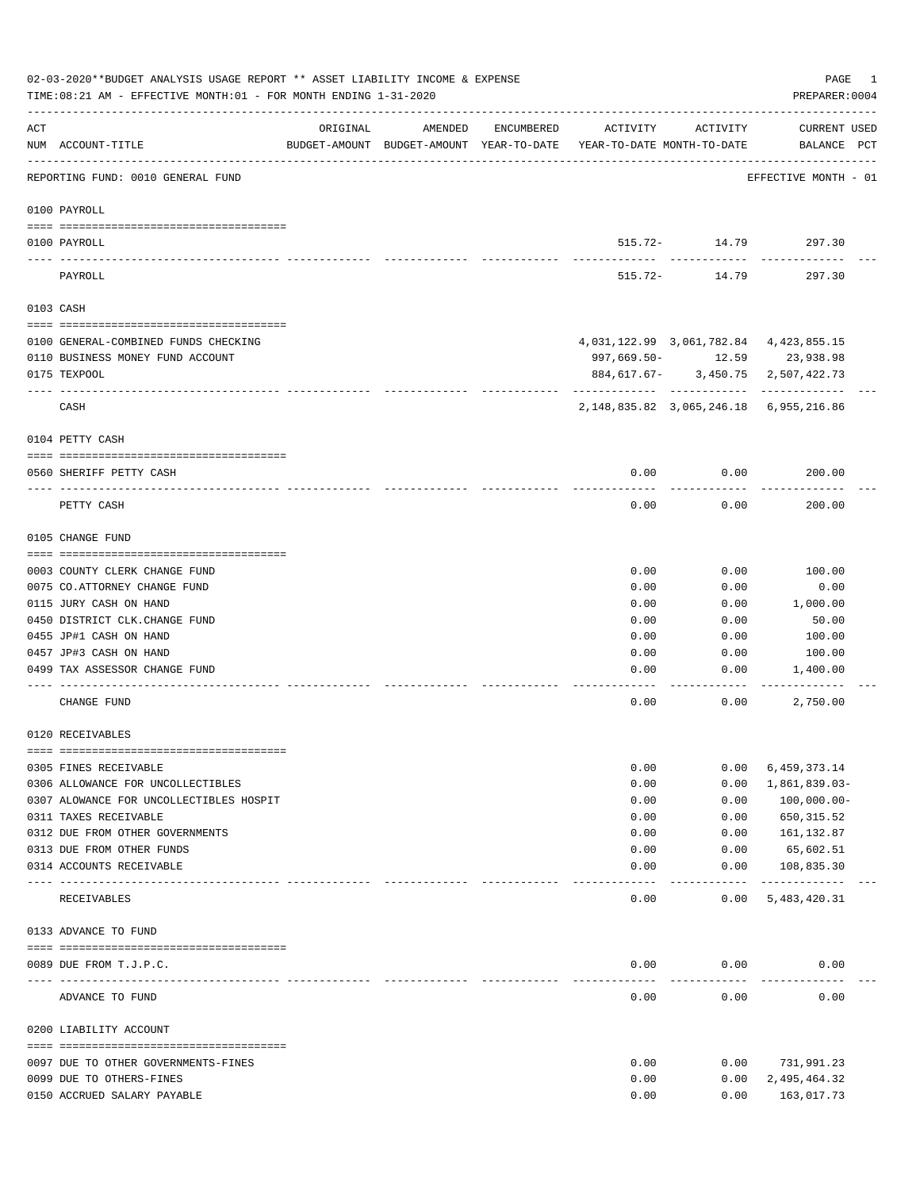|     | 02-03-2020**BUDGET ANALYSIS USAGE REPORT ** ASSET LIABILITY INCOME & EXPENSE<br>TIME: 08:21 AM - EFFECTIVE MONTH: 01 - FOR MONTH ENDING 1-31-2020 |                                                                                 |         |            |              |                    | PAGE<br>PREPARER: 0004                       | 1 |
|-----|---------------------------------------------------------------------------------------------------------------------------------------------------|---------------------------------------------------------------------------------|---------|------------|--------------|--------------------|----------------------------------------------|---|
| ACT | NUM ACCOUNT-TITLE                                                                                                                                 | ORIGINAL<br>BUDGET-AMOUNT BUDGET-AMOUNT YEAR-TO-DATE YEAR-TO-DATE MONTH-TO-DATE | AMENDED | ENCUMBERED | ACTIVITY     | ACTIVITY           | CURRENT USED<br>BALANCE PCT                  |   |
|     | REPORTING FUND: 0010 GENERAL FUND                                                                                                                 |                                                                                 |         |            |              |                    | EFFECTIVE MONTH - 01                         |   |
|     | 0100 PAYROLL                                                                                                                                      |                                                                                 |         |            |              |                    |                                              |   |
|     | 0100 PAYROLL                                                                                                                                      |                                                                                 |         |            |              | 515.72- 14.79      | 297.30                                       |   |
|     | ---- ----<br>-------------------------- --------<br>PAYROLL                                                                                       |                                                                                 |         |            | 515.72-      | 14.79              | 297.30                                       |   |
|     |                                                                                                                                                   |                                                                                 |         |            |              |                    |                                              |   |
|     | 0103 CASH                                                                                                                                         |                                                                                 |         |            |              |                    |                                              |   |
|     | 0100 GENERAL-COMBINED FUNDS CHECKING                                                                                                              |                                                                                 |         |            |              |                    | 4, 031, 122.99 3, 061, 782.84 4, 423, 855.15 |   |
|     | 0110 BUSINESS MONEY FUND ACCOUNT                                                                                                                  |                                                                                 |         |            |              |                    | 997,669.50- 12.59 23,938.98                  |   |
|     | 0175 TEXPOOL                                                                                                                                      |                                                                                 |         |            |              |                    | 884,617.67- 3,450.75 2,507,422.73            |   |
|     | CASH                                                                                                                                              |                                                                                 |         |            |              |                    | 2, 148, 835.82 3, 065, 246.18 6, 955, 216.86 |   |
|     | 0104 PETTY CASH                                                                                                                                   |                                                                                 |         |            |              |                    |                                              |   |
|     | 0560 SHERIFF PETTY CASH                                                                                                                           |                                                                                 |         |            | 0.00         | 0.00               | 200.00                                       |   |
|     | PETTY CASH                                                                                                                                        |                                                                                 |         |            | 0.00         | 0.00               | 200.00                                       |   |
|     | 0105 CHANGE FUND                                                                                                                                  |                                                                                 |         |            |              |                    |                                              |   |
|     |                                                                                                                                                   |                                                                                 |         |            |              |                    |                                              |   |
|     | 0003 COUNTY CLERK CHANGE FUND                                                                                                                     |                                                                                 |         |            | 0.00         | 0.00               | 100.00                                       |   |
|     | 0075 CO. ATTORNEY CHANGE FUND<br>0115 JURY CASH ON HAND                                                                                           |                                                                                 |         |            | 0.00<br>0.00 | 0.00<br>0.00       | 0.00<br>1,000.00                             |   |
|     | 0450 DISTRICT CLK. CHANGE FUND                                                                                                                    |                                                                                 |         |            | 0.00         | 0.00               | 50.00                                        |   |
|     | 0455 JP#1 CASH ON HAND                                                                                                                            |                                                                                 |         |            | 0.00         | 0.00               | 100.00                                       |   |
|     | 0457 JP#3 CASH ON HAND                                                                                                                            |                                                                                 |         |            | 0.00         | 0.00               | 100.00                                       |   |
|     | 0499 TAX ASSESSOR CHANGE FUND                                                                                                                     |                                                                                 |         |            | 0.00         | 0.00               | 1,400.00                                     |   |
|     | CHANGE FUND                                                                                                                                       |                                                                                 |         |            | 0.00         | 0.00               | 2,750.00                                     |   |
|     | 0120 RECEIVABLES                                                                                                                                  |                                                                                 |         |            |              |                    |                                              |   |
|     |                                                                                                                                                   |                                                                                 |         |            |              |                    |                                              |   |
|     | 0305 FINES RECEIVABLE<br>0306 ALLOWANCE FOR UNCOLLECTIBLES                                                                                        |                                                                                 |         |            | 0.00<br>0.00 | 0.00<br>0.00       | 6,459,373.14                                 |   |
|     | 0307 ALOWANCE FOR UNCOLLECTIBLES HOSPIT                                                                                                           |                                                                                 |         |            | 0.00         | 0.00               | 1,861,839.03-<br>$100,000.00 -$              |   |
|     | 0311 TAXES RECEIVABLE                                                                                                                             |                                                                                 |         |            | 0.00         | 0.00               | 650, 315.52                                  |   |
|     | 0312 DUE FROM OTHER GOVERNMENTS                                                                                                                   |                                                                                 |         |            | 0.00         | 0.00               | 161,132.87                                   |   |
|     | 0313 DUE FROM OTHER FUNDS                                                                                                                         |                                                                                 |         |            | 0.00         | 0.00               | 65,602.51                                    |   |
|     | 0314 ACCOUNTS RECEIVABLE                                                                                                                          |                                                                                 |         |            | 0.00         | 0.00               | 108,835.30                                   |   |
|     | ---- --------------------<br>RECEIVABLES                                                                                                          | -------------- -------------                                                    |         |            | 0.00         | ----------<br>0.00 | -------------<br>5,483,420.31                |   |
|     | 0133 ADVANCE TO FUND                                                                                                                              |                                                                                 |         |            |              |                    |                                              |   |
|     |                                                                                                                                                   |                                                                                 |         |            | 0.00         |                    |                                              |   |
|     | 0089 DUE FROM T.J.P.C.                                                                                                                            |                                                                                 |         |            |              | 0.00               | 0.00                                         |   |
|     | ADVANCE TO FUND                                                                                                                                   |                                                                                 |         |            | 0.00         | 0.00               | 0.00                                         |   |
|     | 0200 LIABILITY ACCOUNT                                                                                                                            |                                                                                 |         |            |              |                    |                                              |   |
|     | 0097 DUE TO OTHER GOVERNMENTS-FINES                                                                                                               |                                                                                 |         |            | 0.00         | 0.00               | 731,991.23                                   |   |
|     | 0099 DUE TO OTHERS-FINES                                                                                                                          |                                                                                 |         |            | 0.00         | 0.00               | 2,495,464.32                                 |   |
|     | 0150 ACCRUED SALARY PAYABLE                                                                                                                       |                                                                                 |         |            | 0.00         | 0.00               | 163,017.73                                   |   |
|     |                                                                                                                                                   |                                                                                 |         |            |              |                    |                                              |   |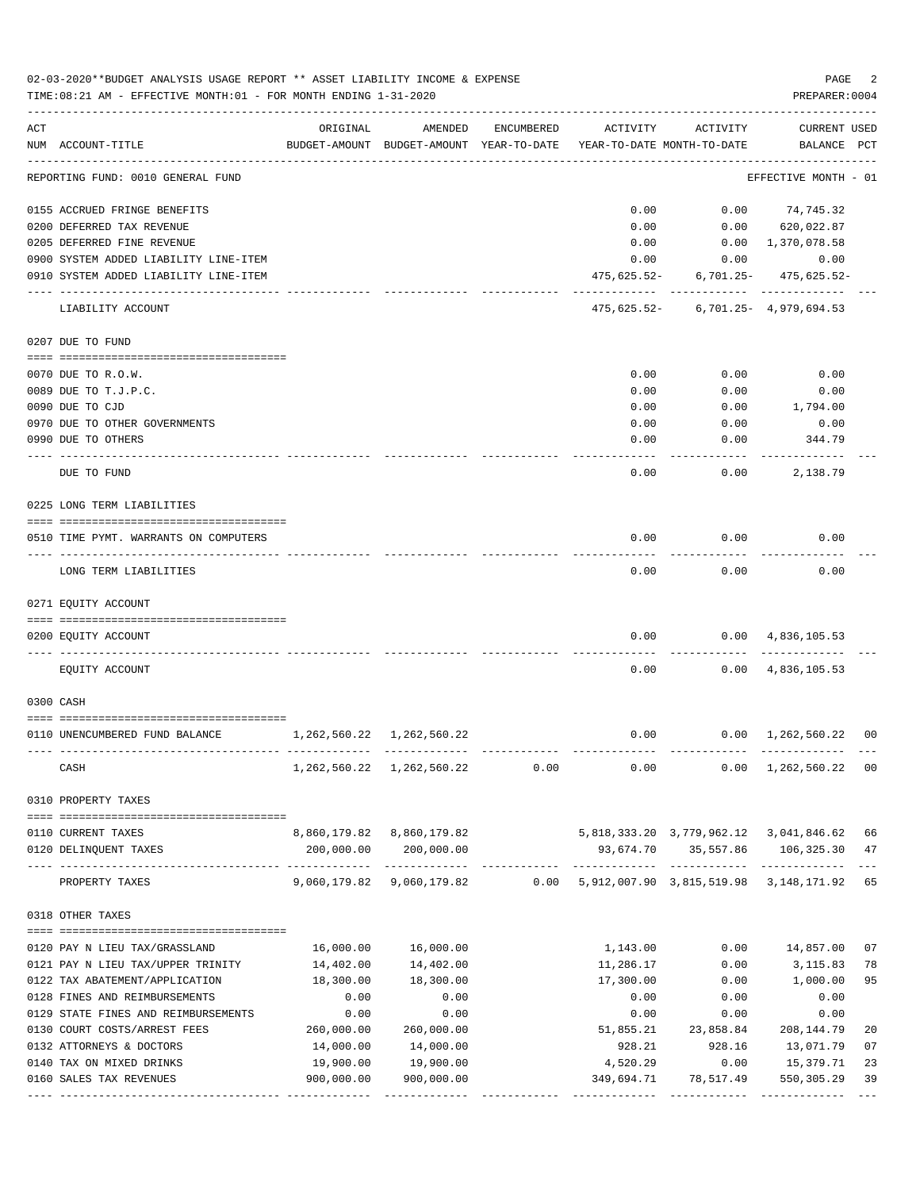|     | 02-03-2020**BUDGET ANALYSIS USAGE REPORT ** ASSET LIABILITY INCOME & EXPENSE<br>PAGE<br>TIME: 08:21 AM - EFFECTIVE MONTH: 01 - FOR MONTH ENDING 1-31-2020<br>PREPARER: 0004 |                                 |                                                     |            |                                               |                                        |                                    |    |  |  |  |  |
|-----|-----------------------------------------------------------------------------------------------------------------------------------------------------------------------------|---------------------------------|-----------------------------------------------------|------------|-----------------------------------------------|----------------------------------------|------------------------------------|----|--|--|--|--|
| ACT | NUM ACCOUNT-TITLE                                                                                                                                                           | ORIGINAL                        | AMENDED<br>BUDGET-AMOUNT BUDGET-AMOUNT YEAR-TO-DATE | ENCUMBERED | ACTIVITY<br>YEAR-TO-DATE MONTH-TO-DATE        | ACTIVITY                               | <b>CURRENT USED</b><br>BALANCE PCT |    |  |  |  |  |
|     | REPORTING FUND: 0010 GENERAL FUND                                                                                                                                           |                                 |                                                     |            |                                               |                                        | EFFECTIVE MONTH - 01               |    |  |  |  |  |
|     | 0155 ACCRUED FRINGE BENEFITS                                                                                                                                                |                                 |                                                     |            | 0.00                                          | 0.00                                   | 74,745.32                          |    |  |  |  |  |
|     | 0200 DEFERRED TAX REVENUE                                                                                                                                                   |                                 |                                                     |            | 0.00                                          |                                        | $0.00$ 620,022.87                  |    |  |  |  |  |
|     | 0205 DEFERRED FINE REVENUE                                                                                                                                                  |                                 |                                                     |            | 0.00                                          |                                        | 0.00 1,370,078.58                  |    |  |  |  |  |
|     | 0900 SYSTEM ADDED LIABILITY LINE-ITEM                                                                                                                                       |                                 |                                                     |            | 0.00                                          | 0.00                                   | 0.00                               |    |  |  |  |  |
|     | 0910 SYSTEM ADDED LIABILITY LINE-ITEM                                                                                                                                       |                                 |                                                     |            | 475,625.52-                                   |                                        | $6,701.25 - 475,625.52 -$          |    |  |  |  |  |
|     | LIABILITY ACCOUNT                                                                                                                                                           |                                 |                                                     |            |                                               | $475,625.52 - 6,701.25 - 4,979,694.53$ |                                    |    |  |  |  |  |
|     | 0207 DUE TO FUND                                                                                                                                                            |                                 |                                                     |            |                                               |                                        |                                    |    |  |  |  |  |
|     | 0070 DUE TO R.O.W.                                                                                                                                                          |                                 |                                                     |            | 0.00                                          | 0.00                                   | 0.00                               |    |  |  |  |  |
|     | 0089 DUE TO T.J.P.C.                                                                                                                                                        |                                 |                                                     |            | 0.00                                          | 0.00                                   | 0.00                               |    |  |  |  |  |
|     | 0090 DUE TO CJD                                                                                                                                                             |                                 |                                                     |            | 0.00                                          | 0.00                                   | 1,794.00                           |    |  |  |  |  |
|     | 0970 DUE TO OTHER GOVERNMENTS                                                                                                                                               |                                 |                                                     |            | 0.00                                          | 0.00                                   | 0.00                               |    |  |  |  |  |
|     | 0990 DUE TO OTHERS                                                                                                                                                          |                                 |                                                     |            | 0.00                                          | 0.00                                   | 344.79                             |    |  |  |  |  |
|     | DUE TO FUND                                                                                                                                                                 |                                 |                                                     |            | 0.00                                          | 0.00                                   | 2,138.79                           |    |  |  |  |  |
|     | 0225 LONG TERM LIABILITIES                                                                                                                                                  |                                 |                                                     |            |                                               |                                        |                                    |    |  |  |  |  |
|     | 0510 TIME PYMT. WARRANTS ON COMPUTERS                                                                                                                                       |                                 |                                                     |            | 0.00                                          | 0.00                                   | 0.00                               |    |  |  |  |  |
|     | LONG TERM LIABILITIES                                                                                                                                                       |                                 |                                                     |            | 0.00                                          | 0.00                                   | 0.00                               |    |  |  |  |  |
|     | 0271 EQUITY ACCOUNT                                                                                                                                                         |                                 |                                                     |            |                                               |                                        |                                    |    |  |  |  |  |
|     | 0200 EQUITY ACCOUNT                                                                                                                                                         |                                 |                                                     |            | 0.00                                          |                                        | $0.00 \quad 4,836,105.53$          |    |  |  |  |  |
|     |                                                                                                                                                                             |                                 |                                                     |            |                                               |                                        |                                    |    |  |  |  |  |
|     | EQUITY ACCOUNT                                                                                                                                                              |                                 |                                                     |            | 0.00                                          |                                        | $0.00 \quad 4,836,105.53$          |    |  |  |  |  |
|     | 0300 CASH                                                                                                                                                                   |                                 |                                                     |            |                                               |                                        |                                    |    |  |  |  |  |
|     |                                                                                                                                                                             |                                 |                                                     |            |                                               |                                        |                                    |    |  |  |  |  |
|     | 0110 UNENCUMBERED FUND BALANCE                                                                                                                                              | 1, 262, 560. 22 1, 262, 560. 22 |                                                     |            | 0.00                                          |                                        | $0.00 \quad 1,262,560.22 \quad 00$ |    |  |  |  |  |
|     | CASH                                                                                                                                                                        |                                 | 1, 262, 560. 22 1, 262, 560. 22                     | 0.00       |                                               | $0.00$ $0.00$ $1,262,560.22$ 00        |                                    |    |  |  |  |  |
|     | 0310 PROPERTY TAXES                                                                                                                                                         |                                 |                                                     |            |                                               |                                        |                                    |    |  |  |  |  |
|     |                                                                                                                                                                             |                                 |                                                     |            |                                               |                                        |                                    |    |  |  |  |  |
|     | 0110 CURRENT TAXES                                                                                                                                                          |                                 | 8,860,179.82 8,860,179.82                           |            |                                               | 5,818,333.20 3,779,962.12 3,041,846.62 |                                    | 66 |  |  |  |  |
|     | 0120 DELINQUENT TAXES                                                                                                                                                       | 200,000.00<br>------------      | 200,000.00<br><u>uuuuuuuuuuu</u>                    |            | 93,674.70                                     |                                        | 35,557.86 106,325.30               | 47 |  |  |  |  |
|     | PROPERTY TAXES                                                                                                                                                              |                                 | 9,060,179.82 9,060,179.82                           |            | $0.00$ 5,912,007.90 3,815,519.98 3,148,171.92 |                                        |                                    | 65 |  |  |  |  |
|     | 0318 OTHER TAXES                                                                                                                                                            |                                 |                                                     |            |                                               |                                        |                                    |    |  |  |  |  |
|     | 0120 PAY N LIEU TAX/GRASSLAND                                                                                                                                               | 16,000.00                       | 16,000.00                                           |            | 1,143.00                                      | 0.00                                   | 14,857.00                          | 07 |  |  |  |  |
|     | 0121 PAY N LIEU TAX/UPPER TRINITY                                                                                                                                           | 14,402.00                       | 14,402.00                                           |            | 11,286.17                                     | 0.00                                   | 3,115.83                           | 78 |  |  |  |  |
|     | 0122 TAX ABATEMENT/APPLICATION                                                                                                                                              | 18,300.00                       | 18,300.00                                           |            | 17,300.00                                     | 0.00                                   | 1,000.00                           | 95 |  |  |  |  |
|     | 0128 FINES AND REIMBURSEMENTS                                                                                                                                               | 0.00                            | 0.00                                                |            | 0.00                                          | 0.00                                   | 0.00                               |    |  |  |  |  |
|     | 0129 STATE FINES AND REIMBURSEMENTS                                                                                                                                         | 0.00                            | 0.00                                                |            | 0.00                                          | 0.00                                   | 0.00                               |    |  |  |  |  |
|     | 0130 COURT COSTS/ARREST FEES                                                                                                                                                | 260,000.00                      | 260,000.00                                          |            | 51,855.21                                     | 23,858.84                              | 208,144.79                         | 20 |  |  |  |  |
|     | 0132 ATTORNEYS & DOCTORS                                                                                                                                                    | 14,000.00                       | 14,000.00                                           |            | 928.21                                        | 928.16                                 | 13,071.79                          | 07 |  |  |  |  |
|     | 0140 TAX ON MIXED DRINKS                                                                                                                                                    | 19,900.00                       | 19,900.00                                           |            | 4,520.29                                      | 0.00                                   | 15,379.71                          | 23 |  |  |  |  |
|     | 0160 SALES TAX REVENUES                                                                                                                                                     | 900,000.00                      | 900,000.00                                          |            | 349,694.71                                    | 78,517.49                              | 550,305.29                         | 39 |  |  |  |  |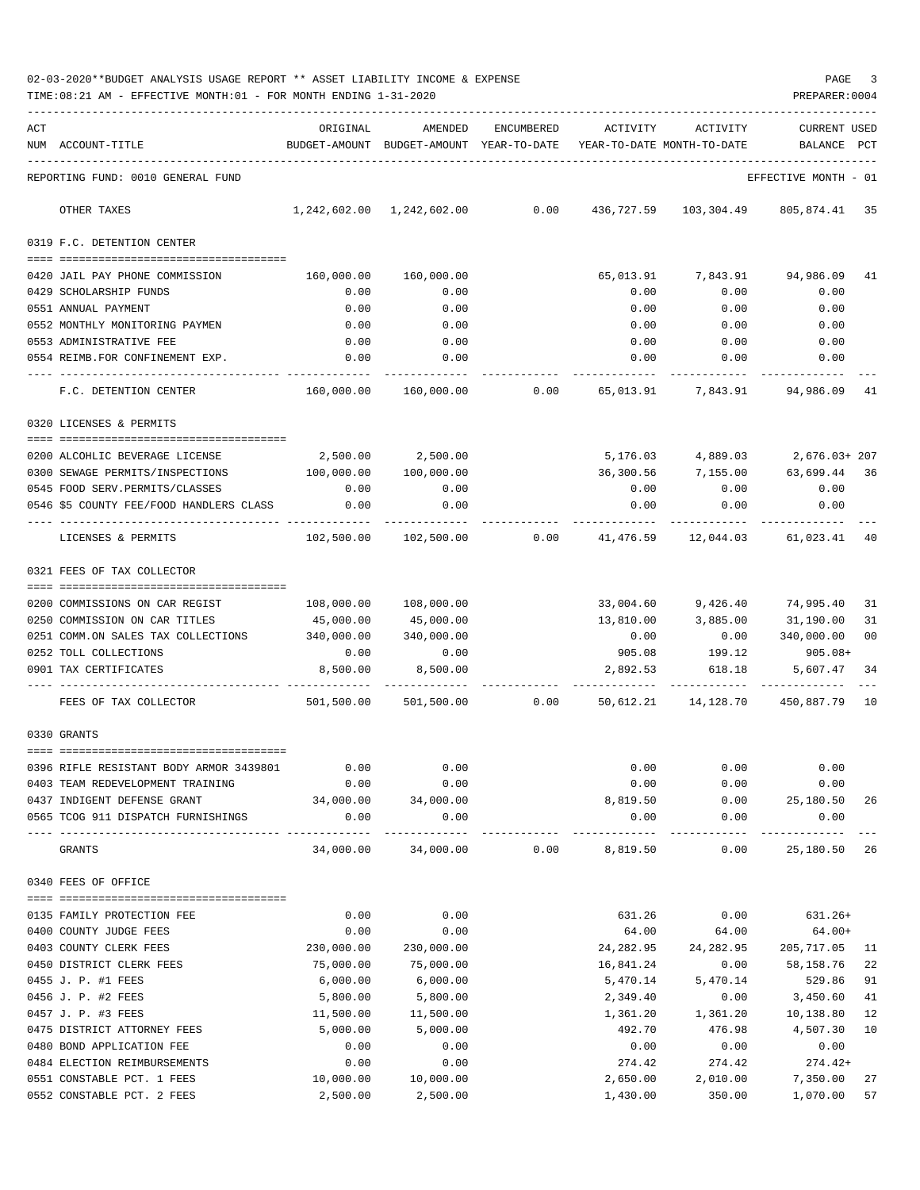| 02-03-2020**BUDGET ANALYSIS USAGE REPORT ** ASSET LIABILITY INCOME & EXPENSE | PAGE           |
|------------------------------------------------------------------------------|----------------|
| TIME:08:21 AM - EFFECTIVE MONTH:01 - FOR MONTH ENDING 1-31-2020              | PREPARER: 0004 |

| ACT | NUM ACCOUNT-TITLE                                          | ORIGINAL     | AMENDED<br>BUDGET-AMOUNT BUDGET-AMOUNT YEAR-TO-DATE | ENCUMBERED | ACTIVITY<br>YEAR-TO-DATE MONTH-TO-DATE | ACTIVITY           | <b>CURRENT USED</b><br>BALANCE | PCT |
|-----|------------------------------------------------------------|--------------|-----------------------------------------------------|------------|----------------------------------------|--------------------|--------------------------------|-----|
|     |                                                            |              |                                                     |            |                                        |                    |                                |     |
|     | REPORTING FUND: 0010 GENERAL FUND                          |              |                                                     |            |                                        |                    | EFFECTIVE MONTH - 01           |     |
|     | OTHER TAXES                                                |              |                                                     | 0.00       | 436,727.59                             | 103,304.49         | 805,874.41 35                  |     |
|     | 0319 F.C. DETENTION CENTER                                 |              |                                                     |            |                                        |                    |                                |     |
|     |                                                            |              |                                                     |            |                                        |                    |                                |     |
|     | 0420 JAIL PAY PHONE COMMISSION                             | 160,000.00   | 160,000.00                                          |            | 65,013.91                              | 7,843.91           | 94,986.09                      | 41  |
|     | 0429 SCHOLARSHIP FUNDS                                     | 0.00         | 0.00                                                |            | 0.00                                   | 0.00               | 0.00                           |     |
|     | 0551 ANNUAL PAYMENT                                        | 0.00         | 0.00                                                |            | 0.00                                   | 0.00               | 0.00                           |     |
|     | 0552 MONTHLY MONITORING PAYMEN                             | 0.00<br>0.00 | 0.00<br>0.00                                        |            | 0.00<br>0.00                           | 0.00               | 0.00                           |     |
|     | 0553 ADMINISTRATIVE FEE<br>0554 REIMB.FOR CONFINEMENT EXP. | 0.00         | 0.00                                                |            | 0.00                                   | 0.00<br>0.00       | 0.00<br>0.00                   |     |
|     |                                                            |              |                                                     |            |                                        |                    |                                |     |
|     | F.C. DETENTION CENTER                                      | 160,000.00   | 160,000.00                                          | 0.00       | 65,013.91                              | 7,843.91           | 94,986.09                      | 41  |
|     | 0320 LICENSES & PERMITS                                    |              |                                                     |            |                                        |                    |                                |     |
|     | 0200 ALCOHLIC BEVERAGE LICENSE                             | 2,500.00     | 2,500.00                                            |            |                                        | 5,176.03 4,889.03  | 2,676.03+ 207                  |     |
|     | 0300 SEWAGE PERMITS/INSPECTIONS                            | 100,000.00   | 100,000.00                                          |            | 36,300.56                              | 7,155.00 63,699.44 |                                | 36  |
|     | 0545 FOOD SERV. PERMITS/CLASSES                            | 0.00         | 0.00                                                |            | 0.00                                   | 0.00               | 0.00                           |     |
|     | 0546 \$5 COUNTY FEE/FOOD HANDLERS CLASS                    | 0.00         | 0.00                                                |            | 0.00                                   | 0.00               | 0.00                           |     |
|     |                                                            |              |                                                     |            |                                        |                    |                                |     |
|     | LICENSES & PERMITS                                         | 102,500.00   | 102,500.00                                          | 0.00       | 41,476.59                              | 12,044.03          | 61,023.41                      | 40  |
|     | 0321 FEES OF TAX COLLECTOR                                 |              |                                                     |            |                                        |                    |                                |     |
|     |                                                            |              |                                                     |            |                                        |                    |                                |     |
|     | 0200 COMMISSIONS ON CAR REGIST                             | 108,000.00   | 108,000.00                                          |            | 33,004.60                              |                    | 9,426.40 74,995.40             | 31  |
|     | 0250 COMMISSION ON CAR TITLES                              | 45,000.00    | 45,000.00                                           |            | 13,810.00                              | 3,885.00           | 31,190.00                      | 31  |
|     | 0251 COMM.ON SALES TAX COLLECTIONS                         | 340,000.00   | 340,000.00                                          |            | 0.00                                   | 0.00               | 340,000.00                     | 00  |
|     | 0252 TOLL COLLECTIONS                                      | 0.00         | 0.00                                                |            |                                        | 905.08 199.12      | $905.08+$                      |     |
|     | 0901 TAX CERTIFICATES                                      | 8,500.00     | 8,500.00                                            |            | 2,892.53                               | 618.18             | 5,607.47                       | 34  |
|     | FEES OF TAX COLLECTOR                                      | 501,500.00   | 501,500.00                                          | 0.00       | 50,612.21                              |                    | 14, 128.70 450, 887.79         | 10  |
|     | 0330 GRANTS                                                |              |                                                     |            |                                        |                    |                                |     |
|     |                                                            |              |                                                     |            |                                        |                    |                                |     |
|     | 0396 RIFLE RESISTANT BODY ARMOR 3439801                    | 0.00         | 0.00                                                |            | 0.00                                   | 0.00               | 0.00                           |     |
|     | 0403 TEAM REDEVELOPMENT TRAINING                           | 0.00         | 0.00                                                |            | 0.00                                   | 0.00               | 0.00                           |     |
|     | 0437 INDIGENT DEFENSE GRANT                                | 34,000.00    | 34,000.00                                           |            | 8,819.50                               | 0.00               | 25,180.50                      | -26 |
|     | 0565 TCOG 911 DISPATCH FURNISHINGS                         | 0.00         | 0.00                                                |            | 0.00                                   | 0.00<br>--------   | 0.00                           |     |
|     | GRANTS                                                     | 34,000.00    | 34,000.00                                           | 0.00       | 8,819.50                               | 0.00               | 25,180.50 26                   |     |
|     | 0340 FEES OF OFFICE                                        |              |                                                     |            |                                        |                    |                                |     |
|     | 0135 FAMILY PROTECTION FEE                                 | 0.00         | 0.00                                                |            | 631.26                                 | 0.00               | $631.26+$                      |     |
|     | 0400 COUNTY JUDGE FEES                                     | 0.00         | 0.00                                                |            | 64.00                                  | 64.00              | $64.00+$                       |     |
|     | 0403 COUNTY CLERK FEES                                     | 230,000.00   | 230,000.00                                          |            | 24,282.95                              | 24,282.95          | 205, 717.05 11                 |     |
|     | 0450 DISTRICT CLERK FEES                                   | 75,000.00    | 75,000.00                                           |            | 16,841.24                              | 0.00               | 58,158.76                      | 22  |
|     | 0455 J. P. #1 FEES                                         | 6,000.00     | 6,000.00                                            |            | 5,470.14                               | 5,470.14           | 529.86                         | 91  |
|     | 0456 J. P. #2 FEES                                         | 5,800.00     | 5,800.00                                            |            | 2,349.40                               | 0.00               | 3,450.60                       | 41  |
|     | 0457 J. P. #3 FEES                                         | 11,500.00    | 11,500.00                                           |            | 1,361.20                               | 1,361.20           | 10,138.80                      | 12  |
|     | 0475 DISTRICT ATTORNEY FEES                                | 5,000.00     | 5,000.00                                            |            | 492.70                                 | 476.98             | 4,507.30                       | 10  |
|     | 0480 BOND APPLICATION FEE                                  | 0.00         | 0.00                                                |            | 0.00                                   | 0.00               | 0.00                           |     |
|     | 0484 ELECTION REIMBURSEMENTS                               | 0.00         | 0.00                                                |            | 274.42                                 | 274.42             | 274.42+                        |     |
|     | 0551 CONSTABLE PCT. 1 FEES                                 | 10,000.00    | 10,000.00                                           |            | 2,650.00                               | 2,010.00           | 7,350.00 27                    |     |
|     | 0552 CONSTABLE PCT. 2 FEES                                 | 2,500.00     | 2,500.00                                            |            | 1,430.00                               | 350.00             | 1,070.00 57                    |     |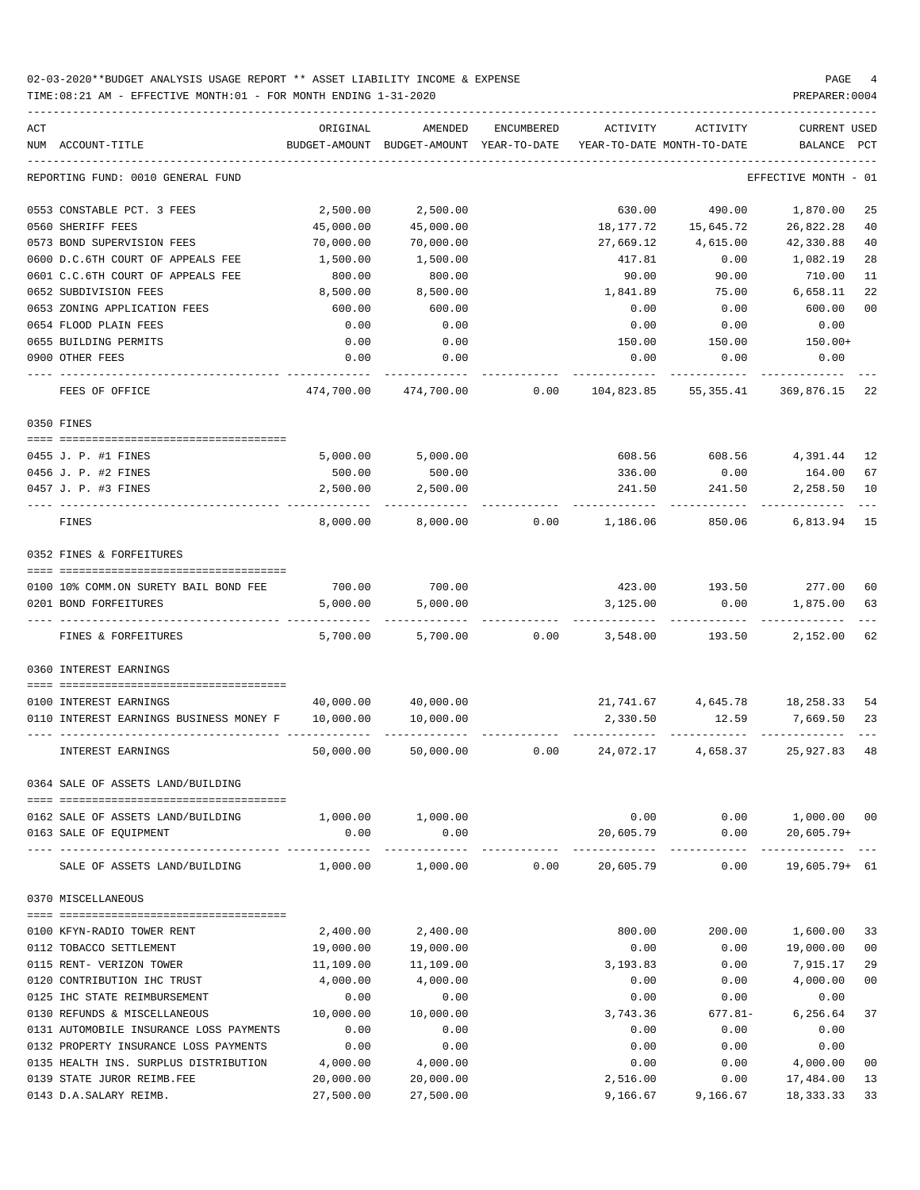| ACT |                                                                 | ORIGINAL      | AMENDED              | <b>ENCUMBERED</b> | ACTIVITY                   | <b>ACTIVITY</b>            | <b>CURRENT USED</b> |                |
|-----|-----------------------------------------------------------------|---------------|----------------------|-------------------|----------------------------|----------------------------|---------------------|----------------|
|     | NUM ACCOUNT-TITLE                                               | BUDGET-AMOUNT | BUDGET-AMOUNT        | YEAR-TO-DATE      |                            | YEAR-TO-DATE MONTH-TO-DATE | BALANCE             | PCT            |
|     | REPORTING FUND: 0010 GENERAL FUND                               |               |                      |                   |                            |                            | EFFECTIVE MONTH     | - 01           |
|     | 0553 CONSTABLE PCT. 3 FEES                                      | 2,500.00      | 2,500.00             |                   | 630.00                     | 490.00                     | 1,870.00            | 25             |
|     | 0560 SHERIFF FEES                                               | 45,000.00     | 45,000.00            |                   | 18,177.72                  | 15,645.72                  | 26,822.28           | 40             |
|     | 0573 BOND SUPERVISION FEES                                      | 70,000.00     | 70,000.00            |                   | 27,669.12                  | 4,615.00                   | 42,330.88           | 40             |
|     | 0600 D.C.6TH COURT OF APPEALS FEE                               | 1,500.00      | 1,500.00             |                   | 417.81                     | 0.00                       | 1,082.19            | 28             |
|     | 0601 C.C.6TH COURT OF APPEALS FEE                               | 800.00        | 800.00               |                   | 90.00                      | 90.00                      | 710.00              | 11             |
|     | 0652 SUBDIVISION FEES                                           | 8,500.00      | 8,500.00             |                   | 1,841.89                   | 75.00                      | 6,658.11            | 22             |
|     | 0653 ZONING APPLICATION FEES                                    | 600.00        | 600.00               |                   | 0.00                       | 0.00                       | 600.00              | 0 <sub>0</sub> |
|     | 0654 FLOOD PLAIN FEES                                           | 0.00          | 0.00                 |                   | 0.00                       | 0.00                       | 0.00                |                |
|     | 0655 BUILDING PERMITS                                           | 0.00          | 0.00                 |                   | 150.00                     | 150.00                     | $150.00+$           |                |
|     | 0900 OTHER FEES                                                 | 0.00          | 0.00                 |                   | 0.00                       | 0.00                       | 0.00                |                |
|     | FEES OF OFFICE                                                  | 474,700.00    | 474,700.00           | 0.00              | 104,823.85                 | 55,355.41                  | 369,876.15          | 22             |
|     | 0350 FINES                                                      |               |                      |                   |                            |                            |                     |                |
|     |                                                                 |               |                      |                   |                            |                            |                     |                |
|     | 0455 J. P. #1 FINES                                             | 5,000.00      | 5,000.00             |                   | 608.56                     | 608.56                     | 4,391.44            | 12             |
|     | 0456 J. P. #2 FINES                                             | 500.00        | 500.00               |                   | 336.00                     | 0.00                       | 164.00              | 67             |
|     | 0457 J. P. #3 FINES                                             | 2,500.00      | 2,500.00             |                   | 241.50                     | 241.50                     | 2,258.50            | 10             |
|     | FINES                                                           | 8,000.00      | 8,000.00             | 0.00              | 1,186.06                   | 850.06                     | 6,813.94            | 15             |
|     | 0352 FINES & FORFEITURES                                        |               |                      |                   |                            |                            |                     |                |
|     | 0100 10% COMM.ON SURETY BAIL BOND FEE                           | 700.00        | 700.00               |                   | 423.00                     | 193.50                     | 277.00              | 60             |
|     | 0201 BOND FORFEITURES                                           | 5,000.00      | 5,000.00             |                   | 3,125.00                   | 0.00                       | 1,875.00            | 63             |
|     |                                                                 |               |                      |                   |                            |                            |                     |                |
|     | FINES & FORFEITURES                                             | 5,700.00      | 5,700.00             | 0.00              | 3,548.00                   | 193.50                     | 2,152.00            | 62             |
|     | 0360 INTEREST EARNINGS<br>------------------------------------- |               |                      |                   |                            |                            |                     |                |
|     | 0100 INTEREST EARNINGS                                          | 40,000.00     | 40,000.00            |                   | 21,741.67                  | 4,645.78                   | 18,258.33           | 54             |
|     | 0110 INTEREST EARNINGS BUSINESS MONEY F                         | 10,000.00     | 10,000.00            |                   | 2,330.50                   | 12.59                      | 7,669.50            | 23             |
|     |                                                                 |               |                      |                   |                            |                            |                     |                |
|     | INTEREST EARNINGS                                               | 50,000.00     | 50,000.00            | 0.00              | 24,072.17                  | 4,658.37                   | 25,927.83           | 48             |
|     | 0364 SALE OF ASSETS LAND/BUILDING                               |               |                      |                   |                            |                            |                     |                |
|     | 0162 SALE OF ASSETS LAND/BUILDING                               | 1,000.00      | 1,000.00             |                   | 0.00                       | 0.00                       | 1,000.00 00         |                |
|     | 0163 SALE OF EQUIPMENT                                          | 0.00          | 0.00                 |                   | 20,605.79                  | 0.00                       | $20,605.79+$        |                |
|     | SALE OF ASSETS LAND/BUILDING                                    | 1,000.00      | --------<br>1,000.00 | 0.00              | -------------<br>20,605.79 | -----<br>0.00              | $19,605.79+61$      |                |
|     | 0370 MISCELLANEOUS                                              |               |                      |                   |                            |                            |                     |                |
|     |                                                                 |               |                      |                   |                            |                            |                     |                |
|     | 0100 KFYN-RADIO TOWER RENT                                      | 2,400.00      | 2,400.00             |                   | 800.00                     | 200.00                     | 1,600.00            | 33             |
|     | 0112 TOBACCO SETTLEMENT                                         | 19,000.00     | 19,000.00            |                   | 0.00                       | 0.00                       | 19,000.00           | 0 <sub>0</sub> |
|     | 0115 RENT- VERIZON TOWER                                        | 11,109.00     | 11,109.00            |                   | 3,193.83                   | 0.00                       | 7,915.17            | 29             |
|     | 0120 CONTRIBUTION IHC TRUST                                     | 4,000.00      | 4,000.00             |                   | 0.00                       | 0.00                       | 4,000.00            | 00             |
|     | 0125 IHC STATE REIMBURSEMENT                                    | 0.00          | 0.00                 |                   | 0.00                       | 0.00                       | 0.00                |                |
|     | 0130 REFUNDS & MISCELLANEOUS                                    | 10,000.00     | 10,000.00            |                   | 3,743.36                   | $677.81 -$                 | 6,256.64            | 37             |
|     | 0131 AUTOMOBILE INSURANCE LOSS PAYMENTS                         | 0.00          | 0.00                 |                   | 0.00                       | 0.00                       | 0.00                |                |
|     | 0132 PROPERTY INSURANCE LOSS PAYMENTS                           | 0.00          | 0.00                 |                   | 0.00                       | 0.00                       | 0.00                |                |
|     | 0135 HEALTH INS. SURPLUS DISTRIBUTION                           | 4,000.00      | 4,000.00             |                   | 0.00                       | 0.00                       | 4,000.00            | 00             |
|     | 0139 STATE JUROR REIMB.FEE                                      | 20,000.00     | 20,000.00            |                   | 2,516.00                   | 0.00                       | 17,484.00           | 13             |
|     | 0143 D.A.SALARY REIMB.                                          | 27,500.00     | 27,500.00            |                   | 9,166.67                   | 9,166.67                   | 18,333.33           | 33             |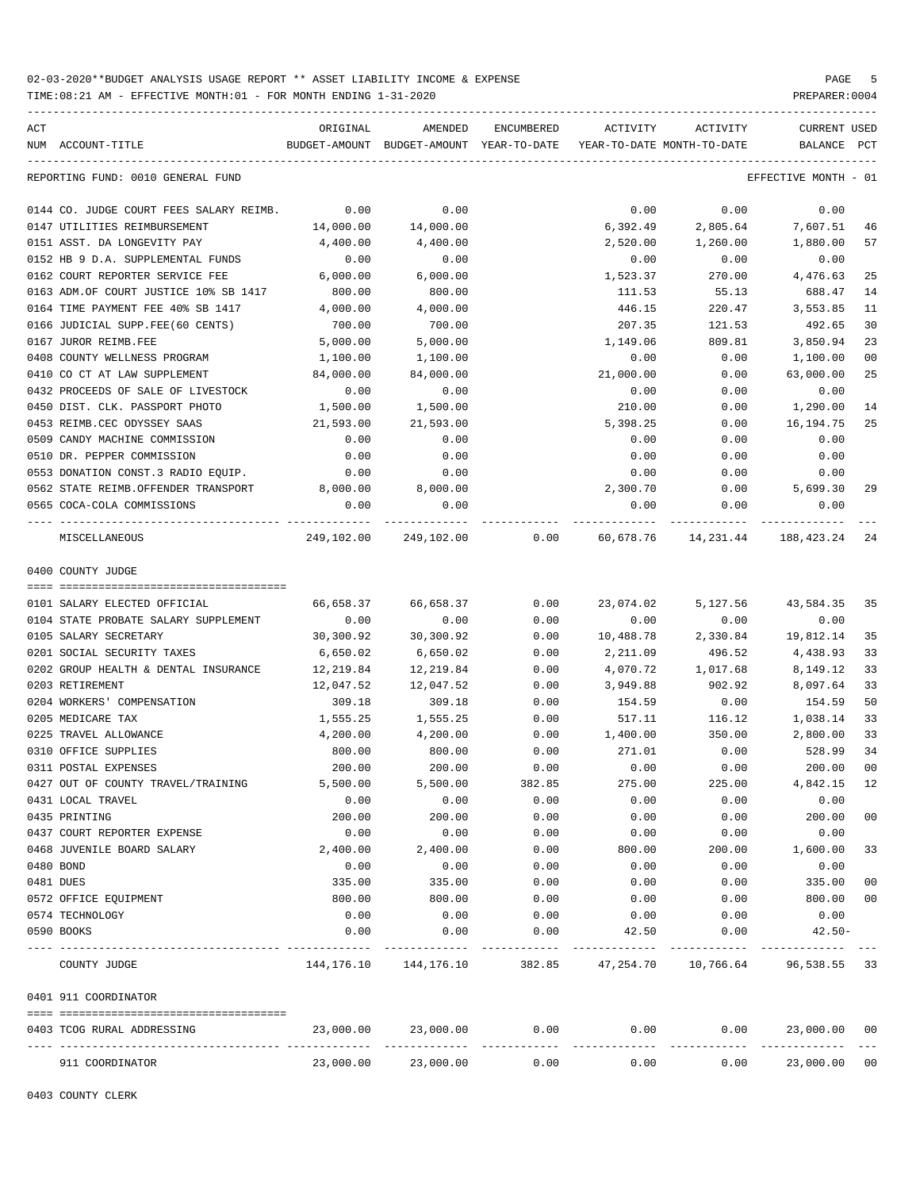TIME:08:21 AM - EFFECTIVE MONTH:01 - FOR MONTH ENDING 1-31-2020 PREPARER:0004

| ACT                                                   | ORIGINAL  | AMENDED                   |                      | ENCUMBERED ACTIVITY                                                 | ACTIVITY                   | CURRENT USED                 |     |
|-------------------------------------------------------|-----------|---------------------------|----------------------|---------------------------------------------------------------------|----------------------------|------------------------------|-----|
| NUM ACCOUNT-TITLE                                     |           |                           |                      | BUDGET-AMOUNT BUDGET-AMOUNT YEAR-TO-DATE YEAR-TO-DATE MONTH-TO-DATE |                            | BALANCE                      | PCT |
| REPORTING FUND: 0010 GENERAL FUND                     |           |                           |                      |                                                                     |                            | EFFECTIVE MONTH - 01         |     |
| 0144 CO. JUDGE COURT FEES SALARY REIMB. 0.00          |           | 0.00                      |                      | 0.00                                                                | 0.00                       | 0.00                         |     |
| 0147 UTILITIES REIMBURSEMENT                          | 14,000.00 | 14,000.00                 |                      |                                                                     | 6,392.49 2,805.64 7,607.51 |                              | 46  |
| 0151 ASST. DA LONGEVITY PAY                           | 4,400.00  | 4,400.00                  |                      | 2,520.00                                                            | 1,260.00                   | 1,880.00                     | 57  |
| 0152 HB 9 D.A. SUPPLEMENTAL FUNDS                     | 0.00      | 0.00                      |                      | 0.00                                                                | 0.00                       | 0.00                         |     |
| 0162 COURT REPORTER SERVICE FEE                       | 6,000.00  | 6,000.00                  |                      | 1,523.37                                                            | 270.00                     | 4,476.63                     | 25  |
| 0163 ADM.OF COURT JUSTICE 10% SB 1417                 | 800.00    | 800.00                    |                      | 111.53                                                              | 55.13                      | 688.47                       | 14  |
| 0164 TIME PAYMENT FEE 40% SB 1417                     | 4,000.00  | 4,000.00                  |                      | 446.15                                                              | 220.47                     | 3,553.85                     | 11  |
| 0166 JUDICIAL SUPP.FEE(60 CENTS)                      | 700.00    | 700.00                    |                      | 207.35                                                              | 121.53                     | 492.65                       | 30  |
| 0167 JUROR REIMB.FEE                                  | 5,000.00  | 5,000.00                  |                      | 1,149.06                                                            | 809.81                     | 3,850.94                     | 23  |
| 0408 COUNTY WELLNESS PROGRAM                          | 1,100.00  | 1,100.00                  |                      | 0.00                                                                | 0.00                       | 1,100.00                     | 00  |
| 0410 CO CT AT LAW SUPPLEMENT                          | 84,000.00 | 84,000.00                 |                      | 21,000.00                                                           | 0.00                       | 63,000.00                    | 25  |
| 0432 PROCEEDS OF SALE OF LIVESTOCK                    | 0.00      | 0.00                      |                      | 0.00                                                                | 0.00                       | 0.00                         |     |
| 0450 DIST. CLK. PASSPORT PHOTO                        | 1,500.00  | 1,500.00                  |                      | 210.00                                                              | 0.00                       | 1,290.00                     | 14  |
| 0453 REIMB.CEC ODYSSEY SAAS                           | 21,593.00 | 21,593.00                 |                      | 5,398.25                                                            | 0.00                       | 16, 194. 75                  | 25  |
| 0509 CANDY MACHINE COMMISSION                         | 0.00      | 0.00                      |                      | 0.00                                                                | 0.00                       | 0.00                         |     |
| 0510 DR. PEPPER COMMISSION                            | 0.00      | 0.00                      |                      | 0.00                                                                | 0.00                       | 0.00                         |     |
| 0553 DONATION CONST.3 RADIO EQUIP.                    | 0.00      | 0.00                      |                      | 0.00                                                                | 0.00                       | 0.00                         |     |
| 0562 STATE REIMB.OFFENDER TRANSPORT 8,000.00 8,000.00 |           |                           |                      |                                                                     | 2,300.70 0.00 5,699.30     |                              | 29  |
| 0565 COCA-COLA COMMISSIONS                            | 0.00      | 0.00                      |                      | 0.00                                                                | 0.00                       | 0.00                         |     |
| MISCELLANEOUS                                         |           |                           |                      | 249,102.00 249,102.00 0.00 60,678.76 14,231.44 188,423.24 24        |                            |                              |     |
| 0400 COUNTY JUDGE                                     |           |                           |                      |                                                                     |                            |                              |     |
|                                                       |           |                           |                      |                                                                     |                            |                              |     |
| 0101 SALARY ELECTED OFFICIAL                          | 66,658.37 | 66,658.37                 | 0.00                 | 23,074.02                                                           | 5,127.56                   | 43,584.35 35                 |     |
| 0104 STATE PROBATE SALARY SUPPLEMENT                  | 0.00      | 0.00                      | 0.00                 | 0.00                                                                | 0.00                       | 0.00                         |     |
| 0105 SALARY SECRETARY                                 | 30,300.92 | 30,300.92                 | 0.00                 | 10,488.78                                                           | 2,330.84                   | 19,812.14                    | 35  |
| 0201 SOCIAL SECURITY TAXES                            | 6,650.02  | 6,650.02                  | 0.00                 | 2,211.09                                                            | 496.52                     | 4,438.93                     | 33  |
| 0202 GROUP HEALTH & DENTAL INSURANCE 12, 219.84       |           | 12,219.84                 | 0.00                 |                                                                     | 4,070.72 1,017.68          | 8,149.12                     | 33  |
| 0203 RETIREMENT                                       | 12,047.52 | 12,047.52                 | 0.00                 | 3,949.88                                                            | 902.92                     | 8,097.64                     | 33  |
| 0204 WORKERS' COMPENSATION                            | 309.18    | 309.18                    | 0.00                 | 154.59                                                              | 0.00                       | 154.59                       | 50  |
| 0205 MEDICARE TAX                                     | 1,555.25  | 1,555.25                  | 0.00                 | 517.11                                                              | 116.12                     | 1,038.14                     | 33  |
| 0225 TRAVEL ALLOWANCE                                 |           | 4,200.00 4,200.00         | 0.00                 | 1,400.00                                                            | 350.00                     | 2,800.00                     | 33  |
| 0310 OFFICE SUPPLIES                                  | 800.00    | 800.00                    | 0.00                 | 271.01                                                              | 0.00                       | 528.99                       | 34  |
| 0311 POSTAL EXPENSES                                  | 200.00    | 200.00                    | 0.00                 | 0.00                                                                | 0.00                       | 200.00                       | 00  |
| 0427 OUT OF COUNTY TRAVEL/TRAINING                    | 5,500.00  | 5,500.00                  | 382.85               | 275.00                                                              | 225.00                     | 4,842.15 12                  |     |
| 0431 LOCAL TRAVEL                                     | 0.00      | 0.00                      | 0.00                 | 0.00                                                                | 0.00                       | 0.00                         |     |
| 0435 PRINTING                                         | 200.00    | 200.00                    | 0.00                 | 0.00                                                                | 0.00                       | 200.00                       | 00  |
| 0437 COURT REPORTER EXPENSE                           | 0.00      | 0.00                      | 0.00                 | 0.00                                                                | 0.00                       | 0.00                         |     |
| 0468 JUVENILE BOARD SALARY                            | 2,400.00  | 2,400.00                  | 0.00                 | 800.00                                                              | 200.00                     | 1,600.00                     | 33  |
| 0480 BOND                                             | 0.00      | 0.00                      | 0.00                 | 0.00                                                                | 0.00                       | 0.00                         |     |
| 0481 DUES                                             | 335.00    | 335.00                    | 0.00                 | 0.00                                                                | 0.00                       | 335.00                       | 00  |
| 0572 OFFICE EQUIPMENT                                 | 800.00    | 800.00                    | 0.00                 | 0.00                                                                | 0.00                       | 800.00 00                    |     |
| 0574 TECHNOLOGY                                       | 0.00      | 0.00                      | 0.00                 | 0.00                                                                | 0.00                       | 0.00                         |     |
| 0590 BOOKS                                            | 0.00      | 0.00                      | 0.00                 | 42.50                                                               | 0.00                       | $42.50 -$                    |     |
| COUNTY JUDGE                                          |           | 144, 176. 10 144, 176. 10 |                      | 382.85 47,254.70 10,766.64 96,538.55 33                             |                            |                              |     |
| 0401 911 COORDINATOR                                  |           |                           |                      |                                                                     |                            |                              |     |
|                                                       |           |                           |                      |                                                                     |                            |                              |     |
| 0403 TCOG RURAL ADDRESSING                            | 23,000.00 | 23,000.00                 | 0.00<br>------------ | 0.00                                                                | 0.00                       | 23,000.00 00<br>------------ |     |
| 911 COORDINATOR                                       | 23,000.00 | 23,000.00                 | 0.00                 | 0.00                                                                | 0.00                       | 23,000.00 00                 |     |

0403 COUNTY CLERK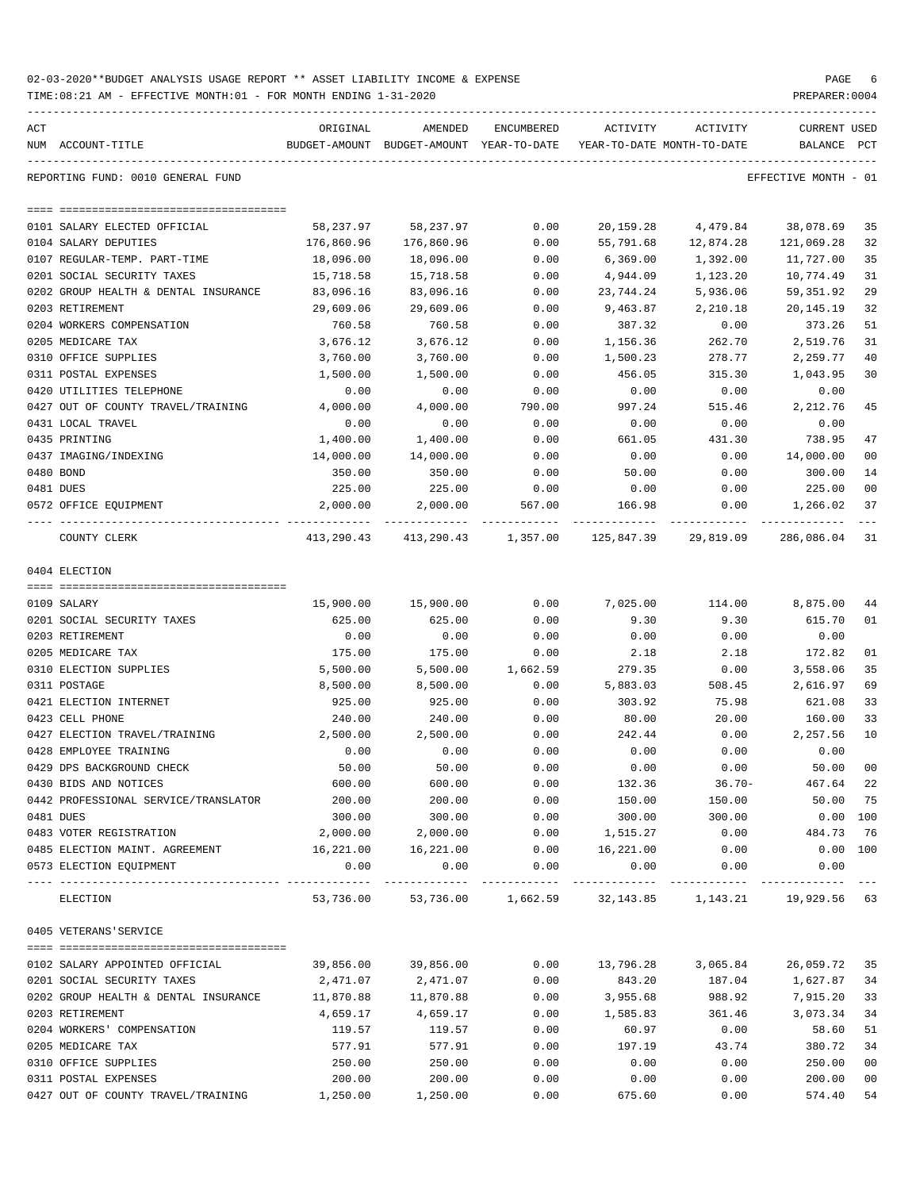| 02-03-2020**BUDGET ANALYSIS USAGE REPORT ** ASSET LIABILITY INCOME & EXPENSE | PAGE           |
|------------------------------------------------------------------------------|----------------|
| TIME:08:21 AM - EFFECTIVE MONTH:01 - FOR MONTH ENDING 1-31-2020              | PREPARER: 0004 |

| ACT                                              | ORIGINAL           | AMENDED                                                                          | ENCUMBERED                          | ACTIVITY          | ACTIVITY                                                 | <b>CURRENT USED</b>  |                |
|--------------------------------------------------|--------------------|----------------------------------------------------------------------------------|-------------------------------------|-------------------|----------------------------------------------------------|----------------------|----------------|
| NUM ACCOUNT-TITLE                                |                    | BUDGET-AMOUNT BUDGET-AMOUNT YEAR-TO-DATE YEAR-TO-DATE MONTH-TO-DATE              |                                     |                   |                                                          | BALANCE PCT          |                |
| REPORTING FUND: 0010 GENERAL FUND                |                    |                                                                                  |                                     |                   |                                                          | EFFECTIVE MONTH - 01 |                |
|                                                  |                    |                                                                                  |                                     |                   |                                                          |                      |                |
| 0101 SALARY ELECTED OFFICIAL                     | 58,237.97          | 58,237.97                                                                        | 0.00                                | 20,159.28         | 4,479.84                                                 | 38,078.69            | 35             |
| 0104 SALARY DEPUTIES                             | 176,860.96         | 176,860.96                                                                       | 0.00                                | 55,791.68         | 12,874.28                                                | 121,069.28           | 32             |
| 0107 REGULAR-TEMP. PART-TIME                     | 18,096.00          | 18,096.00                                                                        | 0.00                                | 6,369.00          | 1,392.00                                                 | 11,727.00            | 35             |
| 0201 SOCIAL SECURITY TAXES                       | 15,718.58          | 15,718.58                                                                        | 0.00                                | 4,944.09          | 1,123.20                                                 | 10,774.49            | 31             |
| 0202 GROUP HEALTH & DENTAL INSURANCE             | 83,096.16          | 83,096.16                                                                        | 0.00                                | 23,744.24         | 5,936.06                                                 | 59,351.92            | 29             |
| 0203 RETIREMENT                                  | 29,609.06          | 29,609.06                                                                        | 0.00                                | 9,463.87          | 2,210.18                                                 | 20,145.19            | 32             |
| 0204 WORKERS COMPENSATION                        | 760.58             | 760.58                                                                           | 0.00                                | 387.32            | 0.00                                                     | 373.26               | 51             |
| 0205 MEDICARE TAX                                | 3,676.12           | 3,676.12                                                                         | 0.00                                | 1,156.36          | 262.70                                                   | 2,519.76             | 31             |
| 0310 OFFICE SUPPLIES                             | 3,760.00           | 3,760.00                                                                         | 0.00                                | 1,500.23          | 278.77                                                   | 2,259.77             | 40             |
| 0311 POSTAL EXPENSES<br>0420 UTILITIES TELEPHONE | 1,500.00<br>0.00   | 1,500.00<br>0.00                                                                 | 0.00<br>0.00                        | 456.05<br>0.00    | 315.30<br>0.00                                           | 1,043.95<br>0.00     | 30             |
| 0427 OUT OF COUNTY TRAVEL/TRAINING               | 4,000.00           | 4,000.00                                                                         | 790.00                              | 997.24            | 515.46                                                   | 2, 212.76            | 45             |
| 0431 LOCAL TRAVEL                                | 0.00               | 0.00                                                                             | 0.00                                | 0.00              | 0.00                                                     | 0.00                 |                |
| 0435 PRINTING                                    | 1,400.00           | 1,400.00                                                                         | 0.00                                | 661.05            | 431.30                                                   | 738.95               | 47             |
| 0437 IMAGING/INDEXING                            | 14,000.00          | 14,000.00                                                                        | 0.00                                | 0.00              | 0.00                                                     | 14,000.00            | 0 <sub>0</sub> |
| 0480 BOND                                        | 350.00             | 350.00                                                                           | 0.00                                | 50.00             | 0.00                                                     | 300.00               | 14             |
| 0481 DUES                                        | 225.00             | 225.00                                                                           | 0.00                                | 0.00              | 0.00                                                     | 225.00               | 0 <sub>0</sub> |
| 0572 OFFICE EQUIPMENT                            | 2,000.00           |                                                                                  | 2,000.00 567.00 166.98              |                   | 0.00                                                     | 1,266.02             | 37             |
| COUNTY CLERK                                     |                    | $413, 290.43$ $413, 290.43$ $1, 357.00$ $125, 847.39$ $29, 819.09$ $286, 086.04$ |                                     |                   | -----------                                              |                      | 31             |
| 0404 ELECTION                                    |                    |                                                                                  |                                     |                   |                                                          |                      |                |
|                                                  |                    |                                                                                  |                                     |                   |                                                          |                      |                |
| 0109 SALARY                                      | 15,900.00          | 15,900.00                                                                        | 0.00                                | 7,025.00          | 114.00 8,875.00                                          |                      | 44             |
| 0201 SOCIAL SECURITY TAXES                       | 625.00             | 625.00                                                                           | 0.00                                | 9.30              | 9.30                                                     | 615.70               | 01             |
| 0203 RETIREMENT                                  | 0.00               | 0.00                                                                             | 0.00                                | 0.00              | 0.00                                                     | 0.00                 |                |
| 0205 MEDICARE TAX                                | 175.00             | 175.00                                                                           | 0.00                                | 2.18              | 2.18                                                     | 172.82               | 01             |
| 0310 ELECTION SUPPLIES<br>0311 POSTAGE           | 5,500.00           | 5,500.00                                                                         | 1,662.59                            | 279.35            | 0.00                                                     | 3,558.06             | 35             |
| 0421 ELECTION INTERNET                           | 8,500.00<br>925.00 | 8,500.00<br>925.00                                                               | 0.00<br>0.00                        | 5,883.03          | 508.45                                                   | 2,616.97<br>621.08   | 69<br>33       |
| 0423 CELL PHONE                                  | 240.00             | 240.00                                                                           | 0.00                                | 303.92<br>80.00   | 75.98<br>20.00                                           | 160.00               | 33             |
| 0427 ELECTION TRAVEL/TRAINING                    | 2,500.00           | 2,500.00                                                                         | 0.00                                | 242.44            | 0.00                                                     | 2,257.56             | 10             |
| 0428 EMPLOYEE TRAINING                           | 0.00               | 0.00                                                                             | 0.00                                | 0.00              | 0.00                                                     | 0.00                 |                |
| 0429 DPS BACKGROUND CHECK                        | 50.00              | 50.00                                                                            | 0.00                                | 0.00              | 0.00                                                     | 50.00                | 0 <sub>0</sub> |
| 0430 BIDS AND NOTICES                            | 600.00             | 600.00                                                                           | 0.00                                | 132.36            | $36.70 -$                                                | 467.64               | 22             |
| 0442 PROFESSIONAL SERVICE/TRANSLATOR             | 200.00             | 200.00                                                                           | 0.00                                | 150.00            | 150.00                                                   | 50.00                | 75             |
| 0481 DUES                                        | 300.00             | 300.00                                                                           | 0.00                                | 300.00            | 300.00                                                   | $0.00$ 100           |                |
| 0483 VOTER REGISTRATION                          | 2,000.00           | 2,000.00                                                                         | 0.00                                | 1,515.27          | 0.00                                                     | 484.73               | 76             |
| 0485 ELECTION MAINT. AGREEMENT                   | 16,221.00          | 16,221.00                                                                        | 0.00                                | 16,221.00         | 0.00                                                     | 0.00 100             |                |
| 0573 ELECTION EQUIPMENT                          | 0.00               | 0.00                                                                             | 0.00                                | 0.00              | 0.00                                                     | 0.00                 |                |
| ELECTION                                         | 53,736.00          |                                                                                  | -------------<br>53,736.00 1,662.59 | -----------       | ------------<br>32, 143.85   1, 143.21   19, 929.56   63 |                      |                |
| 0405 VETERANS'SERVICE                            |                    |                                                                                  |                                     |                   |                                                          |                      |                |
|                                                  |                    |                                                                                  |                                     |                   |                                                          |                      |                |
| 0102 SALARY APPOINTED OFFICIAL                   | 39,856.00          | 39,856.00                                                                        | 0.00                                | 13,796.28         | 3,065.84                                                 | 26,059.72            | 35             |
| 0201 SOCIAL SECURITY TAXES                       | 2,471.07           | 2,471.07                                                                         | 0.00                                | 843.20            | 187.04                                                   | 1,627.87             | 34             |
| 0202 GROUP HEALTH & DENTAL INSURANCE             | 11,870.88          | 11,870.88                                                                        | 0.00                                | 3,955.68          | 988.92                                                   | 7,915.20             | 33<br>34       |
| 0203 RETIREMENT<br>0204 WORKERS' COMPENSATION    | 4,659.17<br>119.57 | 4,659.17<br>119.57                                                               | 0.00<br>0.00                        | 1,585.83<br>60.97 | 361.46<br>0.00                                           | 3,073.34<br>58.60    | 51             |
| 0205 MEDICARE TAX                                | 577.91             | 577.91                                                                           | 0.00                                | 197.19            | 43.74                                                    | 380.72               | 34             |
| 0310 OFFICE SUPPLIES                             | 250.00             | 250.00                                                                           | 0.00                                | 0.00              | 0.00                                                     | 250.00               | 0 <sub>0</sub> |
| 0311 POSTAL EXPENSES                             | 200.00             | 200.00                                                                           | 0.00                                | 0.00              | 0.00                                                     | 200.00               | 0 <sub>0</sub> |
|                                                  |                    |                                                                                  |                                     |                   |                                                          |                      |                |

0427 OUT OF COUNTY TRAVEL/TRAINING  $1,250.00$   $1,250.00$   $0.00$   $675.60$  0.00  $574.40$  54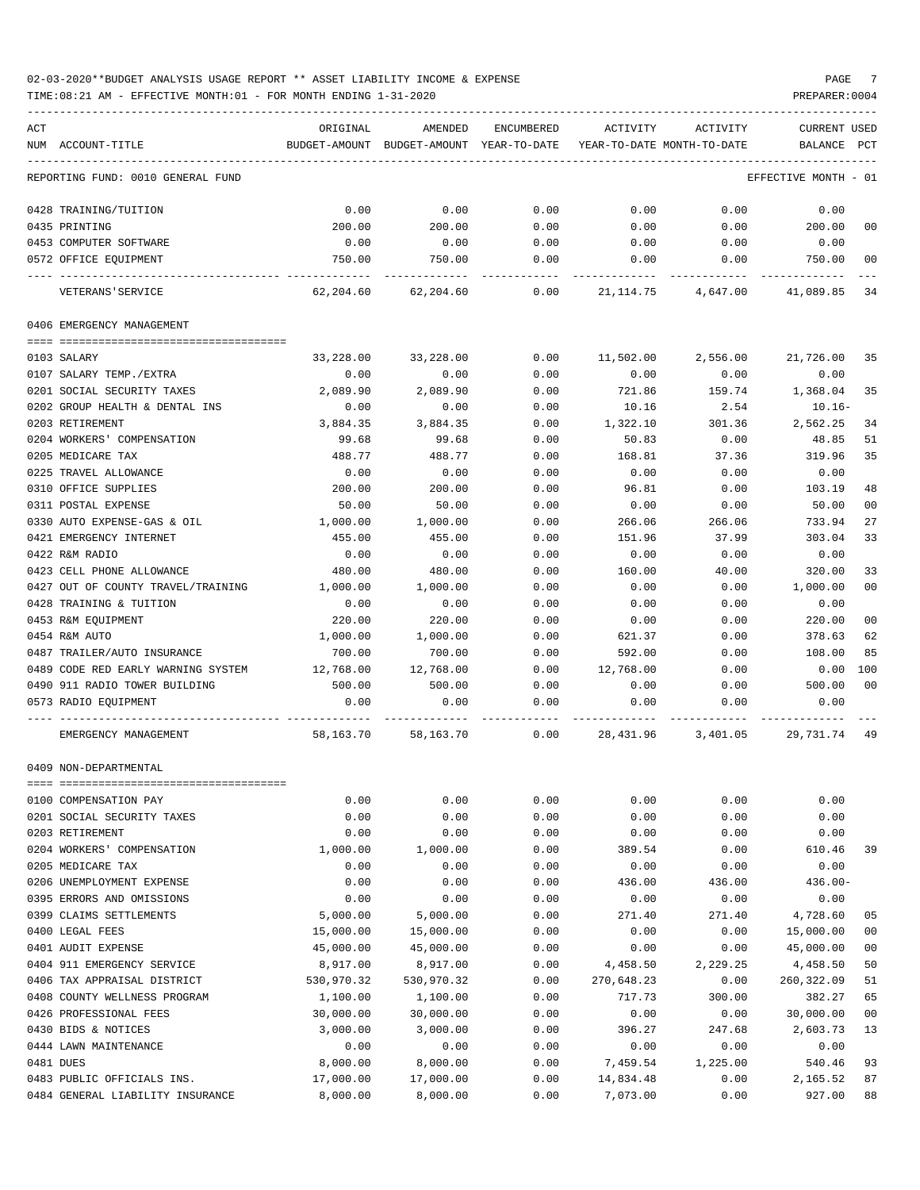TIME:08:21 AM - EFFECTIVE MONTH:01 - FOR MONTH ENDING 1-31-2020 PREPARER:0004

| ACT |                                                 | ORIGINAL   | AMENDED                                  | ENCUMBERED | ACTIVITY                   | ACTIVITY           | <b>CURRENT USED</b>  |                |
|-----|-------------------------------------------------|------------|------------------------------------------|------------|----------------------------|--------------------|----------------------|----------------|
|     | NUM ACCOUNT-TITLE                               |            | BUDGET-AMOUNT BUDGET-AMOUNT YEAR-TO-DATE |            | YEAR-TO-DATE MONTH-TO-DATE |                    | BALANCE PCT          |                |
|     | REPORTING FUND: 0010 GENERAL FUND               |            |                                          |            |                            |                    | EFFECTIVE MONTH - 01 |                |
|     | 0428 TRAINING/TUITION                           | 0.00       | 0.00                                     | 0.00       | 0.00                       | 0.00               | 0.00                 |                |
|     | 0435 PRINTING                                   | 200.00     | 200.00                                   | 0.00       | 0.00                       | 0.00               | 200.00               | 00             |
|     | 0453 COMPUTER SOFTWARE                          | 0.00       | 0.00                                     | 0.00       | 0.00                       | 0.00               | 0.00                 |                |
|     | 0572 OFFICE EQUIPMENT                           | 750.00     | 750.00                                   | 0.00       | 0.00                       | 0.00               | 750.00               | 0 <sub>0</sub> |
|     | VETERANS ' SERVICE                              | 62,204.60  | 62,204.60                                | 0.00       | 21,114.75                  | 4,647.00           | 41,089.85            | 34             |
|     | 0406 EMERGENCY MANAGEMENT                       |            |                                          |            |                            |                    |                      |                |
|     |                                                 |            |                                          |            |                            |                    |                      |                |
|     | 0103 SALARY                                     | 33,228.00  | 33,228.00                                | 0.00       | 11,502.00                  | 2,556.00           | 21,726.00            | 35             |
|     | 0107 SALARY TEMP./EXTRA                         | 0.00       | 0.00                                     | 0.00       | 0.00                       | 0.00               | 0.00                 |                |
|     | 0201 SOCIAL SECURITY TAXES                      | 2,089.90   | 2,089.90                                 | 0.00       | 721.86                     | 159.74             | 1,368.04             | 35             |
|     | 0202 GROUP HEALTH & DENTAL INS                  | 0.00       | 0.00                                     | 0.00       | 10.16                      | 2.54               | $10.16 -$            |                |
|     | 0203 RETIREMENT                                 | 3,884.35   | 3,884.35                                 | 0.00       | 1,322.10                   | 301.36             | 2,562.25             | 34             |
|     | 0204 WORKERS' COMPENSATION                      | 99.68      | 99.68                                    | 0.00       | 50.83                      | 0.00               | 48.85                | 51             |
|     | 0205 MEDICARE TAX                               | 488.77     | 488.77                                   | 0.00       | 168.81                     | 37.36              | 319.96               | 35             |
|     | 0225 TRAVEL ALLOWANCE                           | 0.00       | 0.00                                     | 0.00       | 0.00                       | 0.00               | 0.00                 |                |
|     | 0310 OFFICE SUPPLIES                            | 200.00     | 200.00                                   | 0.00       | 96.81                      | 0.00               | 103.19               | 48             |
|     | 0311 POSTAL EXPENSE                             | 50.00      | 50.00                                    | 0.00       | 0.00                       | 0.00               | 50.00                | 0 <sub>0</sub> |
|     | 0330 AUTO EXPENSE-GAS & OIL                     | 1,000.00   | 1,000.00                                 | 0.00       | 266.06                     | 266.06             | 733.94               | 27             |
|     | 0421 EMERGENCY INTERNET                         | 455.00     | 455.00                                   | 0.00       | 151.96                     | 37.99              | 303.04               | 33             |
|     | 0422 R&M RADIO                                  | 0.00       | 0.00                                     | 0.00       | 0.00                       | 0.00               | 0.00                 |                |
|     | 0423 CELL PHONE ALLOWANCE                       | 480.00     | 480.00                                   | 0.00       | 160.00                     | 40.00              | 320.00               | 33             |
|     | 0427 OUT OF COUNTY TRAVEL/TRAINING              | 1,000.00   | 1,000.00                                 | 0.00       | 0.00                       | 0.00               | 1,000.00             | 0 <sub>0</sub> |
|     | 0428 TRAINING & TUITION                         | 0.00       | 0.00                                     | 0.00       | 0.00                       | 0.00               | 0.00                 |                |
|     | 0453 R&M EQUIPMENT                              | 220.00     | 220.00                                   | 0.00       | 0.00                       | 0.00               | 220.00               | 0 <sub>0</sub> |
|     | 0454 R&M AUTO                                   | 1,000.00   | 1,000.00                                 | 0.00       | 621.37                     | 0.00               | 378.63               | 62             |
|     | 0487 TRAILER/AUTO INSURANCE                     | 700.00     | 700.00                                   | 0.00       | 592.00                     | 0.00               | 108.00               | 85             |
|     | 0489 CODE RED EARLY WARNING SYSTEM              | 12,768.00  | 12,768.00                                | 0.00       | 12,768.00                  | 0.00               | 0.00                 | 100            |
|     | 0490 911 RADIO TOWER BUILDING                   | 500.00     | 500.00                                   | 0.00       | 0.00                       | 0.00               | 500.00               | 0 <sub>0</sub> |
|     | 0573 RADIO EQUIPMENT                            | 0.00       | 0.00                                     | 0.00       | 0.00                       | 0.00               | 0.00                 |                |
|     | EMERGENCY MANAGEMENT                            | 58,163.70  | 58,163.70                                | 0.00       |                            | 28,431.96 3,401.05 | 29,731.74            | 49             |
|     | 0409 NON-DEPARTMENTAL                           |            |                                          |            |                            |                    |                      |                |
|     | 0100 COMPENSATION PAY                           | 0.00       | 0.00                                     | 0.00       | 0.00                       | 0.00               | 0.00                 |                |
|     | 0201 SOCIAL SECURITY TAXES                      | 0.00       | 0.00                                     | 0.00       | 0.00                       | 0.00               | 0.00                 |                |
|     | 0203 RETIREMENT                                 | 0.00       | 0.00                                     | 0.00       | 0.00                       | 0.00               | 0.00                 |                |
|     |                                                 |            | 1,000.00                                 |            |                            |                    | 610.46               |                |
|     | 0204 WORKERS' COMPENSATION<br>0205 MEDICARE TAX | 1,000.00   |                                          | 0.00       | 389.54                     | 0.00               |                      | 39             |
|     |                                                 | 0.00       | 0.00                                     | 0.00       | 0.00                       | 0.00               | 0.00                 |                |
|     | 0206 UNEMPLOYMENT EXPENSE                       | 0.00       | 0.00                                     | 0.00       | 436.00                     | 436.00             | $436.00 -$           |                |
|     | 0395 ERRORS AND OMISSIONS                       | 0.00       | 0.00                                     | 0.00       | 0.00                       | 0.00               | 0.00                 |                |
|     | 0399 CLAIMS SETTLEMENTS                         | 5,000.00   | 5,000.00                                 | 0.00       | 271.40                     | 271.40             | 4,728.60             | 05             |
|     | 0400 LEGAL FEES                                 | 15,000.00  | 15,000.00                                | 0.00       | 0.00                       | 0.00               | 15,000.00            | 0 <sub>0</sub> |
|     | 0401 AUDIT EXPENSE                              | 45,000.00  | 45,000.00                                | 0.00       | 0.00                       | 0.00               | 45,000.00            | 0 <sub>0</sub> |
|     | 0404 911 EMERGENCY SERVICE                      | 8,917.00   | 8,917.00                                 | 0.00       | 4,458.50                   | 2,229.25           | 4,458.50             | 50             |
|     | 0406 TAX APPRAISAL DISTRICT                     | 530,970.32 | 530,970.32                               | 0.00       | 270,648.23                 | 0.00               | 260,322.09           | 51             |
|     | 0408 COUNTY WELLNESS PROGRAM                    | 1,100.00   | 1,100.00                                 | 0.00       | 717.73                     | 300.00             | 382.27               | 65             |
|     | 0426 PROFESSIONAL FEES                          | 30,000.00  | 30,000.00                                | 0.00       | 0.00                       | 0.00               | 30,000.00            | 0 <sub>0</sub> |
|     | 0430 BIDS & NOTICES                             | 3,000.00   | 3,000.00                                 | 0.00       | 396.27                     | 247.68             | 2,603.73             | 13             |
|     | 0444 LAWN MAINTENANCE                           | 0.00       | 0.00                                     | 0.00       | 0.00                       | 0.00               | 0.00                 |                |
|     | 0481 DUES                                       | 8,000.00   | 8,000.00                                 | 0.00       | 7,459.54                   | 1,225.00           | 540.46               | 93             |
|     | 0483 PUBLIC OFFICIALS INS.                      | 17,000.00  | 17,000.00                                | 0.00       | 14,834.48                  | 0.00               | 2,165.52             | 87             |

0484 GENERAL LIABILITY INSURANCE 8,000.00 8,000.00 0.00 7,073.00 0.00 927.00 88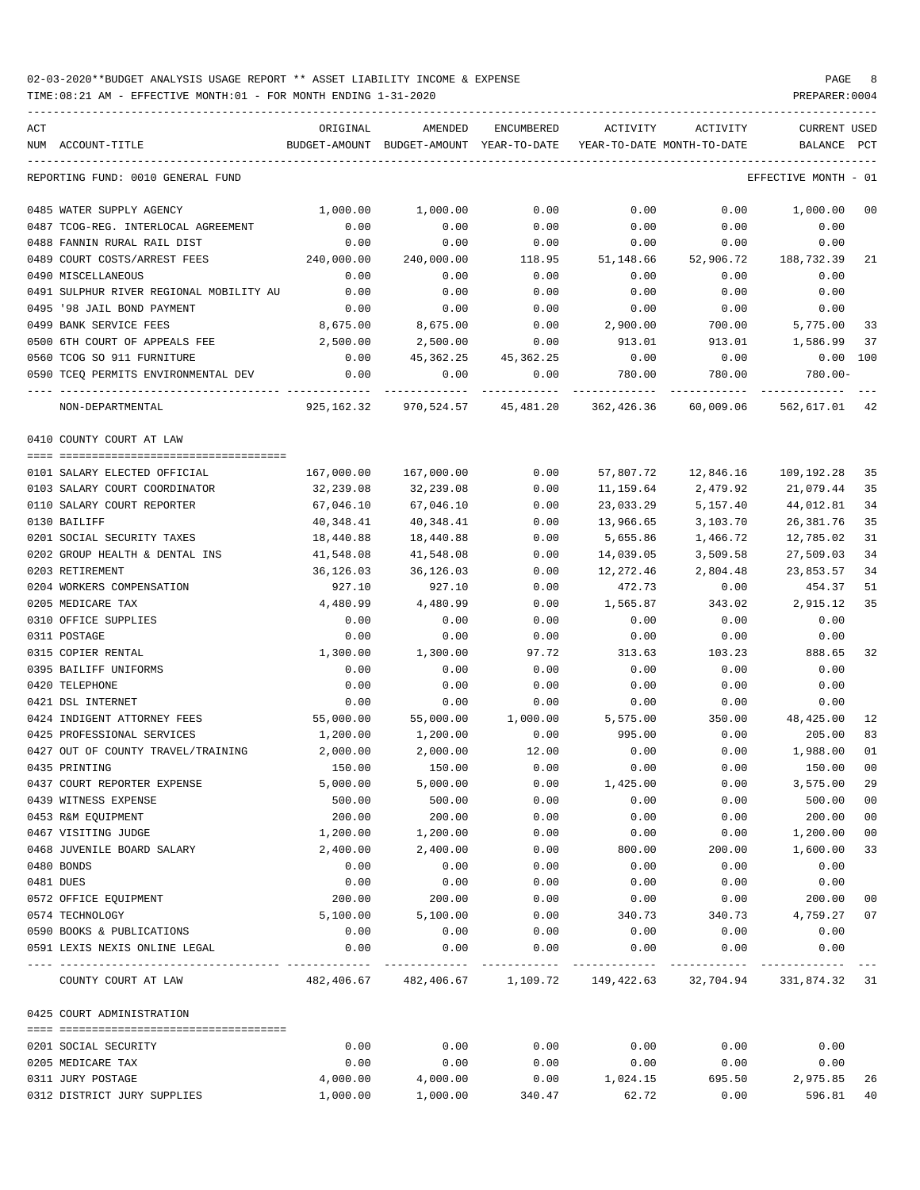| ACT<br>NUM ACCOUNT-TITLE                            | ORIGINAL      | AMENDED<br>BUDGET-AMOUNT BUDGET-AMOUNT YEAR-TO-DATE | ENCUMBERED          | ACTIVITY  | ACTIVITY<br>YEAR-TO-DATE MONTH-TO-DATE                            | CURRENT USED<br>BALANCE       | PCT            |
|-----------------------------------------------------|---------------|-----------------------------------------------------|---------------------|-----------|-------------------------------------------------------------------|-------------------------------|----------------|
| REPORTING FUND: 0010 GENERAL FUND                   |               |                                                     |                     |           |                                                                   | EFFECTIVE MONTH - 01          |                |
| 0485 WATER SUPPLY AGENCY                            | 1,000.00      | 1,000.00                                            | 0.00                | 0.00      | 0.00                                                              | 1,000.00                      | 0 <sub>0</sub> |
| 0487 TCOG-REG. INTERLOCAL AGREEMENT                 | 0.00          | 0.00                                                | 0.00                | 0.00      | 0.00                                                              | 0.00                          |                |
| 0488 FANNIN RURAL RAIL DIST                         | 0.00          | 0.00                                                | 0.00                | 0.00      | 0.00                                                              | 0.00                          |                |
| 0489 COURT COSTS/ARREST FEES                        | 240,000.00    | 240,000.00                                          | 118.95              | 51,148.66 | 52,906.72                                                         | 188,732.39                    | 21             |
| 0490 MISCELLANEOUS                                  | 0.00          | 0.00                                                | 0.00                | 0.00      | 0.00                                                              | 0.00                          |                |
| 0491 SULPHUR RIVER REGIONAL MOBILITY AU             | 0.00          | 0.00                                                | 0.00                | 0.00      | 0.00                                                              | 0.00                          |                |
| 0495 '98 JAIL BOND PAYMENT                          | 0.00          | 0.00                                                | 0.00                | 0.00      | 0.00                                                              | 0.00                          |                |
| 0499 BANK SERVICE FEES                              | 8,675.00      | 8,675.00                                            | 0.00                | 2,900.00  | 700.00                                                            | 5,775.00                      | 33             |
| 0500 6TH COURT OF APPEALS FEE                       | 2,500.00      | 2,500.00                                            | 0.00                | 913.01    | 913.01                                                            | 1,586.99                      | 37             |
| 0560 TCOG SO 911 FURNITURE                          | 0.00          |                                                     | 45,362.25 45,362.25 | 0.00      | 0.00                                                              | $0.00$ $100$                  |                |
| 0590 TCEQ PERMITS ENVIRONMENTAL DEV                 | 0.00          | 0.00                                                | 0.00                | 780.00    | 780.00                                                            | $780.00 -$                    |                |
| ---- --------------------------<br>NON-DEPARTMENTAL | ------------- | 925, 162.32 970, 524.57 45, 481.20                  |                     |           | 362,426.36 60,009.06                                              | ------------<br>562,617.01 42 |                |
| 0410 COUNTY COURT AT LAW                            |               |                                                     |                     |           |                                                                   |                               |                |
| 0101 SALARY ELECTED OFFICIAL                        | 167,000.00    | 167,000.00                                          | 0.00                |           | 57,807.72    12,846.16    109,192.28                              |                               | 35             |
| 0103 SALARY COURT COORDINATOR                       | 32,239.08     | 32,239.08                                           | 0.00                | 11,159.64 | 2,479.92                                                          | 21,079.44                     | 35             |
| 0110 SALARY COURT REPORTER                          | 67,046.10     | 67,046.10                                           | 0.00                | 23,033.29 | 5,157.40                                                          | 44,012.81                     | 34             |
| 0130 BAILIFF                                        | 40,348.41     | 40,348.41                                           | 0.00                | 13,966.65 | 3,103.70                                                          | 26, 381.76                    | 35             |
| 0201 SOCIAL SECURITY TAXES                          | 18,440.88     | 18,440.88                                           | 0.00                | 5,655.86  | 1,466.72                                                          | 12,785.02                     | 31             |
| 0202 GROUP HEALTH & DENTAL INS                      | 41,548.08     | 41,548.08                                           | 0.00                | 14,039.05 | 3,509.58                                                          | 27,509.03                     | 34             |
| 0203 RETIREMENT                                     | 36,126.03     | 36,126.03                                           | 0.00                | 12,272.46 | 2,804.48                                                          | 23,853.57                     | 34             |
| 0204 WORKERS COMPENSATION                           | 927.10        | 927.10                                              | 0.00                | 472.73    | 0.00                                                              | 454.37                        | 51             |
| 0205 MEDICARE TAX                                   | 4,480.99      | 4,480.99                                            | 0.00                | 1,565.87  | 343.02                                                            | 2,915.12                      | 35             |
| 0310 OFFICE SUPPLIES                                | 0.00          | 0.00                                                | 0.00                | 0.00      | 0.00                                                              | 0.00                          |                |
| 0311 POSTAGE                                        | 0.00          | 0.00                                                | 0.00                | 0.00      | 0.00                                                              | 0.00                          |                |
| 0315 COPIER RENTAL                                  | 1,300.00      | 1,300.00                                            | 97.72               | 313.63    | 103.23                                                            | 888.65                        | 32             |
| 0395 BAILIFF UNIFORMS                               | 0.00          | 0.00                                                | 0.00                | 0.00      | 0.00                                                              | 0.00                          |                |
| 0420 TELEPHONE                                      | 0.00          |                                                     |                     |           |                                                                   |                               |                |
| 0421 DSL INTERNET                                   |               | 0.00                                                | 0.00                | 0.00      | 0.00                                                              | 0.00                          |                |
|                                                     | 0.00          | 0.00                                                | 0.00                | 0.00      | 0.00                                                              | 0.00                          |                |
| 0424 INDIGENT ATTORNEY FEES                         | 55,000.00     | 55,000.00                                           | 1,000.00            | 5,575.00  | 350.00                                                            | 48,425.00                     | 12             |
| 0425 PROFESSIONAL SERVICES                          | 1,200.00      | 1,200.00                                            | 0.00                | 995.00    | 0.00                                                              | 205.00                        | 83             |
| 0427 OUT OF COUNTY TRAVEL/TRAINING                  | 2,000.00      | 2,000.00                                            | 12.00               | 0.00      | 0.00                                                              | 1,988.00                      | 01             |
| 0435 PRINTING                                       | 150.00        | 150.00                                              | 0.00                | 0.00      | 0.00                                                              | 150.00                        | 0 <sub>0</sub> |
| 0437 COURT REPORTER EXPENSE                         | 5,000.00      | 5,000.00                                            | 0.00                | 1,425.00  | 0.00                                                              | 3,575.00                      | 29             |
| 0439 WITNESS EXPENSE                                | 500.00        | 500.00                                              | 0.00                | 0.00      | 0.00                                                              | 500.00                        | 0 <sub>0</sub> |
| 0453 R&M EOUIPMENT                                  | 200.00        | 200.00                                              | 0.00                | 0.00      | 0.00                                                              | 200.00                        | 0 <sub>0</sub> |
| 0467 VISITING JUDGE                                 | 1,200.00      | 1,200.00                                            | 0.00                | 0.00      | 0.00                                                              | 1,200.00                      | 0 <sub>0</sub> |
| 0468 JUVENILE BOARD SALARY                          | 2,400.00      | 2,400.00                                            | 0.00                | 800.00    | 200.00                                                            | 1,600.00                      | 33             |
| 0480 BONDS                                          | 0.00          | 0.00                                                | 0.00                | 0.00      | 0.00                                                              | 0.00                          |                |
| 0481 DUES                                           | 0.00          | 0.00                                                | 0.00                | 0.00      | 0.00                                                              | 0.00                          |                |
| 0572 OFFICE EQUIPMENT                               | 200.00        | 200.00                                              | 0.00                | 0.00      | 0.00                                                              | 200.00                        | 0 <sub>0</sub> |
| 0574 TECHNOLOGY                                     | 5,100.00      | 5,100.00                                            | 0.00                | 340.73    | 340.73                                                            | 4,759.27                      | 07             |
| 0590 BOOKS & PUBLICATIONS                           | 0.00          | 0.00                                                | 0.00                | 0.00      | 0.00                                                              | 0.00                          |                |
| 0591 LEXIS NEXIS ONLINE LEGAL                       | 0.00          | 0.00                                                | 0.00                | 0.00      | 0.00                                                              | 0.00                          |                |
| COUNTY COURT AT LAW                                 |               |                                                     |                     |           | 482,406.67 482,406.67 1,109.72 149,422.63 32,704.94 331,874.32 31 |                               |                |
| 0425 COURT ADMINISTRATION                           |               |                                                     |                     |           |                                                                   |                               |                |
| 0201 SOCIAL SECURITY                                | 0.00          | 0.00                                                | 0.00                | 0.00      | 0.00                                                              | 0.00                          |                |
| 0205 MEDICARE TAX                                   | 0.00          | 0.00                                                | 0.00                | 0.00      | 0.00                                                              | 0.00                          |                |
|                                                     |               |                                                     |                     |           |                                                                   |                               |                |
| 0311 JURY POSTAGE                                   | 4,000.00      | 4,000.00                                            | 0.00                | 1,024.15  | 695.50                                                            | 2,975.85                      | 26             |
| 0312 DISTRICT JURY SUPPLIES                         | 1,000.00      | 1,000.00                                            | 340.47              | 62.72     | 0.00                                                              | 596.81                        | 40             |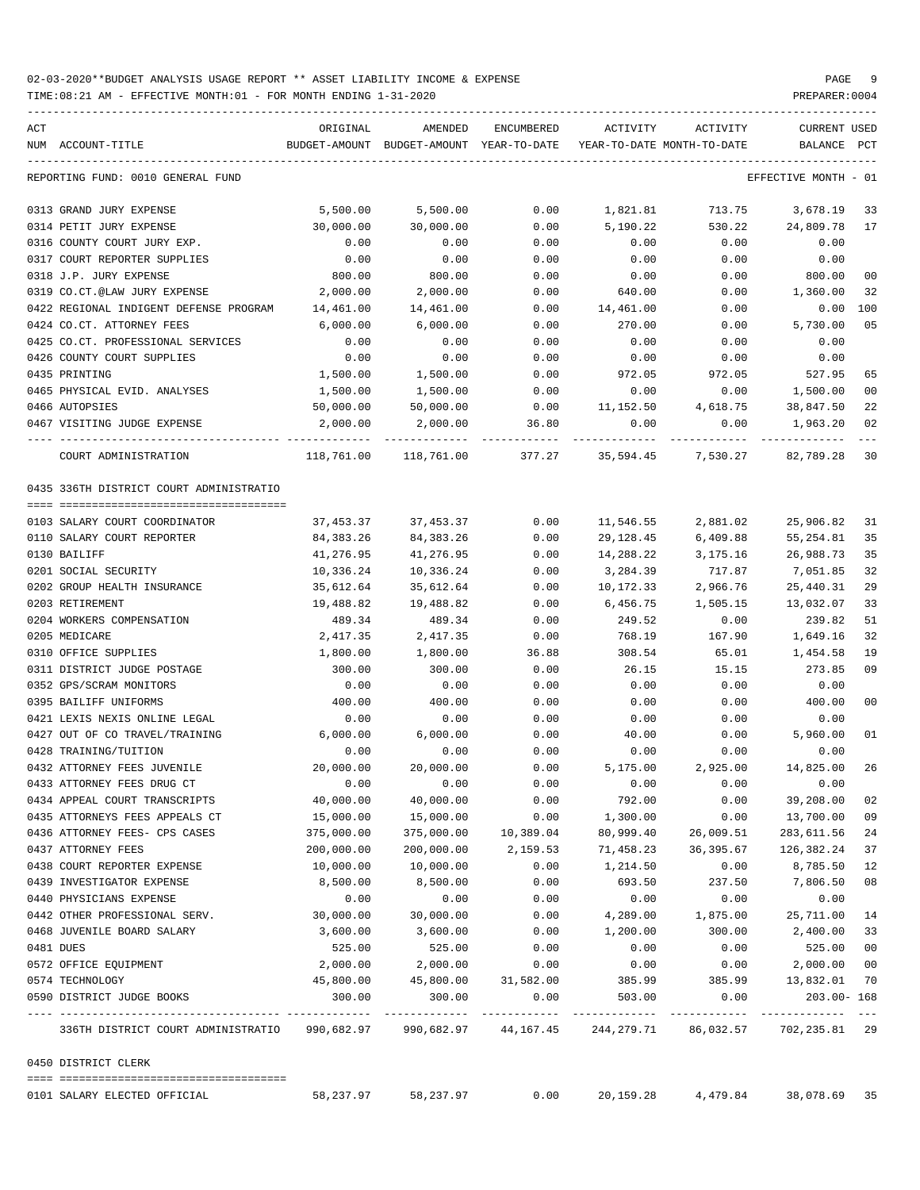| ACT | NUM ACCOUNT-TITLE                       | ORIGINAL                  | AMENDED<br>BUDGET-AMOUNT BUDGET-AMOUNT YEAR-TO-DATE | ENCUMBERED           | ACTIVITY<br>YEAR-TO-DATE MONTH-TO-DATE  | ACTIVITY  | CURRENT USED<br>BALANCE | $_{\rm PCT}$ |
|-----|-----------------------------------------|---------------------------|-----------------------------------------------------|----------------------|-----------------------------------------|-----------|-------------------------|--------------|
|     | REPORTING FUND: 0010 GENERAL FUND       |                           |                                                     |                      |                                         |           | EFFECTIVE MONTH - 01    |              |
|     | 0313 GRAND JURY EXPENSE                 | 5,500.00                  | 5,500.00                                            | 0.00                 | 1,821.81                                |           | 713.75 3,678.19         | 33           |
|     | 0314 PETIT JURY EXPENSE                 | 30,000.00                 | 30,000.00                                           | 0.00                 | 5,190.22                                | 530.22    | 24,809.78               | 17           |
|     | 0316 COUNTY COURT JURY EXP.             | 0.00                      | 0.00                                                | 0.00                 | 0.00                                    | 0.00      | 0.00                    |              |
|     | 0317 COURT REPORTER SUPPLIES            | 0.00                      | 0.00                                                | 0.00                 | 0.00                                    | 0.00      | 0.00                    |              |
|     | 0318 J.P. JURY EXPENSE                  | 800.00                    | 800.00                                              | 0.00                 | 0.00                                    | 0.00      | 800.00                  | 00           |
|     | 0319 CO.CT.@LAW JURY EXPENSE            | 2,000.00                  | 2,000.00                                            | 0.00                 | 640.00                                  | 0.00      | 1,360.00                | 32           |
|     | 0422 REGIONAL INDIGENT DEFENSE PROGRAM  | 14,461.00                 | 14,461.00                                           | 0.00                 | 14,461.00                               | 0.00      | 0.00                    | 100          |
|     | 0424 CO.CT. ATTORNEY FEES               | 6,000.00                  | 6,000.00                                            | 0.00                 | 270.00                                  | 0.00      | 5,730.00                | 05           |
|     | 0425 CO.CT. PROFESSIONAL SERVICES       | 0.00                      | 0.00                                                | 0.00                 | 0.00                                    | 0.00      | 0.00                    |              |
|     | 0426 COUNTY COURT SUPPLIES              | 0.00                      | 0.00                                                | 0.00                 | 0.00                                    | 0.00      | 0.00                    |              |
|     | 0435 PRINTING                           | 1,500.00                  | 1,500.00                                            | 0.00                 | 972.05                                  | 972.05    | 527.95                  | 65           |
|     | 0465 PHYSICAL EVID. ANALYSES            | 1,500.00                  | 1,500.00                                            | 0.00                 | 0.00                                    | 0.00      | 1,500.00                | 00           |
|     | 0466 AUTOPSIES                          | 50,000.00                 | 50,000.00                                           | 0.00                 | 11,152.50                               | 4,618.75  | 38,847.50               | 22           |
|     | 0467 VISITING JUDGE EXPENSE             | 2,000.00                  | 2,000.00                                            | 36.80                | 0.00                                    | 0.00      | 1,963.20                | 02           |
|     |                                         |                           |                                                     |                      |                                         |           |                         |              |
|     | COURT ADMINISTRATION                    | 118,761.00                | 118,761.00 377.27                                   |                      | 35,594.45                               | 7,530.27  | 82,789.28               | 30           |
|     | 0435 336TH DISTRICT COURT ADMINISTRATIO |                           |                                                     |                      |                                         |           |                         |              |
|     | 0103 SALARY COURT COORDINATOR           | 37,453.37                 | 37,453.37                                           | 0.00                 | 11,546.55                               | 2,881.02  | 25,906.82               | 31           |
|     |                                         |                           |                                                     |                      |                                         |           |                         |              |
|     | 0110 SALARY COURT REPORTER              | 84,383.26                 | 84,383.26                                           | 0.00                 | 29,128.45                               | 6,409.88  | 55, 254.81              | 35           |
|     | 0130 BAILIFF                            | 41,276.95                 | 41,276.95                                           | 0.00                 | 14,288.22                               | 3,175.16  | 26,988.73               | 35           |
|     | 0201 SOCIAL SECURITY                    | 10,336.24                 | 10,336.24                                           | 0.00                 | 3,284.39                                | 717.87    | 7,051.85                | 32           |
|     | 0202 GROUP HEALTH INSURANCE             | 35,612.64                 | 35,612.64                                           | 0.00                 | 10,172.33                               | 2,966.76  | 25,440.31               | 29           |
|     | 0203 RETIREMENT                         | 19,488.82                 | 19,488.82                                           | 0.00                 | 6,456.75                                | 1,505.15  | 13,032.07               | 33           |
|     | 0204 WORKERS COMPENSATION               | 489.34                    | 489.34                                              | 0.00                 | 249.52                                  | 0.00      | 239.82                  | 51           |
|     | 0205 MEDICARE                           | 2,417.35                  | 2,417.35                                            | 0.00                 | 768.19                                  | 167.90    | 1,649.16                | 32           |
|     | 0310 OFFICE SUPPLIES                    | 1,800.00                  | 1,800.00                                            | 36.88                | 308.54                                  | 65.01     | 1,454.58                | 19           |
|     | 0311 DISTRICT JUDGE POSTAGE             | 300.00                    | 300.00                                              | 0.00                 | 26.15                                   | 15.15     | 273.85                  | 09           |
|     | 0352 GPS/SCRAM MONITORS                 | 0.00                      | 0.00                                                | 0.00                 | 0.00                                    | 0.00      | 0.00                    |              |
|     | 0395 BAILIFF UNIFORMS                   | 400.00                    | 400.00                                              | 0.00                 | 0.00                                    | 0.00      | 400.00                  | $00\,$       |
|     | 0421 LEXIS NEXIS ONLINE LEGAL           | 0.00                      | 0.00                                                | 0.00                 | 0.00                                    | 0.00      | 0.00                    |              |
|     | 0427 OUT OF CO TRAVEL/TRAINING          | 6,000.00                  | 6,000.00                                            | 0.00                 | 40.00                                   | 0.00      | 5,960.00                | 01           |
|     | 0428 TRAINING/TUITION                   | 0.00                      | 0.00                                                | 0.00                 | 0.00                                    | 0.00      | 0.00                    |              |
|     | 0432 ATTORNEY FEES JUVENILE             | 20,000.00                 | 20,000.00                                           | 0.00                 | 5,175.00                                | 2,925.00  | 14,825.00               | 26           |
|     | 0433 ATTORNEY FEES DRUG CT              | 0.00                      | 0.00                                                | 0.00                 | 0.00                                    | 0.00      | 0.00                    |              |
|     | 0434 APPEAL COURT TRANSCRIPTS           | 40,000.00                 | 40,000.00                                           | 0.00                 | 792.00                                  | 0.00      | 39,208.00               | 02           |
|     | 0435 ATTORNEYS FEES APPEALS CT          | 15,000.00                 | 15,000.00                                           | 0.00                 | 1,300.00                                | 0.00      | 13,700.00               | 09           |
|     | 0436 ATTORNEY FEES- CPS CASES           | 375,000.00                |                                                     | 375,000.00 10,389.04 | 80,999.40                               | 26,009.51 | 283,611.56              | 24           |
|     | 0437 ATTORNEY FEES                      | 200,000.00                | 200,000.00                                          | 2,159.53             | 71,458.23                               | 36,395.67 | 126,382.24              | 37           |
|     | 0438 COURT REPORTER EXPENSE             | 10,000.00                 | 10,000.00                                           | 0.00                 | 1,214.50                                | 0.00      | 8,785.50                | 12           |
|     | 0439 INVESTIGATOR EXPENSE               | 8,500.00                  | 8,500.00                                            | 0.00                 | 693.50                                  | 237.50    | 7,806.50                | 08           |
|     | 0440 PHYSICIANS EXPENSE                 | 0.00                      | 0.00                                                | 0.00                 | 0.00                                    | 0.00      | 0.00                    |              |
|     | 0442 OTHER PROFESSIONAL SERV.           | 30,000.00                 | 30,000.00                                           | 0.00                 | 4,289.00                                | 1,875.00  | 25,711.00               | 14           |
|     | 0468 JUVENILE BOARD SALARY              | 3,600.00                  | 3,600.00                                            | 0.00                 | 1,200.00                                | 300.00    | 2,400.00                | 33           |
|     | 0481 DUES                               | 525.00                    | 525.00                                              | 0.00                 | 0.00                                    | 0.00      | 525.00                  | $00\,$       |
|     | 0572 OFFICE EQUIPMENT                   | 2,000.00                  | 2,000.00                                            | 0.00                 | 0.00                                    | 0.00      | 2,000.00 00             |              |
|     | 0574 TECHNOLOGY                         | 45,800.00                 | 45,800.00                                           | 31,582.00            | 385.99                                  | 385.99    | 13,832.01 70            |              |
|     | 0590 DISTRICT JUDGE BOOKS               | 300.00<br>- ------------- | 300.00                                              | 0.00                 | 503.00<br>----------------------------- | 0.00      | 203.00- 168             |              |
|     | 336TH DISTRICT COURT ADMINISTRATIO      |                           |                                                     |                      |                                         |           | 702,235.81 29           |              |
|     | 0450 DISTRICT CLERK                     |                           |                                                     |                      |                                         |           |                         |              |
|     | 0101 SALARY ELECTED OFFICIAL            | 58,237.97                 | 58,237.97                                           | 0.00                 | 20,159.28                               | 4,479.84  | 38,078.69 35            |              |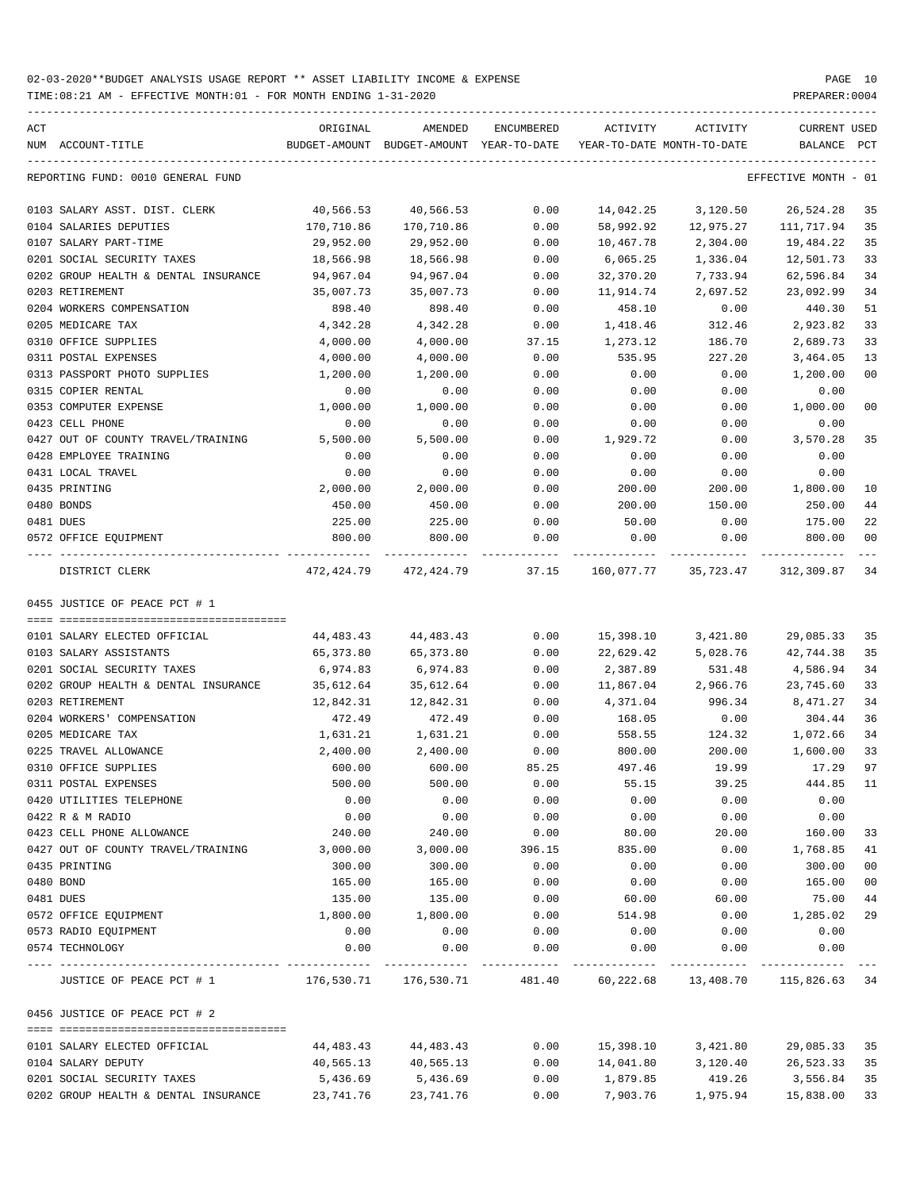| ACT                                          | ORIGINAL              | AMENDED                                  | ENCUMBERED    | ACTIVITY                   | ACTIVITY                                 | CURRENT USED         |              |
|----------------------------------------------|-----------------------|------------------------------------------|---------------|----------------------------|------------------------------------------|----------------------|--------------|
| NUM ACCOUNT-TITLE                            |                       | BUDGET-AMOUNT BUDGET-AMOUNT YEAR-TO-DATE |               | YEAR-TO-DATE MONTH-TO-DATE |                                          | BALANCE              | $_{\rm PCT}$ |
| REPORTING FUND: 0010 GENERAL FUND            |                       |                                          |               |                            |                                          | EFFECTIVE MONTH - 01 |              |
| 0103 SALARY ASST. DIST. CLERK                | 40,566.53             | 40,566.53                                | 0.00          | 14,042.25                  | 3,120.50                                 | 26,524.28            | 35           |
| 0104 SALARIES DEPUTIES                       | 170,710.86            | 170,710.86                               | 0.00          | 58,992.92                  | 12,975.27                                | 111,717.94           | 35           |
| 0107 SALARY PART-TIME                        | 29,952.00             | 29,952.00                                | 0.00          | 10,467.78                  | 2,304.00                                 | 19,484.22            | 35           |
| 0201 SOCIAL SECURITY TAXES                   | 18,566.98             | 18,566.98                                | 0.00          | 6,065.25                   | 1,336.04                                 | 12,501.73            | 33           |
| 0202 GROUP HEALTH & DENTAL INSURANCE         | 94,967.04             | 94,967.04                                | 0.00          | 32,370.20                  | 7,733.94                                 | 62,596.84            | 34           |
| 0203 RETIREMENT                              | 35,007.73             | 35,007.73                                | 0.00          | 11,914.74                  | 2,697.52                                 | 23,092.99            | 34           |
| 0204 WORKERS COMPENSATION                    | 898.40                | 898.40                                   | 0.00          | 458.10                     | 0.00                                     | 440.30               | 51           |
| 0205 MEDICARE TAX                            | 4,342.28              | 4,342.28                                 | 0.00          | 1,418.46                   | 312.46                                   | 2,923.82             | 33           |
| 0310 OFFICE SUPPLIES                         | 4,000.00              | 4,000.00                                 | 37.15         | 1,273.12                   | 186.70                                   | 2,689.73             | 33           |
| 0311 POSTAL EXPENSES                         | 4,000.00              | 4,000.00                                 | 0.00          | 535.95                     | 227.20                                   | 3,464.05             | 13           |
| 0313 PASSPORT PHOTO SUPPLIES                 | 1,200.00              | 1,200.00                                 | 0.00          | 0.00                       | 0.00                                     | 1,200.00             | 00           |
| 0315 COPIER RENTAL                           | 0.00                  | 0.00                                     | 0.00          | 0.00                       | 0.00                                     | 0.00                 |              |
| 0353 COMPUTER EXPENSE                        | 1,000.00              | 1,000.00                                 | 0.00          | 0.00                       | 0.00                                     | 1,000.00             | 00           |
| 0423 CELL PHONE                              | 0.00                  | 0.00                                     | 0.00          | 0.00                       | 0.00                                     | 0.00                 |              |
| 0427 OUT OF COUNTY TRAVEL/TRAINING           | 5,500.00              | 5,500.00                                 | 0.00          | 1,929.72                   | 0.00                                     | 3,570.28             | 35           |
| 0428 EMPLOYEE TRAINING                       | 0.00                  | 0.00                                     | 0.00          | 0.00                       | 0.00                                     | 0.00                 |              |
| 0431 LOCAL TRAVEL                            | 0.00                  | 0.00                                     | 0.00          | 0.00                       | 0.00                                     | 0.00                 |              |
| 0435 PRINTING                                | 2,000.00              | 2,000.00                                 | 0.00          | 200.00                     | 200.00                                   | 1,800.00             | 10           |
| 0480 BONDS                                   | 450.00                | 450.00                                   | 0.00          | 200.00                     | 150.00                                   | 250.00               | 44           |
| 0481 DUES                                    | 225.00                | 225.00                                   | 0.00          | 50.00                      | 0.00                                     | 175.00               | 22           |
| 0572 OFFICE EQUIPMENT<br>---- ------------   | 800.00<br>----------- | 800.00                                   | 0.00          | 0.00                       | 0.00                                     | 800.00               | 00           |
| DISTRICT CLERK                               | 472,424.79            | 472,424.79                               | 37.15         | 160,077.77                 | 35,723.47                                | 312,309.87           | 34           |
| 0455 JUSTICE OF PEACE PCT # 1                |                       |                                          |               |                            |                                          |                      |              |
|                                              |                       |                                          |               |                            |                                          |                      |              |
| 0101 SALARY ELECTED OFFICIAL                 | 44,483.43             | 44,483.43                                | 0.00          | 15,398.10                  | 3,421.80                                 | 29,085.33            | 35           |
| 0103 SALARY ASSISTANTS                       | 65,373.80             | 65,373.80                                | 0.00          | 22,629.42                  | 5,028.76                                 | 42,744.38            | 35           |
| 0201 SOCIAL SECURITY TAXES                   | 6,974.83              | 6,974.83                                 | 0.00          | 2,387.89                   | 531.48                                   | 4,586.94             | 34           |
| 0202 GROUP HEALTH & DENTAL INSURANCE         | 35,612.64             | 35,612.64                                | 0.00          | 11,867.04                  | 2,966.76                                 | 23,745.60            | 33           |
| 0203 RETIREMENT                              | 12,842.31             | 12,842.31                                | 0.00          | 4,371.04                   | 996.34                                   | 8,471.27             | 34           |
| 0204 WORKERS' COMPENSATION                   | 472.49                | 472.49                                   | 0.00          | 168.05                     | 0.00                                     | 304.44               | 36           |
| 0205 MEDICARE TAX                            | 1,631.21              | 1,631.21                                 | 0.00          | 558.55                     | 124.32                                   | 1,072.66             | 34           |
| 0225 TRAVEL ALLOWANCE                        | 2,400.00              | 2,400.00                                 | 0.00          | 800.00                     | 200.00                                   | 1,600.00             | 33<br>97     |
| 0310 OFFICE SUPPLIES                         | 600.00                | 600.00<br>500.00                         | 85.25<br>0.00 | 497.46                     | 19.99                                    | 17.29                |              |
| 0311 POSTAL EXPENSES                         | 500.00                |                                          |               | 55.15                      | 39.25                                    | 444.85 11            |              |
| 0420 UTILITIES TELEPHONE<br>0422 R & M RADIO | 0.00<br>0.00          | 0.00<br>0.00                             | 0.00<br>0.00  | 0.00<br>0.00               | 0.00<br>0.00                             | 0.00<br>0.00         |              |
| 0423 CELL PHONE ALLOWANCE                    | 240.00                | 240.00                                   | 0.00          | 80.00                      | 20.00                                    | 160.00               | 33           |
| 0427 OUT OF COUNTY TRAVEL/TRAINING           | 3,000.00              | 3,000.00                                 | 396.15        | 835.00                     | 0.00                                     | 1,768.85             | 41           |
| 0435 PRINTING                                | 300.00                | 300.00                                   | 0.00          | 0.00                       | 0.00                                     | 300.00               | 00           |
| 0480 BOND                                    | 165.00                | 165.00                                   | 0.00          | 0.00                       | 0.00                                     | 165.00               | 00           |
| 0481 DUES                                    | 135.00                | 135.00                                   | 0.00          |                            | 60.00                                    | 75.00                | 44           |
| 0572 OFFICE EQUIPMENT                        | 1,800.00              | 1,800.00                                 | 0.00          | 60.00<br>514.98            | 0.00                                     | 1,285.02             | 29           |
| 0573 RADIO EQUIPMENT                         | 0.00                  | 0.00                                     | 0.00          | 0.00                       | 0.00                                     | 0.00                 |              |
| 0574 TECHNOLOGY                              | 0.00                  | 0.00                                     | 0.00          | 0.00                       | 0.00                                     | 0.00                 |              |
|                                              |                       |                                          |               |                            |                                          |                      |              |
| JUSTICE OF PEACE PCT # 1                     | 176,530.71 176,530.71 |                                          |               |                            | 481.40 60,222.68 13,408.70 115,826.63 34 |                      |              |
| 0456 JUSTICE OF PEACE PCT # 2                |                       |                                          |               |                            |                                          |                      |              |
| 0101 SALARY ELECTED OFFICIAL                 |                       |                                          | 0.00          | 15,398.10                  | 3,421.80                                 | 29,085.33 35         |              |
| 0104 SALARY DEPUTY                           | 44,483.43             | 44,483.43                                | 0.00          |                            |                                          |                      |              |
|                                              | 40,565.13             | 40,565.13                                |               | 14,041.80                  | 3,120.40                                 | 26,523.33 35         |              |
| 0201 SOCIAL SECURITY TAXES                   | 5,436.69              | 5,436.69                                 | 0.00          | 1,879.85                   | 419.26                                   | 3,556.84 35          |              |
| 0202 GROUP HEALTH & DENTAL INSURANCE         | 23,741.76             | 23,741.76                                | 0.00          | 7,903.76                   | 1,975.94                                 | 15,838.00            | 33           |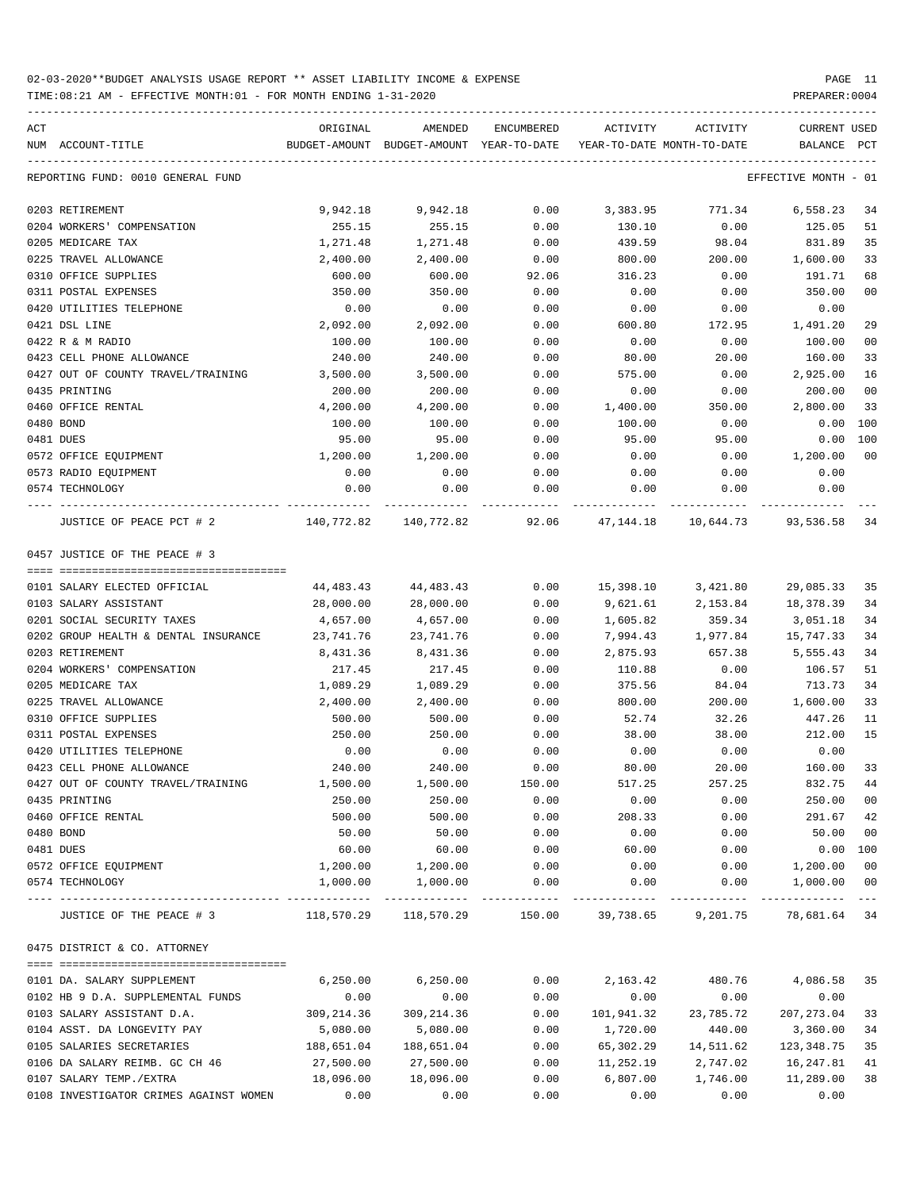TIME:08:21 AM - EFFECTIVE MONTH:01 - FOR MONTH ENDING 1-31-2020

| ACT<br>NUM ACCOUNT-TITLE                                                                            | ORIGINAL   | AMENDED<br>BUDGET-AMOUNT BUDGET-AMOUNT YEAR-TO-DATE | ENCUMBERED | ACTIVITY   | ACTIVITY<br>YEAR-TO-DATE MONTH-TO-DATE                    | CURRENT USED<br>BALANCE | PCT            |
|-----------------------------------------------------------------------------------------------------|------------|-----------------------------------------------------|------------|------------|-----------------------------------------------------------|-------------------------|----------------|
| REPORTING FUND: 0010 GENERAL FUND                                                                   |            |                                                     |            |            |                                                           | EFFECTIVE MONTH - 01    |                |
| 0203 RETIREMENT                                                                                     | 9,942.18   | 9,942.18                                            | 0.00       | 3,383.95   |                                                           | 771.34 6,558.23         | 34             |
| 0204 WORKERS' COMPENSATION                                                                          | 255.15     | 255.15                                              | 0.00       | 130.10     | 0.00                                                      | 125.05                  | 51             |
| 0205 MEDICARE TAX                                                                                   | 1,271.48   | 1,271.48                                            | 0.00       | 439.59     | 98.04                                                     | 831.89                  | 35             |
| 0225 TRAVEL ALLOWANCE                                                                               | 2,400.00   | 2,400.00                                            | 0.00       | 800.00     | 200.00                                                    | 1,600.00                | 33             |
| 0310 OFFICE SUPPLIES                                                                                | 600.00     | 600.00                                              | 92.06      | 316.23     | 0.00                                                      | 191.71                  | 68             |
| 0311 POSTAL EXPENSES                                                                                | 350.00     | 350.00                                              | 0.00       | 0.00       | 0.00                                                      | 350.00                  | 0 <sub>0</sub> |
| 0420 UTILITIES TELEPHONE                                                                            | 0.00       | 0.00                                                | 0.00       | 0.00       | 0.00                                                      | 0.00                    |                |
| 0421 DSL LINE                                                                                       | 2,092.00   | 2,092.00                                            | 0.00       | 600.80     | 172.95                                                    | 1,491.20                | 29             |
| 0422 R & M RADIO                                                                                    | 100.00     | 100.00                                              | 0.00       | 0.00       | 0.00                                                      | 100.00                  | 0 <sub>0</sub> |
| 0423 CELL PHONE ALLOWANCE                                                                           | 240.00     | 240.00                                              | 0.00       | 80.00      | 20.00                                                     | 160.00                  | 33             |
| 0427 OUT OF COUNTY TRAVEL/TRAINING                                                                  | 3,500.00   | 3,500.00                                            | 0.00       | 575.00     | 0.00                                                      | 2,925.00                | 16             |
| 0435 PRINTING                                                                                       | 200.00     | 200.00                                              | 0.00       | 0.00       | 0.00                                                      | 200.00                  | 0 <sub>0</sub> |
| 0460 OFFICE RENTAL                                                                                  | 4,200.00   | 4,200.00                                            | 0.00       | 1,400.00   | 350.00                                                    | 2,800.00                | 33             |
| 0480 BOND                                                                                           | 100.00     | 100.00                                              | 0.00       | 100.00     | 0.00                                                      | 0.00 100                |                |
| 0481 DUES                                                                                           | 95.00      | 95.00                                               | 0.00       | 95.00      | 95.00                                                     | 0.00 100                |                |
| 0572 OFFICE EQUIPMENT                                                                               | 1,200.00   | 1,200.00                                            | 0.00       | 0.00       | 0.00                                                      | 1,200.00                | 0 <sub>0</sub> |
| 0573 RADIO EQUIPMENT                                                                                | 0.00       | 0.00                                                | 0.00       | 0.00       | 0.00                                                      | 0.00                    |                |
| 0574 TECHNOLOGY                                                                                     | 0.00       | 0.00                                                | 0.00       | 0.00       | 0.00                                                      | 0.00                    |                |
| JUSTICE OF PEACE PCT # 2                                                                            |            |                                                     |            |            | 140,772.82 140,772.82 92.06 47,144.18 10,644.73 93,536.58 |                         | 34             |
| 0457 JUSTICE OF THE PEACE # 3                                                                       |            |                                                     |            |            |                                                           |                         |                |
| 0101 SALARY ELECTED OFFICIAL                                                                        | 44,483.43  | 44,483.43                                           | 0.00       |            | 15,398.10 3,421.80                                        | 29,085.33               | 35             |
| 0103 SALARY ASSISTANT                                                                               | 28,000.00  | 28,000.00                                           | 0.00       | 9,621.61   | 2,153.84                                                  | 18,378.39               | 34             |
| 0201 SOCIAL SECURITY TAXES                                                                          | 4,657.00   | 4,657.00                                            | 0.00       | 1,605.82   | 359.34                                                    | 3,051.18                | 34             |
| 0202 GROUP HEALTH & DENTAL INSURANCE                                                                | 23,741.76  | 23,741.76                                           | 0.00       | 7,994.43   | 1,977.84                                                  | 15,747.33               | 34             |
| 0203 RETIREMENT                                                                                     | 8,431.36   | 8,431.36                                            | 0.00       | 2,875.93   | 657.38                                                    | 5,555.43                | 34             |
| 0204 WORKERS' COMPENSATION                                                                          | 217.45     | 217.45                                              | 0.00       | 110.88     | 0.00                                                      | 106.57                  | 51             |
| 0205 MEDICARE TAX                                                                                   | 1,089.29   | 1,089.29                                            | 0.00       | 375.56     | 84.04                                                     | 713.73                  | 34             |
| 0225 TRAVEL ALLOWANCE                                                                               | 2,400.00   | 2,400.00                                            | 0.00       | 800.00     | 200.00                                                    | 1,600.00                | 33             |
| 0310 OFFICE SUPPLIES                                                                                | 500.00     | 500.00                                              | 0.00       | 52.74      | 32.26                                                     | 447.26                  | 11             |
| 0311 POSTAL EXPENSES                                                                                | 250.00     | 250.00                                              | 0.00       | 38.00      | 38.00                                                     | 212.00                  | 15             |
| 0420 UTILITIES TELEPHONE                                                                            | 0.00       | 0.00                                                | 0.00       | 0.00       | 0.00                                                      | 0.00                    |                |
| 0423 CELL PHONE ALLOWANCE                                                                           | 240.00     | 240.00                                              | 0.00       | 80.00      | 20.00                                                     | 160.00                  | 33             |
| 0427 OUT OF COUNTY TRAVEL/TRAINING                                                                  | 1,500.00   | 1,500.00                                            | 150.00     | 517.25     | 257.25                                                    | 832.75                  |                |
| 0435 PRINTING                                                                                       | 250.00     | 250.00                                              | 0.00       | 0.00       | 0.00                                                      | 250.00                  | 0 <sub>0</sub> |
| 0460 OFFICE RENTAL                                                                                  | 500.00     | 500.00                                              | 0.00       | 208.33     | 0.00                                                      | 291.67                  | 42             |
| 0480 BOND                                                                                           | 50.00      | 50.00                                               | 0.00       | 0.00       | 0.00                                                      | 50.00                   | 0 <sub>0</sub> |
| 0481 DUES                                                                                           | 60.00      | 60.00                                               | 0.00       | 60.00      | 0.00                                                      | $0.00$ 100              |                |
| 0572 OFFICE EQUIPMENT                                                                               | 1,200.00   | 1,200.00                                            | 0.00       | 0.00       | 0.00                                                      | 1,200.00                | 0 <sub>0</sub> |
| 0574 TECHNOLOGY                                                                                     | 1,000.00   | 1,000.00                                            | 0.00       | 0.00       | 0.00                                                      | 1,000.00                | 0 <sub>0</sub> |
| JUSTICE OF THE PEACE # 3 $118,570.29$ $118,570.29$ $150.00$ $39,738.65$ $9,201.75$ $78,681.64$ $34$ |            |                                                     |            |            |                                                           | ----------              | $---$          |
| 0475 DISTRICT & CO. ATTORNEY                                                                        |            |                                                     |            |            |                                                           |                         |                |
|                                                                                                     |            |                                                     |            |            |                                                           |                         |                |
| 0101 DA. SALARY SUPPLEMENT                                                                          | 6,250.00   | 6,250.00                                            | 0.00       | 2,163.42   | 480.76                                                    | 4,086.58                | 35             |
| 0102 HB 9 D.A. SUPPLEMENTAL FUNDS                                                                   | 0.00       | 0.00                                                | 0.00       | 0.00       | 0.00                                                      | 0.00                    |                |
| 0103 SALARY ASSISTANT D.A.                                                                          | 309,214.36 | 309,214.36                                          | 0.00       | 101,941.32 | 23,785.72                                                 | 207,273.04              | 33             |
| 0104 ASST. DA LONGEVITY PAY                                                                         | 5,080.00   | 5,080.00                                            | 0.00       | 1,720.00   | 440.00                                                    | 3,360.00                | 34             |
| 0105 SALARIES SECRETARIES                                                                           | 188,651.04 | 188,651.04                                          | 0.00       | 65,302.29  | 14,511.62                                                 | 123,348.75              | 35             |
| 0106 DA SALARY REIMB. GC CH 46                                                                      | 27,500.00  | 27,500.00                                           | 0.00       | 11,252.19  | 2,747.02                                                  | 16,247.81               | 41             |
| 0107 SALARY TEMP./EXTRA                                                                             | 18,096.00  | 18,096.00                                           | 0.00       | 6,807.00   | 1,746.00                                                  | 11,289.00               | 38             |

0108 INVESTIGATOR CRIMES AGAINST WOMEN 0.00 0.00 0.00 0.00 0.00 0.00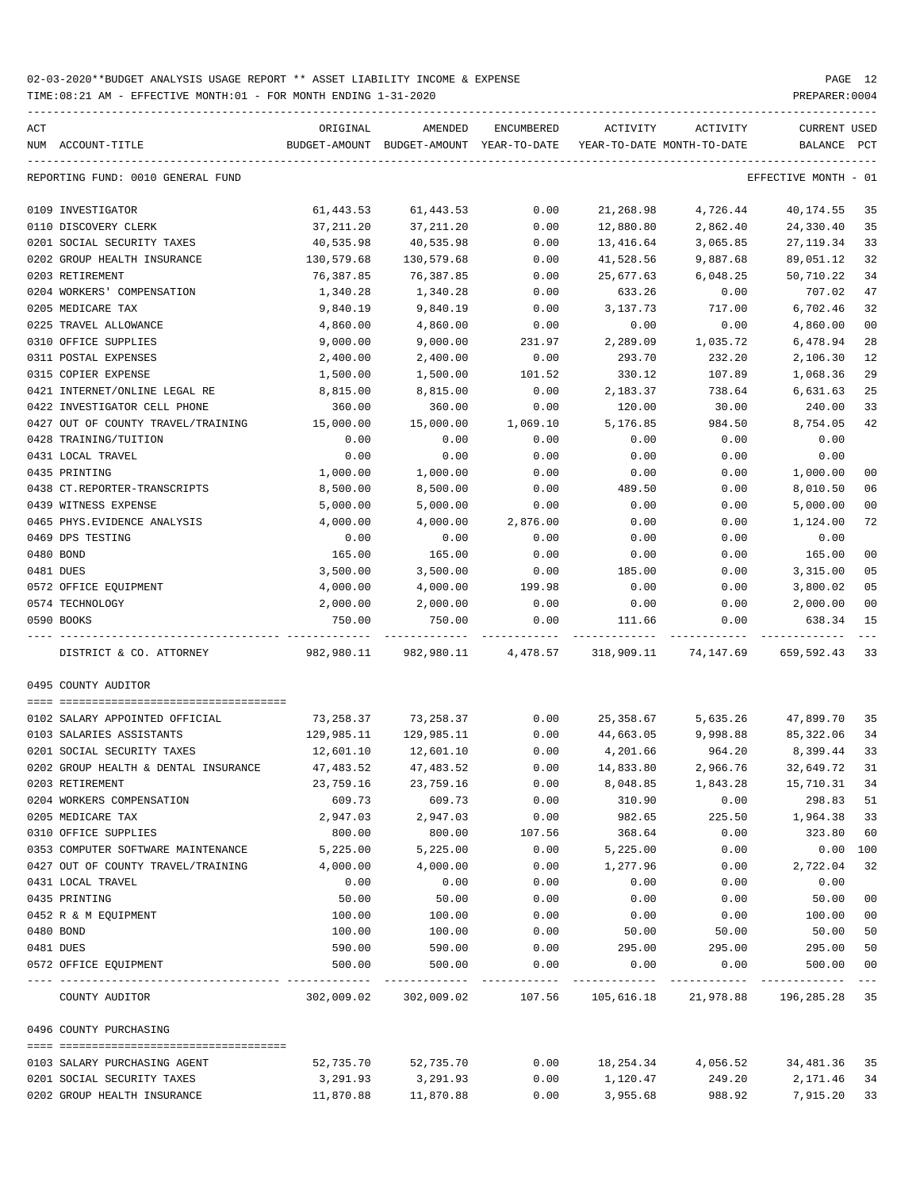TIME:08:21 AM - EFFECTIVE MONTH:01 - FOR MONTH ENDING 1-31-2020 PREPARER:0004

| ACT<br>NUM ACCOUNT-TITLE             | ORIGINAL         | AMENDED<br>BUDGET-AMOUNT BUDGET-AMOUNT YEAR-TO-DATE | ENCUMBERED          | ACTIVITY       | ACTIVITY<br>YEAR-TO-DATE MONTH-TO-DATE            | CURRENT USED<br>BALANCE | PCT                  |
|--------------------------------------|------------------|-----------------------------------------------------|---------------------|----------------|---------------------------------------------------|-------------------------|----------------------|
| REPORTING FUND: 0010 GENERAL FUND    |                  |                                                     |                     |                |                                                   | EFFECTIVE MONTH - 01    |                      |
| 0109 INVESTIGATOR                    | 61,443.53        | 61,443.53                                           | 0.00                | 21,268.98      | 4,726.44                                          | 40,174.55               | 35                   |
| 0110 DISCOVERY CLERK                 | 37,211.20        | 37,211.20                                           | 0.00                | 12,880.80      | 2,862.40                                          | 24,330.40               | 35                   |
| 0201 SOCIAL SECURITY TAXES           | 40,535.98        | 40,535.98                                           | 0.00                | 13,416.64      | 3,065.85                                          | 27, 119.34              | 33                   |
| 0202 GROUP HEALTH INSURANCE          | 130,579.68       | 130,579.68                                          | 0.00                | 41,528.56      | 9,887.68                                          | 89,051.12               | 32                   |
| 0203 RETIREMENT                      | 76,387.85        | 76,387.85                                           | 0.00                | 25,677.63      | 6,048.25                                          | 50,710.22               | 34                   |
| 0204 WORKERS' COMPENSATION           | 1,340.28         | 1,340.28                                            | 0.00                | 633.26         | 0.00                                              | 707.02                  | 47                   |
| 0205 MEDICARE TAX                    | 9,840.19         | 9,840.19                                            | 0.00                | 3,137.73       | 717.00                                            | 6,702.46                | 32                   |
| 0225 TRAVEL ALLOWANCE                | 4,860.00         | 4,860.00                                            | 0.00                | 0.00           | 0.00                                              | 4,860.00                | 0 <sub>0</sub>       |
| 0310 OFFICE SUPPLIES                 | 9,000.00         | 9,000.00                                            | 231.97              | 2,289.09       | 1,035.72                                          | 6,478.94                | 28                   |
| 0311 POSTAL EXPENSES                 | 2,400.00         | 2,400.00                                            | 0.00                | 293.70         | 232.20                                            | 2,106.30                | 12                   |
| 0315 COPIER EXPENSE                  | 1,500.00         | 1,500.00                                            | 101.52              | 330.12         | 107.89                                            | 1,068.36                | 29                   |
| 0421 INTERNET/ONLINE LEGAL RE        | 8,815.00         | 8,815.00                                            | 0.00                | 2,183.37       | 738.64                                            | 6,631.63                | 25                   |
| 0422 INVESTIGATOR CELL PHONE         | 360.00           | 360.00                                              | 0.00                | 120.00         | 30.00                                             | 240.00                  | 33                   |
| 0427 OUT OF COUNTY TRAVEL/TRAINING   | 15,000.00        | 15,000.00                                           | 1,069.10            | 5,176.85       | 984.50                                            | 8,754.05                | 42                   |
| 0428 TRAINING/TUITION                | 0.00             | 0.00                                                | 0.00                | 0.00           | 0.00                                              | 0.00                    |                      |
| 0431 LOCAL TRAVEL                    | 0.00             | 0.00                                                | 0.00                | 0.00           | 0.00                                              | 0.00                    |                      |
| 0435 PRINTING                        | 1,000.00         | 1,000.00                                            | 0.00                | 0.00           | 0.00                                              | 1,000.00                | 00                   |
| 0438 CT.REPORTER-TRANSCRIPTS         | 8,500.00         | 8,500.00                                            | 0.00                | 489.50         | 0.00                                              | 8,010.50                | 06                   |
| 0439 WITNESS EXPENSE                 | 5,000.00         | 5,000.00                                            | 0.00                | 0.00           | 0.00                                              | 5,000.00                | 0 <sub>0</sub>       |
| 0465 PHYS. EVIDENCE ANALYSIS         | 4,000.00         | 4,000.00                                            | 2,876.00            | 0.00           | 0.00                                              | 1,124.00                | 72                   |
| 0469 DPS TESTING                     | 0.00             | 0.00                                                | 0.00                | 0.00           | 0.00                                              | 0.00                    |                      |
| 0480 BOND                            | 165.00           | 165.00                                              | 0.00                | 0.00           | 0.00                                              | 165.00                  | 0 <sub>0</sub>       |
| 0481 DUES                            | 3,500.00         | 3,500.00                                            | 0.00                | 185.00         | 0.00                                              | 3,315.00                | 05                   |
| 0572 OFFICE EQUIPMENT                | 4,000.00         | 4,000.00                                            | 199.98              | 0.00           | 0.00                                              | 3,800.02                | 05                   |
| 0574 TECHNOLOGY                      | 2,000.00         | 2,000.00                                            | 0.00                | 0.00           | 0.00                                              | 2,000.00                | 0 <sub>0</sub>       |
| 0590 BOOKS                           | 750.00           | 750.00                                              | 0.00                | 111.66         | 0.00                                              | 638.34                  | 15                   |
| DISTRICT & CO. ATTORNEY              | 982,980.11       |                                                     | 982,980.11 4,478.57 | 318,909.11     | 74,147.69                                         | 659,592.43              | 33                   |
| 0495 COUNTY AUDITOR                  |                  |                                                     |                     |                |                                                   |                         |                      |
|                                      |                  |                                                     |                     |                |                                                   |                         |                      |
| 0102 SALARY APPOINTED OFFICIAL       | 73,258.37        | 73,258.37                                           | 0.00                | 25,358.67      | 5,635.26                                          | 47,899.70               | 35                   |
| 0103 SALARIES ASSISTANTS             | 129,985.11       | 129,985.11                                          | 0.00                | 44,663.05      | 9,998.88                                          | 85,322.06               | 34                   |
| 0201 SOCIAL SECURITY TAXES           | 12,601.10        | 12,601.10                                           | 0.00                | 4,201.66       | 964.20                                            | 8,399.44                | 33                   |
| 0202 GROUP HEALTH & DENTAL INSURANCE | 47,483.52        | 47,483.52                                           | 0.00                | 14,833.80      | 2,966.76                                          | 32,649.72               | 31                   |
| 0203 RETIREMENT                      | 23,759.16        | 23,759.16                                           | 0.00                | 8,048.85       | 1,843.28                                          | 15,710.31               | 34                   |
| 0204 WORKERS COMPENSATION            | 609.73           | 609.73                                              | 0.00                | 310.90         | 0.00                                              | 298.83                  | 51                   |
| 0205 MEDICARE TAX                    | 2,947.03         | 2,947.03                                            | 0.00                | 982.65         | 225.50                                            | 1,964.38                | 33                   |
| 0310 OFFICE SUPPLIES                 | 800.00           | 800.00                                              | 107.56              | 368.64         | 0.00                                              | 323.80                  | 60                   |
| 0353 COMPUTER SOFTWARE MAINTENANCE   | 5,225.00         | 5,225.00                                            | 0.00                | 5,225.00       | 0.00                                              | 0.00 100                |                      |
| 0427 OUT OF COUNTY TRAVEL/TRAINING   | 4,000.00         | 4,000.00                                            | 0.00                | 1,277.96       | 0.00                                              | 2,722.04                | 32                   |
| 0431 LOCAL TRAVEL                    | 0.00             | 0.00                                                | 0.00                | 0.00           | 0.00                                              | 0.00                    |                      |
| 0435 PRINTING                        | 50.00            | 50.00                                               | 0.00                | 0.00           | 0.00                                              | 50.00                   | 0 <sub>0</sub>       |
| 0452 R & M EQUIPMENT                 | 100.00           | 100.00                                              | 0.00                | 0.00           | 0.00                                              | 100.00                  | 0 <sub>0</sub>       |
| 0480 BOND                            | 100.00           | 100.00                                              | 0.00                | 50.00          | 50.00                                             | 50.00                   | 50                   |
| 0481 DUES<br>0572 OFFICE EQUIPMENT   | 590.00<br>500.00 | 590.00<br>500.00                                    | 0.00<br>0.00        | 295.00<br>0.00 | 295.00<br>0.00                                    | 295.00<br>500.00        | 50<br>0 <sub>0</sub> |
| COUNTY AUDITOR                       | 302,009.02       | 302,009.02                                          | 107.56              |                | ----------- -------------<br>105,616.18 21,978.88 | 196,285.28 35           | $---$                |
| 0496 COUNTY PURCHASING               |                  |                                                     |                     |                |                                                   |                         |                      |
|                                      |                  |                                                     |                     |                |                                                   |                         |                      |
| 0103 SALARY PURCHASING AGENT         | 52,735.70        | 52,735.70                                           | 0.00                | 18,254.34      | 4,056.52                                          | 34,481.36               | 35                   |
| 0201 SOCIAL SECURITY TAXES           | 3,291.93         | 3,291.93                                            | 0.00                | 1,120.47       | 249.20                                            | 2,171.46                | 34                   |

0202 GROUP HEALTH INSURANCE 11,870.88 11,870.88 0.00 3,955.68 988.92 7,915.20 33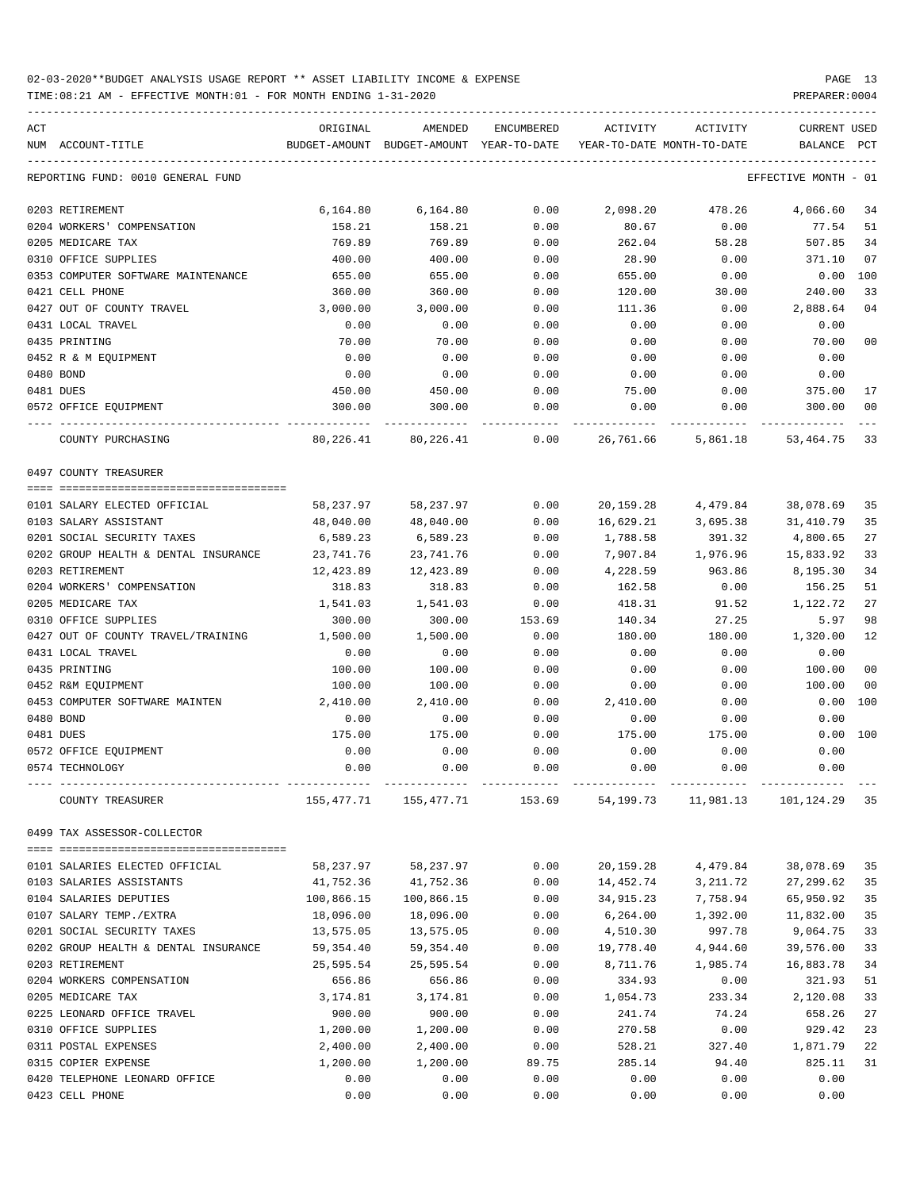TIME:08:21 AM - EFFECTIVE MONTH:01 - FOR MONTH ENDING 1-31-2020 PREPARER:0004

| ACT |                                                       | ORIGINAL               | AMENDED                | <b>ENCUMBERED</b> | ACTIVITY               | ACTIVITY                   | CURRENT USED          |                |
|-----|-------------------------------------------------------|------------------------|------------------------|-------------------|------------------------|----------------------------|-----------------------|----------------|
|     | NUM ACCOUNT-TITLE                                     | BUDGET-AMOUNT          | BUDGET-AMOUNT          | YEAR-TO-DATE      |                        | YEAR-TO-DATE MONTH-TO-DATE | BALANCE               | $_{\rm PCT}$   |
|     | REPORTING FUND: 0010 GENERAL FUND                     |                        |                        |                   |                        |                            | EFFECTIVE MONTH - 01  |                |
|     | 0203 RETIREMENT                                       | 6,164.80               | 6,164.80               | 0.00              | 2,098.20               | 478.26                     | 4,066.60              | 34             |
|     | 0204 WORKERS' COMPENSATION                            | 158.21                 | 158.21                 | 0.00              | 80.67                  | 0.00                       | 77.54                 | 51             |
|     | 0205 MEDICARE TAX                                     | 769.89                 | 769.89                 | 0.00              | 262.04                 | 58.28                      | 507.85                | 34             |
|     | 0310 OFFICE SUPPLIES                                  | 400.00                 | 400.00                 | 0.00              | 28.90                  | 0.00                       | 371.10                | 07             |
|     | 0353 COMPUTER SOFTWARE MAINTENANCE                    | 655.00                 | 655.00                 | 0.00              | 655.00                 | 0.00                       | 0.00                  | 100            |
|     | 0421 CELL PHONE                                       | 360.00                 | 360.00                 | 0.00              | 120.00                 | 30.00                      | 240.00                | 33             |
|     | 0427 OUT OF COUNTY TRAVEL                             | 3,000.00               | 3,000.00               | 0.00              | 111.36                 | 0.00                       | 2,888.64              | 04             |
|     | 0431 LOCAL TRAVEL                                     | 0.00                   | 0.00                   | 0.00              | 0.00                   | 0.00                       | 0.00                  |                |
|     | 0435 PRINTING                                         | 70.00                  | 70.00                  | 0.00              | 0.00                   | 0.00                       | 70.00                 | 0 <sub>0</sub> |
|     | 0452 R & M EQUIPMENT                                  | 0.00                   | 0.00                   | 0.00              | 0.00                   | 0.00                       | 0.00                  |                |
|     | 0480 BOND                                             | 0.00                   | 0.00                   | 0.00              | 0.00                   | 0.00                       | 0.00                  |                |
|     | 0481 DUES                                             | 450.00                 | 450.00                 | 0.00              | 75.00                  | 0.00                       | 375.00                | 17             |
|     | 0572 OFFICE EQUIPMENT                                 | 300.00                 | 300.00                 | 0.00              | 0.00                   | 0.00                       | 300.00                | 0 <sub>0</sub> |
|     | COUNTY PURCHASING                                     | 80,226.41              | 80,226.41              | 0.00              | 26,761.66              | 5,861.18                   | 53,464.75             | 33             |
|     | 0497 COUNTY TREASURER                                 |                        |                        |                   |                        |                            |                       |                |
|     |                                                       |                        |                        |                   |                        |                            |                       |                |
|     | 0101 SALARY ELECTED OFFICIAL<br>0103 SALARY ASSISTANT | 58,237.97              | 58,237.97              | 0.00              | 20,159.28<br>16,629.21 | 4,479.84                   | 38,078.69             | 35<br>35       |
|     | 0201 SOCIAL SECURITY TAXES                            | 48,040.00              | 48,040.00              | 0.00              |                        | 3,695.38                   | 31,410.79             | 27             |
|     | 0202 GROUP HEALTH & DENTAL INSURANCE                  | 6,589.23               | 6,589.23               | 0.00<br>0.00      | 1,788.58               | 391.32<br>1,976.96         | 4,800.65<br>15,833.92 | 33             |
|     | 0203 RETIREMENT                                       | 23,741.76<br>12,423.89 | 23,741.76<br>12,423.89 | 0.00              | 7,907.84<br>4,228.59   | 963.86                     | 8,195.30              | 34             |
|     | 0204 WORKERS' COMPENSATION                            | 318.83                 | 318.83                 | 0.00              | 162.58                 | 0.00                       | 156.25                | 51             |
|     | 0205 MEDICARE TAX                                     | 1,541.03               | 1,541.03               | 0.00              | 418.31                 | 91.52                      | 1,122.72              | 27             |
|     | 0310 OFFICE SUPPLIES                                  | 300.00                 | 300.00                 | 153.69            | 140.34                 | 27.25                      | 5.97                  | 98             |
|     | 0427 OUT OF COUNTY TRAVEL/TRAINING                    | 1,500.00               | 1,500.00               | 0.00              | 180.00                 | 180.00                     | 1,320.00              | 12             |
|     | 0431 LOCAL TRAVEL                                     | 0.00                   | 0.00                   | 0.00              | 0.00                   | 0.00                       | 0.00                  |                |
|     | 0435 PRINTING                                         | 100.00                 | 100.00                 | 0.00              | 0.00                   | 0.00                       | 100.00                | 0 <sub>0</sub> |
|     | 0452 R&M EQUIPMENT                                    | 100.00                 | 100.00                 | 0.00              | 0.00                   | 0.00                       | 100.00                | 0 <sub>0</sub> |
|     | 0453 COMPUTER SOFTWARE MAINTEN                        | 2,410.00               | 2,410.00               | 0.00              | 2,410.00               | 0.00                       | 0.00                  | 100            |
|     | 0480 BOND                                             | 0.00                   | 0.00                   | 0.00              | 0.00                   | 0.00                       | 0.00                  |                |
|     | 0481 DUES                                             | 175.00                 | 175.00                 | 0.00              | 175.00                 | 175.00                     | 0.00                  | 100            |
|     | 0572 OFFICE EQUIPMENT                                 | 0.00                   | 0.00                   | 0.00              | 0.00                   | 0.00                       | 0.00                  |                |
|     | 0574 TECHNOLOGY                                       | 0.00                   | 0.00                   | 0.00              | 0.00                   | 0.00                       | 0.00                  |                |
|     | COUNTY TREASURER                                      | 155,477.71             | 155,477.71             | 153.69            | 54,199.73              | 11,981.13                  | 101,124.29            | 35             |
|     | 0499 TAX ASSESSOR-COLLECTOR                           |                        |                        |                   |                        |                            |                       |                |
|     |                                                       |                        |                        |                   |                        |                            |                       |                |
|     | 0101 SALARIES ELECTED OFFICIAL                        | 58,237.97              | 58,237.97              | 0.00              | 20,159.28              | 4,479.84                   | 38,078.69             | 35             |
|     | 0103 SALARIES ASSISTANTS                              | 41,752.36              | 41,752.36              | 0.00              | 14,452.74              | 3,211.72                   | 27,299.62             | 35             |
|     | 0104 SALARIES DEPUTIES                                | 100,866.15             | 100,866.15             | 0.00              | 34,915.23              | 7,758.94                   | 65,950.92             | 35             |
|     | 0107 SALARY TEMP./EXTRA                               | 18,096.00              | 18,096.00              | 0.00              | 6,264.00               | 1,392.00                   | 11,832.00             | 35             |
|     | 0201 SOCIAL SECURITY TAXES                            | 13,575.05              | 13,575.05              | 0.00              | 4,510.30               | 997.78                     | 9,064.75              | 33             |
|     | 0202 GROUP HEALTH & DENTAL INSURANCE                  | 59,354.40              | 59, 354.40             | 0.00              | 19,778.40              | 4,944.60                   | 39,576.00             | 33<br>34       |
|     | 0203 RETIREMENT<br>0204 WORKERS COMPENSATION          | 25,595.54              | 25,595.54              | 0.00<br>0.00      | 8,711.76<br>334.93     | 1,985.74                   | 16,883.78             | 51             |
|     | 0205 MEDICARE TAX                                     | 656.86<br>3,174.81     | 656.86<br>3,174.81     | 0.00              | 1,054.73               | 0.00<br>233.34             | 321.93<br>2,120.08    | 33             |
|     | 0225 LEONARD OFFICE TRAVEL                            | 900.00                 | 900.00                 | 0.00              | 241.74                 | 74.24                      | 658.26                | 27             |
|     | 0310 OFFICE SUPPLIES                                  | 1,200.00               | 1,200.00               | 0.00              | 270.58                 | 0.00                       | 929.42                | 23             |
|     | 0311 POSTAL EXPENSES                                  | 2,400.00               | 2,400.00               | 0.00              | 528.21                 | 327.40                     | 1,871.79              | 22             |
|     | 0315 COPIER EXPENSE                                   | 1,200.00               | 1,200.00               | 89.75             | 285.14                 | 94.40                      | 825.11                | 31             |
|     | 0420 TELEPHONE LEONARD OFFICE                         | 0.00                   | 0.00                   | 0.00              | 0.00                   | 0.00                       | 0.00                  |                |

0423 CELL PHONE 0.00 0.00 0.00 0.00 0.00 0.00

-----------------------------------------------------------------------------------------------------------------------------------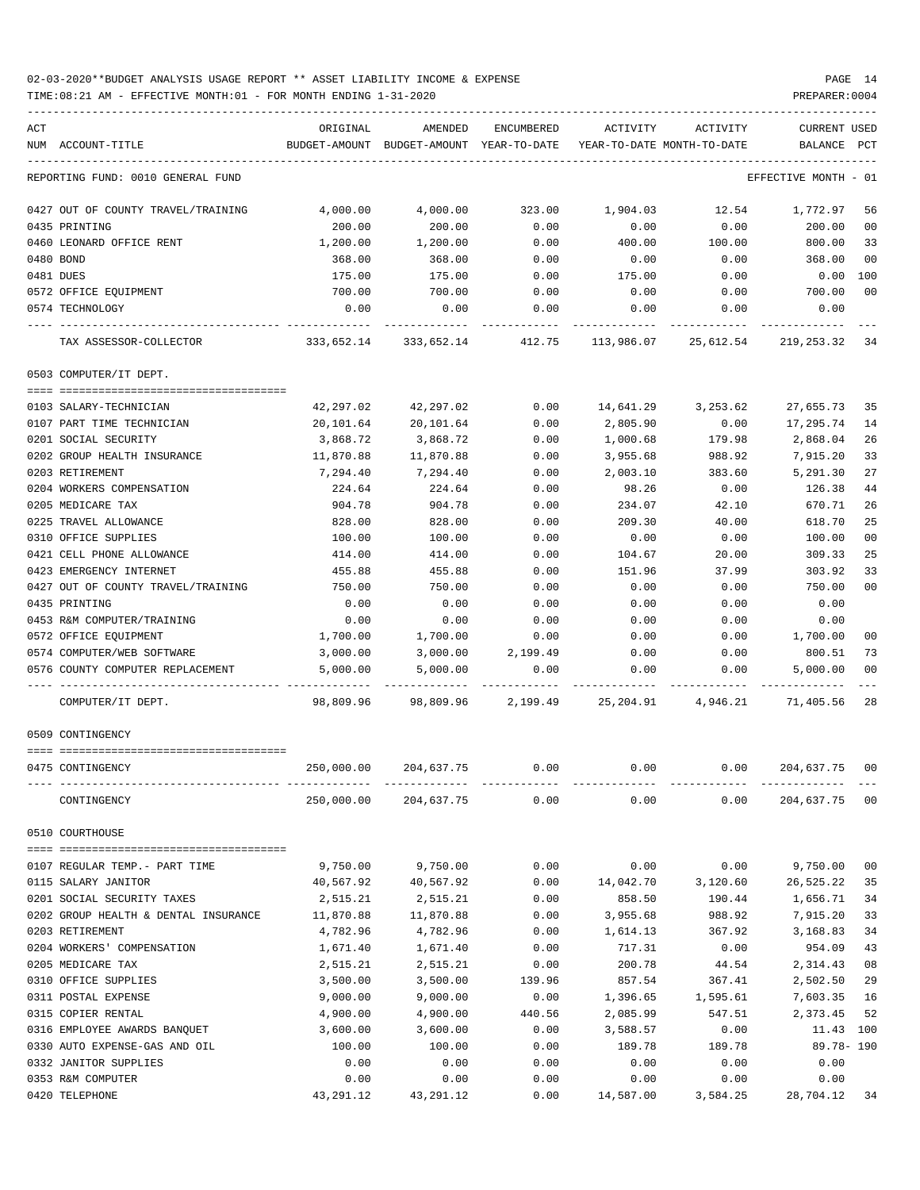### 02-03-2020\*\*BUDGET ANALYSIS USAGE REPORT \*\* ASSET LIABILITY INCOME & EXPENSE PAGE 14 TIME:08:21 AM - EFFECTIVE MONTH:01 - FOR MONTH ENDING 1-31-2020 PREPARER:0004

| ACT |                                                                                     | ORIGINAL                                                            | AMENDED                                                     | ENCUMBERED | ACTIVITY  | ACTIVITY | CURRENT USED         |                |
|-----|-------------------------------------------------------------------------------------|---------------------------------------------------------------------|-------------------------------------------------------------|------------|-----------|----------|----------------------|----------------|
|     | NUM ACCOUNT-TITLE                                                                   | BUDGET-AMOUNT BUDGET-AMOUNT YEAR-TO-DATE YEAR-TO-DATE MONTH-TO-DATE |                                                             |            |           |          | BALANCE PCT          |                |
|     | REPORTING FUND: 0010 GENERAL FUND                                                   |                                                                     |                                                             |            |           |          | EFFECTIVE MONTH - 01 |                |
|     | 0427 OUT OF COUNTY TRAVEL/TRAINING                                                  | 4,000.00                                                            | 4,000.00                                                    | 323.00     | 1,904.03  | 12.54    | 1,772.97             | 56             |
|     | 0435 PRINTING                                                                       | 200.00                                                              | 200.00                                                      | 0.00       | 0.00      | 0.00     | 200.00               | 00             |
|     | 0460 LEONARD OFFICE RENT                                                            | 1,200.00                                                            | 1,200.00                                                    | 0.00       | 400.00    | 100.00   | 800.00               | 33             |
|     | 0480 BOND                                                                           | 368.00                                                              | 368.00                                                      | 0.00       | 0.00      | 0.00     | 368.00               | 0 <sub>0</sub> |
|     | 0481 DUES                                                                           | 175.00                                                              | 175.00                                                      | 0.00       | 175.00    | 0.00     | $0.00$ 100           |                |
|     | 0572 OFFICE EOUIPMENT                                                               | 700.00                                                              | 700.00                                                      | 0.00       | 0.00      | 0.00     | 700.00               | 0 <sub>0</sub> |
|     | 0574 TECHNOLOGY                                                                     | 0.00                                                                | 0.00                                                        | 0.00       | 0.00      | 0.00     | 0.00                 |                |
|     | TAX ASSESSOR-COLLECTOR 333,652.14 333,652.14 412.75 113,986.07 25,612.54 219,253.32 |                                                                     |                                                             |            |           |          |                      | 34             |
|     | 0503 COMPUTER/IT DEPT.                                                              |                                                                     |                                                             |            |           |          |                      |                |
|     |                                                                                     |                                                                     |                                                             |            |           |          |                      |                |
|     | 0103 SALARY-TECHNICIAN                                                              | 42,297.02                                                           | 42,297.02                                                   | 0.00       | 14,641.29 | 3,253.62 | 27,655.73            | 35             |
|     | 0107 PART TIME TECHNICIAN                                                           | 20,101.64                                                           | 20,101.64                                                   | 0.00       | 2,805.90  | 0.00     | 17,295.74            | 14             |
|     | 0201 SOCIAL SECURITY                                                                | 3,868.72                                                            | 3,868.72                                                    | 0.00       | 1,000.68  | 179.98   | 2,868.04             | 26             |
|     | 0202 GROUP HEALTH INSURANCE                                                         | 11,870.88                                                           | 11,870.88                                                   | 0.00       | 3,955.68  | 988.92   | 7,915.20             | 33             |
|     | 0203 RETIREMENT                                                                     | 7,294.40                                                            | 7,294.40                                                    | 0.00       | 2,003.10  | 383.60   | 5,291.30             | 27             |
|     | 0204 WORKERS COMPENSATION                                                           | 224.64                                                              | 224.64                                                      | 0.00       | 98.26     | 0.00     | 126.38               | 44             |
|     | 0205 MEDICARE TAX                                                                   | 904.78                                                              | 904.78                                                      | 0.00       | 234.07    | 42.10    | 670.71               | 26             |
|     | 0225 TRAVEL ALLOWANCE                                                               | 828.00                                                              | 828.00                                                      | 0.00       | 209.30    | 40.00    | 618.70               | 25             |
|     | 0310 OFFICE SUPPLIES                                                                | 100.00                                                              | 100.00                                                      | 0.00       | 0.00      | 0.00     | 100.00               | 0 <sub>0</sub> |
|     | 0421 CELL PHONE ALLOWANCE                                                           | 414.00                                                              | 414.00                                                      | 0.00       | 104.67    | 20.00    | 309.33               | 25             |
|     | 0423 EMERGENCY INTERNET                                                             | 455.88                                                              | 455.88                                                      | 0.00       | 151.96    | 37.99    | 303.92               | 33             |
|     | 0427 OUT OF COUNTY TRAVEL/TRAINING                                                  | 750.00                                                              | 750.00                                                      | 0.00       | 0.00      | 0.00     | 750.00               | 0 <sub>0</sub> |
|     | 0435 PRINTING                                                                       | 0.00                                                                | 0.00                                                        | 0.00       | 0.00      | 0.00     | 0.00                 |                |
|     | 0453 R&M COMPUTER/TRAINING                                                          | 0.00                                                                | 0.00                                                        | 0.00       | 0.00      | 0.00     | 0.00                 |                |
|     | 0572 OFFICE EQUIPMENT                                                               | 1,700.00                                                            | 1,700.00                                                    | 0.00       | 0.00      | 0.00     | 1,700.00             | 0 <sub>0</sub> |
|     | 0574 COMPUTER/WEB SOFTWARE                                                          | 3,000.00                                                            | 3,000.00                                                    | 2,199.49   | 0.00      | 0.00     | 800.51               | 73             |
|     | 0576 COUNTY COMPUTER REPLACEMENT                                                    | 5,000.00                                                            | 5,000.00                                                    | 0.00       | 0.00      | 0.00     | 5,000.00             | 00             |
|     | COMPUTER/IT DEPT.                                                                   |                                                                     | 98,809.96 98,809.96 2,199.49 25,204.91 4,946.21 71,405.56   |            |           |          |                      | 28             |
|     | 0509 CONTINGENCY                                                                    |                                                                     |                                                             |            |           |          |                      |                |
|     | 0475 CONTINGENCY                                                                    |                                                                     | $250,000.00$ $204,637.75$ $0.00$ $0.00$ $0.00$ $204,637.75$ |            |           |          |                      | 00             |
|     | CONTINGENCY                                                                         |                                                                     | 250,000.00 204,637.75                                       | 0.00       | 0.00      | 0.00     | 204,637.75 00        |                |
|     | 0510 COURTHOUSE                                                                     |                                                                     |                                                             |            |           |          |                      |                |
|     |                                                                                     |                                                                     |                                                             |            |           |          |                      |                |
|     | 0107 REGULAR TEMP. - PART TIME                                                      | 9,750.00                                                            | 9,750.00                                                    | 0.00       | 0.00      | 0.00     | 9,750.00             | 0 <sub>0</sub> |
|     | 0115 SALARY JANITOR                                                                 | 40,567.92                                                           | 40,567.92                                                   | 0.00       | 14,042.70 | 3,120.60 | 26,525.22            | 35             |
|     | 0201 SOCIAL SECURITY TAXES                                                          | 2,515.21                                                            | 2,515.21                                                    | 0.00       | 858.50    | 190.44   | 1,656.71             | 34             |
|     | 0202 GROUP HEALTH & DENTAL INSURANCE                                                | 11,870.88                                                           | 11,870.88                                                   | 0.00       | 3,955.68  | 988.92   | 7,915.20             | 33             |
|     | 0203 RETIREMENT                                                                     | 4,782.96                                                            | 4,782.96                                                    | 0.00       | 1,614.13  | 367.92   | 3,168.83             | 34             |
|     | 0204 WORKERS' COMPENSATION                                                          | 1,671.40                                                            | 1,671.40                                                    | 0.00       | 717.31    | 0.00     | 954.09               | 43             |
|     | 0205 MEDICARE TAX                                                                   | 2,515.21                                                            | 2,515.21                                                    | 0.00       | 200.78    | 44.54    | 2,314.43             | 08             |
|     | 0310 OFFICE SUPPLIES                                                                | 3,500.00                                                            | 3,500.00                                                    | 139.96     | 857.54    | 367.41   | 2,502.50             | 29             |
|     | 0311 POSTAL EXPENSE                                                                 | 9,000.00                                                            | 9,000.00                                                    | 0.00       | 1,396.65  | 1,595.61 | 7,603.35             | 16             |
|     | 0315 COPIER RENTAL                                                                  | 4,900.00                                                            | 4,900.00                                                    | 440.56     | 2,085.99  | 547.51   | 2,373.45             | 52             |
|     | 0316 EMPLOYEE AWARDS BANQUET                                                        | 3,600.00                                                            | 3,600.00                                                    | 0.00       | 3,588.57  | 0.00     | 11.43 100            |                |
|     | 0330 AUTO EXPENSE-GAS AND OIL                                                       | 100.00                                                              | 100.00                                                      | 0.00       | 189.78    | 189.78   | 89.78-190            |                |
|     | 0332 JANITOR SUPPLIES                                                               | 0.00                                                                | 0.00                                                        | 0.00       | 0.00      | 0.00     | 0.00                 |                |

0353 R&M COMPUTER 0.00 0.00 0.00 0.00 0.00 0.00 0420 TELEPHONE 43,291.12 43,291.12 0.00 14,587.00 3,584.25 28,704.12 34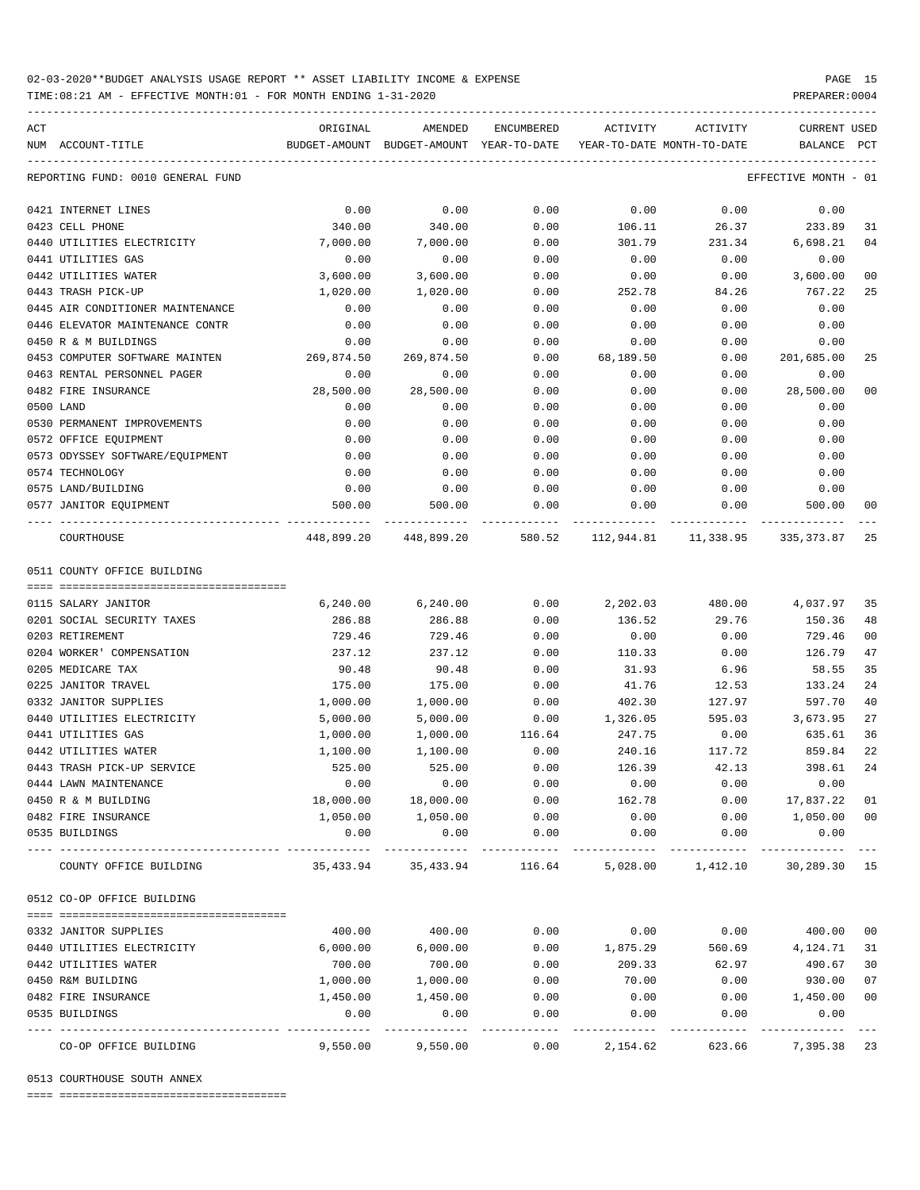TIME:08:21 AM - EFFECTIVE MONTH:01 - FOR MONTH ENDING 1-31-2020

| ACT | NUM ACCOUNT-TITLE                 | ORIGINAL   | AMENDED<br>BUDGET-AMOUNT BUDGET-AMOUNT YEAR-TO-DATE | ENCUMBERED         | ACTIVITY<br>YEAR-TO-DATE MONTH-TO-DATE | ACTIVITY                                                        | CURRENT USED<br>BALANCE | PCT            |
|-----|-----------------------------------|------------|-----------------------------------------------------|--------------------|----------------------------------------|-----------------------------------------------------------------|-------------------------|----------------|
|     |                                   |            |                                                     |                    |                                        |                                                                 |                         |                |
|     | REPORTING FUND: 0010 GENERAL FUND |            |                                                     |                    |                                        |                                                                 | EFFECTIVE MONTH - 01    |                |
|     | 0421 INTERNET LINES               | 0.00       | 0.00                                                | 0.00               | 0.00                                   | 0.00                                                            | 0.00                    |                |
|     | 0423 CELL PHONE                   | 340.00     | 340.00                                              | 0.00               | 106.11                                 | 26.37                                                           | 233.89                  | 31             |
|     | 0440 UTILITIES ELECTRICITY        | 7,000.00   | 7,000.00                                            | 0.00               | 301.79                                 | 231.34                                                          | 6,698.21                | 04             |
|     | 0441 UTILITIES GAS                | 0.00       | 0.00                                                | 0.00               | 0.00                                   | 0.00                                                            | 0.00                    |                |
|     | 0442 UTILITIES WATER              | 3,600.00   | 3,600.00                                            | 0.00               | 0.00                                   | 0.00                                                            | 3,600.00                | 00             |
|     | 0443 TRASH PICK-UP                | 1,020.00   | 1,020.00                                            | 0.00               | 252.78                                 | 84.26                                                           | 767.22                  | 25             |
|     | 0445 AIR CONDITIONER MAINTENANCE  | 0.00       | 0.00                                                | 0.00               | 0.00                                   | 0.00                                                            | 0.00                    |                |
|     | 0446 ELEVATOR MAINTENANCE CONTR   | 0.00       | 0.00                                                | 0.00               | 0.00                                   | 0.00                                                            | 0.00                    |                |
|     | 0450 R & M BUILDINGS              | 0.00       | 0.00                                                | 0.00               | 0.00                                   | 0.00                                                            | 0.00                    |                |
|     | 0453 COMPUTER SOFTWARE MAINTEN    | 269,874.50 | 269,874.50                                          | 0.00               | 68,189.50                              | 0.00                                                            | 201,685.00              | 25             |
|     | 0463 RENTAL PERSONNEL PAGER       | 0.00       | 0.00                                                | 0.00               | 0.00                                   | 0.00                                                            | 0.00                    |                |
|     | 0482 FIRE INSURANCE               | 28,500.00  | 28,500.00                                           | 0.00               | 0.00                                   | 0.00                                                            | 28,500.00               | 0 <sup>0</sup> |
|     | 0500 LAND                         | 0.00       | 0.00                                                | 0.00               | 0.00                                   | 0.00                                                            | 0.00                    |                |
|     | 0530 PERMANENT IMPROVEMENTS       | 0.00       | 0.00                                                | 0.00               | 0.00                                   | 0.00                                                            | 0.00                    |                |
|     | 0572 OFFICE EQUIPMENT             | 0.00       | 0.00                                                | 0.00               | 0.00                                   | 0.00                                                            | 0.00                    |                |
|     | 0573 ODYSSEY SOFTWARE/EQUIPMENT   | 0.00       | 0.00                                                | 0.00               | 0.00                                   | 0.00                                                            | 0.00                    |                |
|     | 0574 TECHNOLOGY                   | 0.00       | 0.00                                                | 0.00               | 0.00                                   | 0.00                                                            | 0.00                    |                |
|     | 0575 LAND/BUILDING                | 0.00       | 0.00                                                | 0.00               | 0.00                                   | 0.00                                                            | 0.00                    |                |
|     | 0577 JANITOR EQUIPMENT            | 500.00     | 500.00                                              | 0.00               | 0.00                                   | 0.00                                                            | 500.00                  | 00             |
|     | COURTHOUSE                        |            |                                                     |                    |                                        | 448,899.20 448,899.20 580.52 112,944.81 11,338.95 335,373.87 25 |                         |                |
|     | 0511 COUNTY OFFICE BUILDING       |            |                                                     |                    |                                        |                                                                 |                         |                |
|     |                                   |            |                                                     |                    |                                        |                                                                 |                         |                |
|     | 0115 SALARY JANITOR               | 6,240.00   | 6, 240.00                                           | 0.00               | 2,202.03                               | 480.00                                                          | 4,037.97 35             |                |
|     | 0201 SOCIAL SECURITY TAXES        | 286.88     | 286.88                                              | 0.00               | 136.52                                 | 29.76                                                           | 150.36                  | 48             |
|     | 0203 RETIREMENT                   | 729.46     | 729.46                                              | 0.00               | 0.00                                   | 0.00                                                            | 729.46                  | 00             |
|     | 0204 WORKER' COMPENSATION         | 237.12     | 237.12                                              | 0.00               | 110.33                                 | 0.00                                                            | 126.79                  | 47             |
|     | 0205 MEDICARE TAX                 | 90.48      | 90.48                                               | 0.00               | 31.93                                  | 6.96                                                            | 58.55                   | 35             |
|     | 0225 JANITOR TRAVEL               | 175.00     | 175.00                                              | 0.00               | 41.76                                  | 12.53                                                           | 133.24                  | 24             |
|     | 0332 JANITOR SUPPLIES             | 1,000.00   | 1,000.00                                            | 0.00               | 402.30                                 | 127.97                                                          | 597.70                  | 40             |
|     | 0440 UTILITIES ELECTRICITY        | 5,000.00   | 5,000.00                                            | 0.00               | 1,326.05                               | 595.03                                                          | 3,673.95                | 27             |
|     | 0441 UTILITIES GAS                | 1,000.00   | 1,000.00                                            | 116.64             | 247.75                                 | 0.00                                                            | 635.61                  | 36             |
|     | 0442 UTILITIES WATER              | 1,100.00   | 1,100.00                                            | 0.00               | 240.16                                 | 117.72                                                          | 859.84                  | 22             |
|     | 0443 TRASH PICK-UP SERVICE        | 525.00     | 525.00                                              | 0.00               | 126.39                                 | 42.13                                                           | 398.61                  | 24             |
|     | 0444 LAWN MAINTENANCE             | 0.00       | 0.00                                                | 0.00               | 0.00                                   | 0.00                                                            | 0.00                    |                |
|     | 0450 R & M BUILDING               | 18,000.00  | 18,000.00                                           | 0.00               | 162.78                                 | 0.00                                                            | 17,837.22 01            |                |
|     | 0482 FIRE INSURANCE               | 1,050.00   | 1,050.00                                            | 0.00               | 0.00                                   | 0.00                                                            | 1,050.00                | 00             |
|     | 0535 BUILDINGS                    | 0.00       | 0.00                                                | 0.00               | 0.00                                   | 0.00                                                            | 0.00                    |                |
|     | COUNTY OFFICE BUILDING            | 35,433.94  | 35,433.94                                           | 116.64             | 5,028.00                               | 1,412.10                                                        | 30,289.30 15            |                |
|     | 0512 CO-OP OFFICE BUILDING        |            |                                                     |                    |                                        |                                                                 |                         |                |
|     |                                   |            |                                                     |                    |                                        |                                                                 |                         |                |
|     | 0332 JANITOR SUPPLIES             | 400.00     | 400.00                                              | 0.00               | 0.00                                   | 0.00                                                            | 400.00                  | 00             |
|     | 0440 UTILITIES ELECTRICITY        | 6,000.00   | 6,000.00                                            | 0.00               | 1,875.29                               | 560.69                                                          | 4,124.71                | 31             |
|     | 0442 UTILITIES WATER              | 700.00     | 700.00                                              | 0.00               | 209.33                                 | 62.97                                                           | 490.67                  | 30             |
|     | 0450 R&M BUILDING                 | 1,000.00   | 1,000.00                                            | 0.00               | 70.00                                  | 0.00                                                            | 930.00                  | 07             |
|     | 0482 FIRE INSURANCE               | 1,450.00   | 1,450.00                                            | 0.00               | 0.00                                   | 0.00                                                            | 1,450.00                | 00             |
|     | 0535 BUILDINGS                    | 0.00       | 0.00                                                | 0.00<br>---------- | 0.00                                   | 0.00                                                            | 0.00                    |                |
|     | CO-OP OFFICE BUILDING             | 9,550.00   | 9,550.00                                            | 0.00               | 2,154.62                               | 623.66                                                          | 7,395.38                | 23             |

0513 COURTHOUSE SOUTH ANNEX

==== ===================================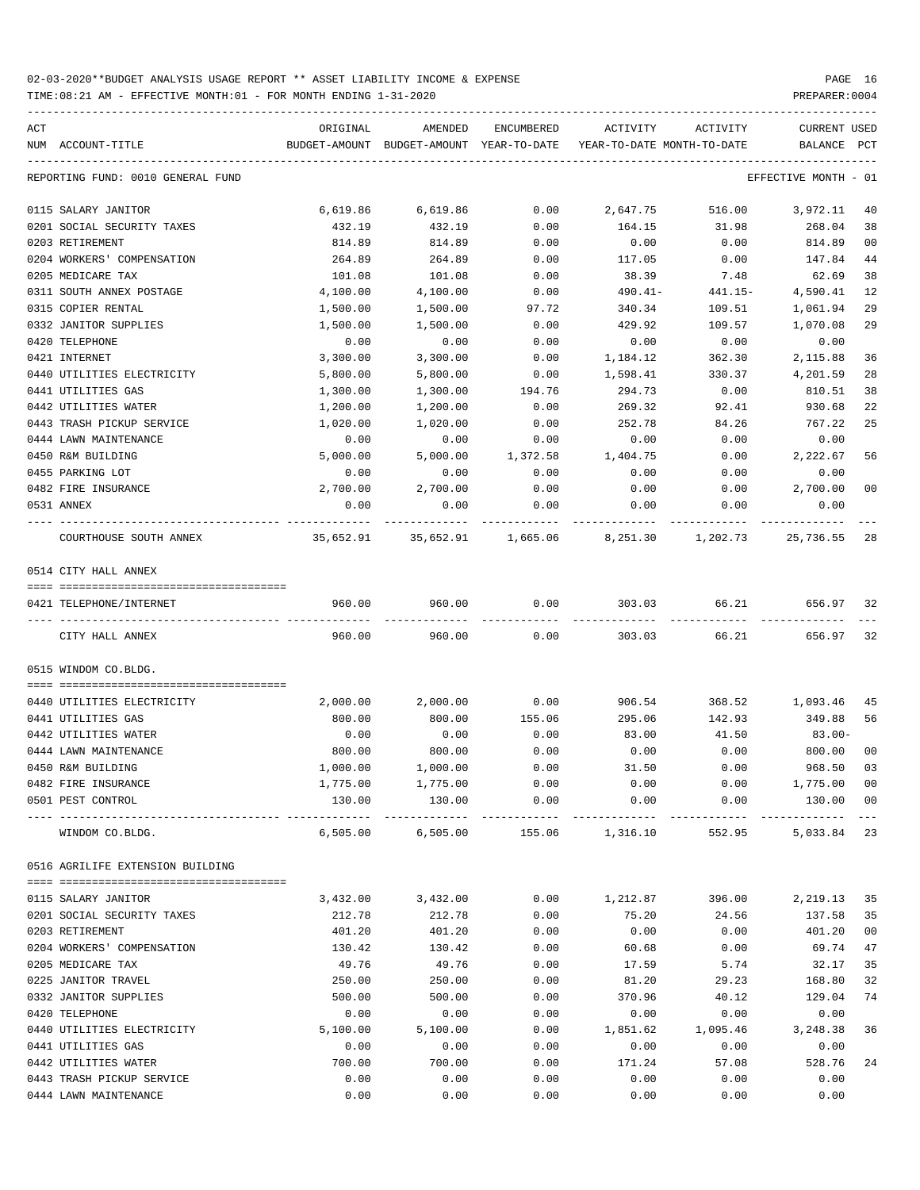TIME:08:21 AM - EFFECTIVE MONTH:01 - FOR MONTH ENDING 1-31-2020 PREPARER:0004

|     |                                   |          |                                                     |            |                                        |          | CURRENT USED                |                     |
|-----|-----------------------------------|----------|-----------------------------------------------------|------------|----------------------------------------|----------|-----------------------------|---------------------|
| ACT | NUM ACCOUNT-TITLE                 | ORIGINAL | AMENDED<br>BUDGET-AMOUNT BUDGET-AMOUNT YEAR-TO-DATE | ENCUMBERED | ACTIVITY<br>YEAR-TO-DATE MONTH-TO-DATE | ACTIVITY | BALANCE                     | PCT                 |
|     |                                   |          |                                                     |            |                                        |          |                             |                     |
|     | REPORTING FUND: 0010 GENERAL FUND |          |                                                     |            |                                        |          | EFFECTIVE MONTH - 01        |                     |
|     | 0115 SALARY JANITOR               | 6,619.86 | 6,619.86                                            | 0.00       | 2,647.75                               | 516.00   | 3,972.11                    | 40                  |
|     | 0201 SOCIAL SECURITY TAXES        | 432.19   | 432.19                                              | 0.00       | 164.15                                 | 31.98    | 268.04                      | 38                  |
|     | 0203 RETIREMENT                   | 814.89   | 814.89                                              | 0.00       | 0.00                                   | 0.00     | 814.89                      | 0 <sub>0</sub>      |
|     | 0204 WORKERS' COMPENSATION        | 264.89   | 264.89                                              | 0.00       | 117.05                                 | 0.00     | 147.84                      | 44                  |
|     | 0205 MEDICARE TAX                 | 101.08   | 101.08                                              | 0.00       | 38.39                                  | 7.48     | 62.69                       | 38                  |
|     | 0311 SOUTH ANNEX POSTAGE          | 4,100.00 | 4,100.00                                            | 0.00       | $490.41 -$                             | 441.15-  | 4,590.41                    | 12                  |
|     | 0315 COPIER RENTAL                | 1,500.00 | 1,500.00                                            | 97.72      | 340.34                                 | 109.51   | 1,061.94                    | 29                  |
|     | 0332 JANITOR SUPPLIES             | 1,500.00 | 1,500.00                                            | 0.00       | 429.92                                 | 109.57   | 1,070.08                    | 29                  |
|     | 0420 TELEPHONE                    | 0.00     | 0.00                                                | 0.00       | 0.00                                   | 0.00     | 0.00                        |                     |
|     | 0421 INTERNET                     | 3,300.00 | 3,300.00                                            | 0.00       | 1,184.12                               | 362.30   | 2,115.88                    | 36                  |
|     | 0440 UTILITIES ELECTRICITY        | 5,800.00 | 5,800.00                                            | 0.00       | 1,598.41                               | 330.37   | 4,201.59                    | 28                  |
|     | 0441 UTILITIES GAS                | 1,300.00 | 1,300.00                                            | 194.76     | 294.73                                 | 0.00     | 810.51                      | 38                  |
|     | 0442 UTILITIES WATER              | 1,200.00 | 1,200.00                                            | 0.00       | 269.32                                 | 92.41    | 930.68                      | 22                  |
|     | 0443 TRASH PICKUP SERVICE         | 1,020.00 | 1,020.00                                            | 0.00       | 252.78                                 | 84.26    | 767.22                      | 25                  |
|     | 0444 LAWN MAINTENANCE             | 0.00     | 0.00                                                | 0.00       | 0.00                                   | 0.00     | 0.00                        |                     |
|     | 0450 R&M BUILDING                 | 5,000.00 | 5,000.00                                            | 1,372.58   | 1,404.75                               | 0.00     | 2,222.67                    | 56                  |
|     | 0455 PARKING LOT                  | 0.00     | 0.00                                                | 0.00       | 0.00                                   | 0.00     | 0.00                        |                     |
|     | 0482 FIRE INSURANCE               | 2,700.00 | 2,700.00                                            | 0.00       | 0.00                                   | 0.00     | 2,700.00                    | 0 <sub>0</sub>      |
|     | 0531 ANNEX                        | 0.00     | 0.00                                                | 0.00       | 0.00                                   | 0.00     | 0.00                        |                     |
|     | COURTHOUSE SOUTH ANNEX            |          |                                                     |            |                                        | 1,202.73 | 25,736.55                   | 28                  |
|     | 0514 CITY HALL ANNEX              |          |                                                     |            |                                        |          |                             |                     |
|     |                                   |          |                                                     |            |                                        |          |                             |                     |
|     | 0421 TELEPHONE/INTERNET           | 960.00   | 960.00                                              | 0.00       | 303.03                                 | 66.21    | 656.97                      | 32                  |
|     | CITY HALL ANNEX                   | 960.00   | 960.00                                              | 0.00       | 303.03                                 | 66.21    | 656.97                      | 32                  |
|     | 0515 WINDOM CO.BLDG.              |          |                                                     |            |                                        |          |                             |                     |
|     |                                   |          |                                                     |            |                                        |          |                             |                     |
|     | 0440 UTILITIES ELECTRICITY        | 2,000.00 | 2,000.00                                            | 0.00       | 906.54                                 | 368.52   | 1,093.46                    | 45                  |
|     | 0441 UTILITIES GAS                | 800.00   | 800.00                                              | 155.06     | 295.06                                 | 142.93   | 349.88                      | 56                  |
|     | 0442 UTILITIES WATER              | 0.00     | 0.00                                                | 0.00       | 83.00                                  | 41.50    | $83.00 -$                   |                     |
|     | 0444 LAWN MAINTENANCE             | 800.00   | 800.00                                              | 0.00       | 0.00                                   | 0.00     | 800.00                      | 0 <sub>0</sub>      |
|     | 0450 R&M BUILDING                 | 1,000.00 | 1,000.00                                            | 0.00       | 31.50                                  | 0.00     | 968.50                      | 03                  |
|     | 0482 FIRE INSURANCE               |          | 1,775.00 1,775.00                                   | 0.00       | 0.00                                   |          | $0.00$ $1,775.00$ 00        |                     |
|     | 0501 PEST CONTROL                 | 130.00   | 130.00                                              | 0.00       | 0.00                                   | 0.00     | 130.00 00<br>______________ | $\qquad \qquad - -$ |
|     | WINDOM CO.BLDG.                   | 6,505.00 | 6,505.00                                            |            | 155.06 1,316.10                        | 552.95   | 5,033.84 23                 |                     |
|     | 0516 AGRILIFE EXTENSION BUILDING  |          |                                                     |            |                                        |          |                             |                     |
|     | 0115 SALARY JANITOR               | 3,432.00 | 3,432.00                                            | 0.00       | 1,212.87                               | 396.00   | 2,219.13                    | 35                  |
|     | 0201 SOCIAL SECURITY TAXES        | 212.78   | 212.78                                              | 0.00       | 75.20                                  | 24.56    | 137.58                      | 35                  |
|     | 0203 RETIREMENT                   | 401.20   | 401.20                                              | 0.00       | 0.00                                   | 0.00     | 401.20                      | 0 <sub>0</sub>      |
|     | 0204 WORKERS' COMPENSATION        | 130.42   | 130.42                                              | 0.00       | 60.68                                  | 0.00     | 69.74                       | 47                  |
|     | 0205 MEDICARE TAX                 | 49.76    | 49.76                                               | 0.00       | 17.59                                  | 5.74     | 32.17                       | 35                  |
|     | 0225 JANITOR TRAVEL               | 250.00   | 250.00                                              | 0.00       | 81.20                                  | 29.23    | 168.80                      | 32                  |
|     | 0332 JANITOR SUPPLIES             | 500.00   | 500.00                                              | 0.00       | 370.96                                 | 40.12    | 129.04                      | 74                  |
|     | 0420 TELEPHONE                    | 0.00     | 0.00                                                | 0.00       | 0.00                                   | 0.00     | 0.00                        |                     |
|     | 0440 UTILITIES ELECTRICITY        | 5,100.00 | 5,100.00                                            | 0.00       | 1,851.62                               | 1,095.46 | 3,248.38                    | 36                  |
|     | 0441 UTILITIES GAS                | 0.00     | 0.00                                                | 0.00       | 0.00                                   | 0.00     | 0.00                        |                     |
|     |                                   | 700.00   | 700.00                                              | 0.00       |                                        |          | 528.76                      | 24                  |
|     | 0442 UTILITIES WATER              |          |                                                     |            | 171.24                                 | 57.08    |                             |                     |
|     | 0443 TRASH PICKUP SERVICE         | 0.00     | 0.00                                                | 0.00       | 0.00                                   | 0.00     | 0.00                        |                     |

0444 LAWN MAINTENANCE 0.00 0.00 0.00 0.00 0.00 0.00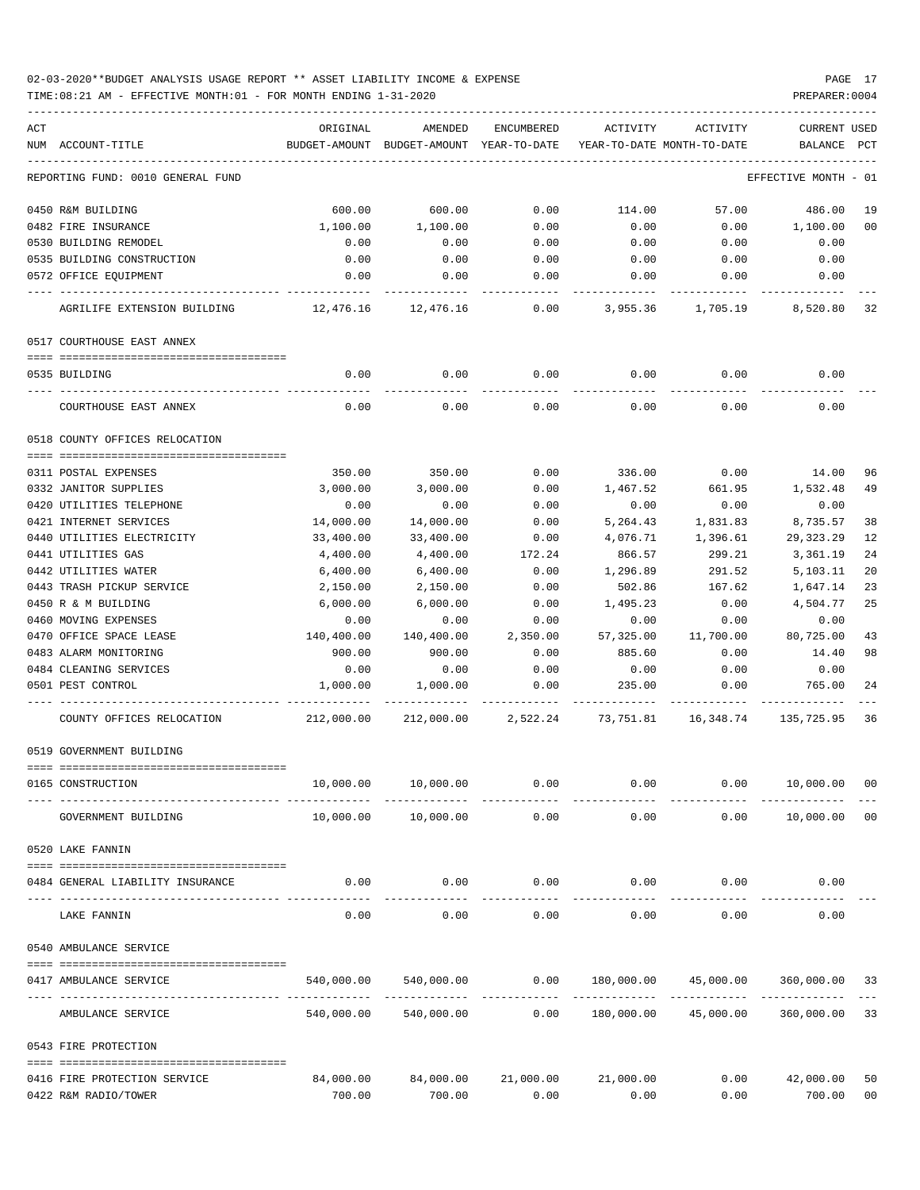| ACT<br>NUM ACCOUNT-TITLE          | ORIGINAL<br>BUDGET-AMOUNT | AMENDED<br>BUDGET-AMOUNT YEAR-TO-DATE | ENCUMBERED            | ACTIVITY<br>YEAR-TO-DATE MONTH-TO-DATE                  | ACTIVITY             | <b>CURRENT USED</b><br>BALANCE | PCT |
|-----------------------------------|---------------------------|---------------------------------------|-----------------------|---------------------------------------------------------|----------------------|--------------------------------|-----|
| REPORTING FUND: 0010 GENERAL FUND |                           |                                       |                       |                                                         |                      | EFFECTIVE MONTH - 01           |     |
| 0450 R&M BUILDING                 | 600.00                    | 600.00                                | 0.00                  | 114.00                                                  | 57.00                | 486.00                         | 19  |
| 0482 FIRE INSURANCE               | 1,100.00                  | 1,100.00                              | 0.00                  | 0.00                                                    | 0.00                 | 1,100.00                       | 00  |
| 0530 BUILDING REMODEL             | 0.00                      | 0.00                                  | 0.00                  | 0.00                                                    | 0.00                 | 0.00                           |     |
| 0535 BUILDING CONSTRUCTION        | 0.00                      | 0.00                                  | 0.00                  | 0.00                                                    | 0.00                 | 0.00                           |     |
| 0572 OFFICE EQUIPMENT             | 0.00                      | 0.00                                  | 0.00                  | 0.00                                                    | 0.00                 | 0.00                           |     |
| AGRILIFE EXTENSION BUILDING       | 12,476.16                 | 12,476.16                             | 0.00                  | 3,955.36                                                | 1,705.19             | 8,520.80 32                    |     |
| 0517 COURTHOUSE EAST ANNEX        |                           |                                       |                       |                                                         |                      |                                |     |
| 0535 BUILDING                     | 0.00                      | 0.00                                  | 0.00                  | 0.00                                                    | 0.00                 | 0.00                           |     |
| COURTHOUSE EAST ANNEX             | 0.00                      | 0.00                                  | 0.00                  | 0.00                                                    | 0.00                 | 0.00                           |     |
| 0518 COUNTY OFFICES RELOCATION    |                           |                                       |                       |                                                         |                      |                                |     |
| 0311 POSTAL EXPENSES              | 350.00                    | 350.00                                | 0.00                  | 336.00                                                  | 0.00                 | 14.00                          | 96  |
| 0332 JANITOR SUPPLIES             | 3,000.00                  | 3,000.00                              | 0.00                  | 1,467.52                                                | 661.95               | 1,532.48                       | 49  |
| 0420 UTILITIES TELEPHONE          | 0.00                      | 0.00                                  | 0.00                  | 0.00                                                    | 0.00                 | 0.00                           |     |
| 0421 INTERNET SERVICES            | 14,000.00                 | 14,000.00                             | 0.00                  | 5,264.43                                                | 1,831.83             | 8,735.57                       | 38  |
| 0440 UTILITIES ELECTRICITY        | 33,400.00                 | 33,400.00                             | 0.00                  | 4,076.71                                                | 1,396.61             | 29, 323. 29                    | 12  |
| 0441 UTILITIES GAS                | 4,400.00                  | 4,400.00                              | 172.24                | 866.57                                                  | 299.21               | 3,361.19                       | 24  |
| 0442 UTILITIES WATER              | 6,400.00                  | 6,400.00                              | 0.00                  | 1,296.89                                                | 291.52               | 5,103.11                       | 20  |
| 0443 TRASH PICKUP SERVICE         | 2,150.00                  | 2,150.00                              | 0.00                  | 502.86                                                  | 167.62               | 1,647.14                       | 23  |
| 0450 R & M BUILDING               | 6,000.00                  | 6,000.00                              | 0.00                  | 1,495.23                                                | 0.00                 | 4,504.77                       | 25  |
| 0460 MOVING EXPENSES              | 0.00                      | 0.00                                  | 0.00                  | 0.00                                                    | 0.00                 | 0.00                           |     |
| 0470 OFFICE SPACE LEASE           | 140,400.00                | 140,400.00                            | 2,350.00              | 57,325.00                                               | 11,700.00            | 80,725.00                      | 43  |
| 0483 ALARM MONITORING             | 900.00                    | 900.00                                | 0.00                  | 885.60                                                  | 0.00                 | 14.40                          | 98  |
| 0484 CLEANING SERVICES            | 0.00                      | 0.00                                  | 0.00                  | 0.00                                                    | 0.00                 | 0.00                           |     |
| 0501 PEST CONTROL                 | 1,000.00                  | 1,000.00                              | 0.00                  | 235.00                                                  | 0.00                 | 765.00                         | 24  |
| COUNTY OFFICES RELOCATION         | 212,000.00                |                                       |                       | 212,000.00 2,522.24 73,751.81 16,348.74 135,725.95 36   |                      |                                |     |
| 0519 GOVERNMENT BUILDING          |                           |                                       |                       |                                                         |                      |                                |     |
| 0165 CONSTRUCTION                 | 10,000.00                 | 10,000.00                             | 0.00                  | 0.00                                                    | 0.00                 | 10,000.00 00                   |     |
| GOVERNMENT BUILDING               | 10,000.00                 | 10,000.00                             | 0.00                  | 0.00                                                    | 0.00                 | 10,000.00 00                   |     |
| 0520 LAKE FANNIN                  |                           |                                       |                       |                                                         |                      |                                |     |
| 0484 GENERAL LIABILITY INSURANCE  | 0.00                      |                                       |                       | $0.00$ $0.00$ $0.00$ $0.00$ $0.00$                      |                      | 0.00                           |     |
| LAKE FANNIN                       | 0.00                      | 0.00                                  | -------------<br>0.00 |                                                         | $0.00$ 0.00          | 0.00                           |     |
| 0540 AMBULANCE SERVICE            |                           |                                       |                       |                                                         |                      |                                |     |
| 0417 AMBULANCE SERVICE            |                           |                                       |                       | $540,000.00$ $540,000.00$ 0.00 $180,000.00$ $45,000.00$ |                      | 360,000.00 33                  |     |
| AMBULANCE SERVICE                 |                           | 540,000.00 540,000.00                 | 0.00                  |                                                         | 180,000.00 45,000.00 | 360,000.00 33                  |     |
| 0543 FIRE PROTECTION              |                           |                                       |                       |                                                         |                      |                                |     |
| 0416 FIRE PROTECTION SERVICE      |                           |                                       |                       | 84,000.00  84,000.00  21,000.00  21,000.00              |                      | $0.00$ $42,000.00$             | 50  |
| 0422 R&M RADIO/TOWER              | 700.00                    | 700.00                                | 0.00                  | 0.00                                                    | 0.00                 | 700.00                         | 00  |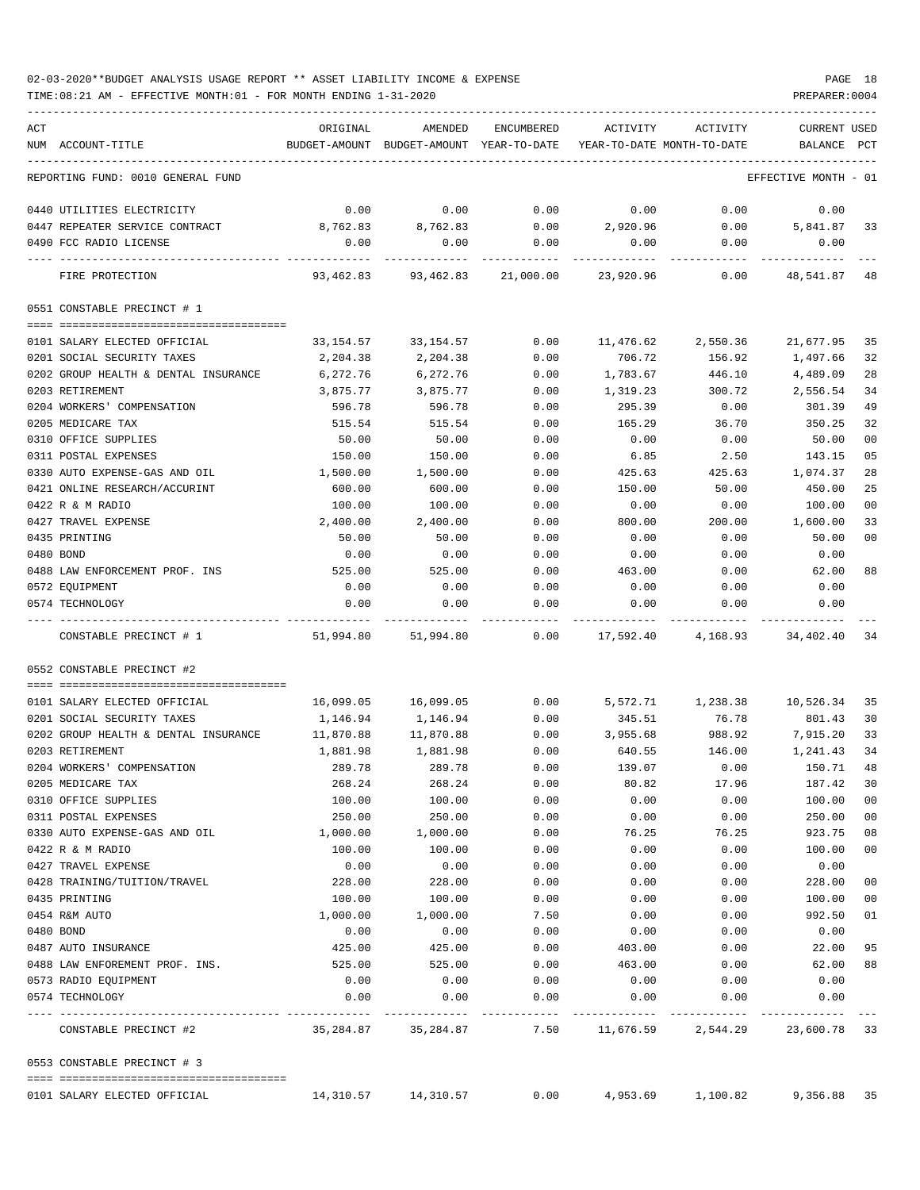| ACT |                                         | ORIGINAL      | AMENDED                    | ENCUMBERED   | ACTIVITY                   | ACTIVITY                                           | <b>CURRENT USED</b>  |     |
|-----|-----------------------------------------|---------------|----------------------------|--------------|----------------------------|----------------------------------------------------|----------------------|-----|
|     | NUM ACCOUNT-TITLE                       | BUDGET-AMOUNT | BUDGET-AMOUNT YEAR-TO-DATE |              | YEAR-TO-DATE MONTH-TO-DATE |                                                    | BALANCE              | PCT |
|     | REPORTING FUND: 0010 GENERAL FUND       |               |                            |              |                            |                                                    | EFFECTIVE MONTH - 01 |     |
|     | 0440 UTILITIES ELECTRICITY              | 0.00          | 0.00                       | 0.00         | 0.00                       | 0.00                                               | 0.00                 |     |
|     | 0447 REPEATER SERVICE CONTRACT          | 8,762.83      | 8,762.83                   | 0.00         | 2,920.96                   | 0.00                                               | 5,841.87             | 33  |
|     | 0490 FCC RADIO LICENSE                  | 0.00          | 0.00                       | 0.00         | 0.00                       | 0.00                                               | 0.00                 |     |
|     | FIRE PROTECTION                         | 93,462.83     | 93,462.83                  | 21,000.00    | 23,920.96                  | 0.00                                               | 48,541.87            | 48  |
|     | 0551 CONSTABLE PRECINCT # 1             |               |                            |              |                            |                                                    |                      |     |
|     |                                         |               |                            |              |                            |                                                    |                      |     |
|     | 0101 SALARY ELECTED OFFICIAL            | 33,154.57     | 33,154.57                  | 0.00         | 11,476.62                  | 2,550.36                                           | 21,677.95            | 35  |
|     | 0201 SOCIAL SECURITY TAXES              | 2,204.38      | 2,204.38                   | 0.00         | 706.72                     | 156.92                                             | 1,497.66             | 32  |
|     | 0202 GROUP HEALTH & DENTAL INSURANCE    | 6,272.76      | 6,272.76                   | 0.00         | 1,783.67                   | 446.10                                             | 4,489.09             | 28  |
|     | 0203 RETIREMENT                         | 3,875.77      | 3,875.77                   | 0.00         | 1,319.23                   | 300.72                                             | 2,556.54             | 34  |
|     | 0204 WORKERS' COMPENSATION              | 596.78        | 596.78                     | 0.00         | 295.39                     | 0.00                                               | 301.39               | 49  |
|     | 0205 MEDICARE TAX                       | 515.54        | 515.54                     | 0.00         | 165.29                     | 36.70                                              | 350.25               | 32  |
|     | 0310 OFFICE SUPPLIES                    | 50.00         | 50.00                      | 0.00         | 0.00                       | 0.00                                               | 50.00                | 00  |
|     | 0311 POSTAL EXPENSES                    | 150.00        | 150.00                     | 0.00         | 6.85                       | 2.50                                               | 143.15               | 05  |
|     | 0330 AUTO EXPENSE-GAS AND OIL           | 1,500.00      | 1,500.00                   | 0.00         | 425.63                     | 425.63                                             | 1,074.37             | 28  |
|     | 0421 ONLINE RESEARCH/ACCURINT           | 600.00        | 600.00                     | 0.00         | 150.00                     | 50.00                                              | 450.00               | 25  |
|     | 0422 R & M RADIO                        | 100.00        | 100.00                     | 0.00         | 0.00                       | 0.00                                               | 100.00               | 00  |
|     | 0427 TRAVEL EXPENSE                     | 2,400.00      | 2,400.00                   | 0.00         | 800.00                     | 200.00                                             | 1,600.00             | 33  |
|     | 0435 PRINTING                           | 50.00         | 50.00                      | 0.00         | 0.00                       | 0.00                                               | 50.00                | 00  |
|     | 0480 BOND                               | 0.00          | 0.00                       | 0.00         | 0.00                       | 0.00                                               | 0.00                 |     |
|     | 0488 LAW ENFORCEMENT PROF. INS          | 525.00        | 525.00                     | 0.00         | 463.00                     | 0.00                                               | 62.00                | 88  |
|     | 0572 EQUIPMENT                          | 0.00          | 0.00                       | 0.00         | 0.00                       | 0.00                                               | 0.00                 |     |
|     | 0574 TECHNOLOGY                         | 0.00          | 0.00                       | 0.00         | 0.00                       | 0.00                                               | 0.00                 |     |
|     |                                         |               |                            |              |                            |                                                    |                      |     |
|     | CONSTABLE PRECINCT # 1                  | 51,994.80     | 51,994.80                  | 0.00         | 17,592.40                  | 4,168.93                                           | 34,402.40            | 34  |
|     | 0552 CONSTABLE PRECINCT #2              |               |                            |              |                            |                                                    |                      |     |
|     |                                         |               |                            |              |                            |                                                    |                      |     |
|     | 0101 SALARY ELECTED OFFICIAL            | 16,099.05     | 16,099.05                  | 0.00         |                            | 5,572.71 1,238.38                                  | 10,526.34            | 35  |
|     | 0201 SOCIAL SECURITY TAXES              | 1,146.94      | 1,146.94                   | 0.00         | 345.51                     | 76.78                                              | 801.43               | 30  |
|     | 0202 GROUP HEALTH & DENTAL INSURANCE    | 11,870.88     | 11,870.88                  | 0.00         | 3,955.68                   | 988.92                                             | 7,915.20             | 33  |
|     | 0203 RETIREMENT                         | 1,881.98      | 1,881.98                   | 0.00         | 640.55                     | 146.00                                             | 1,241.43             | 34  |
|     | 0204 WORKERS' COMPENSATION              | 289.78        | 289.78                     | 0.00         | 139.07                     | 0.00                                               | 150.71               | 48  |
|     | 0205 MEDICARE TAX                       | 268.24        | 268.24                     | 0.00         | 80.82                      | 17.96                                              | 187.42               | 30  |
|     | 0310 OFFICE SUPPLIES                    | 100.00        | 100.00                     | 0.00         | 0.00                       | 0.00                                               | 100.00               | 00  |
|     | 0311 POSTAL EXPENSES                    | 250.00        | 250.00                     | 0.00         | 0.00                       | 0.00                                               | 250.00               | 00  |
|     | 0330 AUTO EXPENSE-GAS AND OIL           | 1,000.00      | 1,000.00                   | 0.00         | 76.25                      | 76.25                                              | 923.75               | 08  |
|     | 0422 R & M RADIO                        | 100.00        | 100.00                     | 0.00         | 0.00                       | 0.00                                               | 100.00               | 00  |
|     | 0427 TRAVEL EXPENSE                     | 0.00          | 0.00                       | 0.00         | 0.00                       | 0.00                                               | 0.00                 |     |
|     | 0428 TRAINING/TUITION/TRAVEL            | 228.00        | 228.00                     | 0.00         | 0.00                       | 0.00                                               | 228.00               | 00  |
|     | 0435 PRINTING                           | 100.00        | 100.00                     | 0.00         | 0.00                       | 0.00                                               | 100.00               | 00  |
|     | 0454 R&M AUTO                           | 1,000.00      | 1,000.00                   | 7.50         | 0.00                       | 0.00                                               | 992.50               | 01  |
|     | 0480 BOND                               | 0.00          | 0.00                       | 0.00         | 0.00                       | 0.00                                               | 0.00                 |     |
|     | 0487 AUTO INSURANCE                     | 425.00        | 425.00                     | 0.00         | 403.00                     | 0.00                                               | 22.00                | 95  |
|     | 0488 LAW ENFOREMENT PROF. INS.          | 525.00        | 525.00                     | 0.00         | 463.00                     | 0.00                                               | 62.00                | 88  |
|     |                                         |               |                            |              |                            |                                                    |                      |     |
|     | 0573 RADIO EQUIPMENT<br>0574 TECHNOLOGY | 0.00<br>0.00  | 0.00<br>0.00               | 0.00<br>0.00 | 0.00<br>0.00               | 0.00<br>0.00                                       | 0.00<br>0.00         |     |
|     |                                         |               |                            | -----------  |                            |                                                    |                      |     |
|     | CONSTABLE PRECINCT #2                   | 35,284.87     |                            |              |                            | 35, 284.87 7.50 11, 676.59 2, 544.29 23, 600.78 33 |                      |     |
|     | 0553 CONSTABLE PRECINCT # 3             |               |                            |              |                            |                                                    |                      |     |
|     |                                         |               |                            |              |                            |                                                    |                      |     |
|     | 0101 SALARY ELECTED OFFICIAL            |               | 14,310.57 14,310.57        | 0.00         |                            | 4,953.69 1,100.82 9,356.88 35                      |                      |     |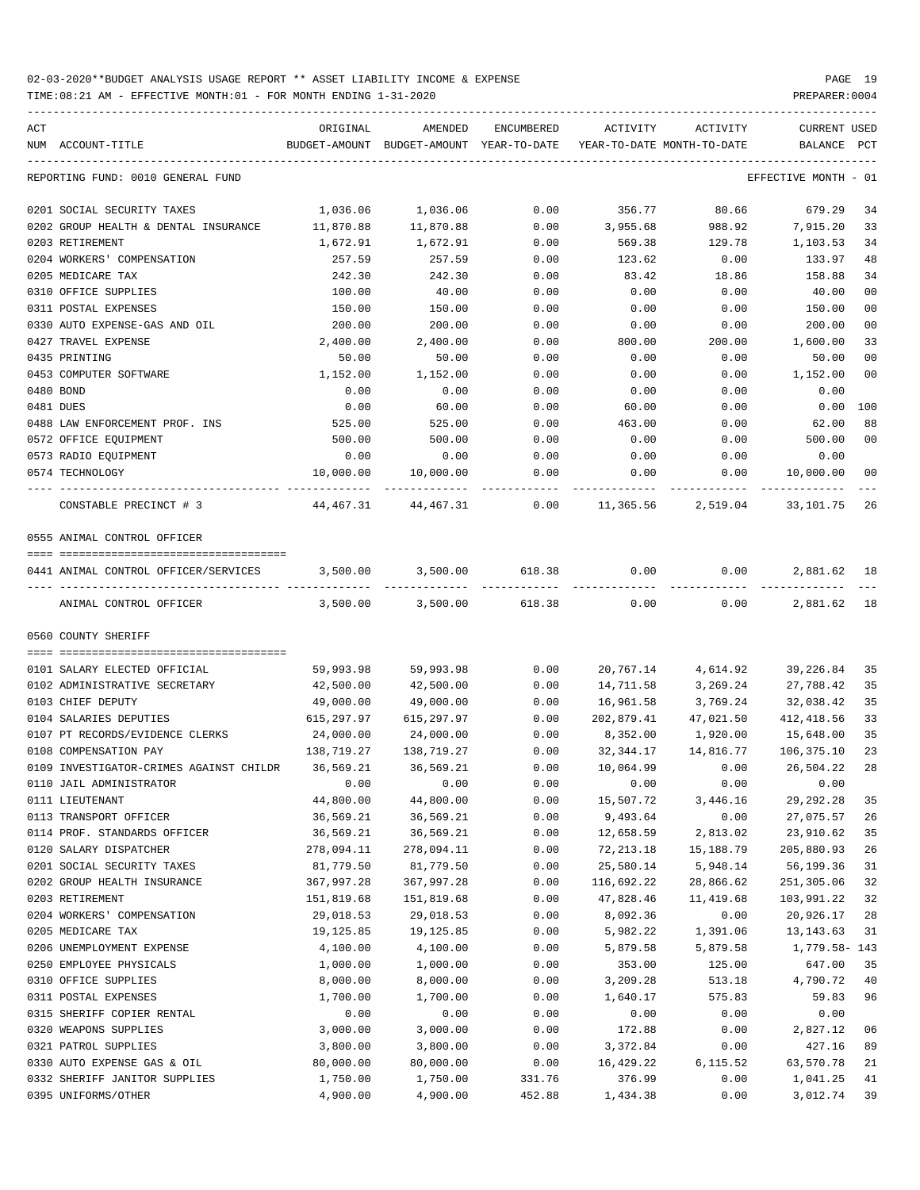TIME:08:21 AM - EFFECTIVE MONTH:01 - FOR MONTH ENDING 1-31-2020 PREPARER:0004

| ACT                                                      | ORIGINAL                | AMENDED                                               | ENCUMBERED             | ACTIVITY               | ACTIVITY              | <b>CURRENT USED</b>     |                |
|----------------------------------------------------------|-------------------------|-------------------------------------------------------|------------------------|------------------------|-----------------------|-------------------------|----------------|
| NUM ACCOUNT-TITLE                                        | BUDGET-AMOUNT           | BUDGET-AMOUNT YEAR-TO-DATE YEAR-TO-DATE MONTH-TO-DATE |                        |                        |                       | BALANCE PCT             |                |
| REPORTING FUND: 0010 GENERAL FUND                        |                         |                                                       |                        |                        |                       | EFFECTIVE MONTH - 01    |                |
| 0201 SOCIAL SECURITY TAXES                               | 1,036.06                | 1,036.06                                              | 0.00                   | 356.77                 | 80.66                 | 679.29                  | 34             |
| 0202 GROUP HEALTH & DENTAL INSURANCE                     | 11,870.88               | 11,870.88                                             | 0.00                   | 3,955.68               | 988.92                | 7,915.20                | 33             |
| 0203 RETIREMENT                                          | 1,672.91                | 1,672.91                                              | 0.00                   | 569.38                 | 129.78                | 1,103.53                | 34             |
| 0204 WORKERS' COMPENSATION                               | 257.59                  | 257.59                                                | 0.00                   | 123.62                 | 0.00                  | 133.97                  | 48             |
| 0205 MEDICARE TAX                                        | 242.30                  | 242.30                                                | 0.00                   | 83.42                  | 18.86                 | 158.88                  | 34             |
| 0310 OFFICE SUPPLIES                                     | 100.00                  | 40.00                                                 | 0.00                   | 0.00                   | 0.00                  | 40.00                   | 0 <sub>0</sub> |
| 0311 POSTAL EXPENSES                                     | 150.00                  | 150.00                                                | 0.00                   | 0.00                   | 0.00                  | 150.00                  | 00             |
| 0330 AUTO EXPENSE-GAS AND OIL                            | 200.00                  | 200.00                                                | 0.00                   | 0.00                   | 0.00                  | 200.00                  | 0 <sub>0</sub> |
| 0427 TRAVEL EXPENSE                                      | 2,400.00                | 2,400.00                                              | 0.00                   | 800.00                 | 200.00                | 1,600.00                | 33             |
| 0435 PRINTING                                            | 50.00                   | 50.00                                                 | 0.00                   | 0.00                   | 0.00                  | 50.00<br>1,152.00       | 0 <sub>0</sub> |
| 0453 COMPUTER SOFTWARE<br>0480 BOND                      | 1,152.00<br>0.00        | 1,152.00<br>0.00                                      | 0.00<br>0.00           | 0.00<br>0.00           | 0.00<br>0.00          | 0.00                    | 0 <sub>0</sub> |
| 0481 DUES                                                | 0.00                    | 60.00                                                 | 0.00                   | 60.00                  | 0.00                  | 0.00                    | 100            |
| 0488 LAW ENFORCEMENT PROF. INS                           | 525.00                  | 525.00                                                | 0.00                   | 463.00                 | 0.00                  | 62.00                   | 88             |
| 0572 OFFICE EQUIPMENT                                    | 500.00                  | 500.00                                                | 0.00                   | 0.00                   | 0.00                  | 500.00                  | 0 <sub>0</sub> |
| 0573 RADIO EQUIPMENT                                     | 0.00                    | 0.00                                                  | 0.00                   | 0.00                   | 0.00                  | 0.00                    |                |
| 0574 TECHNOLOGY                                          | 10,000.00               | 10,000.00                                             | 0.00                   | 0.00                   | 0.00                  | 10,000.00               | 00             |
| CONSTABLE PRECINCT # 3                                   | 44,467.31               | 44,467.31                                             | 0.00                   |                        | 11,365.56 2,519.04    | 33,101.75               | 26             |
| 0555 ANIMAL CONTROL OFFICER                              |                         |                                                       |                        |                        |                       |                         |                |
| 0441 ANIMAL CONTROL OFFICER/SERVICES                     | 3,500.00                | 3,500.00                                              | 618.38                 | 0.00                   | 0.00                  | 2,881.62                | 18             |
| ---- -----------------<br>ANIMAL CONTROL OFFICER         | 3,500.00                | 3,500.00                                              | ------------<br>618.38 | 0.00                   | 0.00                  | 2,881.62                | 18             |
| 0560 COUNTY SHERIFF                                      |                         |                                                       |                        |                        |                       |                         |                |
|                                                          |                         |                                                       |                        |                        |                       |                         |                |
| 0101 SALARY ELECTED OFFICIAL                             | 59,993.98               | 59,993.98                                             | 0.00                   |                        | 20,767.14 4,614.92    | 39,226.84               | 35             |
| 0102 ADMINISTRATIVE SECRETARY                            | 42,500.00               | 42,500.00                                             | 0.00                   | 14,711.58              | 3,269.24              | 27,788.42               | 35             |
| 0103 CHIEF DEPUTY                                        | 49,000.00               | 49,000.00                                             | 0.00                   | 16,961.58              | 3,769.24              | 32,038.42               | 35             |
| 0104 SALARIES DEPUTIES                                   | 615,297.97              | 615,297.97                                            | 0.00                   | 202,879.41<br>8,352.00 | 47,021.50             | 412, 418.56             | 33             |
| 0107 PT RECORDS/EVIDENCE CLERKS<br>0108 COMPENSATION PAY | 24,000.00<br>138,719.27 | 24,000.00<br>138,719.27                               | 0.00<br>0.00           | 32,344.17              | 1,920.00<br>14,816.77 | 15,648.00<br>106,375.10 | 35<br>23       |
| 0109 INVESTIGATOR-CRIMES AGAINST CHILDR                  | 36,569.21               | 36,569.21                                             | 0.00                   | 10,064.99              | 0.00                  | 26,504.22               | 28             |
| 0110 JAIL ADMINISTRATOR                                  | 0.00                    | 0.00                                                  | 0.00                   | 0.00                   | 0.00                  | 0.00                    |                |
| 0111 LIEUTENANT                                          | 44,800.00               | 44,800.00                                             | 0.00                   | 15,507.72              | 3,446.16              | 29, 292. 28             | 35             |
| 0113 TRANSPORT OFFICER                                   | 36,569.21               | 36,569.21                                             | 0.00                   | 9,493.64               | 0.00                  | 27,075.57               | 26             |
| 0114 PROF. STANDARDS OFFICER                             | 36,569.21               | 36,569.21                                             | 0.00                   | 12,658.59              | 2,813.02              | 23,910.62               | 35             |
| 0120 SALARY DISPATCHER                                   | 278,094.11              | 278,094.11                                            | 0.00                   | 72, 213.18             | 15,188.79             | 205,880.93              | 26             |
| 0201 SOCIAL SECURITY TAXES                               | 81,779.50               | 81,779.50                                             | 0.00                   | 25,580.14              | 5,948.14              | 56,199.36               | 31             |
| 0202 GROUP HEALTH INSURANCE                              | 367,997.28              | 367,997.28                                            | 0.00                   | 116,692.22             | 28,866.62             | 251,305.06              | 32             |
| 0203 RETIREMENT                                          | 151,819.68              | 151,819.68                                            | 0.00                   | 47,828.46              | 11,419.68             | 103,991.22              | 32             |
| 0204 WORKERS' COMPENSATION                               | 29,018.53               | 29,018.53                                             | 0.00                   | 8,092.36               | 0.00                  | 20,926.17               | 28             |
| 0205 MEDICARE TAX                                        | 19,125.85               | 19, 125.85                                            | 0.00                   | 5,982.22               | 1,391.06              | 13, 143. 63             | 31             |
| 0206 UNEMPLOYMENT EXPENSE                                | 4,100.00                | 4,100.00                                              | 0.00                   | 5,879.58               | 5,879.58              | 1,779.58-143            |                |
| 0250 EMPLOYEE PHYSICALS                                  | 1,000.00                | 1,000.00                                              | 0.00                   | 353.00                 | 125.00                | 647.00                  | 35             |
| 0310 OFFICE SUPPLIES                                     | 8,000.00                | 8,000.00                                              | 0.00                   | 3,209.28               | 513.18                | 4,790.72                | 40             |
| 0311 POSTAL EXPENSES                                     | 1,700.00                | 1,700.00                                              | 0.00                   | 1,640.17               | 575.83                | 59.83                   | 96             |
| 0315 SHERIFF COPIER RENTAL                               | 0.00                    | 0.00                                                  | 0.00                   | 0.00                   | 0.00                  | 0.00                    |                |
| 0320 WEAPONS SUPPLIES                                    | 3,000.00                | 3,000.00                                              | 0.00                   | 172.88                 | 0.00                  | 2,827.12                | 06             |
| 0321 PATROL SUPPLIES                                     | 3,800.00                | 3,800.00                                              | 0.00                   | 3,372.84               | 0.00                  | 427.16                  | 89             |
| 0330 AUTO EXPENSE GAS & OIL                              | 80,000.00               | 80,000.00                                             | 0.00                   | 16,429.22              | 6,115.52              | 63,570.78               | 21             |
| 0332 SHERIFF JANITOR SUPPLIES                            | 1,750.00                | 1,750.00                                              | 331.76                 | 376.99                 | 0.00                  | 1,041.25                | 41             |

0395 UNIFORMS/OTHER 4,900.00 4,900.00 452.88 1,434.38 0.00 3,012.74 39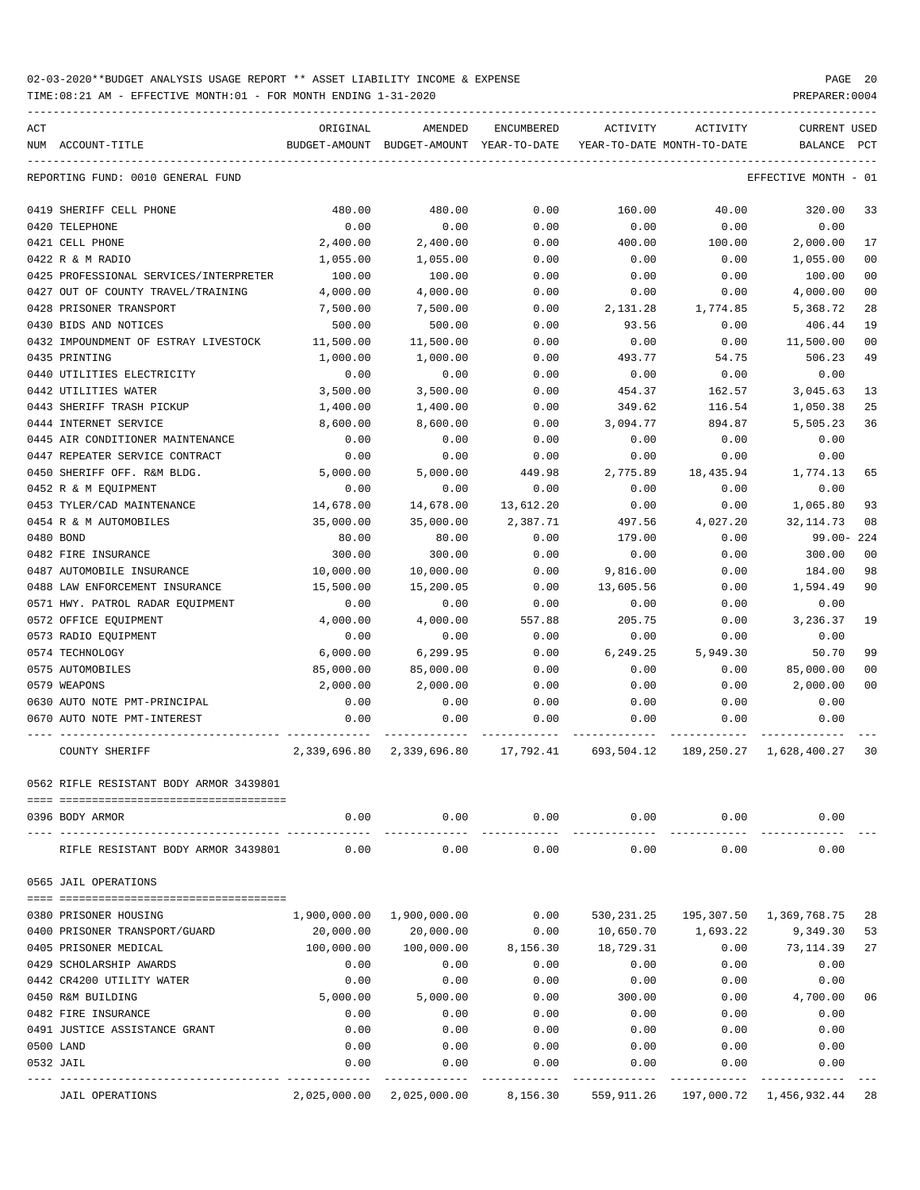| ACT | NUM ACCOUNT-TITLE                       | ORIGINAL<br>BUDGET-AMOUNT | AMENDED<br>BUDGET-AMOUNT | <b>ENCUMBERED</b><br>YEAR-TO-DATE | ACTIVITY<br>YEAR-TO-DATE MONTH-TO-DATE | ACTIVITY  | <b>CURRENT USED</b><br>BALANCE | PCT  |
|-----|-----------------------------------------|---------------------------|--------------------------|-----------------------------------|----------------------------------------|-----------|--------------------------------|------|
|     | REPORTING FUND: 0010 GENERAL FUND       |                           |                          |                                   |                                        |           | EFFECTIVE MONTH                | - 01 |
|     | 0419 SHERIFF CELL PHONE                 | 480.00                    | 480.00                   | 0.00                              | 160.00                                 | 40.00     | 320.00                         | 33   |
|     | 0420 TELEPHONE                          | 0.00                      | 0.00                     | 0.00                              | 0.00                                   | 0.00      | 0.00                           |      |
|     | 0421 CELL PHONE                         | 2,400.00                  | 2,400.00                 | 0.00                              | 400.00                                 | 100.00    | 2,000.00                       | 17   |
|     | 0422 R & M RADIO                        | 1,055.00                  | 1,055.00                 | 0.00                              | 0.00                                   | 0.00      | 1,055.00                       | 00   |
|     | 0425 PROFESSIONAL SERVICES/INTERPRETER  | 100.00                    | 100.00                   | 0.00                              | 0.00                                   | 0.00      | 100.00                         | 00   |
|     | 0427 OUT OF COUNTY TRAVEL/TRAINING      | 4,000.00                  | 4,000.00                 | 0.00                              | 0.00                                   | 0.00      | 4,000.00                       | 00   |
|     | 0428 PRISONER TRANSPORT                 | 7,500.00                  | 7,500.00                 | 0.00                              | 2,131.28                               | 1,774.85  | 5,368.72                       | 28   |
|     | 0430 BIDS AND NOTICES                   | 500.00                    | 500.00                   | 0.00                              | 93.56                                  | 0.00      | 406.44                         | 19   |
|     | 0432 IMPOUNDMENT OF ESTRAY LIVESTOCK    | 11,500.00                 | 11,500.00                | 0.00                              | 0.00                                   | 0.00      | 11,500.00                      | 00   |
|     | 0435 PRINTING                           | 1,000.00                  | 1,000.00                 | 0.00                              | 493.77                                 | 54.75     | 506.23                         | 49   |
|     | 0440 UTILITIES ELECTRICITY              | 0.00                      | 0.00                     | 0.00                              | 0.00                                   | 0.00      | 0.00                           |      |
|     | 0442 UTILITIES WATER                    | 3,500.00                  | 3,500.00                 | 0.00                              | 454.37                                 | 162.57    | 3,045.63                       | 13   |
|     | 0443 SHERIFF TRASH PICKUP               | 1,400.00                  | 1,400.00                 | 0.00                              | 349.62                                 | 116.54    | 1,050.38                       | 25   |
|     | 0444 INTERNET SERVICE                   | 8,600,00                  | 8,600.00                 | 0.00                              | 3,094.77                               | 894.87    | 5,505.23                       | 36   |
|     | 0445 AIR CONDITIONER MAINTENANCE        | 0.00                      | 0.00                     | 0.00                              | 0.00                                   | 0.00      | 0.00                           |      |
|     | 0447 REPEATER SERVICE CONTRACT          | 0.00                      | 0.00                     | 0.00                              | 0.00                                   | 0.00      | 0.00                           |      |
|     | 0450 SHERIFF OFF. R&M BLDG.             | 5,000.00                  | 5,000.00                 | 449.98                            | 2,775.89                               | 18,435.94 | 1,774.13                       | 65   |
|     | 0452 R & M EQUIPMENT                    | 0.00                      | 0.00                     | 0.00                              | 0.00                                   | 0.00      | 0.00                           |      |
|     | 0453 TYLER/CAD MAINTENANCE              | 14,678.00                 | 14,678.00                | 13,612.20                         | 0.00                                   | 0.00      | 1,065.80                       | 93   |
|     | 0454 R & M AUTOMOBILES                  | 35,000.00                 | 35,000.00                | 2,387.71                          | 497.56                                 | 4,027.20  | 32, 114.73                     | 08   |
|     | 0480 BOND                               | 80.00                     | 80.00                    | 0.00                              | 179.00                                 | 0.00      | 99.00- 224                     |      |
|     | 0482 FIRE INSURANCE                     | 300.00                    | 300.00                   | 0.00                              | 0.00                                   | 0.00      | 300.00                         | 00   |
|     | 0487 AUTOMOBILE INSURANCE               | 10,000.00                 | 10,000.00                | 0.00                              | 9,816.00                               | 0.00      | 184.00                         | 98   |
|     | 0488 LAW ENFORCEMENT INSURANCE          | 15,500.00                 | 15,200.05                | 0.00                              | 13,605.56                              | 0.00      | 1,594.49                       | 90   |
|     | 0571 HWY. PATROL RADAR EQUIPMENT        | 0.00                      | 0.00                     | 0.00                              | 0.00                                   | 0.00      | 0.00                           |      |
|     | 0572 OFFICE EQUIPMENT                   | 4,000.00                  | 4,000.00                 | 557.88                            | 205.75                                 | 0.00      | 3,236.37                       | 19   |
|     | 0573 RADIO EQUIPMENT                    | 0.00                      | 0.00                     | 0.00                              | 0.00                                   | 0.00      | 0.00                           |      |
|     | 0574 TECHNOLOGY                         | 6,000.00                  | 6,299.95                 | 0.00                              | 6,249.25                               | 5,949.30  | 50.70                          | 99   |
|     | 0575 AUTOMOBILES                        | 85,000.00                 | 85,000.00                | 0.00                              | 0.00                                   | 0.00      | 85,000.00                      | 00   |
|     | 0579 WEAPONS                            | 2,000.00                  | 2,000.00                 | 0.00                              | 0.00                                   | 0.00      | 2,000.00                       | 00   |
|     | 0630 AUTO NOTE PMT-PRINCIPAL            | 0.00                      | 0.00                     | 0.00                              | 0.00                                   | 0.00      | 0.00                           |      |
|     | 0670 AUTO NOTE PMT-INTEREST             | 0.00                      | 0.00                     | 0.00                              | 0.00                                   | 0.00      | 0.00                           |      |
|     | <b>COUNTY SHERIFF</b>                   | 2,339,696.80              | 2,339,696.80             | 17,792.41                         | 693,504.12                             |           | 189, 250. 27 1, 628, 400. 27   | 30   |
|     | 0562 RIFLE RESISTANT BODY ARMOR 3439801 |                           |                          |                                   |                                        |           |                                |      |
|     | 0396 BODY ARMOR                         | 0.00                      | 0.00                     | 0.00                              | 0.00                                   | 0.00      | 0.00                           |      |
|     | RIFLE RESISTANT BODY ARMOR 3439801      | 0.00                      | 0.00                     | 0.00                              | 0.00                                   | 0.00      | 0.00                           |      |
|     | 0565 JAIL OPERATIONS                    |                           |                          |                                   |                                        |           |                                |      |
|     | 0380 PRISONER HOUSING                   | 1,900,000.00              | 1,900,000.00             | 0.00                              | 530,231.25                             |           | 195, 307.50 1, 369, 768.75     | 28   |
|     | 0400 PRISONER TRANSPORT/GUARD           | 20,000.00                 | 20,000.00                | 0.00                              | 10,650.70                              | 1,693.22  | 9,349.30                       | 53   |
|     | 0405 PRISONER MEDICAL                   | 100,000.00                | 100,000.00               | 8,156.30                          | 18,729.31                              | 0.00      | 73, 114.39                     | 27   |
|     | 0429 SCHOLARSHIP AWARDS                 | 0.00                      | 0.00                     | 0.00                              | 0.00                                   | 0.00      | 0.00                           |      |
|     | 0442 CR4200 UTILITY WATER               | 0.00                      | 0.00                     | 0.00                              | 0.00                                   | 0.00      | 0.00                           |      |
|     | 0450 R&M BUILDING                       | 5,000.00                  | 5,000.00                 | 0.00                              | 300.00                                 | 0.00      | 4,700.00                       | 06   |
|     | 0482 FIRE INSURANCE                     | 0.00                      | 0.00                     | 0.00                              | 0.00                                   | 0.00      | 0.00                           |      |
|     | 0491 JUSTICE ASSISTANCE GRANT           | 0.00                      | 0.00                     | 0.00                              | 0.00                                   | 0.00      | 0.00                           |      |
|     | 0500 LAND                               | 0.00                      | 0.00                     | 0.00                              | 0.00                                   | 0.00      | 0.00                           |      |
|     | 0532 JAIL                               | 0.00                      | 0.00                     | 0.00                              | 0.00                                   | 0.00      | 0.00                           |      |
|     | <b>JAIL OPERATIONS</b>                  | 2,025,000.00              | 2,025,000.00             | 8,156.30                          | 559,911.26                             |           | 197,000.72 1,456,932.44        | 28   |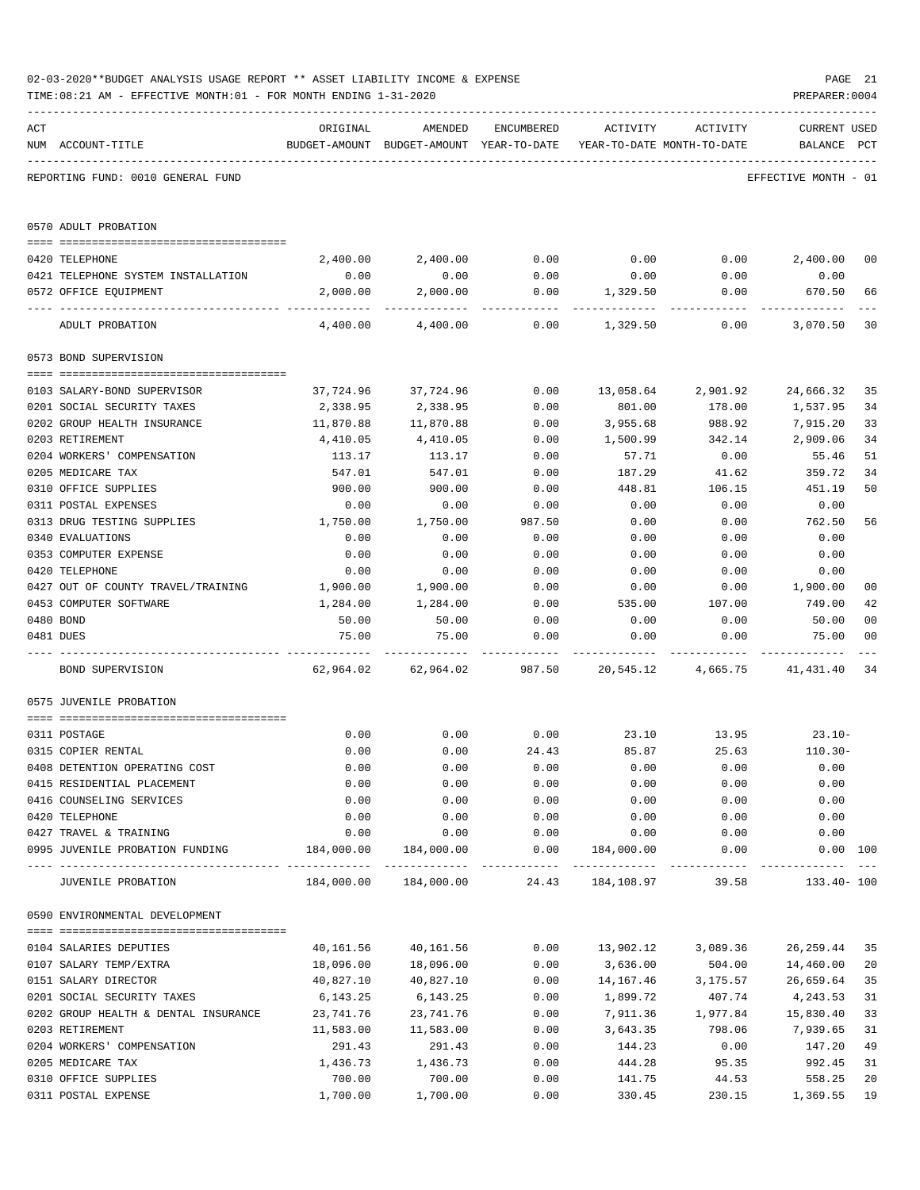|     | 02-03-2020**BUDGET ANALYSIS USAGE REPORT ** ASSET LIABILITY INCOME & EXPENSE<br>TIME: 08:21 AM - EFFECTIVE MONTH: 01 - FOR MONTH ENDING 1-31-2020 |                  |                     |                       |                                                                                 |                      | PREPARER: 0004                     | PAGE 21        |
|-----|---------------------------------------------------------------------------------------------------------------------------------------------------|------------------|---------------------|-----------------------|---------------------------------------------------------------------------------|----------------------|------------------------------------|----------------|
| ACT | NUM ACCOUNT-TITLE                                                                                                                                 | ORIGINAL         | AMENDED             | ENCUMBERED            | ACTIVITY<br>BUDGET-AMOUNT BUDGET-AMOUNT YEAR-TO-DATE YEAR-TO-DATE MONTH-TO-DATE | ACTIVITY             | <b>CURRENT USED</b><br>BALANCE PCT |                |
|     | REPORTING FUND: 0010 GENERAL FUND                                                                                                                 |                  |                     |                       |                                                                                 |                      | EFFECTIVE MONTH - 01               |                |
|     | 0570 ADULT PROBATION                                                                                                                              |                  |                     |                       |                                                                                 |                      |                                    |                |
|     |                                                                                                                                                   |                  |                     |                       |                                                                                 |                      |                                    |                |
|     | 0420 TELEPHONE<br>0421 TELEPHONE SYSTEM INSTALLATION                                                                                              | 2,400.00<br>0.00 | 2,400.00<br>0.00    | 0.00<br>0.00          | 0.00<br>0.00                                                                    | 0.00<br>0.00         | 2,400.00<br>0.00                   | 00             |
|     | 0572 OFFICE EQUIPMENT                                                                                                                             | 2,000.00         | 2,000.00            | 0.00                  | 1,329.50                                                                        | 0.00                 | 670.50                             | 66             |
|     | ADULT PROBATION                                                                                                                                   | 4,400.00         | 4,400.00            | 0.00                  | 1,329.50                                                                        | 0.00                 | 3,070.50                           | 30             |
|     | 0573 BOND SUPERVISION                                                                                                                             |                  |                     |                       |                                                                                 |                      |                                    |                |
|     |                                                                                                                                                   |                  |                     |                       |                                                                                 |                      |                                    |                |
|     | 0103 SALARY-BOND SUPERVISOR                                                                                                                       | 37,724.96        | 37,724.96           | 0.00                  | 13,058.64                                                                       | 2,901.92             | 24,666.32                          | 35             |
|     | 0201 SOCIAL SECURITY TAXES                                                                                                                        | 2,338.95         | 2,338.95            | 0.00                  | 801.00                                                                          | 178.00               | 1,537.95                           | 34             |
|     | 0202 GROUP HEALTH INSURANCE                                                                                                                       | 11,870.88        | 11,870.88           | 0.00                  | 3,955.68                                                                        | 988.92               | 7,915.20                           | 33             |
|     | 0203 RETIREMENT                                                                                                                                   | 4,410.05         | 4,410.05            | 0.00                  | 1,500.99                                                                        | 342.14               | 2,909.06                           | 34             |
|     | 0204 WORKERS' COMPENSATION                                                                                                                        | 113.17           | 113.17              | 0.00                  | 57.71                                                                           | 0.00                 | 55.46                              | 51             |
|     | 0205 MEDICARE TAX                                                                                                                                 | 547.01           | 547.01              | 0.00                  | 187.29                                                                          | 41.62<br>106.15      | 359.72                             | 34<br>50       |
|     | 0310 OFFICE SUPPLIES<br>0311 POSTAL EXPENSES                                                                                                      | 900.00<br>0.00   | 900.00<br>0.00      | 0.00<br>0.00          | 448.81<br>0.00                                                                  | 0.00                 | 451.19<br>0.00                     |                |
|     | 0313 DRUG TESTING SUPPLIES                                                                                                                        | 1,750.00         | 1,750.00            | 987.50                | 0.00                                                                            | 0.00                 | 762.50                             | 56             |
|     | 0340 EVALUATIONS                                                                                                                                  | 0.00             | 0.00                | 0.00                  | 0.00                                                                            | 0.00                 | 0.00                               |                |
|     | 0353 COMPUTER EXPENSE                                                                                                                             | 0.00             | 0.00                | 0.00                  | 0.00                                                                            | 0.00                 | 0.00                               |                |
|     | 0420 TELEPHONE                                                                                                                                    | 0.00             | 0.00                | 0.00                  | 0.00                                                                            | 0.00                 | 0.00                               |                |
|     | 0427 OUT OF COUNTY TRAVEL/TRAINING                                                                                                                | 1,900.00         | 1,900.00            | 0.00                  | 0.00                                                                            | 0.00                 | 1,900.00                           | 0 <sub>0</sub> |
|     | 0453 COMPUTER SOFTWARE                                                                                                                            | 1,284.00         | 1,284.00            | 0.00                  | 535.00                                                                          | 107.00               | 749.00                             | 42             |
|     | 0480 BOND                                                                                                                                         | 50.00            | 50.00               | 0.00                  | 0.00                                                                            | 0.00                 | 50.00                              | 0 <sub>0</sub> |
|     | 0481 DUES                                                                                                                                         | 75.00            | 75.00               | 0.00                  | 0.00                                                                            | 0.00                 | 75.00                              | 0 <sub>0</sub> |
|     | BOND SUPERVISION                                                                                                                                  |                  | 62,964.02 62,964.02 | 987.50                | 20,545.12                                                                       | 4,665.75             | 41,431.40                          | 34             |
|     | 0575 JUVENILE PROBATION                                                                                                                           |                  |                     |                       |                                                                                 |                      |                                    |                |
|     | 0311 POSTAGE                                                                                                                                      | 0.00             | 0.00                | 0.00                  |                                                                                 | 23.10 13.95          | $23.10-$                           |                |
|     | 0315 COPIER RENTAL                                                                                                                                | 0.00             | 0.00                | 24.43                 | 85.87                                                                           | 25.63                | $110.30 -$                         |                |
|     | 0408 DETENTION OPERATING COST                                                                                                                     | 0.00             | 0.00                | 0.00                  | 0.00                                                                            | 0.00                 | 0.00                               |                |
|     | 0415 RESIDENTIAL PLACEMENT                                                                                                                        | 0.00             | 0.00                | 0.00                  | 0.00                                                                            | 0.00                 | 0.00                               |                |
|     | 0416 COUNSELING SERVICES                                                                                                                          | 0.00             | 0.00                | 0.00                  | 0.00                                                                            | 0.00                 | 0.00                               |                |
|     | 0420 TELEPHONE                                                                                                                                    | 0.00             | 0.00                | 0.00                  | 0.00                                                                            | 0.00                 | 0.00                               |                |
|     | 0427 TRAVEL & TRAINING                                                                                                                            | 0.00             | 0.00                | 0.00                  | 0.00                                                                            | 0.00                 | 0.00                               |                |
|     | 0995 JUVENILE PROBATION FUNDING                                                                                                                   | 184,000.00       | 184,000.00          | 0.00<br>------------- | 184,000.00<br>______________                                                    | 0.00<br>------------ | 0.00 100                           |                |
|     | JUVENILE PROBATION                                                                                                                                | 184,000.00       | 184,000.00          | 24.43                 | 184,108.97                                                                      | 39.58                | 133.40- 100                        |                |
|     | 0590 ENVIRONMENTAL DEVELOPMENT                                                                                                                    |                  |                     |                       |                                                                                 |                      |                                    |                |
|     | 0104 SALARIES DEPUTIES                                                                                                                            | 40,161.56        | 40,161.56           | 0.00                  | 13,902.12                                                                       | 3,089.36             | 26, 259.44                         | 35             |
|     | 0107 SALARY TEMP/EXTRA                                                                                                                            | 18,096.00        | 18,096.00           | 0.00                  | 3,636.00                                                                        | 504.00               | 14,460.00                          | 20             |
|     | 0151 SALARY DIRECTOR                                                                                                                              | 40,827.10        | 40,827.10           | 0.00                  | 14,167.46                                                                       | 3,175.57             | 26,659.64                          | 35             |
|     | 0201 SOCIAL SECURITY TAXES                                                                                                                        | 6,143.25         | 6,143.25            | 0.00                  | 1,899.72                                                                        | 407.74               | 4,243.53                           | 31             |
|     | 0202 GROUP HEALTH & DENTAL INSURANCE                                                                                                              | 23,741.76        | 23,741.76           | 0.00                  | 7,911.36                                                                        | 1,977.84             | 15,830.40                          | 33             |
|     | 0203 RETIREMENT                                                                                                                                   | 11,583.00        | 11,583.00           | 0.00                  | 3,643.35                                                                        | 798.06               | 7,939.65                           | 31             |
|     | 0204 WORKERS' COMPENSATION                                                                                                                        | 291.43           | 291.43              | 0.00                  | 144.23                                                                          | 0.00                 | 147.20                             | 49             |
|     | 0205 MEDICARE TAX                                                                                                                                 | 1,436.73         | 1,436.73            | 0.00                  | 444.28                                                                          | 95.35                | 992.45                             | 31             |
|     | 0310 OFFICE SUPPLIES                                                                                                                              | 700.00           | 700.00              | 0.00                  | 141.75                                                                          | 44.53                | 558.25                             | 20             |
|     | 0311 POSTAL EXPENSE                                                                                                                               | 1,700.00         | 1,700.00            | 0.00                  | 330.45                                                                          | 230.15               | 1,369.55                           | 19             |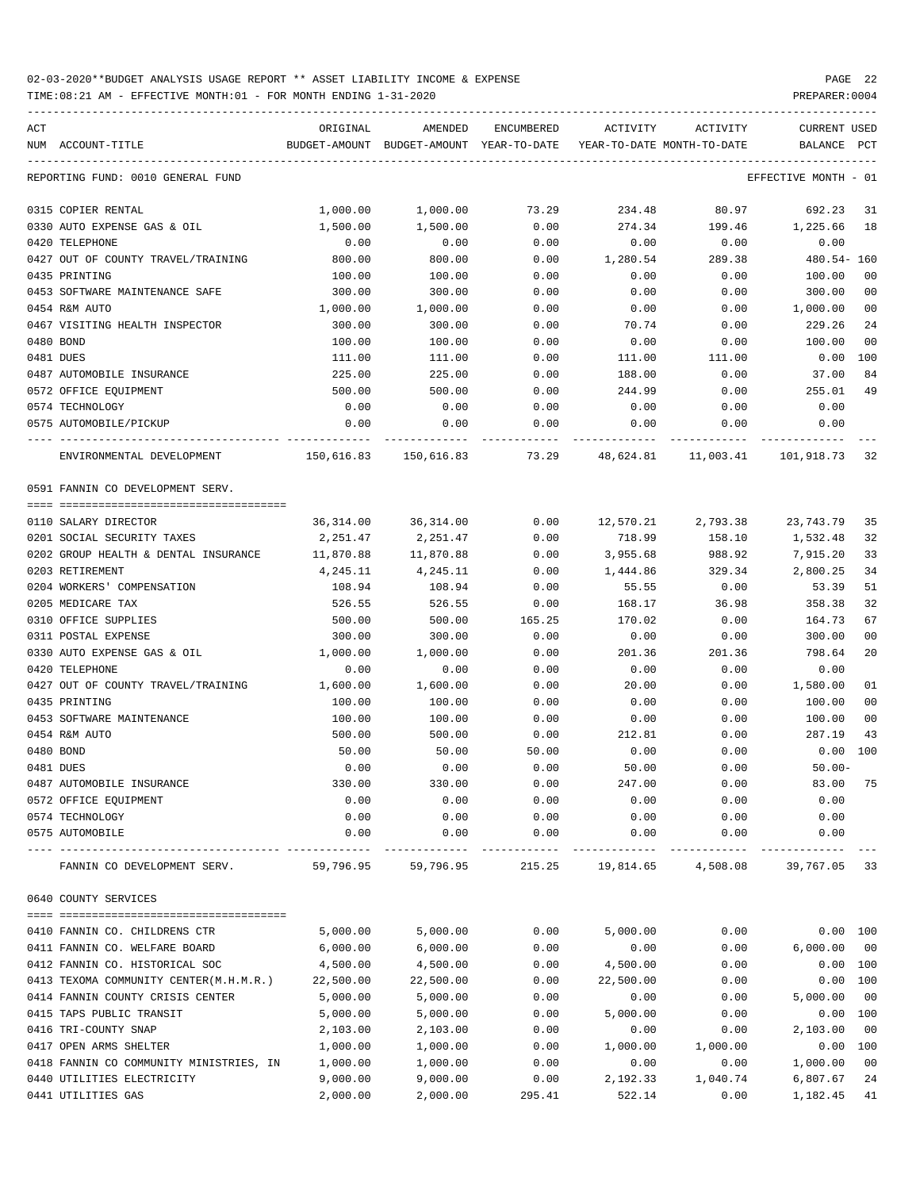TIME:08:21 AM - EFFECTIVE MONTH:01 - FOR MONTH ENDING 1-31-2020 PREPARER:0004

| ACT<br>NUM ACCOUNT-TITLE                      | ORIGINAL         | AMENDED<br>BUDGET-AMOUNT BUDGET-AMOUNT YEAR-TO-DATE | ENCUMBERED   | ACTIVITY      | ACTIVITY<br>YEAR-TO-DATE MONTH-TO-DATE | <b>CURRENT USED</b><br>BALANCE | PCT                  |
|-----------------------------------------------|------------------|-----------------------------------------------------|--------------|---------------|----------------------------------------|--------------------------------|----------------------|
| REPORTING FUND: 0010 GENERAL FUND             |                  |                                                     |              |               |                                        | EFFECTIVE MONTH - 01           |                      |
| 0315 COPIER RENTAL                            | 1,000.00         | 1,000.00                                            | 73.29        | 234.48        | 80.97                                  | 692.23                         | 31                   |
| 0330 AUTO EXPENSE GAS & OIL                   | 1,500.00         | 1,500.00                                            | 0.00         | 274.34        | 199.46                                 | 1,225.66                       | 18                   |
| 0420 TELEPHONE                                | 0.00             | 0.00                                                | 0.00         | 0.00          | 0.00                                   | 0.00                           |                      |
| 0427 OUT OF COUNTY TRAVEL/TRAINING            | 800.00           | 800.00                                              | 0.00         | 1,280.54      | 289.38                                 | $480.54 - 160$                 |                      |
| 0435 PRINTING                                 | 100.00           | 100.00                                              | 0.00         | 0.00          | 0.00                                   | 100.00                         | 00                   |
| 0453 SOFTWARE MAINTENANCE SAFE                | 300.00           | 300.00                                              | 0.00         | 0.00          | 0.00                                   | 300.00                         | 0 <sub>0</sub>       |
| 0454 R&M AUTO                                 | 1,000.00         | 1,000.00                                            | 0.00         | 0.00          | 0.00                                   | 1,000.00                       | 0 <sub>0</sub>       |
| 0467 VISITING HEALTH INSPECTOR                | 300.00           | 300.00                                              | 0.00         | 70.74         | 0.00                                   | 229.26                         | 24                   |
| 0480 BOND                                     | 100.00           | 100.00                                              | 0.00         | 0.00          | 0.00                                   | 100.00                         | 0 <sub>0</sub>       |
| 0481 DUES                                     | 111.00           | 111.00                                              | 0.00         | 111.00        | 111.00                                 | $0.00$ 100                     |                      |
| 0487 AUTOMOBILE INSURANCE                     | 225.00           | 225.00                                              | 0.00         | 188.00        | 0.00                                   | 37.00                          | 84                   |
| 0572 OFFICE EQUIPMENT                         | 500.00           | 500.00                                              | 0.00         | 244.99        | 0.00                                   | 255.01                         | 49                   |
| 0574 TECHNOLOGY                               | 0.00             | 0.00                                                | 0.00         | 0.00          | 0.00                                   | 0.00                           |                      |
| 0575 AUTOMOBILE/PICKUP                        | 0.00             | 0.00                                                | 0.00         | 0.00          | 0.00                                   | 0.00                           |                      |
| ENVIRONMENTAL DEVELOPMENT                     |                  | 150,616.83 150,616.83                               | 73.29        | 48,624.81     | 11,003.41                              | 101,918.73                     | 32                   |
| 0591 FANNIN CO DEVELOPMENT SERV.              |                  |                                                     |              |               |                                        |                                |                      |
|                                               |                  |                                                     |              |               |                                        |                                |                      |
| 0110 SALARY DIRECTOR                          | 36,314.00        | 36,314.00                                           | 0.00         | 12,570.21     | 2,793.38                               | 23,743.79                      | 35                   |
| 0201 SOCIAL SECURITY TAXES                    | 2,251.47         | 2,251.47                                            | 0.00         | 718.99        | 158.10                                 | 1,532.48                       | 32                   |
| 0202 GROUP HEALTH & DENTAL INSURANCE          | 11,870.88        | 11,870.88                                           | 0.00         | 3,955.68      | 988.92                                 | 7,915.20                       | 33                   |
| 0203 RETIREMENT                               | 4,245.11         | 4,245.11                                            | 0.00         | 1,444.86      | 329.34                                 | 2,800.25                       | 34                   |
| 0204 WORKERS' COMPENSATION                    | 108.94           | 108.94                                              | 0.00         | 55.55         | 0.00                                   | 53.39                          | 51                   |
| 0205 MEDICARE TAX                             | 526.55           | 526.55                                              | 0.00         | 168.17        | 36.98                                  | 358.38                         | 32                   |
| 0310 OFFICE SUPPLIES                          | 500.00           | 500.00                                              | 165.25       | 170.02        | 0.00                                   | 164.73                         | 67                   |
| 0311 POSTAL EXPENSE                           | 300.00           | 300.00                                              | 0.00         | 0.00          | 0.00                                   | 300.00                         | 0 <sub>0</sub><br>20 |
| 0330 AUTO EXPENSE GAS & OIL<br>0420 TELEPHONE | 1,000.00         | 1,000.00                                            | 0.00         | 201.36        | 201.36                                 | 798.64                         |                      |
| 0427 OUT OF COUNTY TRAVEL/TRAINING            | 0.00<br>1,600.00 | 0.00<br>1,600.00                                    | 0.00<br>0.00 | 0.00<br>20.00 | 0.00<br>0.00                           | 0.00<br>1,580.00               | 01                   |
| 0435 PRINTING                                 | 100.00           | 100.00                                              | 0.00         | 0.00          | 0.00                                   | 100.00                         | 0 <sub>0</sub>       |
| 0453 SOFTWARE MAINTENANCE                     | 100.00           | 100.00                                              | 0.00         | 0.00          | 0.00                                   | 100.00                         | 0 <sub>0</sub>       |
| 0454 R&M AUTO                                 | 500.00           | 500.00                                              | 0.00         | 212.81        | 0.00                                   | 287.19                         | 43                   |
| 0480 BOND                                     | 50.00            | 50.00                                               | 50.00        | 0.00          | 0.00                                   | $0.00$ 100                     |                      |
| 0481 DUES                                     | 0.00             | 0.00                                                | 0.00         | 50.00         | 0.00                                   | $50.00 -$                      |                      |
| 0487 AUTOMOBILE INSURANCE                     | 330.00           | 330.00                                              | 0.00         | 247.00        | 0.00                                   | 83.00                          |                      |
| 0572 OFFICE EQUIPMENT                         | 0.00             | 0.00                                                | 0.00         | 0.00          | 0.00                                   | 0.00                           |                      |
| 0574 TECHNOLOGY                               | 0.00             | 0.00                                                | 0.00         | 0.00          | 0.00                                   | 0.00                           |                      |
| 0575 AUTOMOBILE                               | 0.00             | 0.00                                                | 0.00         | 0.00          | 0.00                                   | 0.00                           |                      |
| FANNIN CO DEVELOPMENT SERV.                   | 59,796.95        | 59,796.95                                           | 215.25       |               | 19,814.65 4,508.08                     | 39,767.05                      | 33                   |
| 0640 COUNTY SERVICES                          |                  |                                                     |              |               |                                        |                                |                      |
|                                               |                  |                                                     |              |               |                                        |                                |                      |
| 0410 FANNIN CO. CHILDRENS CTR                 | 5,000.00         | 5,000.00                                            | 0.00         | 5,000.00      | 0.00                                   | 0.00 100                       |                      |
| 0411 FANNIN CO. WELFARE BOARD                 | 6,000.00         | 6,000.00                                            | 0.00         | 0.00          | 0.00                                   | 6,000.00                       | 0 <sub>0</sub>       |
| 0412 FANNIN CO. HISTORICAL SOC                | 4,500.00         | 4,500.00                                            | 0.00         | 4,500.00      | 0.00                                   | 0.00 100                       |                      |
| 0413 TEXOMA COMMUNITY CENTER(M.H.M.R.)        | 22,500.00        | 22,500.00                                           | 0.00         | 22,500.00     | 0.00                                   | 0.00 100                       |                      |
| 0414 FANNIN COUNTY CRISIS CENTER              | 5,000.00         | 5,000.00                                            | 0.00         | 0.00          | 0.00                                   | 5,000.00                       | 0 <sub>0</sub>       |
| 0415 TAPS PUBLIC TRANSIT                      | 5,000.00         | 5,000.00                                            | 0.00         | 5,000.00      | 0.00                                   | 0.00 100                       |                      |
| 0416 TRI-COUNTY SNAP                          | 2,103.00         | 2,103.00                                            | 0.00         | 0.00          | 0.00                                   | 2,103.00                       | 0 <sub>0</sub>       |
| 0417 OPEN ARMS SHELTER                        | 1,000.00         | 1,000.00                                            | 0.00         | 1,000.00      | 1,000.00                               | 0.00 100                       |                      |
| 0418 FANNIN CO COMMUNITY MINISTRIES, IN       | 1,000.00         | 1,000.00                                            | 0.00         | 0.00          | 0.00                                   | 1,000.00                       | 0 <sub>0</sub>       |
| 0440 UTILITIES ELECTRICITY                    | 9,000.00         | 9,000.00                                            | 0.00         | 2,192.33      | 1,040.74                               | 6,807.67                       | 24                   |

0441 UTILITIES GAS 2,000.00 2,000.00 295.41 522.14 0.00 1,182.45 41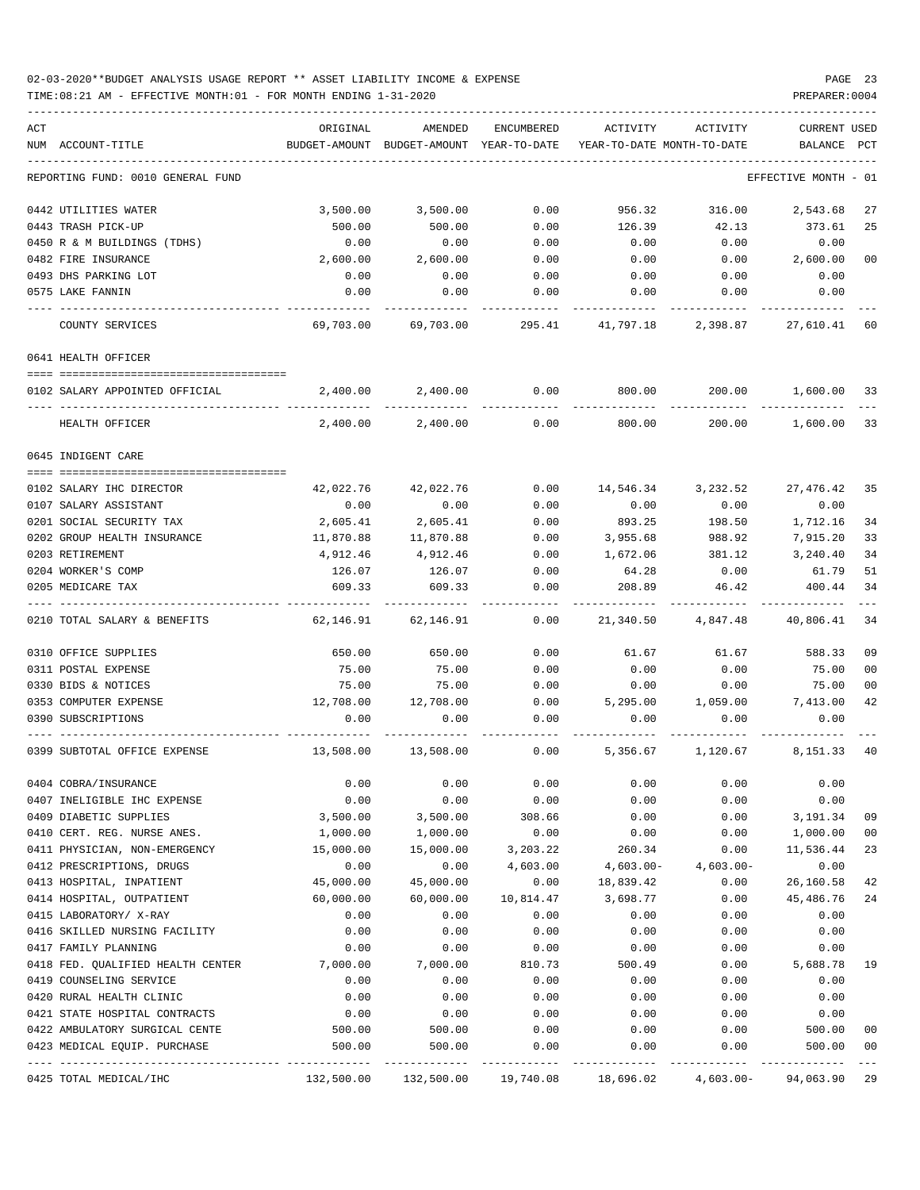### 02-03-2020\*\*BUDGET ANALYSIS USAGE REPORT \*\* ASSET LIABILITY INCOME & EXPENSE PAGE 23 TIME:08:21 AM - EFFECTIVE MONTH:01 - FOR MONTH ENDING 1-31-2020 PREPARER:0004

| ACT                                                            | ORIGINAL         | AMENDED          | ENCUMBERED   | ACTIVITY                   | ACTIVITY                                                                   | CURRENT USED     |                |
|----------------------------------------------------------------|------------------|------------------|--------------|----------------------------|----------------------------------------------------------------------------|------------------|----------------|
| NUM ACCOUNT-TITLE                                              | BUDGET-AMOUNT    | BUDGET-AMOUNT    | YEAR-TO-DATE | YEAR-TO-DATE MONTH-TO-DATE |                                                                            | BALANCE          | PCT            |
| REPORTING FUND: 0010 GENERAL FUND                              |                  |                  |              |                            |                                                                            | EFFECTIVE MONTH  | - 01           |
| 0442 UTILITIES WATER                                           | 3,500.00         | 3,500.00         | 0.00         | 956.32                     | 316.00                                                                     | 2,543.68         | 27             |
| 0443 TRASH PICK-UP                                             | 500.00           | 500.00           | 0.00         | 126.39                     | 42.13                                                                      | 373.61           | 25             |
| 0450 R & M BUILDINGS (TDHS)                                    | 0.00             | 0.00             | 0.00         | 0.00                       | 0.00                                                                       | 0.00             |                |
| 0482 FIRE INSURANCE                                            | 2,600.00         | 2,600.00         | 0.00         | 0.00                       | 0.00                                                                       | 2,600.00         | 00             |
| 0493 DHS PARKING LOT                                           | 0.00             | 0.00             | 0.00         | 0.00                       | 0.00                                                                       | 0.00             |                |
| 0575 LAKE FANNIN                                               | 0.00             | 0.00             | 0.00         | 0.00                       | 0.00                                                                       | 0.00             |                |
| COUNTY SERVICES                                                | 69,703.00        | 69,703.00        | 295.41       | 41,797.18                  | 2,398.87                                                                   | 27,610.41        | 60             |
| 0641 HEALTH OFFICER                                            |                  |                  |              |                            |                                                                            |                  |                |
| 0102 SALARY APPOINTED OFFICIAL                                 | 2,400.00         | 2,400.00         | 0.00         | 800.00                     | 200.00                                                                     | 1,600.00         | 33             |
| HEALTH OFFICER                                                 | 2,400.00         | 2,400.00         | 0.00         | 800.00                     | 200.00                                                                     | 1,600.00         | 33             |
| 0645 INDIGENT CARE                                             |                  |                  |              |                            |                                                                            |                  |                |
| 0102 SALARY IHC DIRECTOR                                       | 42,022.76        | 42,022.76        | 0.00         | 14,546.34                  | 3,232.52                                                                   | 27,476.42        | 35             |
| 0107 SALARY ASSISTANT                                          | 0.00             | 0.00             | 0.00         | 0.00                       | 0.00                                                                       | 0.00             |                |
| 0201 SOCIAL SECURITY TAX                                       | 2,605.41         | 2,605.41         | 0.00         | 893.25                     | 198.50                                                                     | 1,712.16         | 34             |
| 0202 GROUP HEALTH INSURANCE                                    | 11,870.88        | 11,870.88        | 0.00         | 3,955.68                   | 988.92                                                                     | 7,915.20         | 33             |
| 0203 RETIREMENT                                                | 4,912.46         | 4,912.46         | 0.00         | 1,672.06                   | 381.12                                                                     | 3,240.40         | 34             |
| 0204 WORKER'S COMP                                             | 126.07           | 126.07           | 0.00         | 64.28                      | 0.00                                                                       | 61.79            | 51             |
| 0205 MEDICARE TAX                                              | 609.33           | 609.33           | 0.00         | 208.89                     | 46.42                                                                      | 400.44           | 34             |
| 0210 TOTAL SALARY & BENEFITS                                   | 62,146.91        | 62,146.91        | 0.00         | 21,340.50                  | 4,847.48                                                                   | 40,806.41        | 34             |
| 0310 OFFICE SUPPLIES                                           | 650.00           | 650.00           | 0.00         | 61.67                      | 61.67                                                                      | 588.33           | 09             |
| 0311 POSTAL EXPENSE                                            | 75.00            | 75.00            | 0.00         | 0.00                       | 0.00                                                                       | 75.00            | 0 <sub>0</sub> |
| 0330 BIDS & NOTICES                                            | 75.00            | 75.00            | 0.00         | 0.00                       | 0.00                                                                       | 75.00            | 0 <sub>0</sub> |
| 0353 COMPUTER EXPENSE                                          | 12,708.00        | 12,708.00        | 0.00         | 5,295.00                   | 1,059.00                                                                   | 7,413.00         | 42             |
| 0390 SUBSCRIPTIONS                                             | 0.00             | 0.00             | 0.00         | 0.00                       | 0.00                                                                       | 0.00             |                |
| 0399 SUBTOTAL OFFICE EXPENSE                                   | 13,508.00        | 13,508.00        | 0.00         | 5,356.67                   | 1,120.67                                                                   | 8,151.33         | 40             |
| 0404 COBRA/INSURANCE                                           | 0.00             | 0.00             | 0.00         | 0.00                       | 0.00                                                                       | 0.00             |                |
| 0407 INELIGIBLE IHC EXPENSE                                    | 0.00             | 0.00             | 0.00         | 0.00                       | 0.00                                                                       | 0.00             |                |
| 0409 DIABETIC SUPPLIES                                         | 3,500.00         | 3,500.00         | 308.66       | 0.00                       | 0.00                                                                       | 3,191.34         | 09             |
| 0410 CERT. REG. NURSE ANES.                                    | 1,000.00         | 1,000.00         | 0.00         | 0.00                       | 0.00                                                                       | 1,000.00         | 00             |
| 0411 PHYSICIAN, NON-EMERGENCY                                  | 15,000.00        | 15,000.00        | 3,203.22     | 260.34                     | 0.00                                                                       | 11,536.44        | 23             |
| 0412 PRESCRIPTIONS, DRUGS                                      | 0.00             | 0.00             | 4,603.00     | 4,603.00-                  | $4,603.00-$                                                                | 0.00             |                |
| 0413 HOSPITAL, INPATIENT                                       | 45,000.00        | 45,000.00        | 0.00         | 18,839.42                  | 0.00                                                                       | 26,160.58        | 42             |
| 0414 HOSPITAL, OUTPATIENT                                      | 60,000.00        | 60,000.00        | 10,814.47    | 3,698.77                   | 0.00                                                                       | 45,486.76        | 24             |
| 0415 LABORATORY/ X-RAY                                         | 0.00             | 0.00             | 0.00         | 0.00                       | 0.00                                                                       | 0.00             |                |
| 0416 SKILLED NURSING FACILITY                                  | 0.00             | 0.00             | 0.00         | 0.00                       | 0.00                                                                       | 0.00             |                |
| 0417 FAMILY PLANNING                                           | 0.00             | 0.00             | 0.00         | 0.00                       | 0.00                                                                       | 0.00             |                |
| 0418 FED. QUALIFIED HEALTH CENTER                              | 7,000.00         | 7,000.00         | 810.73       | 500.49                     | 0.00                                                                       | 5,688.78         | 19             |
| 0419 COUNSELING SERVICE                                        | 0.00             | 0.00             | 0.00         | 0.00                       | 0.00                                                                       | 0.00             |                |
| 0420 RURAL HEALTH CLINIC                                       | 0.00             | 0.00             | 0.00         | 0.00                       | 0.00                                                                       | 0.00             |                |
| 0421 STATE HOSPITAL CONTRACTS                                  | 0.00             | 0.00             | 0.00         | 0.00                       | 0.00                                                                       | 0.00             |                |
| 0422 AMBULATORY SURGICAL CENTE<br>0423 MEDICAL EQUIP. PURCHASE | 500.00<br>500.00 | 500.00<br>500.00 | 0.00<br>0.00 | 0.00<br>0.00               | 0.00<br>0.00                                                               | 500.00<br>500.00 | 00<br>00       |
|                                                                |                  |                  |              |                            |                                                                            |                  |                |
| 0425 TOTAL MEDICAL/IHC                                         |                  |                  |              |                            | $132,500.00$ $132,500.00$ $19,740.08$ $18,696.02$ $4,603.00$ - $94,063.90$ |                  | 29             |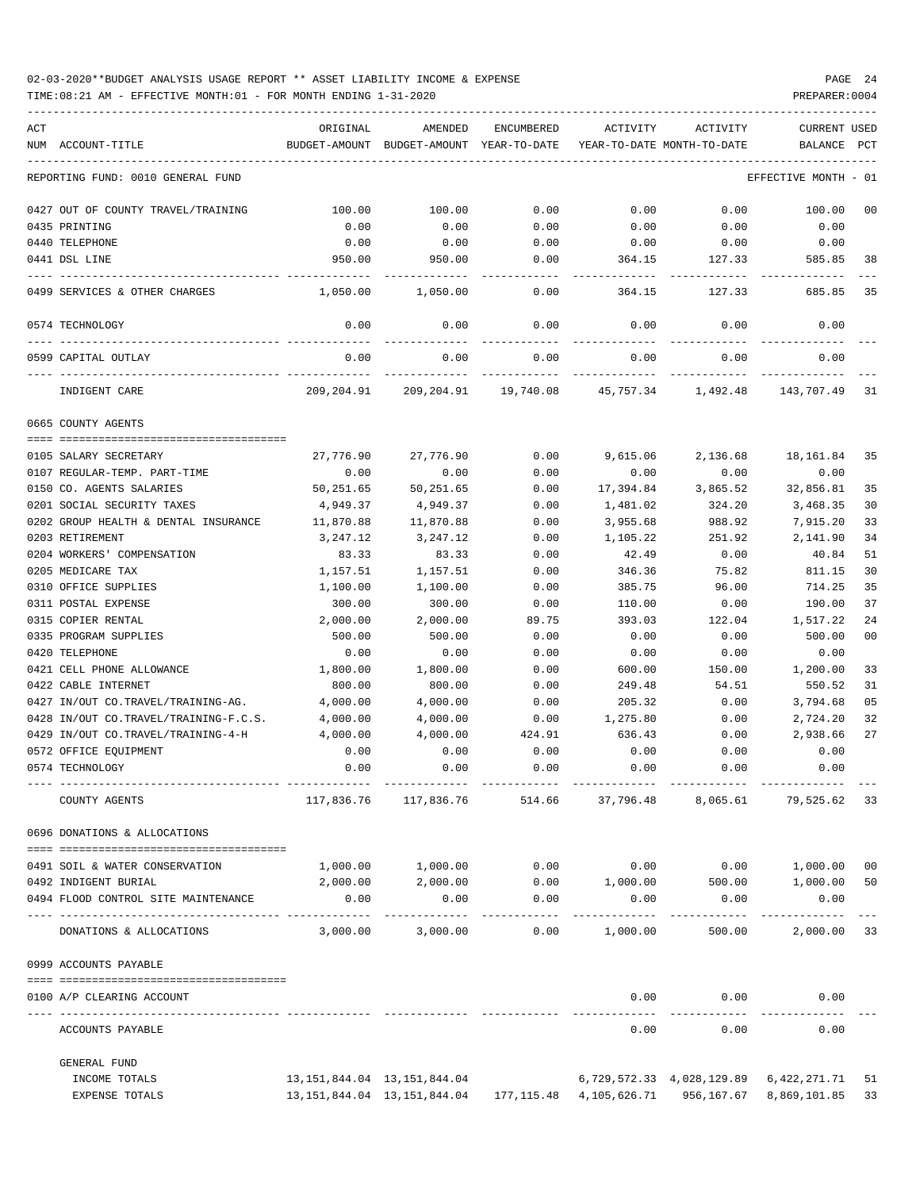| ACT | NUM ACCOUNT-TITLE                     | ORIGINAL<br>BUDGET-AMOUNT | AMENDED<br>BUDGET-AMOUNT YEAR-TO-DATE                                               | ENCUMBERED | ACTIVITY  | ACTIVITY<br>YEAR-TO-DATE MONTH-TO-DATE | <b>CURRENT USED</b><br>BALANCE | PCT  |
|-----|---------------------------------------|---------------------------|-------------------------------------------------------------------------------------|------------|-----------|----------------------------------------|--------------------------------|------|
|     | REPORTING FUND: 0010 GENERAL FUND     |                           |                                                                                     |            |           |                                        | EFFECTIVE MONTH                | - 01 |
|     | 0427 OUT OF COUNTY TRAVEL/TRAINING    | 100.00                    | 100.00                                                                              | 0.00       | 0.00      | 0.00                                   | 100.00                         | 00   |
|     | 0435 PRINTING                         | 0.00                      | 0.00                                                                                | 0.00       | 0.00      | 0.00                                   | 0.00                           |      |
|     | 0440 TELEPHONE                        | 0.00                      | 0.00                                                                                | 0.00       | 0.00      | 0.00                                   | 0.00                           |      |
|     | 0441 DSL LINE                         | 950.00                    | 950.00                                                                              | 0.00       | 364.15    | 127.33                                 | 585.85                         | 38   |
|     | 0499 SERVICES & OTHER CHARGES         | 1,050.00                  | 1,050.00                                                                            | 0.00       | 364.15    | 127.33                                 | 685.85                         | 35   |
|     | 0574 TECHNOLOGY                       | 0.00                      | 0.00                                                                                | 0.00       | 0.00      | 0.00                                   | 0.00                           |      |
|     | 0599 CAPITAL OUTLAY                   | 0.00                      | 0.00                                                                                | 0.00       | 0.00      | 0.00                                   | 0.00                           |      |
|     | INDIGENT CARE                         | 209,204.91                |                                                                                     | -------    | 45,757.34 | --------<br>1,492.48                   | 143,707.49                     | 31   |
|     | 0665 COUNTY AGENTS                    |                           |                                                                                     |            |           |                                        |                                |      |
|     |                                       |                           |                                                                                     |            |           |                                        |                                |      |
|     | 0105 SALARY SECRETARY                 | 27,776.90                 | 27,776.90                                                                           | 0.00       | 9,615.06  | 2,136.68                               | 18,161.84                      | -35  |
|     | 0107 REGULAR-TEMP. PART-TIME          | 0.00                      | 0.00                                                                                | 0.00       | 0.00      | 0.00                                   | 0.00                           |      |
|     | 0150 CO. AGENTS SALARIES              | 50,251.65                 | 50,251.65                                                                           | 0.00       | 17,394.84 | 3,865.52                               | 32,856.81                      | 35   |
|     | 0201 SOCIAL SECURITY TAXES            | 4,949.37                  | 4,949.37                                                                            | 0.00       | 1,481.02  | 324.20                                 | 3,468.35                       | 30   |
|     | 0202 GROUP HEALTH & DENTAL INSURANCE  | 11,870.88                 | 11,870.88                                                                           | 0.00       | 3,955.68  | 988.92                                 | 7,915.20                       | 33   |
|     | 0203 RETIREMENT                       | 3,247.12                  | 3,247.12                                                                            | 0.00       | 1,105.22  | 251.92                                 | 2,141.90                       | 34   |
|     | 0204 WORKERS' COMPENSATION            | 83.33                     | 83.33                                                                               | 0.00       | 42.49     | 0.00                                   | 40.84                          | 51   |
|     | 0205 MEDICARE TAX                     | 1,157.51                  | 1,157.51                                                                            | 0.00       | 346.36    | 75.82                                  | 811.15                         | 30   |
|     | 0310 OFFICE SUPPLIES                  | 1,100.00                  | 1,100.00                                                                            | 0.00       | 385.75    | 96.00                                  | 714.25                         | 35   |
|     | 0311 POSTAL EXPENSE                   | 300.00                    | 300.00                                                                              | 0.00       | 110.00    | 0.00                                   | 190.00                         | 37   |
|     | 0315 COPIER RENTAL                    | 2,000.00                  | 2,000.00                                                                            | 89.75      | 393.03    | 122.04                                 | 1,517.22                       | 24   |
|     | 0335 PROGRAM SUPPLIES                 | 500.00                    | 500.00                                                                              | 0.00       | 0.00      | 0.00                                   | 500.00                         | 00   |
|     | 0420 TELEPHONE                        | 0.00                      | 0.00                                                                                | 0.00       | 0.00      | 0.00                                   | 0.00                           |      |
|     | 0421 CELL PHONE ALLOWANCE             | 1,800.00                  | 1,800.00                                                                            | 0.00       | 600.00    | 150.00                                 | 1,200.00                       | 33   |
|     | 0422 CABLE INTERNET                   | 800.00                    | 800.00                                                                              | 0.00       | 249.48    | 54.51                                  | 550.52                         | 31   |
|     | 0427 IN/OUT CO.TRAVEL/TRAINING-AG.    | 4,000.00                  | 4,000.00                                                                            | 0.00       | 205.32    | 0.00                                   | 3,794.68                       | 05   |
|     | 0428 IN/OUT CO.TRAVEL/TRAINING-F.C.S. | 4,000.00                  | 4,000.00                                                                            | 0.00       | 1,275.80  | 0.00                                   | 2,724.20                       | 32   |
|     | 0429 IN/OUT CO.TRAVEL/TRAINING-4-H    | 4,000.00                  | 4,000.00                                                                            | 424.91     | 636.43    | 0.00                                   | 2,938.66                       | 27   |
|     | 0572 OFFICE EQUIPMENT                 | 0.00                      | 0.00                                                                                | 0.00       | 0.00      | 0.00                                   | 0.00                           |      |
|     | 0574 TECHNOLOGY                       | 0.00                      | 0.00                                                                                | 0.00       | 0.00      | 0.00                                   | 0.00                           |      |
|     | COUNTY AGENTS                         | 117,836.76                | 117,836.76                                                                          | 514.66     | 37,796.48 | 8,065.61                               | 79,525.62 33                   |      |
|     | 0696 DONATIONS & ALLOCATIONS          |                           |                                                                                     |            |           |                                        |                                |      |
|     | 0491 SOIL & WATER CONSERVATION        | 1,000.00                  | 1,000.00                                                                            | 0.00       | 0.00      | 0.00                                   | 1,000.00 00                    |      |
|     | 0492 INDIGENT BURIAL                  | 2,000.00                  | 2,000.00                                                                            | 0.00       | 1,000.00  | 500.00                                 | 1,000.00 50                    |      |
|     | 0494 FLOOD CONTROL SITE MAINTENANCE   | 0.00                      | 0.00                                                                                | 0.00       | 0.00      | 0.00                                   | 0.00                           |      |
|     | DONATIONS & ALLOCATIONS               | 3,000.00                  | 3,000.00                                                                            | 0.00       | 1,000.00  | 500.00                                 | 2,000.00 33                    |      |
|     | 0999 ACCOUNTS PAYABLE                 |                           |                                                                                     |            |           |                                        |                                |      |
|     | 0100 A/P CLEARING ACCOUNT             |                           |                                                                                     |            | 0.00      | 0.00                                   | 0.00                           |      |
|     | ACCOUNTS PAYABLE                      |                           |                                                                                     |            | 0.00      | 0.00                                   | 0.00                           |      |
|     | GENERAL FUND                          |                           |                                                                                     |            |           |                                        |                                |      |
|     | INCOME TOTALS                         |                           | 13, 151, 844.04 13, 151, 844.04                                                     |            |           | 6,729,572.33 4,028,129.89 6,422,271.71 |                                | 51   |
|     | EXPENSE TOTALS                        |                           | 13, 151, 844. 04   13, 151, 844. 04   177, 115. 48   4, 105, 626. 71   956, 167. 67 |            |           |                                        | 8,869,101.85                   | 33   |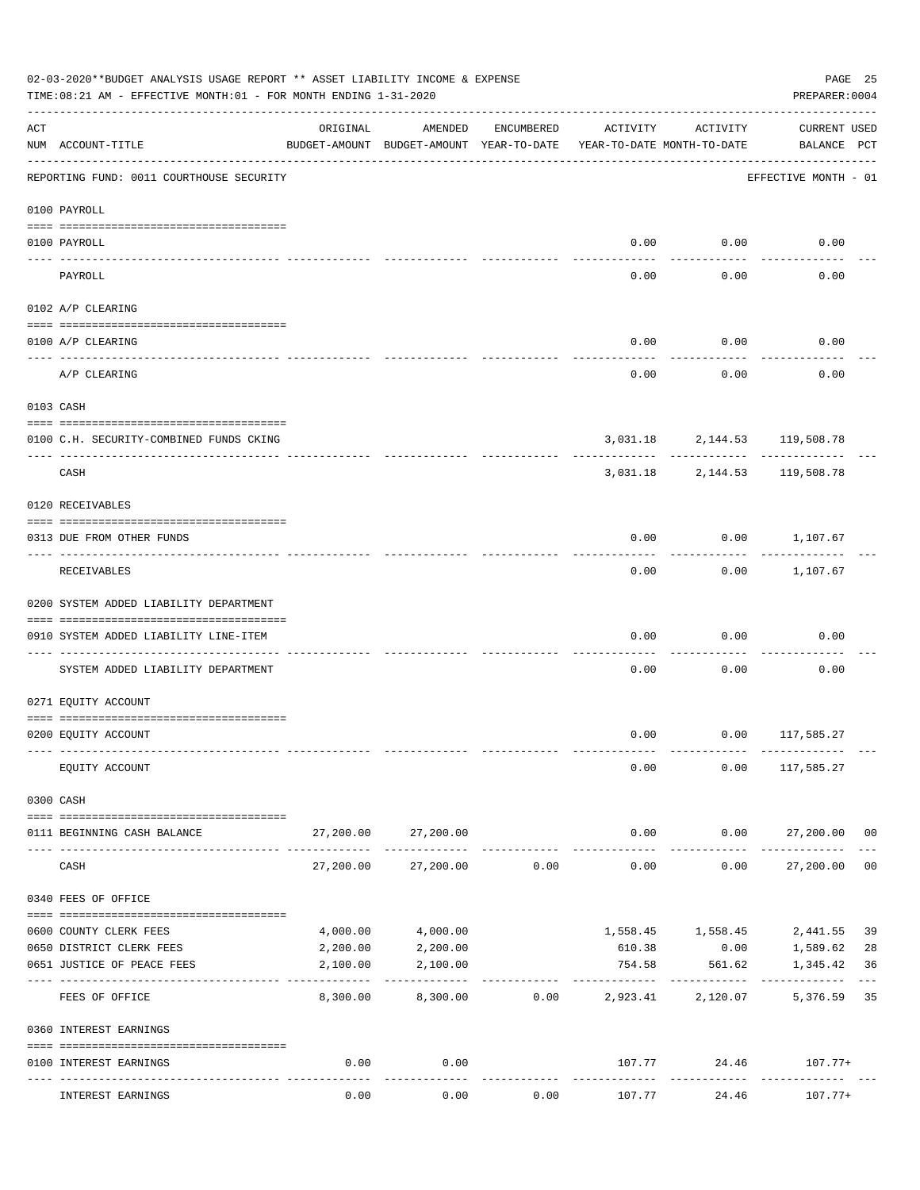|     | 02-03-2020**BUDGET ANALYSIS USAGE REPORT ** ASSET LIABILITY INCOME & EXPENSE<br>TIME: 08:21 AM - EFFECTIVE MONTH: 01 - FOR MONTH ENDING 1-31-2020 |                           |                                                     |            |                                        |                       | PAGE 25<br>PREPARER: 0004                  |                |
|-----|---------------------------------------------------------------------------------------------------------------------------------------------------|---------------------------|-----------------------------------------------------|------------|----------------------------------------|-----------------------|--------------------------------------------|----------------|
| ACT | NUM ACCOUNT-TITLE                                                                                                                                 | ORIGINAL                  | AMENDED<br>BUDGET-AMOUNT BUDGET-AMOUNT YEAR-TO-DATE | ENCUMBERED | ACTIVITY<br>YEAR-TO-DATE MONTH-TO-DATE | ACTIVITY              | <b>CURRENT USED</b><br>BALANCE PCT         |                |
|     | REPORTING FUND: 0011 COURTHOUSE SECURITY                                                                                                          |                           |                                                     |            |                                        |                       | EFFECTIVE MONTH - 01                       |                |
|     | 0100 PAYROLL                                                                                                                                      |                           |                                                     |            |                                        |                       |                                            |                |
|     | 0100 PAYROLL                                                                                                                                      |                           |                                                     |            | 0.00                                   | 0.00                  | 0.00                                       |                |
|     | ----- ----<br>PAYROLL                                                                                                                             |                           |                                                     |            | 0.00                                   | .<br>0.00             | 0.00                                       |                |
|     | 0102 A/P CLEARING                                                                                                                                 |                           |                                                     |            |                                        |                       |                                            |                |
|     | 0100 A/P CLEARING                                                                                                                                 |                           |                                                     |            | 0.00                                   | 0.00                  | 0.00                                       |                |
|     | A/P CLEARING                                                                                                                                      |                           |                                                     |            | 0.00                                   | 0.00                  | 0.00                                       |                |
|     | 0103 CASH                                                                                                                                         |                           |                                                     |            |                                        |                       |                                            |                |
|     | 0100 C.H. SECURITY-COMBINED FUNDS CKING                                                                                                           |                           |                                                     |            |                                        |                       | 3,031.18 2,144.53 119,508.78               |                |
|     | CASH                                                                                                                                              |                           |                                                     |            |                                        | -----------           | ----------<br>3,031.18 2,144.53 119,508.78 |                |
|     | 0120 RECEIVABLES                                                                                                                                  |                           |                                                     |            |                                        |                       |                                            |                |
|     | 0313 DUE FROM OTHER FUNDS                                                                                                                         |                           |                                                     |            | 0.00                                   |                       | $0.00$ 1,107.67                            |                |
|     | RECEIVABLES                                                                                                                                       |                           |                                                     |            | 0.00                                   | ---------             | $0.00$ 1,107.67                            |                |
|     | 0200 SYSTEM ADDED LIABILITY DEPARTMENT                                                                                                            |                           |                                                     |            |                                        |                       |                                            |                |
|     | 0910 SYSTEM ADDED LIABILITY LINE-ITEM                                                                                                             |                           |                                                     |            | 0.00                                   | 0.00                  | 0.00                                       |                |
|     | SYSTEM ADDED LIABILITY DEPARTMENT                                                                                                                 |                           |                                                     |            | 0.00                                   | 0.00                  | 0.00                                       |                |
|     | 0271 EQUITY ACCOUNT                                                                                                                               |                           |                                                     |            |                                        |                       |                                            |                |
|     | 0200 EQUITY ACCOUNT                                                                                                                               |                           |                                                     |            |                                        |                       | $0.00$ $0.00$ $117,585.27$                 |                |
|     | EQUITY ACCOUNT                                                                                                                                    |                           |                                                     |            | 0.00                                   |                       | $0.00$ 117,585.27                          |                |
|     | 0300 CASH                                                                                                                                         |                           |                                                     |            |                                        |                       |                                            |                |
|     | 0111 BEGINNING CASH BALANCE                                                                                                                       | 27,200.00                 | 27,200.00                                           |            | 0.00                                   |                       | $0.00$ 27,200.00 00                        |                |
|     | CASH                                                                                                                                              | 27,200.00                 | 27,200.00                                           | 0.00       | ------------<br>0.00                   | ----------<br>0.00    | -----------<br>27,200.00                   | 0 <sub>0</sub> |
|     | 0340 FEES OF OFFICE                                                                                                                               |                           |                                                     |            |                                        |                       |                                            |                |
|     | 0600 COUNTY CLERK FEES                                                                                                                            | 4,000.00                  | 4,000.00                                            |            |                                        | 1,558.45 1,558.45     | 2,441.55                                   | 39             |
|     | 0650 DISTRICT CLERK FEES                                                                                                                          | 2,200.00                  | 2,200.00                                            |            | 610.38                                 | 0.00                  | 1,589.62                                   | 28             |
|     | 0651 JUSTICE OF PEACE FEES                                                                                                                        | 2,100.00<br>------------- | 2,100.00                                            |            | 754.58<br>.                            | 561.62<br>----------- | 1,345.42                                   | 36             |
|     | FEES OF OFFICE                                                                                                                                    | 8,300.00                  | 8,300.00                                            | 0.00       | 2,923.41                               | 2,120.07              | 5,376.59                                   | 35             |
|     | 0360 INTEREST EARNINGS                                                                                                                            |                           |                                                     |            |                                        |                       |                                            |                |
|     | 0100 INTEREST EARNINGS                                                                                                                            | 0.00                      | 0.00                                                |            |                                        | ------------          | $107.77$ 24.46 $107.77+$                   |                |
|     | INTEREST EARNINGS                                                                                                                                 | 0.00                      | 0.00                                                | 0.00       | 107.77                                 | 24.46                 | $107.77+$                                  |                |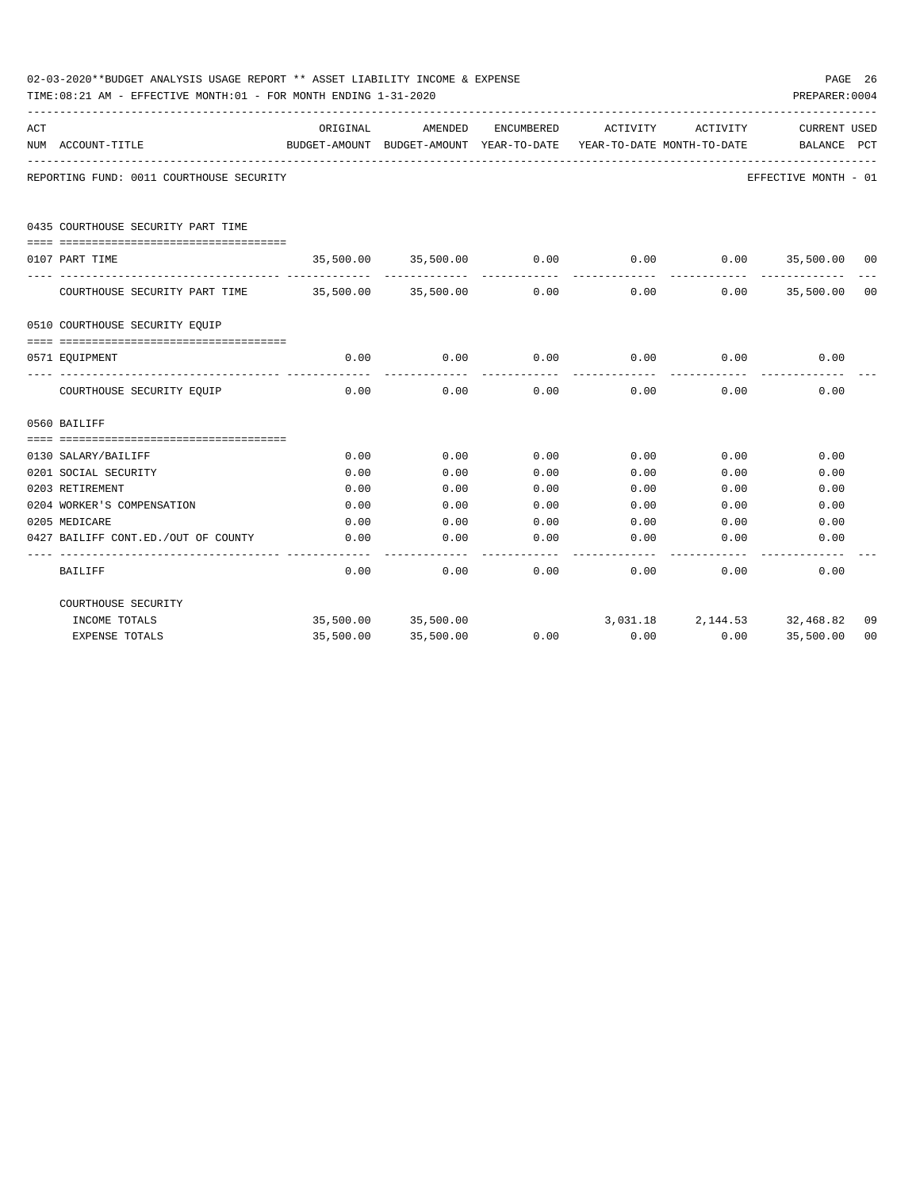|     | 02-03-2020**BUDGET ANALYSIS USAGE REPORT ** ASSET LIABILITY INCOME & EXPENSE<br>TIME: 08:21 AM - EFFECTIVE MONTH: 01 - FOR MONTH ENDING 1-31-2020 |          |                                                                                |      |             |                              | PREPARER: 0004              | PAGE 26 |
|-----|---------------------------------------------------------------------------------------------------------------------------------------------------|----------|--------------------------------------------------------------------------------|------|-------------|------------------------------|-----------------------------|---------|
| ACT | NUM ACCOUNT-TITLE                                                                                                                                 | ORIGINAL | AMENDED<br>BUDGET-AMOUNT BUDGET-AMOUNT YEAR-TO-DATE YEAR-TO-DATE MONTH-TO-DATE |      |             | ENCUMBERED ACTIVITY ACTIVITY | CURRENT USED<br>BALANCE PCT |         |
|     | REPORTING FUND: 0011 COURTHOUSE SECURITY                                                                                                          |          |                                                                                |      |             |                              | EFFECTIVE MONTH - 01        |         |
|     | 0435 COURTHOUSE SECURITY PART TIME                                                                                                                |          |                                                                                |      |             |                              |                             |         |
|     | 0107 PART TIME                                                                                                                                    |          | 35,500.00 35,500.00                                                            | 0.00 | 0.00        |                              | $0.00$ 35,500.00 00         |         |
|     |                                                                                                                                                   |          |                                                                                |      |             |                              |                             |         |
|     | COURTHOUSE SECURITY PART TIME 35,500.00 35,500.00                                                                                                 |          |                                                                                | 0.00 | 0.00        | 0.00                         | 35,500.00 00                |         |
|     | 0510 COURTHOUSE SECURITY EQUIP                                                                                                                    |          |                                                                                |      |             |                              |                             |         |
|     |                                                                                                                                                   |          |                                                                                |      |             |                              |                             |         |
|     | 0571 EOUIPMENT                                                                                                                                    |          | 0.00<br>0.00                                                                   |      | $0.00$ 0.00 |                              | $0.00$ 0.00                 |         |
|     | COURTHOUSE SECURITY EQUIP                                                                                                                         | 0.00     | 0.00                                                                           | 0.00 | 0.00        | 0.00                         | 0.00                        |         |
|     | 0560 BAILIFF                                                                                                                                      |          |                                                                                |      |             |                              |                             |         |
|     |                                                                                                                                                   |          |                                                                                |      |             |                              |                             |         |
|     | 0130 SALARY/BAILIFF                                                                                                                               | 0.00     | 0.00                                                                           | 0.00 | 0.00        | 0.00                         | 0.00                        |         |
|     | 0201 SOCIAL SECURITY                                                                                                                              | 0.00     | 0.00                                                                           | 0.00 | 0.00        | 0.00                         | 0.00                        |         |
|     | 0203 RETIREMENT                                                                                                                                   | 0.00     | 0.00                                                                           | 0.00 | 0.00        | 0.00                         | 0.00                        |         |
|     | 0204 WORKER'S COMPENSATION                                                                                                                        | 0.00     | 0.00                                                                           | 0.00 | 0.00        | 0.00                         | 0.00                        |         |
|     | 0205 MEDICARE                                                                                                                                     | 0.00     | 0.00                                                                           | 0.00 | 0.00        | 0.00                         | 0.00                        |         |
|     | 0427 BAILIFF CONT.ED./OUT OF COUNTY                                                                                                               | 0.00     | 0.00                                                                           | 0.00 | 0.00        | 0.00                         | 0.00                        |         |
|     | <b>BAILIFF</b>                                                                                                                                    | 0.00     | 0.00                                                                           | 0.00 | 0.00        | 0.00                         | 0.00                        |         |
|     | COURTHOUSE SECURITY                                                                                                                               |          |                                                                                |      |             |                              |                             |         |
|     | INCOME TOTALS                                                                                                                                     |          | 35,500.00 35,500.00                                                            |      |             | 3,031.18 2,144.53 32,468.82  |                             | 09      |
|     | <b>EXPENSE TOTALS</b>                                                                                                                             |          | 35,500.00 35,500.00                                                            | 0.00 | 0.00        |                              | $0.00$ 35,500.00            | 00      |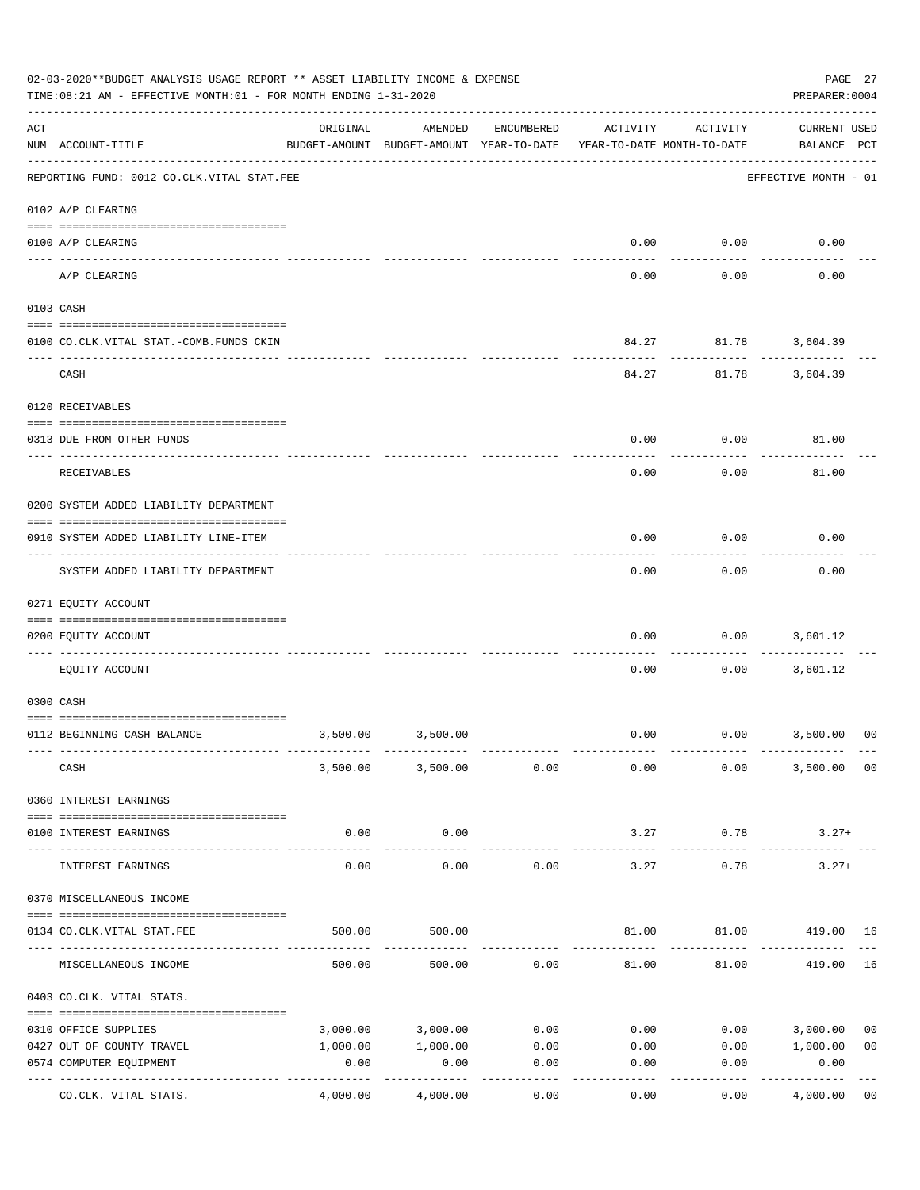|     | 02-03-2020**BUDGET ANALYSIS USAGE REPORT ** ASSET LIABILITY INCOME & EXPENSE<br>TIME:08:21 AM - EFFECTIVE MONTH:01 - FOR MONTH ENDING 1-31-2020 |          |                                                     |            |                                        |                             | PAGE 27<br>PREPARER: 0004          |                |
|-----|-------------------------------------------------------------------------------------------------------------------------------------------------|----------|-----------------------------------------------------|------------|----------------------------------------|-----------------------------|------------------------------------|----------------|
| ACT | NUM ACCOUNT-TITLE                                                                                                                               | ORIGINAL | AMENDED<br>BUDGET-AMOUNT BUDGET-AMOUNT YEAR-TO-DATE | ENCUMBERED | ACTIVITY<br>YEAR-TO-DATE MONTH-TO-DATE | ACTIVITY                    | <b>CURRENT USED</b><br>BALANCE PCT |                |
|     | --------------------------------------<br>REPORTING FUND: 0012 CO.CLK.VITAL STAT.FEE                                                            |          |                                                     |            |                                        |                             | EFFECTIVE MONTH - 01               |                |
|     | 0102 A/P CLEARING                                                                                                                               |          |                                                     |            |                                        |                             |                                    |                |
|     | 0100 A/P CLEARING                                                                                                                               |          |                                                     |            | 0.00                                   | 0.00                        | 0.00                               |                |
|     | A/P CLEARING                                                                                                                                    |          |                                                     |            | 0.00                                   | 0.00                        | 0.00                               |                |
|     | 0103 CASH                                                                                                                                       |          |                                                     |            |                                        |                             |                                    |                |
|     | 0100 CO.CLK.VITAL STAT.-COMB.FUNDS CKIN                                                                                                         |          |                                                     |            | 84.27                                  | 81.78 3,604.39              |                                    |                |
|     | CASH                                                                                                                                            |          |                                                     |            | 84.27                                  | 81.78                       | 3,604.39                           |                |
|     | 0120 RECEIVABLES                                                                                                                                |          |                                                     |            |                                        |                             |                                    |                |
|     | 0313 DUE FROM OTHER FUNDS                                                                                                                       |          |                                                     |            | 0.00                                   | 0.00                        | 81.00                              |                |
|     |                                                                                                                                                 |          |                                                     |            |                                        |                             |                                    |                |
|     | <b>RECEIVABLES</b>                                                                                                                              |          |                                                     |            | 0.00                                   | 0.00                        | 81.00                              |                |
|     | 0200 SYSTEM ADDED LIABILITY DEPARTMENT                                                                                                          |          |                                                     |            |                                        |                             |                                    |                |
|     | 0910 SYSTEM ADDED LIABILITY LINE-ITEM                                                                                                           |          |                                                     |            | 0.00                                   | 0.00                        | 0.00                               |                |
|     | ------------------------<br>SYSTEM ADDED LIABILITY DEPARTMENT                                                                                   |          |                                                     |            | 0.00                                   | ---------<br>0.00           | 0.00                               |                |
|     | 0271 EQUITY ACCOUNT                                                                                                                             |          |                                                     |            |                                        |                             |                                    |                |
|     | 0200 EQUITY ACCOUNT                                                                                                                             |          |                                                     |            | 0.00                                   | 0.00                        | 3,601.12                           |                |
|     | EQUITY ACCOUNT                                                                                                                                  |          |                                                     |            | 0.00                                   | 0.00                        | 3,601.12                           |                |
|     | 0300 CASH                                                                                                                                       |          |                                                     |            |                                        |                             |                                    |                |
|     | 0112 BEGINNING CASH BALANCE                                                                                                                     | 3,500.00 | 3,500.00                                            |            |                                        | $0.00$ $0.00$ $3,500.00$    |                                    | 00             |
|     |                                                                                                                                                 |          |                                                     |            |                                        |                             |                                    |                |
|     | CASH                                                                                                                                            |          | 3,500.00 3,500.00                                   | 0.00       | 0.00                                   | 0.00                        | 3,500.00                           | 00             |
|     | 0360 INTEREST EARNINGS                                                                                                                          |          |                                                     |            |                                        |                             |                                    |                |
|     | 0100 INTEREST EARNINGS                                                                                                                          | 0.00     | 0.00                                                |            | 3.27                                   | 0.78                        | $3.27+$                            |                |
|     |                                                                                                                                                 |          |                                                     |            |                                        |                             |                                    |                |
|     | INTEREST EARNINGS                                                                                                                               | 0.00     | 0.00                                                | 0.00       | 3.27                                   | 0.78                        | $3.27+$                            |                |
|     | 0370 MISCELLANEOUS INCOME                                                                                                                       |          |                                                     |            |                                        |                             |                                    |                |
|     | 0134 CO.CLK.VITAL STAT.FEE                                                                                                                      | 500.00   | 500.00                                              |            |                                        | 81.00   81.00   419.00   16 |                                    |                |
|     |                                                                                                                                                 |          |                                                     |            |                                        |                             |                                    |                |
|     | MISCELLANEOUS INCOME                                                                                                                            | 500.00   | 500.00                                              | 0.00       | 81.00                                  | 81.00                       | 419.00                             | 16             |
|     | 0403 CO.CLK. VITAL STATS.                                                                                                                       |          |                                                     |            |                                        |                             |                                    |                |
|     | 0310 OFFICE SUPPLIES                                                                                                                            | 3,000.00 | 3,000.00                                            | 0.00       | 0.00                                   | 0.00                        | 3,000.00                           | 0 <sub>0</sub> |
|     | 0427 OUT OF COUNTY TRAVEL                                                                                                                       | 1,000.00 | 1,000.00                                            | 0.00       | 0.00                                   |                             | 0.00 1,000.00                      | 0 <sub>0</sub> |
|     | 0574 COMPUTER EQUIPMENT<br>---- ----------------                                                                                                | 0.00     | 0.00                                                | 0.00       | 0.00                                   | 0.00                        | 0.00                               |                |
|     | CO.CLK. VITAL STATS.                                                                                                                            | 4,000.00 | 4,000.00                                            | 0.00       | 0.00                                   | 0.00                        | 4,000.00                           | 0 <sub>0</sub> |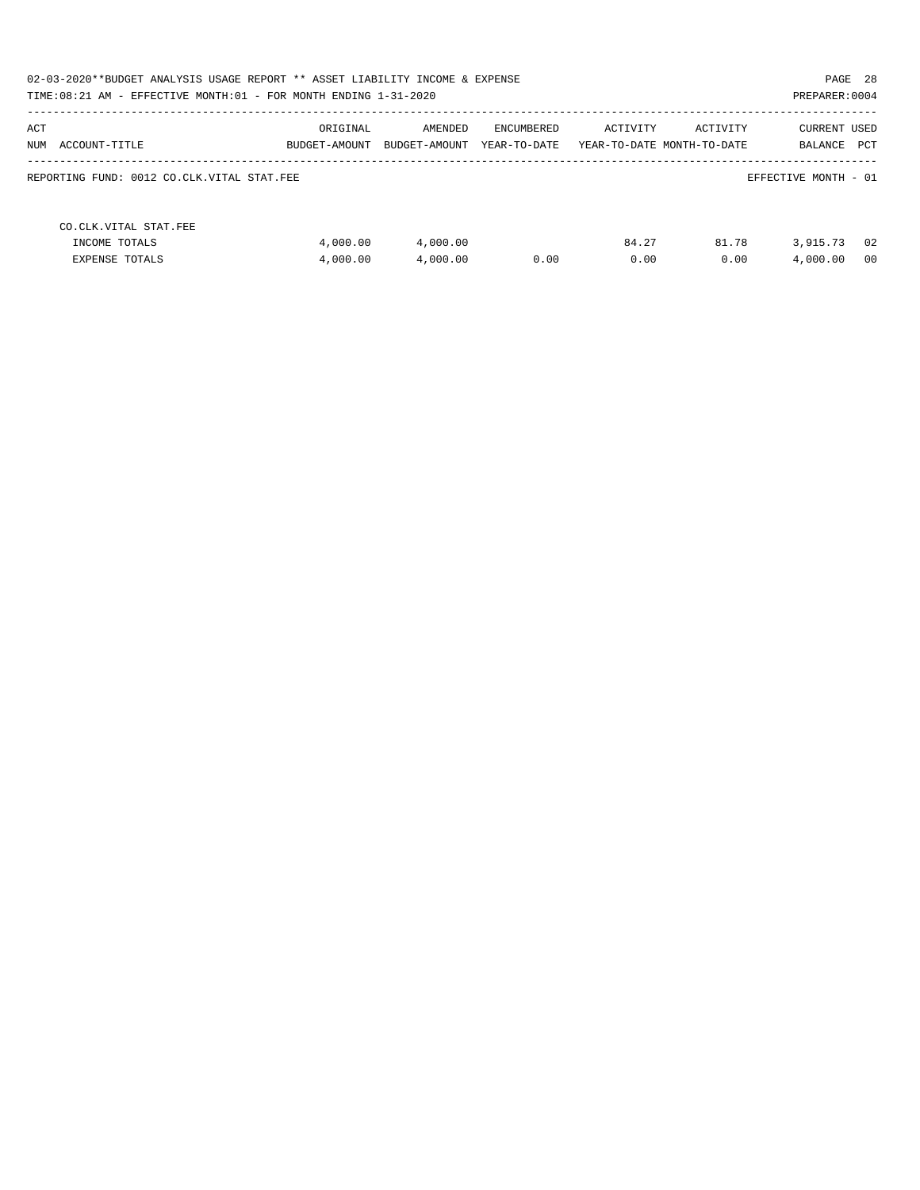| 02-03-2020**BUDGET ANALYSIS USAGE REPORT ** ASSET LIABILITY INCOME & EXPENSE<br>PAGE 28<br>TIME: 08:21 AM - EFFECTIVE MONTH: 01 - FOR MONTH ENDING 1-31-2020<br>PREPARER: 0004 |                           |                          |                            |               |                                        |                                    |  |
|--------------------------------------------------------------------------------------------------------------------------------------------------------------------------------|---------------------------|--------------------------|----------------------------|---------------|----------------------------------------|------------------------------------|--|
| ACT<br>NUM ACCOUNT-TITLE                                                                                                                                                       | ORIGINAL<br>BUDGET-AMOUNT | AMENDED<br>BUDGET-AMOUNT | ENCUMBERED<br>YEAR-TO-DATE | ACTIVITY      | ACTIVITY<br>YEAR-TO-DATE MONTH-TO-DATE | <b>CURRENT USED</b><br>BALANCE PCT |  |
| REPORTING FUND: 0012 CO.CLK.VITAL STAT.FEE                                                                                                                                     |                           |                          |                            |               |                                        | EFFECTIVE MONTH - 01               |  |
| CO. CLK. VITAL STAT. FEE<br>INCOME TOTALS<br><b>EXPENSE TOTALS</b>                                                                                                             | 4,000.00<br>4,000.00      | 4,000.00<br>4,000.00     | 0.00                       | 84.27<br>0.00 | 81.78<br>0.00                          | 02<br>3,915.73<br>4,000.00<br>00   |  |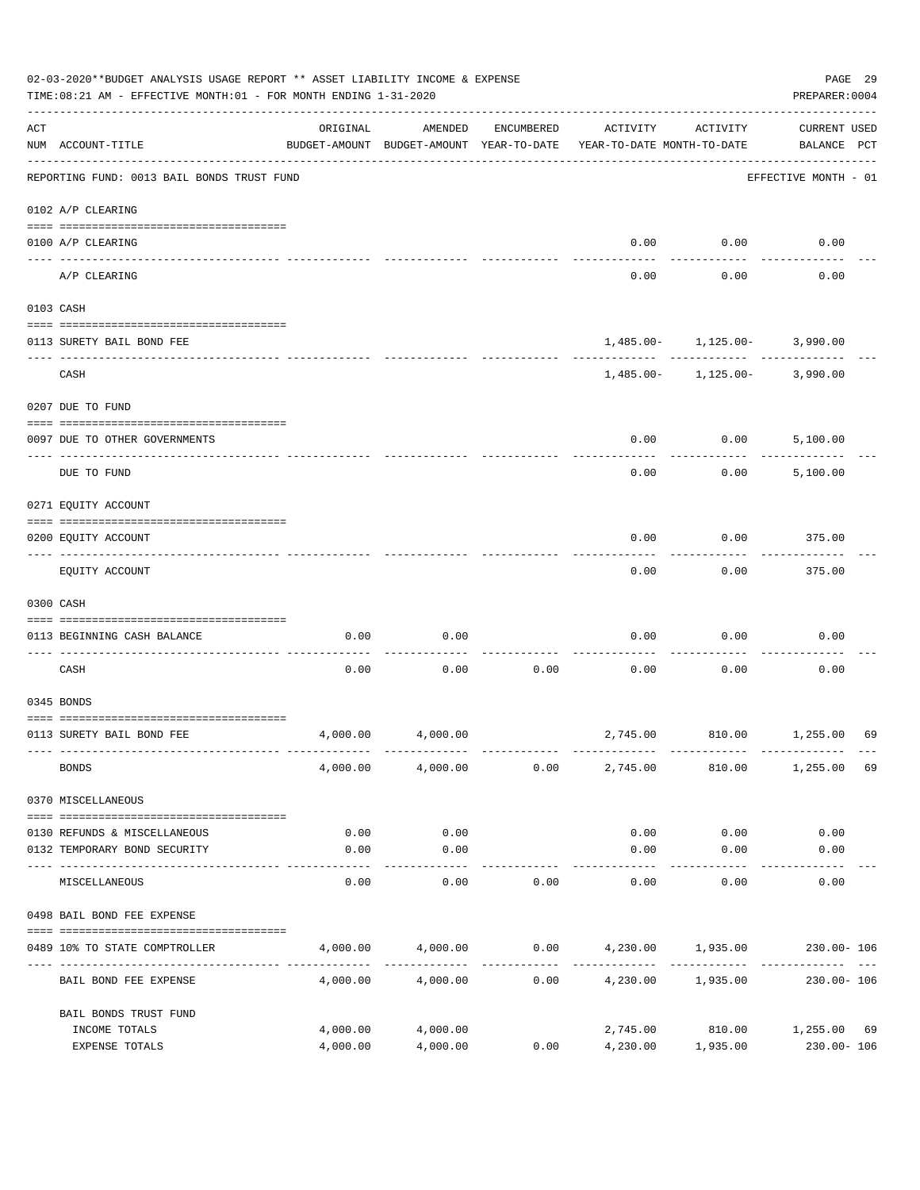|     | 02-03-2020**BUDGET ANALYSIS USAGE REPORT ** ASSET LIABILITY INCOME & EXPENSE<br>TIME: 08:21 AM - EFFECTIVE MONTH: 01 - FOR MONTH ENDING 1-31-2020 |                      |                                                     |            |                                             |                                                  | PAGE 29<br>PREPARER: 0004          |    |
|-----|---------------------------------------------------------------------------------------------------------------------------------------------------|----------------------|-----------------------------------------------------|------------|---------------------------------------------|--------------------------------------------------|------------------------------------|----|
| ACT | NUM ACCOUNT-TITLE                                                                                                                                 | ORIGINAL             | AMENDED<br>BUDGET-AMOUNT BUDGET-AMOUNT YEAR-TO-DATE | ENCUMBERED | ACTIVITY<br>YEAR-TO-DATE MONTH-TO-DATE      | ACTIVITY                                         | <b>CURRENT USED</b><br>BALANCE PCT |    |
|     | REPORTING FUND: 0013 BAIL BONDS TRUST FUND                                                                                                        |                      |                                                     |            |                                             |                                                  | EFFECTIVE MONTH - 01               |    |
|     | 0102 A/P CLEARING                                                                                                                                 |                      |                                                     |            |                                             |                                                  |                                    |    |
|     | 0100 A/P CLEARING<br>---- ---------                                                                                                               |                      |                                                     |            | 0.00                                        | 0.00                                             | 0.00                               |    |
|     | A/P CLEARING                                                                                                                                      |                      |                                                     |            | 0.00                                        | 0.00                                             | 0.00                               |    |
|     | 0103 CASH                                                                                                                                         |                      |                                                     |            |                                             |                                                  |                                    |    |
|     | 0113 SURETY BAIL BOND FEE                                                                                                                         |                      |                                                     |            |                                             | $1,485.00 - 1,125.00 - 3,990.00$                 |                                    |    |
|     | CASH                                                                                                                                              |                      |                                                     |            |                                             | $1,485.00 - 1,125.00 - 3,990.00$                 |                                    |    |
|     | 0207 DUE TO FUND                                                                                                                                  |                      |                                                     |            |                                             |                                                  |                                    |    |
|     | 0097 DUE TO OTHER GOVERNMENTS                                                                                                                     |                      |                                                     |            | 0.00                                        | 0.00                                             | 5,100.00                           |    |
|     | DUE TO FUND                                                                                                                                       |                      |                                                     |            | 0.00                                        | 0.00                                             | 5,100.00                           |    |
|     | 0271 EQUITY ACCOUNT                                                                                                                               |                      |                                                     |            |                                             |                                                  |                                    |    |
|     | 0200 EQUITY ACCOUNT                                                                                                                               |                      |                                                     |            | 0.00                                        | 0.00                                             | 375.00                             |    |
|     | EQUITY ACCOUNT                                                                                                                                    |                      |                                                     |            | 0.00                                        | 0.00                                             | 375.00                             |    |
|     | 0300 CASH                                                                                                                                         |                      |                                                     |            |                                             |                                                  |                                    |    |
|     | 0113 BEGINNING CASH BALANCE                                                                                                                       | 0.00                 | 0.00                                                |            | 0.00                                        | 0.00                                             | 0.00                               |    |
|     | CASH                                                                                                                                              | 0.00                 | 0.00                                                | 0.00       | 0.00                                        | 0.00                                             | 0.00                               |    |
|     | 0345 BONDS                                                                                                                                        |                      |                                                     |            |                                             |                                                  |                                    |    |
|     | 0113 SURETY BAIL BOND FEE                                                                                                                         | 4,000.00             | 4,000.00                                            |            |                                             | 2,745.00 810.00 1,255.00                         |                                    | 69 |
|     | <b>BONDS</b>                                                                                                                                      |                      | 4,000.00 4,000.00                                   | 0.00       | 2,745.00                                    | 810.00                                           | 1,255.00                           | 69 |
|     | 0370 MISCELLANEOUS                                                                                                                                |                      |                                                     |            |                                             |                                                  |                                    |    |
|     | 0130 REFUNDS & MISCELLANEOUS                                                                                                                      | 0.00                 | 0.00                                                |            | 0.00                                        | 0.00                                             | 0.00                               |    |
|     | 0132 TEMPORARY BOND SECURITY                                                                                                                      | 0.00                 | 0.00<br>----------                                  |            | 0.00<br>-----------                         | 0.00<br>---------                                | 0.00                               |    |
|     | MISCELLANEOUS                                                                                                                                     | 0.00                 | 0.00                                                | 0.00       | 0.00                                        | 0.00                                             | 0.00                               |    |
|     | 0498 BAIL BOND FEE EXPENSE                                                                                                                        |                      |                                                     |            |                                             |                                                  |                                    |    |
|     | 0489 10% TO STATE COMPTROLLER                                                                                                                     |                      | 4,000.00 4,000.00                                   |            | $0.00$ $4,230.00$ $1,935.00$ $230.00$ $106$ |                                                  |                                    |    |
|     | BAIL BOND FEE EXPENSE                                                                                                                             | 4,000.00             | 4,000.00                                            |            | $0.00$ 4,230.00 1,935.00                    |                                                  | 230.00- 106                        |    |
|     | BAIL BONDS TRUST FUND                                                                                                                             |                      |                                                     |            |                                             |                                                  |                                    |    |
|     | INCOME TOTALS<br>EXPENSE TOTALS                                                                                                                   | 4,000.00<br>4,000.00 | 4,000.00<br>4,000.00                                | 0.00       |                                             | 2,745.00 810.00 1,255.00 69<br>4,230.00 1,935.00 | 230.00- 106                        |    |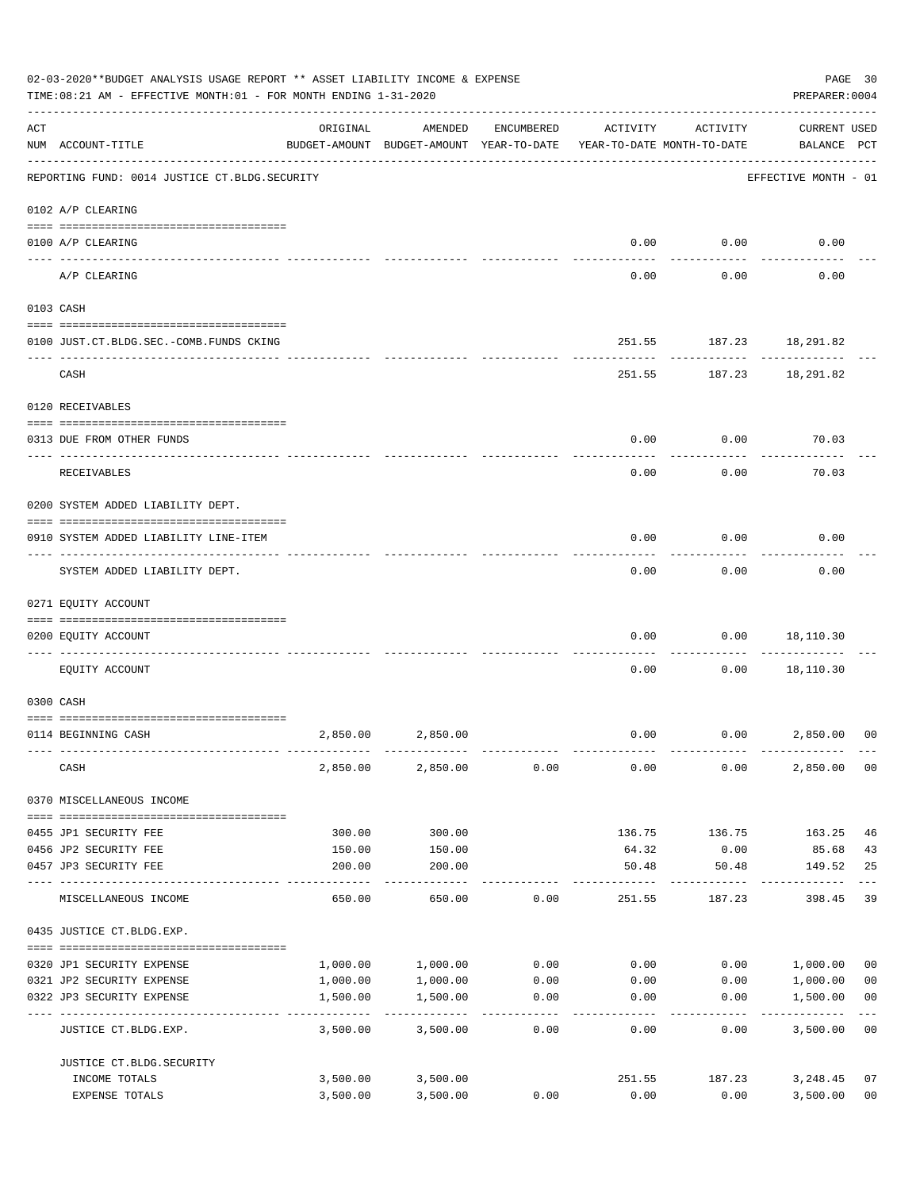|     | 02-03-2020**BUDGET ANALYSIS USAGE REPORT ** ASSET LIABILITY INCOME & EXPENSE<br>TIME:08:21 AM - EFFECTIVE MONTH:01 - FOR MONTH ENDING 1-31-2020 |          |                                                     |                    |                                        |                       | PREPARER: 0004                     | PAGE 30                 |
|-----|-------------------------------------------------------------------------------------------------------------------------------------------------|----------|-----------------------------------------------------|--------------------|----------------------------------------|-----------------------|------------------------------------|-------------------------|
| ACT | NUM ACCOUNT-TITLE                                                                                                                               | ORIGINAL | AMENDED<br>BUDGET-AMOUNT BUDGET-AMOUNT YEAR-TO-DATE | ENCUMBERED         | ACTIVITY<br>YEAR-TO-DATE MONTH-TO-DATE | ACTIVITY              | <b>CURRENT USED</b><br>BALANCE PCT |                         |
|     | REPORTING FUND: 0014 JUSTICE CT. BLDG. SECURITY                                                                                                 |          |                                                     |                    |                                        |                       | EFFECTIVE MONTH - 01               |                         |
|     | 0102 A/P CLEARING                                                                                                                               |          |                                                     |                    |                                        |                       |                                    |                         |
|     | 0100 A/P CLEARING                                                                                                                               |          |                                                     |                    | 0.00                                   | 0.00                  | 0.00                               |                         |
|     | ---- ---------<br>A/P CLEARING                                                                                                                  |          |                                                     |                    | 0.00                                   | 0.00                  | 0.00                               |                         |
|     | 0103 CASH                                                                                                                                       |          |                                                     |                    |                                        |                       |                                    |                         |
|     | 0100 JUST.CT.BLDG.SEC.-COMB.FUNDS CKING                                                                                                         |          |                                                     |                    | 251.55                                 |                       | 187.23 18,291.82                   |                         |
|     | CASH                                                                                                                                            |          |                                                     |                    |                                        |                       | 251.55 187.23 18,291.82            |                         |
|     | 0120 RECEIVABLES                                                                                                                                |          |                                                     |                    |                                        |                       |                                    |                         |
|     | 0313 DUE FROM OTHER FUNDS                                                                                                                       |          |                                                     |                    | 0.00                                   | 0.00                  | 70.03                              |                         |
|     | RECEIVABLES                                                                                                                                     |          |                                                     |                    | 0.00                                   | 0.00                  | 70.03                              |                         |
|     | 0200 SYSTEM ADDED LIABILITY DEPT.                                                                                                               |          |                                                     |                    |                                        |                       |                                    |                         |
|     | 0910 SYSTEM ADDED LIABILITY LINE-ITEM                                                                                                           |          |                                                     |                    | 0.00                                   | 0.00                  | 0.00                               |                         |
|     | SYSTEM ADDED LIABILITY DEPT.                                                                                                                    |          |                                                     |                    | 0.00                                   | 0.00                  | 0.00                               |                         |
|     | 0271 EQUITY ACCOUNT                                                                                                                             |          |                                                     |                    |                                        |                       |                                    |                         |
|     | 0200 EQUITY ACCOUNT                                                                                                                             |          |                                                     |                    | 0.00                                   | 0.00                  | 18,110.30                          |                         |
|     | EQUITY ACCOUNT                                                                                                                                  |          |                                                     |                    | 0.00                                   | 0.00                  | 18,110.30                          |                         |
|     | 0300 CASH                                                                                                                                       |          |                                                     |                    |                                        |                       |                                    |                         |
|     | 0114 BEGINNING CASH                                                                                                                             | 2,850.00 | 2,850.00                                            |                    | 0.00                                   |                       | 0.00<br>2,850.00                   | 0 <sup>0</sup>          |
|     | CASH                                                                                                                                            |          | 2,850.00 2,850.00                                   | 0.00               | 0.00                                   | 0.00                  | 2,850,00 00                        |                         |
|     | 0370 MISCELLANEOUS INCOME                                                                                                                       |          |                                                     |                    |                                        |                       |                                    |                         |
|     | 0455 JP1 SECURITY FEE                                                                                                                           | 300.00   | 300.00                                              |                    | 136.75                                 | 136.75                | 163.25                             | 46                      |
|     | 0456 JP2 SECURITY FEE                                                                                                                           | 150.00   | 150.00                                              |                    | 64.32                                  | 0.00                  | 85.68                              | 43                      |
|     | 0457 JP3 SECURITY FEE                                                                                                                           | 200.00   | 200.00<br>-----------                               |                    | 50.48<br>------------                  | 50.48<br>------------ | 149.52<br>------------             | 25<br>$---$             |
|     | MISCELLANEOUS INCOME                                                                                                                            | 650.00   | 650.00                                              | 0.00               | 251.55                                 | 187.23                | 398.45                             | 39                      |
|     | 0435 JUSTICE CT.BLDG.EXP.                                                                                                                       |          |                                                     |                    |                                        |                       |                                    |                         |
|     | 0320 JP1 SECURITY EXPENSE                                                                                                                       |          | 1,000.00 1,000.00                                   |                    | $0.00$ 0.00                            |                       | 0.00 1,000.00                      | 0 <sub>0</sub>          |
|     | 0321 JP2 SECURITY EXPENSE                                                                                                                       | 1,000.00 | 1,000.00                                            | 0.00               |                                        | $0.00$ 0.00           | 1,000.00                           | 0 <sub>0</sub>          |
|     | 0322 JP3 SECURITY EXPENSE                                                                                                                       | 1,500.00 | 1,500.00<br>-----------                             | 0.00<br>. <u>.</u> | 0.00                                   | 0.00                  | 1,500.00                           | 0 <sub>0</sub><br>$---$ |
|     | JUSTICE CT.BLDG.EXP.                                                                                                                            | 3,500.00 | 3,500.00                                            | 0.00               | 0.00                                   | 0.00                  | 3,500.00 00                        |                         |
|     | JUSTICE CT. BLDG. SECURITY                                                                                                                      |          |                                                     |                    |                                        |                       |                                    |                         |
|     | INCOME TOTALS                                                                                                                                   |          | 3,500.00 3,500.00                                   |                    | 251.55                                 | 187.23                | 3,248.45                           | 07                      |
|     | EXPENSE TOTALS                                                                                                                                  | 3,500.00 | 3,500.00                                            | 0.00               | 0.00                                   | 0.00                  | 3,500.00                           | 0 <sub>0</sub>          |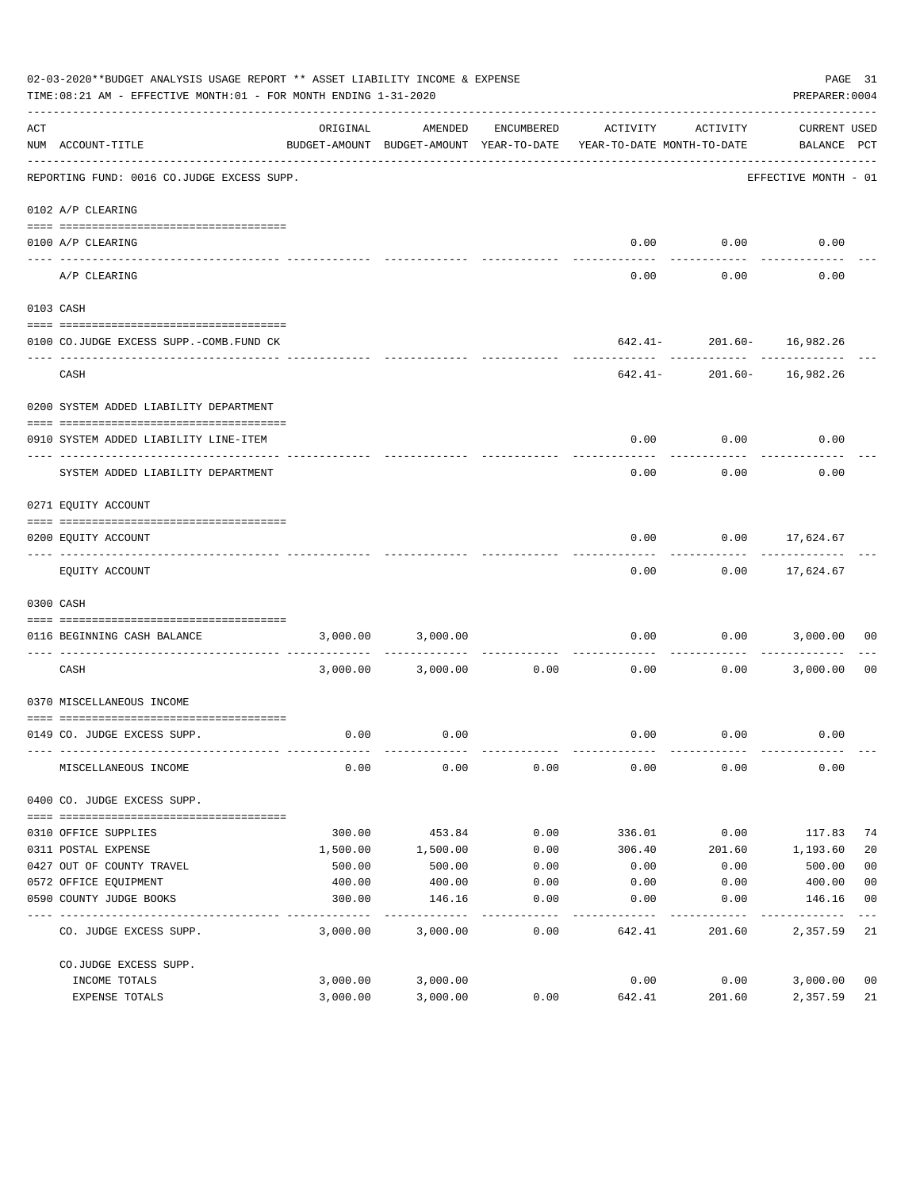|     | 02-03-2020**BUDGET ANALYSIS USAGE REPORT ** ASSET LIABILITY INCOME & EXPENSE<br>TIME: 08:21 AM - EFFECTIVE MONTH: 01 - FOR MONTH ENDING 1-31-2020 |          |                                                     |               |                                        |                                                            | PAGE 31<br>PREPARER: 0004          |                |
|-----|---------------------------------------------------------------------------------------------------------------------------------------------------|----------|-----------------------------------------------------|---------------|----------------------------------------|------------------------------------------------------------|------------------------------------|----------------|
| ACT | NUM ACCOUNT-TITLE                                                                                                                                 | ORIGINAL | AMENDED<br>BUDGET-AMOUNT BUDGET-AMOUNT YEAR-TO-DATE | ENCUMBERED    | ACTIVITY<br>YEAR-TO-DATE MONTH-TO-DATE | ACTIVITY                                                   | <b>CURRENT USED</b><br>BALANCE PCT |                |
|     | --------------------------------------<br>REPORTING FUND: 0016 CO.JUDGE EXCESS SUPP.                                                              |          |                                                     |               |                                        |                                                            | EFFECTIVE MONTH - 01               |                |
|     | 0102 A/P CLEARING                                                                                                                                 |          |                                                     |               |                                        |                                                            |                                    |                |
|     |                                                                                                                                                   |          |                                                     |               |                                        |                                                            |                                    |                |
|     | 0100 A/P CLEARING                                                                                                                                 |          |                                                     |               |                                        | $0.00$ $0.00$                                              | 0.00                               |                |
|     | A/P CLEARING                                                                                                                                      |          |                                                     |               | 0.00                                   | 0.00                                                       | 0.00                               |                |
|     | 0103 CASH                                                                                                                                         |          |                                                     |               |                                        |                                                            |                                    |                |
|     |                                                                                                                                                   |          |                                                     |               |                                        |                                                            |                                    |                |
|     | 0100 CO.JUDGE EXCESS SUPP.-COMB.FUND CK                                                                                                           |          |                                                     |               | ---------                              | 642.41- 201.60- 16,982.26<br>----------------------------- |                                    |                |
|     | CASH                                                                                                                                              |          |                                                     |               |                                        | $642.41 - 201.60 - 16,982.26$                              |                                    |                |
|     | 0200 SYSTEM ADDED LIABILITY DEPARTMENT                                                                                                            |          |                                                     |               |                                        |                                                            |                                    |                |
|     |                                                                                                                                                   |          |                                                     |               |                                        |                                                            |                                    |                |
|     | 0910 SYSTEM ADDED LIABILITY LINE-ITEM                                                                                                             |          |                                                     |               | 0.00                                   | 0.00                                                       | 0.00                               |                |
|     | SYSTEM ADDED LIABILITY DEPARTMENT                                                                                                                 |          |                                                     |               | 0.00                                   | 0.00                                                       | 0.00                               |                |
|     | 0271 EQUITY ACCOUNT                                                                                                                               |          |                                                     |               |                                        |                                                            |                                    |                |
|     |                                                                                                                                                   |          |                                                     |               |                                        |                                                            |                                    |                |
|     | 0200 EQUITY ACCOUNT                                                                                                                               |          |                                                     |               | 0.00                                   |                                                            | $0.00$ 17,624.67<br>-----------    |                |
|     | EQUITY ACCOUNT                                                                                                                                    |          |                                                     |               | 0.00                                   |                                                            | $0.00$ 17,624.67                   |                |
|     | 0300 CASH                                                                                                                                         |          |                                                     |               |                                        |                                                            |                                    |                |
|     | 0116 BEGINNING CASH BALANCE                                                                                                                       |          | 3,000.00 3,000.00                                   |               |                                        |                                                            | $0.00$ $0.00$ $3,000.00$           | 00             |
|     | CASH                                                                                                                                              |          | 3,000.00 3,000.00                                   | 0.00          | ------------- --------------<br>0.00   | ----------                                                 | $0.00$ 3,000.00                    | 00             |
|     | 0370 MISCELLANEOUS INCOME                                                                                                                         |          |                                                     |               |                                        |                                                            |                                    |                |
|     |                                                                                                                                                   |          |                                                     |               |                                        |                                                            |                                    |                |
|     | 0149 CO. JUDGE EXCESS SUPP.                                                                                                                       | 0.00     | 0.00                                                |               |                                        | $0.00$ $0.00$                                              | 0.00                               |                |
|     | MISCELLANEOUS INCOME                                                                                                                              | 0.00     | 0.00                                                | 0.00          | 0.00                                   | 0.00                                                       | 0.00                               |                |
|     | 0400 CO. JUDGE EXCESS SUPP.                                                                                                                       |          |                                                     |               |                                        |                                                            |                                    |                |
|     | 0310 OFFICE SUPPLIES                                                                                                                              | 300.00   | 453.84                                              | 0.00          | 336.01                                 | 0.00                                                       | 117.83                             | 74             |
|     | 0311 POSTAL EXPENSE                                                                                                                               | 1,500.00 | 1,500.00                                            | 0.00          | 306.40                                 | 201.60                                                     | 1,193.60                           | 20             |
|     | 0427 OUT OF COUNTY TRAVEL                                                                                                                         | 500.00   | 500.00                                              | 0.00          | 0.00                                   | 0.00                                                       | 500.00                             | 0 <sub>0</sub> |
|     | 0572 OFFICE EQUIPMENT                                                                                                                             | 400.00   | 400.00                                              | 0.00          | 0.00                                   | 0.00                                                       | 400.00                             | 0 <sub>0</sub> |
|     | 0590 COUNTY JUDGE BOOKS                                                                                                                           | 300.00   | 146.16                                              | 0.00          | 0.00                                   | 0.00                                                       | 146.16                             | 0 <sub>0</sub> |
|     | CO. JUDGE EXCESS SUPP.                                                                                                                            | 3,000.00 | 3,000.00                                            | -----<br>0.00 | 642.41                                 | 201.60                                                     | 2,357.59 21                        |                |
|     | CO.JUDGE EXCESS SUPP.                                                                                                                             |          |                                                     |               |                                        |                                                            |                                    |                |
|     | INCOME TOTALS                                                                                                                                     | 3,000.00 | 3,000.00                                            |               | 0.00                                   | 0.00                                                       | 3,000.00                           | 0 <sub>0</sub> |
|     | EXPENSE TOTALS                                                                                                                                    | 3,000.00 | 3,000.00                                            | 0.00          | 642.41                                 | 201.60                                                     | 2,357.59                           | 21             |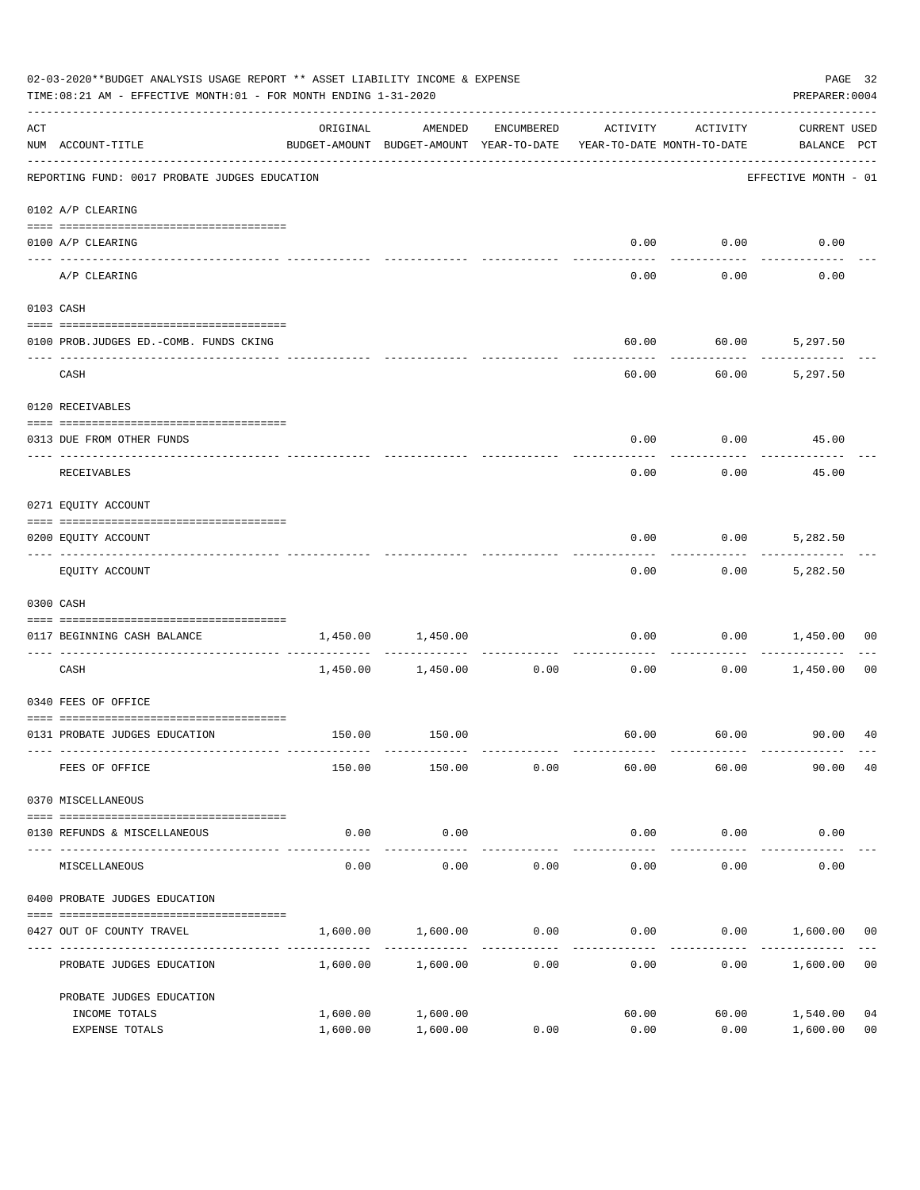|     | 02-03-2020**BUDGET ANALYSIS USAGE REPORT ** ASSET LIABILITY INCOME & EXPENSE<br>TIME:08:21 AM - EFFECTIVE MONTH:01 - FOR MONTH ENDING 1-31-2020<br>AMENDED<br>ACTIVITY<br>ACTIVITY<br>ORIGINAL<br>ENCUMBERED<br>BUDGET-AMOUNT BUDGET-AMOUNT YEAR-TO-DATE<br>NUM ACCOUNT-TITLE<br>YEAR-TO-DATE MONTH-TO-DATE<br>REPORTING FUND: 0017 PROBATE JUDGES EDUCATION<br>0102 A/P CLEARING<br>0100 A/P CLEARING<br>0.00<br>0.00<br>---- --------<br>0.00<br>A/P CLEARING<br>0.00<br>0103 CASH<br>60.00<br>60.00<br>0100 PROB.JUDGES ED. - COMB. FUNDS CKING<br>60.00<br>CASH<br>60.00<br>0120 RECEIVABLES<br>0.00<br>0.00<br>0313 DUE FROM OTHER FUNDS<br>0.00<br>0.00<br>RECEIVABLES<br>0271 EQUITY ACCOUNT<br>0.00<br>0.00<br>0200 EQUITY ACCOUNT<br>0.00<br>0.00<br>EQUITY ACCOUNT<br>0300 CASH<br>0.00<br>0.00<br>1,450.00<br>1,450.00<br>0117 BEGINNING CASH BALANCE<br>. <u>.</u><br>CASH<br>1,450.00 1,450.00<br>0.00<br>0.00<br>0.00<br>0340 FEES OF OFFICE<br>60.00 60.00 90.00 40<br>150.00 150.00<br>0131 PROBATE JUDGES EDUCATION |          |                     |                    |       |       | PREPARER: 0004                     | PAGE 32        |
|-----|--------------------------------------------------------------------------------------------------------------------------------------------------------------------------------------------------------------------------------------------------------------------------------------------------------------------------------------------------------------------------------------------------------------------------------------------------------------------------------------------------------------------------------------------------------------------------------------------------------------------------------------------------------------------------------------------------------------------------------------------------------------------------------------------------------------------------------------------------------------------------------------------------------------------------------------------------------------------------------------------------------------------------------------|----------|---------------------|--------------------|-------|-------|------------------------------------|----------------|
| ACT |                                                                                                                                                                                                                                                                                                                                                                                                                                                                                                                                                                                                                                                                                                                                                                                                                                                                                                                                                                                                                                      |          |                     |                    |       |       | <b>CURRENT USED</b><br>BALANCE PCT |                |
|     |                                                                                                                                                                                                                                                                                                                                                                                                                                                                                                                                                                                                                                                                                                                                                                                                                                                                                                                                                                                                                                      |          |                     |                    |       |       | EFFECTIVE MONTH - 01               |                |
|     |                                                                                                                                                                                                                                                                                                                                                                                                                                                                                                                                                                                                                                                                                                                                                                                                                                                                                                                                                                                                                                      |          |                     |                    |       |       |                                    |                |
|     |                                                                                                                                                                                                                                                                                                                                                                                                                                                                                                                                                                                                                                                                                                                                                                                                                                                                                                                                                                                                                                      |          |                     |                    |       |       | 0.00                               |                |
|     |                                                                                                                                                                                                                                                                                                                                                                                                                                                                                                                                                                                                                                                                                                                                                                                                                                                                                                                                                                                                                                      |          |                     |                    |       |       | 0.00                               |                |
|     |                                                                                                                                                                                                                                                                                                                                                                                                                                                                                                                                                                                                                                                                                                                                                                                                                                                                                                                                                                                                                                      |          |                     |                    |       |       |                                    |                |
|     |                                                                                                                                                                                                                                                                                                                                                                                                                                                                                                                                                                                                                                                                                                                                                                                                                                                                                                                                                                                                                                      |          |                     |                    |       |       | 5,297.50                           |                |
|     |                                                                                                                                                                                                                                                                                                                                                                                                                                                                                                                                                                                                                                                                                                                                                                                                                                                                                                                                                                                                                                      |          |                     |                    |       |       | 5,297.50                           |                |
|     |                                                                                                                                                                                                                                                                                                                                                                                                                                                                                                                                                                                                                                                                                                                                                                                                                                                                                                                                                                                                                                      |          |                     |                    |       |       |                                    |                |
|     |                                                                                                                                                                                                                                                                                                                                                                                                                                                                                                                                                                                                                                                                                                                                                                                                                                                                                                                                                                                                                                      |          |                     |                    |       |       | 45.00                              |                |
|     |                                                                                                                                                                                                                                                                                                                                                                                                                                                                                                                                                                                                                                                                                                                                                                                                                                                                                                                                                                                                                                      |          |                     |                    |       |       | 45.00                              |                |
|     |                                                                                                                                                                                                                                                                                                                                                                                                                                                                                                                                                                                                                                                                                                                                                                                                                                                                                                                                                                                                                                      |          |                     |                    |       |       |                                    |                |
|     |                                                                                                                                                                                                                                                                                                                                                                                                                                                                                                                                                                                                                                                                                                                                                                                                                                                                                                                                                                                                                                      |          |                     |                    |       |       | 5,282.50                           |                |
|     |                                                                                                                                                                                                                                                                                                                                                                                                                                                                                                                                                                                                                                                                                                                                                                                                                                                                                                                                                                                                                                      |          |                     |                    |       |       | 5,282.50                           |                |
|     |                                                                                                                                                                                                                                                                                                                                                                                                                                                                                                                                                                                                                                                                                                                                                                                                                                                                                                                                                                                                                                      |          |                     |                    |       |       |                                    |                |
|     |                                                                                                                                                                                                                                                                                                                                                                                                                                                                                                                                                                                                                                                                                                                                                                                                                                                                                                                                                                                                                                      |          |                     |                    |       |       | 1,450.00                           | 00             |
|     |                                                                                                                                                                                                                                                                                                                                                                                                                                                                                                                                                                                                                                                                                                                                                                                                                                                                                                                                                                                                                                      |          |                     |                    |       |       | 1,450.00                           | 00             |
|     |                                                                                                                                                                                                                                                                                                                                                                                                                                                                                                                                                                                                                                                                                                                                                                                                                                                                                                                                                                                                                                      |          |                     |                    |       |       |                                    |                |
|     |                                                                                                                                                                                                                                                                                                                                                                                                                                                                                                                                                                                                                                                                                                                                                                                                                                                                                                                                                                                                                                      |          |                     |                    |       |       |                                    |                |
|     | FEES OF OFFICE                                                                                                                                                                                                                                                                                                                                                                                                                                                                                                                                                                                                                                                                                                                                                                                                                                                                                                                                                                                                                       | 150.00   | 150.00              | 0.00               | 60.00 | 60.00 | 90.00                              | 40             |
|     | 0370 MISCELLANEOUS                                                                                                                                                                                                                                                                                                                                                                                                                                                                                                                                                                                                                                                                                                                                                                                                                                                                                                                                                                                                                   |          |                     |                    |       |       |                                    |                |
|     | 0130 REFUNDS & MISCELLANEOUS                                                                                                                                                                                                                                                                                                                                                                                                                                                                                                                                                                                                                                                                                                                                                                                                                                                                                                                                                                                                         | 0.00     | 0.00                |                    | 0.00  | 0.00  | 0.00                               |                |
|     | MISCELLANEOUS                                                                                                                                                                                                                                                                                                                                                                                                                                                                                                                                                                                                                                                                                                                                                                                                                                                                                                                                                                                                                        | 0.00     | -----------<br>0.00 | 0.00               | 0.00  | 0.00  | 0.00                               |                |
|     | 0400 PROBATE JUDGES EDUCATION                                                                                                                                                                                                                                                                                                                                                                                                                                                                                                                                                                                                                                                                                                                                                                                                                                                                                                                                                                                                        |          |                     |                    |       |       |                                    |                |
|     | 0427 OUT OF COUNTY TRAVEL                                                                                                                                                                                                                                                                                                                                                                                                                                                                                                                                                                                                                                                                                                                                                                                                                                                                                                                                                                                                            | 1,600.00 | 1,600.00            | 0.00               | 0.00  |       | $0.00$ 1,600.00 00                 |                |
|     | PROBATE JUDGES EDUCATION                                                                                                                                                                                                                                                                                                                                                                                                                                                                                                                                                                                                                                                                                                                                                                                                                                                                                                                                                                                                             |          | 1,600.00 1,600.00   | ----------<br>0.00 | 0.00  | 0.00  | 1,600.00                           | 0 <sub>0</sub> |
|     | PROBATE JUDGES EDUCATION                                                                                                                                                                                                                                                                                                                                                                                                                                                                                                                                                                                                                                                                                                                                                                                                                                                                                                                                                                                                             |          |                     |                    |       |       |                                    |                |
|     | INCOME TOTALS                                                                                                                                                                                                                                                                                                                                                                                                                                                                                                                                                                                                                                                                                                                                                                                                                                                                                                                                                                                                                        | 1,600.00 | 1,600.00            |                    | 60.00 | 60.00 | 1,540.00                           | 04             |
|     | EXPENSE TOTALS                                                                                                                                                                                                                                                                                                                                                                                                                                                                                                                                                                                                                                                                                                                                                                                                                                                                                                                                                                                                                       | 1,600.00 | 1,600.00            | 0.00               | 0.00  | 0.00  | 1,600.00                           | 0 <sub>0</sub> |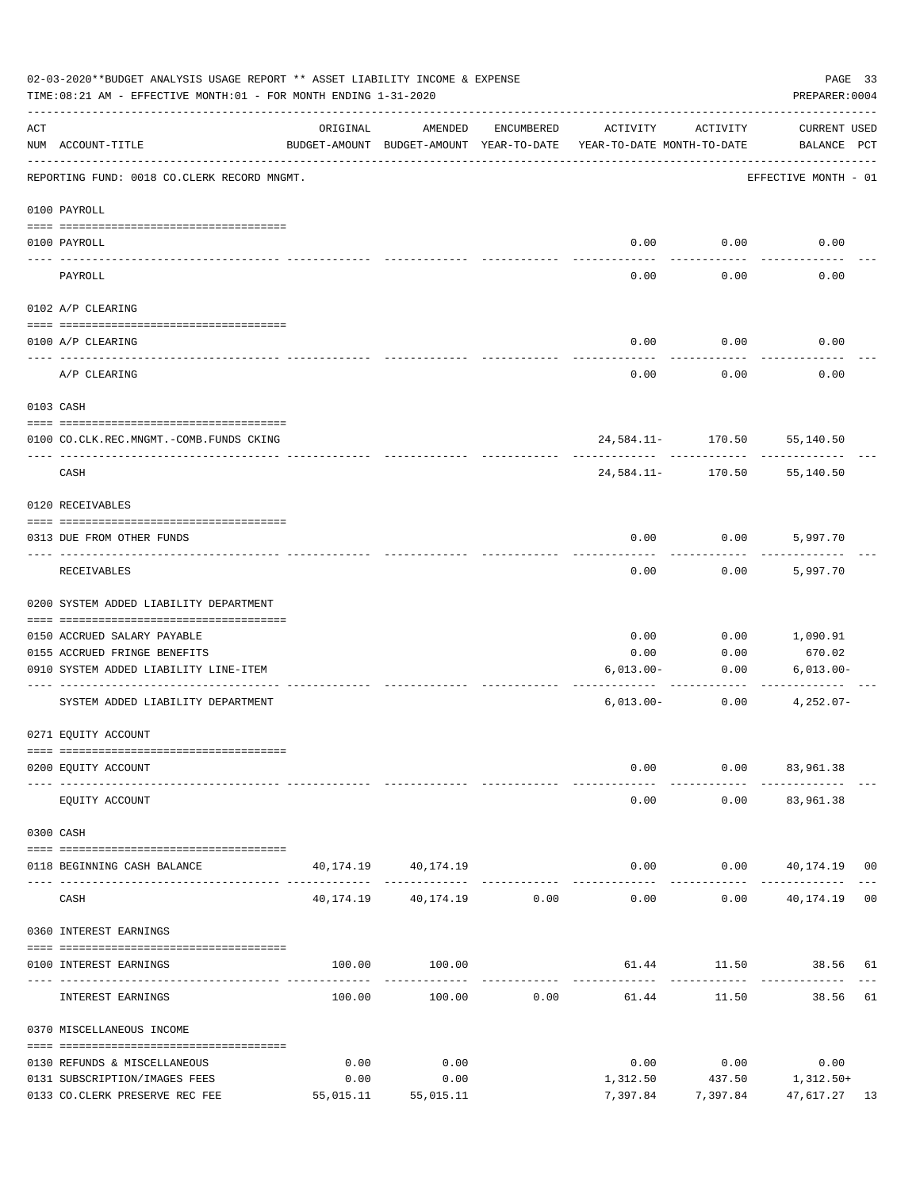|            | 02-03-2020**BUDGET ANALYSIS USAGE REPORT ** ASSET LIABILITY INCOME & EXPENSE<br>TIME: 08:21 AM - EFFECTIVE MONTH: 01 - FOR MONTH ENDING 1-31-2020 |           |                                                     |                               |                                        |                       | PAGE 33<br>PREPARER: 0004                        |  |
|------------|---------------------------------------------------------------------------------------------------------------------------------------------------|-----------|-----------------------------------------------------|-------------------------------|----------------------------------------|-----------------------|--------------------------------------------------|--|
| ACT        | NUM ACCOUNT-TITLE                                                                                                                                 | ORIGINAL  | AMENDED<br>BUDGET-AMOUNT BUDGET-AMOUNT YEAR-TO-DATE | ENCUMBERED                    | ACTIVITY<br>YEAR-TO-DATE MONTH-TO-DATE | ACTIVITY              | <b>CURRENT USED</b><br>BALANCE PCT               |  |
|            | REPORTING FUND: 0018 CO.CLERK RECORD MNGMT.                                                                                                       |           |                                                     |                               |                                        |                       | EFFECTIVE MONTH - 01                             |  |
|            | 0100 PAYROLL                                                                                                                                      |           |                                                     |                               |                                        |                       |                                                  |  |
|            | 0100 PAYROLL                                                                                                                                      |           |                                                     |                               | 0.00                                   | 0.00                  | 0.00                                             |  |
| ----- ---- | -------------------------- ---------<br>PAYROLL                                                                                                   |           |                                                     |                               | 0.00                                   | 0.00                  | 0.00                                             |  |
|            | 0102 A/P CLEARING                                                                                                                                 |           |                                                     |                               |                                        |                       |                                                  |  |
|            | 0100 A/P CLEARING                                                                                                                                 |           |                                                     |                               | 0.00                                   | 0.00                  | 0.00                                             |  |
|            | A/P CLEARING                                                                                                                                      |           |                                                     |                               | 0.00                                   | 0.00                  | 0.00                                             |  |
|            | 0103 CASH                                                                                                                                         |           |                                                     |                               |                                        |                       |                                                  |  |
|            | 0100 CO.CLK.REC.MNGMT.-COMB.FUNDS CKING                                                                                                           |           |                                                     |                               |                                        |                       | 24,584.11- 170.50 55,140.50                      |  |
|            | CASH                                                                                                                                              |           |                                                     |                               | 24,584.11-                             | 170.50                | 55,140.50                                        |  |
|            | 0120 RECEIVABLES                                                                                                                                  |           |                                                     |                               |                                        |                       |                                                  |  |
|            | 0313 DUE FROM OTHER FUNDS                                                                                                                         |           |                                                     |                               | 0.00                                   | 0.00                  | 5,997.70                                         |  |
|            | RECEIVABLES                                                                                                                                       |           |                                                     |                               | 0.00                                   | 0.00                  | 5,997.70                                         |  |
|            | 0200 SYSTEM ADDED LIABILITY DEPARTMENT                                                                                                            |           |                                                     |                               |                                        |                       |                                                  |  |
|            | 0150 ACCRUED SALARY PAYABLE                                                                                                                       |           |                                                     |                               | 0.00                                   | 0.00                  | 1,090.91                                         |  |
|            | 0155 ACCRUED FRINGE BENEFITS                                                                                                                      |           |                                                     |                               | 0.00                                   | 0.00                  | 670.02                                           |  |
|            | 0910 SYSTEM ADDED LIABILITY LINE-ITEM                                                                                                             |           |                                                     |                               | $6,013.00-$                            | 0.00                  | $6,013.00 -$                                     |  |
|            | SYSTEM ADDED LIABILITY DEPARTMENT                                                                                                                 |           |                                                     |                               | $6,013.00-$                            | 0.00                  | $4,252.07-$                                      |  |
|            | 0271 EQUITY ACCOUNT                                                                                                                               |           |                                                     |                               |                                        |                       |                                                  |  |
|            | 0200 EQUITY ACCOUNT                                                                                                                               |           |                                                     |                               | 0.00                                   |                       | $0.00$ $83,961.38$                               |  |
|            | EQUITY ACCOUNT                                                                                                                                    |           |                                                     |                               | 0.00                                   |                       | ----------- --------------<br>$0.00$ $83,961.38$ |  |
|            | 0300 CASH                                                                                                                                         |           |                                                     |                               |                                        |                       |                                                  |  |
|            | 0118 BEGINNING CASH BALANCE                                                                                                                       |           | 40, 174. 19 40, 174. 19                             |                               |                                        |                       | $0.00$ $0.00$ $40,174.19$ 00                     |  |
|            | CASH                                                                                                                                              |           | 40, 174. 19   40, 174. 19   0.00                    |                               | 0.00                                   |                       | $0.00$ $40,174.19$ 00                            |  |
|            | 0360 INTEREST EARNINGS                                                                                                                            |           |                                                     |                               |                                        |                       |                                                  |  |
|            | 0100 INTEREST EARNINGS                                                                                                                            |           | 100.00 100.00                                       |                               |                                        |                       | 61.44 11.50 38.56 61                             |  |
|            | INTEREST EARNINGS                                                                                                                                 | 100.00    |                                                     | ------------<br>$100.00$ 0.00 | --------------<br>61.44                | ------------<br>11.50 | 38.56 61                                         |  |
|            | 0370 MISCELLANEOUS INCOME                                                                                                                         |           |                                                     |                               |                                        |                       |                                                  |  |
|            | 0130 REFUNDS & MISCELLANEOUS                                                                                                                      | 0.00      | 0.00                                                |                               | 0.00                                   | 0.00                  | 0.00                                             |  |
|            | 0131 SUBSCRIPTION/IMAGES FEES                                                                                                                     | 0.00      | 0.00                                                |                               | 1,312.50                               |                       | 437.50 1,312.50+                                 |  |
|            | 0133 CO.CLERK PRESERVE REC FEE                                                                                                                    | 55,015.11 | 55,015.11                                           |                               | 7,397.84                               | 7,397.84              | 47,617.27 13                                     |  |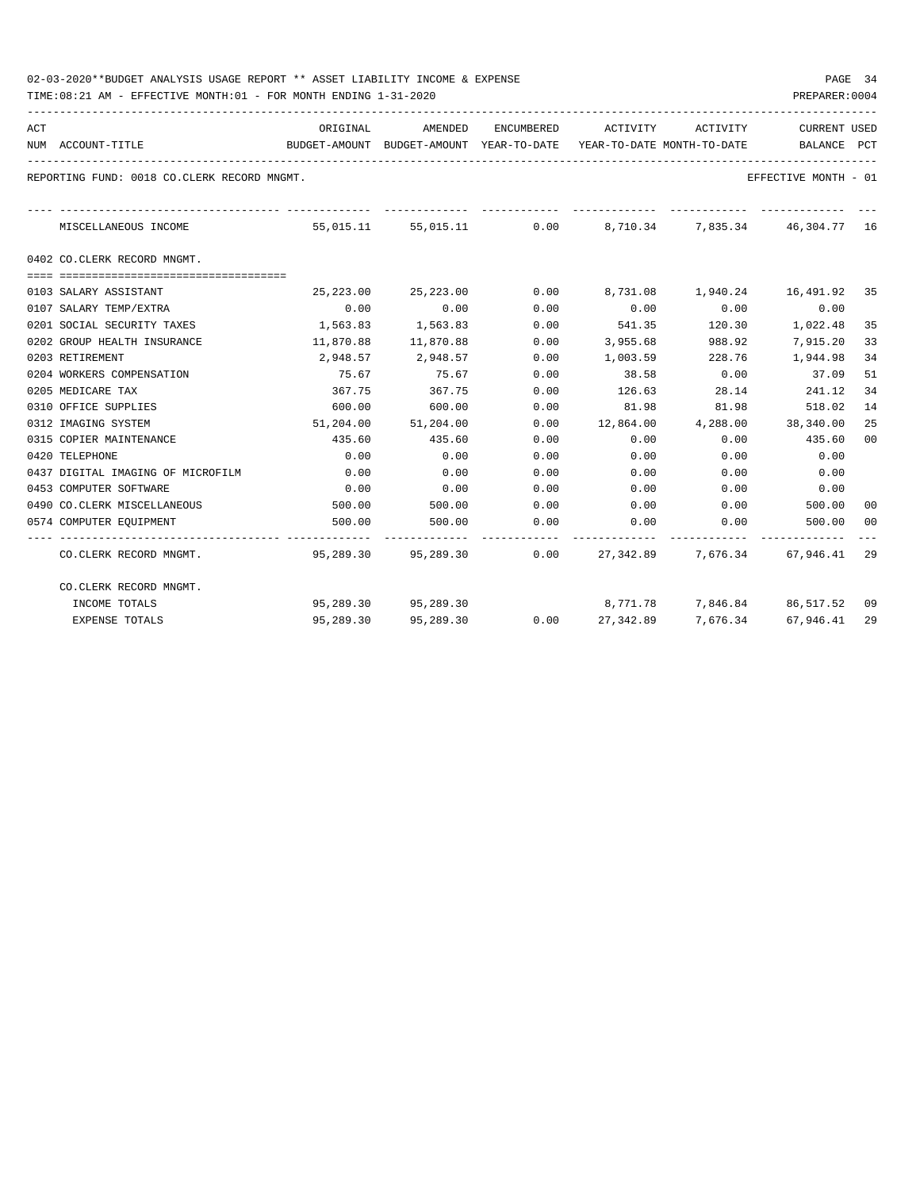TIME:08:21 AM - EFFECTIVE MONTH:01 - FOR MONTH ENDING 1-31-2020

| ACT | NUM ACCOUNT-TITLE                           | ORIGINAL  | BUDGET-AMOUNT BUDGET-AMOUNT YEAR-TO-DATE YEAR-TO-DATE MONTH-TO-DATE | AMENDED ENCUMBERED ACTIVITY ACTIVITY |                 |          | <b>CURRENT USED</b><br>BALANCE PCT                                      |    |
|-----|---------------------------------------------|-----------|---------------------------------------------------------------------|--------------------------------------|-----------------|----------|-------------------------------------------------------------------------|----|
|     | REPORTING FUND: 0018 CO.CLERK RECORD MNGMT. |           |                                                                     |                                      |                 |          | EFFECTIVE MONTH - 01                                                    |    |
|     | MISCELLANEOUS INCOME                        | 55,015.11 |                                                                     | _____________                        |                 |          | 55,015.11 0.00 8,710.34 7,835.34 46,304.77 16                           |    |
|     | 0402 CO.CLERK RECORD MNGMT.                 |           |                                                                     |                                      |                 |          |                                                                         |    |
|     |                                             |           |                                                                     |                                      |                 |          |                                                                         |    |
|     | 0103 SALARY ASSISTANT                       | 25,223.00 | 25,223.00                                                           | 0.00                                 |                 |          |                                                                         |    |
|     | 0107 SALARY TEMP/EXTRA                      | 0.00      | 0.00                                                                | 0.00                                 | 0.00            | 0.00     | 0.00                                                                    |    |
|     | 0201 SOCIAL SECURITY TAXES                  | 1,563.83  | 1,563.83                                                            | 0.00                                 | 541.35          | 120.30   | 1,022.48                                                                | 35 |
|     | 0202 GROUP HEALTH INSURANCE                 | 11,870.88 | 11,870.88                                                           | 0.00                                 | 3,955.68        | 988.92   | 7,915.20                                                                | 33 |
|     | 0203 RETIREMENT                             |           | 2,948.57 2,948.57                                                   | 0.00                                 | 1,003.59 228.76 |          | 1,944.98                                                                | 34 |
|     | 0204 WORKERS COMPENSATION                   | 75.67     | 75.67                                                               | 0.00                                 | 38.58           | 0.00     | 37.09                                                                   | 51 |
|     | 0205 MEDICARE TAX                           | 367.75    | 367.75                                                              | 0.00                                 | 126.63          | 28.14    | 241.12                                                                  | 34 |
|     | 0310 OFFICE SUPPLIES                        | 600.00    | 600.00                                                              | 0.00                                 | 81.98           | 81.98    | 518.02                                                                  | 14 |
|     | 0312 IMAGING SYSTEM                         |           | 51,204.00 51,204.00                                                 | 0.00                                 |                 |          | 12,864.00  4,288.00  38,340.00                                          | 25 |
|     | 0315 COPIER MAINTENANCE                     | 435.60    | 435.60                                                              | 0.00                                 | 0.00            | 0.00     | 435.60                                                                  | 00 |
|     | 0420 TELEPHONE                              | 0.00      | 0.00                                                                | 0.00                                 | 0.00            | 0.00     | 0.00                                                                    |    |
|     | 0437 DIGITAL IMAGING OF MICROFILM           | 0.00      | 0.00                                                                | 0.00                                 | 0.00            | 0.00     | 0.00                                                                    |    |
|     | 0453 COMPUTER SOFTWARE                      | 0.00      | 0.00                                                                | 0.00                                 | 0.00            | 0.00     | 0.00                                                                    |    |
|     | 0490 CO.CLERK MISCELLANEOUS                 | 500.00    | 500.00                                                              | 0.00                                 | $0.00$ $0.00$   |          | 500.00                                                                  | 00 |
|     | 0574 COMPUTER EOUIPMENT                     | 500.00    | 500.00                                                              | 0.00                                 | 0.00            | 0.00     | 500.00                                                                  | 00 |
|     | CO.CLERK RECORD MNGMT.                      |           |                                                                     |                                      |                 |          | 95,289.30   95,289.30      0.00   27,342.89    7,676.34   67,946.41  29 |    |
|     | CO.CLERK RECORD MNGMT.                      |           |                                                                     |                                      |                 |          |                                                                         |    |
|     | INCOME TOTALS                               |           | 95,289.30 95,289.30                                                 |                                      |                 |          | 8,771.78 7,846.84 86,517.52 09                                          |    |
|     | <b>EXPENSE TOTALS</b>                       | 95,289.30 | 95,289.30                                                           | 0.00                                 | 27,342.89       | 7,676.34 | 67,946.41 29                                                            |    |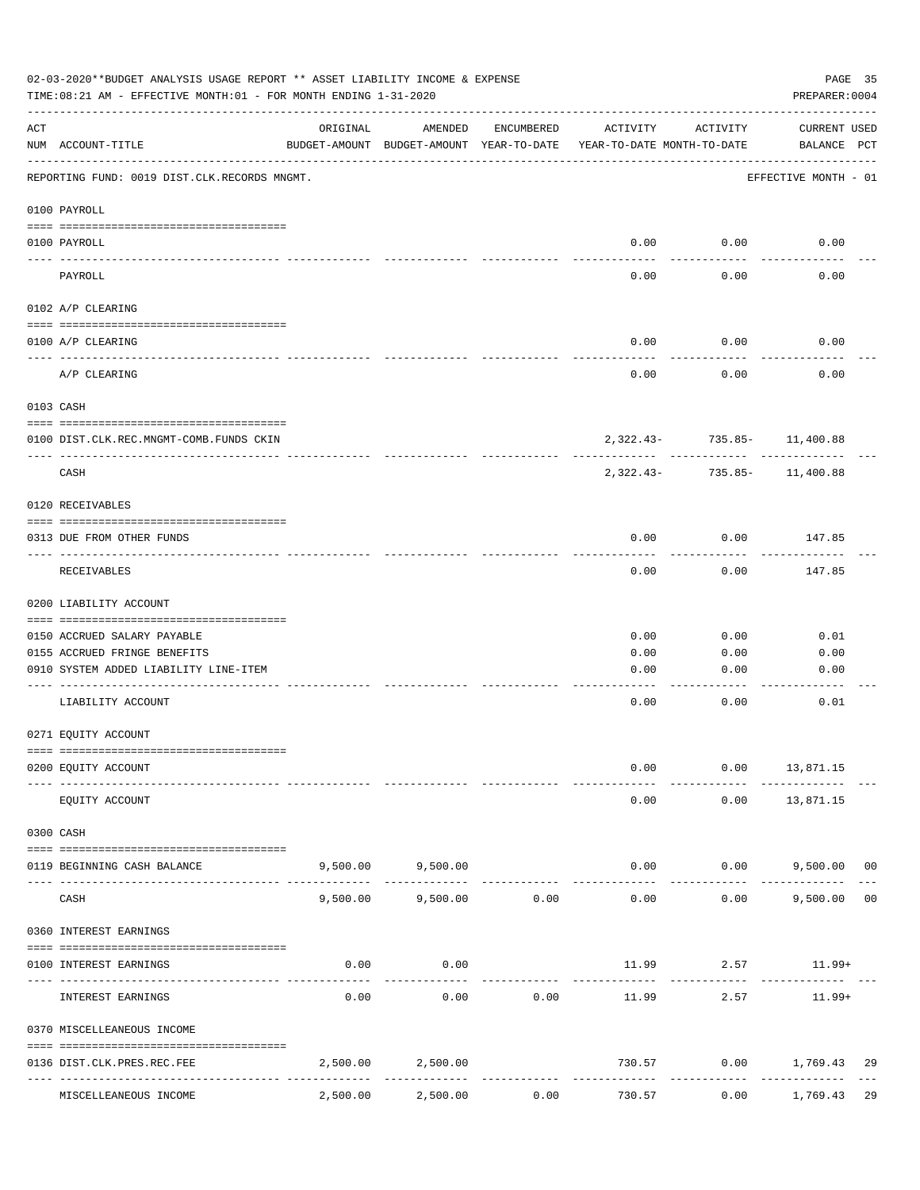| 02-03-2020**BUDGET ANALYSIS USAGE REPORT ** ASSET LIABILITY INCOME & EXPENSE<br>TIME: 08:21 AM - EFFECTIVE MONTH: 01 - FOR MONTH ENDING 1-31-2020<br>PREPARER: 0004 |                                              |                                                      |                   |                     |                                        |                             |                             | PAGE 35        |
|---------------------------------------------------------------------------------------------------------------------------------------------------------------------|----------------------------------------------|------------------------------------------------------|-------------------|---------------------|----------------------------------------|-----------------------------|-----------------------------|----------------|
| ACT                                                                                                                                                                 | NUM ACCOUNT-TITLE                            | ORIGINAL<br>BUDGET-AMOUNT BUDGET-AMOUNT YEAR-TO-DATE | AMENDED           | ENCUMBERED          | ACTIVITY<br>YEAR-TO-DATE MONTH-TO-DATE | ACTIVITY                    | CURRENT USED<br>BALANCE PCT |                |
|                                                                                                                                                                     | REPORTING FUND: 0019 DIST.CLK.RECORDS MNGMT. |                                                      |                   |                     |                                        |                             | EFFECTIVE MONTH - 01        |                |
|                                                                                                                                                                     | 0100 PAYROLL                                 |                                                      |                   |                     |                                        |                             |                             |                |
|                                                                                                                                                                     | 0100 PAYROLL                                 |                                                      |                   |                     | 0.00                                   | 0.00                        | 0.00                        |                |
|                                                                                                                                                                     | ----- -------<br>PAYROLL                     |                                                      |                   |                     | 0.00                                   | 0.00                        | 0.00                        |                |
|                                                                                                                                                                     | 0102 A/P CLEARING                            |                                                      |                   |                     |                                        |                             |                             |                |
|                                                                                                                                                                     | 0100 A/P CLEARING                            |                                                      |                   |                     | 0.00                                   | 0.00                        | 0.00                        |                |
|                                                                                                                                                                     | A/P CLEARING                                 |                                                      |                   |                     | 0.00                                   | 0.00                        | 0.00                        |                |
|                                                                                                                                                                     | 0103 CASH                                    |                                                      |                   |                     |                                        |                             |                             |                |
|                                                                                                                                                                     | 0100 DIST.CLK.REC.MNGMT-COMB.FUNDS CKIN      |                                                      |                   |                     |                                        | 2,322.43- 735.85- 11,400.88 |                             |                |
|                                                                                                                                                                     | CASH                                         |                                                      |                   |                     | $2.322.43-$                            | . <u>.</u> .                | 735.85- 11,400.88           |                |
|                                                                                                                                                                     | 0120 RECEIVABLES                             |                                                      |                   |                     |                                        |                             |                             |                |
|                                                                                                                                                                     | 0313 DUE FROM OTHER FUNDS                    |                                                      |                   |                     | 0.00                                   | 0.00                        | 147.85                      |                |
|                                                                                                                                                                     | RECEIVABLES                                  |                                                      |                   |                     | 0.00                                   | 0.00                        | 147.85                      |                |
|                                                                                                                                                                     | 0200 LIABILITY ACCOUNT                       |                                                      |                   |                     |                                        |                             |                             |                |
|                                                                                                                                                                     | 0150 ACCRUED SALARY PAYABLE                  |                                                      |                   |                     | 0.00                                   | 0.00                        | 0.01                        |                |
|                                                                                                                                                                     | 0155 ACCRUED FRINGE BENEFITS                 |                                                      |                   |                     | 0.00                                   | 0.00                        | 0.00                        |                |
|                                                                                                                                                                     | 0910 SYSTEM ADDED LIABILITY LINE-ITEM        |                                                      |                   |                     | 0.00                                   | 0.00                        | 0.00                        |                |
|                                                                                                                                                                     | LIABILITY ACCOUNT                            |                                                      |                   |                     | 0.00                                   | 0.00                        | 0.01                        |                |
|                                                                                                                                                                     | 0271 EQUITY ACCOUNT                          |                                                      |                   |                     |                                        |                             |                             |                |
|                                                                                                                                                                     | 0200 EQUITY ACCOUNT                          |                                                      |                   |                     | 0.00                                   | 0.00                        | 13,871.15                   |                |
|                                                                                                                                                                     | EQUITY ACCOUNT                               |                                                      |                   |                     | 0.00                                   | 0.00                        | 13,871.15                   |                |
|                                                                                                                                                                     | 0300 CASH                                    |                                                      |                   |                     |                                        |                             |                             |                |
|                                                                                                                                                                     | 0119 BEGINNING CASH BALANCE                  |                                                      | 9,500.00 9,500.00 |                     | 0.00                                   | 0.00                        | 9,500.00 00                 |                |
|                                                                                                                                                                     | CASH                                         | 9,500.00                                             | 9,500.00          | 0.00                | 0.00                                   | 0.00                        | 9,500.00                    | 0 <sub>0</sub> |
|                                                                                                                                                                     | 0360 INTEREST EARNINGS                       |                                                      |                   |                     |                                        |                             |                             |                |
|                                                                                                                                                                     | 0100 INTEREST EARNINGS                       | 0.00                                                 | 0.00              |                     | 11.99                                  | 2.57                        | $11.99+$                    |                |
|                                                                                                                                                                     | INTEREST EARNINGS                            | 0.00                                                 | 0.00              | 0.00                | 11.99                                  | 2.57                        | $11.99+$                    |                |
|                                                                                                                                                                     | 0370 MISCELLEANEOUS INCOME                   |                                                      |                   |                     |                                        |                             |                             |                |
|                                                                                                                                                                     | 0136 DIST.CLK.PRES.REC.FEE                   | 2,500.00                                             | 2,500.00          |                     | 730.57                                 |                             | $0.00$ 1,769.43             | 29             |
|                                                                                                                                                                     | ---------------<br>MISCELLEANEOUS INCOME     | 2,500.00                                             | 2,500.00          | -----------<br>0.00 | 730.57                                 | 0.00                        | 1,769.43                    | 29             |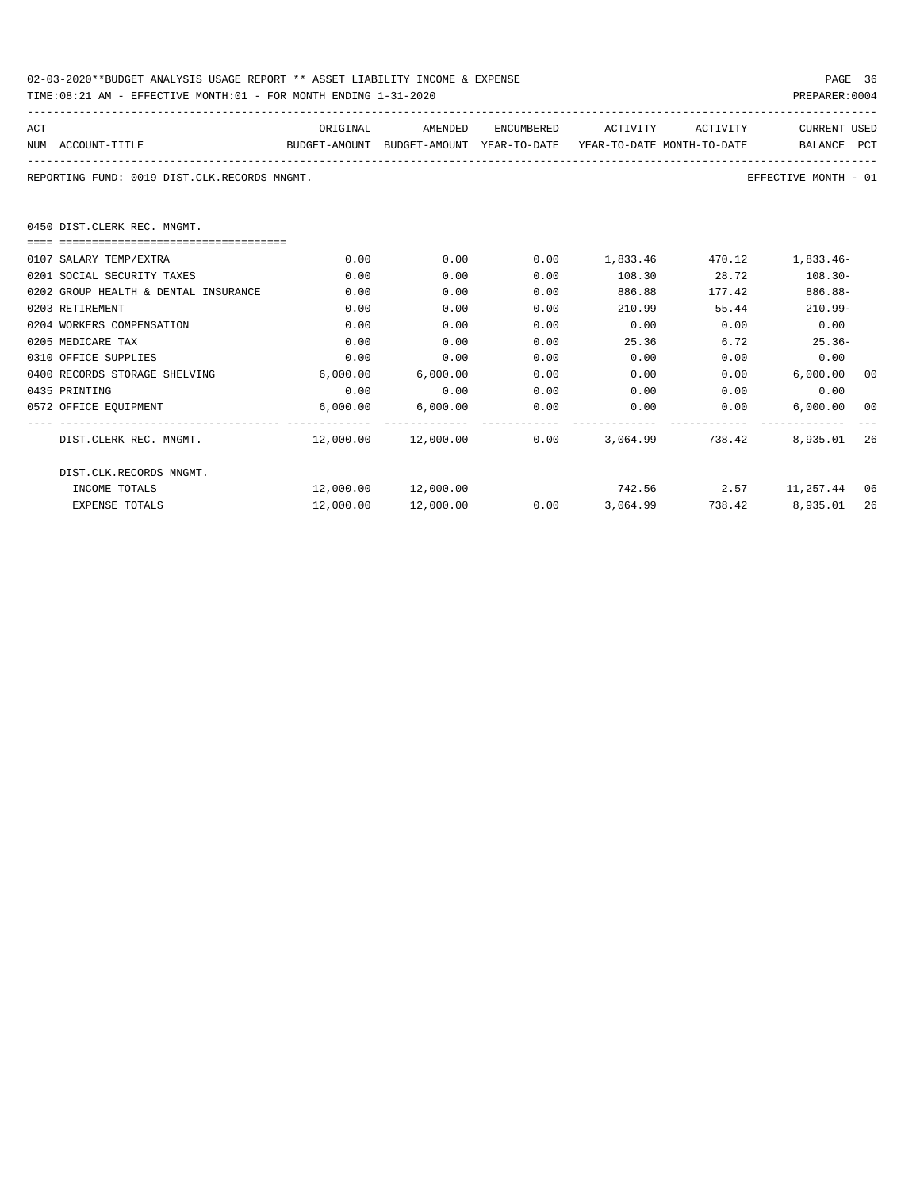| 02-03-2020**BUDGET ANALYSIS USAGE REPORT ** ASSET LIABILITY INCOME & EXPENSE | PAGE 36        |  |
|------------------------------------------------------------------------------|----------------|--|
| TIME:08:21 AM - EFFECTIVE MONTH:01 - FOR MONTH ENDING 1-31-2020              | PREPARER: 0004 |  |

| ACT                                          | ORIGINAL                                                            | AMENDED                                 | ENCUMBERED | ACTIVITY        | ACTIVITY     | <b>CURRENT USED</b>                                 |    |
|----------------------------------------------|---------------------------------------------------------------------|-----------------------------------------|------------|-----------------|--------------|-----------------------------------------------------|----|
| NUM ACCOUNT-TITLE                            | BUDGET-AMOUNT BUDGET-AMOUNT YEAR-TO-DATE YEAR-TO-DATE_MONTH-TO-DATE |                                         |            |                 |              | BALANCE PCT                                         |    |
| REPORTING FUND: 0019 DIST.CLK.RECORDS MNGMT. |                                                                     |                                         |            |                 |              | EFFECTIVE MONTH - 01                                |    |
| 0450 DIST.CLERK REC. MNGMT.                  |                                                                     |                                         |            |                 |              |                                                     |    |
|                                              |                                                                     |                                         |            |                 |              |                                                     |    |
| 0107 SALARY TEMP/EXTRA                       | 0.00                                                                | 0.00                                    | 0.00       |                 |              | 1,833.46 470.12 1,833.46-                           |    |
| 0201 SOCIAL SECURITY TAXES                   | 0.00                                                                | 0.00                                    | 0.00       |                 | 108.30 28.72 | $108.30 -$                                          |    |
| 0202 GROUP HEALTH & DENTAL INSURANCE         | 0.00                                                                | 0.00                                    | 0.00       | 886.88          | 177.42       | $886.88-$                                           |    |
| 0203 RETIREMENT                              | 0.00                                                                | 0.00                                    | 0.00       | 210.99          |              | $210.99 -$<br>55.44                                 |    |
| 0204 WORKERS COMPENSATION                    | 0.00                                                                | 0.00                                    | 0.00       | 0.00            | 0.00         | 0.00                                                |    |
| 0205 MEDICARE TAX                            | 0.00                                                                | 0.00                                    | 0.00       | 25.36           | 6.72         | $25.36-$                                            |    |
| 0310 OFFICE SUPPLIES                         | 0.00                                                                | 0.00                                    | 0.00       | 0.00            |              | 0.00<br>0.00                                        |    |
| 0400 RECORDS STORAGE SHELVING                | 6,000.00                                                            | 6,000.00                                | 0.00       |                 | 0.00         | $0.00$ 6,000.00                                     | 00 |
| 0435 PRINTING                                | 0.00                                                                | 0.00                                    | 0.00       | 0.00            |              | 0.00<br>0.00                                        |    |
| 0572 OFFICE EQUIPMENT                        |                                                                     | 6,000.00 6,000.00                       | 0.00       | 0.00            |              | 0.00<br>6,000.00                                    | 00 |
| DIST.CLERK REC. MNGMT.                       |                                                                     | $12,000.00$ $12,000.00$ 0.00 $3,064.99$ |            |                 | 738.42       | 8,935.01                                            | 26 |
| DIST.CLK.RECORDS MNGMT.                      |                                                                     |                                         |            |                 |              |                                                     |    |
| INCOME TOTALS                                |                                                                     |                                         |            |                 |              | $12,000.00$ $12,000.00$ $742.56$ $2.57$ $11,257.44$ | 06 |
| EXPENSE TOTALS                               |                                                                     | 12,000.00 12,000.00                     |            | $0.00$ 3,064.99 |              | 738.42 8,935.01                                     | 26 |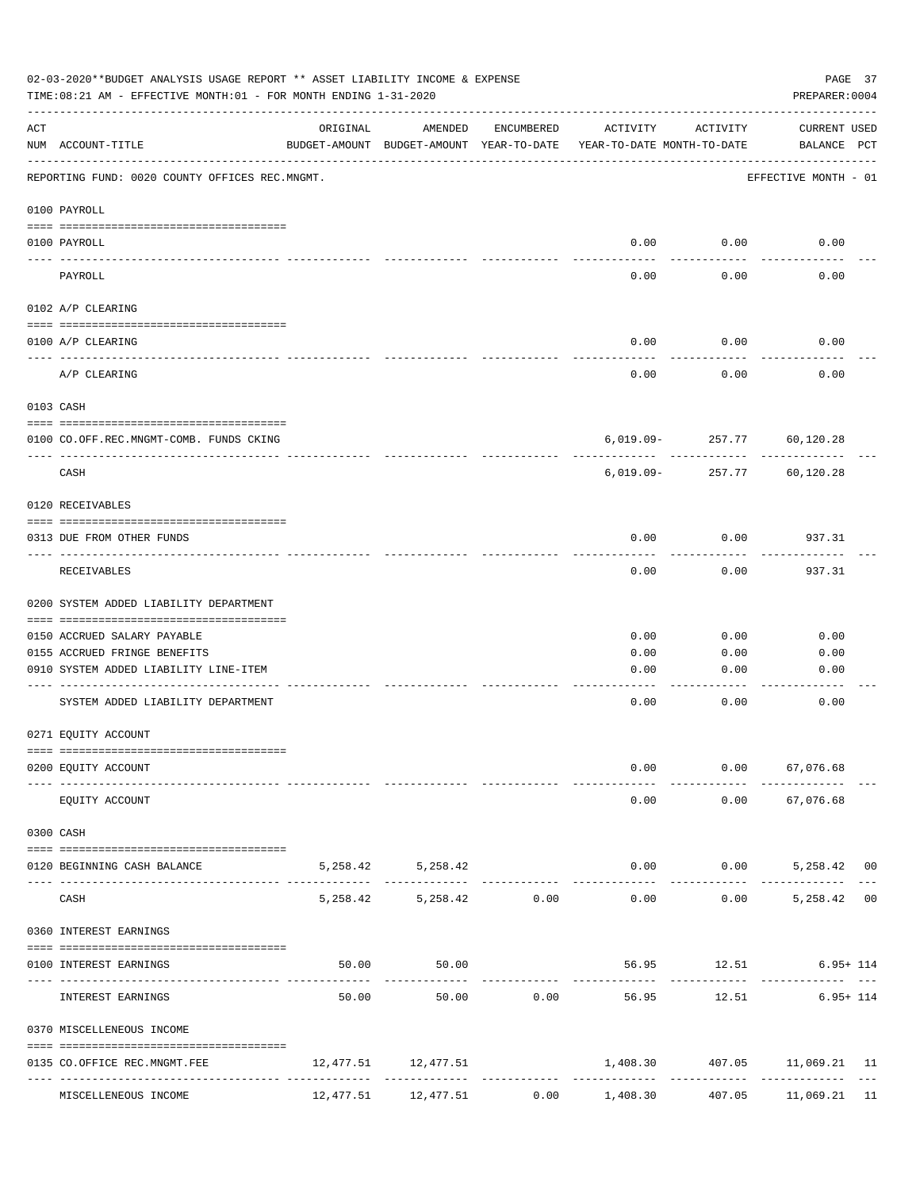|                    | 02-03-2020**BUDGET ANALYSIS USAGE REPORT ** ASSET LIABILITY INCOME & EXPENSE<br>TIME:08:21 AM - EFFECTIVE MONTH:01 - FOR MONTH ENDING 1-31-2020 |          |                                                     |                               |                                        |                      | PREPARER: 0004                               | PAGE 37 |
|--------------------|-------------------------------------------------------------------------------------------------------------------------------------------------|----------|-----------------------------------------------------|-------------------------------|----------------------------------------|----------------------|----------------------------------------------|---------|
| $\mathop{\rm ACT}$ | NUM ACCOUNT-TITLE                                                                                                                               | ORIGINAL | AMENDED<br>BUDGET-AMOUNT BUDGET-AMOUNT YEAR-TO-DATE | ENCUMBERED                    | ACTIVITY<br>YEAR-TO-DATE MONTH-TO-DATE | ACTIVITY             | CURRENT USED<br>BALANCE PCT                  |         |
|                    | REPORTING FUND: 0020 COUNTY OFFICES REC.MNGMT.                                                                                                  |          |                                                     |                               |                                        |                      | EFFECTIVE MONTH - 01                         |         |
|                    | 0100 PAYROLL                                                                                                                                    |          |                                                     |                               |                                        |                      |                                              |         |
|                    | 0100 PAYROLL                                                                                                                                    |          |                                                     |                               |                                        | $0.00$ 0.00          | 0.00                                         |         |
|                    | $\frac{1}{2}$<br>PAYROLL                                                                                                                        |          |                                                     |                               | 0.00                                   | 0.00                 | 0.00                                         |         |
|                    | 0102 A/P CLEARING                                                                                                                               |          |                                                     |                               |                                        |                      |                                              |         |
|                    | 0100 A/P CLEARING                                                                                                                               |          |                                                     |                               | 0.00                                   | 0.00                 | 0.00                                         |         |
|                    | A/P CLEARING                                                                                                                                    |          |                                                     |                               | 0.00                                   | 0.00                 | 0.00                                         |         |
|                    | 0103 CASH                                                                                                                                       |          |                                                     |                               |                                        |                      |                                              |         |
|                    | 0100 CO.OFF.REC.MNGMT-COMB. FUNDS CKING                                                                                                         |          |                                                     |                               |                                        |                      | 6,019.09-257.77 60,120.28                    |         |
|                    | _______________________________<br>CASH                                                                                                         |          |                                                     |                               | 6,019.09-                              | ----------<br>257.77 | 60,120.28                                    |         |
|                    | 0120 RECEIVABLES                                                                                                                                |          |                                                     |                               |                                        |                      |                                              |         |
|                    | 0313 DUE FROM OTHER FUNDS                                                                                                                       |          |                                                     |                               | 0.00                                   | 0.00                 | 937.31                                       |         |
|                    | RECEIVABLES                                                                                                                                     |          |                                                     |                               | 0.00                                   | 0.00                 | 937.31                                       |         |
|                    | 0200 SYSTEM ADDED LIABILITY DEPARTMENT                                                                                                          |          |                                                     |                               |                                        |                      |                                              |         |
|                    | 0150 ACCRUED SALARY PAYABLE                                                                                                                     |          |                                                     |                               | 0.00                                   | 0.00                 | 0.00                                         |         |
|                    | 0155 ACCRUED FRINGE BENEFITS                                                                                                                    |          |                                                     |                               | 0.00                                   | 0.00                 | 0.00                                         |         |
|                    | 0910 SYSTEM ADDED LIABILITY LINE-ITEM                                                                                                           |          |                                                     |                               | 0.00                                   | 0.00                 | 0.00                                         |         |
|                    | SYSTEM ADDED LIABILITY DEPARTMENT                                                                                                               |          |                                                     |                               | 0.00                                   | 0.00                 | 0.00                                         |         |
|                    | 0271 EQUITY ACCOUNT                                                                                                                             |          |                                                     |                               |                                        |                      |                                              |         |
|                    | 0200 EQUITY ACCOUNT                                                                                                                             |          |                                                     |                               | 0.00                                   |                      | $0.00$ 67,076.68                             |         |
|                    | EQUITY ACCOUNT                                                                                                                                  |          |                                                     |                               |                                        |                      | $0.00$ $0.00$ $67,076.68$                    |         |
|                    | 0300 CASH                                                                                                                                       |          |                                                     |                               |                                        |                      |                                              |         |
| ---- -             | 0120 BEGINNING CASH BALANCE                                                                                                                     |          | 5, 258.42 5, 258.42                                 |                               |                                        | ------------         | $0.00$ $0.00$ $5,258.42$ 00<br>------------- |         |
|                    | CASH                                                                                                                                            |          | 5,258.42 5,258.42 0.00                              | ----------------------------- |                                        |                      | $0.00$ $0.00$ $5,258.42$ 00                  |         |
|                    | 0360 INTEREST EARNINGS                                                                                                                          |          |                                                     |                               |                                        |                      |                                              |         |
|                    | 0100 INTEREST EARNINGS                                                                                                                          |          | 50.00<br>50.00                                      |                               | ------------ -------------             |                      | 56.95 12.51 6.95+114                         |         |
|                    | INTEREST EARNINGS                                                                                                                               | 50.00    |                                                     |                               | 50.00 0.00 56.95                       |                      | 12.51 6.95+ 114                              |         |
|                    | 0370 MISCELLENEOUS INCOME                                                                                                                       |          |                                                     |                               |                                        |                      |                                              |         |
|                    | 0135 CO.OFFICE REC.MNGMT.FEE                                                                                                                    |          | 12,477.51 12,477.51                                 |                               |                                        |                      | 1,408.30   407.05   11,069.21   11           |         |
|                    | MISCELLENEOUS INCOME                                                                                                                            |          | 12,477.51 12,477.51                                 | 0.00                          | 1,408.30                               | 407.05               | 11,069.21 11                                 |         |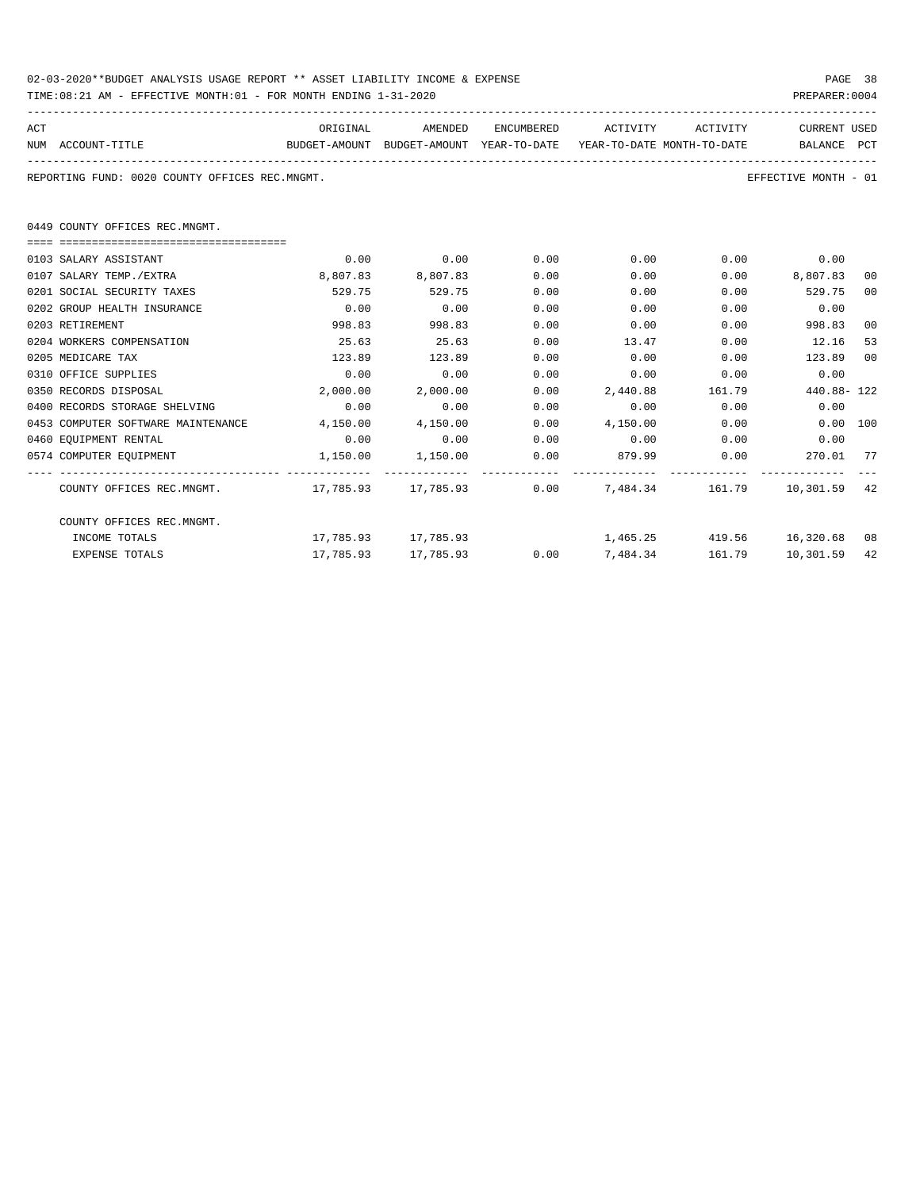| 02-03-2020**BUDGET ANALYSIS USAGE REPORT ** ASSET LIABILITY INCOME & EXPENSE | PAGE 38        |  |
|------------------------------------------------------------------------------|----------------|--|
| TIME:08:21 AM - EFFECTIVE MONTH:01 - FOR MONTH ENDING 1-31-2020              | PREPARER: 0004 |  |

|     | BITBUIIVB MUNIN'UI - FUN MUNIN BNDING I-JI-ZUZU                                          |          |                        |            |                              |          |                      |     |
|-----|------------------------------------------------------------------------------------------|----------|------------------------|------------|------------------------------|----------|----------------------|-----|
| ACT |                                                                                          | ORIGINAL | AMENDED                | ENCUMBERED | ACTIVITY                     | ACTIVITY | CURRENT USED         |     |
|     | NUM ACCOUNT-TITLE<br>BUDGET-AMOUNT BUDGET-AMOUNT YEAR-TO-DATE YEAR-TO-DATE MONTH-TO-DATE |          |                        |            |                              |          | BALANCE              | PCT |
|     | REPORTING FUND: 0020 COUNTY OFFICES REC.MNGMT.                                           |          |                        |            |                              |          | EFFECTIVE MONTH - 01 |     |
|     | 0449 COUNTY OFFICES REC.MNGMT.                                                           |          |                        |            |                              |          |                      |     |
|     |                                                                                          |          |                        |            |                              |          |                      |     |
|     | 0103 SALARY ASSISTANT                                                                    | 0.00     | 0.00                   | 0.00       | 0.00                         |          | $0.00$ 0.00          |     |
|     | 0107 SALARY TEMP./EXTRA                                                                  | 8,807.83 | 8,807.83               | 0.00       | 0.00                         | 0.00     | 8,807.83             | 00  |
|     | 0201 SOCIAL SECURITY TAXES                                                               | 529.75   | 529.75                 | 0.00       | 0.00                         | 0.00     | 529.75               | 00  |
|     | 0202 GROUP HEALTH INSURANCE                                                              | 0.00     | 0.00                   | 0.00       | 0.00                         | 0.00     | 0.00                 |     |
|     | 0203 RETIREMENT                                                                          | 998.83   | 998.83                 | 0.00       | 0.00                         | 0.00     | 998.83               | 00  |
|     | 0204 WORKERS COMPENSATION                                                                | 25.63    | 25.63                  | 0.00       | 13.47                        | 0.00     | 12.16                | 53  |
|     | 0205 MEDICARE TAX                                                                        | 123.89   | 123.89                 | 0.00       | 0.00                         | 0.00     | 123.89               | 00  |
|     | 0310 OFFICE SUPPLIES                                                                     | 0.00     | 0.00                   | 0.00       | $0.00$ 0.00                  |          | 0.00                 |     |
|     | 0350 RECORDS DISPOSAL                                                                    | 2,000.00 | 2,000.00               | 0.00       | 2,440.88 161.79              |          | 440.88-122           |     |
|     | 0400 RECORDS STORAGE SHELVING                                                            | 0.00     | 0.00                   | 0.00       | 0.00                         | 0.00     | 0.00                 |     |
|     | 0453 COMPUTER SOFTWARE MAINTENANCE                                                       | 4,150.00 | 4,150.00               | 0.00       |                              |          |                      |     |
|     | 0460 EQUIPMENT RENTAL                                                                    | 0.00     | 0.00                   | 0.00       | $0.00$ $0.00$ $0.00$ $0.00$  |          |                      |     |
|     | 0574 COMPUTER EQUIPMENT                                                                  | 1,150.00 | 1,150.00               | 0.00       | 879.99 0.00                  |          | 270.01 77            |     |
|     | COUNTY OFFICES REC.MNGMT. 42 17, 785.93 17, 785.93 0.00 7, 484.34 161.79 10, 301.59 42   |          |                        |            |                              |          |                      |     |
|     | COUNTY OFFICES REC.MNGMT.                                                                |          |                        |            |                              |          |                      |     |
|     | INCOME TOTALS                                                                            |          | 17,785.93 17,785.93    |            | 1,465.25 419.56 16,320.68 08 |          |                      |     |
|     | <b>EXPENSE TOTALS</b>                                                                    |          | 17,785.93    17,785.93 |            | 0.007,484.34                 | 161.79   | 10,301.59            | 42  |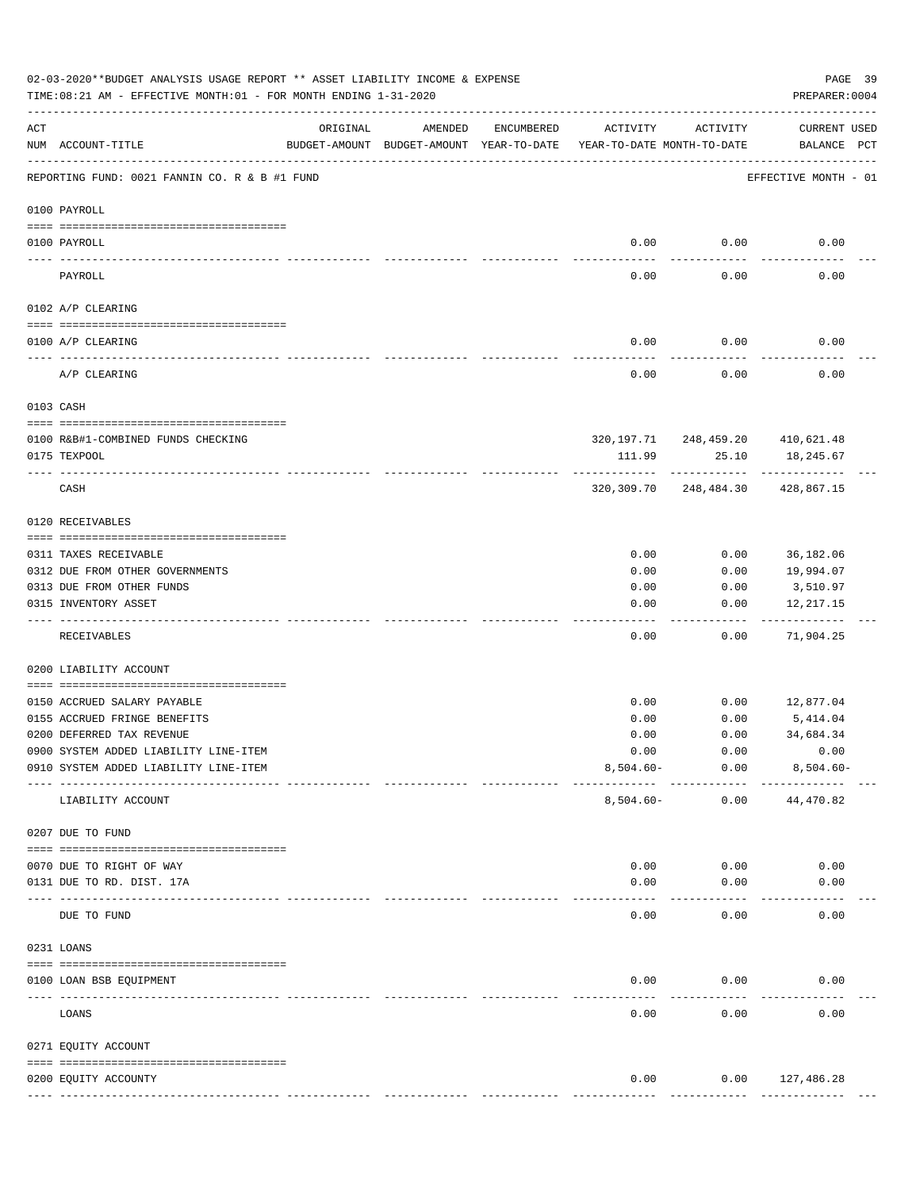|           | 02-03-2020**BUDGET ANALYSIS USAGE REPORT ** ASSET LIABILITY INCOME & EXPENSE<br>TIME: 08:21 AM - EFFECTIVE MONTH: 01 - FOR MONTH ENDING 1-31-2020 |                                                      |         |            |                                        |                                        | PAGE 39<br>PREPARER: 0004          |
|-----------|---------------------------------------------------------------------------------------------------------------------------------------------------|------------------------------------------------------|---------|------------|----------------------------------------|----------------------------------------|------------------------------------|
| ACT       | NUM ACCOUNT-TITLE                                                                                                                                 | ORIGINAL<br>BUDGET-AMOUNT BUDGET-AMOUNT YEAR-TO-DATE | AMENDED | ENCUMBERED | ACTIVITY<br>YEAR-TO-DATE MONTH-TO-DATE | ACTIVITY                               | <b>CURRENT USED</b><br>BALANCE PCT |
|           | REPORTING FUND: 0021 FANNIN CO. R & B #1 FUND                                                                                                     |                                                      |         |            |                                        |                                        | EFFECTIVE MONTH - 01               |
|           | 0100 PAYROLL                                                                                                                                      |                                                      |         |            |                                        |                                        |                                    |
|           | 0100 PAYROLL                                                                                                                                      |                                                      |         |            | 0.00                                   | 0.00                                   | 0.00                               |
| ---- ---- | PAYROLL                                                                                                                                           |                                                      |         |            | $---$<br>0.00                          | -------<br>0.00                        | 0.00                               |
|           | 0102 A/P CLEARING                                                                                                                                 |                                                      |         |            |                                        |                                        |                                    |
|           | 0100 A/P CLEARING                                                                                                                                 |                                                      |         |            | 0.00                                   | 0.00                                   | 0.00                               |
|           | A/P CLEARING                                                                                                                                      |                                                      |         |            | 0.00                                   | 0.00                                   | 0.00                               |
|           | 0103 CASH                                                                                                                                         |                                                      |         |            |                                        |                                        |                                    |
|           | 0100 R&B#1-COMBINED FUNDS CHECKING                                                                                                                |                                                      |         |            |                                        | 320, 197. 71 248, 459. 20 410, 621. 48 |                                    |
|           | 0175 TEXPOOL                                                                                                                                      |                                                      |         |            | 111.99                                 | 25.10                                  | 18,245.67                          |
|           | CASH                                                                                                                                              |                                                      |         |            |                                        | 320,309.70 248,484.30                  | 428,867.15                         |
|           | 0120 RECEIVABLES                                                                                                                                  |                                                      |         |            |                                        |                                        |                                    |
|           | 0311 TAXES RECEIVABLE                                                                                                                             |                                                      |         |            | 0.00                                   | 0.00                                   | 36,182.06                          |
|           | 0312 DUE FROM OTHER GOVERNMENTS                                                                                                                   |                                                      |         |            | 0.00                                   | 0.00                                   | 19,994.07                          |
|           | 0313 DUE FROM OTHER FUNDS                                                                                                                         |                                                      |         |            | 0.00                                   | 0.00                                   | 3,510.97                           |
|           | 0315 INVENTORY ASSET                                                                                                                              |                                                      |         |            | 0.00<br>----                           | 0.00<br>-----                          | 12,217.15<br>----------            |
|           | RECEIVABLES                                                                                                                                       |                                                      |         |            | 0.00                                   | 0.00                                   | 71,904.25                          |
|           | 0200 LIABILITY ACCOUNT                                                                                                                            |                                                      |         |            |                                        |                                        |                                    |
|           | 0150 ACCRUED SALARY PAYABLE                                                                                                                       |                                                      |         |            | 0.00                                   | 0.00                                   | 12,877.04                          |
|           | 0155 ACCRUED FRINGE BENEFITS                                                                                                                      |                                                      |         |            | 0.00                                   | 0.00                                   | 5,414.04                           |
|           | 0200 DEFERRED TAX REVENUE                                                                                                                         |                                                      |         |            | 0.00                                   | 0.00                                   | 34,684.34                          |
|           | 0900 SYSTEM ADDED LIABILITY LINE-ITEM                                                                                                             |                                                      |         |            | 0.00                                   | 0.00                                   | 0.00                               |
|           | 0910 SYSTEM ADDED LIABILITY LINE-ITEM                                                                                                             |                                                      |         |            | $8,504.60 -$                           | 0.00<br>----------                     | $8,504.60 -$                       |
|           | LIABILITY ACCOUNT                                                                                                                                 |                                                      |         |            | $8,504.60 -$                           | 0.00                                   | 44,470.82                          |
|           | 0207 DUE TO FUND                                                                                                                                  |                                                      |         |            |                                        |                                        |                                    |
|           | 0070 DUE TO RIGHT OF WAY                                                                                                                          |                                                      |         |            | 0.00                                   | 0.00                                   | 0.00                               |
|           | 0131 DUE TO RD. DIST. 17A                                                                                                                         |                                                      |         |            | 0.00                                   | 0.00                                   | 0.00                               |
|           | DUE TO FUND                                                                                                                                       | ------------ -------------                           |         |            | 0.00                                   | 0.00                                   | 0.00                               |
|           | 0231 LOANS                                                                                                                                        |                                                      |         |            |                                        |                                        |                                    |
|           | 0100 LOAN BSB EQUIPMENT                                                                                                                           |                                                      |         |            | 0.00                                   | 0.00                                   | 0.00                               |
|           | LOANS                                                                                                                                             |                                                      |         |            | 0.00                                   | 0.00                                   | 0.00                               |
|           | 0271 EQUITY ACCOUNT                                                                                                                               |                                                      |         |            |                                        |                                        |                                    |
|           |                                                                                                                                                   |                                                      |         |            |                                        |                                        |                                    |
|           | 0200 EQUITY ACCOUNTY                                                                                                                              |                                                      |         |            | 0.00<br>-------------                  | 0.00<br>-------------                  | 127,486.28<br>--------------       |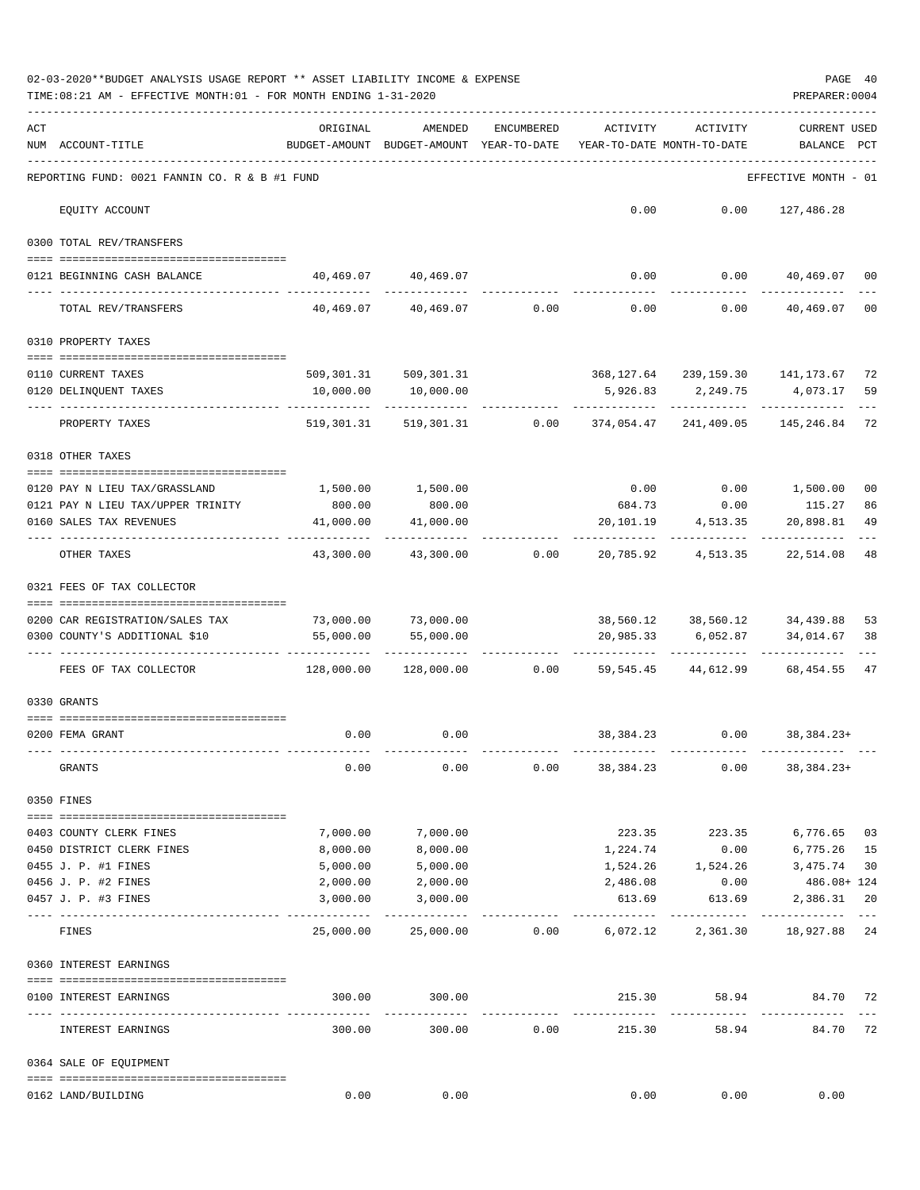|     | 02-03-2020**BUDGET ANALYSIS USAGE REPORT ** ASSET LIABILITY INCOME & EXPENSE<br>TIME:08:21 AM - EFFECTIVE MONTH:01 - FOR MONTH ENDING 1-31-2020 |                                                      |                                                                |                |                                        |                                                                   | PREPARER: 0004                 | PAGE 40  |
|-----|-------------------------------------------------------------------------------------------------------------------------------------------------|------------------------------------------------------|----------------------------------------------------------------|----------------|----------------------------------------|-------------------------------------------------------------------|--------------------------------|----------|
| ACT | NUM ACCOUNT-TITLE                                                                                                                               | ORIGINAL<br>BUDGET-AMOUNT BUDGET-AMOUNT YEAR-TO-DATE | AMENDED                                                        | ENCUMBERED     | ACTIVITY<br>YEAR-TO-DATE MONTH-TO-DATE | ACTIVITY                                                          | <b>CURRENT USED</b><br>BALANCE | PCT      |
|     | REPORTING FUND: 0021 FANNIN CO. R & B #1 FUND                                                                                                   |                                                      |                                                                |                |                                        |                                                                   | EFFECTIVE MONTH - 01           |          |
|     | EQUITY ACCOUNT                                                                                                                                  |                                                      |                                                                |                |                                        | $0.00$ $0.00$ $127,486.28$                                        |                                |          |
|     | 0300 TOTAL REV/TRANSFERS                                                                                                                        |                                                      |                                                                |                |                                        |                                                                   |                                |          |
|     | 0121 BEGINNING CASH BALANCE                                                                                                                     |                                                      | 40,469.07 40,469.07                                            |                |                                        | $0.00$ $0.00$ $40,469.07$ 00                                      |                                |          |
|     | TOTAL REV/TRANSFERS                                                                                                                             |                                                      | $40,469.07$ $40,469.07$ $0.00$ $0.00$                          |                |                                        | 0.00                                                              | 40,469.07                      | 00       |
|     | 0310 PROPERTY TAXES                                                                                                                             |                                                      |                                                                |                |                                        |                                                                   |                                |          |
|     |                                                                                                                                                 |                                                      |                                                                |                |                                        |                                                                   |                                |          |
|     | 0110 CURRENT TAXES<br>0120 DELINQUENT TAXES                                                                                                     | 10,000.00                                            | 509, 301.31 509, 301.31<br>10,000.00                           |                |                                        | 368, 127.64 239, 159.30 141, 173.67<br>5,926.83 2,249.75 4,073.17 |                                | 72<br>59 |
|     | PROPERTY TAXES                                                                                                                                  |                                                      | 519,301.31 519,301.31 0.00 374,054.47 241,409.05 145,246.84 72 |                |                                        |                                                                   |                                |          |
|     | 0318 OTHER TAXES                                                                                                                                |                                                      |                                                                |                |                                        |                                                                   |                                |          |
|     |                                                                                                                                                 |                                                      |                                                                |                |                                        |                                                                   |                                |          |
|     | 0120 PAY N LIEU TAX/GRASSLAND<br>0121 PAY N LIEU TAX/UPPER TRINITY                                                                              | 1,500.00<br>800.00                                   | 1,500.00<br>800.00                                             |                |                                        | $0.00$ $0.00$ $1,500.00$<br>684.73 0.00 115.27                    |                                | 00<br>86 |
|     | 0160 SALES TAX REVENUES                                                                                                                         | 41,000.00                                            | 41,000.00                                                      |                | 20,101.19                              | 4,513.35                                                          | 20,898.81                      | 49       |
|     | OTHER TAXES                                                                                                                                     | ----------<br>43,300.00                              |                                                                | 43,300.00 0.00 |                                        | 20,785.92 4,513.35                                                | 22,514.08                      | 48       |
|     | 0321 FEES OF TAX COLLECTOR                                                                                                                      |                                                      |                                                                |                |                                        |                                                                   |                                |          |
|     |                                                                                                                                                 |                                                      |                                                                |                |                                        | 38,560.12 38,560.12 34,439.88                                     |                                | 53       |
|     | 0200 CAR REGISTRATION/SALES TAX<br>0300 COUNTY'S ADDITIONAL \$10                                                                                | 55,000.00                                            | 73,000.00 73,000.00<br>55,000.00                               |                | 20,985.33                              | 6,052.87                                                          | 34,014.67                      | 38       |
|     |                                                                                                                                                 |                                                      |                                                                |                |                                        | .                                                                 |                                |          |
|     | FEES OF TAX COLLECTOR                                                                                                                           | 128,000.00                                           |                                                                |                |                                        | $128,000.00$ $0.00$ $59,545.45$ $44,612.99$                       | 68,454.55                      | 47       |
|     | 0330 GRANTS                                                                                                                                     |                                                      |                                                                |                |                                        |                                                                   |                                |          |
|     |                                                                                                                                                 |                                                      |                                                                |                |                                        |                                                                   |                                |          |
|     | 0200 FEMA GRANT                                                                                                                                 |                                                      | $0.00$ 0.00                                                    |                |                                        | 38, 384. 23 0.00 38, 384. 23+                                     |                                |          |
|     | GRANTS                                                                                                                                          | 0.00                                                 | 0.00                                                           | 0.00           | 38,384.23                              | 0.00                                                              | $38,384.23+$                   |          |
|     | 0350 FINES                                                                                                                                      |                                                      |                                                                |                |                                        |                                                                   |                                |          |
|     | 0403 COUNTY CLERK FINES                                                                                                                         | 7,000.00                                             | 7,000.00                                                       |                |                                        | 223.35 223.35                                                     | 6,776.65 03                    |          |
|     | 0450 DISTRICT CLERK FINES                                                                                                                       | 8,000.00                                             | 8,000.00                                                       |                | 1,224.74                               |                                                                   | $0.00$ 6,775.26 15             |          |
|     | 0455 J. P. #1 FINES                                                                                                                             | 5,000.00                                             | 5,000.00                                                       |                |                                        | 1,524.26 1,524.26 3,475.74                                        |                                | 30       |
|     | 0456 J. P. #2 FINES                                                                                                                             | 2,000.00                                             | 2,000.00                                                       |                | 2,486.08                               | 0.00                                                              | 486.08+ 124                    |          |
|     | 0457 J. P. #3 FINES                                                                                                                             | 3,000.00                                             | 3,000.00                                                       |                | 613.69                                 | 613.69                                                            | 2,386.31                       | 20       |
|     | FINES                                                                                                                                           | 25,000.00                                            | 25,000.00                                                      |                |                                        | $0.00$ 6,072.12 2,361.30 18,927.88 24                             |                                | $---$    |
|     | 0360 INTEREST EARNINGS                                                                                                                          |                                                      |                                                                |                |                                        |                                                                   |                                |          |
|     | 0100 INTEREST EARNINGS                                                                                                                          | 300.00                                               | 300.00                                                         |                | 215.30                                 | 58.94                                                             | 84.70 72                       |          |
|     | --- --------------------<br>INTEREST EARNINGS                                                                                                   | 300.00                                               | _____________<br>300.00                                        | 0.00           | -------------<br>215.30                | -------------<br>58.94                                            | 84.70 72                       |          |
|     | 0364 SALE OF EQUIPMENT                                                                                                                          |                                                      |                                                                |                |                                        |                                                                   |                                |          |
|     | 0162 LAND/BUILDING                                                                                                                              | 0.00                                                 | 0.00                                                           |                | 0.00                                   | 0.00                                                              | 0.00                           |          |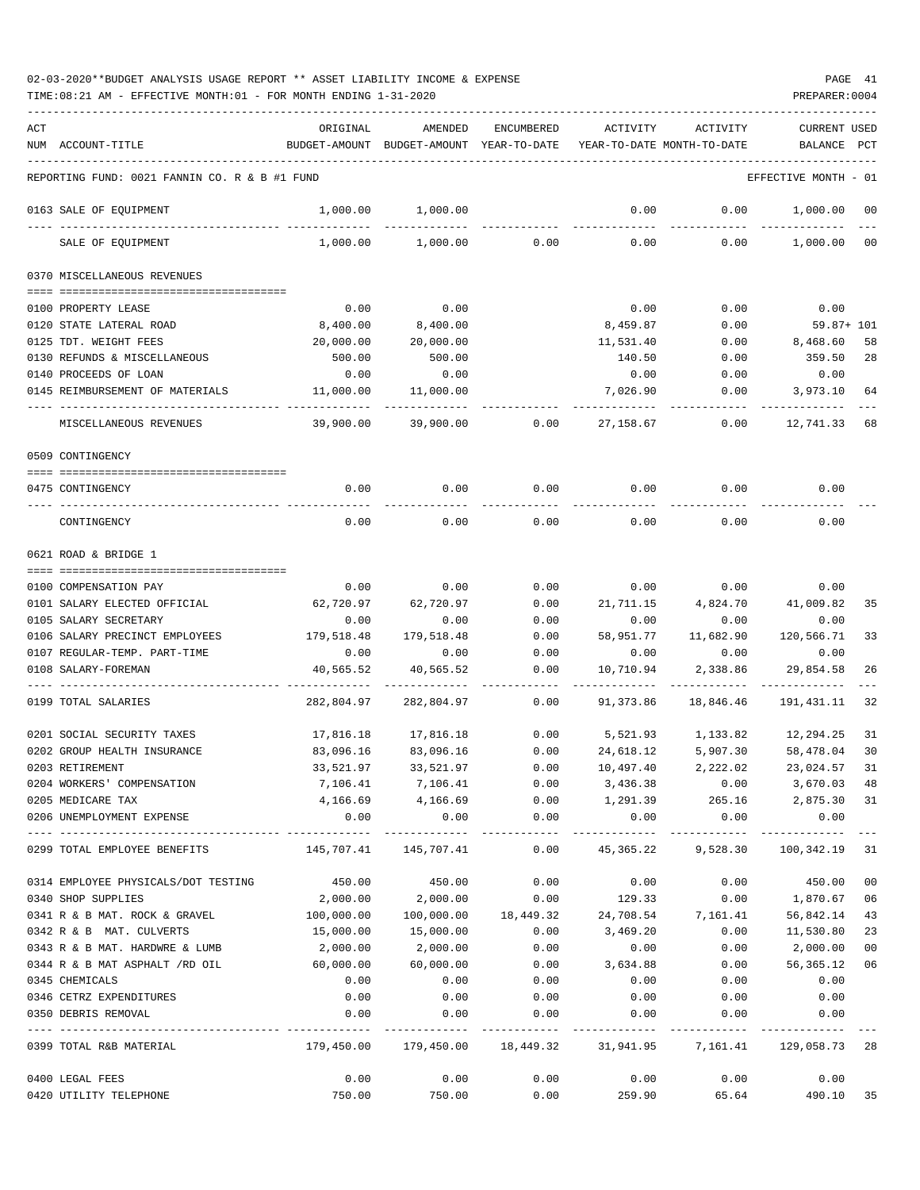TIME:08:21 AM - EFFECTIVE MONTH:01 - FOR MONTH ENDING 1-31-2020 PREPARER:0004

| ACT |                                               | ORIGINAL                                                    | AMENDED                                                          | ENCUMBERED  | ACTIVITY                   | ACTIVITY                                   | <b>CURRENT USED</b>  |                |
|-----|-----------------------------------------------|-------------------------------------------------------------|------------------------------------------------------------------|-------------|----------------------------|--------------------------------------------|----------------------|----------------|
|     | NUM ACCOUNT-TITLE                             |                                                             | BUDGET-AMOUNT BUDGET-AMOUNT YEAR-TO-DATE                         |             | YEAR-TO-DATE MONTH-TO-DATE |                                            | BALANCE PCT          |                |
|     | REPORTING FUND: 0021 FANNIN CO. R & B #1 FUND |                                                             |                                                                  |             |                            |                                            | EFFECTIVE MONTH - 01 |                |
|     | 0163 SALE OF EQUIPMENT                        | 1,000.00                                                    | 1,000.00                                                         |             | 0.00                       | 0.00                                       | 1,000.00             | 00             |
|     | SALE OF EQUIPMENT                             | 1,000.00                                                    | 1,000.00                                                         | 0.00        | 0.00                       | 0.00                                       | 1,000.00             | 0 <sub>0</sub> |
|     | 0370 MISCELLANEOUS REVENUES                   |                                                             |                                                                  |             |                            |                                            |                      |                |
|     |                                               |                                                             |                                                                  |             |                            |                                            |                      |                |
|     | 0100 PROPERTY LEASE                           | 0.00                                                        | 0.00                                                             |             | 0.00                       | 0.00                                       | 0.00                 |                |
|     | 0120 STATE LATERAL ROAD                       | 8,400.00                                                    | 8,400.00                                                         |             | 8,459.87                   | 0.00                                       | $59.87 + 101$        |                |
|     | 0125 TDT. WEIGHT FEES                         | 20,000.00                                                   | 20,000.00                                                        |             | 11,531.40                  | 0.00                                       | 8,468.60             | 58             |
|     | 0130 REFUNDS & MISCELLANEOUS                  | 500.00                                                      | 500.00                                                           |             | 140.50                     | 0.00                                       | 359.50               | 28             |
|     | 0140 PROCEEDS OF LOAN                         | 0.00                                                        | 0.00                                                             |             | 0.00                       | 0.00                                       | 0.00                 |                |
|     | 0145 REIMBURSEMENT OF MATERIALS               | 11,000.00                                                   | 11,000.00                                                        |             | 7,026.90                   | 0.00                                       | 3,973.10             | 64             |
|     | MISCELLANEOUS REVENUES                        | 39,900.00                                                   | 39,900.00                                                        | 0.00        | 27,158.67                  | 0.00                                       | 12,741.33            | 68             |
|     | 0509 CONTINGENCY                              |                                                             |                                                                  |             |                            |                                            |                      |                |
|     | 0475 CONTINGENCY                              | 0.00                                                        | 0.00                                                             | 0.00        | 0.00                       | 0.00                                       | 0.00                 |                |
|     |                                               |                                                             |                                                                  |             |                            |                                            |                      |                |
|     | CONTINGENCY                                   | 0.00                                                        | 0.00                                                             | 0.00        | 0.00                       | 0.00                                       | 0.00                 |                |
|     | 0621 ROAD & BRIDGE 1                          |                                                             |                                                                  |             |                            |                                            |                      |                |
|     | 0100 COMPENSATION PAY                         | 0.00                                                        | 0.00                                                             | 0.00        | 0.00                       | 0.00                                       | 0.00                 |                |
|     | 0101 SALARY ELECTED OFFICIAL                  | 62,720.97                                                   | 62,720.97                                                        | 0.00        | 21,711.15                  | 4,824.70                                   | 41,009.82            | 35             |
|     | 0105 SALARY SECRETARY                         | 0.00                                                        | 0.00                                                             | 0.00        | 0.00                       | 0.00                                       | 0.00                 |                |
|     | 0106 SALARY PRECINCT EMPLOYEES                | 179,518.48                                                  | 179,518.48                                                       | 0.00        | 58,951.77                  | 11,682.90                                  | 120,566.71           | 33             |
|     | 0107 REGULAR-TEMP. PART-TIME                  | 0.00                                                        | 0.00                                                             | 0.00        | 0.00                       | 0.00                                       | 0.00                 |                |
|     | 0108 SALARY-FOREMAN                           | 40,565.52                                                   | 40,565.52                                                        | 0.00        | 10,710.94                  | 2,338.86                                   | 29,854.58            | 26             |
|     |                                               |                                                             |                                                                  |             |                            |                                            |                      |                |
|     | 0199 TOTAL SALARIES                           | 282,804.97                                                  | 282,804.97                                                       | 0.00        | 91,373.86                  | 18,846.46                                  | 191,431.11           | 32             |
|     | 0201 SOCIAL SECURITY TAXES                    | 17,816.18                                                   | 17,816.18                                                        | 0.00        | 5,521.93                   | 1,133.82                                   | 12,294.25            | 31             |
|     | 0202 GROUP HEALTH INSURANCE                   | 83,096.16                                                   | 83,096.16                                                        | 0.00        | 24,618.12                  | 5,907.30                                   | 58,478.04            | 30             |
|     | 0203 RETIREMENT                               | 33,521.97                                                   | 33,521.97                                                        | 0.00        | 10,497.40                  | 2,222.02                                   | 23,024.57            | 31             |
|     | 0204 WORKERS' COMPENSATION                    |                                                             | 7,106.41 7,106.41                                                |             |                            | $0.00$ $3,436.38$ $0.00$ $3,670.03$        |                      | 48             |
|     | 0205 MEDICARE TAX                             |                                                             | 4, 166.69 4, 166.69                                              |             |                            | $0.00$ 1,291.39 265.16 2,875.30 31         |                      |                |
|     | 0206 UNEMPLOYMENT EXPENSE                     | 0.00                                                        |                                                                  | $0.00$ 0.00 |                            | $0.00$ 0.00                                | 0.00                 |                |
|     | 0299 TOTAL EMPLOYEE BENEFITS                  | 145,707.41 145,707.41 0.00 45,365.22 9,528.30 100,342.19 31 |                                                                  |             |                            |                                            |                      |                |
|     | 0314 EMPLOYEE PHYSICALS/DOT TESTING           |                                                             | 450.00 450.00                                                    | 0.00        | 0.00                       |                                            | $0.00$ 450.00        | 0 <sub>0</sub> |
|     | 0340 SHOP SUPPLIES                            | 2,000.00                                                    |                                                                  |             |                            | 2,000.00   0.00   129.33   0.00            | 1,870.67             | 06             |
|     | 0341 R & B MAT. ROCK & GRAVEL                 | 100,000.00                                                  |                                                                  |             |                            | 100,000.00  18,449.32  24,708.54  7,161.41 | 56,842.14            | 43             |
|     | 0342 R & B MAT. CULVERTS                      | 15,000.00                                                   | 15,000.00                                                        | 0.00        | 3,469.20                   | 0.00                                       | 11,530.80            | 23             |
|     | 0343 R & B MAT. HARDWRE & LUMB                | 2,000.00                                                    | 2,000.00                                                         | 0.00        | 0.00                       | 0.00                                       | 2,000.00             | 0 <sub>0</sub> |
|     | 0344 R & B MAT ASPHALT /RD OIL                | 60,000.00                                                   | 60,000.00                                                        |             | $0.00$ 3,634.88            | 0.00                                       | 56,365.12            | 06             |
|     | 0345 CHEMICALS                                | 0.00                                                        | 0.00                                                             | 0.00        | 0.00                       | 0.00                                       | 0.00                 |                |
|     | 0346 CETRZ EXPENDITURES                       | 0.00                                                        | 0.00                                                             | 0.00        |                            | $0.00$ 0.00                                | 0.00                 |                |
|     | 0350 DEBRIS REMOVAL                           | 0.00                                                        | 0.00                                                             | 0.00        | 0.00                       | 0.00                                       | 0.00                 |                |
|     | 0399 TOTAL R&B MATERIAL                       |                                                             | 179,450.00 179,450.00 18,449.32 31,941.95 7,161.41 129,058.73 28 |             |                            |                                            |                      |                |
|     | 0400 LEGAL FEES                               | 0.00                                                        |                                                                  | 0.00        | 0.00                       | 0.00                                       | 0.00<br>0.00         |                |
|     |                                               |                                                             |                                                                  |             |                            |                                            |                      |                |

0420 UTILITY TELEPHONE 750.00 750.00 0.00 259.90 65.64 490.10 35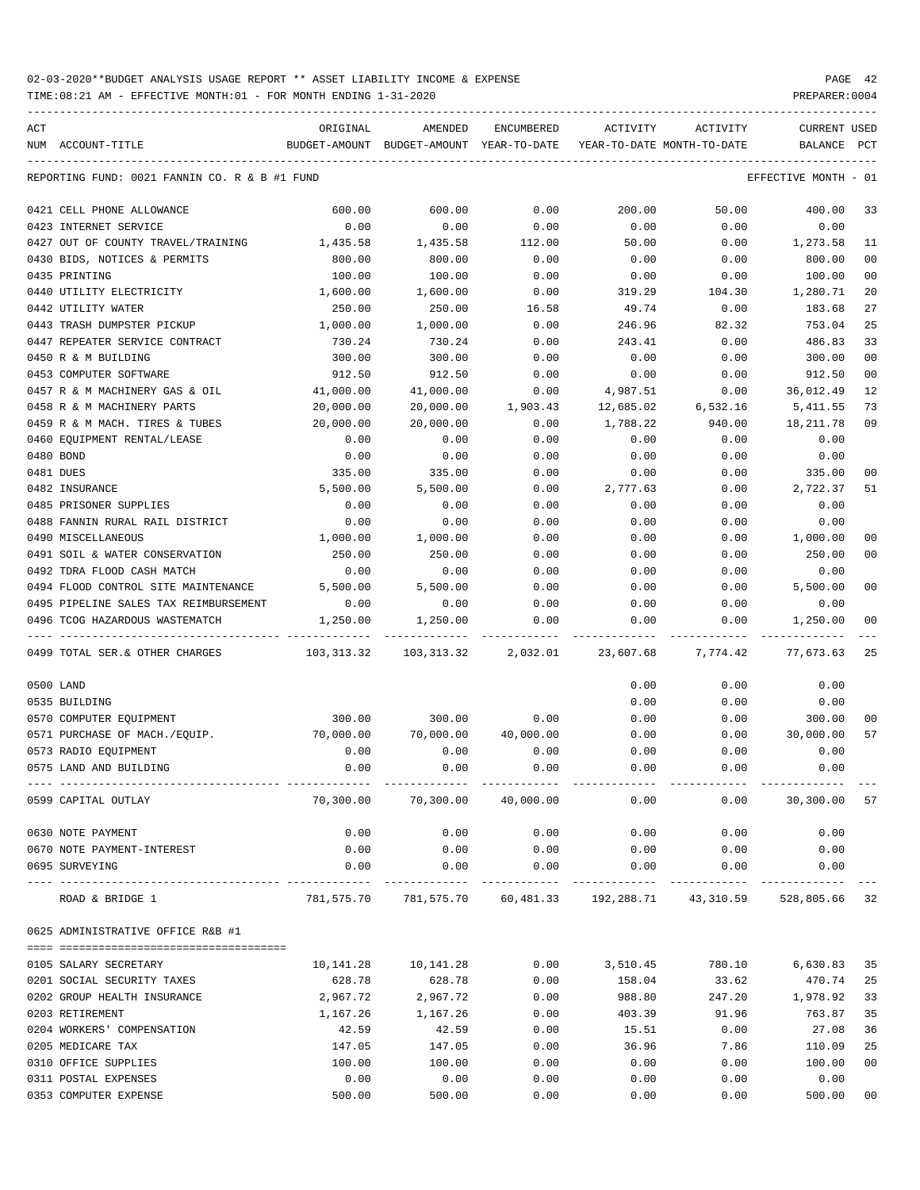| ACT                                                    | ORIGINAL   | AMENDED                                                            | <b>ENCUMBERED</b> | ACTIVITY  | ACTIVITY                              | <b>CURRENT USED</b>  |                |
|--------------------------------------------------------|------------|--------------------------------------------------------------------|-------------------|-----------|---------------------------------------|----------------------|----------------|
| NUM ACCOUNT-TITLE                                      |            | BUDGET-AMOUNT BUDGET-AMOUNT YEAR-TO-DATE                           |                   |           | YEAR-TO-DATE MONTH-TO-DATE            | BALANCE              | PCT            |
|                                                        |            |                                                                    |                   |           |                                       |                      |                |
| REPORTING FUND: 0021 FANNIN CO. R & B #1 FUND          |            |                                                                    |                   |           |                                       | EFFECTIVE MONTH - 01 |                |
| 0421 CELL PHONE ALLOWANCE                              | 600.00     | 600.00                                                             | 0.00              | 200.00    | 50.00                                 | 400.00               | 33             |
| 0423 INTERNET SERVICE                                  | 0.00       | 0.00                                                               | 0.00              | 0.00      | 0.00                                  | 0.00                 |                |
| 0427 OUT OF COUNTY TRAVEL/TRAINING                     | 1,435.58   | 1,435.58                                                           | 112.00            | 50.00     | 0.00                                  | 1,273.58             | 11             |
| 0430 BIDS, NOTICES & PERMITS                           | 800.00     | 800.00                                                             | 0.00              | 0.00      | 0.00                                  | 800.00               | 0 <sub>0</sub> |
| 0435 PRINTING                                          | 100.00     | 100.00                                                             | 0.00              | 0.00      | 0.00                                  | 100.00               | 00             |
| 0440 UTILITY ELECTRICITY                               | 1,600.00   | 1,600.00                                                           | 0.00              | 319.29    | 104.30                                | 1,280.71             | 20             |
| 0442 UTILITY WATER                                     | 250.00     | 250.00                                                             | 16.58             | 49.74     | 0.00                                  | 183.68               | 27             |
| 0443 TRASH DUMPSTER PICKUP                             | 1,000.00   | 1,000.00                                                           | 0.00              | 246.96    | 82.32                                 | 753.04               | 25             |
| 0447 REPEATER SERVICE CONTRACT                         | 730.24     | 730.24                                                             | 0.00              | 243.41    | 0.00                                  | 486.83               | 33             |
| 0450 R & M BUILDING                                    | 300.00     | 300.00                                                             | 0.00              | 0.00      | 0.00                                  | 300.00               | 00             |
| 0453 COMPUTER SOFTWARE                                 | 912.50     | 912.50                                                             | 0.00              | 0.00      | 0.00                                  | 912.50               | 00             |
| 0457 R & M MACHINERY GAS & OIL                         | 41,000.00  | 41,000.00                                                          | 0.00              | 4,987.51  | 0.00                                  | 36,012.49            | 12             |
| 0458 R & M MACHINERY PARTS                             | 20,000.00  | 20,000.00                                                          |                   |           | 6,532.16                              |                      | 73             |
|                                                        |            |                                                                    | 1,903.43          | 12,685.02 |                                       | 5,411.55             | 09             |
| 0459 R & M MACH. TIRES & TUBES                         | 20,000.00  | 20,000.00                                                          | 0.00              | 1,788.22  | 940.00                                | 18,211.78            |                |
| 0460 EQUIPMENT RENTAL/LEASE                            | 0.00       | 0.00                                                               | 0.00              | 0.00      | 0.00                                  | 0.00                 |                |
| 0480 BOND                                              | 0.00       | 0.00                                                               | 0.00              | 0.00      | 0.00                                  | 0.00                 |                |
| 0481 DUES                                              | 335.00     | 335.00                                                             | 0.00              | 0.00      | 0.00                                  | 335.00               | 00             |
| 0482 INSURANCE                                         | 5,500.00   | 5,500.00                                                           | 0.00              | 2,777.63  | 0.00                                  | 2,722.37             | 51             |
| 0485 PRISONER SUPPLIES                                 | 0.00       | 0.00                                                               | 0.00              | 0.00      | 0.00                                  | 0.00                 |                |
| 0488 FANNIN RURAL RAIL DISTRICT                        | 0.00       | 0.00                                                               | 0.00              | 0.00      | 0.00                                  | 0.00                 |                |
| 0490 MISCELLANEOUS                                     | 1,000.00   | 1,000.00                                                           | 0.00              | 0.00      | 0.00                                  | 1,000.00             | 00             |
| 0491 SOIL & WATER CONSERVATION                         | 250.00     | 250.00                                                             | 0.00              | 0.00      | 0.00                                  | 250.00               | 00             |
| 0492 TDRA FLOOD CASH MATCH                             | 0.00       | 0.00                                                               | 0.00              | 0.00      | 0.00                                  | 0.00                 |                |
| 0494 FLOOD CONTROL SITE MAINTENANCE                    | 5,500.00   | 5,500.00                                                           | 0.00              | 0.00      | 0.00                                  | 5,500.00             | 00             |
| 0495 PIPELINE SALES TAX REIMBURSEMENT                  | 0.00       | 0.00                                                               | 0.00              | 0.00      | 0.00                                  | 0.00                 |                |
| 0496 TCOG HAZARDOUS WASTEMATCH<br>-------------------- | 1,250.00   | 1,250.00                                                           | 0.00              | 0.00      | 0.00                                  | 1,250.00             | 00             |
| 0499 TOTAL SER.& OTHER CHARGES                         | 103,313.32 | 103,313.32                                                         | 2,032.01          | 23,607.68 | 7,774.42                              | 77,673.63            | 25             |
| 0500 LAND                                              |            |                                                                    |                   | 0.00      | 0.00                                  | 0.00                 |                |
| 0535 BUILDING                                          |            |                                                                    |                   | 0.00      | 0.00                                  | 0.00                 |                |
| 0570 COMPUTER EQUIPMENT                                | 300.00     | 300.00                                                             | 0.00              | 0.00      | 0.00                                  | 300.00               | 00             |
| 0571 PURCHASE OF MACH./EQUIP.                          | 70,000.00  | 70,000.00                                                          | 40,000.00         | 0.00      | 0.00                                  | 30,000.00            | 57             |
| 0573 RADIO EQUIPMENT                                   | 0.00       | 0.00                                                               | 0.00              | 0.00      | 0.00                                  | 0.00                 |                |
| 0575 LAND AND BUILDING                                 | 0.00       | 0.00                                                               | 0.00              | 0.00      | 0.00                                  | 0.00                 |                |
|                                                        |            |                                                                    |                   |           |                                       |                      |                |
| 0599 CAPITAL OUTLAY                                    |            | $70,300.00$ $70,300.00$ $40,000.00$ $0.00$                         |                   |           |                                       | $0.00$ 30,300.00 57  |                |
| 0630 NOTE PAYMENT                                      | 0.00       | 0.00                                                               | 0.00              | 0.00      | 0.00                                  | 0.00                 |                |
| 0670 NOTE PAYMENT-INTEREST                             | 0.00       | 0.00                                                               | 0.00              | 0.00      | 0.00                                  | 0.00                 |                |
| 0695 SURVEYING                                         | 0.00       | 0.00                                                               | 0.00              | 0.00      | 0.00                                  | 0.00                 |                |
| ROAD & BRIDGE 1                                        |            | 781,575.70 781,575.70 60,481.33 192,288.71 43,310.59 528,805.66 32 |                   |           |                                       |                      |                |
| 0625 ADMINISTRATIVE OFFICE R&B #1                      |            |                                                                    |                   |           |                                       |                      |                |
|                                                        |            |                                                                    |                   |           |                                       |                      |                |
| 0105 SALARY SECRETARY                                  |            | 10,141.28    10,141.28                                             |                   |           | $0.00$ $3,510.45$ $780.10$ $6,630.83$ |                      | 35             |
| 0201 SOCIAL SECURITY TAXES                             | 628.78     | 628.78                                                             | 0.00              | 158.04    | 33.62                                 | 470.74               | 25             |
| 0202 GROUP HEALTH INSURANCE                            | 2,967.72   | 2,967.72                                                           | 0.00              | 988.80    | 247.20                                | 1,978.92             | 33             |
| 0203 RETIREMENT                                        | 1,167.26   | 1,167.26                                                           | 0.00              | 403.39    | 91.96                                 | 763.87               | 35             |
| 0204 WORKERS' COMPENSATION                             | 42.59      | 42.59                                                              | 0.00              | 15.51     | 0.00                                  | 27.08                | 36             |
| 0205 MEDICARE TAX                                      | 147.05     | 147.05                                                             | 0.00              | 36.96     | 7.86                                  | 110.09               | 25             |
| 0310 OFFICE SUPPLIES                                   | 100.00     | 100.00                                                             | 0.00              | 0.00      | 0.00                                  | 100.00               | 00             |
| 0311 POSTAL EXPENSES                                   | 0.00       | 0.00                                                               | 0.00              | 0.00      | 0.00                                  | 0.00                 |                |
| 0353 COMPUTER EXPENSE                                  | 500.00     | 500.00                                                             | 0.00              | 0.00      | 0.00                                  | 500.00               | $00\,$         |
|                                                        |            |                                                                    |                   |           |                                       |                      |                |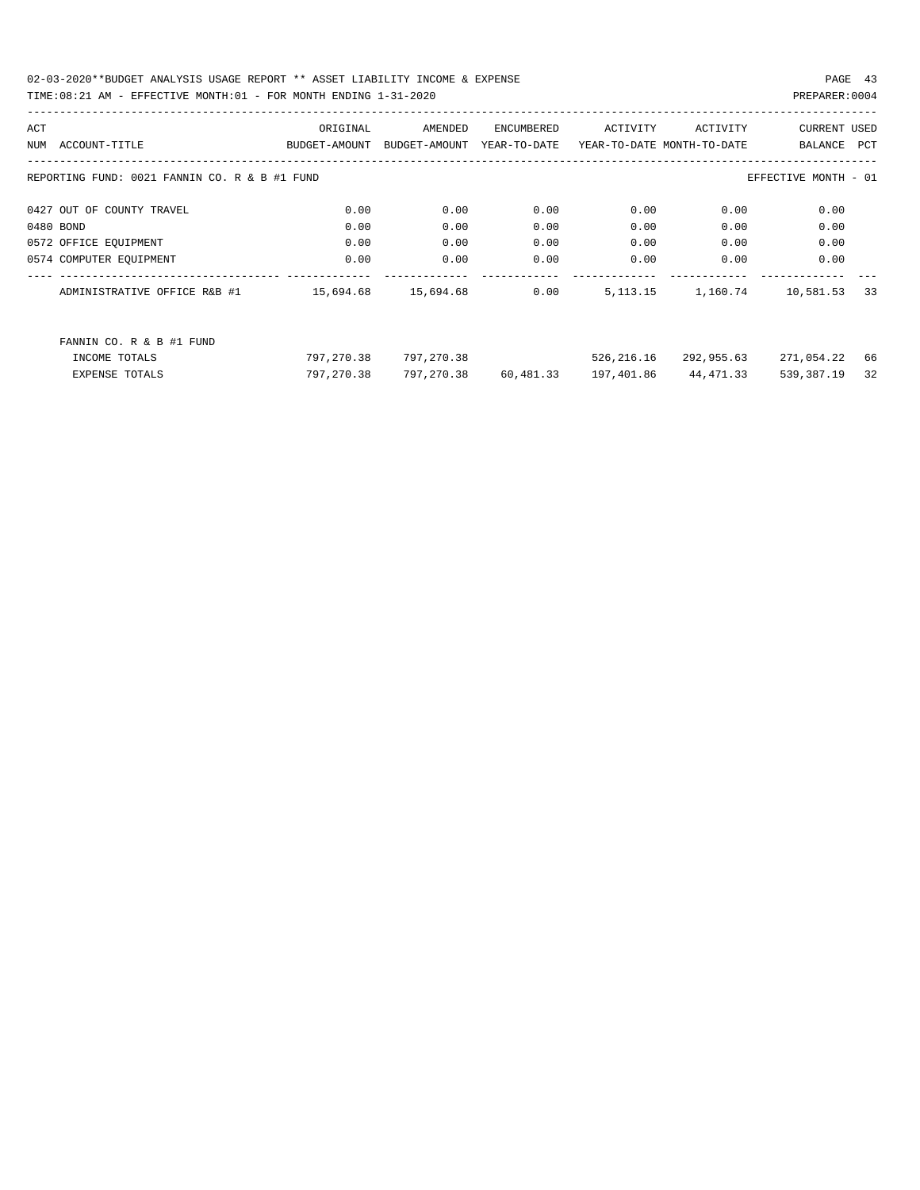| ACT |                                               | ORIGINAL      | AMENDED       | ENCUMBERED   | ACTIVITY                   | ACTIVITY              | <b>CURRENT USED</b>  |    |
|-----|-----------------------------------------------|---------------|---------------|--------------|----------------------------|-----------------------|----------------------|----|
| NUM | ACCOUNT-TITLE                                 | BUDGET-AMOUNT | BUDGET-AMOUNT | YEAR-TO-DATE | YEAR-TO-DATE MONTH-TO-DATE |                       | BALANCE PCT          |    |
|     | REPORTING FUND: 0021 FANNIN CO. R & B #1 FUND |               |               |              |                            |                       | EFFECTIVE MONTH - 01 |    |
|     | 0427 OUT OF COUNTY TRAVEL                     | 0.00          | 0.00          | 0.00         | 0.00                       | 0.00                  | 0.00                 |    |
|     | 0480 BOND                                     | 0.00          | 0.00          | 0.00         | 0.00                       | 0.00                  | 0.00                 |    |
|     | 0572 OFFICE EQUIPMENT                         | 0.00          | 0.00          | 0.00         | 0.00                       | 0.00                  | 0.00                 |    |
|     | 0574 COMPUTER EQUIPMENT                       | 0.00          | 0.00          | 0.00         | 0.00                       | 0.00                  | 0.00                 |    |
|     | ADMINISTRATIVE OFFICE R&B #1                  | 15,694.68     | 15,694.68     | 0.00         |                            | 5, 113. 15 1, 160. 74 | 10,581.53            | 33 |
|     | FANNIN CO. R & B #1 FUND                      |               |               |              |                            |                       |                      |    |
|     | INCOME TOTALS                                 | 797,270.38    | 797,270.38    |              | 526,216.16                 | 292,955.63            | 271,054.22           | 66 |
|     | <b>EXPENSE TOTALS</b>                         | 797,270.38    | 797,270.38    | 60,481.33    | 197,401.86                 | 44,471.33             | 539,387.19           | 32 |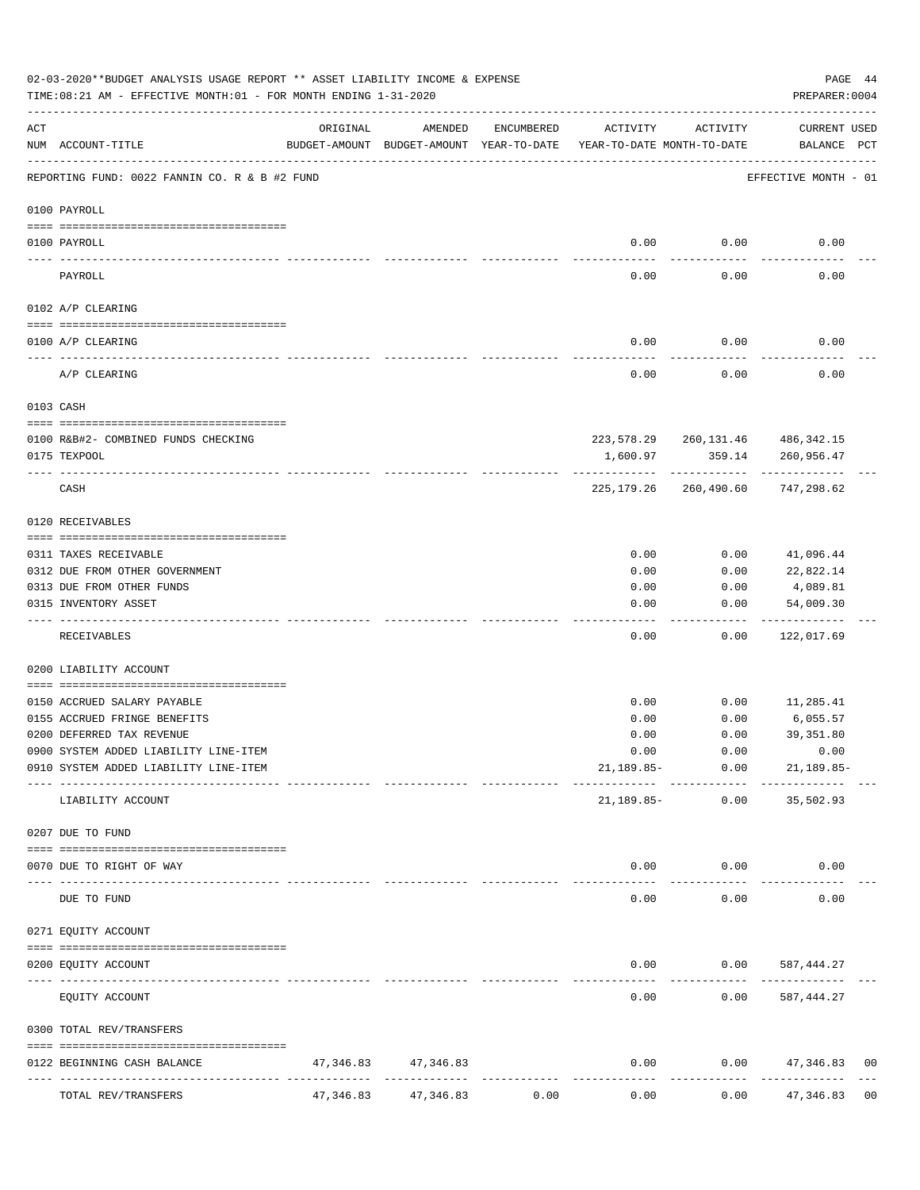|           | 02-03-2020**BUDGET ANALYSIS USAGE REPORT ** ASSET LIABILITY INCOME & EXPENSE<br>TIME: 08:21 AM - EFFECTIVE MONTH: 01 - FOR MONTH ENDING 1-31-2020 |           |                                                     |            |                                        |                             | PAGE 44<br>PREPARER: 0004                            |                |
|-----------|---------------------------------------------------------------------------------------------------------------------------------------------------|-----------|-----------------------------------------------------|------------|----------------------------------------|-----------------------------|------------------------------------------------------|----------------|
| ACT       | NUM ACCOUNT-TITLE                                                                                                                                 | ORIGINAL  | AMENDED<br>BUDGET-AMOUNT BUDGET-AMOUNT YEAR-TO-DATE | ENCUMBERED | ACTIVITY<br>YEAR-TO-DATE MONTH-TO-DATE | ACTIVITY                    | CURRENT USED<br>BALANCE PCT                          |                |
|           | REPORTING FUND: 0022 FANNIN CO. R & B #2 FUND                                                                                                     |           |                                                     |            |                                        |                             | EFFECTIVE MONTH - 01                                 |                |
|           | 0100 PAYROLL                                                                                                                                      |           |                                                     |            |                                        |                             |                                                      |                |
|           | 0100 PAYROLL                                                                                                                                      |           |                                                     |            | 0.00                                   | 0.00                        | 0.00                                                 |                |
|           | PAYROLL                                                                                                                                           |           |                                                     |            | 0.00                                   | 0.00                        | 0.00                                                 |                |
|           | 0102 A/P CLEARING                                                                                                                                 |           |                                                     |            |                                        |                             |                                                      |                |
|           | 0100 A/P CLEARING                                                                                                                                 |           |                                                     |            | 0.00                                   | 0.00                        | 0.00                                                 |                |
|           | A/P CLEARING                                                                                                                                      |           |                                                     |            | 0.00                                   | 0.00                        | 0.00                                                 |                |
|           | 0103 CASH                                                                                                                                         |           |                                                     |            |                                        |                             |                                                      |                |
|           |                                                                                                                                                   |           |                                                     |            |                                        |                             |                                                      |                |
|           | 0100 R&B#2- COMBINED FUNDS CHECKING<br>0175 TEXPOOL                                                                                               |           |                                                     |            | 1,600.97                               | 359.14                      | 223, 578. 29 260, 131. 46 486, 342. 15<br>260,956.47 |                |
|           | CASH                                                                                                                                              |           |                                                     |            | 225,179.26                             | -------------<br>260,490.60 | 747,298.62                                           |                |
|           | 0120 RECEIVABLES                                                                                                                                  |           |                                                     |            |                                        |                             |                                                      |                |
|           | 0311 TAXES RECEIVABLE                                                                                                                             |           |                                                     |            | 0.00                                   | 0.00                        | 41,096.44                                            |                |
|           | 0312 DUE FROM OTHER GOVERNMENT                                                                                                                    |           |                                                     |            | 0.00                                   | 0.00                        | 22,822.14                                            |                |
|           | 0313 DUE FROM OTHER FUNDS                                                                                                                         |           |                                                     |            | 0.00                                   | 0.00                        | 4,089.81                                             |                |
|           | 0315 INVENTORY ASSET                                                                                                                              |           |                                                     |            | 0.00                                   | 0.00                        | 54,009.30                                            |                |
|           | RECEIVABLES                                                                                                                                       |           |                                                     |            | 0.00                                   | 0.00                        | ----------<br>122,017.69                             |                |
|           | 0200 LIABILITY ACCOUNT                                                                                                                            |           |                                                     |            |                                        |                             |                                                      |                |
|           | 0150 ACCRUED SALARY PAYABLE                                                                                                                       |           |                                                     |            | 0.00                                   | 0.00                        | 11,285.41                                            |                |
|           | 0155 ACCRUED FRINGE BENEFITS                                                                                                                      |           |                                                     |            | 0.00                                   | 0.00                        | 6,055.57                                             |                |
|           | 0200 DEFERRED TAX REVENUE                                                                                                                         |           |                                                     |            | 0.00                                   | 0.00                        | 39, 351.80                                           |                |
|           | 0900 SYSTEM ADDED LIABILITY LINE-ITEM                                                                                                             |           |                                                     |            | 0.00                                   | 0.00                        | 0.00                                                 |                |
|           | 0910 SYSTEM ADDED LIABILITY LINE-ITEM                                                                                                             |           |                                                     |            |                                        | 21,189.85- 0.00             | $21,189.85-$                                         |                |
|           | LIABILITY ACCOUNT                                                                                                                                 |           |                                                     |            | 21,189.85-                             | 0.00                        | 35,502.93                                            |                |
|           | 0207 DUE TO FUND                                                                                                                                  |           |                                                     |            |                                        |                             |                                                      |                |
|           | 0070 DUE TO RIGHT OF WAY                                                                                                                          |           |                                                     |            |                                        | $0.00$ $0.00$               | 0.00                                                 |                |
| $- - - -$ | DUE TO FUND                                                                                                                                       |           | --------------                                      |            | $- - - - -$<br>0.00                    | . <u>.</u> .<br>0.00        | 0.00                                                 |                |
|           | 0271 EQUITY ACCOUNT                                                                                                                               |           |                                                     |            |                                        |                             |                                                      |                |
|           | 0200 EQUITY ACCOUNT                                                                                                                               |           |                                                     |            |                                        |                             | $0.00$ $0.00$ $587,444.27$                           |                |
|           | EQUITY ACCOUNT                                                                                                                                    |           |                                                     |            | -----<br>0.00                          | 0.00                        | 587,444.27                                           |                |
|           | 0300 TOTAL REV/TRANSFERS                                                                                                                          |           |                                                     |            |                                        |                             |                                                      |                |
|           | 0122 BEGINNING CASH BALANCE                                                                                                                       |           | 47, 346.83 47, 346.83                               |            | 0.00                                   |                             | $0.00$ $47,346.83$                                   | 0 <sub>0</sub> |
|           | TOTAL REV/TRANSFERS                                                                                                                               | 47,346.83 | 47,346.83                                           | 0.00       | 0.00                                   | 0.00                        | 47,346.83                                            | 0 <sub>0</sub> |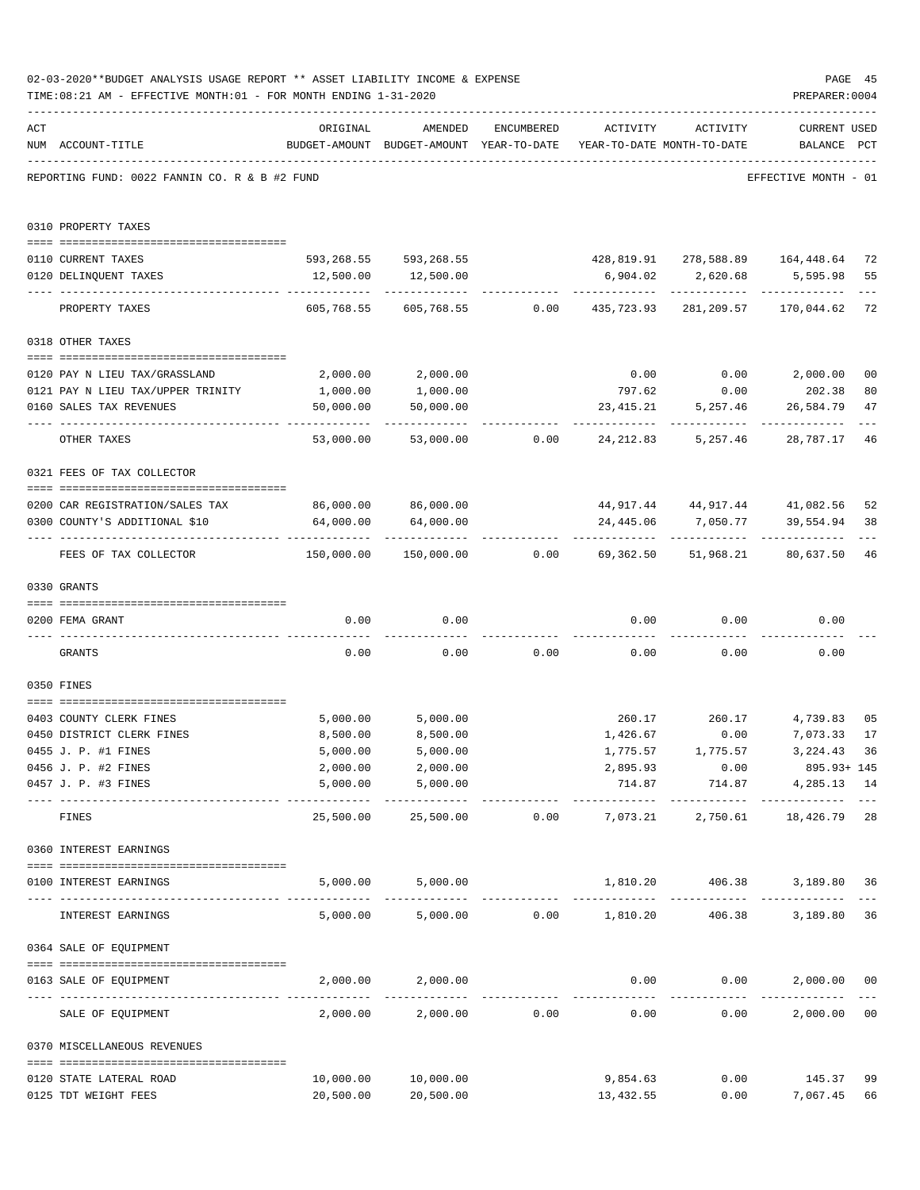|     | 02-03-2020**BUDGET ANALYSIS USAGE REPORT ** ASSET LIABILITY INCOME & EXPENSE<br>TIME: 08:21 AM - EFFECTIVE MONTH: 01 - FOR MONTH ENDING 1-31-2020 |                                            |                                                                                |               |                          |                               | PAGE 45<br>PREPARER: 0004                            |                |
|-----|---------------------------------------------------------------------------------------------------------------------------------------------------|--------------------------------------------|--------------------------------------------------------------------------------|---------------|--------------------------|-------------------------------|------------------------------------------------------|----------------|
| ACT | NUM ACCOUNT-TITLE                                                                                                                                 | ORIGINAL                                   | AMENDED<br>BUDGET-AMOUNT BUDGET-AMOUNT YEAR-TO-DATE YEAR-TO-DATE MONTH-TO-DATE | ENCUMBERED    | ACTIVITY                 | ACTIVITY                      | <b>CURRENT USED</b><br>BALANCE PCT                   |                |
|     | REPORTING FUND: 0022 FANNIN CO. R & B #2 FUND                                                                                                     |                                            |                                                                                |               |                          |                               | EFFECTIVE MONTH - 01                                 |                |
|     | 0310 PROPERTY TAXES                                                                                                                               |                                            |                                                                                |               |                          |                               |                                                      |                |
|     | 0110 CURRENT TAXES                                                                                                                                |                                            | 593,268.55 593,268.55 428,819.91 278,588.89 164,448.64                         |               |                          |                               |                                                      | 72             |
|     | 0120 DELINQUENT TAXES                                                                                                                             |                                            | 12,500.00   12,500.00                                                          |               | 6,904.02                 |                               | 2,620.68 5,595.98                                    | 55             |
|     | PROPERTY TAXES                                                                                                                                    | 605,768.55                                 |                                                                                |               | ------------             |                               | 605,768.55 0.00 435,723.93 281,209.57 170,044.62     | $---$<br>72    |
|     | 0318 OTHER TAXES                                                                                                                                  |                                            |                                                                                |               |                          |                               |                                                      |                |
|     |                                                                                                                                                   |                                            |                                                                                |               |                          |                               |                                                      |                |
|     | 0120 PAY N LIEU TAX/GRASSLAND                                                                                                                     | 2,000.00                                   | 2,000.00                                                                       |               |                          |                               | $0.00$ $0.00$ $2,000.00$                             | 0 <sub>0</sub> |
|     | 0121 PAY N LIEU TAX/UPPER TRINITY                                                                                                                 | 1,000.00                                   | 1,000.00                                                                       |               | 797.62                   | 0.00                          | 202.38                                               | 80             |
|     | 0160 SALES TAX REVENUES                                                                                                                           | 50,000.00                                  | 50,000.00                                                                      |               |                          | 23,415.21 5,257.46            | 26,584.79                                            | 47             |
|     | OTHER TAXES                                                                                                                                       | 53,000.00                                  |                                                                                |               | 53,000.00 0.00 24,212.83 | 5,257.46                      | 28,787.17                                            | 46             |
|     | 0321 FEES OF TAX COLLECTOR                                                                                                                        |                                            |                                                                                |               |                          |                               |                                                      |                |
|     |                                                                                                                                                   |                                            | 86,000.00 86,000.00                                                            |               |                          |                               |                                                      |                |
|     | 0200 CAR REGISTRATION/SALES TAX<br>0300 COUNTY'S ADDITIONAL \$10                                                                                  | 64,000.00                                  | 64,000.00                                                                      |               | 24,445.06                | 7,050.77                      | 44,917.44 44,917.44 41,082.56<br>39,554.94           | 52<br>38       |
|     | FEES OF TAX COLLECTOR                                                                                                                             | 150,000.00                                 | -------------                                                                  |               | ------------             | ------------                  | --------------<br>80,637.50                          | 46             |
|     | 0330 GRANTS                                                                                                                                       |                                            |                                                                                |               |                          |                               |                                                      |                |
|     | 0200 FEMA GRANT                                                                                                                                   | 0.00                                       | 0.00                                                                           |               |                          | $0.00$ $0.00$                 | 0.00                                                 |                |
|     | GRANTS                                                                                                                                            | 0.00                                       |                                                                                | $0.00$ 0.00   |                          | 0.00<br>0.00                  | 0.00                                                 |                |
|     | 0350 FINES                                                                                                                                        |                                            |                                                                                |               |                          |                               |                                                      |                |
|     | 0403 COUNTY CLERK FINES                                                                                                                           | 5,000.00                                   | 5,000.00                                                                       |               |                          |                               | 260.17 260.17 4,739.83                               | 0 <sub>5</sub> |
|     | 0450 DISTRICT CLERK FINES                                                                                                                         | 8,500.00                                   | 8,500.00                                                                       |               | 1,426.67                 | 0.00                          | 7,073.33                                             | 17             |
|     | 0455 J. P. #1 FINES                                                                                                                               | 5,000.00                                   | 5,000.00                                                                       |               | 1,775.57                 | 1,775.57                      | 3, 224.43 36                                         |                |
|     | 0456 J. P. #2 FINES                                                                                                                               | 2,000.00                                   | 2,000.00                                                                       |               | 2,895.93                 | 0.00                          | 895.93+ 145                                          |                |
|     | 0457 J. P. #3 FINES                                                                                                                               | 5,000.00<br>----------------- ------------ | 5,000.00<br>------------                                                       |               | -------------            | 714.87 714.87<br>------------ | 4,285.13 14<br>-------------                         |                |
|     | FINES                                                                                                                                             | 25,500.00                                  |                                                                                |               |                          |                               | $25,500.00$ $0.00$ $7,073.21$ $2,750.61$ $18,426.79$ | 28             |
|     | 0360 INTEREST EARNINGS                                                                                                                            |                                            |                                                                                |               |                          |                               |                                                      |                |
|     | 0100 INTEREST EARNINGS                                                                                                                            |                                            | 5,000.00 5,000.00                                                              |               |                          |                               | 1,810.20   406.38   3,189.80                         | 36             |
|     | INTEREST EARNINGS                                                                                                                                 |                                            | 5,000.00 5,000.00 0.00 1,810.20                                                |               |                          | 406.38                        | 3,189.80                                             | 36             |
|     | 0364 SALE OF EQUIPMENT                                                                                                                            |                                            |                                                                                |               |                          |                               |                                                      |                |
|     | --------------------------------------<br>0163 SALE OF EQUIPMENT                                                                                  |                                            | 2,000.00 2,000.00                                                              |               |                          | $0.00$ $0.00$                 | 2,000.00                                             | 0 <sub>0</sub> |
|     | SALE OF EQUIPMENT                                                                                                                                 | 2,000.00                                   |                                                                                | 2,000.00 0.00 | 0.00                     |                               | -------------<br>0.00<br>2,000.00                    | 0 <sub>0</sub> |
|     | 0370 MISCELLANEOUS REVENUES                                                                                                                       |                                            |                                                                                |               |                          |                               |                                                      |                |
|     | 0120 STATE LATERAL ROAD                                                                                                                           | 10,000.00                                  | 10,000.00                                                                      |               | 9,854.63                 |                               | $0.00$ 145.37                                        | 99             |
|     | 0125 TDT WEIGHT FEES                                                                                                                              | 20,500.00                                  | 20,500.00                                                                      |               | 13,432.55                |                               | 0.00<br>7,067.45                                     | 66             |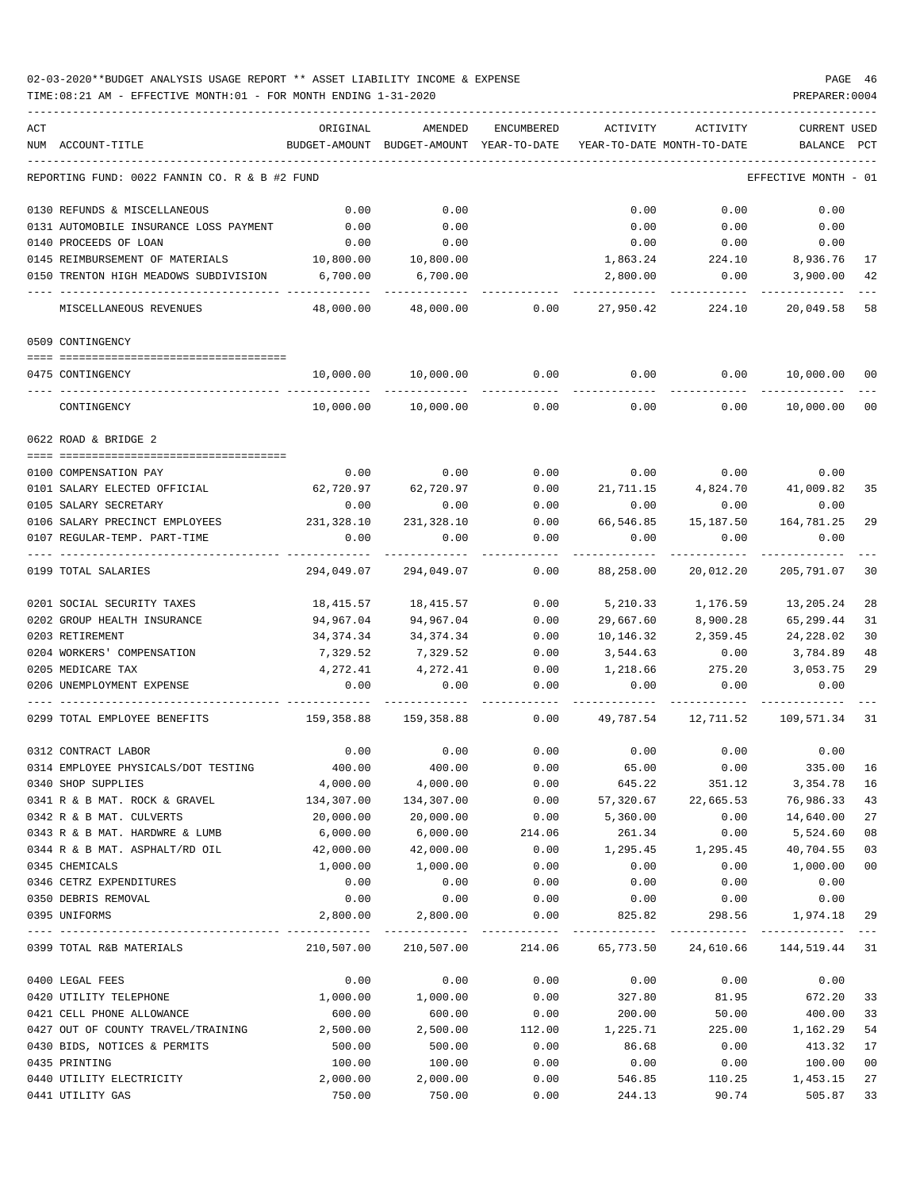| ACT |                                               | ORIGINAL   | AMENDED                                  | ENCUMBERED   | ACTIVITY  | ACTIVITY                                                       | CURRENT USED         |     |
|-----|-----------------------------------------------|------------|------------------------------------------|--------------|-----------|----------------------------------------------------------------|----------------------|-----|
|     | NUM ACCOUNT-TITLE                             |            | BUDGET-AMOUNT BUDGET-AMOUNT YEAR-TO-DATE |              |           | YEAR-TO-DATE MONTH-TO-DATE                                     | BALANCE              | PCT |
|     | REPORTING FUND: 0022 FANNIN CO. R & B #2 FUND |            |                                          |              |           |                                                                | EFFECTIVE MONTH - 01 |     |
|     | 0130 REFUNDS & MISCELLANEOUS                  | 0.00       | 0.00                                     |              | 0.00      | 0.00                                                           | 0.00                 |     |
|     | 0131 AUTOMOBILE INSURANCE LOSS PAYMENT        | 0.00       | 0.00                                     |              | 0.00      | 0.00                                                           | 0.00                 |     |
|     | 0140 PROCEEDS OF LOAN                         | 0.00       | 0.00                                     |              | 0.00      | 0.00                                                           | 0.00                 |     |
|     | 0145 REIMBURSEMENT OF MATERIALS               | 10,800.00  | 10,800.00                                |              | 1,863.24  | 224.10                                                         | 8,936.76             | 17  |
|     | 0150 TRENTON HIGH MEADOWS SUBDIVISION         | 6,700.00   | 6,700.00                                 |              | 2,800.00  | 0.00                                                           | 3,900.00             | 42  |
|     | MISCELLANEOUS REVENUES                        | 48,000.00  | 48,000.00                                | 0.00         | 27,950.42 | 224.10                                                         | 20,049.58            | 58  |
|     | 0509 CONTINGENCY                              |            |                                          |              |           |                                                                |                      |     |
|     | 0475 CONTINGENCY                              | 10,000.00  | 10,000.00                                | 0.00         | 0.00      | 0.00                                                           | 10,000.00 00         |     |
|     |                                               |            |                                          |              |           |                                                                |                      |     |
|     | CONTINGENCY                                   | 10,000.00  | 10,000.00                                | 0.00         | 0.00      | 0.00                                                           | 10,000.00            | 00  |
|     | 0622 ROAD & BRIDGE 2                          |            |                                          |              |           |                                                                |                      |     |
|     | 0100 COMPENSATION PAY                         | 0.00       | 0.00                                     | 0.00         |           | $0.00$ 0.00                                                    | 0.00                 |     |
|     | 0101 SALARY ELECTED OFFICIAL                  | 62,720.97  | 62,720.97                                | 0.00         | 21,711.15 |                                                                | 4,824.70 41,009.82   | 35  |
|     | 0105 SALARY SECRETARY                         | 0.00       | 0.00                                     | 0.00         | 0.00      | 0.00                                                           | 0.00                 |     |
|     | 0106 SALARY PRECINCT EMPLOYEES                | 231,328.10 | 231,328.10                               | 0.00         | 66,546.85 | 15,187.50                                                      | 164,781.25           | 29  |
|     | 0107 REGULAR-TEMP. PART-TIME                  | 0.00       | 0.00                                     | 0.00         | 0.00      | 0.00                                                           | 0.00                 |     |
|     | 0199 TOTAL SALARIES                           | 294,049.07 | 294,049.07                               | ----<br>0.00 | 88,258.00 | 20,012.20                                                      | 205,791.07           | 30  |
|     | 0201 SOCIAL SECURITY TAXES                    | 18,415.57  | 18,415.57                                | 0.00         | 5,210.33  | 1,176.59                                                       | 13,205.24            | 28  |
|     | 0202 GROUP HEALTH INSURANCE                   | 94,967.04  | 94,967.04                                | 0.00         | 29,667.60 | 8,900.28                                                       | 65,299.44            | 31  |
|     | 0203 RETIREMENT                               | 34,374.34  | 34,374.34                                | 0.00         | 10,146.32 | 2,359.45                                                       | 24,228.02            | 30  |
|     | 0204 WORKERS' COMPENSATION                    | 7,329.52   | 7,329.52                                 | 0.00         | 3,544.63  | 0.00                                                           | 3,784.89             | 48  |
|     | 0205 MEDICARE TAX                             | 4,272.41   | 4,272.41                                 | 0.00         |           | 1,218.66 275.20                                                | 3,053.75             | 29  |
|     | 0206 UNEMPLOYMENT EXPENSE                     | 0.00       | 0.00                                     | 0.00         | 0.00      | 0.00                                                           | 0.00                 |     |
|     | 0299 TOTAL EMPLOYEE BENEFITS                  | 159,358.88 | 159,358.88                               | 0.00         | 49,787.54 | 12,711.52                                                      | 109,571.34           | -31 |
|     | 0312 CONTRACT LABOR                           | 0.00       | 0.00                                     | 0.00         | 0.00      |                                                                | $0.00$ 0.00          |     |
|     | 0314 EMPLOYEE PHYSICALS/DOT TESTING           | 400.00     | 400.00                                   | 0.00         | 65.00     | 0.00                                                           | 335.00               | 16  |
|     | 0340 SHOP SUPPLIES                            | 4,000.00   | 4,000.00                                 | 0.00         | 645.22    | 351.12                                                         | 3,354.78 16          |     |
|     | 0341 R & B MAT. ROCK & GRAVEL                 | 134,307.00 | 134,307.00                               | 0.00         | 57,320.67 | 22,665.53                                                      | 76,986.33            | 43  |
|     | 0342 R & B MAT. CULVERTS                      | 20,000.00  | 20,000.00                                | 0.00         | 5,360.00  | 0.00                                                           | 14,640.00            | 27  |
|     | 0343 R & B MAT. HARDWRE & LUMB                | 6,000.00   | 6,000.00                                 | 214.06       | 261.34    | 0.00                                                           | 5,524.60             | 08  |
|     | 0344 R & B MAT. ASPHALT/RD OIL                | 42,000.00  | 42,000.00                                | 0.00         | 1,295.45  | 1,295.45                                                       | 40,704.55            | 03  |
|     | 0345 CHEMICALS                                | 1,000.00   | 1,000.00                                 | 0.00         | 0.00      | 0.00                                                           | 1,000.00             | 00  |
|     | 0346 CETRZ EXPENDITURES                       | 0.00       | 0.00                                     | 0.00         | 0.00      | 0.00                                                           | 0.00                 |     |
|     | 0350 DEBRIS REMOVAL                           | 0.00       | 0.00                                     | 0.00         | 0.00      | 0.00                                                           | 0.00                 |     |
|     | 0395 UNIFORMS                                 | 2,800.00   | 2,800.00                                 | 0.00         | 825.82    |                                                                | 298.56 1,974.18 29   |     |
|     | 0399 TOTAL R&B MATERIALS                      |            |                                          |              |           | 210,507.00 210,507.00 214.06 65,773.50 24,610.66 144,519.44 31 |                      |     |
|     | 0400 LEGAL FEES                               | 0.00       | 0.00                                     | 0.00         | 0.00      | 0.00                                                           | 0.00                 |     |
|     | 0420 UTILITY TELEPHONE                        | 1,000.00   | 1,000.00                                 | 0.00         | 327.80    | 81.95                                                          | 672.20               | 33  |
|     | 0421 CELL PHONE ALLOWANCE                     | 600.00     | 600.00                                   | 0.00         | 200.00    | 50.00                                                          | 400.00               | 33  |
|     | 0427 OUT OF COUNTY TRAVEL/TRAINING 2,500.00   |            | 2,500.00                                 | 112.00       | 1,225.71  | 225.00                                                         | 1,162.29             | 54  |
|     | 0430 BIDS, NOTICES & PERMITS                  | 500.00     | 500.00                                   | 0.00         | 86.68     | 0.00                                                           | 413.32               | 17  |
|     | 0435 PRINTING                                 | 100.00     | 100.00                                   | 0.00         | 0.00      | 0.00                                                           | 100.00               | 00  |
|     | 0440 UTILITY ELECTRICITY                      | 2,000.00   | 2,000.00                                 | 0.00         | 546.85    | 110.25                                                         | 1,453.15             | 27  |
|     | 0441 UTILITY GAS                              | 750.00     | 750.00                                   | 0.00         | 244.13    | 90.74                                                          | 505.87               | 33  |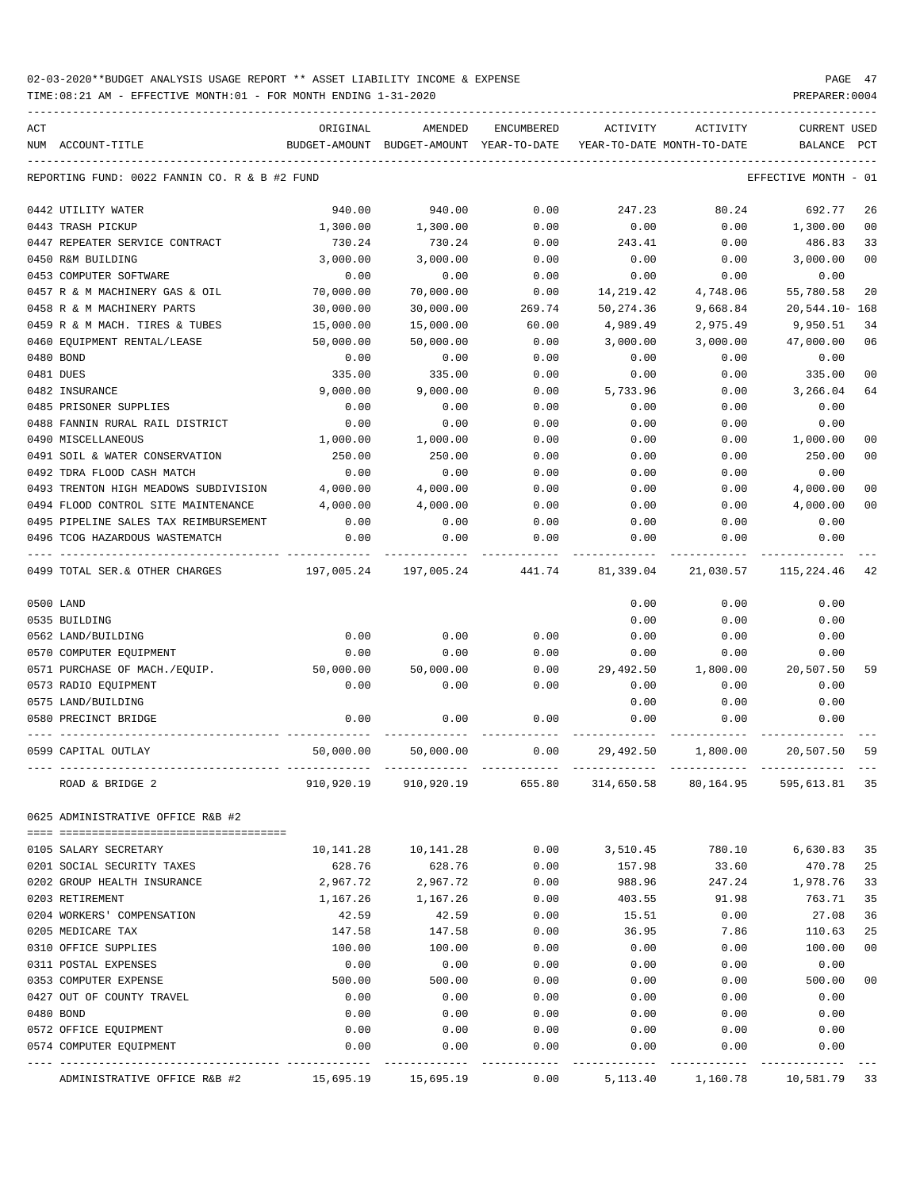TIME:08:21 AM - EFFECTIVE MONTH:01 - FOR MONTH ENDING 1-31-2020 PREPARER:0004

| ACT |                                                     | ORIGINAL      | AMENDED                    | ENCUMBERED   | ACTIVITY     | ACTIVITY                   | <b>CURRENT USED</b>  |                |
|-----|-----------------------------------------------------|---------------|----------------------------|--------------|--------------|----------------------------|----------------------|----------------|
|     | NUM ACCOUNT-TITLE                                   | BUDGET-AMOUNT | BUDGET-AMOUNT YEAR-TO-DATE |              |              | YEAR-TO-DATE MONTH-TO-DATE | BALANCE              | PCT            |
|     | REPORTING FUND: 0022 FANNIN CO. R & B #2 FUND       |               |                            |              |              |                            | EFFECTIVE MONTH - 01 |                |
|     | 0442 UTILITY WATER                                  | 940.00        | 940.00                     | 0.00         | 247.23       | 80.24                      | 692.77               | 26             |
|     | 0443 TRASH PICKUP                                   | 1,300.00      | 1,300.00                   | 0.00         | 0.00         | 0.00                       | 1,300.00             | 0 <sub>0</sub> |
|     | 0447 REPEATER SERVICE CONTRACT                      | 730.24        | 730.24                     | 0.00         | 243.41       | 0.00                       | 486.83               | 33             |
|     | 0450 R&M BUILDING                                   | 3,000.00      | 3,000.00                   | 0.00         | 0.00         | 0.00                       | 3,000.00             | 0 <sub>0</sub> |
|     | 0453 COMPUTER SOFTWARE                              | 0.00          | 0.00                       | 0.00         | 0.00         | 0.00                       | 0.00                 |                |
|     | 0457 R & M MACHINERY GAS & OIL                      | 70,000.00     | 70,000.00                  | 0.00         | 14,219.42    | 4,748.06                   | 55,780.58            | 20             |
|     | 0458 R & M MACHINERY PARTS                          | 30,000.00     | 30,000.00                  | 269.74       | 50,274.36    | 9,668.84                   | $20,544.10 - 168$    |                |
|     | 0459 R & M MACH. TIRES & TUBES                      | 15,000.00     | 15,000.00                  | 60.00        | 4,989.49     | 2,975.49                   | 9,950.51             | 34             |
|     | 0460 EQUIPMENT RENTAL/LEASE                         | 50,000.00     | 50,000.00                  | 0.00         | 3,000.00     | 3,000.00                   | 47,000.00            | 06             |
|     | 0480 BOND                                           | 0.00          | 0.00                       | 0.00         | 0.00         | 0.00                       | 0.00                 |                |
|     | 0481 DUES                                           | 335.00        | 335.00                     | 0.00         | 0.00         | 0.00                       | 335.00               | 00             |
|     | 0482 INSURANCE                                      | 9,000.00      | 9,000.00                   | 0.00         | 5,733.96     | 0.00                       | 3,266.04             | 64             |
|     | 0485 PRISONER SUPPLIES                              | 0.00          | 0.00                       | 0.00         | 0.00         | 0.00                       | 0.00                 |                |
|     | 0488 FANNIN RURAL RAIL DISTRICT                     | 0.00          | 0.00                       | 0.00         | 0.00         | 0.00                       | 0.00                 |                |
|     | 0490 MISCELLANEOUS                                  | 1,000.00      | 1,000.00                   | 0.00         | 0.00         | 0.00                       | 1,000.00             | 00             |
|     | 0491 SOIL & WATER CONSERVATION                      | 250.00        | 250.00                     | 0.00         | 0.00         | 0.00                       | 250.00               | 00             |
|     | 0492 TDRA FLOOD CASH MATCH                          | 0.00          | 0.00                       | 0.00         | 0.00         | 0.00                       | 0.00                 |                |
|     | 0493 TRENTON HIGH MEADOWS SUBDIVISION               | 4,000.00      | 4,000.00                   | 0.00         | 0.00         | 0.00                       | 4,000.00             | 00             |
|     | 0494 FLOOD CONTROL SITE MAINTENANCE                 | 4,000.00      | 4,000.00                   | 0.00         | 0.00         | 0.00                       | 4,000.00             | 0 <sub>0</sub> |
|     | 0495 PIPELINE SALES TAX REIMBURSEMENT               | 0.00          | 0.00                       | 0.00         | 0.00         | 0.00                       | 0.00                 |                |
|     | 0496 TCOG HAZARDOUS WASTEMATCH                      | 0.00          | 0.00                       | 0.00         | 0.00         | 0.00                       | 0.00                 |                |
|     | 0499 TOTAL SER.& OTHER CHARGES                      | 197,005.24    | 197,005.24                 | 441.74       | 81,339.04    | 21,030.57                  | 115,224.46           | 42             |
|     | 0500 LAND                                           |               |                            |              | 0.00         | 0.00                       | 0.00                 |                |
|     | 0535 BUILDING                                       |               |                            |              | 0.00         | 0.00                       | 0.00                 |                |
|     | 0562 LAND/BUILDING                                  | 0.00          | 0.00                       | 0.00         | 0.00         | 0.00                       | 0.00                 |                |
|     | 0570 COMPUTER EQUIPMENT                             | 0.00          | 0.00                       | 0.00         | 0.00         | 0.00                       | 0.00                 |                |
|     | 0571 PURCHASE OF MACH./EQUIP.                       | 50,000.00     | 50,000.00                  | 0.00         | 29,492.50    | 1,800.00                   | 20,507.50            | 59             |
|     | 0573 RADIO EQUIPMENT                                | 0.00          | 0.00                       | 0.00         | 0.00         | 0.00                       | 0.00                 |                |
|     | 0575 LAND/BUILDING                                  |               |                            |              | 0.00         | 0.00                       | 0.00                 |                |
|     | 0580 PRECINCT BRIDGE                                | 0.00          | 0.00                       | 0.00         | 0.00         | 0.00                       | 0.00                 |                |
|     |                                                     |               |                            |              |              |                            |                      |                |
|     | 0599 CAPITAL OUTLAY                                 | 50,000.00     | 50,000.00                  | 0.00         | 29,492.50    | 1,800.00                   | 20,507.50            | 59             |
|     | ROAD & BRIDGE 2                                     | 910,920.19    | 910,920.19                 | 655.80       | 314,650.58   | 80,164.95                  | 595,613.81           | 35             |
|     | 0625 ADMINISTRATIVE OFFICE R&B #2                   |               |                            |              |              |                            |                      |                |
|     |                                                     |               |                            |              |              |                            |                      |                |
|     | 0105 SALARY SECRETARY<br>0201 SOCIAL SECURITY TAXES | 10,141.28     | 10,141.28                  | 0.00         | 3,510.45     | 780.10                     | 6,630.83             | 35             |
|     |                                                     | 628.76        | 628.76                     | 0.00         | 157.98       | 33.60                      | 470.78               | 25             |
|     | 0202 GROUP HEALTH INSURANCE                         | 2,967.72      | 2,967.72                   | 0.00         | 988.96       | 247.24                     | 1,978.76             | 33             |
|     | 0203 RETIREMENT                                     | 1,167.26      | 1,167.26                   | 0.00         | 403.55       | 91.98                      | 763.71               | 35             |
|     | 0204 WORKERS' COMPENSATION                          | 42.59         | 42.59                      | 0.00         | 15.51        | 0.00                       | 27.08                | 36             |
|     | 0205 MEDICARE TAX<br>0310 OFFICE SUPPLIES           | 147.58        | 147.58                     | 0.00         | 36.95        | 7.86                       | 110.63               | 25             |
|     |                                                     | 100.00        | 100.00                     | 0.00         | 0.00         | 0.00                       | 100.00               | 00             |
|     | 0311 POSTAL EXPENSES<br>0353 COMPUTER EXPENSE       | 0.00          | 0.00                       | 0.00         | 0.00         | 0.00                       | 0.00<br>500.00       | 0 <sub>0</sub> |
|     |                                                     | 500.00        | 500.00                     | 0.00         | 0.00         | 0.00                       | 0.00                 |                |
|     | 0427 OUT OF COUNTY TRAVEL<br>0480 BOND              | 0.00<br>0.00  | 0.00<br>0.00               | 0.00<br>0.00 | 0.00<br>0.00 | 0.00<br>0.00               | 0.00                 |                |
|     | 0572 OFFICE EQUIPMENT                               | 0.00          | 0.00                       | 0.00         | 0.00         | 0.00                       | 0.00                 |                |
|     | 0574 COMPUTER EQUIPMENT                             | 0.00          | 0.00                       | 0.00         | 0.00         | 0.00                       | 0.00                 |                |
|     |                                                     |               |                            |              |              |                            | ---------            |                |

ADMINISTRATIVE OFFICE R&B #2 15,695.19 15,695.19 0.00 5,113.40 1,160.78 10,581.79 33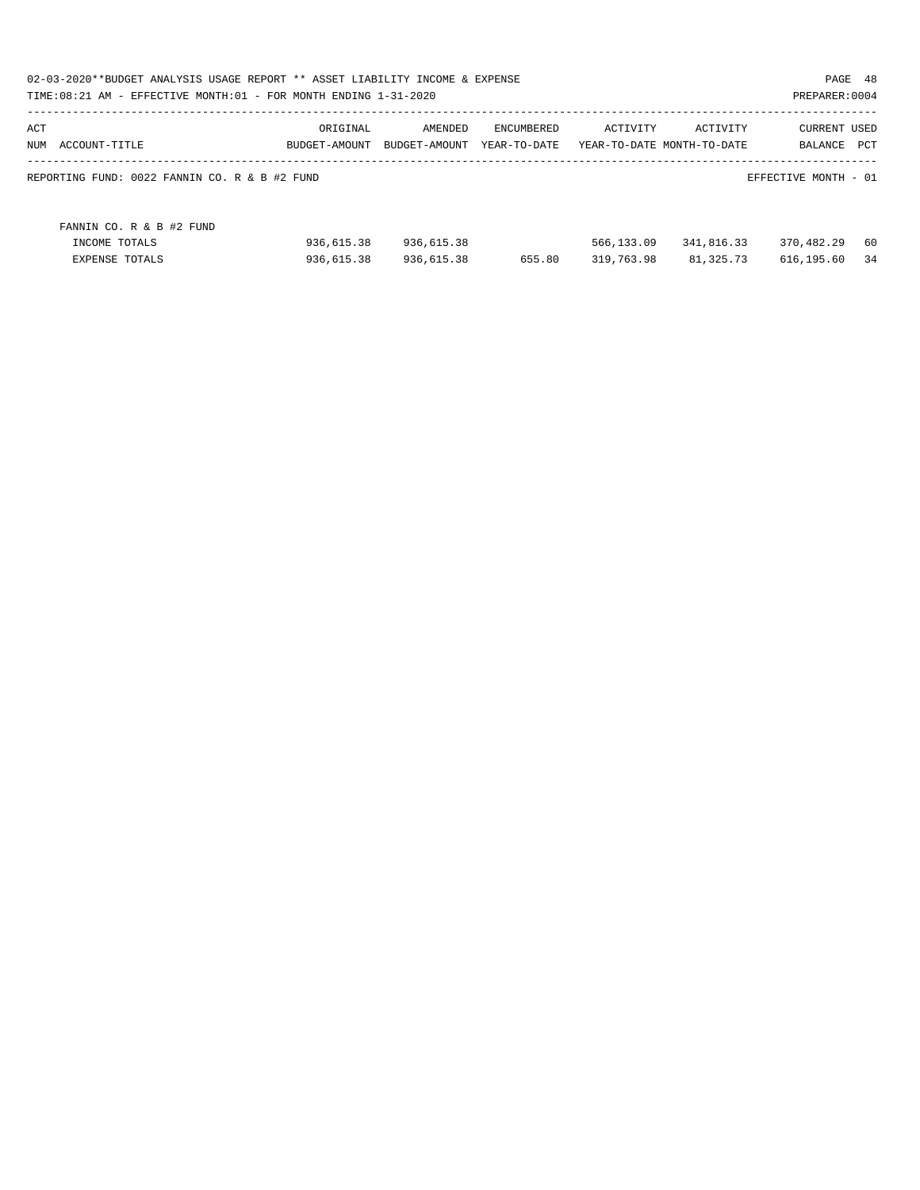| 02-03-2020**BUDGET ANALYSIS USAGE REPORT ** ASSET LIABILITY INCOME & EXPENSE<br>TIME: $08:21$ AM - EFFECTIVE MONTH: $01$ - FOR MONTH ENDING $1-31-2020$ |               |               |              |            |                            | PAGE 48<br>PREPARER: 0004 |     |
|---------------------------------------------------------------------------------------------------------------------------------------------------------|---------------|---------------|--------------|------------|----------------------------|---------------------------|-----|
| ACT                                                                                                                                                     | ORIGINAL      | AMENDED       | ENCUMBERED   | ACTIVITY   | ACTIVITY                   | <b>CURRENT USED</b>       |     |
| NUM<br>ACCOUNT-TITLE                                                                                                                                    | BUDGET-AMOUNT | BUDGET-AMOUNT | YEAR-TO-DATE |            | YEAR-TO-DATE MONTH-TO-DATE | BALANCE                   | PCT |
| REPORTING FUND: 0022 FANNIN CO. R & B #2 FUND                                                                                                           |               |               |              |            |                            | EFFECTIVE MONTH - 01      |     |
| FANNIN CO. R & B #2 FUND                                                                                                                                |               |               |              |            |                            |                           |     |
| INCOME TOTALS                                                                                                                                           | 936,615.38    | 936,615.38    |              | 566,133.09 | 341,816.33                 | 370,482.29                | -60 |
| <b>EXPENSE TOTALS</b>                                                                                                                                   | 936,615.38    | 936,615.38    | 655.80       | 319,763.98 | 81,325.73                  | 616,195.60                | 34  |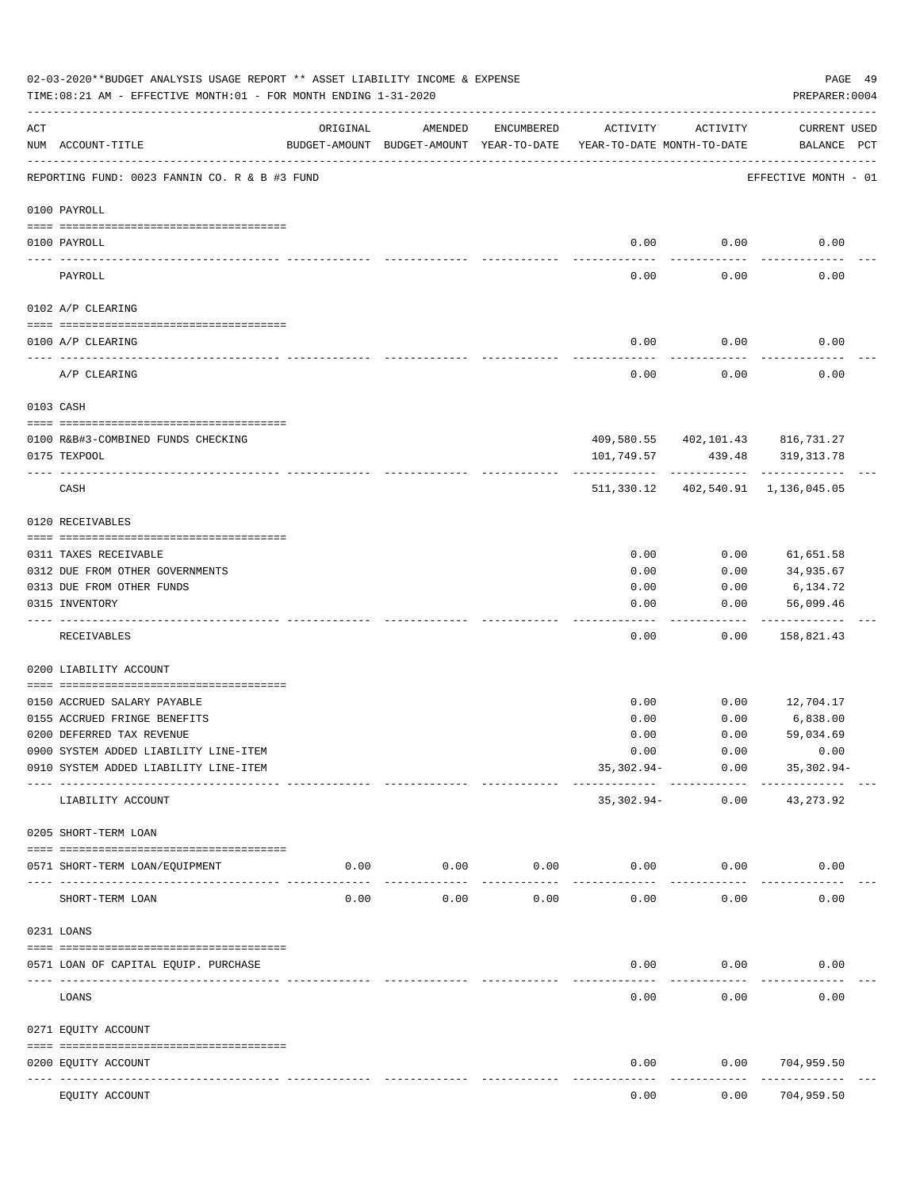|                                                                                                                                                                                                                                                                                                                                                                                              | 02-03-2020**BUDGET ANALYSIS USAGE REPORT ** ASSET LIABILITY INCOME & EXPENSE<br>TIME: 08:21 AM - EFFECTIVE MONTH: 01 - FOR MONTH ENDING 1-31-2020 |                                                      |                            |                    |                                        |                         | PREPARER: 0004                     | PAGE 49 |
|----------------------------------------------------------------------------------------------------------------------------------------------------------------------------------------------------------------------------------------------------------------------------------------------------------------------------------------------------------------------------------------------|---------------------------------------------------------------------------------------------------------------------------------------------------|------------------------------------------------------|----------------------------|--------------------|----------------------------------------|-------------------------|------------------------------------|---------|
| ACT                                                                                                                                                                                                                                                                                                                                                                                          | NUM ACCOUNT-TITLE                                                                                                                                 | ORIGINAL<br>BUDGET-AMOUNT BUDGET-AMOUNT YEAR-TO-DATE | AMENDED                    | ENCUMBERED         | ACTIVITY<br>YEAR-TO-DATE MONTH-TO-DATE | ACTIVITY                | CURRENT USED<br>BALANCE PCT        |         |
|                                                                                                                                                                                                                                                                                                                                                                                              | REPORTING FUND: 0023 FANNIN CO. R & B #3 FUND                                                                                                     |                                                      |                            |                    |                                        |                         | EFFECTIVE MONTH - 01               |         |
|                                                                                                                                                                                                                                                                                                                                                                                              | 0100 PAYROLL                                                                                                                                      |                                                      |                            |                    |                                        |                         |                                    |         |
|                                                                                                                                                                                                                                                                                                                                                                                              | 0100 PAYROLL                                                                                                                                      |                                                      |                            |                    | 0.00                                   | 0.00                    | 0.00                               |         |
| $\frac{1}{2} \frac{1}{2} \frac{1}{2} \frac{1}{2} \frac{1}{2} \frac{1}{2} \frac{1}{2} \frac{1}{2} \frac{1}{2} \frac{1}{2} \frac{1}{2} \frac{1}{2} \frac{1}{2} \frac{1}{2} \frac{1}{2} \frac{1}{2} \frac{1}{2} \frac{1}{2} \frac{1}{2} \frac{1}{2} \frac{1}{2} \frac{1}{2} \frac{1}{2} \frac{1}{2} \frac{1}{2} \frac{1}{2} \frac{1}{2} \frac{1}{2} \frac{1}{2} \frac{1}{2} \frac{1}{2} \frac{$ | PAYROLL                                                                                                                                           |                                                      |                            |                    | 0.00                                   | 0.00                    | 0.00                               |         |
|                                                                                                                                                                                                                                                                                                                                                                                              | 0102 A/P CLEARING                                                                                                                                 |                                                      |                            |                    |                                        |                         |                                    |         |
|                                                                                                                                                                                                                                                                                                                                                                                              | 0100 A/P CLEARING                                                                                                                                 |                                                      |                            |                    | 0.00                                   | 0.00                    | 0.00                               |         |
|                                                                                                                                                                                                                                                                                                                                                                                              | A/P CLEARING                                                                                                                                      |                                                      |                            |                    | 0.00                                   | 0.00                    | 0.00                               |         |
|                                                                                                                                                                                                                                                                                                                                                                                              | 0103 CASH                                                                                                                                         |                                                      |                            |                    |                                        |                         |                                    |         |
|                                                                                                                                                                                                                                                                                                                                                                                              |                                                                                                                                                   |                                                      |                            |                    |                                        |                         |                                    |         |
|                                                                                                                                                                                                                                                                                                                                                                                              | 0100 R&B#3-COMBINED FUNDS CHECKING                                                                                                                |                                                      |                            |                    |                                        |                         | 409,580.55 402,101.43 816,731.27   |         |
|                                                                                                                                                                                                                                                                                                                                                                                              | 0175 TEXPOOL                                                                                                                                      |                                                      |                            |                    | 101,749.57                             | 439.48<br>------------- | 319,313.78                         |         |
|                                                                                                                                                                                                                                                                                                                                                                                              | CASH                                                                                                                                              |                                                      |                            |                    |                                        |                         | 511,330.12 402,540.91 1,136,045.05 |         |
|                                                                                                                                                                                                                                                                                                                                                                                              | 0120 RECEIVABLES                                                                                                                                  |                                                      |                            |                    |                                        |                         |                                    |         |
|                                                                                                                                                                                                                                                                                                                                                                                              | 0311 TAXES RECEIVABLE                                                                                                                             |                                                      |                            |                    | 0.00                                   | 0.00                    | 61,651.58                          |         |
|                                                                                                                                                                                                                                                                                                                                                                                              | 0312 DUE FROM OTHER GOVERNMENTS                                                                                                                   |                                                      |                            |                    | 0.00                                   | 0.00                    | 34,935.67                          |         |
|                                                                                                                                                                                                                                                                                                                                                                                              | 0313 DUE FROM OTHER FUNDS                                                                                                                         |                                                      |                            |                    | 0.00                                   | 0.00                    | 6,134.72                           |         |
|                                                                                                                                                                                                                                                                                                                                                                                              | 0315 INVENTORY                                                                                                                                    |                                                      |                            |                    | 0.00                                   | 0.00                    | 56,099.46                          |         |
|                                                                                                                                                                                                                                                                                                                                                                                              | RECEIVABLES                                                                                                                                       |                                                      |                            |                    | 0.00                                   | 0.00                    | ----------<br>158,821.43           |         |
|                                                                                                                                                                                                                                                                                                                                                                                              | 0200 LIABILITY ACCOUNT                                                                                                                            |                                                      |                            |                    |                                        |                         |                                    |         |
|                                                                                                                                                                                                                                                                                                                                                                                              |                                                                                                                                                   |                                                      |                            |                    |                                        |                         |                                    |         |
|                                                                                                                                                                                                                                                                                                                                                                                              | 0150 ACCRUED SALARY PAYABLE                                                                                                                       |                                                      |                            |                    | 0.00                                   | 0.00                    | 12,704.17                          |         |
|                                                                                                                                                                                                                                                                                                                                                                                              | 0155 ACCRUED FRINGE BENEFITS                                                                                                                      |                                                      |                            |                    | 0.00                                   | 0.00                    | 6,838.00                           |         |
|                                                                                                                                                                                                                                                                                                                                                                                              | 0200 DEFERRED TAX REVENUE                                                                                                                         |                                                      |                            |                    | 0.00                                   | 0.00                    | 59,034.69                          |         |
|                                                                                                                                                                                                                                                                                                                                                                                              | 0900 SYSTEM ADDED LIABILITY LINE-ITEM                                                                                                             |                                                      |                            |                    | 0.00                                   | 0.00                    | 0.00                               |         |
|                                                                                                                                                                                                                                                                                                                                                                                              | 0910 SYSTEM ADDED LIABILITY LINE-ITEM                                                                                                             |                                                      |                            |                    | $35,302.94-$                           | 0.00<br>------------    | 35,302.94-                         |         |
|                                                                                                                                                                                                                                                                                                                                                                                              | LIABILITY ACCOUNT                                                                                                                                 |                                                      |                            |                    | $35,302.94-$                           | 0.00                    | 43, 273.92                         |         |
|                                                                                                                                                                                                                                                                                                                                                                                              | 0205 SHORT-TERM LOAN                                                                                                                              |                                                      |                            |                    |                                        |                         |                                    |         |
|                                                                                                                                                                                                                                                                                                                                                                                              | 0571 SHORT-TERM LOAN/EQUIPMENT                                                                                                                    |                                                      | $0.00$ 0.00<br>----------- | 0.00<br>---------- | 0.00<br>-----------                    | 0.00                    | 0.00                               |         |
|                                                                                                                                                                                                                                                                                                                                                                                              | SHORT-TERM LOAN                                                                                                                                   | 0.00                                                 | 0.00                       | 0.00               | 0.00                                   | 0.00                    | 0.00                               |         |
|                                                                                                                                                                                                                                                                                                                                                                                              | 0231 LOANS                                                                                                                                        |                                                      |                            |                    |                                        |                         |                                    |         |
|                                                                                                                                                                                                                                                                                                                                                                                              | 0571 LOAN OF CAPITAL EQUIP. PURCHASE                                                                                                              |                                                      |                            |                    | 0.00                                   | 0.00                    | 0.00                               |         |
|                                                                                                                                                                                                                                                                                                                                                                                              | LOANS                                                                                                                                             | ------------- --------------                         |                            |                    | 0.00                                   | --------<br>0.00        | 0.00                               |         |
|                                                                                                                                                                                                                                                                                                                                                                                              | 0271 EQUITY ACCOUNT                                                                                                                               |                                                      |                            |                    |                                        |                         |                                    |         |
|                                                                                                                                                                                                                                                                                                                                                                                              | 0200 EQUITY ACCOUNT                                                                                                                               |                                                      |                            |                    | 0.00                                   | 0.00                    | 704,959.50                         |         |
|                                                                                                                                                                                                                                                                                                                                                                                              | EQUITY ACCOUNT                                                                                                                                    |                                                      |                            |                    | 0.00                                   | 0.00                    | ---------<br>704,959.50            |         |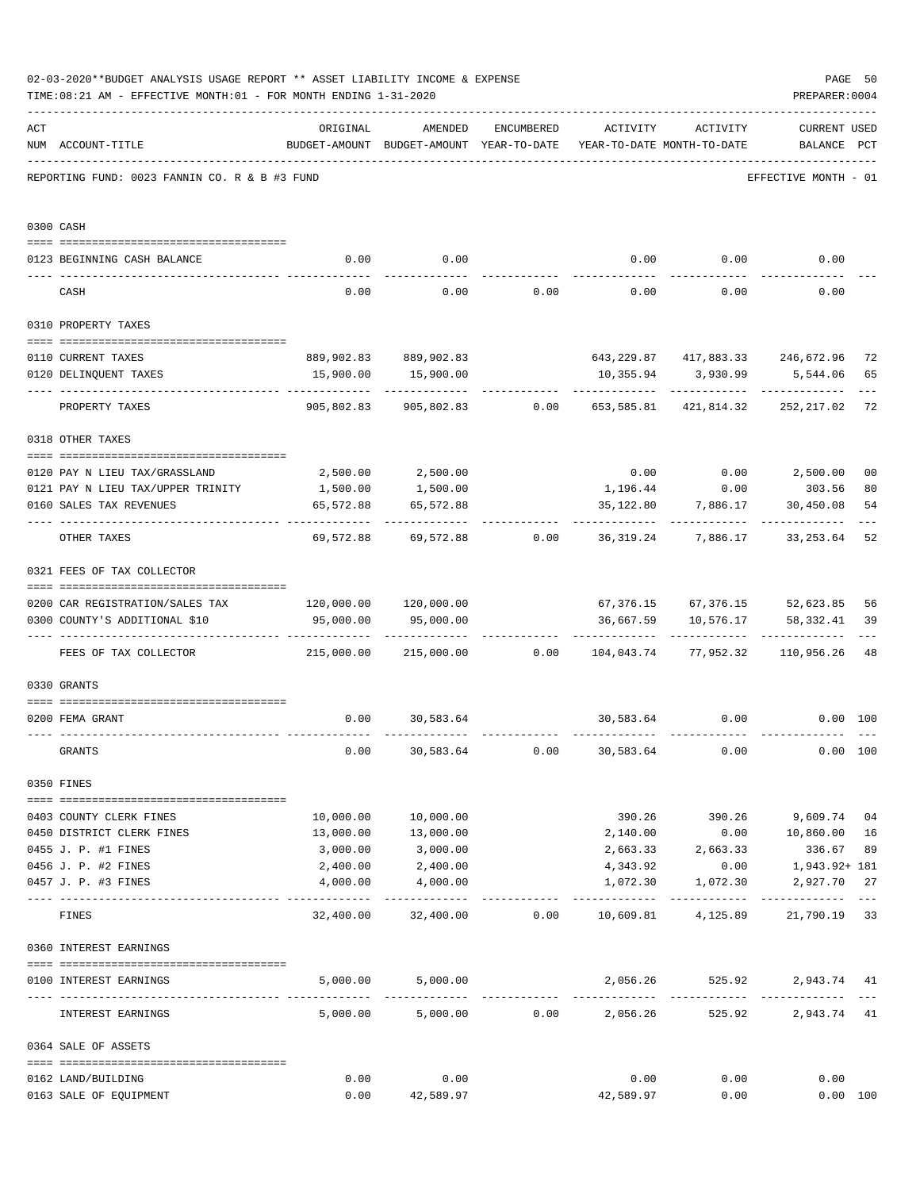|     | 02-03-2020**BUDGET ANALYSIS USAGE REPORT ** ASSET LIABILITY INCOME & EXPENSE<br>PREPARER: 0004<br>TIME: 08:21 AM - EFFECTIVE MONTH: 01 - FOR MONTH ENDING 1-31-2020 |                                        |                                                                                |                                    |                   |                        |                                                                   |                           |  |  |
|-----|---------------------------------------------------------------------------------------------------------------------------------------------------------------------|----------------------------------------|--------------------------------------------------------------------------------|------------------------------------|-------------------|------------------------|-------------------------------------------------------------------|---------------------------|--|--|
| ACT | NUM ACCOUNT-TITLE                                                                                                                                                   | ORIGINAL                               | AMENDED<br>BUDGET-AMOUNT BUDGET-AMOUNT YEAR-TO-DATE YEAR-TO-DATE MONTH-TO-DATE | ENCUMBERED                         | ACTIVITY ACTIVITY |                        | <b>CURRENT USED</b><br>BALANCE PCT                                |                           |  |  |
|     | REPORTING FUND: 0023 FANNIN CO. R & B #3 FUND                                                                                                                       |                                        |                                                                                |                                    |                   |                        | EFFECTIVE MONTH - 01                                              |                           |  |  |
|     | 0300 CASH                                                                                                                                                           |                                        |                                                                                |                                    |                   |                        |                                                                   |                           |  |  |
|     | 0123 BEGINNING CASH BALANCE                                                                                                                                         | 0.00                                   | 0.00                                                                           |                                    |                   |                        | $0.00$ $0.00$ $0.00$ $0.00$                                       |                           |  |  |
|     | CASH                                                                                                                                                                | 0.00                                   |                                                                                | $0.00$ $0.00$ $0.00$ $0.00$ $0.00$ |                   |                        | 0.00                                                              |                           |  |  |
|     | 0310 PROPERTY TAXES                                                                                                                                                 |                                        |                                                                                |                                    |                   |                        |                                                                   |                           |  |  |
|     |                                                                                                                                                                     |                                        |                                                                                |                                    |                   |                        |                                                                   |                           |  |  |
|     | 0110 CURRENT TAXES                                                                                                                                                  |                                        | 889,902.83 889,902.83                                                          |                                    |                   |                        | 643, 229.87 417, 883.33 246, 672.96                               | 72                        |  |  |
|     | 0120 DELINQUENT TAXES<br>--------------------- --------------                                                                                                       |                                        | 15,900.00  15,900.00<br>-----------                                            |                                    | -------------     | 10,355.94 3,930.99     | 5,544.06<br>-----------------------------                         | 65                        |  |  |
|     | PROPERTY TAXES                                                                                                                                                      | 905,802.83                             |                                                                                | 905,802.83 0.00                    |                   |                        | 653,585.81 421,814.32 252,217.02                                  | 72                        |  |  |
|     | 0318 OTHER TAXES                                                                                                                                                    |                                        |                                                                                |                                    |                   |                        |                                                                   |                           |  |  |
|     | 0120 PAY N LIEU TAX/GRASSLAND                                                                                                                                       |                                        | 2,500.00 2,500.00                                                              |                                    |                   |                        | $0.00$ $0.00$ $2,500.00$                                          | 0 <sub>0</sub>            |  |  |
|     | 0121 PAY N LIEU TAX/UPPER TRINITY                                                                                                                                   | 1,500.00                               | 1,500.00                                                                       |                                    |                   | 1,196.44 0.00          | 303.56                                                            | 80                        |  |  |
|     | 0160 SALES TAX REVENUES                                                                                                                                             | 65,572.88                              | 65,572.88                                                                      |                                    |                   | 35,122.80 7,886.17     | 30,450.08                                                         | 54                        |  |  |
|     |                                                                                                                                                                     |                                        |                                                                                |                                    |                   |                        |                                                                   |                           |  |  |
|     | OTHER TAXES                                                                                                                                                         |                                        |                                                                                |                                    |                   |                        | 69,572.88 69,572.88 0.00 36,319.24 7,886.17 33,253.64             | 52                        |  |  |
|     | 0321 FEES OF TAX COLLECTOR                                                                                                                                          |                                        |                                                                                |                                    |                   |                        |                                                                   |                           |  |  |
|     |                                                                                                                                                                     |                                        |                                                                                |                                    |                   |                        |                                                                   | 56                        |  |  |
|     | 0200 CAR REGISTRATION/SALES TAX<br>0300 COUNTY'S ADDITIONAL \$10                                                                                                    | $120,000.00$ $120,000.00$<br>95,000.00 | 95,000.00                                                                      |                                    |                   | 36,667.59 10,576.17    | 67,376.15 67,376.15 52,623.85<br>58,332.41                        | 39                        |  |  |
|     |                                                                                                                                                                     |                                        |                                                                                |                                    |                   |                        |                                                                   |                           |  |  |
|     | FEES OF TAX COLLECTOR                                                                                                                                               | $215,000.00$ $215,000.00$ $0.00$       |                                                                                |                                    |                   |                        | 104,043.74 77,952.32 110,956.26                                   | 48                        |  |  |
|     | 0330 GRANTS                                                                                                                                                         |                                        |                                                                                |                                    |                   |                        |                                                                   |                           |  |  |
|     |                                                                                                                                                                     |                                        |                                                                                |                                    |                   |                        |                                                                   |                           |  |  |
|     | 0200 FEMA GRANT                                                                                                                                                     | 0.00                                   | 30,583.64                                                                      |                                    |                   | 30,583.64 0.00         | $0.00$ 100                                                        |                           |  |  |
|     | GRANTS                                                                                                                                                              | 0.00                                   |                                                                                | 30,583.64 0.00                     | 30,583.64         | 0.00                   |                                                                   | 0.00 100                  |  |  |
|     | 0350 FINES                                                                                                                                                          |                                        |                                                                                |                                    |                   |                        |                                                                   |                           |  |  |
|     | 0403 COUNTY CLERK FINES                                                                                                                                             | 10,000.00                              | 10,000.00                                                                      |                                    |                   |                        | 390.26 390.26 9,609.74                                            | 04                        |  |  |
|     | 0450 DISTRICT CLERK FINES                                                                                                                                           | 13,000.00                              | 13,000.00                                                                      |                                    | 2,140.00          |                        | 0.00 10,860.00                                                    | 16                        |  |  |
|     | 0455 J. P. #1 FINES                                                                                                                                                 | 3,000.00                               | 3,000.00                                                                       |                                    |                   | 2,663.33 2,663.33      | 336.67                                                            | 89                        |  |  |
|     | 0456 J. P. #2 FINES                                                                                                                                                 | 2,400.00                               | 2,400.00                                                                       |                                    | 4,343.92          | 0.00                   | 1,943.92+ 181                                                     |                           |  |  |
|     | 0457 J. P. #3 FINES                                                                                                                                                 | 4,000.00                               | 4,000.00                                                                       |                                    | 1,072.30          | 1,072.30               | 2,927.70 27                                                       |                           |  |  |
|     | FINES                                                                                                                                                               |                                        |                                                                                |                                    |                   |                        | $32,400.00$ $32,400.00$ $0.00$ $10,609.81$ $4,125.89$ $21,790.19$ | $\qquad \qquad - -$<br>33 |  |  |
|     | 0360 INTEREST EARNINGS                                                                                                                                              |                                        |                                                                                |                                    |                   |                        |                                                                   |                           |  |  |
|     | 0100 INTEREST EARNINGS                                                                                                                                              |                                        | 5,000.00 5,000.00                                                              |                                    |                   | 2,056.26 525.92        | 2,943.74 41                                                       |                           |  |  |
|     |                                                                                                                                                                     |                                        |                                                                                |                                    |                   | ------------- -------- |                                                                   |                           |  |  |
|     | INTEREST EARNINGS                                                                                                                                                   |                                        | $5,000.00$ $5,000.00$ $0.00$ $2,056.26$                                        |                                    |                   |                        | 2,943.74 41<br>525.92                                             |                           |  |  |
|     | 0364 SALE OF ASSETS                                                                                                                                                 |                                        |                                                                                |                                    |                   |                        |                                                                   |                           |  |  |
|     | 0162 LAND/BUILDING                                                                                                                                                  | 0.00                                   | 0.00                                                                           |                                    | 0.00              | 0.00                   | 0.00                                                              |                           |  |  |
|     | 0163 SALE OF EQUIPMENT                                                                                                                                              | 0.00                                   | 42,589.97                                                                      |                                    | 42,589.97         | 0.00                   |                                                                   | 0.00 100                  |  |  |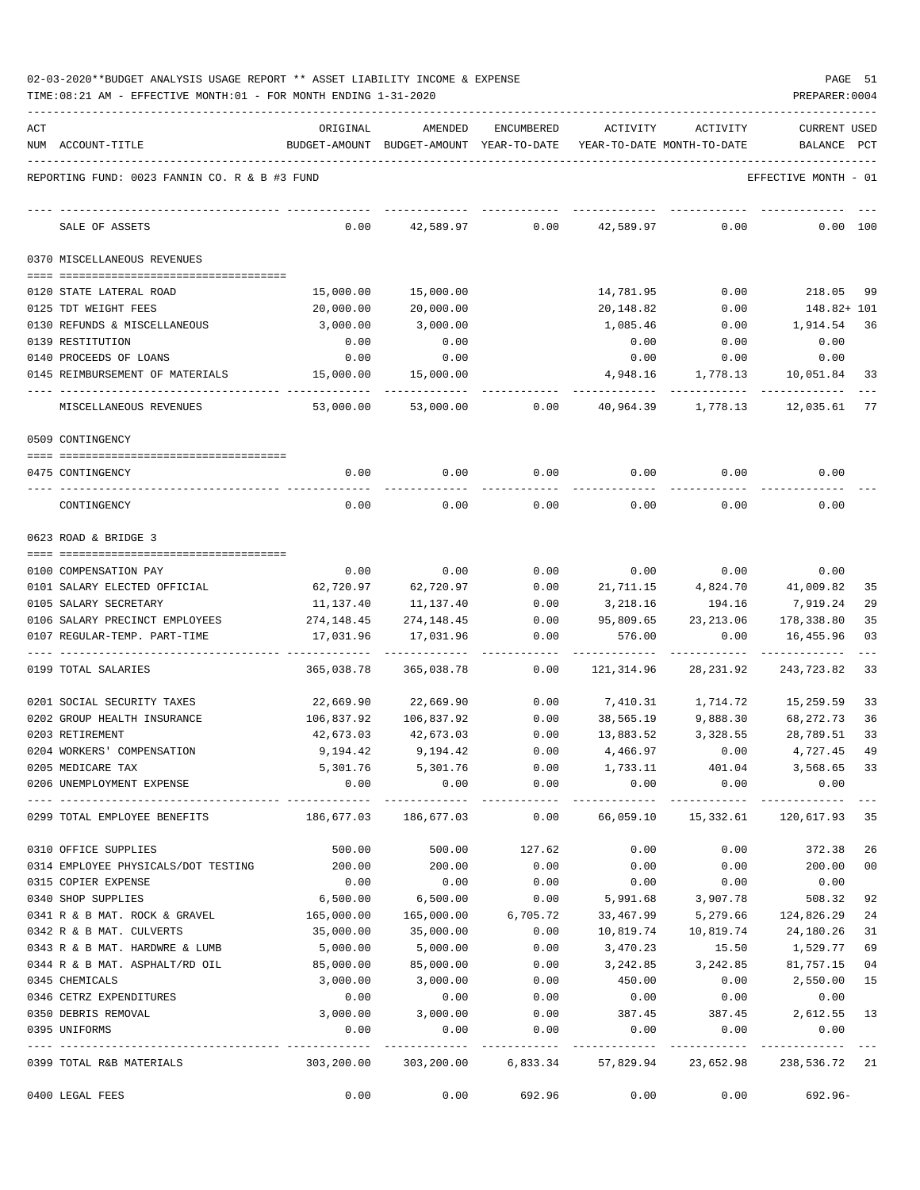| 02-03-2020**BUDGET ANALYSIS USAGE REPORT ** ASSET LIABILITY INCOME & EXPENSE |  |  |  | PAGE | -51 |
|------------------------------------------------------------------------------|--|--|--|------|-----|
|                                                                              |  |  |  |      |     |

TIME:08:21 AM - EFFECTIVE MONTH:01 - FOR MONTH ENDING 1-31-2020

| ACT |                                               | ORIGINAL                                 | AMENDED                                                             | ENCUMBERED | ACTIVITY   | ACTIVITY  | <b>CURRENT USED</b>  |              |
|-----|-----------------------------------------------|------------------------------------------|---------------------------------------------------------------------|------------|------------|-----------|----------------------|--------------|
|     | NUM ACCOUNT-TITLE                             |                                          | BUDGET-AMOUNT BUDGET-AMOUNT YEAR-TO-DATE YEAR-TO-DATE MONTH-TO-DATE |            |            |           | BALANCE              | $_{\rm PCT}$ |
|     | REPORTING FUND: 0023 FANNIN CO. R & B #3 FUND |                                          |                                                                     |            |            |           | EFFECTIVE MONTH - 01 |              |
|     | SALE OF ASSETS                                | 0.00                                     | 42,589.97                                                           | 0.00       | 42,589.97  | 0.00      | 0.00 100             |              |
|     | 0370 MISCELLANEOUS REVENUES                   |                                          |                                                                     |            |            |           |                      |              |
|     | 0120 STATE LATERAL ROAD                       | 15,000.00                                | 15,000.00                                                           |            | 14,781.95  | 0.00      | 218.05               | -99          |
|     | 0125 TDT WEIGHT FEES                          | 20,000.00                                | 20,000.00                                                           |            | 20,148.82  | 0.00      | 148.82+ 101          |              |
|     | 0130 REFUNDS & MISCELLANEOUS                  | 3,000.00                                 | 3,000.00                                                            |            | 1,085.46   | 0.00      | 1,914.54             | 36           |
|     | 0139 RESTITUTION                              | 0.00                                     | 0.00                                                                |            | 0.00       | 0.00      | 0.00                 |              |
|     | 0140 PROCEEDS OF LOANS                        | 0.00                                     | 0.00                                                                |            | 0.00       | 0.00      | 0.00                 |              |
|     | 0145 REIMBURSEMENT OF MATERIALS               | 15,000.00                                | 15,000.00                                                           |            | 4,948.16   | 1,778.13  | 10,051.84            | 33           |
|     | MISCELLANEOUS REVENUES                        | 53,000.00                                | 53,000.00                                                           | 0.00       | 40,964.39  | 1,778.13  | 12,035.61 77         |              |
|     | 0509 CONTINGENCY                              |                                          |                                                                     |            |            |           |                      |              |
|     | 0475 CONTINGENCY                              | 0.00                                     | 0.00                                                                | 0.00       | 0.00       | 0.00      | 0.00                 |              |
|     |                                               |                                          |                                                                     |            |            |           |                      |              |
|     | CONTINGENCY                                   | 0.00                                     | 0.00                                                                | 0.00       | 0.00       | 0.00      | 0.00                 |              |
|     | 0623 ROAD & BRIDGE 3                          |                                          |                                                                     |            |            |           |                      |              |
|     | 0100 COMPENSATION PAY                         | 0.00                                     | 0.00                                                                | 0.00       | 0.00       | 0.00      | 0.00                 |              |
|     | 0101 SALARY ELECTED OFFICIAL                  | 62,720.97                                | 62,720.97                                                           | 0.00       | 21,711.15  | 4,824.70  | 41,009.82            | 35           |
|     | 0105 SALARY SECRETARY                         | 11,137.40                                | 11,137.40                                                           | 0.00       | 3,218.16   | 194.16    | 7,919.24             | 29           |
|     | 0106 SALARY PRECINCT EMPLOYEES                | 274,148.45                               | 274,148.45                                                          | 0.00       | 95,809.65  | 23,213.06 | 178,338.80           | 35           |
|     | 0107 REGULAR-TEMP. PART-TIME                  | 17,031.96                                | 17,031.96                                                           | 0.00       | 576.00     | 0.00      | 16,455.96            | 03           |
|     | 0199 TOTAL SALARIES                           | 365,038.78                               | 365,038.78                                                          | 0.00       | 121,314.96 | 28,231.92 | 243,723.82           | 33           |
|     | 0201 SOCIAL SECURITY TAXES                    | 22,669.90                                | 22,669.90                                                           | 0.00       | 7,410.31   | 1,714.72  | 15,259.59            | 33           |
|     | 0202 GROUP HEALTH INSURANCE                   | 106,837.92                               | 106,837.92                                                          | 0.00       | 38,565.19  | 9,888.30  | 68,272.73            | 36           |
|     | 0203 RETIREMENT                               | 42,673.03                                | 42,673.03                                                           | 0.00       | 13,883.52  | 3,328.55  | 28,789.51            | 33           |
|     | 0204 WORKERS' COMPENSATION                    | 9,194.42                                 | 9,194.42                                                            | 0.00       | 4,466.97   | 0.00      | 4,727.45             | 49           |
|     | 0205 MEDICARE TAX                             | 5,301.76                                 | 5,301.76                                                            | 0.00       | 1,733.11   | 401.04    | 3,568.65             | 33           |
|     | 0206 UNEMPLOYMENT EXPENSE                     | 0.00                                     | 0.00                                                                | 0.00       | 0.00       | 0.00      | 0.00                 |              |
|     | 0299 TOTAL EMPLOYEE BENEFITS                  | $186,677.03$ $186,677.03$ 0.00 66,059.10 |                                                                     |            |            |           | 15,332.61 120,617.93 | 35           |
|     | 0310 OFFICE SUPPLIES                          | 500.00                                   | 500.00                                                              | 127.62     | 0.00       | 0.00      | 372.38               | 26           |
|     | 0314 EMPLOYEE PHYSICALS/DOT TESTING           | 200.00                                   | 200.00                                                              | 0.00       | 0.00       | 0.00      | 200.00               | 00           |
|     | 0315 COPIER EXPENSE                           | 0.00                                     | 0.00                                                                | 0.00       | 0.00       | 0.00      | 0.00                 |              |
|     | 0340 SHOP SUPPLIES                            | 6,500.00                                 | 6,500.00                                                            | 0.00       | 5,991.68   | 3,907.78  | 508.32               | 92           |
|     | 0341 R & B MAT. ROCK & GRAVEL                 | 165,000.00                               | 165,000.00                                                          | 6,705.72   | 33,467.99  | 5,279.66  | 124,826.29           | 24           |
|     | 0342 R & B MAT. CULVERTS                      | 35,000.00                                | 35,000.00                                                           | 0.00       | 10,819.74  | 10,819.74 | 24,180.26            | 31           |
|     | 0343 R & B MAT. HARDWRE & LUMB                | 5,000.00                                 | 5,000.00                                                            | 0.00       | 3,470.23   | 15.50     | 1,529.77             | 69           |
|     | 0344 R & B MAT. ASPHALT/RD OIL                | 85,000.00                                | 85,000.00                                                           | 0.00       | 3,242.85   | 3,242.85  | 81,757.15            | 04           |
|     | 0345 CHEMICALS                                | 3,000.00                                 | 3,000.00                                                            | 0.00       | 450.00     | 0.00      | 2,550.00             | 15           |
|     | 0346 CETRZ EXPENDITURES                       | 0.00                                     | 0.00                                                                | 0.00       | 0.00       | 0.00      | 0.00                 |              |
|     | 0350 DEBRIS REMOVAL                           | 3,000.00                                 | 3,000.00                                                            | 0.00       | 387.45     | 387.45    | 2,612.55             | 13           |
|     | 0395 UNIFORMS                                 | 0.00                                     | 0.00                                                                | 0.00       | 0.00       | 0.00      | 0.00<br>. <u>.</u>   |              |
|     | 0399 TOTAL R&B MATERIALS                      | 303,200.00                               | 303,200.00 6,833.34                                                 |            | 57,829.94  | 23,652.98 | 238,536.72 21        |              |
|     | 0400 LEGAL FEES                               | 0.00                                     | 0.00                                                                | 692.96     | 0.00       | 0.00      | 692.96-              |              |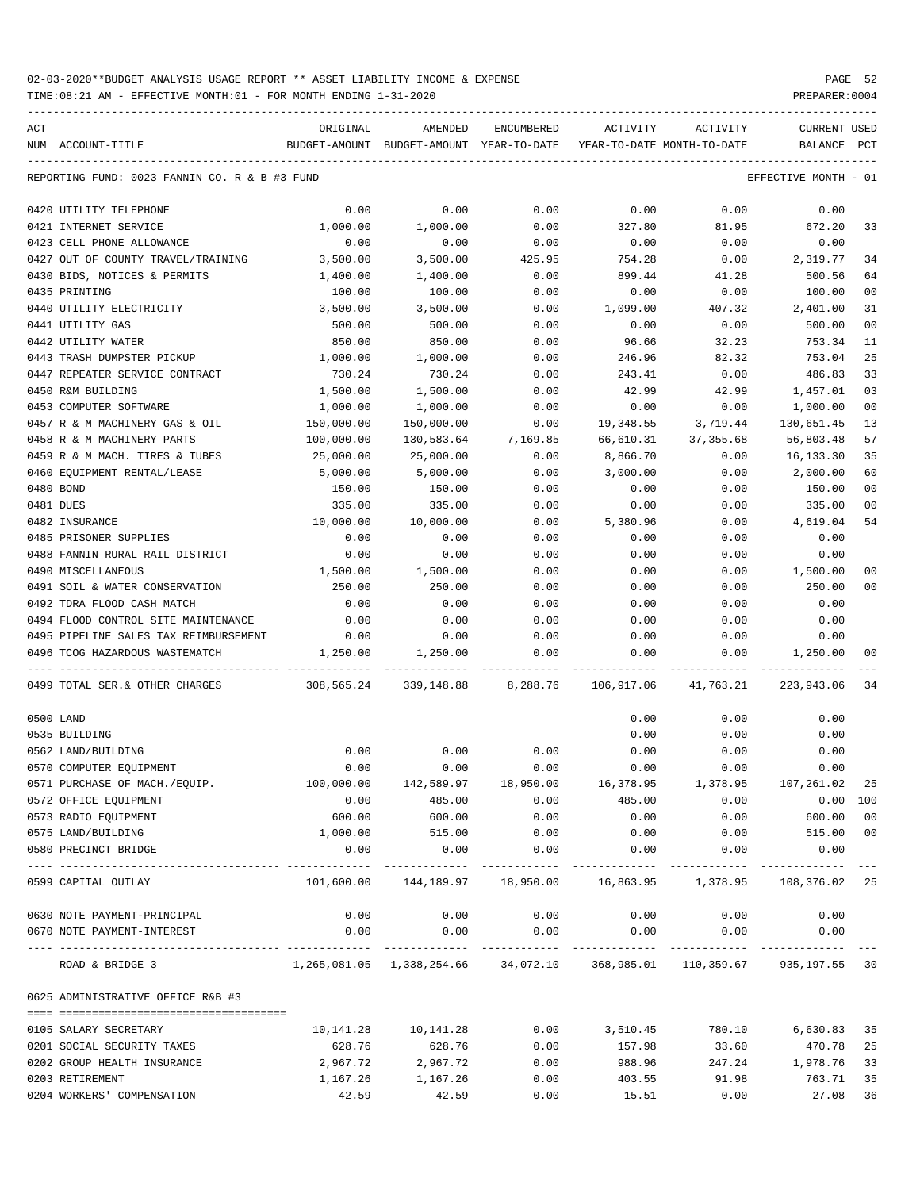| ACT |                                                             | ORIGINAL                                                                | AMENDED                                  | ENCUMBERED          | ACTIVITY                   | ACTIVITY                                                         | CURRENT USED         |                |
|-----|-------------------------------------------------------------|-------------------------------------------------------------------------|------------------------------------------|---------------------|----------------------------|------------------------------------------------------------------|----------------------|----------------|
|     | NUM ACCOUNT-TITLE                                           |                                                                         | BUDGET-AMOUNT BUDGET-AMOUNT YEAR-TO-DATE |                     | YEAR-TO-DATE MONTH-TO-DATE |                                                                  | BALANCE              | PCT            |
|     | REPORTING FUND: 0023 FANNIN CO. R & B #3 FUND               |                                                                         |                                          |                     |                            |                                                                  | EFFECTIVE MONTH - 01 |                |
|     | 0420 UTILITY TELEPHONE                                      | 0.00                                                                    | 0.00                                     | 0.00                | 0.00                       | 0.00                                                             | 0.00                 |                |
|     | 0421 INTERNET SERVICE                                       | 1,000.00                                                                | 1,000.00                                 | 0.00                | 327.80                     | 81.95                                                            | 672.20               | 33             |
|     | 0423 CELL PHONE ALLOWANCE                                   | 0.00                                                                    | 0.00                                     | 0.00                | 0.00                       | 0.00                                                             | 0.00                 |                |
|     | 0427 OUT OF COUNTY TRAVEL/TRAINING                          | 3,500.00                                                                | 3,500.00                                 | 425.95              | 754.28                     | 0.00                                                             | 2,319.77             | 34             |
|     | 0430 BIDS, NOTICES & PERMITS                                | 1,400.00                                                                | 1,400.00                                 | 0.00                | 899.44                     | 41.28                                                            | 500.56               | 64             |
|     | 0435 PRINTING                                               | 100.00                                                                  | 100.00                                   | 0.00                | 0.00                       | 0.00                                                             | 100.00               | 00             |
|     | 0440 UTILITY ELECTRICITY                                    | 3,500.00                                                                | 3,500.00                                 | 0.00                | 1,099.00                   | 407.32                                                           | 2,401.00             | 31             |
|     | 0441 UTILITY GAS                                            | 500.00                                                                  | 500.00                                   | 0.00                | 0.00                       | 0.00                                                             | 500.00               | 00             |
|     | 0442 UTILITY WATER                                          | 850.00                                                                  | 850.00                                   | 0.00                | 96.66                      | 32.23                                                            | 753.34               | 11             |
|     | 0443 TRASH DUMPSTER PICKUP                                  | 1,000.00                                                                | 1,000.00                                 | 0.00                | 246.96                     | 82.32                                                            | 753.04               | 25             |
|     | 0447 REPEATER SERVICE CONTRACT                              | 730.24                                                                  | 730.24                                   | 0.00                | 243.41                     | 0.00                                                             | 486.83               | 33             |
|     | 0450 R&M BUILDING                                           | 1,500.00                                                                | 1,500.00                                 | 0.00                | 42.99                      | 42.99                                                            | 1,457.01             | 03             |
|     | 0453 COMPUTER SOFTWARE                                      | 1,000.00                                                                | 1,000.00                                 | 0.00                | 0.00                       | 0.00                                                             | 1,000.00             | 00             |
|     | 0457 R & M MACHINERY GAS & OIL                              | 150,000.00                                                              | 150,000.00                               | 0.00                | 19,348.55                  | 3,719.44                                                         | 130,651.45           | 13             |
|     | 0458 R & M MACHINERY PARTS                                  | 100,000.00                                                              |                                          | 130,583.64 7,169.85 | 66,610.31                  | 37,355.68                                                        | 56,803.48            | 57             |
|     | 0459 R & M MACH. TIRES & TUBES                              | 25,000.00                                                               | 25,000.00                                | 0.00                | 8,866.70                   | 0.00                                                             | 16,133.30            | 35             |
|     | 0460 EQUIPMENT RENTAL/LEASE                                 | 5,000.00                                                                | 5,000.00                                 | 0.00                | 3,000.00                   | 0.00                                                             | 2,000.00             | 60             |
|     | 0480 BOND                                                   | 150.00                                                                  | 150.00                                   | 0.00                | 0.00                       | 0.00                                                             | 150.00               | 00             |
|     | 0481 DUES                                                   | 335.00                                                                  | 335.00                                   | 0.00                | 0.00                       | 0.00                                                             | 335.00               | 00             |
|     | 0482 INSURANCE                                              | 10,000.00                                                               | 10,000.00                                | 0.00                | 5,380.96                   | 0.00                                                             | 4,619.04             | 54             |
|     | 0485 PRISONER SUPPLIES                                      | 0.00                                                                    | 0.00                                     | 0.00                | 0.00                       | 0.00                                                             | 0.00                 |                |
|     | 0488 FANNIN RURAL RAIL DISTRICT                             | 0.00                                                                    | 0.00                                     | 0.00                | 0.00                       | 0.00                                                             | 0.00                 |                |
|     | 0490 MISCELLANEOUS                                          | 1,500.00                                                                | 1,500.00                                 | 0.00                | 0.00                       | 0.00                                                             | 1,500.00             | 00             |
|     | 0491 SOIL & WATER CONSERVATION                              | 250.00                                                                  | 250.00                                   | 0.00                | 0.00                       | 0.00                                                             | 250.00               | 00             |
|     | 0492 TDRA FLOOD CASH MATCH                                  | 0.00                                                                    | 0.00                                     | 0.00                | 0.00                       | 0.00                                                             | 0.00                 |                |
|     | 0494 FLOOD CONTROL SITE MAINTENANCE                         | 0.00                                                                    | 0.00                                     | 0.00                | 0.00                       | 0.00                                                             | 0.00                 |                |
|     | 0495 PIPELINE SALES TAX REIMBURSEMENT                       | 0.00                                                                    | 0.00                                     | 0.00                | 0.00                       | 0.00                                                             | 0.00                 |                |
|     | 0496 TCOG HAZARDOUS WASTEMATCH                              | 1,250.00                                                                | 1,250.00                                 | 0.00                | 0.00                       | $0.00$ 1,250.00                                                  |                      | 0 <sub>0</sub> |
|     | 0499 TOTAL SER.& OTHER CHARGES                              | 308,565.24 339,148.88 8,288.76 106,917.06 41,763.21 223,943.06          |                                          |                     |                            |                                                                  |                      | 34             |
|     | 0500 LAND                                                   |                                                                         |                                          |                     | 0.00                       | 0.00                                                             | 0.00                 |                |
|     | 0535 BUILDING                                               |                                                                         |                                          |                     | 0.00                       | 0.00                                                             | 0.00                 |                |
|     | 0562 LAND/BUILDING                                          | 0.00                                                                    | 0.00                                     | 0.00                | 0.00                       | 0.00                                                             | 0.00                 |                |
|     | 0570 COMPUTER EQUIPMENT                                     | 0.00                                                                    | 0.00                                     | 0.00                | 0.00                       | 0.00                                                             | 0.00                 |                |
|     | 0571 PURCHASE OF MACH./EQUIP.                               |                                                                         | 100,000.00  142,589.97  18,950.00        |                     | 16,378.95                  |                                                                  | 1,378.95 107,261.02  | - 25           |
|     | 0572 OFFICE EQUIPMENT                                       | 0.00                                                                    | 485.00                                   | 0.00                | 485.00                     | 0.00                                                             | 0.00 100             |                |
|     | 0573 RADIO EQUIPMENT                                        | 600.00                                                                  | 600.00                                   | 0.00                | 0.00                       | 0.00                                                             | 600.00               | 00             |
|     | 0575 LAND/BUILDING                                          | 1,000.00                                                                | 515.00                                   | 0.00                |                            | $0.00$ $0.00$ $515.00$ $00$                                      |                      |                |
|     | 0580 PRECINCT BRIDGE<br>----------------------------------- | 0.00<br>-----------                                                     | 0.00                                     | 0.00                | 0.00                       | 0.00                                                             | 0.00                 |                |
|     | 0599 CAPITAL OUTLAY                                         |                                                                         |                                          |                     |                            | 101,600.00 144,189.97 18,950.00 16,863.95 1,378.95 108,376.02 25 |                      |                |
|     | 0630 NOTE PAYMENT-PRINCIPAL                                 | 0.00                                                                    |                                          | $0.00$ 0.00         |                            | $0.00$ 0.00                                                      | 0.00                 |                |
|     | 0670 NOTE PAYMENT-INTEREST                                  | 0.00                                                                    | 0.00                                     |                     |                            | $0.00$ $0.00$ $0.00$ $0.00$                                      | 0.00                 |                |
|     | ROAD & BRIDGE 3                                             | 1,265,081.05 1,338,254.66 34,072.10 368,985.01 110,359.67 935,197.55 30 |                                          |                     |                            |                                                                  |                      |                |
|     | 0625 ADMINISTRATIVE OFFICE R&B #3                           |                                                                         |                                          |                     |                            |                                                                  |                      |                |
|     | 0105 SALARY SECRETARY                                       | 10,141.28                                                               | 10,141.28                                |                     | $0.00$ 3,510.45            | 780.10                                                           | 6,630.83             | 35             |
|     | 0201 SOCIAL SECURITY TAXES                                  | 628.76                                                                  | 628.76                                   | 0.00                | 157.98                     | 33.60                                                            | 470.78 25            |                |
|     | 0202 GROUP HEALTH INSURANCE                                 | 2,967.72                                                                | 2,967.72                                 | 0.00                | 988.96                     | 247.24                                                           | 1,978.76 33          |                |
|     | 0203 RETIREMENT                                             | 1,167.26                                                                | 1,167.26                                 | 0.00                | 403.55                     | 91.98                                                            | 763.71               | 35             |
|     | 0204 WORKERS' COMPENSATION                                  | 42.59                                                                   | 42.59                                    | 0.00                | 15.51                      | 0.00                                                             | 27.08 36             |                |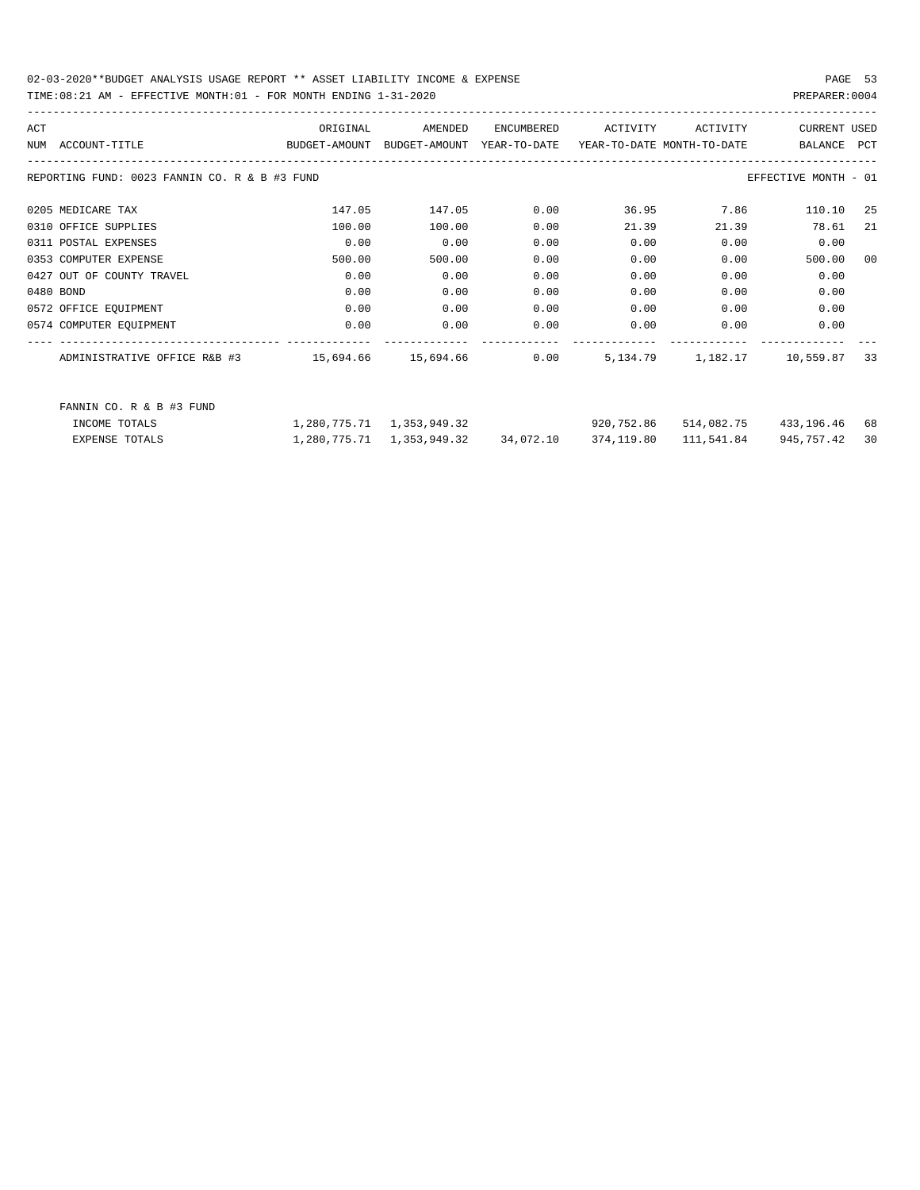## TIME:08:21 AM - EFFECTIVE MONTH:01 - FOR MONTH ENDING 1-31-2020 PREPARER:0004

| ACT<br>NUM | ACCOUNT-TITLE                                 | ORIGINAL<br>BUDGET-AMOUNT | AMENDED<br>BUDGET-AMOUNT  | <b>ENCUMBERED</b><br>YEAR-TO-DATE | ACTIVITY<br>YEAR-TO-DATE MONTH-TO-DATE | ACTIVITY | <b>CURRENT USED</b><br>BALANCE | PCT            |
|------------|-----------------------------------------------|---------------------------|---------------------------|-----------------------------------|----------------------------------------|----------|--------------------------------|----------------|
|            | REPORTING FUND: 0023 FANNIN CO. R & B #3 FUND |                           |                           |                                   |                                        |          | EFFECTIVE MONTH - 01           |                |
|            | 0205 MEDICARE TAX                             | 147.05                    | 147.05                    | 0.00                              | 36.95                                  | 7.86     | 110.10                         | 25             |
|            | 0310 OFFICE SUPPLIES                          | 100.00                    | 100.00                    | 0.00                              | 21.39                                  | 21.39    | 78.61                          | -21            |
|            | 0311 POSTAL EXPENSES                          | 0.00                      | 0.00                      | 0.00                              | 0.00                                   | 0.00     | 0.00                           |                |
|            | 0353 COMPUTER EXPENSE                         | 500.00                    | 500.00                    | 0.00                              | 0.00                                   | 0.00     | 500.00                         | 0 <sub>0</sub> |
|            | 0427 OUT OF COUNTY TRAVEL                     | 0.00                      | 0.00                      | 0.00                              | 0.00                                   | 0.00     | 0.00                           |                |
|            | 0480 BOND                                     | 0.00                      | 0.00                      | 0.00                              | 0.00                                   | 0.00     | 0.00                           |                |
|            | 0572 OFFICE EQUIPMENT                         | 0.00                      | 0.00                      | 0.00                              | 0.00                                   | 0.00     | 0.00                           |                |
|            | 0574 COMPUTER EQUIPMENT                       | 0.00                      | 0.00                      | 0.00                              | 0.00                                   | 0.00     | 0.00                           |                |
|            | ADMINISTRATIVE OFFICE R&B #3                  | 15,694.66                 | 15,694.66                 | 0.00                              | 5,134.79                               | 1,182.17 | 10,559.87                      | 33             |
|            | FANNIN CO. R & B #3 FUND                      |                           |                           |                                   |                                        |          |                                |                |
|            | INCOME TOTALS                                 |                           | 1,280,775.71 1,353,949.32 |                                   | 920,752.86                             |          | 514,082.75 433,196.46 68       |                |

EXPENSE TOTALS 1,280,775.71 1,353,949.32 34,072.10 374,119.80 111,541.84 945,757.42 30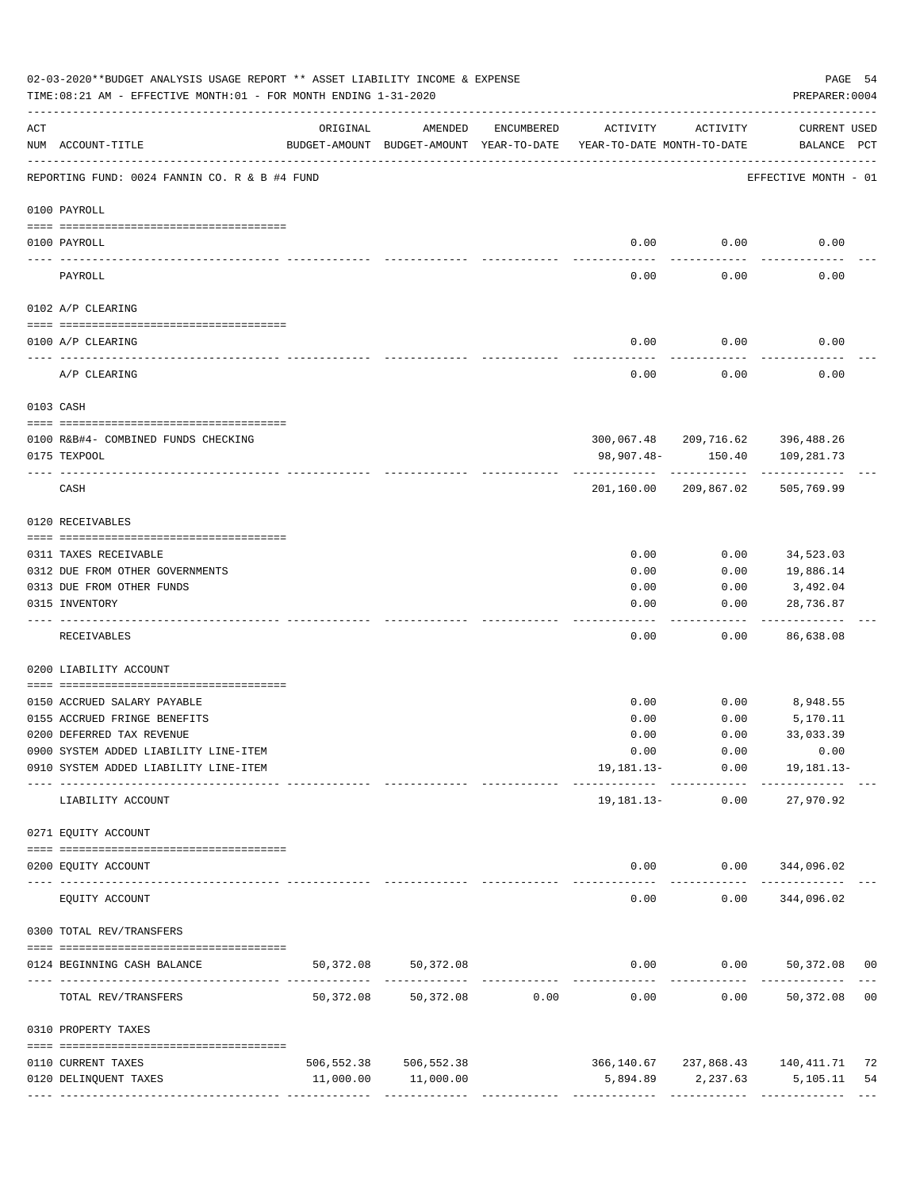|                 | 02-03-2020**BUDGET ANALYSIS USAGE REPORT ** ASSET LIABILITY INCOME & EXPENSE<br>PAGE 54<br>TIME: 08:21 AM - EFFECTIVE MONTH: 01 - FOR MONTH ENDING 1-31-2020<br>PREPARER: 0004 |           |                                                     |                                                 |                                        |                 |                                                |    |  |  |  |
|-----------------|--------------------------------------------------------------------------------------------------------------------------------------------------------------------------------|-----------|-----------------------------------------------------|-------------------------------------------------|----------------------------------------|-----------------|------------------------------------------------|----|--|--|--|
| ACT             | NUM ACCOUNT-TITLE                                                                                                                                                              | ORIGINAL  | AMENDED<br>BUDGET-AMOUNT BUDGET-AMOUNT YEAR-TO-DATE | ENCUMBERED                                      | ACTIVITY<br>YEAR-TO-DATE MONTH-TO-DATE | ACTIVITY        | CURRENT USED<br>BALANCE PCT                    |    |  |  |  |
|                 | REPORTING FUND: 0024 FANNIN CO. R & B #4 FUND                                                                                                                                  |           |                                                     |                                                 |                                        |                 | EFFECTIVE MONTH - 01                           |    |  |  |  |
|                 | 0100 PAYROLL                                                                                                                                                                   |           |                                                     |                                                 |                                        |                 |                                                |    |  |  |  |
|                 |                                                                                                                                                                                |           |                                                     |                                                 |                                        |                 |                                                |    |  |  |  |
| $- - - - - - -$ | 0100 PAYROLL                                                                                                                                                                   |           |                                                     |                                                 | 0.00                                   | 0.00            | 0.00                                           |    |  |  |  |
|                 | PAYROLL                                                                                                                                                                        |           |                                                     |                                                 | 0.00                                   | 0.00            | 0.00                                           |    |  |  |  |
|                 | 0102 A/P CLEARING                                                                                                                                                              |           |                                                     |                                                 |                                        |                 |                                                |    |  |  |  |
|                 | 0100 A/P CLEARING                                                                                                                                                              |           |                                                     |                                                 | 0.00                                   | 0.00            | 0.00                                           |    |  |  |  |
|                 | A/P CLEARING                                                                                                                                                                   |           |                                                     |                                                 | 0.00                                   | 0.00            | 0.00                                           |    |  |  |  |
| 0103 CASH       |                                                                                                                                                                                |           |                                                     |                                                 |                                        |                 |                                                |    |  |  |  |
|                 | 0100 R&B#4- COMBINED FUNDS CHECKING                                                                                                                                            |           |                                                     |                                                 |                                        |                 | 300,067.48 209,716.62 396,488.26               |    |  |  |  |
|                 | 0175 TEXPOOL                                                                                                                                                                   |           |                                                     |                                                 | 98,907.48-                             | 150.40          | 109,281.73                                     |    |  |  |  |
|                 | CASH                                                                                                                                                                           |           |                                                     |                                                 | 201,160.00                             | 209,867.02      | 505,769.99                                     |    |  |  |  |
|                 | 0120 RECEIVABLES                                                                                                                                                               |           |                                                     |                                                 |                                        |                 |                                                |    |  |  |  |
|                 | 0311 TAXES RECEIVABLE                                                                                                                                                          |           |                                                     |                                                 | 0.00                                   | 0.00            | 34,523.03                                      |    |  |  |  |
|                 | 0312 DUE FROM OTHER GOVERNMENTS                                                                                                                                                |           |                                                     |                                                 | 0.00                                   | 0.00            | 19,886.14                                      |    |  |  |  |
|                 | 0313 DUE FROM OTHER FUNDS                                                                                                                                                      |           |                                                     |                                                 | 0.00                                   | 0.00            | 3,492.04                                       |    |  |  |  |
|                 | 0315 INVENTORY                                                                                                                                                                 |           |                                                     |                                                 | 0.00                                   | 0.00            | 28,736.87<br>.                                 |    |  |  |  |
|                 | RECEIVABLES                                                                                                                                                                    |           |                                                     |                                                 | 0.00                                   | 0.00            | 86,638.08                                      |    |  |  |  |
|                 | 0200 LIABILITY ACCOUNT                                                                                                                                                         |           |                                                     |                                                 |                                        |                 |                                                |    |  |  |  |
|                 | 0150 ACCRUED SALARY PAYABLE                                                                                                                                                    |           |                                                     |                                                 | 0.00                                   | 0.00            | 8,948.55                                       |    |  |  |  |
|                 | 0155 ACCRUED FRINGE BENEFITS                                                                                                                                                   |           |                                                     |                                                 | 0.00                                   | 0.00            | 5,170.11                                       |    |  |  |  |
|                 | 0200 DEFERRED TAX REVENUE                                                                                                                                                      |           |                                                     |                                                 | 0.00                                   | 0.00            | 33,033.39                                      |    |  |  |  |
|                 | 0900 SYSTEM ADDED LIABILITY LINE-ITEM                                                                                                                                          |           |                                                     |                                                 |                                        |                 | $0.00$ $0.00$ $0.00$                           |    |  |  |  |
|                 | 0910 SYSTEM ADDED LIABILITY LINE-ITEM                                                                                                                                          |           |                                                     |                                                 |                                        |                 | $19, 181.13 - 0.00$ $19, 181.13 -$             |    |  |  |  |
|                 | LIABILITY ACCOUNT                                                                                                                                                              |           |                                                     |                                                 |                                        | 19,181.13- 0.00 | -------- ------------ -----------<br>27,970.92 |    |  |  |  |
|                 | 0271 EQUITY ACCOUNT                                                                                                                                                            |           |                                                     |                                                 |                                        |                 |                                                |    |  |  |  |
|                 | 0200 EQUITY ACCOUNT                                                                                                                                                            |           |                                                     |                                                 |                                        |                 | $0.00$ $0.00$ $344,096.02$                     |    |  |  |  |
|                 | ---- --------------<br>EQUITY ACCOUNT                                                                                                                                          |           | ______________                                      |                                                 | -----<br>0.00                          | 0.00            | ------------ --------------<br>344,096.02      |    |  |  |  |
|                 | 0300 TOTAL REV/TRANSFERS                                                                                                                                                       |           |                                                     |                                                 |                                        |                 |                                                |    |  |  |  |
|                 | 0124 BEGINNING CASH BALANCE                                                                                                                                                    | 50,372.08 | 50,372.08                                           |                                                 |                                        |                 | $0.00$ $0.00$ $50,372.08$ 00                   |    |  |  |  |
|                 | TOTAL REV/TRANSFERS                                                                                                                                                            | 50,372.08 |                                                     | -----------------------------<br>50,372.08 0.00 | 0.00                                   |                 | $0.00$ 50,372.08 00                            |    |  |  |  |
|                 | 0310 PROPERTY TAXES                                                                                                                                                            |           |                                                     |                                                 |                                        |                 |                                                |    |  |  |  |
|                 | 0110 CURRENT TAXES                                                                                                                                                             |           | 506, 552.38 506, 552.38                             |                                                 |                                        |                 | 366,140.67 237,868.43 140,411.71               | 72 |  |  |  |
|                 | 0120 DELINQUENT TAXES                                                                                                                                                          |           | 11,000.00 11,000.00                                 |                                                 |                                        |                 | 5,894.89 2,237.63 5,105.11                     | 54 |  |  |  |
|                 |                                                                                                                                                                                |           |                                                     |                                                 |                                        |                 |                                                |    |  |  |  |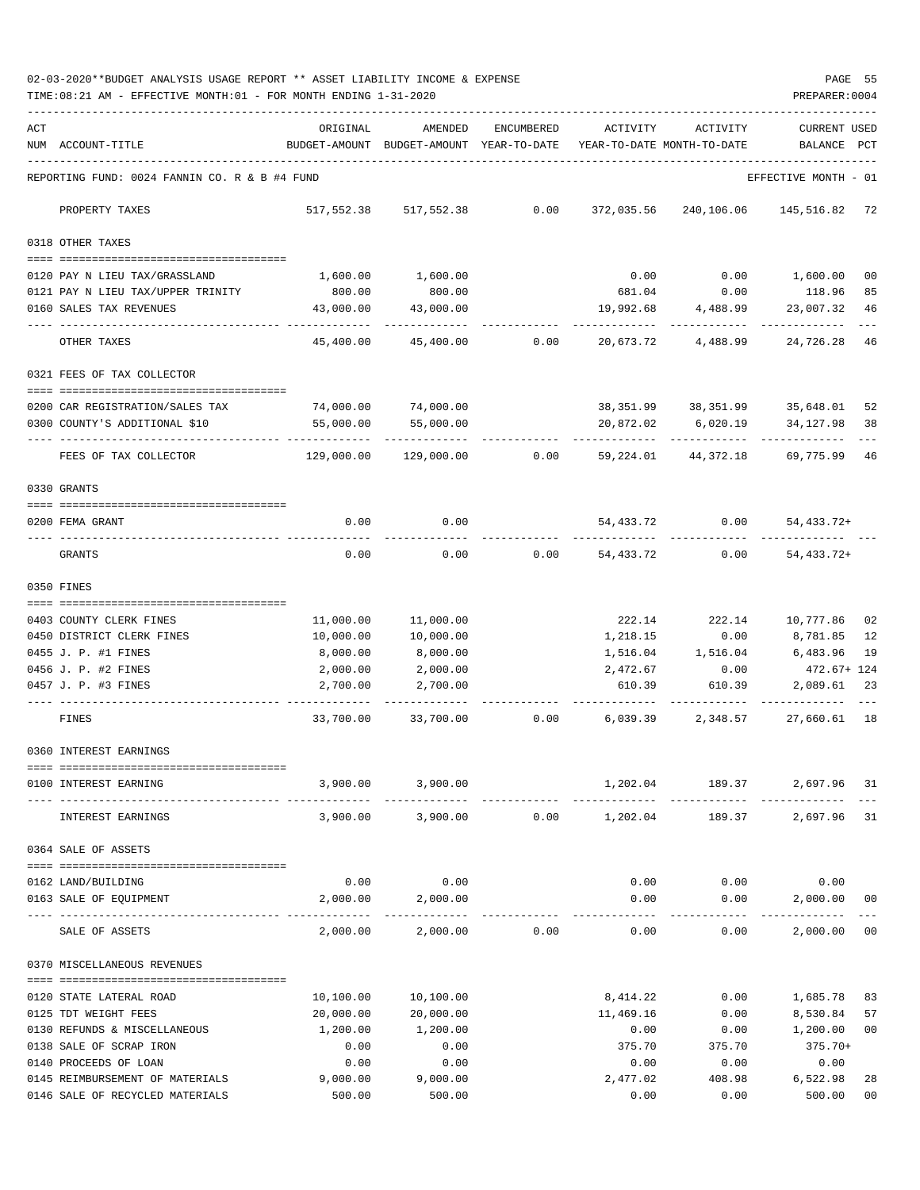02-03-2020\*\*BUDGET ANALYSIS USAGE REPORT \*\* ASSET LIABILITY INCOME & EXPENSE PAGE 55 TIME:08:21 AM - EFFECTIVE MONTH:01 - FOR MONTH ENDING 1-31-2020 PREPARER:0004

| ACT | NUM ACCOUNT-TITLE                                                         | ORIGINAL           | AMENDED<br>BUDGET-AMOUNT BUDGET-AMOUNT YEAR-TO-DATE | ENCUMBERED | ACTIVITY       | ACTIVITY<br>YEAR-TO-DATE MONTH-TO-DATE | <b>CURRENT USED</b><br>BALANCE | PCT      |
|-----|---------------------------------------------------------------------------|--------------------|-----------------------------------------------------|------------|----------------|----------------------------------------|--------------------------------|----------|
|     | REPORTING FUND: 0024 FANNIN CO. R & B #4 FUND                             |                    |                                                     |            |                |                                        | EFFECTIVE MONTH - 01           |          |
|     | PROPERTY TAXES                                                            | 517,552.38         | 517,552.38                                          | 0.00       | 372,035.56     | 240,106.06                             | 145,516.82 72                  |          |
|     | 0318 OTHER TAXES                                                          |                    |                                                     |            |                |                                        |                                |          |
|     |                                                                           |                    |                                                     |            |                |                                        |                                |          |
|     | 0120 PAY N LIEU TAX/GRASSLAND<br>0121 PAY N LIEU TAX/UPPER TRINITY        | 1,600.00<br>800.00 | 1,600.00<br>800.00                                  |            | 0.00<br>681.04 | 0.00<br>0.00                           | 1,600.00<br>118.96             | 00<br>85 |
|     | 0160 SALES TAX REVENUES                                                   | 43,000.00          | 43,000.00                                           |            | 19,992.68      | 4,488.99                               | 23,007.32                      | 46       |
|     | OTHER TAXES                                                               | 45,400.00          | 45,400.00                                           | 0.00       | 20,673.72      | 4,488.99                               | ---------<br>24,726.28         | - 46     |
|     | 0321 FEES OF TAX COLLECTOR                                                |                    |                                                     |            |                |                                        |                                |          |
|     | ======================================<br>0200 CAR REGISTRATION/SALES TAX | 74,000.00          | 74,000.00                                           |            |                | 38,351.99 38,351.99 35,648.01          |                                | 52       |
|     | 0300 COUNTY'S ADDITIONAL \$10                                             | 55,000.00          | 55,000.00                                           |            | 20,872.02      | 6,020.19                               | 34,127.98                      | 38       |
|     |                                                                           |                    |                                                     |            |                |                                        |                                |          |
|     | FEES OF TAX COLLECTOR                                                     | 129,000.00         | 129,000.00                                          | 0.00       | 59,224.01      | 44,372.18                              | 69,775.99                      | -46      |
|     | 0330 GRANTS                                                               |                    |                                                     |            |                |                                        |                                |          |
|     | 0200 FEMA GRANT                                                           | 0.00               | 0.00                                                |            | 54,433.72      | 0.00                                   | 54, 433. 72+                   |          |
|     | GRANTS                                                                    | 0.00               | 0.00                                                | 0.00       | 54,433.72      | 0.00                                   | $54, 433.72+$                  |          |
|     | 0350 FINES                                                                |                    |                                                     |            |                |                                        |                                |          |
|     | 0403 COUNTY CLERK FINES                                                   | 11,000.00          | 11,000.00                                           |            | 222.14         | 222.14                                 | 10,777.86                      | 02       |
|     | 0450 DISTRICT CLERK FINES                                                 | 10,000.00          | 10,000.00                                           |            | 1,218.15       | 0.00                                   | 8,781.85                       | 12       |
|     | 0455 J. P. #1 FINES                                                       | 8,000.00           | 8,000.00                                            |            | 1,516.04       | 1,516.04                               | 6,483.96                       | 19       |
|     | 0456 J. P. #2 FINES                                                       | 2,000.00           | 2,000.00                                            |            | 2,472.67       | 0.00                                   | 472.67+ 124                    |          |
|     | 0457 J. P. #3 FINES                                                       | 2,700.00           | 2,700.00                                            |            | 610.39         | 610.39                                 | 2,089.61                       | 23       |
|     | FINES                                                                     | 33,700.00          | 33,700.00                                           | 0.00       | 6,039.39       | 2,348.57                               | 27,660.61 18                   |          |
|     | 0360 INTEREST EARNINGS                                                    |                    |                                                     |            |                |                                        |                                |          |
|     | -------------------------------------<br>0100 INTEREST EARNING            | 3,900.00           | 3,900.00                                            |            | 1,202.04       | 189.37                                 | 2,697.96                       | 31       |
|     | INTEREST EARNINGS                                                         |                    | 3,900.00 3,900.00                                   | 0.00       | 1,202.04       | 189.37                                 | 2,697.96 31                    |          |
|     | 0364 SALE OF ASSETS                                                       |                    |                                                     |            |                |                                        |                                |          |
|     | 0162 LAND/BUILDING                                                        | 0.00               | 0.00                                                |            | 0.00           | 0.00                                   | 0.00                           |          |
|     | 0163 SALE OF EQUIPMENT                                                    | 2,000.00           | 2,000.00                                            |            | 0.00           | 0.00                                   | 2,000.00                       | 00       |
|     |                                                                           |                    | -------------                                       |            |                | -----                                  | ----------                     |          |
|     | SALE OF ASSETS                                                            | 2,000.00           | 2,000.00                                            | 0.00       | 0.00           | 0.00                                   | 2,000.00                       | 00       |
|     | 0370 MISCELLANEOUS REVENUES                                               |                    |                                                     |            |                |                                        |                                |          |
|     | 0120 STATE LATERAL ROAD                                                   | 10,100.00          | 10,100.00                                           |            | 8,414.22       | 0.00                                   | 1,685.78                       | 83       |
|     | 0125 TDT WEIGHT FEES                                                      | 20,000.00          | 20,000.00                                           |            | 11,469.16      | 0.00                                   | 8,530.84                       | 57       |
|     | 0130 REFUNDS & MISCELLANEOUS                                              | 1,200.00           | 1,200.00                                            |            | 0.00           | 0.00                                   | 1,200.00                       | 00       |
|     | 0138 SALE OF SCRAP IRON                                                   | 0.00               | 0.00                                                |            | 375.70         | 375.70                                 | $375.70+$                      |          |
|     | 0140 PROCEEDS OF LOAN                                                     | 0.00               | 0.00                                                |            | 0.00           | 0.00                                   | 0.00                           |          |
|     | 0145 REIMBURSEMENT OF MATERIALS                                           | 9,000.00           | 9,000.00                                            |            | 2,477.02       | 408.98                                 | 6,522.98                       | 28       |
|     | 0146 SALE OF RECYCLED MATERIALS                                           | 500.00             | 500.00                                              |            | 0.00           | 0.00                                   | 500.00                         | 00       |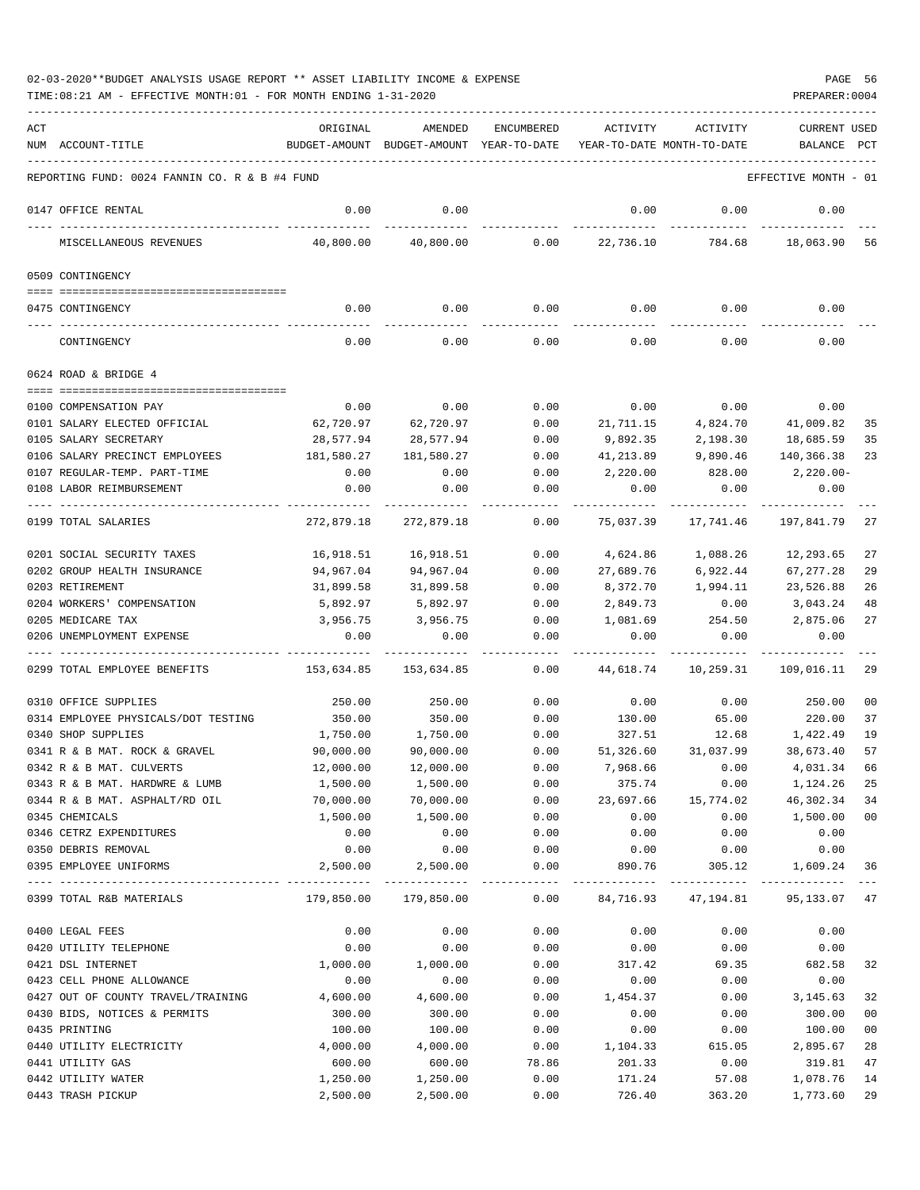| ACT | NUM ACCOUNT-TITLE                                     | ORIGINAL          | AMENDED<br>BUDGET-AMOUNT BUDGET-AMOUNT YEAR-TO-DATE | ENCUMBERED                        | ACTIVITY          | ACTIVITY<br>YEAR-TO-DATE MONTH-TO-DATE | <b>CURRENT USED</b><br>BALANCE | PCT            |
|-----|-------------------------------------------------------|-------------------|-----------------------------------------------------|-----------------------------------|-------------------|----------------------------------------|--------------------------------|----------------|
|     |                                                       |                   |                                                     |                                   |                   |                                        |                                |                |
|     | REPORTING FUND: 0024 FANNIN CO. R & B #4 FUND         |                   |                                                     |                                   |                   |                                        | EFFECTIVE MONTH - 01           |                |
|     | 0147 OFFICE RENTAL                                    | 0.00              | 0.00                                                |                                   | 0.00              | 0.00                                   | 0.00                           |                |
|     | MISCELLANEOUS REVENUES                                | 40,800.00         | 40,800.00                                           | 0.00                              | 22,736.10         | 784.68                                 | 18,063.90                      | 56             |
|     | 0509 CONTINGENCY                                      |                   |                                                     |                                   |                   |                                        |                                |                |
|     | 0475 CONTINGENCY                                      | 0.00              | 0.00                                                | 0.00                              | 0.00              | 0.00                                   | 0.00                           |                |
|     |                                                       |                   |                                                     |                                   |                   |                                        |                                |                |
|     | CONTINGENCY                                           | 0.00              | 0.00                                                | 0.00                              | 0.00              | 0.00                                   | 0.00                           |                |
|     | 0624 ROAD & BRIDGE 4                                  |                   |                                                     |                                   |                   |                                        |                                |                |
|     |                                                       |                   |                                                     | 0.00                              |                   |                                        |                                |                |
|     | 0100 COMPENSATION PAY<br>0101 SALARY ELECTED OFFICIAL | 0.00<br>62,720.97 | 0.00<br>62,720.97                                   | 0.00                              | 0.00<br>21,711.15 | 0.00<br>4,824.70                       | 0.00<br>41,009.82              | 35             |
|     | 0105 SALARY SECRETARY                                 | 28,577.94         | 28,577.94                                           | 0.00                              | 9,892.35          | 2,198.30                               | 18,685.59                      | 35             |
|     | 0106 SALARY PRECINCT EMPLOYEES                        | 181,580.27        | 181,580.27                                          | 0.00                              | 41,213.89         | 9,890.46                               | 140,366.38                     | 23             |
|     | 0107 REGULAR-TEMP. PART-TIME                          | 0.00              | 0.00                                                | 0.00                              | 2,220.00          | 828.00                                 | $2,220.00-$                    |                |
|     | 0108 LABOR REIMBURSEMENT                              | 0.00              | 0.00                                                | 0.00                              | 0.00              | 0.00                                   | 0.00                           |                |
|     | 0199 TOTAL SALARIES                                   | 272,879.18        | 272,879.18                                          | 0.00                              | 75,037.39         | 17,741.46                              | 197,841.79                     | 27             |
|     |                                                       |                   |                                                     |                                   |                   |                                        |                                |                |
|     | 0201 SOCIAL SECURITY TAXES                            | 16,918.51         | 16,918.51                                           | 0.00                              | 4,624.86          | 1,088.26                               | 12,293.65                      | 27             |
|     | 0202 GROUP HEALTH INSURANCE                           | 94,967.04         | 94,967.04                                           | 0.00                              | 27,689.76         | 6,922.44                               | 67, 277.28                     | 29             |
|     | 0203 RETIREMENT                                       | 31,899.58         | 31,899.58                                           | 0.00                              | 8,372.70          | 1,994.11                               | 23,526.88                      | 26             |
|     | 0204 WORKERS' COMPENSATION                            | 5,892.97          | 5,892.97                                            | 0.00                              | 2,849.73          | 0.00                                   | 3,043.24                       | 48             |
|     | 0205 MEDICARE TAX                                     | 3,956.75          | 3,956.75                                            | 0.00                              | 1,081.69          | 254.50                                 | 2,875.06                       | 27             |
|     | 0206 UNEMPLOYMENT EXPENSE                             | 0.00              | 0.00                                                | 0.00                              | 0.00              | 0.00                                   | 0.00                           |                |
|     | 0299 TOTAL EMPLOYEE BENEFITS                          | 153,634.85        | 153,634.85                                          | 0.00                              | 44,618.74         | 10,259.31                              | 109,016.11                     | 29             |
|     | 0310 OFFICE SUPPLIES                                  | 250.00            | 250.00                                              | 0.00                              | 0.00              | 0.00                                   | 250.00                         | 0 <sub>0</sub> |
|     | 0314 EMPLOYEE PHYSICALS/DOT TESTING                   | 350.00            | 350.00                                              | 0.00                              | 130.00            | 65.00                                  | 220.00                         | 37             |
|     | 0340 SHOP SUPPLIES                                    | 1,750.00          | 1,750.00                                            | 0.00                              | 327.51            | 12.68                                  | 1,422.49                       | 19             |
|     | 0341 R & B MAT. ROCK & GRAVEL                         | 90,000.00         | 90,000.00                                           | 0.00                              | 51,326.60         | 31,037.99                              | 38,673.40                      | 57             |
|     | 0342 R & B MAT. CULVERTS                              | 12,000.00         | 12,000.00                                           | 0.00                              | 7,968.66          | 0.00                                   | 4,031.34                       | 66             |
|     | 0343 R & B MAT. HARDWRE & LUMB                        | 1,500.00          | 1,500.00                                            | 0.00                              | 375.74            | 0.00                                   | 1,124.26 25                    |                |
|     | 0344 R & B MAT. ASPHALT/RD OIL                        | 70,000.00         | 70,000.00                                           | 0.00                              | 23,697.66         | 15,774.02                              | 46,302.34                      | 34             |
|     | 0345 CHEMICALS                                        | 1,500.00          | 1,500.00                                            | 0.00                              | 0.00              | 0.00                                   | 1,500.00                       | 00             |
|     | 0346 CETRZ EXPENDITURES                               | 0.00              | 0.00                                                | 0.00                              | 0.00              | 0.00                                   | 0.00                           |                |
|     | 0350 DEBRIS REMOVAL                                   | 0.00              | 0.00                                                | 0.00                              | 0.00              | 0.00                                   | 0.00                           |                |
|     | 0395 EMPLOYEE UNIFORMS                                | 2,500.00          | 2,500.00                                            | 0.00<br>------------ ------------ | 890.76            | 305.12                                 | 1,609.24 36                    |                |
|     | 0399 TOTAL R&B MATERIALS                              | 179,850.00        | 179,850.00                                          | 0.00                              | 84,716.93         | 47,194.81                              | 95, 133.07 47                  |                |
|     | 0400 LEGAL FEES                                       | 0.00              | 0.00                                                | 0.00                              | 0.00              | 0.00                                   | 0.00                           |                |
|     | 0420 UTILITY TELEPHONE                                | 0.00              | 0.00                                                | 0.00                              | 0.00              | 0.00                                   | 0.00                           |                |
|     | 0421 DSL INTERNET                                     | 1,000.00          | 1,000.00                                            | 0.00                              | 317.42            | 69.35                                  | 682.58                         | 32             |
|     | 0423 CELL PHONE ALLOWANCE                             | 0.00              | 0.00                                                | 0.00                              | 0.00              | 0.00                                   | 0.00                           |                |
|     | 0427 OUT OF COUNTY TRAVEL/TRAINING                    | 4,600.00          | 4,600.00                                            | 0.00                              | 1,454.37          | 0.00                                   | 3,145.63                       | 32             |
|     | 0430 BIDS, NOTICES & PERMITS                          | 300.00            | 300.00                                              | 0.00                              | 0.00              | 0.00                                   | 300.00                         | 00             |
|     | 0435 PRINTING                                         | 100.00            | 100.00                                              | 0.00                              | 0.00              | 0.00                                   | 100.00                         | 00             |
|     | 0440 UTILITY ELECTRICITY                              | 4,000.00          | 4,000.00                                            | 0.00                              | 1,104.33          | 615.05                                 | 2,895.67                       | 28             |
|     | 0441 UTILITY GAS                                      | 600.00            | 600.00                                              | 78.86                             | 201.33            | 0.00                                   | 319.81                         | 47             |
|     | 0442 UTILITY WATER                                    | 1,250.00          | 1,250.00                                            | 0.00                              | 171.24            | 57.08                                  | 1,078.76                       | 14             |
|     | 0443 TRASH PICKUP                                     | 2,500.00          | 2,500.00                                            | 0.00                              | 726.40            | 363.20                                 | 1,773.60                       | 29             |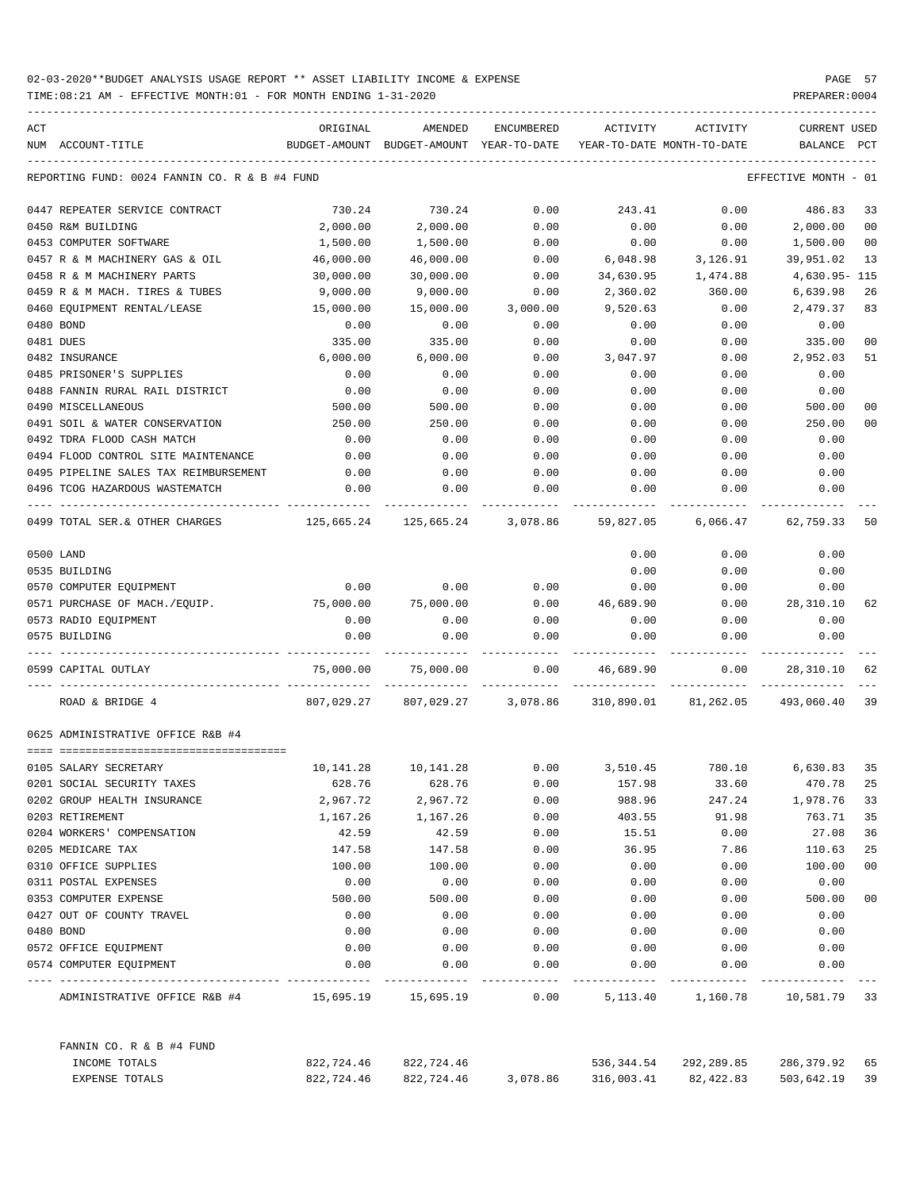| ACT                                           | ORIGINAL                                 | AMENDED    | ENCUMBERED                     | ACTIVITY                   | ACTIVITY                                   | <b>CURRENT USED</b>  |                |
|-----------------------------------------------|------------------------------------------|------------|--------------------------------|----------------------------|--------------------------------------------|----------------------|----------------|
| NUM ACCOUNT-TITLE                             | BUDGET-AMOUNT BUDGET-AMOUNT YEAR-TO-DATE |            |                                | YEAR-TO-DATE MONTH-TO-DATE |                                            | BALANCE              | PCT            |
| REPORTING FUND: 0024 FANNIN CO. R & B #4 FUND |                                          |            |                                |                            |                                            | EFFECTIVE MONTH - 01 |                |
| 0447 REPEATER SERVICE CONTRACT                | 730.24                                   | 730.24     | 0.00                           | 243.41                     | 0.00                                       | 486.83               | 33             |
| 0450 R&M BUILDING                             | 2,000.00                                 | 2,000.00   | 0.00                           | 0.00                       | 0.00                                       | 2,000.00             | 0 <sub>0</sub> |
| 0453 COMPUTER SOFTWARE                        | 1,500.00                                 | 1,500.00   | 0.00                           | 0.00                       | 0.00                                       | 1,500.00             | 00             |
| 0457 R & M MACHINERY GAS & OIL                | 46,000.00                                | 46,000.00  | 0.00                           | 6,048.98                   | 3,126.91                                   | 39,951.02            | 13             |
| 0458 R & M MACHINERY PARTS                    | 30,000.00                                | 30,000.00  | 0.00                           | 34,630.95                  | 1,474.88                                   | 4,630.95- 115        |                |
| 0459 R & M MACH. TIRES & TUBES                | 9,000.00                                 | 9,000.00   | 0.00                           | 2,360.02                   | 360.00                                     | 6,639.98             | 26             |
| 0460 EQUIPMENT RENTAL/LEASE                   | 15,000.00                                | 15,000.00  | 3,000.00                       | 9,520.63                   | 0.00                                       | 2,479.37             | 83             |
| 0480 BOND                                     | 0.00                                     | 0.00       | 0.00                           | 0.00                       | 0.00                                       | 0.00                 |                |
| 0481 DUES                                     | 335.00                                   | 335.00     | 0.00                           | 0.00                       | 0.00                                       | 335.00               | 00             |
| 0482 INSURANCE                                | 6,000.00                                 | 6,000.00   | 0.00                           | 3,047.97                   | 0.00                                       | 2,952.03             | 51             |
| 0485 PRISONER'S SUPPLIES                      | 0.00                                     | 0.00       | 0.00                           | 0.00                       | 0.00                                       | 0.00                 |                |
| 0488 FANNIN RURAL RAIL DISTRICT               | 0.00                                     | 0.00       | 0.00                           | 0.00                       | 0.00                                       | 0.00                 |                |
| 0490 MISCELLANEOUS                            | 500.00                                   | 500.00     | 0.00                           | 0.00                       | 0.00                                       | 500.00               | 00             |
| 0491 SOIL & WATER CONSERVATION                | 250.00                                   | 250.00     | 0.00                           | 0.00                       | 0.00                                       | 250.00               | 00             |
| 0492 TDRA FLOOD CASH MATCH                    | 0.00                                     | 0.00       | 0.00                           | 0.00                       | 0.00                                       | 0.00                 |                |
| 0494 FLOOD CONTROL SITE MAINTENANCE           | 0.00                                     | 0.00       | 0.00                           | 0.00                       | 0.00                                       | 0.00                 |                |
| 0495 PIPELINE SALES TAX REIMBURSEMENT         | 0.00                                     | 0.00       | 0.00                           | 0.00                       | 0.00                                       | 0.00                 |                |
| 0496 TCOG HAZARDOUS WASTEMATCH                | 0.00                                     | 0.00       | 0.00                           | 0.00                       | 0.00                                       | 0.00                 |                |
| 0499 TOTAL SER. & OTHER CHARGES               |                                          |            |                                |                            |                                            | 6,066.47 62,759.33   | 50             |
| 0500 LAND                                     |                                          |            |                                | 0.00                       | 0.00                                       | 0.00                 |                |
| 0535 BUILDING                                 |                                          |            |                                | 0.00                       | 0.00                                       | 0.00                 |                |
| 0570 COMPUTER EQUIPMENT                       | 0.00                                     | 0.00       | 0.00                           | 0.00                       | 0.00                                       | 0.00                 |                |
| 0571 PURCHASE OF MACH./EQUIP.                 | 75,000.00                                | 75,000.00  | 0.00                           | 46,689.90                  | 0.00                                       | 28,310.10            | 62             |
| 0573 RADIO EQUIPMENT                          | 0.00                                     | 0.00       | 0.00                           | 0.00                       | 0.00                                       | 0.00                 |                |
| 0575 BUILDING                                 | 0.00                                     | 0.00       | 0.00                           | 0.00                       | 0.00                                       | 0.00                 |                |
| 0599 CAPITAL OUTLAY                           | 75,000.00                                | 75,000.00  | 0.00                           | 46,689.90                  | 0.00                                       | 28,310.10            | 62             |
| ROAD & BRIDGE 4                               |                                          |            | 807,029.27 807,029.27 3,078.86 |                            | 310,890.01 81,262.05 493,060.40            |                      | 39             |
| 0625 ADMINISTRATIVE OFFICE R&B #4             |                                          |            |                                |                            |                                            |                      |                |
| 0105 SALARY SECRETARY                         | 10,141.28                                | 10,141.28  |                                |                            | $0.00$ $3,510.45$ $780.10$ $6,630.83$ $35$ |                      |                |
| 0201 SOCIAL SECURITY TAXES                    | 628.76                                   | 628.76     | 0.00                           | 157.98                     | 33.60                                      | 470.78               | 25             |
| 0202 GROUP HEALTH INSURANCE                   | 2,967.72                                 | 2,967.72   | 0.00                           | 988.96                     | 247.24                                     | 1,978.76             | 33             |
| 0203 RETIREMENT                               | 1,167.26                                 | 1,167.26   | 0.00                           | 403.55                     | 91.98                                      | 763.71               | 35             |
| 0204 WORKERS' COMPENSATION                    | 42.59                                    | 42.59      | 0.00                           | 15.51                      | 0.00                                       | 27.08                | 36             |
| 0205 MEDICARE TAX                             | 147.58                                   | 147.58     | 0.00                           | 36.95                      | 7.86                                       | 110.63               | 25             |
| 0310 OFFICE SUPPLIES                          | 100.00                                   | 100.00     | 0.00                           | 0.00                       | 0.00                                       | 100.00               | 00             |
| 0311 POSTAL EXPENSES                          | 0.00                                     | 0.00       | 0.00                           | 0.00                       | 0.00                                       | 0.00                 |                |
| 0353 COMPUTER EXPENSE                         | 500.00                                   | 500.00     | 0.00                           | 0.00                       | 0.00                                       | 500.00               | 00             |
| 0427 OUT OF COUNTY TRAVEL                     | 0.00                                     | 0.00       | 0.00                           | 0.00                       | 0.00                                       | 0.00                 |                |
| 0480 BOND                                     | 0.00                                     | 0.00       | 0.00                           | 0.00                       | 0.00                                       | 0.00                 |                |
| 0572 OFFICE EQUIPMENT                         | 0.00                                     | 0.00       | 0.00                           | 0.00                       | 0.00                                       | 0.00                 |                |
| 0574 COMPUTER EQUIPMENT                       | 0.00                                     | 0.00       | 0.00                           | 0.00                       | 0.00                                       | 0.00                 |                |
| ADMINISTRATIVE OFFICE R&B #4                  |                                          |            | ----------<br>0.00             | 5,113.40                   | 1,160.78 10,581.79 33                      |                      |                |
| FANNIN CO. R & B #4 FUND                      |                                          |            |                                |                            |                                            |                      |                |
| INCOME TOTALS                                 | 822,724.46                               | 822,724.46 |                                | 536,344.54                 | 292,289.85                                 | 286,379.92 65        |                |
| EXPENSE TOTALS                                | 822,724.46                               | 822,724.46 | 3,078.86                       | 316,003.41                 | 82,422.83                                  | 503,642.19 39        |                |
|                                               |                                          |            |                                |                            |                                            |                      |                |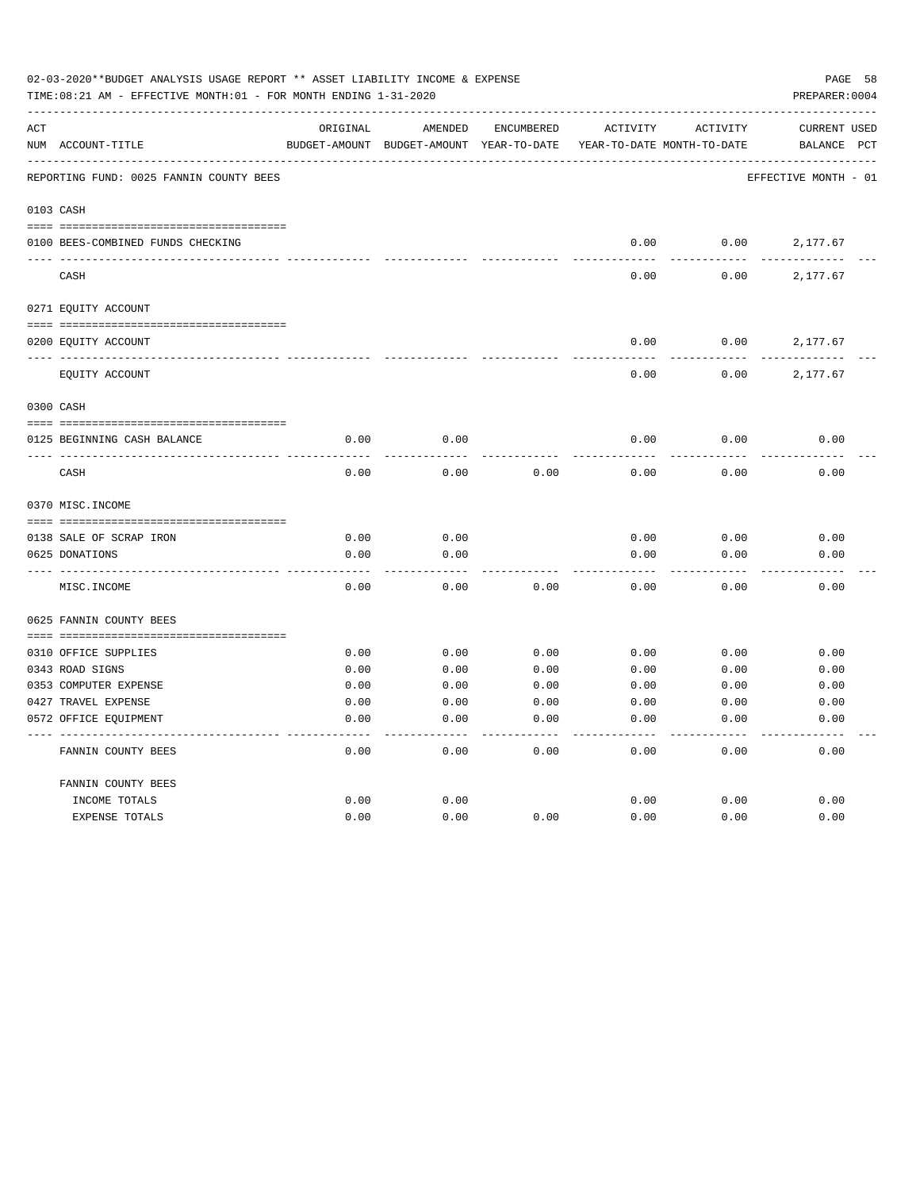| 02-03-2020**BUDGET ANALYSIS USAGE REPORT ** ASSET LIABILITY INCOME & EXPENSE<br>TIME:08:21 AM - EFFECTIVE MONTH:01 - FOR MONTH ENDING 1-31-2020 |                                         |               |                            |                   |                            |                 |                      |  |  |
|-------------------------------------------------------------------------------------------------------------------------------------------------|-----------------------------------------|---------------|----------------------------|-------------------|----------------------------|-----------------|----------------------|--|--|
| ACT                                                                                                                                             |                                         | ORIGINAL      | AMENDED                    | <b>ENCUMBERED</b> | ACTIVITY                   | <b>ACTIVITY</b> | <b>CURRENT USED</b>  |  |  |
|                                                                                                                                                 | NUM ACCOUNT-TITLE                       | BUDGET-AMOUNT | BUDGET-AMOUNT YEAR-TO-DATE |                   | YEAR-TO-DATE MONTH-TO-DATE |                 | BALANCE PCT          |  |  |
|                                                                                                                                                 | REPORTING FUND: 0025 FANNIN COUNTY BEES |               |                            |                   |                            |                 | EFFECTIVE MONTH - 01 |  |  |
|                                                                                                                                                 | 0103 CASH                               |               |                            |                   |                            |                 |                      |  |  |
|                                                                                                                                                 | 0100 BEES-COMBINED FUNDS CHECKING       |               |                            |                   | 0.00                       | 0.00            | 2,177.67             |  |  |
|                                                                                                                                                 | CASH                                    |               |                            |                   | 0.00                       | 0.00            | 2,177.67             |  |  |
|                                                                                                                                                 | 0271 EQUITY ACCOUNT                     |               |                            |                   |                            |                 |                      |  |  |
|                                                                                                                                                 |                                         |               |                            |                   |                            |                 |                      |  |  |
|                                                                                                                                                 | 0200 EQUITY ACCOUNT                     |               |                            |                   | 0.00                       | 0.00            | 2,177.67             |  |  |
|                                                                                                                                                 | EQUITY ACCOUNT                          |               |                            |                   | 0.00                       | 0.00            | 2,177.67             |  |  |
|                                                                                                                                                 | 0300 CASH                               |               |                            |                   |                            |                 |                      |  |  |
|                                                                                                                                                 |                                         |               |                            |                   |                            |                 |                      |  |  |
|                                                                                                                                                 | 0125 BEGINNING CASH BALANCE             | 0.00          | 0.00                       |                   | 0.00                       | 0.00            | 0.00                 |  |  |
|                                                                                                                                                 | CASH                                    | 0.00          | 0.00                       | 0.00              | 0.00                       | 0.00            | 0.00                 |  |  |
|                                                                                                                                                 | 0370 MISC. INCOME                       |               |                            |                   |                            |                 |                      |  |  |
|                                                                                                                                                 |                                         |               |                            |                   |                            |                 |                      |  |  |
|                                                                                                                                                 | 0138 SALE OF SCRAP IRON                 | 0.00          | 0.00                       |                   | 0.00                       | 0.00            | 0.00                 |  |  |
|                                                                                                                                                 | 0625 DONATIONS                          | 0.00          | 0.00                       |                   | 0.00                       | 0.00            | 0.00                 |  |  |
|                                                                                                                                                 | MISC. INCOME                            | 0.00          | 0.00                       | 0.00              | 0.00                       | 0.00            | 0.00                 |  |  |
|                                                                                                                                                 | 0625 FANNIN COUNTY BEES                 |               |                            |                   |                            |                 |                      |  |  |
|                                                                                                                                                 | 0310 OFFICE SUPPLIES                    | 0.00          | 0.00                       | 0.00              | 0.00                       | 0.00            | 0.00                 |  |  |
|                                                                                                                                                 | 0343 ROAD SIGNS                         | 0.00          | 0.00                       | 0.00              | 0.00                       | 0.00            | 0.00                 |  |  |
|                                                                                                                                                 | 0353 COMPUTER EXPENSE                   | 0.00          | 0.00                       | 0.00              | 0.00                       | 0.00            | 0.00                 |  |  |
|                                                                                                                                                 | 0427 TRAVEL EXPENSE                     | 0.00          | 0.00                       | 0.00              | 0.00                       | 0.00            | 0.00                 |  |  |
|                                                                                                                                                 | 0572 OFFICE EQUIPMENT                   | 0.00          | 0.00                       | 0.00              | 0.00                       | 0.00            | 0.00                 |  |  |
|                                                                                                                                                 | FANNIN COUNTY BEES                      | 0.00          | 0.00                       | 0.00              | 0.00                       | 0.00            | 0.00                 |  |  |
|                                                                                                                                                 | FANNIN COUNTY BEES                      |               |                            |                   |                            |                 |                      |  |  |
|                                                                                                                                                 | INCOME TOTALS                           | 0.00          | 0.00                       |                   | 0.00                       | 0.00            | 0.00                 |  |  |
|                                                                                                                                                 | EXPENSE TOTALS                          | 0.00          | 0.00                       | 0.00              | 0.00                       | 0.00            | 0.00                 |  |  |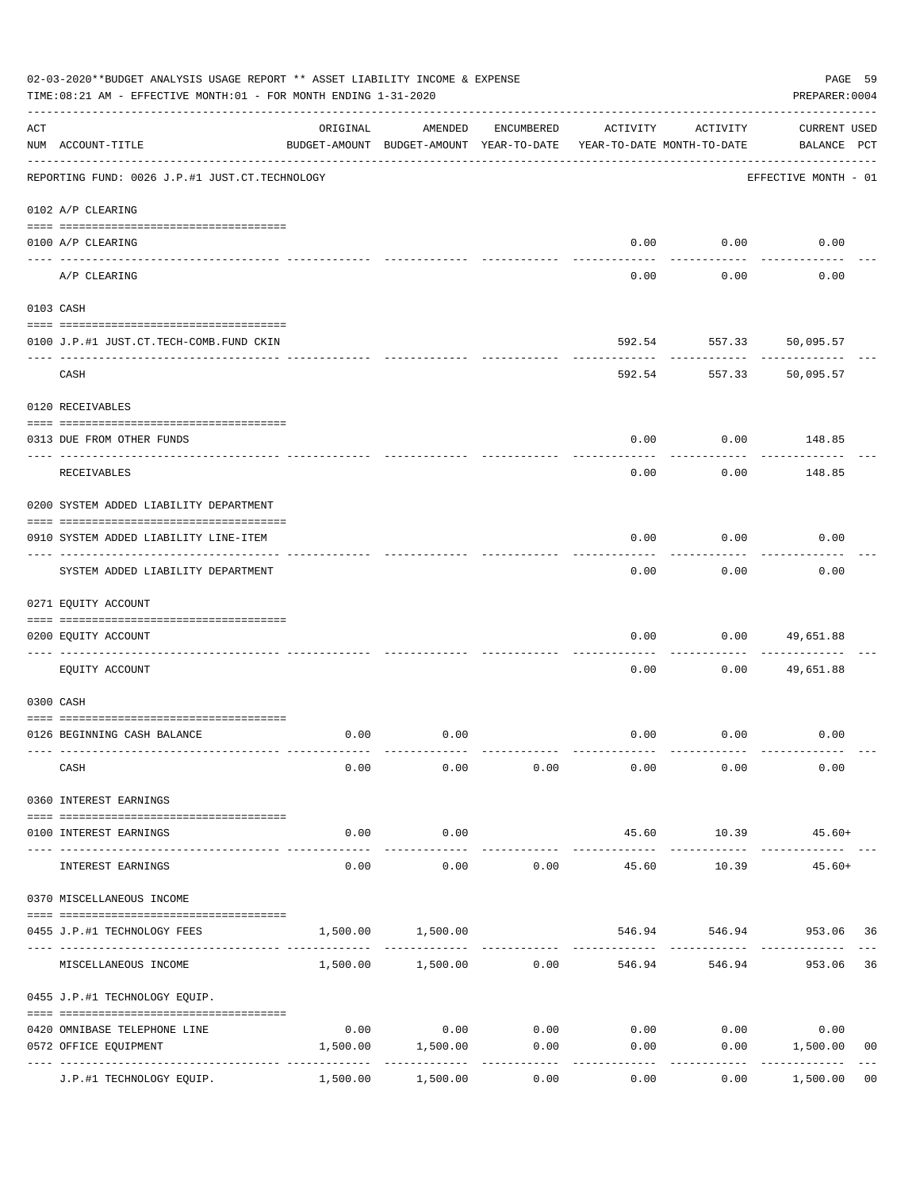|     | 02-03-2020**BUDGET ANALYSIS USAGE REPORT ** ASSET LIABILITY INCOME & EXPENSE<br>TIME:08:21 AM - EFFECTIVE MONTH:01 - FOR MONTH ENDING 1-31-2020 |                                         |                                                     |            |                       |                                        | PAGE 59<br>PREPARER: 0004          |
|-----|-------------------------------------------------------------------------------------------------------------------------------------------------|-----------------------------------------|-----------------------------------------------------|------------|-----------------------|----------------------------------------|------------------------------------|
| ACT | NUM ACCOUNT-TITLE                                                                                                                               | ORIGINAL                                | AMENDED<br>BUDGET-AMOUNT BUDGET-AMOUNT YEAR-TO-DATE | ENCUMBERED | ACTIVITY              | ACTIVITY<br>YEAR-TO-DATE MONTH-TO-DATE | <b>CURRENT USED</b><br>BALANCE PCT |
|     | REPORTING FUND: 0026 J.P.#1 JUST.CT.TECHNOLOGY                                                                                                  |                                         |                                                     |            |                       |                                        | EFFECTIVE MONTH - 01               |
|     | 0102 A/P CLEARING                                                                                                                               |                                         |                                                     |            |                       |                                        |                                    |
|     | 0100 A/P CLEARING                                                                                                                               |                                         |                                                     |            |                       | $0.00$ $0.00$                          | 0.00                               |
|     | A/P CLEARING                                                                                                                                    |                                         |                                                     |            | 0.00                  | 0.00                                   | 0.00                               |
|     | 0103 CASH                                                                                                                                       |                                         |                                                     |            |                       |                                        |                                    |
|     |                                                                                                                                                 |                                         |                                                     |            |                       |                                        |                                    |
|     | 0100 J.P.#1 JUST.CT.TECH-COMB.FUND CKIN                                                                                                         |                                         |                                                     |            |                       | 592.54 557.33 50,095.57                |                                    |
|     | CASH                                                                                                                                            |                                         |                                                     |            |                       | 592.54 557.33 50,095.57                |                                    |
|     | 0120 RECEIVABLES                                                                                                                                |                                         |                                                     |            |                       |                                        |                                    |
|     |                                                                                                                                                 |                                         |                                                     |            |                       |                                        |                                    |
|     | 0313 DUE FROM OTHER FUNDS                                                                                                                       |                                         |                                                     |            | 0.00                  |                                        | $0.00$ 148.85                      |
|     | RECEIVABLES                                                                                                                                     |                                         |                                                     |            | 0.00                  | 0.00                                   | 148.85                             |
|     | 0200 SYSTEM ADDED LIABILITY DEPARTMENT                                                                                                          |                                         |                                                     |            |                       |                                        |                                    |
|     | 0910 SYSTEM ADDED LIABILITY LINE-ITEM                                                                                                           |                                         |                                                     |            | 0.00                  | 0.00                                   | 0.00                               |
|     | SYSTEM ADDED LIABILITY DEPARTMENT                                                                                                               |                                         |                                                     |            | 0.00                  | . <u>.</u> .<br>0.00                   | 0.00                               |
|     | 0271 EQUITY ACCOUNT                                                                                                                             |                                         |                                                     |            |                       |                                        |                                    |
|     | 0200 EQUITY ACCOUNT                                                                                                                             |                                         |                                                     |            | 0.00                  | 0.00                                   | 49,651.88                          |
|     |                                                                                                                                                 |                                         |                                                     |            |                       |                                        |                                    |
|     | EQUITY ACCOUNT                                                                                                                                  |                                         |                                                     |            | 0.00                  | 0.00                                   | 49,651.88                          |
|     | 0300 CASH                                                                                                                                       |                                         |                                                     |            |                       |                                        |                                    |
|     | 0126 BEGINNING CASH BALANCE                                                                                                                     | 0.00                                    | 0.00                                                |            |                       | $0.00$ $0.00$                          | 0.00                               |
|     |                                                                                                                                                 |                                         |                                                     |            |                       |                                        |                                    |
|     | CASH                                                                                                                                            | 0.00                                    | 0.00                                                | 0.00       | 0.00                  | 0.00                                   | 0.00                               |
|     | 0360 INTEREST EARNINGS                                                                                                                          |                                         |                                                     |            |                       |                                        |                                    |
|     | 0100 INTEREST EARNINGS                                                                                                                          | 0.00                                    | 0.00                                                |            | 45.60                 | 10.39                                  | 45.60+                             |
|     | INTEREST EARNINGS                                                                                                                               | $- - - - - -$<br>0.00                   | .<br>0.00                                           | 0.00       | ------------<br>45.60 | .<br>10.39                             | $45.60+$                           |
|     | 0370 MISCELLANEOUS INCOME                                                                                                                       |                                         |                                                     |            |                       |                                        |                                    |
|     |                                                                                                                                                 |                                         |                                                     |            |                       |                                        |                                    |
|     | 0455 J.P.#1 TECHNOLOGY FEES                                                                                                                     | 1,500.00                                | 1,500.00                                            |            | 546.94                |                                        | 546.94 953.06 36                   |
|     | MISCELLANEOUS INCOME                                                                                                                            |                                         | $1,500.00$ $1,500.00$ 0.00                          |            | 546.94                | 546.94                                 | 36<br>953.06                       |
|     | 0455 J.P.#1 TECHNOLOGY EQUIP.                                                                                                                   |                                         |                                                     |            |                       |                                        |                                    |
|     | 0420 OMNIBASE TELEPHONE LINE                                                                                                                    | 0.00                                    | 0.00                                                | 0.00       |                       | $0.00$ 0.00                            | 0.00                               |
|     | 0572 OFFICE EQUIPMENT                                                                                                                           |                                         | 1,500.00 1,500.00                                   | 0.00       | 0.00                  | 0.00                                   | 1,500.00<br>0 <sub>0</sub>         |
|     | J.P.#1 TECHNOLOGY EQUIP.                                                                                                                        | ------------- -------------<br>1,500.00 | 1,500.00                                            | 0.00       | 0.00                  | 0.00                                   | 1,500.00<br>0 <sub>0</sub>         |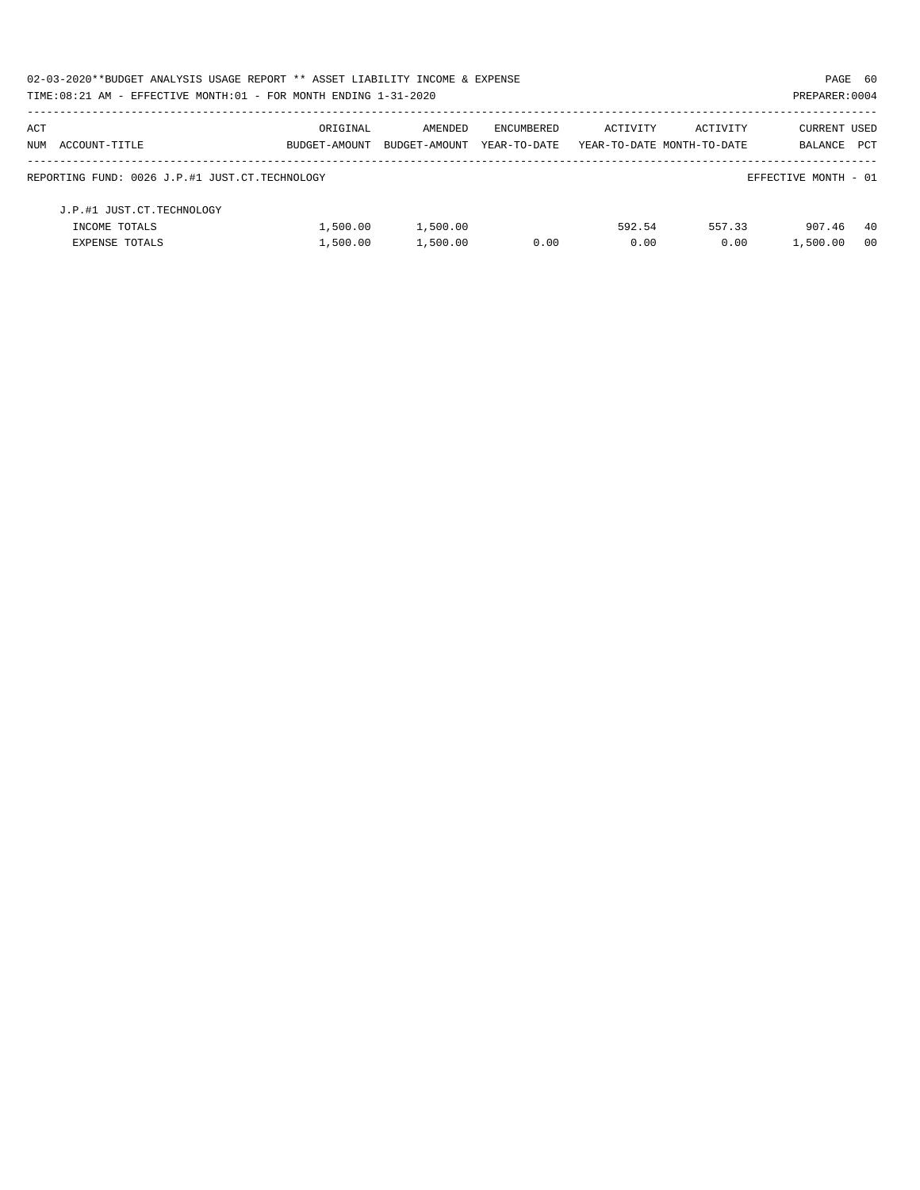| 02-03-2020**BUDGET ANALYSIS USAGE REPORT ** ASSET LIABILITY INCOME & EXPENSE |               |               |              |          |                            | PAGE 60              |            |
|------------------------------------------------------------------------------|---------------|---------------|--------------|----------|----------------------------|----------------------|------------|
| TIME: $08:21$ AM - EFFECTIVE MONTH: $01$ - FOR MONTH ENDING $1-31-2020$      |               |               |              |          |                            | PREPARER: 0004       |            |
| ACT                                                                          | ORIGINAL      | AMENDED       | ENCUMBERED   | ACTIVITY | ACTIVITY                   | CURRENT USED         |            |
| NUM ACCOUNT-TITLE                                                            | BUDGET-AMOUNT | BUDGET-AMOUNT | YEAR-TO-DATE |          | YEAR-TO-DATE MONTH-TO-DATE | BALANCE              | <b>PCT</b> |
| REPORTING FUND: 0026 J.P.#1 JUST.CT.TECHNOLOGY                               |               |               |              |          |                            | EFFECTIVE MONTH - 01 |            |
| J.P.#1 JUST.CT.TECHNOLOGY                                                    |               |               |              |          |                            |                      |            |
| INCOME TOTALS                                                                | 1,500.00      | 1,500.00      |              | 592.54   | 557.33                     | 907.46               | -40        |
| <b>EXPENSE TOTALS</b>                                                        | 1,500.00      | 1,500.00      | 0.00         | 0.00     | 0.00                       | 1,500.00             | - 00       |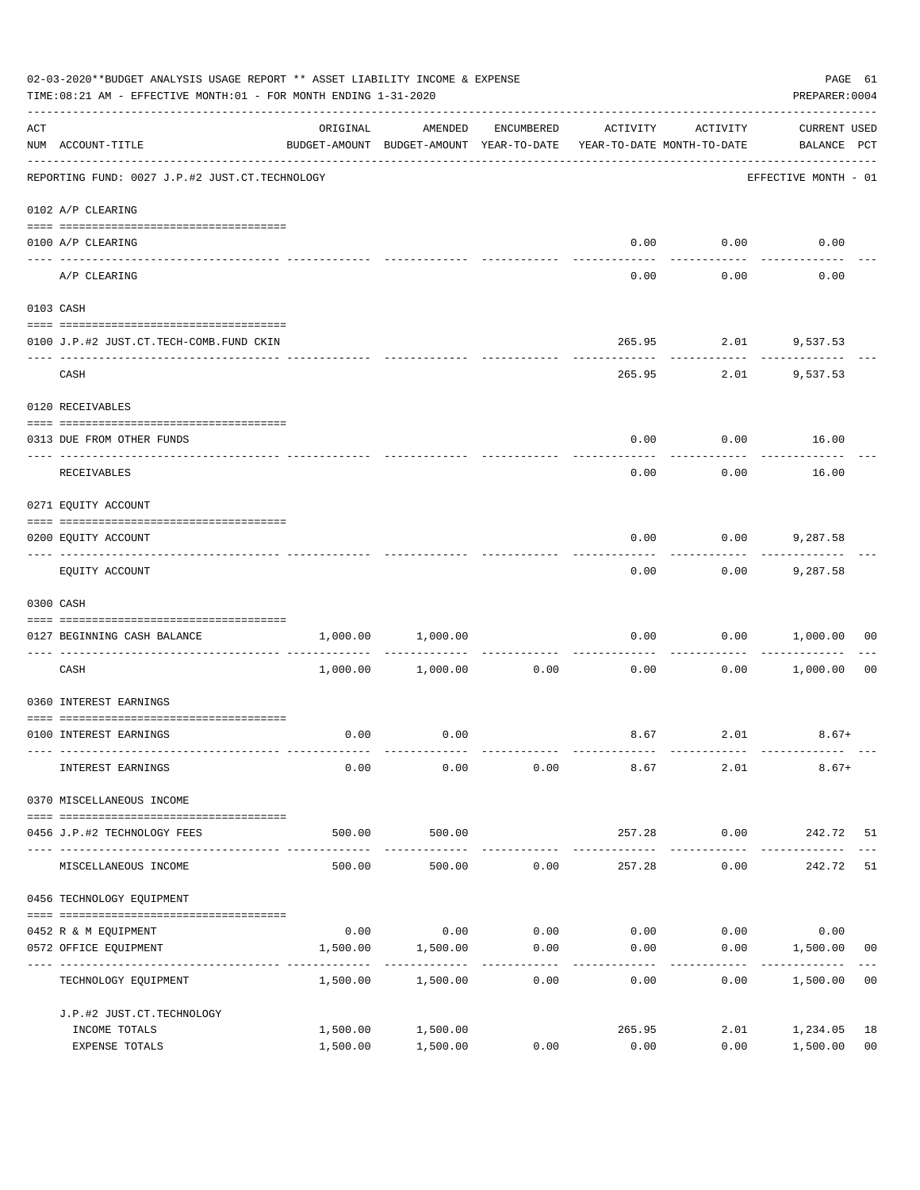|     | 02-03-2020**BUDGET ANALYSIS USAGE REPORT ** ASSET LIABILITY INCOME & EXPENSE<br>TIME:08:21 AM - EFFECTIVE MONTH:01 - FOR MONTH ENDING 1-31-2020                                                                                                                                                                                                                                                                                                                        |                                         |                                                                                |                   |                |                      |                                    |                      |  |  |
|-----|------------------------------------------------------------------------------------------------------------------------------------------------------------------------------------------------------------------------------------------------------------------------------------------------------------------------------------------------------------------------------------------------------------------------------------------------------------------------|-----------------------------------------|--------------------------------------------------------------------------------|-------------------|----------------|----------------------|------------------------------------|----------------------|--|--|
| ACT | NUM ACCOUNT-TITLE                                                                                                                                                                                                                                                                                                                                                                                                                                                      | ORIGINAL                                | AMENDED<br>BUDGET-AMOUNT BUDGET-AMOUNT YEAR-TO-DATE YEAR-TO-DATE MONTH-TO-DATE | ENCUMBERED        | ACTIVITY       | ACTIVITY             | <b>CURRENT USED</b><br>BALANCE PCT |                      |  |  |
|     | REPORTING FUND: 0027 J.P.#2 JUST.CT.TECHNOLOGY                                                                                                                                                                                                                                                                                                                                                                                                                         |                                         |                                                                                |                   |                |                      | EFFECTIVE MONTH - 01               |                      |  |  |
|     | 0102 A/P CLEARING                                                                                                                                                                                                                                                                                                                                                                                                                                                      |                                         |                                                                                |                   |                |                      |                                    |                      |  |  |
|     | 0100 A/P CLEARING                                                                                                                                                                                                                                                                                                                                                                                                                                                      |                                         |                                                                                |                   |                | $0.00$ $0.00$        | 0.00                               |                      |  |  |
|     | A/P CLEARING                                                                                                                                                                                                                                                                                                                                                                                                                                                           |                                         |                                                                                |                   | 0.00           | 0.00                 | 0.00                               |                      |  |  |
|     | 0103 CASH                                                                                                                                                                                                                                                                                                                                                                                                                                                              |                                         |                                                                                |                   |                |                      |                                    |                      |  |  |
|     | 0100 J.P.#2 JUST.CT.TECH-COMB.FUND CKIN                                                                                                                                                                                                                                                                                                                                                                                                                                |                                         |                                                                                |                   |                | 265.95 2.01 9,537.53 |                                    |                      |  |  |
|     | CASH                                                                                                                                                                                                                                                                                                                                                                                                                                                                   |                                         |                                                                                |                   | 265.95         | ----------           | 2.01 9,537.53                      |                      |  |  |
|     | 0120 RECEIVABLES                                                                                                                                                                                                                                                                                                                                                                                                                                                       |                                         |                                                                                |                   |                |                      |                                    |                      |  |  |
|     | 0313 DUE FROM OTHER FUNDS                                                                                                                                                                                                                                                                                                                                                                                                                                              |                                         |                                                                                |                   | 0.00           |                      | $0.00$ 16.00                       |                      |  |  |
|     | RECEIVABLES                                                                                                                                                                                                                                                                                                                                                                                                                                                            |                                         |                                                                                |                   | 0.00           | 0.00                 | 16.00                              |                      |  |  |
|     | 0271 EQUITY ACCOUNT                                                                                                                                                                                                                                                                                                                                                                                                                                                    |                                         |                                                                                |                   |                |                      |                                    |                      |  |  |
|     | 0200 EQUITY ACCOUNT                                                                                                                                                                                                                                                                                                                                                                                                                                                    |                                         |                                                                                |                   | 0.00           |                      | $0.00$ 9,287.58                    |                      |  |  |
|     | EQUITY ACCOUNT                                                                                                                                                                                                                                                                                                                                                                                                                                                         |                                         |                                                                                |                   | 0.00           | ---------<br>0.00    | 9,287.58                           |                      |  |  |
|     | 0300 CASH                                                                                                                                                                                                                                                                                                                                                                                                                                                              |                                         |                                                                                |                   |                |                      |                                    |                      |  |  |
|     | $\begin{minipage}{0.03\textwidth} \centering \begin{tabular}{ l l l } \hline \textbf{1} & \textbf{2} & \textbf{2} & \textbf{2} & \textbf{2} & \textbf{2} & \textbf{2} & \textbf{2} & \textbf{2} & \textbf{2} & \textbf{2} & \textbf{2} & \textbf{2} & \textbf{2} & \textbf{2} & \textbf{2} & \textbf{2} & \textbf{2} & \textbf{2} & \textbf{2} & \textbf{2} & \textbf{2} & \textbf{2} & \textbf{2} & \textbf{2} & \textbf{2} & \textbf$<br>0127 BEGINNING CASH BALANCE |                                         | 1,000.00 1,000.00                                                              |                   | 0.00           |                      | 0.00 1,000.00                      | 00                   |  |  |
|     | ----------------------------- ----<br>CASH                                                                                                                                                                                                                                                                                                                                                                                                                             |                                         | 1,000.00 1,000.00                                                              | 0.00              | 0.00           |                      | 0.00 1,000.00                      | 0 <sub>0</sub>       |  |  |
|     | 0360 INTEREST EARNINGS                                                                                                                                                                                                                                                                                                                                                                                                                                                 |                                         |                                                                                |                   |                |                      |                                    |                      |  |  |
|     | 0100 INTEREST EARNINGS                                                                                                                                                                                                                                                                                                                                                                                                                                                 | 0.00                                    | 0.00                                                                           |                   |                | 8.67 2.01            | $8.67+$                            |                      |  |  |
|     | INTEREST EARNINGS                                                                                                                                                                                                                                                                                                                                                                                                                                                      | 0.00                                    | 0.00                                                                           | 0.00              | 8.67           | 2.01                 | $8.67+$                            |                      |  |  |
|     | 0370 MISCELLANEOUS INCOME                                                                                                                                                                                                                                                                                                                                                                                                                                              |                                         |                                                                                |                   |                |                      |                                    |                      |  |  |
|     | 0456 J.P.#2 TECHNOLOGY FEES                                                                                                                                                                                                                                                                                                                                                                                                                                            | 500.00                                  | 500.00                                                                         |                   | 257.28         | 0.00                 | 242.72 51                          |                      |  |  |
|     | MISCELLANEOUS INCOME                                                                                                                                                                                                                                                                                                                                                                                                                                                   | -----------------------------<br>500.00 | . <u>.</u> .<br>500.00                                                         | 0.00              | 257.28         | ---------<br>0.00    | 242.72                             | 51                   |  |  |
|     | 0456 TECHNOLOGY EQUIPMENT                                                                                                                                                                                                                                                                                                                                                                                                                                              |                                         |                                                                                |                   |                |                      |                                    |                      |  |  |
|     | 0452 R & M EQUIPMENT                                                                                                                                                                                                                                                                                                                                                                                                                                                   | 0.00                                    | 0.00                                                                           | 0.00              | 0.00           | 0.00                 | 0.00                               |                      |  |  |
|     | 0572 OFFICE EQUIPMENT<br>----------------                                                                                                                                                                                                                                                                                                                                                                                                                              | 1,500.00                                | 1,500.00                                                                       | 0.00<br>--------- | 0.00           | 0.00                 | 1,500.00                           | 00                   |  |  |
|     | TECHNOLOGY EQUIPMENT                                                                                                                                                                                                                                                                                                                                                                                                                                                   | 1,500.00                                | 1,500.00                                                                       | 0.00              | 0.00           | 0.00                 | 1,500.00                           | 0 <sub>0</sub>       |  |  |
|     | J.P.#2 JUST.CT.TECHNOLOGY                                                                                                                                                                                                                                                                                                                                                                                                                                              |                                         |                                                                                |                   |                |                      |                                    |                      |  |  |
|     | INCOME TOTALS<br>EXPENSE TOTALS                                                                                                                                                                                                                                                                                                                                                                                                                                        | 1,500.00<br>1,500.00                    | 1,500.00<br>1,500.00                                                           | 0.00              | 265.95<br>0.00 | 2.01<br>0.00         | 1,234.05<br>1,500.00               | 18<br>0 <sub>0</sub> |  |  |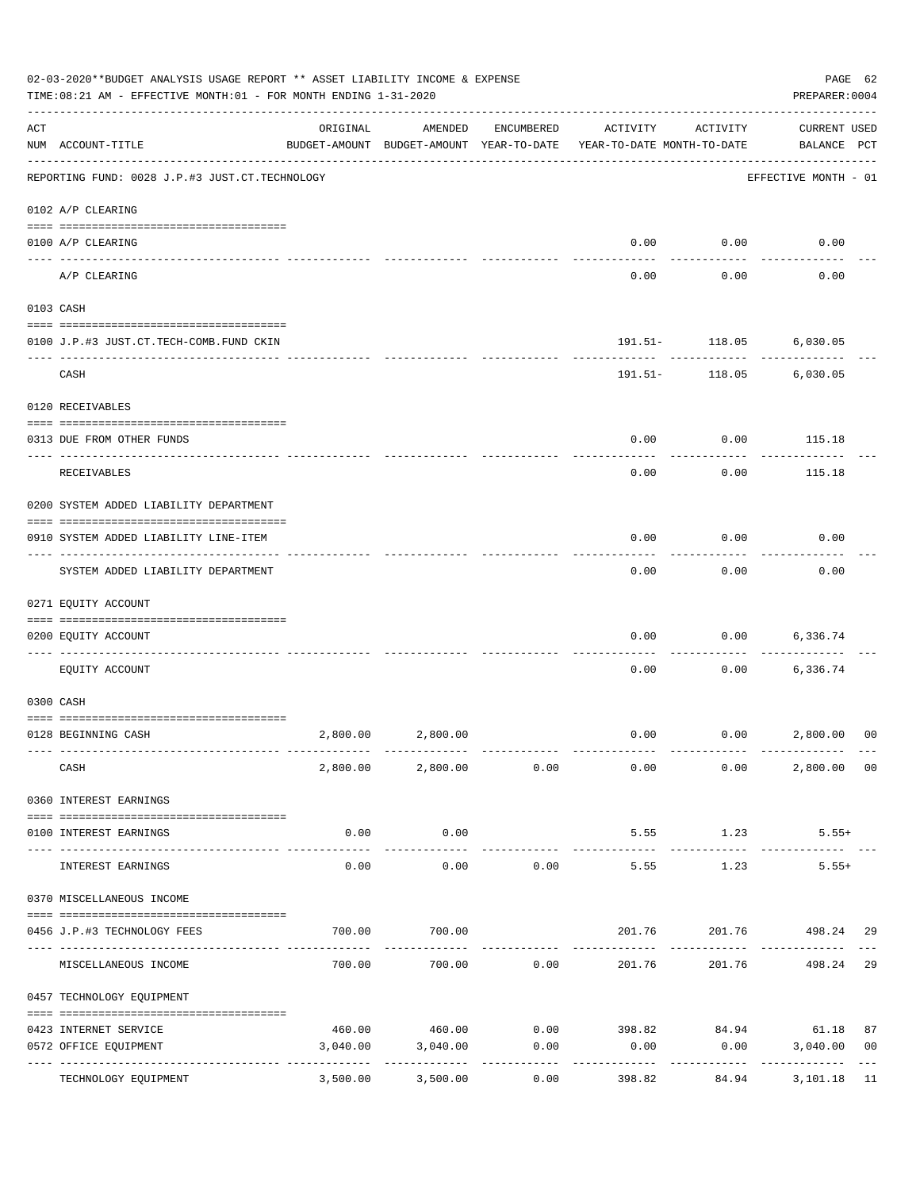|     | 02-03-2020**BUDGET ANALYSIS USAGE REPORT ** ASSET LIABILITY INCOME & EXPENSE<br>PREPARER: 0004<br>TIME:08:21 AM - EFFECTIVE MONTH:01 - FOR MONTH ENDING 1-31-2020 |                  |                        |            |                                                                                 |                                |                                    |                |  |  |
|-----|-------------------------------------------------------------------------------------------------------------------------------------------------------------------|------------------|------------------------|------------|---------------------------------------------------------------------------------|--------------------------------|------------------------------------|----------------|--|--|
| ACT | NUM ACCOUNT-TITLE                                                                                                                                                 | ORIGINAL         | AMENDED                | ENCUMBERED | ACTIVITY<br>BUDGET-AMOUNT BUDGET-AMOUNT YEAR-TO-DATE YEAR-TO-DATE MONTH-TO-DATE | ACTIVITY                       | <b>CURRENT USED</b><br>BALANCE PCT |                |  |  |
|     | REPORTING FUND: 0028 J.P.#3 JUST.CT.TECHNOLOGY                                                                                                                    |                  |                        |            |                                                                                 |                                | EFFECTIVE MONTH - 01               |                |  |  |
|     | 0102 A/P CLEARING                                                                                                                                                 |                  |                        |            |                                                                                 |                                |                                    |                |  |  |
|     | 0100 A/P CLEARING                                                                                                                                                 |                  |                        |            | 0.00                                                                            | 0.00                           | 0.00                               |                |  |  |
|     | A/P CLEARING                                                                                                                                                      |                  |                        |            | 0.00                                                                            | 0.00                           | 0.00                               |                |  |  |
|     | 0103 CASH                                                                                                                                                         |                  |                        |            |                                                                                 |                                |                                    |                |  |  |
|     | 0100 J.P.#3 JUST.CT.TECH-COMB.FUND CKIN                                                                                                                           |                  |                        |            |                                                                                 | 191.51- 118.05 6,030.05        |                                    |                |  |  |
|     | CASH                                                                                                                                                              |                  |                        |            |                                                                                 | ------------<br>191.51- 118.05 | 6,030.05                           |                |  |  |
|     | 0120 RECEIVABLES                                                                                                                                                  |                  |                        |            |                                                                                 |                                |                                    |                |  |  |
|     | 0313 DUE FROM OTHER FUNDS                                                                                                                                         |                  |                        |            | 0.00                                                                            |                                | $0.00$ 115.18                      |                |  |  |
|     | RECEIVABLES                                                                                                                                                       |                  |                        |            | 0.00                                                                            | 0.00                           | 115.18                             |                |  |  |
|     | 0200 SYSTEM ADDED LIABILITY DEPARTMENT                                                                                                                            |                  |                        |            |                                                                                 |                                |                                    |                |  |  |
|     | 0910 SYSTEM ADDED LIABILITY LINE-ITEM                                                                                                                             |                  |                        |            | 0.00                                                                            | 0.00                           | 0.00                               |                |  |  |
|     | SYSTEM ADDED LIABILITY DEPARTMENT                                                                                                                                 |                  |                        |            | 0.00                                                                            | . <u>.</u><br>0.00             | 0.00                               |                |  |  |
|     | 0271 EQUITY ACCOUNT                                                                                                                                               |                  |                        |            |                                                                                 |                                |                                    |                |  |  |
|     | 0200 EQUITY ACCOUNT                                                                                                                                               |                  |                        |            | 0.00                                                                            | 0.00                           | 6,336.74                           |                |  |  |
|     | EQUITY ACCOUNT                                                                                                                                                    |                  |                        |            | 0.00                                                                            |                                | $0.00$ 6,336.74                    |                |  |  |
|     | 0300 CASH                                                                                                                                                         |                  |                        |            |                                                                                 |                                |                                    |                |  |  |
|     | 0128 BEGINNING CASH                                                                                                                                               | 2,800.00         | 2,800.00               |            | 0.00                                                                            | $0.00$ 2,800.00                |                                    | 00             |  |  |
|     | CASH                                                                                                                                                              |                  | 2,800.00 2,800.00 0.00 |            | 0.00                                                                            | 0.00                           | 2,800.00 00                        |                |  |  |
|     | 0360 INTEREST EARNINGS                                                                                                                                            |                  |                        |            |                                                                                 |                                |                                    |                |  |  |
|     | 0100 INTEREST EARNINGS                                                                                                                                            | 0.00             | 0.00                   |            | 5.55                                                                            | 1.23                           | $5.55+$                            |                |  |  |
|     | INTEREST EARNINGS                                                                                                                                                 | --------<br>0.00 | . <u>.</u> .<br>0.00   | 0.00       | 5.55                                                                            | 1.23                           | $5.55+$                            |                |  |  |
|     | 0370 MISCELLANEOUS INCOME                                                                                                                                         |                  |                        |            |                                                                                 |                                |                                    |                |  |  |
|     | 0456 J.P.#3 TECHNOLOGY FEES                                                                                                                                       | 700.00           | 700.00                 |            | 201.76                                                                          |                                | 201.76 498.24                      | -29            |  |  |
|     | MISCELLANEOUS INCOME                                                                                                                                              |                  | 700.00 700.00          | 0.00       | 201.76                                                                          | 201.76                         | 498.24                             | 29             |  |  |
|     | 0457 TECHNOLOGY EQUIPMENT                                                                                                                                         |                  |                        |            |                                                                                 |                                |                                    |                |  |  |
|     | 0423 INTERNET SERVICE                                                                                                                                             |                  | 460.00 460.00          | 0.00       |                                                                                 | 398.82 84.94 61.18             |                                    | 87             |  |  |
|     | 0572 OFFICE EQUIPMENT                                                                                                                                             | 3,040.00         | 3,040.00               | 0.00       | 0.00                                                                            | 0.00                           | 3,040.00                           | 0 <sub>0</sub> |  |  |
|     | -------------- -----<br>TECHNOLOGY EQUIPMENT                                                                                                                      | 3,500.00         | 3,500.00               | 0.00       | 398.82                                                                          | 84.94                          | 3,101.18                           | 11             |  |  |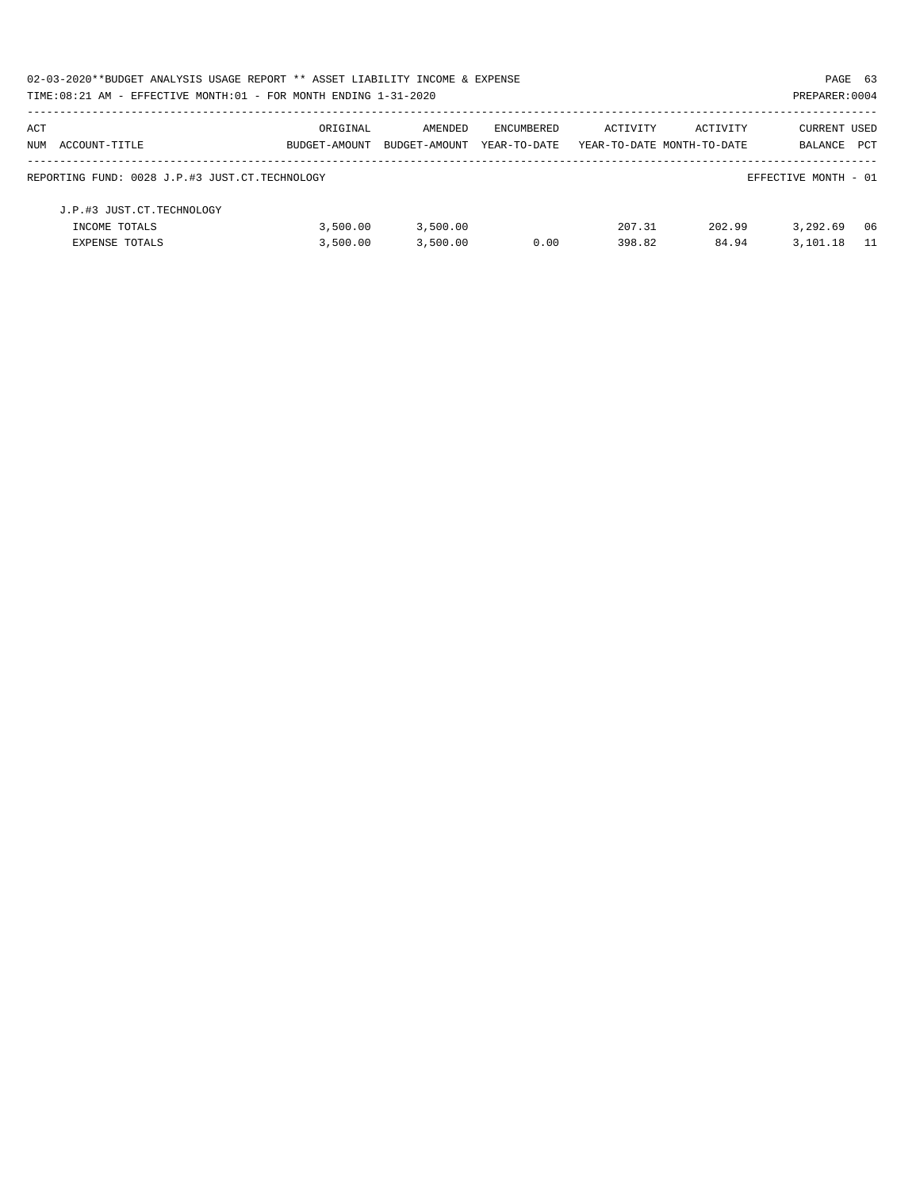| 02-03-2020**BUDGET ANALYSIS USAGE REPORT ** ASSET LIABILITY INCOME & EXPENSE |               |               |              |                            |          | PAGE 63              |       |
|------------------------------------------------------------------------------|---------------|---------------|--------------|----------------------------|----------|----------------------|-------|
| TIME: 08:21 AM - EFFECTIVE MONTH: 01 - FOR MONTH ENDING 1-31-2020            |               |               |              |                            |          | PREPARER: 0004       |       |
| ACT                                                                          | ORIGINAL      | AMENDED       | ENCUMBERED   | ACTIVITY                   | ACTIVITY | <b>CURRENT USED</b>  |       |
| NUM ACCOUNT-TITLE                                                            | BUDGET-AMOUNT | BUDGET-AMOUNT | YEAR-TO-DATE | YEAR-TO-DATE MONTH-TO-DATE |          | BALANCE              | PCT   |
| REPORTING FUND: 0028 J.P.#3 JUST.CT.TECHNOLOGY                               |               |               |              |                            |          | EFFECTIVE MONTH - 01 |       |
| J.P.#3 JUST.CT.TECHNOLOGY                                                    |               |               |              |                            |          |                      |       |
| INCOME TOTALS                                                                | 3,500.00      | 3,500.00      |              | 207.31                     | 202.99   | 3,292.69             | 06    |
| <b>EXPENSE TOTALS</b>                                                        | 3,500.00      | 3,500.00      | 0.00         | 398.82                     | 84.94    | 3,101.18             | $-11$ |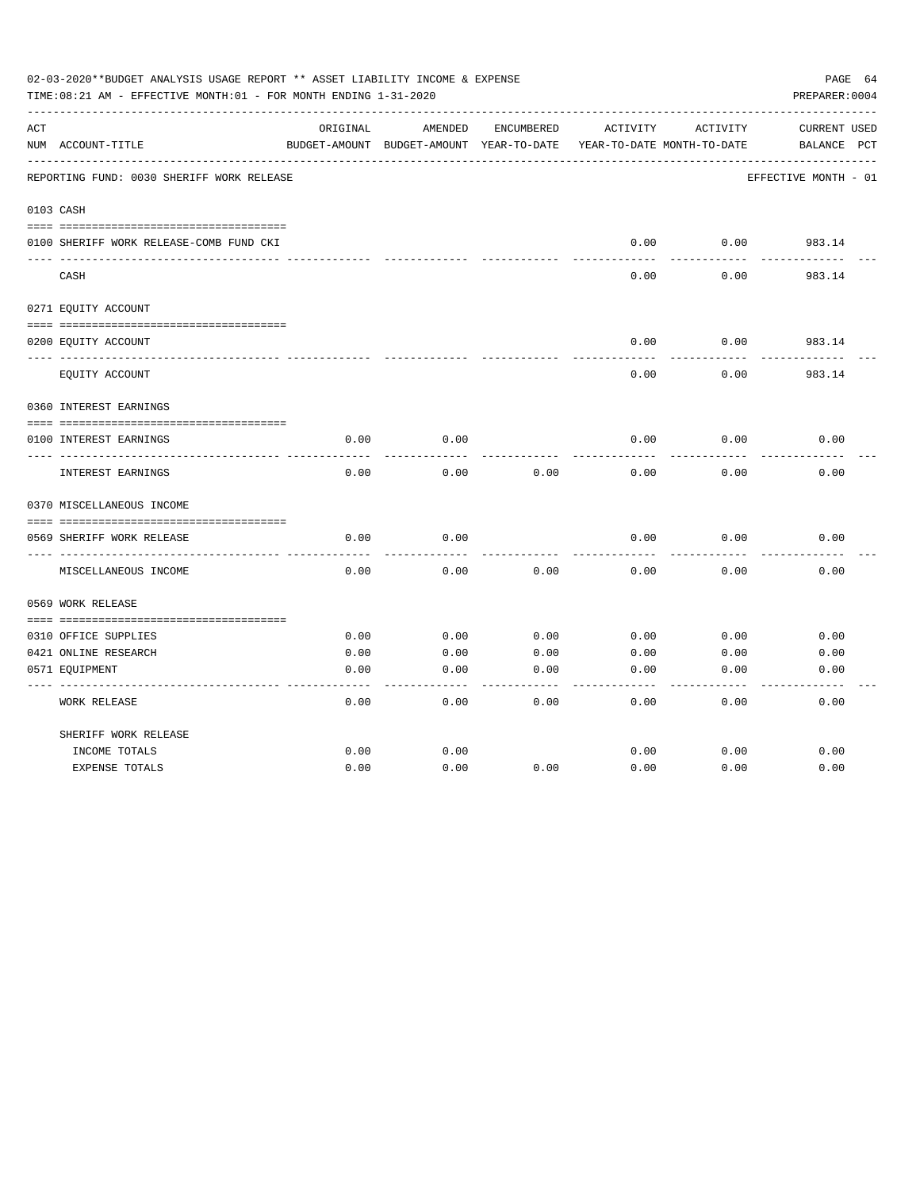|     | 02-03-2020**BUDGET ANALYSIS USAGE REPORT ** ASSET LIABILITY INCOME & EXPENSE<br>TIME:08:21 AM - EFFECTIVE MONTH:01 - FOR MONTH ENDING 1-31-2020 |          |                                          |            |                            |          | PAGE 64<br>PREPARER: 0004 |
|-----|-------------------------------------------------------------------------------------------------------------------------------------------------|----------|------------------------------------------|------------|----------------------------|----------|---------------------------|
| ACT |                                                                                                                                                 | ORIGINAL | AMENDED                                  | ENCUMBERED | ACTIVITY                   | ACTIVITY | CURRENT USED              |
|     | NUM ACCOUNT-TITLE                                                                                                                               |          | BUDGET-AMOUNT BUDGET-AMOUNT YEAR-TO-DATE |            | YEAR-TO-DATE MONTH-TO-DATE |          | BALANCE PCT               |
|     | REPORTING FUND: 0030 SHERIFF WORK RELEASE                                                                                                       |          |                                          |            |                            |          | EFFECTIVE MONTH - 01      |
|     | 0103 CASH                                                                                                                                       |          |                                          |            |                            |          |                           |
|     |                                                                                                                                                 |          |                                          |            |                            |          |                           |
|     | 0100 SHERIFF WORK RELEASE-COMB FUND CKI                                                                                                         |          |                                          |            | 0.00                       | 0.00     | 983.14                    |
|     | CASH                                                                                                                                            |          |                                          |            | 0.00                       | 0.00     | -------<br>983.14         |
|     | 0271 EQUITY ACCOUNT                                                                                                                             |          |                                          |            |                            |          |                           |
|     | 0200 EQUITY ACCOUNT                                                                                                                             |          |                                          |            | 0.00                       | 0.00     | 983.14                    |
|     | EQUITY ACCOUNT                                                                                                                                  |          |                                          |            | 0.00                       | 0.00     | 983.14                    |
|     | 0360 INTEREST EARNINGS                                                                                                                          |          |                                          |            |                            |          |                           |
|     |                                                                                                                                                 |          |                                          |            |                            |          |                           |
|     | 0100 INTEREST EARNINGS                                                                                                                          | 0.00     | 0.00                                     |            | 0.00                       | 0.00     | 0.00                      |
|     | INTEREST EARNINGS                                                                                                                               | 0.00     | 0.00                                     | 0.00       | 0.00                       | 0.00     | 0.00                      |
|     | 0370 MISCELLANEOUS INCOME                                                                                                                       |          |                                          |            |                            |          |                           |
|     |                                                                                                                                                 |          |                                          |            |                            |          |                           |
|     | 0569 SHERIFF WORK RELEASE                                                                                                                       | 0.00     | 0.00                                     |            | 0.00                       | 0.00     | 0.00                      |
|     | MISCELLANEOUS INCOME                                                                                                                            | 0.00     | 0.00                                     | 0.00       | 0.00                       | 0.00     | 0.00                      |
|     | 0569 WORK RELEASE                                                                                                                               |          |                                          |            |                            |          |                           |
|     |                                                                                                                                                 |          |                                          |            |                            |          |                           |
|     | 0310 OFFICE SUPPLIES                                                                                                                            | 0.00     | 0.00                                     | 0.00       | 0.00                       | 0.00     | 0.00                      |
|     | 0421 ONLINE RESEARCH                                                                                                                            | 0.00     | 0.00                                     | 0.00       | 0.00                       | 0.00     | 0.00                      |
|     | 0571 EQUIPMENT                                                                                                                                  | 0.00     | 0.00                                     | 0.00       | 0.00                       | 0.00     | 0.00                      |
|     | WORK RELEASE                                                                                                                                    | 0.00     | 0.00                                     | 0.00       | 0.00                       | 0.00     | 0.00                      |
|     | SHERIFF WORK RELEASE                                                                                                                            |          |                                          |            |                            |          |                           |
|     | INCOME TOTALS                                                                                                                                   | 0.00     | 0.00                                     |            | 0.00                       | 0.00     | 0.00                      |
|     | <b>EXPENSE TOTALS</b>                                                                                                                           | 0.00     | 0.00                                     | 0.00       | 0.00                       | 0.00     | 0.00                      |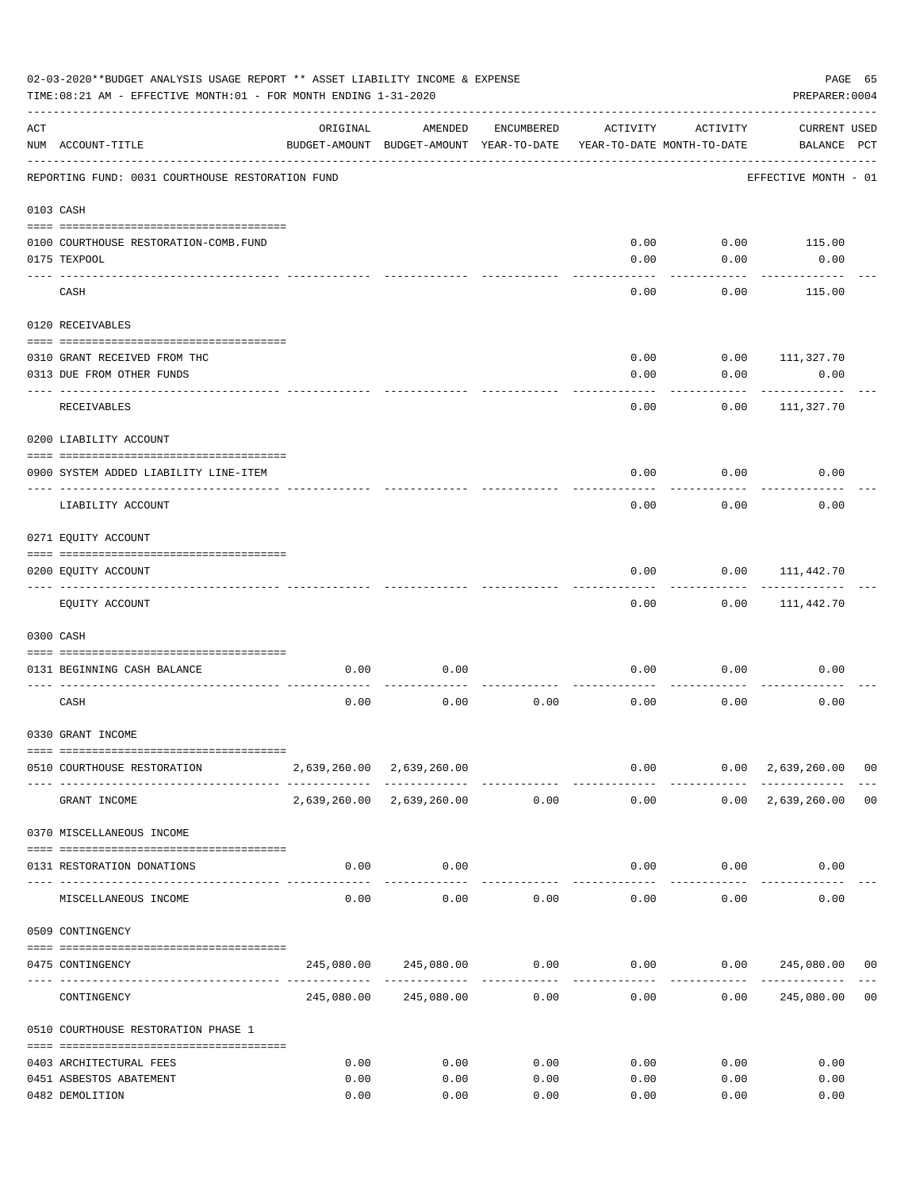|           | 02-03-2020**BUDGET ANALYSIS USAGE REPORT ** ASSET LIABILITY INCOME & EXPENSE<br>TIME: 08:21 AM - EFFECTIVE MONTH: 01 - FOR MONTH ENDING 1-31-2020 |                                           |                                                     |            |              |                                        | PREPARER: 0004                                                                   | PAGE 65 |
|-----------|---------------------------------------------------------------------------------------------------------------------------------------------------|-------------------------------------------|-----------------------------------------------------|------------|--------------|----------------------------------------|----------------------------------------------------------------------------------|---------|
| ACT       | NUM ACCOUNT-TITLE                                                                                                                                 | ORIGINAL                                  | AMENDED<br>BUDGET-AMOUNT BUDGET-AMOUNT YEAR-TO-DATE | ENCUMBERED | ACTIVITY     | ACTIVITY<br>YEAR-TO-DATE MONTH-TO-DATE | <b>CURRENT USED</b><br>BALANCE PCT                                               |         |
|           | REPORTING FUND: 0031 COURTHOUSE RESTORATION FUND                                                                                                  |                                           |                                                     |            |              |                                        | EFFECTIVE MONTH - 01                                                             |         |
| 0103 CASH |                                                                                                                                                   |                                           |                                                     |            |              |                                        |                                                                                  |         |
|           |                                                                                                                                                   |                                           |                                                     |            |              |                                        |                                                                                  |         |
|           | 0100 COURTHOUSE RESTORATION-COMB.FUND                                                                                                             |                                           |                                                     |            | 0.00         | 0.00                                   | 115.00                                                                           |         |
|           | 0175 TEXPOOL                                                                                                                                      |                                           |                                                     |            | 0.00         | 0.00                                   | 0.00                                                                             |         |
|           | CASH                                                                                                                                              |                                           |                                                     |            | 0.00         | 0.00                                   | 115.00                                                                           |         |
|           | 0120 RECEIVABLES                                                                                                                                  |                                           |                                                     |            |              |                                        |                                                                                  |         |
|           | 0310 GRANT RECEIVED FROM THC                                                                                                                      |                                           |                                                     |            | 0.00         | 0.00                                   | 111,327.70                                                                       |         |
|           | 0313 DUE FROM OTHER FUNDS                                                                                                                         |                                           |                                                     |            | 0.00         | 0.00                                   | 0.00                                                                             |         |
|           |                                                                                                                                                   |                                           |                                                     |            |              |                                        |                                                                                  |         |
|           | RECEIVABLES                                                                                                                                       |                                           |                                                     |            | 0.00         | 0.00                                   | 111,327.70                                                                       |         |
|           | 0200 LIABILITY ACCOUNT                                                                                                                            |                                           |                                                     |            |              |                                        |                                                                                  |         |
|           | 0900 SYSTEM ADDED LIABILITY LINE-ITEM                                                                                                             |                                           |                                                     |            | 0.00         | 0.00                                   | 0.00                                                                             |         |
|           | LIABILITY ACCOUNT                                                                                                                                 |                                           |                                                     |            | 0.00         | 0.00                                   | 0.00                                                                             |         |
|           | 0271 EQUITY ACCOUNT                                                                                                                               |                                           |                                                     |            |              |                                        |                                                                                  |         |
|           |                                                                                                                                                   |                                           |                                                     |            |              |                                        |                                                                                  |         |
|           | 0200 EQUITY ACCOUNT                                                                                                                               |                                           |                                                     |            | 0.00         | 0.00                                   | 111,442.70                                                                       |         |
|           | EQUITY ACCOUNT                                                                                                                                    |                                           |                                                     |            | 0.00         | 0.00                                   | 111,442.70                                                                       |         |
|           | 0300 CASH                                                                                                                                         |                                           |                                                     |            |              |                                        |                                                                                  |         |
|           | 0131 BEGINNING CASH BALANCE                                                                                                                       | 0.00                                      | 0.00                                                |            | 0.00         | 0.00                                   | 0.00                                                                             |         |
|           | CASH                                                                                                                                              | 0.00                                      | 0.00                                                | 0.00       | 0.00         | 0.00                                   | 0.00                                                                             |         |
|           | 0330 GRANT INCOME                                                                                                                                 |                                           |                                                     |            |              |                                        |                                                                                  |         |
|           |                                                                                                                                                   |                                           |                                                     |            |              |                                        |                                                                                  |         |
|           | 0510 COURTHOUSE RESTORATION                                                                                                                       |                                           | 2,639,260.00 2,639,260.00                           |            |              | -------------                          | $0.00$ $0.00$ $2,639,260.00$ 00<br>--------------                                |         |
|           | GRANT INCOME                                                                                                                                      |                                           | 2,639,260.00 2,639,260.00 0.00                      |            | 0.00         |                                        | $0.00 \quad 2,639,260.00 \quad 00$                                               |         |
|           | 0370 MISCELLANEOUS INCOME                                                                                                                         |                                           |                                                     |            |              |                                        |                                                                                  |         |
|           | 0131 RESTORATION DONATIONS                                                                                                                        | 0.00                                      | 0.00                                                |            |              | $0.00$ $0.00$                          | 0.00                                                                             |         |
|           | MISCELLANEOUS INCOME                                                                                                                              | ------------------- -------------<br>0.00 | 0.00                                                | 0.00       |              | 0.00<br>0.00                           | 0.00                                                                             |         |
|           | 0509 CONTINGENCY                                                                                                                                  |                                           |                                                     |            |              |                                        |                                                                                  |         |
|           |                                                                                                                                                   |                                           |                                                     |            |              |                                        |                                                                                  |         |
|           | 0475 CONTINGENCY                                                                                                                                  |                                           |                                                     |            | ------------ | -----------                            | $245,080.00$ $245,080.00$ $0.00$ $0.00$ $0.00$ $245,080.00$ $00$<br>------------ |         |
|           | CONTINGENCY                                                                                                                                       |                                           | 245,080.00 245,080.00                               | 0.00       | 0.00         | 0.00                                   | 245,080.00                                                                       | 00      |
|           | 0510 COURTHOUSE RESTORATION PHASE 1                                                                                                               |                                           |                                                     |            |              |                                        |                                                                                  |         |
|           | 0403 ARCHITECTURAL FEES                                                                                                                           | 0.00                                      | 0.00                                                | 0.00       | 0.00         | 0.00                                   | 0.00                                                                             |         |
|           | 0451 ASBESTOS ABATEMENT                                                                                                                           | 0.00                                      | 0.00                                                | 0.00       | 0.00         | 0.00                                   | 0.00                                                                             |         |
|           | 0482 DEMOLITION                                                                                                                                   | 0.00                                      | 0.00                                                | 0.00       | 0.00         | 0.00                                   | 0.00                                                                             |         |
|           |                                                                                                                                                   |                                           |                                                     |            |              |                                        |                                                                                  |         |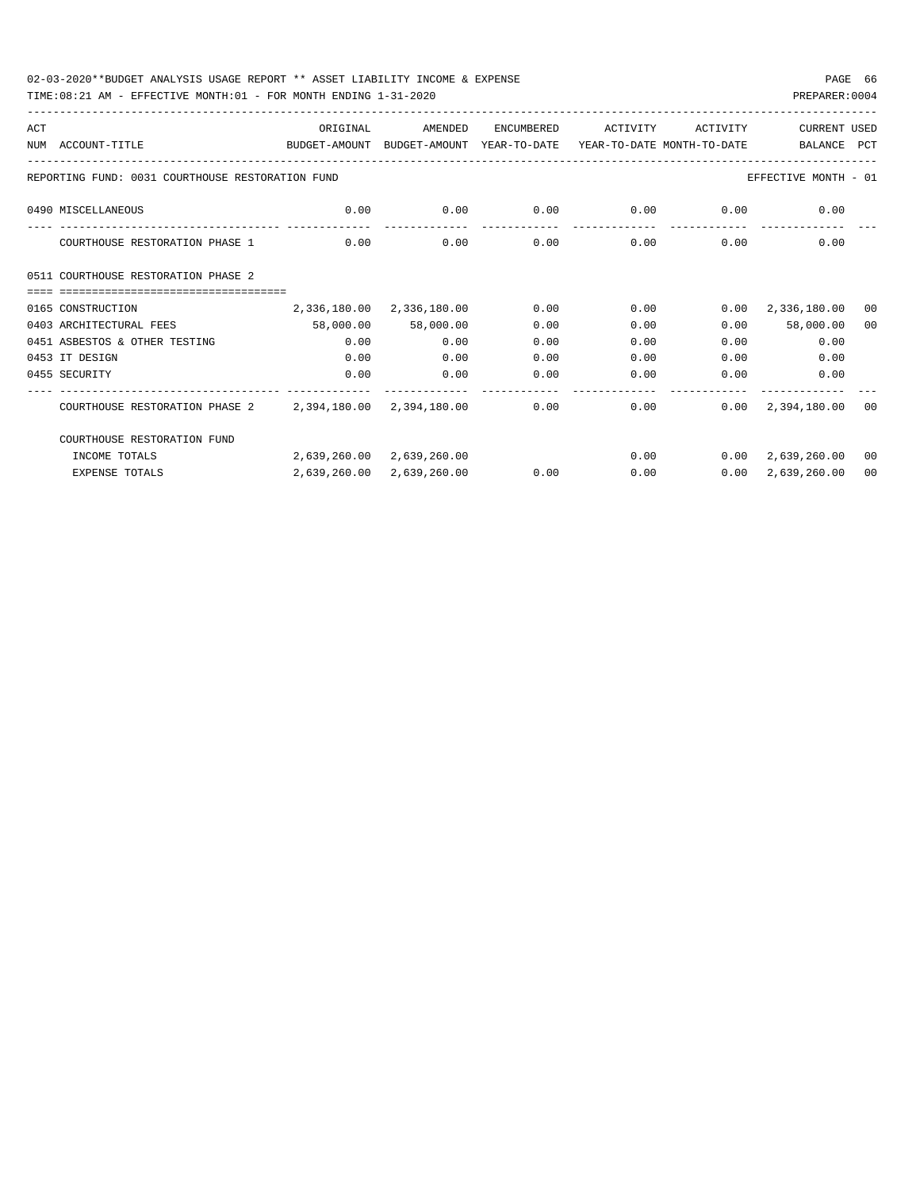TIME:08:21 AM - EFFECTIVE MONTH:01 - FOR MONTH ENDING 1-31-2020

| ACT |                                                                                          | ORIGINAL                                                | AMENDED                   | ENCUMBERED | ACTIVITY | ACTIVITY          | CURRENT USED                       |      |
|-----|------------------------------------------------------------------------------------------|---------------------------------------------------------|---------------------------|------------|----------|-------------------|------------------------------------|------|
|     | NUM ACCOUNT-TITLE<br>BUDGET-AMOUNT BUDGET-AMOUNT YEAR-TO-DATE YEAR-TO-DATE MONTH-TO-DATE |                                                         |                           |            |          |                   | BALANCE PCT                        |      |
|     |                                                                                          |                                                         |                           |            |          |                   |                                    |      |
|     | REPORTING FUND: 0031 COURTHOUSE RESTORATION FUND                                         |                                                         |                           |            |          |                   | EFFECTIVE MONTH - 01               |      |
|     | 0490 MISCELLANEOUS                                                                       | $0.00$ $0.00$ $0.00$ $0.00$ $0.00$ $0.00$ $0.00$ $0.00$ |                           |            |          |                   |                                    |      |
|     | COURTHOUSE RESTORATION PHASE 1                                                           | 0.00                                                    | 0.00                      | 0.00       |          | $0.00$ $0.00$     | 0.00                               |      |
|     | 0511 COURTHOUSE RESTORATION PHASE 2                                                      |                                                         |                           |            |          |                   |                                    |      |
|     |                                                                                          |                                                         |                           |            |          |                   |                                    |      |
|     | 0165 CONSTRUCTION                                                                        |                                                         | 2,336,180.00 2,336,180.00 | 0.00       |          |                   | $0.00$ $0.00$ $2,336,180.00$       | - 00 |
|     | 0403 ARCHITECTURAL FEES                                                                  | 58,000.00 58,000.00                                     |                           | 0.00       | 0.00     |                   | $0.00$ 58,000.00                   | 00   |
|     | 0451 ASBESTOS & OTHER TESTING                                                            | 0.00                                                    | 0.00                      | 0.00       | 0.00     |                   | 0.00<br>0.00                       |      |
|     | 0453 IT DESIGN                                                                           | 0.00                                                    | 0.00                      | 0.00       | 0.00     | 0.00              | 0.00                               |      |
|     | 0455 SECURITY                                                                            | 0.00                                                    | 0.00                      | 0.00       | 0.00     | 0.00              | 0.00                               |      |
|     | COURTHOUSE RESTORATION PHASE 2 2,394,180.00 2,394,180.00 0.00                            |                                                         |                           |            |          | -------------     | $0.00$ $0.00$ $2,394,180.00$ 00    |      |
|     | COURTHOUSE RESTORATION FUND                                                              |                                                         |                           |            |          |                   |                                    |      |
|     | INCOME TOTALS                                                                            | 2,639,260.00 2,639,260.00                               |                           |            |          |                   | $0.00$ $0.00$ $2,639,260.00$ 00    |      |
|     | <b>EXPENSE TOTALS</b>                                                                    |                                                         | 2,639,260.00 2,639,260.00 | 0.00       |          | $0.00$ and $0.00$ | $0.00 \quad 2,639,260.00 \quad 00$ |      |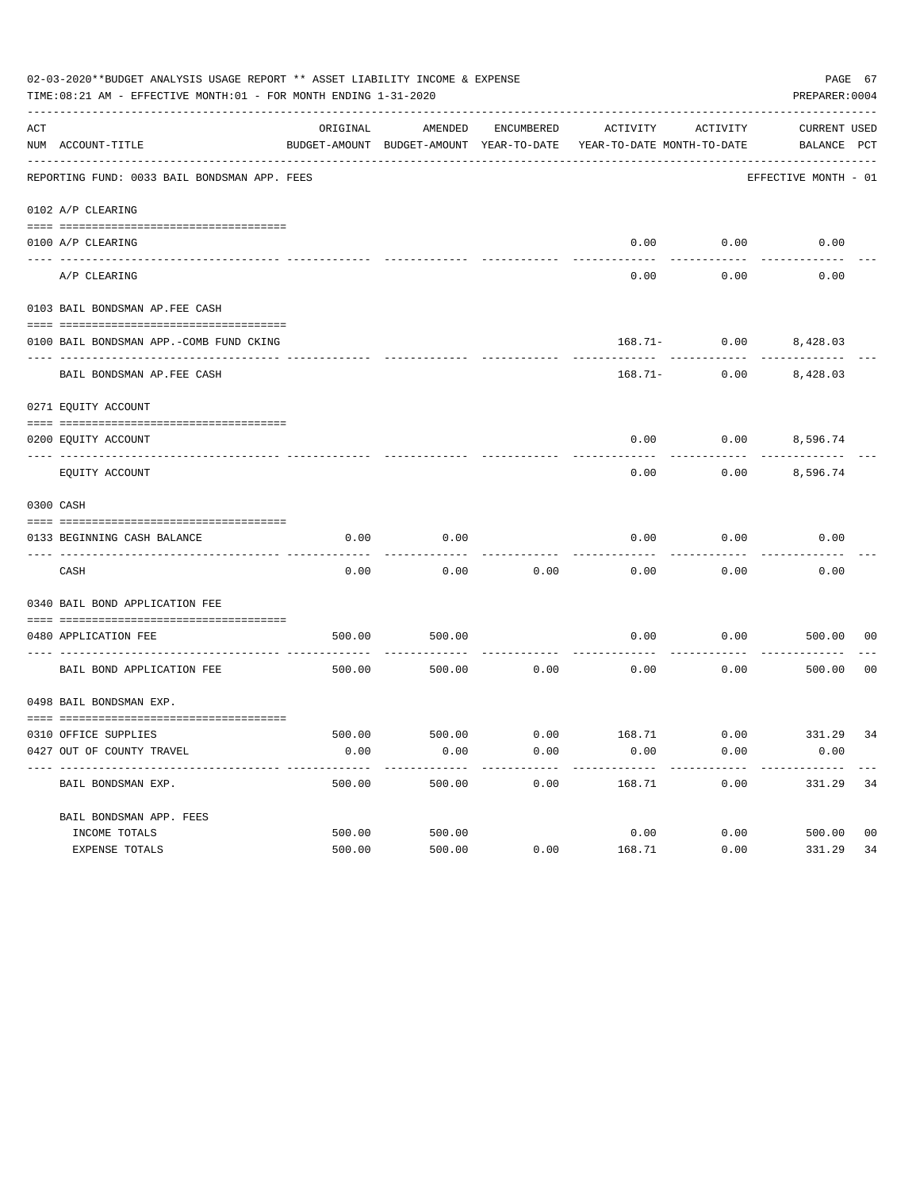|     | 02-03-2020**BUDGET ANALYSIS USAGE REPORT ** ASSET LIABILITY INCOME & EXPENSE<br>TIME:08:21 AM - EFFECTIVE MONTH:01 - FOR MONTH ENDING 1-31-2020 |          |                                                     |            |                                          |                                        | PAGE 67<br>PREPARER: 0004          |                |
|-----|-------------------------------------------------------------------------------------------------------------------------------------------------|----------|-----------------------------------------------------|------------|------------------------------------------|----------------------------------------|------------------------------------|----------------|
| ACT | NUM ACCOUNT-TITLE                                                                                                                               | ORIGINAL | AMENDED<br>BUDGET-AMOUNT BUDGET-AMOUNT YEAR-TO-DATE | ENCUMBERED | ACTIVITY<br>YEAR-TO-DATE MONTH-TO-DATE   | ACTIVITY                               | <b>CURRENT USED</b><br>BALANCE PCT |                |
|     | REPORTING FUND: 0033 BAIL BONDSMAN APP. FEES                                                                                                    |          |                                                     |            |                                          |                                        | EFFECTIVE MONTH - 01               |                |
|     | 0102 A/P CLEARING                                                                                                                               |          |                                                     |            |                                          |                                        |                                    |                |
|     | 0100 A/P CLEARING                                                                                                                               |          |                                                     |            | 0.00                                     | 0.00                                   | 0.00                               |                |
|     | ---- ----------<br>---------------------- --------<br>A/P CLEARING                                                                              |          |                                                     |            | 0.00                                     | 0.00                                   | 0.00                               |                |
|     | 0103 BAIL BONDSMAN AP.FEE CASH                                                                                                                  |          |                                                     |            |                                          |                                        |                                    |                |
|     | 0100 BAIL BONDSMAN APP.-COMB FUND CKING                                                                                                         |          |                                                     |            |                                          | 168.71- 0.00 8,428.03                  |                                    |                |
|     | ----------------------------<br>BAIL BONDSMAN AP. FEE CASH                                                                                      |          |                                                     |            |                                          | ----------<br>$168.71 - 0.00$ 8,428.03 |                                    |                |
|     | 0271 EQUITY ACCOUNT                                                                                                                             |          |                                                     |            |                                          |                                        |                                    |                |
|     | 0200 EQUITY ACCOUNT                                                                                                                             |          |                                                     |            | 0.00                                     | $0.00$ 8,596.74                        |                                    |                |
|     | EQUITY ACCOUNT                                                                                                                                  |          |                                                     |            | 0.00                                     | 0.00                                   | 8,596.74                           |                |
|     | 0300 CASH                                                                                                                                       |          |                                                     |            |                                          |                                        |                                    |                |
|     | 0133 BEGINNING CASH BALANCE                                                                                                                     | 0.00     | 0.00                                                |            | 0.00                                     | 0.00                                   | 0.00                               |                |
|     | CASH                                                                                                                                            | 0.00     | 0.00                                                | 0.00       | 0.00                                     | 0.00                                   | 0.00                               |                |
|     | 0340 BAIL BOND APPLICATION FEE                                                                                                                  |          |                                                     |            |                                          |                                        |                                    |                |
|     | 0480 APPLICATION FEE<br>-----------------------------------                                                                                     | 500.00   | 500.00                                              |            | 0.00                                     | 0.00                                   | 500.00                             | 00             |
|     | BAIL BOND APPLICATION FEE                                                                                                                       | 500.00   | 500.00                                              | 0.00       | 0.00                                     | 0.00                                   | 500.00                             | 0 <sub>0</sub> |
|     | 0498 BAIL BONDSMAN EXP.                                                                                                                         |          |                                                     |            |                                          |                                        |                                    |                |
|     |                                                                                                                                                 |          |                                                     |            |                                          |                                        |                                    |                |
|     | 0310 OFFICE SUPPLIES                                                                                                                            |          |                                                     |            | 500.00 500.00 6.00 168.71 0.00 331.29 34 |                                        |                                    |                |
|     | 0427 OUT OF COUNTY TRAVEL                                                                                                                       | 0.00     | 0.00                                                | 0.00       | 0.00                                     | 0.00                                   | 0.00                               |                |
|     | BAIL BONDSMAN EXP.                                                                                                                              | 500.00   | 500.00                                              | 0.00       | 168.71                                   | 0.00                                   | 331.29                             | 34             |
|     | BAIL BONDSMAN APP. FEES                                                                                                                         |          |                                                     |            |                                          |                                        |                                    |                |
|     | INCOME TOTALS                                                                                                                                   | 500.00   | 500.00                                              |            | 0.00                                     | 0.00                                   | 500.00                             | 0 <sub>0</sub> |
|     | EXPENSE TOTALS                                                                                                                                  | 500.00   | 500.00                                              | 0.00       | 168.71                                   | 0.00                                   | 331.29                             | 34             |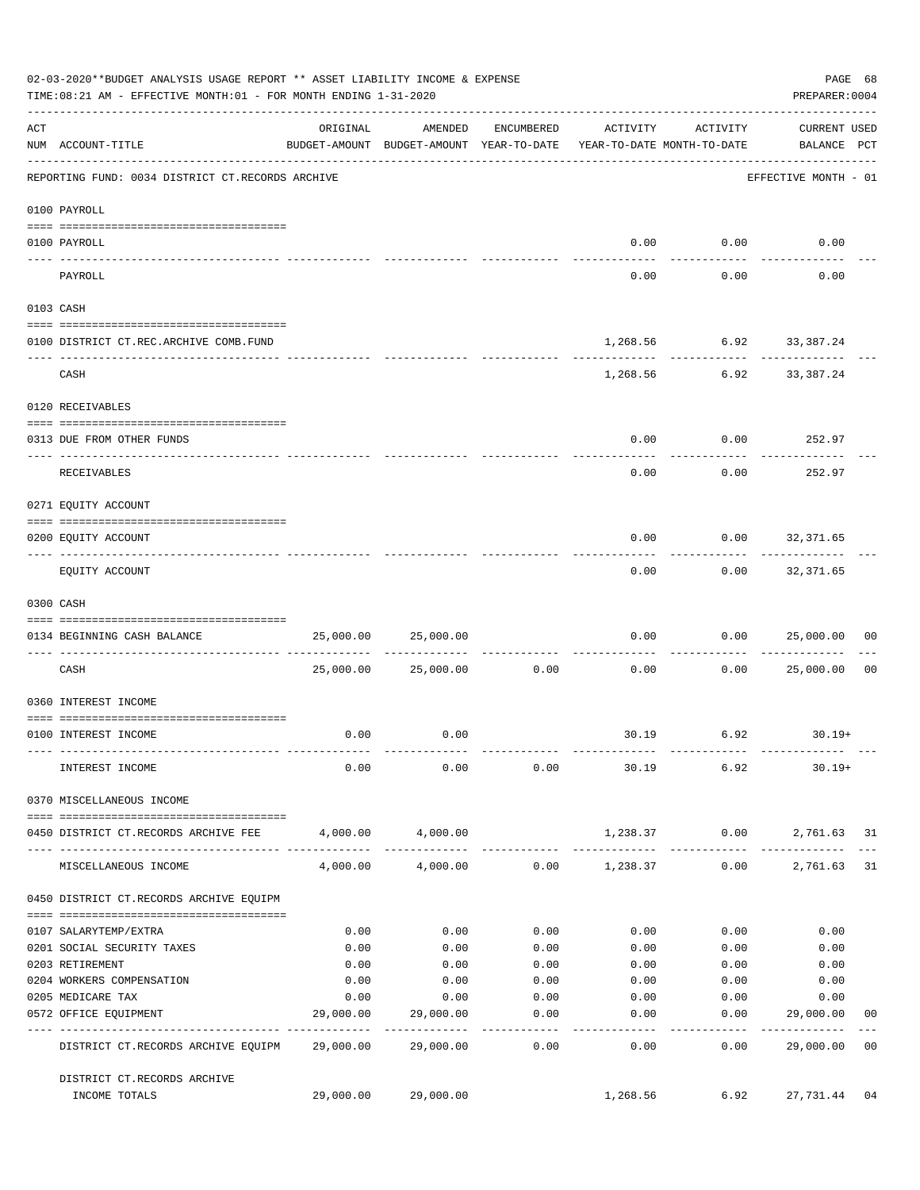|     | 02-03-2020**BUDGET ANALYSIS USAGE REPORT ** ASSET LIABILITY INCOME & EXPENSE<br>TIME: 08:21 AM - EFFECTIVE MONTH: 01 - FOR MONTH ENDING 1-31-2020 |           |                                                                                |                   |                  |                                                          | PAGE 68<br>PREPARER: 0004          |  |
|-----|---------------------------------------------------------------------------------------------------------------------------------------------------|-----------|--------------------------------------------------------------------------------|-------------------|------------------|----------------------------------------------------------|------------------------------------|--|
| ACT | NUM ACCOUNT-TITLE                                                                                                                                 | ORIGINAL  | AMENDED<br>BUDGET-AMOUNT BUDGET-AMOUNT YEAR-TO-DATE YEAR-TO-DATE MONTH-TO-DATE | ENCUMBERED        | ACTIVITY         | ACTIVITY                                                 | <b>CURRENT USED</b><br>BALANCE PCT |  |
|     | REPORTING FUND: 0034 DISTRICT CT.RECORDS ARCHIVE                                                                                                  |           |                                                                                |                   |                  |                                                          | EFFECTIVE MONTH - 01               |  |
|     | 0100 PAYROLL                                                                                                                                      |           |                                                                                |                   |                  |                                                          |                                    |  |
|     |                                                                                                                                                   |           |                                                                                |                   |                  |                                                          |                                    |  |
|     | 0100 PAYROLL<br>--------------------------- --------<br>---- -------                                                                              |           |                                                                                |                   |                  | $0.00$ $0.00$                                            | 0.00                               |  |
|     | PAYROLL                                                                                                                                           |           |                                                                                |                   | 0.00             | 0.00                                                     | 0.00                               |  |
|     | 0103 CASH                                                                                                                                         |           |                                                                                |                   |                  |                                                          |                                    |  |
|     | 0100 DISTRICT CT.REC.ARCHIVE COMB.FUND                                                                                                            |           |                                                                                |                   |                  | 1,268.56 6.92 33,387.24                                  |                                    |  |
|     | CASH                                                                                                                                              |           |                                                                                |                   |                  | -----------------------------<br>1,268.56 6.92 33,387.24 |                                    |  |
|     | 0120 RECEIVABLES                                                                                                                                  |           |                                                                                |                   |                  |                                                          |                                    |  |
|     |                                                                                                                                                   |           |                                                                                |                   |                  |                                                          |                                    |  |
|     | 0313 DUE FROM OTHER FUNDS                                                                                                                         |           |                                                                                |                   | 0.00             | $0.00$ 252.97                                            |                                    |  |
|     | RECEIVABLES                                                                                                                                       |           |                                                                                |                   | 0.00             | 0.00                                                     | 252.97                             |  |
|     | 0271 EQUITY ACCOUNT                                                                                                                               |           |                                                                                |                   |                  |                                                          |                                    |  |
|     | 0200 EQUITY ACCOUNT                                                                                                                               |           |                                                                                |                   | 0.00             |                                                          | $0.00$ 32,371.65                   |  |
|     | EQUITY ACCOUNT                                                                                                                                    |           |                                                                                |                   | --------<br>0.00 | ---------                                                | ------------<br>$0.00$ 32,371.65   |  |
|     | 0300 CASH                                                                                                                                         |           |                                                                                |                   |                  |                                                          |                                    |  |
|     | 0134 BEGINNING CASH BALANCE                                                                                                                       | 25,000.00 | 25,000.00                                                                      |                   | 0.00             |                                                          | 0.00000000000<br>0 <sub>0</sub>    |  |
|     | ----------------------------- -------<br>CASH                                                                                                     |           | 25,000.00 25,000.00                                                            | 0.00              | 0.00             | 0.00                                                     | 25,000.00<br>0 <sub>0</sub>        |  |
|     | 0360 INTEREST INCOME                                                                                                                              |           |                                                                                |                   |                  |                                                          |                                    |  |
|     |                                                                                                                                                   |           |                                                                                |                   |                  |                                                          |                                    |  |
|     | 0100 INTEREST INCOME                                                                                                                              | 0.00      | 0.00                                                                           |                   |                  | $30.19$ 6.92 30.19+                                      |                                    |  |
|     | INTEREST INCOME                                                                                                                                   | 0.00      | 0.00                                                                           | 0.00              |                  | 30.19 6.92                                               | $30.19+$                           |  |
|     | 0370 MISCELLANEOUS INCOME                                                                                                                         |           |                                                                                |                   |                  |                                                          |                                    |  |
|     | 0450 DISTRICT CT.RECORDS ARCHIVE FEE                                                                                                              |           | 4,000.00 4,000.00                                                              |                   |                  |                                                          | 1,238.37 0.00 2,761.63 31          |  |
|     |                                                                                                                                                   |           |                                                                                |                   |                  |                                                          |                                    |  |
|     | MISCELLANEOUS INCOME                                                                                                                              | 4,000.00  | 4,000.00                                                                       |                   | $0.00$ 1,238.37  | 0.00                                                     | 2,761.63<br>31                     |  |
|     | 0450 DISTRICT CT.RECORDS ARCHIVE EQUIPM                                                                                                           |           |                                                                                |                   |                  |                                                          |                                    |  |
|     | 0107 SALARYTEMP/EXTRA                                                                                                                             | 0.00      | 0.00                                                                           | 0.00              | 0.00             | 0.00                                                     | 0.00                               |  |
|     | 0201 SOCIAL SECURITY TAXES                                                                                                                        | 0.00      | 0.00                                                                           | 0.00              | 0.00             | 0.00                                                     | 0.00                               |  |
|     | 0203 RETIREMENT                                                                                                                                   | 0.00      | 0.00                                                                           | 0.00              | 0.00             | 0.00                                                     | 0.00                               |  |
|     | 0204 WORKERS COMPENSATION                                                                                                                         | 0.00      | 0.00                                                                           | 0.00              | 0.00             | 0.00                                                     | 0.00                               |  |
|     | 0205 MEDICARE TAX                                                                                                                                 | 0.00      | 0.00                                                                           | 0.00              | 0.00             | 0.00                                                     | 0.00                               |  |
|     | 0572 OFFICE EQUIPMENT<br>------------------- ------------                                                                                         | 29,000.00 | 29,000.00<br>. _ _ _ _ _ _ _ _ _ _ _                                           | 0.00<br>--------- | 0.00<br>------   | 0.00<br>---------                                        | 29,000.00<br>00<br>------------    |  |
|     | DISTRICT CT.RECORDS ARCHIVE EQUIPM 29,000.00                                                                                                      |           | 29,000.00                                                                      | 0.00              | 0.00             | 0.00                                                     | 29,000.00<br>0 <sub>0</sub>        |  |
|     | DISTRICT CT.RECORDS ARCHIVE                                                                                                                       |           |                                                                                |                   |                  |                                                          |                                    |  |
|     | INCOME TOTALS                                                                                                                                     | 29,000.00 | 29,000.00                                                                      |                   | 1,268.56         | 6.92                                                     | 27,731.44<br>04                    |  |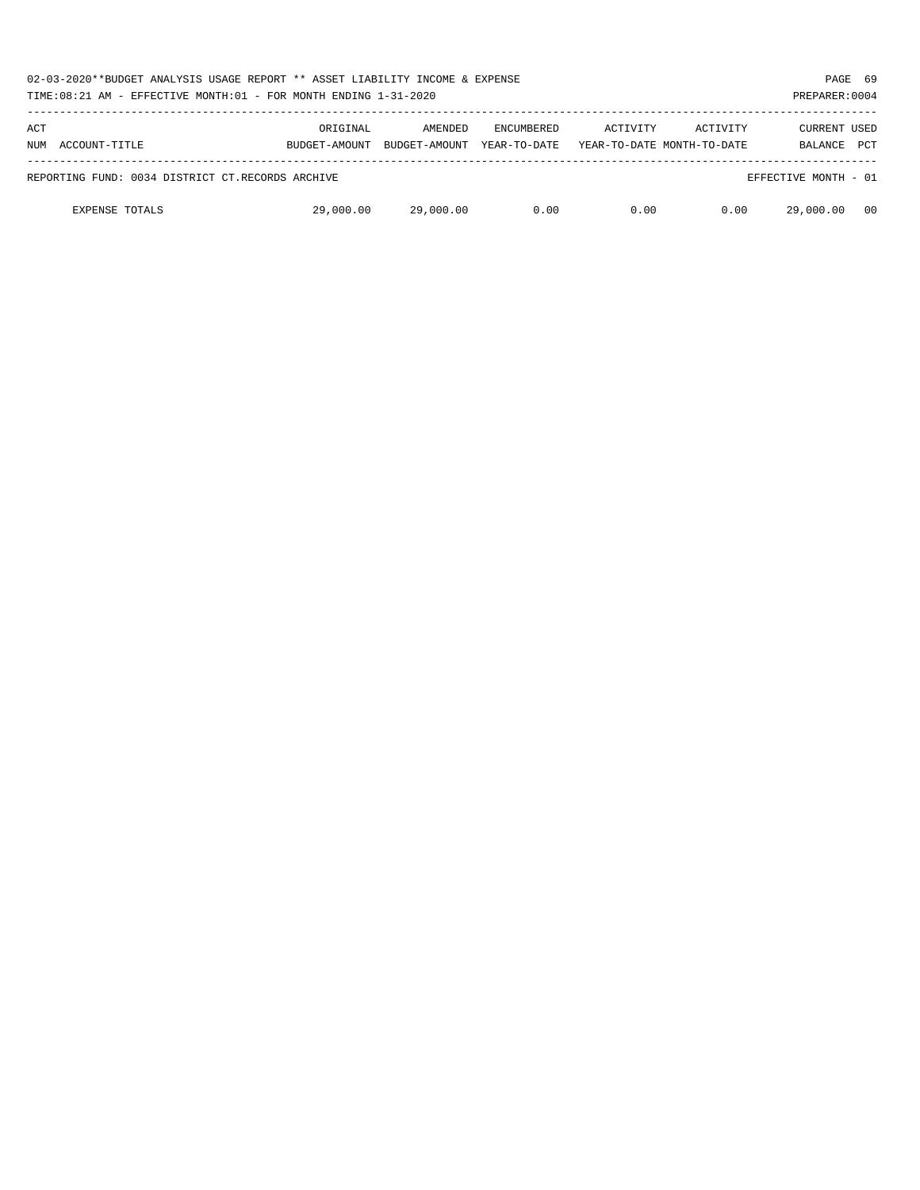| 02-03-2020**BUDGET ANALYSIS USAGE REPORT ** ASSET LIABILITY INCOME & EXPENSE<br>TIME:08:21 AM - EFFECTIVE MONTH:01 - FOR MONTH ENDING 1-31-2020 |               |               |                   |                            |          | PAGE 69<br>PREPARER: 0004 |            |
|-------------------------------------------------------------------------------------------------------------------------------------------------|---------------|---------------|-------------------|----------------------------|----------|---------------------------|------------|
| ACT                                                                                                                                             | ORIGINAL      | AMENDED       | <b>ENCUMBERED</b> | ACTIVITY                   | ACTIVITY | <b>CURRENT USED</b>       |            |
| NUM ACCOUNT-TITLE                                                                                                                               | BUDGET-AMOUNT | BUDGET-AMOUNT | YEAR-TO-DATE      | YEAR-TO-DATE MONTH-TO-DATE |          | <b>BALANCE</b>            | <b>PCT</b> |
| REPORTING FUND: 0034 DISTRICT CT.RECORDS ARCHIVE                                                                                                |               |               |                   |                            |          | EFFECTIVE MONTH - 01      |            |
| <b>EXPENSE TOTALS</b>                                                                                                                           | 29,000.00     | 29,000.00     | 0.00              | 0.00                       | 0.00     | 29,000.00                 | - 00       |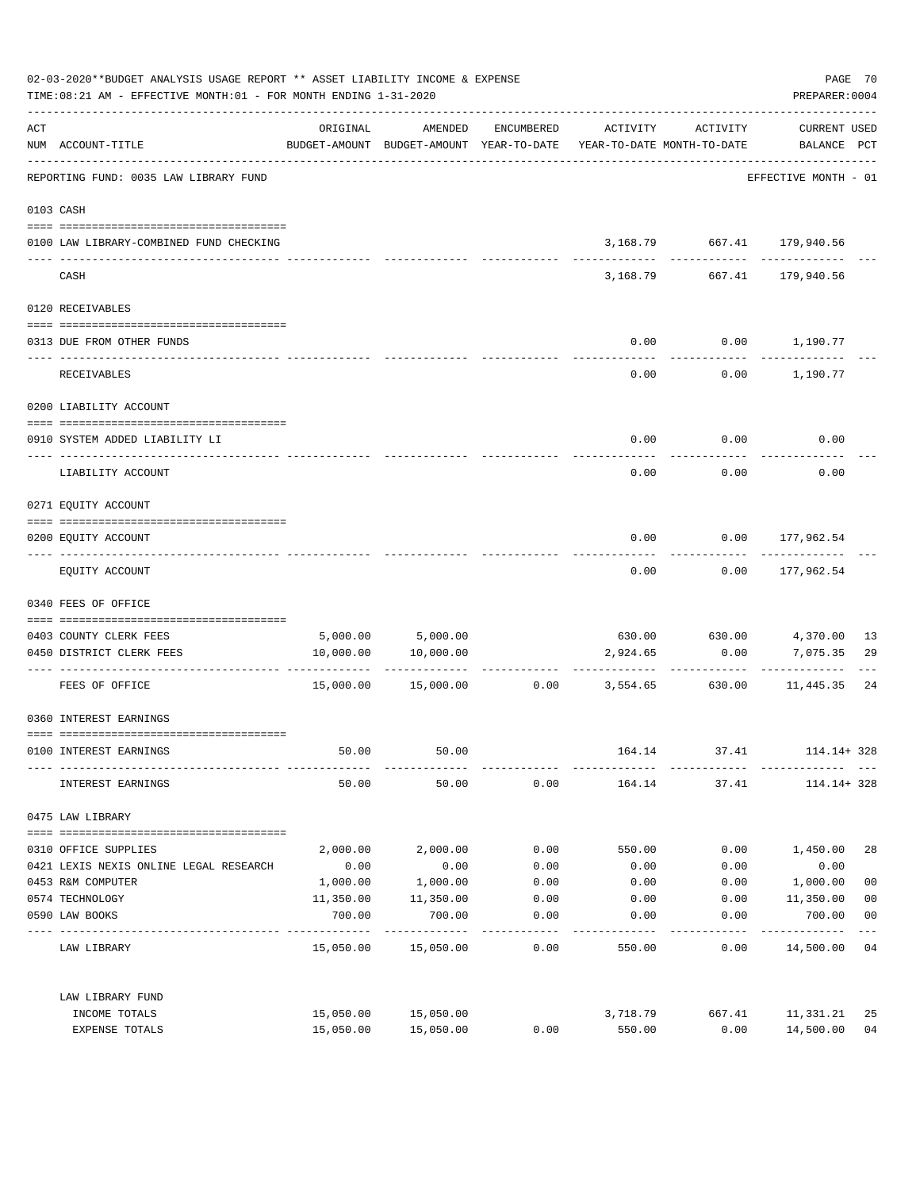|     | 02-03-2020**BUDGET ANALYSIS USAGE REPORT ** ASSET LIABILITY INCOME & EXPENSE<br>TIME: 08:21 AM - EFFECTIVE MONTH: 01 - FOR MONTH ENDING 1-31-2020 |                      |                                                                                |            |                 |                                              | PAGE 70<br>PREPARER: 0004          |                         |
|-----|---------------------------------------------------------------------------------------------------------------------------------------------------|----------------------|--------------------------------------------------------------------------------|------------|-----------------|----------------------------------------------|------------------------------------|-------------------------|
| ACT | NUM ACCOUNT-TITLE<br>-----------------------------------                                                                                          | ORIGINAL             | AMENDED<br>BUDGET-AMOUNT BUDGET-AMOUNT YEAR-TO-DATE YEAR-TO-DATE MONTH-TO-DATE | ENCUMBERED | ACTIVITY        | ACTIVITY                                     | <b>CURRENT USED</b><br>BALANCE PCT |                         |
|     | REPORTING FUND: 0035 LAW LIBRARY FUND                                                                                                             |                      |                                                                                |            |                 |                                              | EFFECTIVE MONTH - 01               |                         |
|     | 0103 CASH                                                                                                                                         |                      |                                                                                |            |                 |                                              |                                    |                         |
|     | 0100 LAW LIBRARY-COMBINED FUND CHECKING                                                                                                           |                      |                                                                                |            |                 | 3, 168.79 667.41 179, 940.56<br>------------ | ------------                       |                         |
|     | CASH                                                                                                                                              |                      |                                                                                |            | 3,168.79        | 667.41                                       | 179,940.56                         |                         |
|     | 0120 RECEIVABLES                                                                                                                                  |                      |                                                                                |            |                 |                                              |                                    |                         |
|     | 0313 DUE FROM OTHER FUNDS                                                                                                                         |                      |                                                                                |            | 0.00            |                                              | $0.00$ 1,190.77                    |                         |
|     | RECEIVABLES                                                                                                                                       |                      |                                                                                |            | 0.00            |                                              | $0.00$ 1,190.77                    |                         |
|     | 0200 LIABILITY ACCOUNT                                                                                                                            |                      |                                                                                |            |                 |                                              |                                    |                         |
|     | 0910 SYSTEM ADDED LIABILITY LI                                                                                                                    |                      |                                                                                |            | 0.00            | 0.00                                         | 0.00                               |                         |
|     | LIABILITY ACCOUNT                                                                                                                                 |                      |                                                                                |            | 0.00            | 0.00                                         | 0.00                               |                         |
|     | 0271 EQUITY ACCOUNT                                                                                                                               |                      |                                                                                |            |                 |                                              |                                    |                         |
|     | 0200 EQUITY ACCOUNT                                                                                                                               |                      |                                                                                |            | 0.00            |                                              | $0.00$ 177,962.54                  |                         |
|     | EQUITY ACCOUNT                                                                                                                                    |                      |                                                                                |            | 0.00            | 0.00                                         | 177,962.54                         |                         |
|     | 0340 FEES OF OFFICE                                                                                                                               |                      |                                                                                |            |                 |                                              |                                    |                         |
|     | 0403 COUNTY CLERK FEES                                                                                                                            |                      |                                                                                |            |                 |                                              |                                    | -13                     |
|     | 0450 DISTRICT CLERK FEES                                                                                                                          | 10,000.00            | 5,000.00 5,000.00<br>10,000.00                                                 |            | 2,924.65        | 630.00 630.00 4,370.00<br>0.00               | 7,075.35                           | 29                      |
|     | FEES OF OFFICE                                                                                                                                    |                      | 15,000.00  15,000.00                                                           |            | $0.00$ 3,554.65 | -----------<br>630.00                        | -----------<br>11,445.35           | 24                      |
|     | 0360 INTEREST EARNINGS                                                                                                                            |                      |                                                                                |            |                 |                                              |                                    |                         |
|     | 0100 INTEREST EARNINGS                                                                                                                            | 50.00                | 50.00                                                                          |            | 164.14          |                                              | 37.41 114.14+328                   |                         |
|     | INTEREST EARNINGS                                                                                                                                 | 50.00                | 50.00                                                                          | 0.00       |                 | 164.14 37.41 114.14+328                      |                                    |                         |
|     | 0475 LAW LIBRARY                                                                                                                                  |                      |                                                                                |            |                 |                                              |                                    |                         |
|     | 0310 OFFICE SUPPLIES                                                                                                                              | 2,000.00             | 2,000.00                                                                       | 0.00       | 550.00          | 0.00                                         | 1,450.00                           | 28                      |
|     | 0421 LEXIS NEXIS ONLINE LEGAL RESEARCH                                                                                                            | 0.00                 | 0.00                                                                           | 0.00       | 0.00            | 0.00                                         | 0.00                               |                         |
|     | 0453 R&M COMPUTER                                                                                                                                 | 1,000.00             | 1,000.00                                                                       | 0.00       | 0.00            | 0.00                                         | 1,000.00                           | 0 <sub>0</sub>          |
|     | 0574 TECHNOLOGY                                                                                                                                   | 11,350.00            | 11,350.00                                                                      | 0.00       | 0.00            | 0.00                                         | 11,350.00                          | 0 <sub>0</sub>          |
|     | 0590 LAW BOOKS                                                                                                                                    | 700.00<br>---------- | 700.00<br>. <u>.</u> .                                                         | 0.00       | 0.00            | 0.00                                         | 700.00<br>----------               | 0 <sub>0</sub><br>$---$ |
|     | LAW LIBRARY                                                                                                                                       |                      | 15,050.00 15,050.00                                                            | 0.00       | 550.00          | 0.00                                         | 14,500.00 04                       |                         |
|     | LAW LIBRARY FUND                                                                                                                                  |                      |                                                                                |            |                 |                                              |                                    |                         |
|     | INCOME TOTALS                                                                                                                                     |                      | 15,050.00 15,050.00                                                            |            | 3,718.79        | 667.41                                       | 11,331.21                          | 25                      |
|     | EXPENSE TOTALS                                                                                                                                    | 15,050.00            | 15,050.00                                                                      | 0.00       | 550.00          | 0.00                                         | 14,500.00                          | 0 <sub>4</sub>          |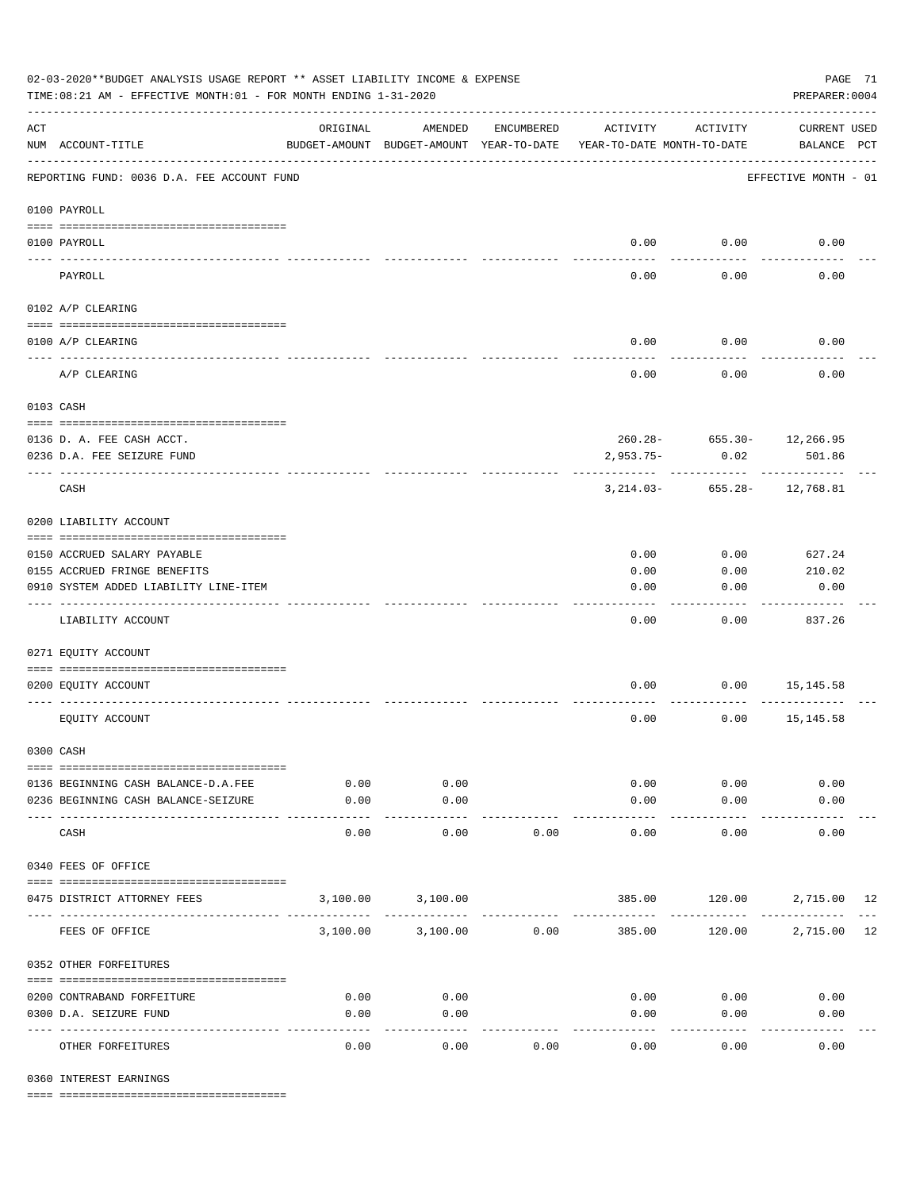| 02-03-2020**BUDGET ANALYSIS USAGE REPORT ** ASSET LIABILITY INCOME & EXPENSE<br>TIME:08:21 AM - EFFECTIVE MONTH:01 - FOR MONTH ENDING 1-31-2020 |                                            |                     |                                                     |            |                                        |               |                                    |  |  |
|-------------------------------------------------------------------------------------------------------------------------------------------------|--------------------------------------------|---------------------|-----------------------------------------------------|------------|----------------------------------------|---------------|------------------------------------|--|--|
| $\mathop{\rm ACT}$                                                                                                                              | NUM ACCOUNT-TITLE                          | ORIGINAL            | AMENDED<br>BUDGET-AMOUNT BUDGET-AMOUNT YEAR-TO-DATE | ENCUMBERED | ACTIVITY<br>YEAR-TO-DATE MONTH-TO-DATE | ACTIVITY      | <b>CURRENT USED</b><br>BALANCE PCT |  |  |
|                                                                                                                                                 | REPORTING FUND: 0036 D.A. FEE ACCOUNT FUND |                     |                                                     |            |                                        |               | EFFECTIVE MONTH - 01               |  |  |
|                                                                                                                                                 | 0100 PAYROLL                               |                     |                                                     |            |                                        |               |                                    |  |  |
|                                                                                                                                                 | 0100 PAYROLL                               |                     |                                                     |            | 0.00                                   | 0.00          | 0.00                               |  |  |
| ---- --                                                                                                                                         | PAYROLL                                    |                     |                                                     |            | 0.00                                   | 0.00          | 0.00                               |  |  |
|                                                                                                                                                 | 0102 A/P CLEARING                          |                     |                                                     |            |                                        |               |                                    |  |  |
|                                                                                                                                                 | 0100 A/P CLEARING                          |                     |                                                     |            | 0.00                                   | 0.00          | 0.00                               |  |  |
|                                                                                                                                                 | A/P CLEARING                               |                     |                                                     |            | 0.00                                   | 0.00          | 0.00                               |  |  |
|                                                                                                                                                 | 0103 CASH                                  |                     |                                                     |            |                                        |               |                                    |  |  |
|                                                                                                                                                 | 0136 D. A. FEE CASH ACCT.                  |                     |                                                     |            |                                        |               | $260.28 - 655.30 - 12,266.95$      |  |  |
|                                                                                                                                                 | 0236 D.A. FEE SEIZURE FUND                 |                     |                                                     |            | $2,953.75-$                            | 0.02          | 501.86                             |  |  |
|                                                                                                                                                 | CASH                                       |                     |                                                     |            | 3,214.03-                              | 655.28-       | 12,768.81                          |  |  |
|                                                                                                                                                 | 0200 LIABILITY ACCOUNT                     |                     |                                                     |            |                                        |               |                                    |  |  |
|                                                                                                                                                 | 0150 ACCRUED SALARY PAYABLE                |                     |                                                     |            | 0.00                                   | 0.00          | 627.24                             |  |  |
|                                                                                                                                                 | 0155 ACCRUED FRINGE BENEFITS               |                     |                                                     |            | 0.00                                   | 0.00          | 210.02                             |  |  |
|                                                                                                                                                 | 0910 SYSTEM ADDED LIABILITY LINE-ITEM      |                     |                                                     |            | 0.00                                   | 0.00          | 0.00                               |  |  |
|                                                                                                                                                 | LIABILITY ACCOUNT                          |                     |                                                     |            | 0.00                                   | 0.00          | 837.26                             |  |  |
|                                                                                                                                                 | 0271 EQUITY ACCOUNT                        |                     |                                                     |            |                                        |               |                                    |  |  |
|                                                                                                                                                 | 0200 EQUITY ACCOUNT                        |                     |                                                     |            | 0.00                                   | 0.00          | 15,145.58                          |  |  |
|                                                                                                                                                 | EQUITY ACCOUNT                             |                     |                                                     |            | 0.00                                   | 0.00          | 15,145.58                          |  |  |
|                                                                                                                                                 | 0300 CASH                                  |                     |                                                     |            |                                        |               |                                    |  |  |
|                                                                                                                                                 | 0136 BEGINNING CASH BALANCE-D.A.FEE        | 0.00                | 0.00                                                |            | 0.00                                   | 0.00          | 0.00                               |  |  |
|                                                                                                                                                 | 0236 BEGINNING CASH BALANCE-SEIZURE        | 0.00                | 0.00                                                |            | 0.00                                   | 0.00          | 0.00                               |  |  |
|                                                                                                                                                 | CASH                                       | $- - - - -$<br>0.00 | ----------<br>0.00                                  | 0.00       | -----------<br>0.00                    | 0.00          | 0.00                               |  |  |
|                                                                                                                                                 | 0340 FEES OF OFFICE                        |                     |                                                     |            |                                        |               |                                    |  |  |
|                                                                                                                                                 | 0475 DISTRICT ATTORNEY FEES                |                     | 3,100.00 3,100.00                                   | ---------- | 385.00                                 |               | 120.00 2,715.00 12                 |  |  |
|                                                                                                                                                 | FEES OF OFFICE                             | 3,100.00            | 3,100.00                                            | 0.00       | 385.00                                 | 120.00        | 2,715.00 12                        |  |  |
|                                                                                                                                                 | 0352 OTHER FORFEITURES                     |                     |                                                     |            |                                        |               |                                    |  |  |
|                                                                                                                                                 | 0200 CONTRABAND FORFEITURE                 | 0.00                | 0.00                                                |            | 0.00                                   | 0.00          | 0.00                               |  |  |
|                                                                                                                                                 | 0300 D.A. SEIZURE FUND                     | 0.00                | 0.00                                                |            | 0.00                                   | 0.00          | 0.00                               |  |  |
|                                                                                                                                                 | OTHER FORFEITURES                          | 0.00                | $- - - - -$<br>0.00                                 | 0.00       | 0.00                                   | -----<br>0.00 | 0.00                               |  |  |

0360 INTEREST EARNINGS

==== ===================================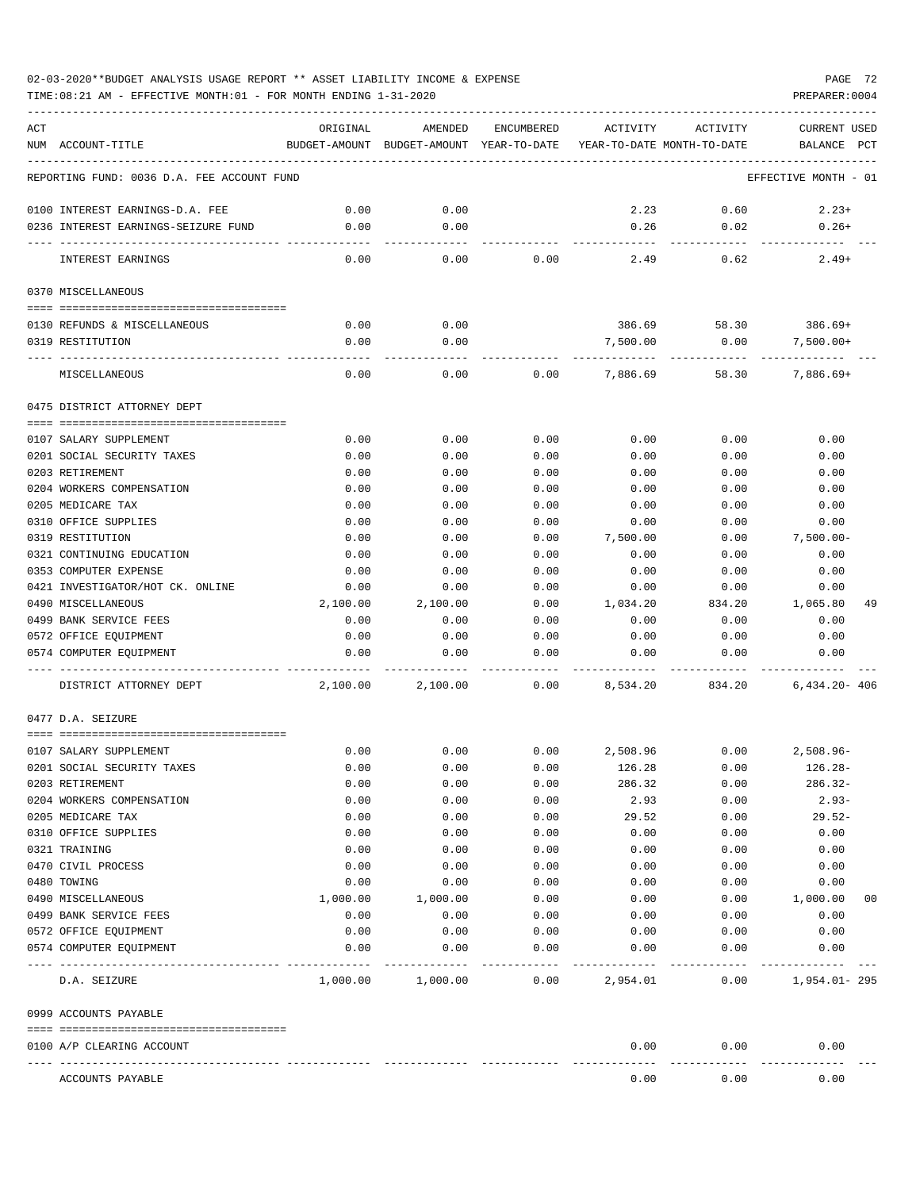| ACT | NUM ACCOUNT-TITLE                               | ORIGINAL     | AMENDED<br>BUDGET-AMOUNT BUDGET-AMOUNT YEAR-TO-DATE YEAR-TO-DATE MONTH-TO-DATE | ENCUMBERED   | ACTIVITY     | ACTIVITY     | <b>CURRENT USED</b><br>BALANCE PCT |    |
|-----|-------------------------------------------------|--------------|--------------------------------------------------------------------------------|--------------|--------------|--------------|------------------------------------|----|
|     |                                                 |              |                                                                                |              |              |              |                                    |    |
|     | REPORTING FUND: 0036 D.A. FEE ACCOUNT FUND      |              |                                                                                |              |              |              | EFFECTIVE MONTH - 01               |    |
|     | 0100 INTEREST EARNINGS-D.A. FEE                 | 0.00         | 0.00                                                                           |              | 2.23         | 0.60         | $2.23+$                            |    |
|     | 0236 INTEREST EARNINGS-SEIZURE FUND             | 0.00         | 0.00                                                                           |              | 0.26         | 0.02         | $0.26+$                            |    |
|     | INTEREST EARNINGS                               | 0.00         | 0.00                                                                           | 0.00         | 2.49         | 0.62         | $2.49+$                            |    |
|     | 0370 MISCELLANEOUS                              |              |                                                                                |              |              |              |                                    |    |
|     |                                                 |              |                                                                                |              |              |              |                                    |    |
|     | 0130 REFUNDS & MISCELLANEOUS                    | 0.00         | 0.00                                                                           |              | 386.69       | 58.30        | 386.69+                            |    |
|     | 0319 RESTITUTION                                | 0.00         | 0.00                                                                           |              | 7,500.00     | 0.00         | $7,500.00+$                        |    |
|     | MISCELLANEOUS                                   | 0.00         | 0.00                                                                           | 0.00         | 7,886.69     | 58.30        | $7,886.69+$                        |    |
|     | 0475 DISTRICT ATTORNEY DEPT                     |              |                                                                                |              |              |              |                                    |    |
|     |                                                 |              |                                                                                |              |              |              |                                    |    |
|     | 0107 SALARY SUPPLEMENT                          | 0.00         | 0.00                                                                           | 0.00         | 0.00         | 0.00         | 0.00                               |    |
|     | 0201 SOCIAL SECURITY TAXES<br>0203 RETIREMENT   | 0.00<br>0.00 | 0.00<br>0.00                                                                   | 0.00<br>0.00 | 0.00<br>0.00 | 0.00<br>0.00 | 0.00<br>0.00                       |    |
|     | 0204 WORKERS COMPENSATION                       | 0.00         | 0.00                                                                           | 0.00         | 0.00         | 0.00         | 0.00                               |    |
|     | 0205 MEDICARE TAX                               | 0.00         | 0.00                                                                           | 0.00         | 0.00         | 0.00         | 0.00                               |    |
|     | 0310 OFFICE SUPPLIES                            | 0.00         | 0.00                                                                           | 0.00         | 0.00         | 0.00         | 0.00                               |    |
|     | 0319 RESTITUTION                                | 0.00         | 0.00                                                                           | 0.00         | 7,500.00     | 0.00         | $7,500.00 -$                       |    |
|     | 0321 CONTINUING EDUCATION                       | 0.00         | 0.00                                                                           | 0.00         | 0.00         | 0.00         | 0.00                               |    |
|     | 0353 COMPUTER EXPENSE                           | 0.00         | 0.00                                                                           | 0.00         | 0.00         | 0.00         | 0.00                               |    |
|     | 0421 INVESTIGATOR/HOT CK. ONLINE                | 0.00         | 0.00                                                                           | 0.00         | 0.00         | 0.00         | 0.00                               |    |
|     | 0490 MISCELLANEOUS                              | 2,100.00     | 2,100.00                                                                       | 0.00         | 1,034.20     | 834.20       | 1,065.80                           | 49 |
|     | 0499 BANK SERVICE FEES                          | 0.00         | 0.00                                                                           | 0.00         | 0.00         | 0.00         | 0.00                               |    |
|     | 0572 OFFICE EQUIPMENT                           | 0.00         | 0.00                                                                           | 0.00         | 0.00         | 0.00         | 0.00                               |    |
|     | 0574 COMPUTER EQUIPMENT                         | 0.00         | 0.00                                                                           | 0.00         | 0.00         | 0.00         | 0.00                               |    |
|     | DISTRICT ATTORNEY DEPT                          | 2,100.00     | 2,100.00                                                                       | 0.00         | 8,534.20     | 834.20       | $6.434.20 - 406$                   |    |
|     | 0477 D.A. SEIZURE                               |              |                                                                                |              |              |              |                                    |    |
|     | 0107 SALARY SUPPLEMENT                          | 0.00         | 0.00                                                                           | 0.00         | 2,508.96     | 0.00         | 2,508.96-                          |    |
|     | 0201 SOCIAL SECURITY TAXES                      | 0.00         | 0.00                                                                           | 0.00         | 126.28       | 0.00         | $126.28-$                          |    |
|     | 0203 RETIREMENT                                 | 0.00         | 0.00                                                                           | 0.00         | 286.32       | 0.00         | $286.32-$                          |    |
|     | 0204 WORKERS COMPENSATION                       | 0.00         | 0.00                                                                           | 0.00         | 2.93         | 0.00         | $2.93-$                            |    |
|     | 0205 MEDICARE TAX                               | 0.00         | 0.00                                                                           | 0.00         | 29.52        | 0.00         | $29.52-$                           |    |
|     | 0310 OFFICE SUPPLIES                            | 0.00         | 0.00                                                                           | 0.00         | 0.00         | 0.00         | 0.00                               |    |
|     | 0321 TRAINING                                   | 0.00         | 0.00                                                                           | 0.00         | 0.00         | 0.00         | 0.00                               |    |
|     | 0470 CIVIL PROCESS                              | 0.00         | 0.00                                                                           | 0.00         | 0.00         | 0.00         | 0.00                               |    |
|     | 0480 TOWING                                     | 0.00         | 0.00                                                                           | 0.00         | 0.00         | 0.00         | 0.00                               |    |
|     | 0490 MISCELLANEOUS                              | 1,000.00     | 1,000.00                                                                       | 0.00         | 0.00         | 0.00         | 1,000.00                           | 00 |
|     | 0499 BANK SERVICE FEES<br>0572 OFFICE EQUIPMENT | 0.00         | 0.00<br>0.00                                                                   | 0.00         | 0.00         | 0.00         | 0.00<br>0.00                       |    |
|     | 0574 COMPUTER EQUIPMENT                         | 0.00<br>0.00 | 0.00                                                                           | 0.00<br>0.00 | 0.00<br>0.00 | 0.00<br>0.00 | 0.00                               |    |
|     | D.A. SEIZURE                                    |              | 1,000.00 1,000.00                                                              | 0.00         | 2,954.01     | 0.00         | 1,954.01-295                       |    |
|     | 0999 ACCOUNTS PAYABLE                           |              |                                                                                |              |              |              |                                    |    |
|     |                                                 |              |                                                                                |              |              |              |                                    |    |
|     | 0100 A/P CLEARING ACCOUNT                       |              |                                                                                |              | 0.00         | 0.00         | 0.00                               |    |
|     | ACCOUNTS PAYABLE                                |              |                                                                                |              | 0.00         | 0.00         | 0.00                               |    |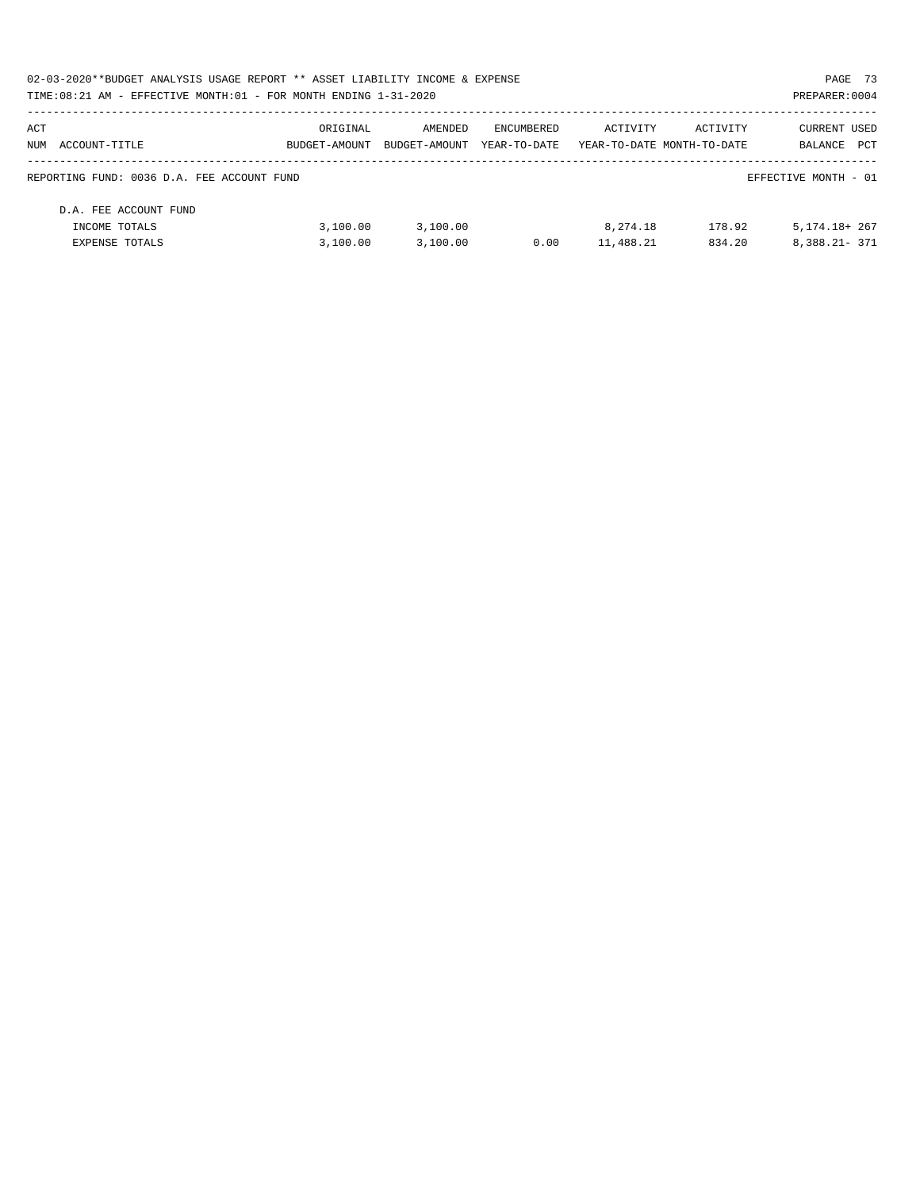| 02-03-2020**BUDGET ANALYSIS USAGE REPORT ** ASSET LIABILITY INCOME & EXPENSE |               |               |              |                            |          | PAGE 73              |  |
|------------------------------------------------------------------------------|---------------|---------------|--------------|----------------------------|----------|----------------------|--|
| TIME:08:21 AM - EFFECTIVE MONTH:01 - FOR MONTH ENDING 1-31-2020              |               |               |              |                            |          | PREPARER: 0004       |  |
| ACT                                                                          | ORIGINAL      | AMENDED       | ENCUMBERED   | ACTIVITY                   | ACTIVITY | <b>CURRENT USED</b>  |  |
| NUM ACCOUNT-TITLE                                                            | BUDGET-AMOUNT | BUDGET-AMOUNT | YEAR-TO-DATE | YEAR-TO-DATE MONTH-TO-DATE |          | PCT<br>BALANCE       |  |
| REPORTING FUND: 0036 D.A. FEE ACCOUNT FUND                                   |               |               |              |                            |          | EFFECTIVE MONTH - 01 |  |
| D.A. FEE ACCOUNT FUND                                                        |               |               |              |                            |          |                      |  |
| INCOME TOTALS                                                                | 3.100.00      | 3.100.00      |              | 8,274.18                   | 178.92   | $5.174.18 + 267$     |  |
| EXPENSE TOTALS                                                               | 3.100.00      | 3,100.00      | 0.00         | 11,488.21                  | 834.20   | $8.388.21 - 371$     |  |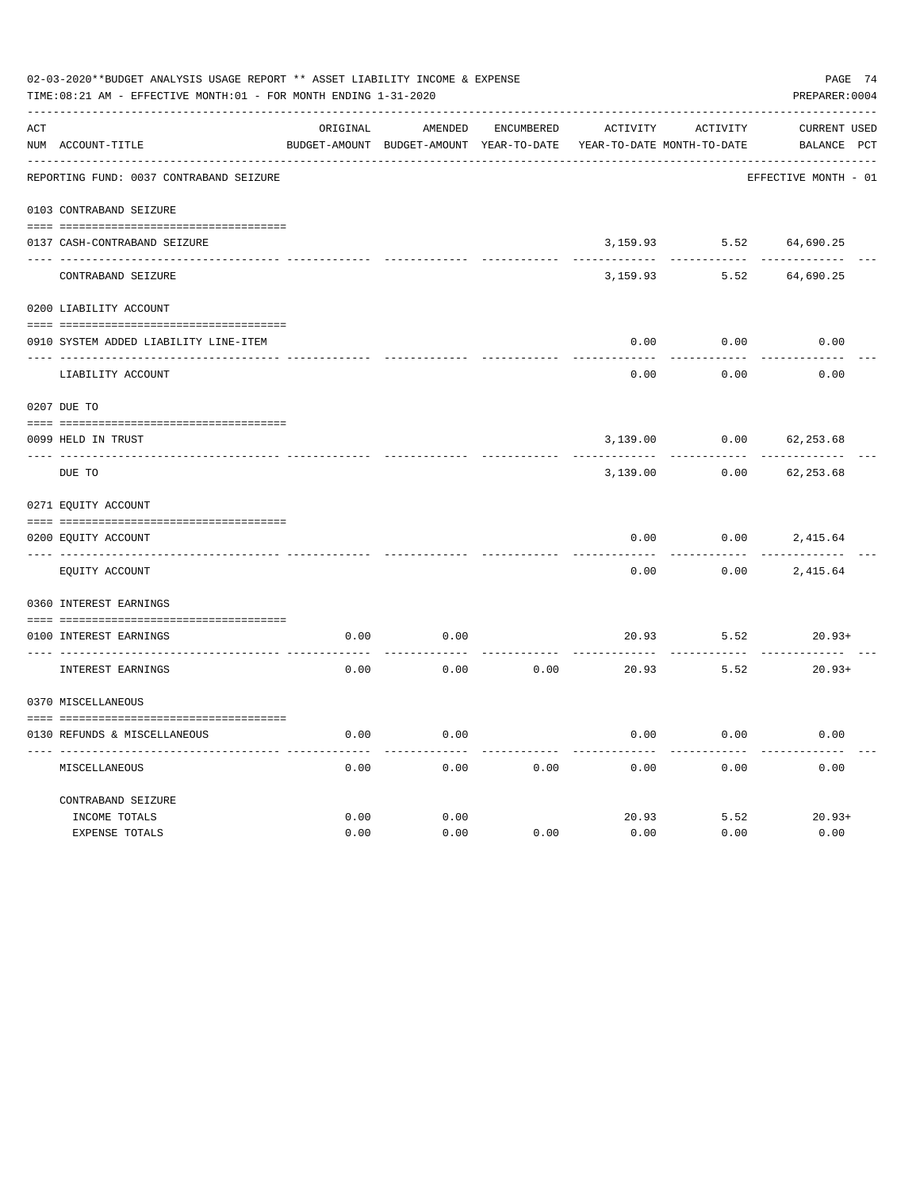|     | 02-03-2020**BUDGET ANALYSIS USAGE REPORT ** ASSET LIABILITY INCOME & EXPENSE<br>PAGE 74<br>TIME:08:21 AM - EFFECTIVE MONTH:01 - FOR MONTH ENDING 1-31-2020<br>PREPARER: 0004 |          |                                          |                   |                            |          |                      |  |  |  |
|-----|------------------------------------------------------------------------------------------------------------------------------------------------------------------------------|----------|------------------------------------------|-------------------|----------------------------|----------|----------------------|--|--|--|
| ACT |                                                                                                                                                                              | ORIGINAL | AMENDED                                  | <b>ENCUMBERED</b> | ACTIVITY                   | ACTIVITY | CURRENT USED         |  |  |  |
|     | NUM ACCOUNT-TITLE                                                                                                                                                            |          | BUDGET-AMOUNT BUDGET-AMOUNT YEAR-TO-DATE |                   | YEAR-TO-DATE MONTH-TO-DATE |          | BALANCE PCT          |  |  |  |
|     | REPORTING FUND: 0037 CONTRABAND SEIZURE                                                                                                                                      |          |                                          |                   |                            |          | EFFECTIVE MONTH - 01 |  |  |  |
|     | 0103 CONTRABAND SEIZURE                                                                                                                                                      |          |                                          |                   |                            |          |                      |  |  |  |
|     | 0137 CASH-CONTRABAND SEIZURE                                                                                                                                                 |          |                                          |                   | 3,159.93                   | 5.52     | 64,690.25            |  |  |  |
|     | CONTRABAND SEIZURE                                                                                                                                                           |          |                                          |                   | 3,159.93                   | 5.52     | 64,690.25            |  |  |  |
|     | 0200 LIABILITY ACCOUNT                                                                                                                                                       |          |                                          |                   |                            |          |                      |  |  |  |
|     | 0910 SYSTEM ADDED LIABILITY LINE-ITEM                                                                                                                                        |          |                                          |                   | 0.00                       | 0.00     | 0.00                 |  |  |  |
|     | LIABILITY ACCOUNT                                                                                                                                                            |          |                                          |                   | 0.00                       | 0.00     | 0.00                 |  |  |  |
|     | 0207 DUE TO                                                                                                                                                                  |          |                                          |                   |                            |          |                      |  |  |  |
|     | 0099 HELD IN TRUST                                                                                                                                                           |          |                                          |                   | 3,139.00                   | 0.00     | 62, 253.68           |  |  |  |
|     | DUE TO                                                                                                                                                                       |          |                                          |                   | 3,139.00                   | 0.00     | 62, 253.68           |  |  |  |
|     | 0271 EQUITY ACCOUNT                                                                                                                                                          |          |                                          |                   |                            |          |                      |  |  |  |
|     | 0200 EQUITY ACCOUNT                                                                                                                                                          |          |                                          |                   | 0.00                       | 0.00     | 2,415.64             |  |  |  |
|     | EQUITY ACCOUNT                                                                                                                                                               |          |                                          |                   | 0.00                       | 0.00     | 2,415.64             |  |  |  |
|     | 0360 INTEREST EARNINGS                                                                                                                                                       |          |                                          |                   |                            |          |                      |  |  |  |
|     | 0100 INTEREST EARNINGS                                                                                                                                                       | 0.00     | 0.00                                     |                   | 20.93                      | 5.52     | $20.93+$             |  |  |  |
|     | INTEREST EARNINGS                                                                                                                                                            | 0.00     | 0.00                                     | 0.00              | 20.93                      | 5.52     | $20.93+$             |  |  |  |
|     | 0370 MISCELLANEOUS                                                                                                                                                           |          |                                          |                   |                            |          |                      |  |  |  |
|     | 0130 REFUNDS & MISCELLANEOUS                                                                                                                                                 | 0.00     | 0.00                                     |                   | 0.00                       | 0.00     | 0.00                 |  |  |  |
|     | MISCELLANEOUS                                                                                                                                                                | 0.00     | 0.00                                     | 0.00              | 0.00                       | 0.00     | 0.00                 |  |  |  |
|     | CONTRABAND SEIZURE                                                                                                                                                           |          |                                          |                   |                            |          |                      |  |  |  |
|     | INCOME TOTALS                                                                                                                                                                | 0.00     | 0.00                                     |                   | 20.93                      | 5.52     | $20.93+$             |  |  |  |
|     | <b>EXPENSE TOTALS</b>                                                                                                                                                        | 0.00     | 0.00                                     | 0.00              | 0.00                       | 0.00     | 0.00                 |  |  |  |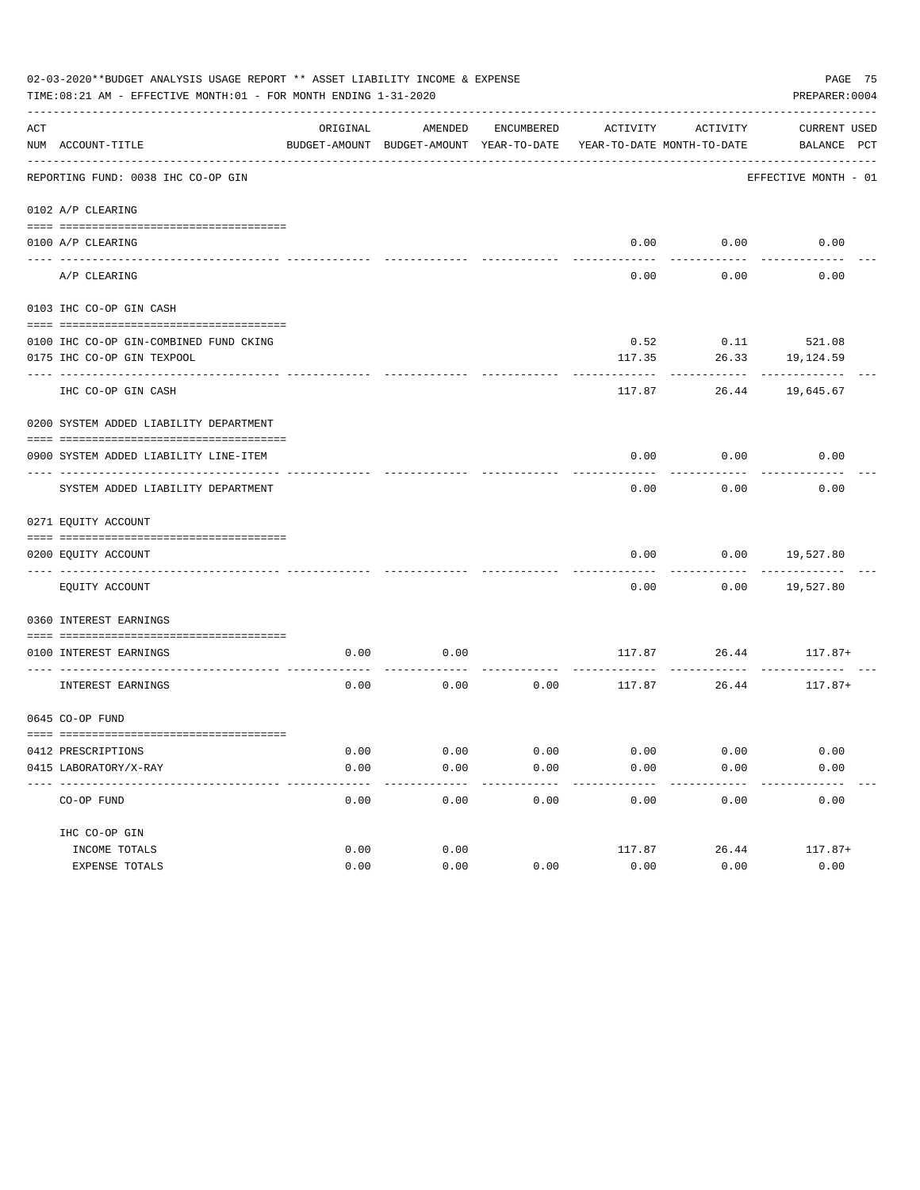|     | 02-03-2020**BUDGET ANALYSIS USAGE REPORT ** ASSET LIABILITY INCOME & EXPENSE<br>TIME: 08:21 AM - EFFECTIVE MONTH: 01 - FOR MONTH ENDING 1-31-2020 |          |                                                     |               |                   |                                        |                             |  |  |
|-----|---------------------------------------------------------------------------------------------------------------------------------------------------|----------|-----------------------------------------------------|---------------|-------------------|----------------------------------------|-----------------------------|--|--|
| ACT | NUM ACCOUNT-TITLE                                                                                                                                 | ORIGINAL | AMENDED<br>BUDGET-AMOUNT BUDGET-AMOUNT YEAR-TO-DATE | ENCUMBERED    | ACTIVITY          | ACTIVITY<br>YEAR-TO-DATE MONTH-TO-DATE | CURRENT USED<br>BALANCE PCT |  |  |
|     | REPORTING FUND: 0038 IHC CO-OP GIN                                                                                                                |          |                                                     |               |                   |                                        | EFFECTIVE MONTH - 01        |  |  |
|     | 0102 A/P CLEARING                                                                                                                                 |          |                                                     |               |                   |                                        |                             |  |  |
|     |                                                                                                                                                   |          |                                                     |               |                   |                                        |                             |  |  |
|     | 0100 A/P CLEARING                                                                                                                                 |          |                                                     |               |                   | $0.00$ $0.00$                          | 0.00                        |  |  |
|     | A/P CLEARING                                                                                                                                      |          |                                                     |               | 0.00              | 0.00                                   | 0.00                        |  |  |
|     | 0103 IHC CO-OP GIN CASH                                                                                                                           |          |                                                     |               |                   |                                        |                             |  |  |
|     | 0100 IHC CO-OP GIN-COMBINED FUND CKING                                                                                                            |          |                                                     |               | 0.52              |                                        | $0.11$ 521.08               |  |  |
|     | 0175 IHC CO-OP GIN TEXPOOL                                                                                                                        |          |                                                     |               | 117.35            | 26.33                                  | 19,124.59                   |  |  |
|     | ------------                                                                                                                                      |          |                                                     |               |                   |                                        |                             |  |  |
|     | IHC CO-OP GIN CASH                                                                                                                                |          |                                                     |               | 117.87            | 26.44                                  | 19,645.67                   |  |  |
|     | 0200 SYSTEM ADDED LIABILITY DEPARTMENT                                                                                                            |          |                                                     |               |                   |                                        |                             |  |  |
|     | 0900 SYSTEM ADDED LIABILITY LINE-ITEM                                                                                                             |          |                                                     |               | 0.00              | 0.00                                   | 0.00                        |  |  |
|     | SYSTEM ADDED LIABILITY DEPARTMENT                                                                                                                 |          |                                                     |               | 0.00              | 0.00                                   | 0.00                        |  |  |
|     | 0271 EQUITY ACCOUNT                                                                                                                               |          |                                                     |               |                   |                                        |                             |  |  |
|     | 0200 EQUITY ACCOUNT                                                                                                                               |          |                                                     |               | 0.00              | 0.00                                   | 19,527.80                   |  |  |
|     | EQUITY ACCOUNT                                                                                                                                    |          |                                                     |               | 0.00              | 0.00                                   | 19,527.80                   |  |  |
|     | 0360 INTEREST EARNINGS                                                                                                                            |          |                                                     |               |                   |                                        |                             |  |  |
|     | 0100 INTEREST EARNINGS                                                                                                                            | 0.00     | 0.00                                                |               |                   |                                        | $117.87$ $26.44$ $117.87+$  |  |  |
|     | INTEREST EARNINGS                                                                                                                                 | 0.00     | 0.00                                                | 0.00          |                   | 117.87 26.44                           | 117.87+                     |  |  |
|     | 0645 CO-OP FUND                                                                                                                                   |          |                                                     |               |                   |                                        |                             |  |  |
|     | 0412 PRESCRIPTIONS                                                                                                                                | 0.00     | 0.00                                                | 0.00          | 0.00              | 0.00                                   | 0.00                        |  |  |
|     | 0415 LABORATORY/X-RAY                                                                                                                             | 0.00     | 0.00                                                | 0.00          | 0.00              | 0.00                                   | 0.00                        |  |  |
|     | -------------------------------------<br>CO-OP FUND                                                                                               | 0.00     | $- - - - - -$<br>0.00                               | -----<br>0.00 | ---------<br>0.00 | ---------<br>0.00                      | ----------<br>0.00          |  |  |
|     | IHC CO-OP GIN                                                                                                                                     |          |                                                     |               |                   |                                        |                             |  |  |
|     | INCOME TOTALS                                                                                                                                     | 0.00     | 0.00                                                |               | 117.87            | 26.44                                  | $117.87+$                   |  |  |
|     | EXPENSE TOTALS                                                                                                                                    | 0.00     | 0.00                                                | 0.00          | 0.00              | 0.00                                   | 0.00                        |  |  |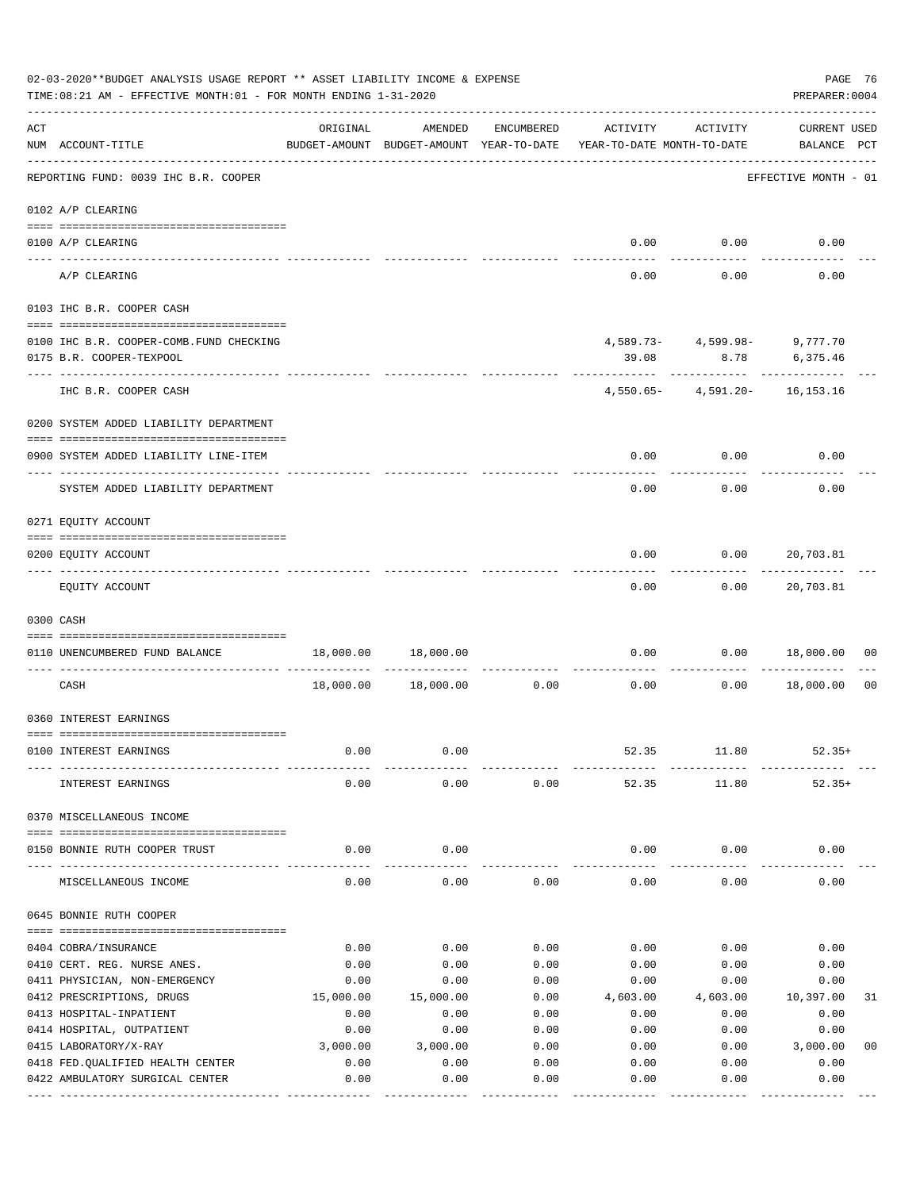|     | 02-03-2020**BUDGET ANALYSIS USAGE REPORT ** ASSET LIABILITY INCOME & EXPENSE<br>PAGE 76<br>TIME: 08:21 AM - EFFECTIVE MONTH: 01 - FOR MONTH ENDING 1-31-2020<br>PREPARER: 0004 |              |                                                     |                               |                                        |                                               |                                    |  |  |  |
|-----|--------------------------------------------------------------------------------------------------------------------------------------------------------------------------------|--------------|-----------------------------------------------------|-------------------------------|----------------------------------------|-----------------------------------------------|------------------------------------|--|--|--|
| ACT | NUM ACCOUNT-TITLE                                                                                                                                                              | ORIGINAL     | AMENDED<br>BUDGET-AMOUNT BUDGET-AMOUNT YEAR-TO-DATE | ENCUMBERED                    | ACTIVITY<br>YEAR-TO-DATE MONTH-TO-DATE | ACTIVITY                                      | <b>CURRENT USED</b><br>BALANCE PCT |  |  |  |
|     | REPORTING FUND: 0039 IHC B.R. COOPER                                                                                                                                           |              |                                                     |                               |                                        |                                               | EFFECTIVE MONTH - 01               |  |  |  |
|     | 0102 A/P CLEARING                                                                                                                                                              |              |                                                     |                               |                                        |                                               |                                    |  |  |  |
|     | 0100 A/P CLEARING<br>---- ---------                                                                                                                                            |              |                                                     |                               |                                        | $0.00$ $0.00$                                 | 0.00                               |  |  |  |
|     | A/P CLEARING                                                                                                                                                                   |              |                                                     |                               | 0.00                                   | 0.00                                          | 0.00                               |  |  |  |
|     | 0103 IHC B.R. COOPER CASH                                                                                                                                                      |              |                                                     |                               |                                        |                                               |                                    |  |  |  |
|     | 0100 IHC B.R. COOPER-COMB.FUND CHECKING<br>0175 B.R. COOPER-TEXPOOL                                                                                                            |              |                                                     |                               | 39.08                                  | $4,589.73 - 4,599.98 - 9,777.70$<br>--------- | 8.78 6,375.46                      |  |  |  |
|     | IHC B.R. COOPER CASH                                                                                                                                                           |              |                                                     |                               |                                        | $4,550.65 - 4,591.20 - 16,153.16$             |                                    |  |  |  |
|     | 0200 SYSTEM ADDED LIABILITY DEPARTMENT                                                                                                                                         |              |                                                     |                               |                                        |                                               |                                    |  |  |  |
|     | 0900 SYSTEM ADDED LIABILITY LINE-ITEM                                                                                                                                          |              |                                                     |                               | 0.00                                   | 0.00                                          | 0.00                               |  |  |  |
|     | SYSTEM ADDED LIABILITY DEPARTMENT                                                                                                                                              |              |                                                     |                               | 0.00                                   | 0.00                                          | 0.00                               |  |  |  |
|     | 0271 EQUITY ACCOUNT                                                                                                                                                            |              |                                                     |                               |                                        |                                               |                                    |  |  |  |
|     | 0200 EQUITY ACCOUNT                                                                                                                                                            |              |                                                     |                               | 0.00                                   | 0.00                                          | 20,703.81                          |  |  |  |
|     | EQUITY ACCOUNT                                                                                                                                                                 |              |                                                     |                               | 0.00                                   | 0.00                                          | 20,703.81                          |  |  |  |
|     | 0300 CASH                                                                                                                                                                      |              |                                                     |                               |                                        |                                               |                                    |  |  |  |
|     | 0110 UNENCUMBERED FUND BALANCE                                                                                                                                                 |              |                                                     |                               | 0.00                                   |                                               | $0.00$ 18,000.00<br>00             |  |  |  |
|     | CASH                                                                                                                                                                           |              | 18,000.00  18,000.00                                | . _ _ _ _ _ _ _ _ _ _<br>0.00 | 0.00                                   | 0.00                                          | 18,000.00<br>0 <sub>0</sub>        |  |  |  |
|     | 0360 INTEREST EARNINGS                                                                                                                                                         |              |                                                     |                               |                                        |                                               |                                    |  |  |  |
|     | 0100 INTEREST EARNINGS                                                                                                                                                         | 0.00         | 0.00                                                |                               | 52.35                                  | 11.80                                         | $52.35+$                           |  |  |  |
|     | INTEREST EARNINGS                                                                                                                                                              | 0.00         | 0.00                                                | 0.00                          | 52.35                                  | 11.80                                         | $52.35+$                           |  |  |  |
|     | 0370 MISCELLANEOUS INCOME                                                                                                                                                      |              |                                                     |                               |                                        |                                               |                                    |  |  |  |
|     | 0150 BONNIE RUTH COOPER TRUST                                                                                                                                                  | 0.00         | 0.00                                                |                               | 0.00                                   | 0.00                                          | 0.00                               |  |  |  |
|     | MISCELLANEOUS INCOME                                                                                                                                                           | 0.00         | 0.00                                                | 0.00                          | 0.00                                   | 0.00                                          | 0.00                               |  |  |  |
|     | 0645 BONNIE RUTH COOPER                                                                                                                                                        |              |                                                     |                               |                                        |                                               |                                    |  |  |  |
|     |                                                                                                                                                                                |              |                                                     |                               |                                        |                                               |                                    |  |  |  |
|     | 0404 COBRA/INSURANCE<br>0410 CERT. REG. NURSE ANES.                                                                                                                            | 0.00<br>0.00 | 0.00<br>0.00                                        | 0.00<br>0.00                  | 0.00<br>0.00                           | 0.00<br>0.00                                  | 0.00<br>0.00                       |  |  |  |
|     | 0411 PHYSICIAN, NON-EMERGENCY                                                                                                                                                  | 0.00         | 0.00                                                | 0.00                          | 0.00                                   | 0.00                                          | 0.00                               |  |  |  |
|     | 0412 PRESCRIPTIONS, DRUGS                                                                                                                                                      | 15,000.00    | 15,000.00                                           | 0.00                          | 4,603.00                               | 4,603.00                                      | 10,397.00<br>31                    |  |  |  |
|     | 0413 HOSPITAL-INPATIENT                                                                                                                                                        | 0.00         | 0.00                                                | 0.00                          | 0.00                                   | 0.00                                          | 0.00                               |  |  |  |
|     | 0414 HOSPITAL, OUTPATIENT                                                                                                                                                      | 0.00         | 0.00                                                | 0.00                          | 0.00                                   | 0.00                                          | 0.00                               |  |  |  |
|     | 0415 LABORATORY/X-RAY                                                                                                                                                          | 3,000.00     | 3,000.00                                            | 0.00                          | 0.00                                   | 0.00                                          | 3,000.00<br>0 <sub>0</sub>         |  |  |  |
|     | 0418 FED. QUALIFIED HEALTH CENTER                                                                                                                                              | 0.00         | 0.00                                                | 0.00                          | 0.00                                   | 0.00                                          | 0.00                               |  |  |  |
|     | 0422 AMBULATORY SURGICAL CENTER                                                                                                                                                | 0.00         | 0.00<br>----------                                  | 0.00                          | 0.00                                   | 0.00                                          | 0.00<br>---------                  |  |  |  |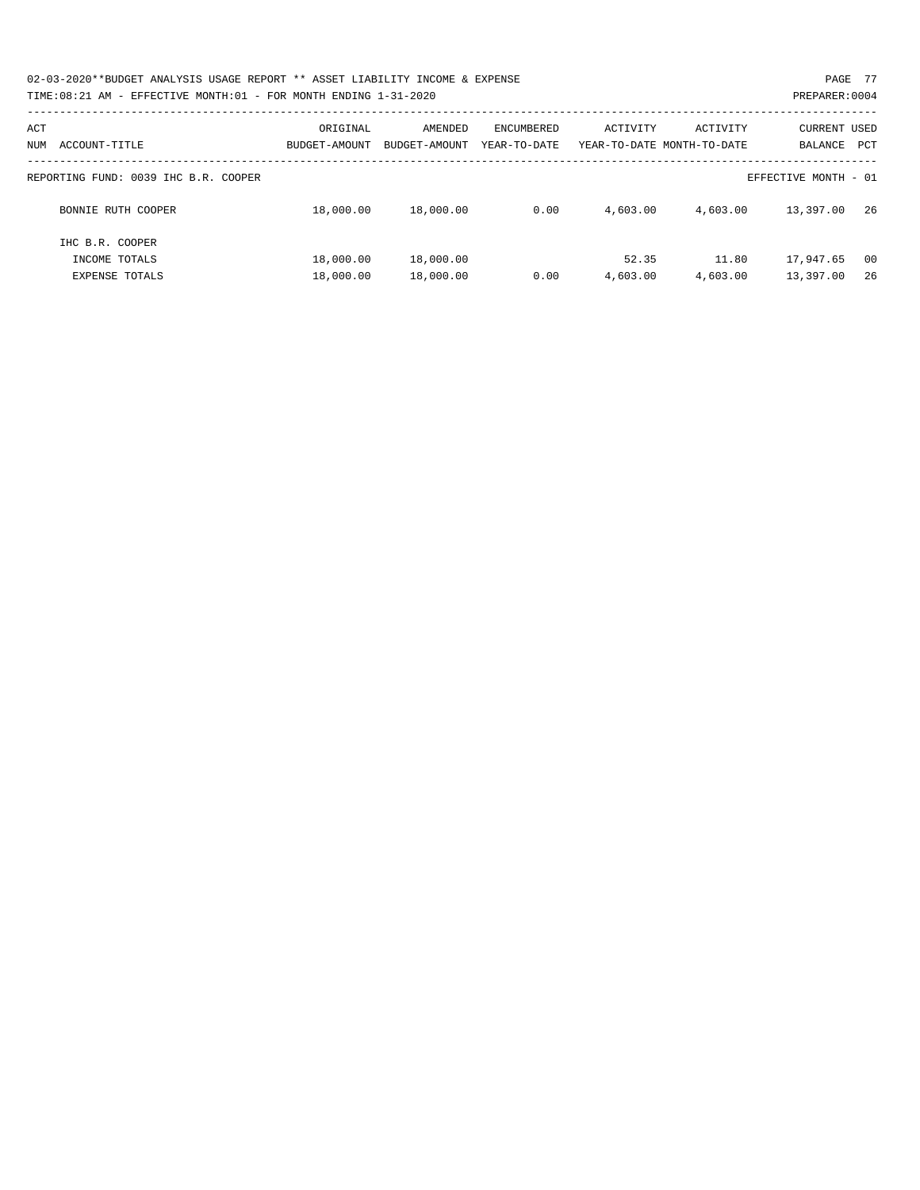02-03-2020\*\*BUDGET ANALYSIS USAGE REPORT \*\* ASSET LIABILITY INCOME & EXPENSE PAGE 77 TIME:08:21 AM - EFFECTIVE MONTH:01 - FOR MONTH ENDING 1-31-2020

| ACT<br>ACCOUNT-TITLE<br>NUM | ORIGINAL<br>BUDGET-AMOUNT                                    | AMENDED<br>BUDGET-AMOUNT | ENCUMBERED<br>YEAR-TO-DATE | ACTIVITY | ACTIVITY<br>YEAR-TO-DATE MONTH-TO-DATE | <b>CURRENT USED</b><br>BALANCE | PCT |  |  |
|-----------------------------|--------------------------------------------------------------|--------------------------|----------------------------|----------|----------------------------------------|--------------------------------|-----|--|--|
|                             | EFFECTIVE MONTH - 01<br>REPORTING FUND: 0039 IHC B.R. COOPER |                          |                            |          |                                        |                                |     |  |  |
|                             |                                                              |                          |                            |          |                                        |                                |     |  |  |
| BONNIE RUTH COOPER          | 18,000.00                                                    | 18,000.00                | 0.00                       | 4,603.00 | 4,603.00                               | 13,397.00                      | 26  |  |  |
| IHC B.R. COOPER             |                                                              |                          |                            |          |                                        |                                |     |  |  |
| INCOME TOTALS               | 18,000.00                                                    | 18,000.00                |                            | 52.35    | 11.80                                  | 17,947.65                      | 00  |  |  |
| <b>EXPENSE TOTALS</b>       | 18,000.00                                                    | 18,000.00                | 0.00                       | 4,603.00 | 4,603.00                               | 13,397.00                      | 26  |  |  |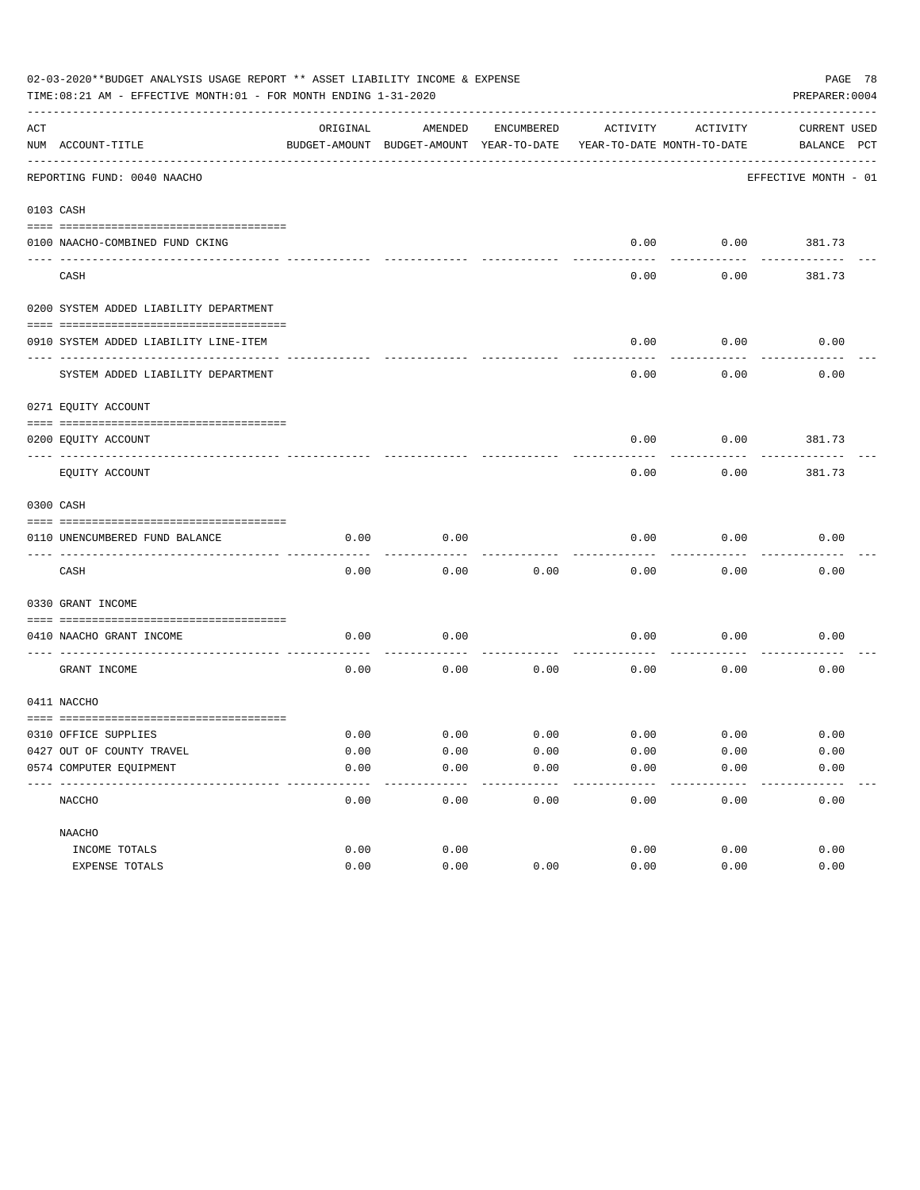| 02-03-2020**BUDGET ANALYSIS USAGE REPORT ** ASSET LIABILITY INCOME & EXPENSE<br>PREPARER: 0004<br>TIME:08:21 AM - EFFECTIVE MONTH:01 - FOR MONTH ENDING 1-31-2020 |                                                               |          |                                                     |            |          |                                        |                                    |  |  |
|-------------------------------------------------------------------------------------------------------------------------------------------------------------------|---------------------------------------------------------------|----------|-----------------------------------------------------|------------|----------|----------------------------------------|------------------------------------|--|--|
| ACT                                                                                                                                                               | NUM ACCOUNT-TITLE                                             | ORIGINAL | AMENDED<br>BUDGET-AMOUNT BUDGET-AMOUNT YEAR-TO-DATE | ENCUMBERED | ACTIVITY | ACTIVITY<br>YEAR-TO-DATE MONTH-TO-DATE | <b>CURRENT USED</b><br>BALANCE PCT |  |  |
|                                                                                                                                                                   | ______________________________<br>REPORTING FUND: 0040 NAACHO |          |                                                     |            |          |                                        | EFFECTIVE MONTH - 01               |  |  |
|                                                                                                                                                                   | 0103 CASH                                                     |          |                                                     |            |          |                                        |                                    |  |  |
|                                                                                                                                                                   | 0100 NAACHO-COMBINED FUND CKING                               |          |                                                     |            | 0.00     |                                        | $0.00$ 381.73                      |  |  |
|                                                                                                                                                                   | CASH                                                          |          |                                                     |            | 0.00     | 0.00                                   | 381.73                             |  |  |
|                                                                                                                                                                   | 0200 SYSTEM ADDED LIABILITY DEPARTMENT                        |          |                                                     |            |          |                                        |                                    |  |  |
|                                                                                                                                                                   | 0910 SYSTEM ADDED LIABILITY LINE-ITEM                         |          |                                                     |            | 0.00     | 0.00                                   | 0.00                               |  |  |
|                                                                                                                                                                   | SYSTEM ADDED LIABILITY DEPARTMENT                             |          |                                                     |            | 0.00     | 0.00                                   | 0.00                               |  |  |
|                                                                                                                                                                   | 0271 EQUITY ACCOUNT                                           |          |                                                     |            |          |                                        |                                    |  |  |
|                                                                                                                                                                   | 0200 EQUITY ACCOUNT                                           |          |                                                     |            | 0.00     | 0.00                                   | 381.73                             |  |  |
|                                                                                                                                                                   | EQUITY ACCOUNT                                                |          |                                                     |            | 0.00     | 0.00                                   | 381.73                             |  |  |
|                                                                                                                                                                   | 0300 CASH                                                     |          |                                                     |            |          |                                        |                                    |  |  |
|                                                                                                                                                                   | 0110 UNENCUMBERED FUND BALANCE                                | 0.00     | 0.00                                                |            | 0.00     | 0.00                                   | 0.00                               |  |  |
|                                                                                                                                                                   | CASH                                                          | 0.00     | 0.00                                                | 0.00       | 0.00     | 0.00                                   | 0.00                               |  |  |
|                                                                                                                                                                   | 0330 GRANT INCOME                                             |          |                                                     |            |          |                                        |                                    |  |  |
|                                                                                                                                                                   | 0410 NAACHO GRANT INCOME<br>------------------- --            | 0.00     | 0.00                                                |            | 0.00     | 0.00                                   | 0.00                               |  |  |
|                                                                                                                                                                   | GRANT INCOME                                                  | 0.00     | 0.00                                                | 0.00       | 0.00     | 0.00                                   | 0.00                               |  |  |
|                                                                                                                                                                   | 0411 NACCHO                                                   |          |                                                     |            |          |                                        |                                    |  |  |
|                                                                                                                                                                   | 0310 OFFICE SUPPLIES                                          | 0.00     | 0.00                                                | 0.00       |          | $0.00$ 0.00                            | 0.00                               |  |  |
|                                                                                                                                                                   | 0427 OUT OF COUNTY TRAVEL                                     | 0.00     | 0.00                                                | 0.00       | 0.00     | 0.00                                   | 0.00                               |  |  |
|                                                                                                                                                                   | 0574 COMPUTER EQUIPMENT                                       | 0.00     | 0.00                                                | 0.00       | 0.00     | 0.00                                   | 0.00                               |  |  |
|                                                                                                                                                                   | NACCHO                                                        | 0.00     | 0.00                                                | 0.00       | 0.00     | 0.00                                   | 0.00                               |  |  |
|                                                                                                                                                                   | NAACHO                                                        |          |                                                     |            |          |                                        |                                    |  |  |
|                                                                                                                                                                   | INCOME TOTALS                                                 | 0.00     | 0.00                                                |            | 0.00     | 0.00                                   | 0.00                               |  |  |
|                                                                                                                                                                   | EXPENSE TOTALS                                                | 0.00     | 0.00                                                | 0.00       | 0.00     | 0.00                                   | 0.00                               |  |  |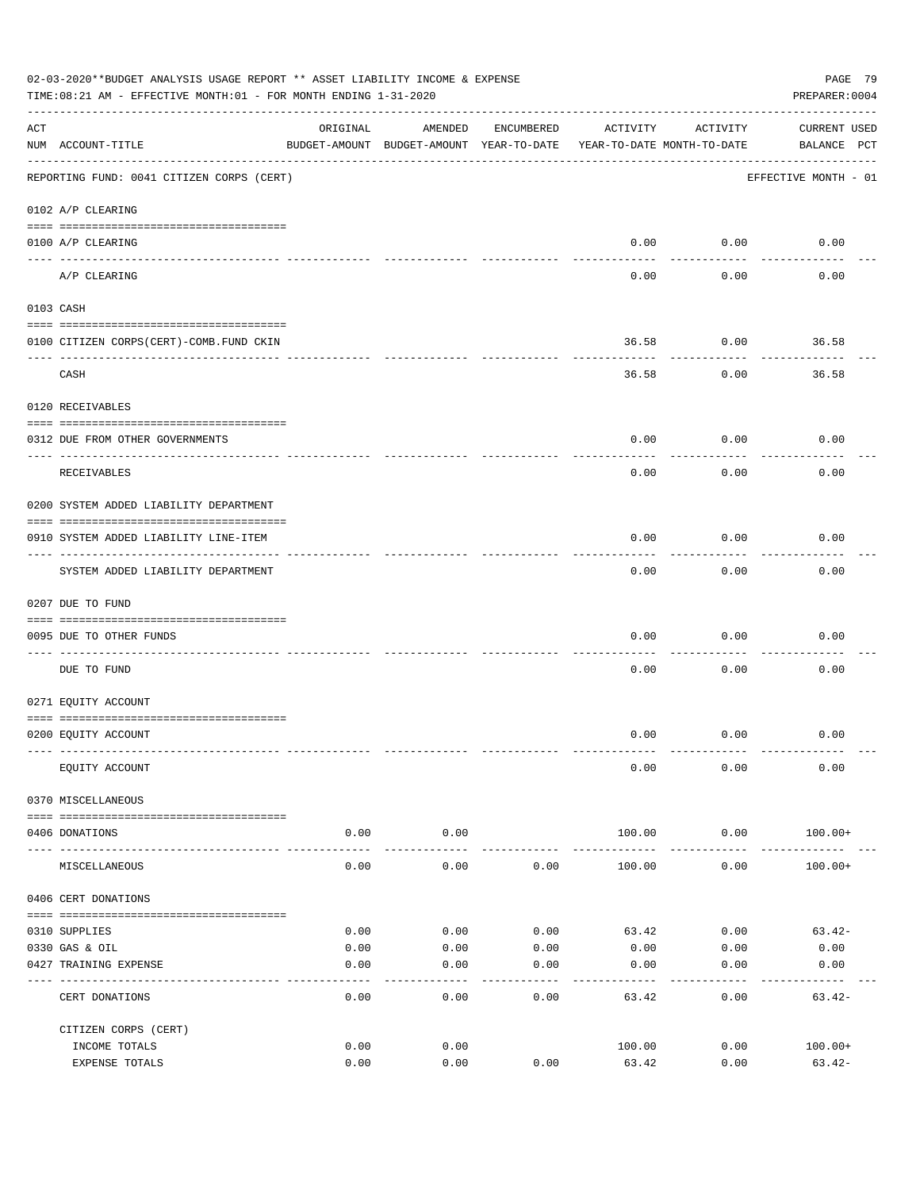|     | 02-03-2020**BUDGET ANALYSIS USAGE REPORT ** ASSET LIABILITY INCOME & EXPENSE<br>PAGE 79<br>PREPARER: 0004<br>TIME:08:21 AM - EFFECTIVE MONTH:01 - FOR MONTH ENDING 1-31-2020 |                                                                                 |                     |            |          |                    |                                    |  |  |  |
|-----|------------------------------------------------------------------------------------------------------------------------------------------------------------------------------|---------------------------------------------------------------------------------|---------------------|------------|----------|--------------------|------------------------------------|--|--|--|
| ACT | NUM ACCOUNT-TITLE                                                                                                                                                            | ORIGINAL<br>BUDGET-AMOUNT BUDGET-AMOUNT YEAR-TO-DATE YEAR-TO-DATE MONTH-TO-DATE | AMENDED             | ENCUMBERED | ACTIVITY | ACTIVITY           | <b>CURRENT USED</b><br>BALANCE PCT |  |  |  |
|     | REPORTING FUND: 0041 CITIZEN CORPS (CERT)                                                                                                                                    |                                                                                 |                     |            |          |                    | EFFECTIVE MONTH - 01               |  |  |  |
|     | 0102 A/P CLEARING                                                                                                                                                            |                                                                                 |                     |            |          |                    |                                    |  |  |  |
|     | 0100 A/P CLEARING                                                                                                                                                            |                                                                                 |                     |            |          | $0.00$ 0.00        | 0.00                               |  |  |  |
|     | A/P CLEARING                                                                                                                                                                 |                                                                                 |                     |            | 0.00     | ----------<br>0.00 | 0.00                               |  |  |  |
|     | 0103 CASH                                                                                                                                                                    |                                                                                 |                     |            |          |                    |                                    |  |  |  |
|     | 0100 CITIZEN CORPS (CERT)-COMB. FUND CKIN                                                                                                                                    |                                                                                 |                     |            | 36.58    | 0.00               | 36.58                              |  |  |  |
|     | CASH                                                                                                                                                                         |                                                                                 |                     |            | 36.58    | ---------<br>0.00  | 36.58                              |  |  |  |
|     | 0120 RECEIVABLES                                                                                                                                                             |                                                                                 |                     |            |          |                    |                                    |  |  |  |
|     | 0312 DUE FROM OTHER GOVERNMENTS                                                                                                                                              |                                                                                 |                     |            | 0.00     | 0.00               | 0.00                               |  |  |  |
|     | RECEIVABLES                                                                                                                                                                  |                                                                                 |                     |            | 0.00     | 0.00               | 0.00                               |  |  |  |
|     | 0200 SYSTEM ADDED LIABILITY DEPARTMENT                                                                                                                                       |                                                                                 |                     |            |          |                    |                                    |  |  |  |
|     | 0910 SYSTEM ADDED LIABILITY LINE-ITEM                                                                                                                                        |                                                                                 |                     |            | 0.00     | 0.00               | 0.00                               |  |  |  |
|     | SYSTEM ADDED LIABILITY DEPARTMENT                                                                                                                                            |                                                                                 |                     |            | 0.00     | ---------<br>0.00  | 0.00                               |  |  |  |
|     | 0207 DUE TO FUND                                                                                                                                                             |                                                                                 |                     |            |          |                    |                                    |  |  |  |
|     | 0095 DUE TO OTHER FUNDS                                                                                                                                                      |                                                                                 |                     |            | 0.00     | 0.00               | 0.00                               |  |  |  |
|     | DUE TO FUND                                                                                                                                                                  |                                                                                 |                     |            | 0.00     | 0.00               | 0.00                               |  |  |  |
|     | 0271 EQUITY ACCOUNT                                                                                                                                                          |                                                                                 |                     |            |          |                    |                                    |  |  |  |
|     | 0200 EQUITY ACCOUNT                                                                                                                                                          |                                                                                 |                     |            |          | $0.00$ 0.00        | 0.00                               |  |  |  |
|     | EQUITY ACCOUNT                                                                                                                                                               |                                                                                 |                     |            | 0.00     | 0.00               | 0.00                               |  |  |  |
|     | 0370 MISCELLANEOUS                                                                                                                                                           |                                                                                 |                     |            |          |                    |                                    |  |  |  |
|     | 0406 DONATIONS                                                                                                                                                               | 0.00                                                                            | 0.00                |            | 100.00   | 0.00               | $100.00+$                          |  |  |  |
|     | MISCELLANEOUS                                                                                                                                                                | ------ --------------<br>0.00                                                   | -----------<br>0.00 | 0.00       | 100.00   | ----------<br>0.00 | $100.00+$                          |  |  |  |
|     | 0406 CERT DONATIONS                                                                                                                                                          |                                                                                 |                     |            |          |                    |                                    |  |  |  |
|     | 0310 SUPPLIES                                                                                                                                                                | 0.00                                                                            | 0.00                | 0.00       | 63.42    | 0.00               | $63.42-$                           |  |  |  |
|     | 0330 GAS & OIL                                                                                                                                                               | 0.00                                                                            | 0.00                | 0.00       | 0.00     | 0.00               | 0.00                               |  |  |  |
|     | 0427 TRAINING EXPENSE                                                                                                                                                        | 0.00                                                                            | 0.00                | 0.00       | 0.00     | 0.00               | 0.00                               |  |  |  |
|     | CERT DONATIONS                                                                                                                                                               | 0.00                                                                            | 0.00                | 0.00       | 63.42    | 0.00               | $63.42-$                           |  |  |  |
|     | CITIZEN CORPS (CERT)                                                                                                                                                         |                                                                                 |                     |            |          |                    |                                    |  |  |  |
|     | INCOME TOTALS                                                                                                                                                                | 0.00<br>0.00                                                                    | 0.00<br>0.00        | 0.00       | 100.00   | 0.00<br>0.00       | $100.00+$                          |  |  |  |
|     | EXPENSE TOTALS                                                                                                                                                               |                                                                                 |                     |            | 63.42    |                    | $63.42-$                           |  |  |  |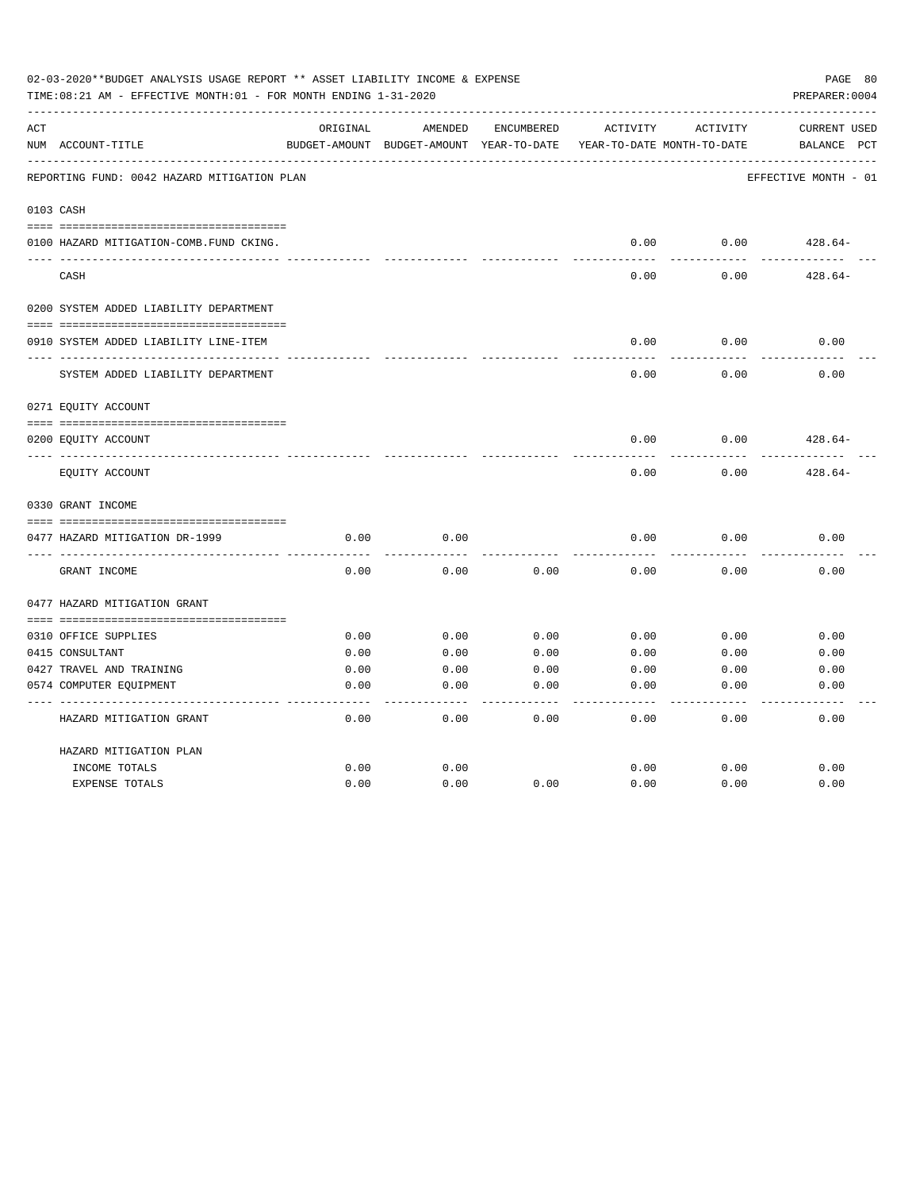| 02-03-2020**BUDGET ANALYSIS USAGE REPORT ** ASSET LIABILITY INCOME & EXPENSE<br>TIME: 08:21 AM - EFFECTIVE MONTH: 01 - FOR MONTH ENDING 1-31-2020<br>PREPARER: 0004 |                                             |          |                                          |            |          |                            |                      |  |
|---------------------------------------------------------------------------------------------------------------------------------------------------------------------|---------------------------------------------|----------|------------------------------------------|------------|----------|----------------------------|----------------------|--|
| ACT                                                                                                                                                                 |                                             | ORIGINAL | AMENDED                                  | ENCUMBERED | ACTIVITY | ACTIVITY                   | <b>CURRENT USED</b>  |  |
|                                                                                                                                                                     | NUM ACCOUNT-TITLE                           |          | BUDGET-AMOUNT BUDGET-AMOUNT YEAR-TO-DATE |            |          | YEAR-TO-DATE MONTH-TO-DATE | BALANCE<br>PCT       |  |
|                                                                                                                                                                     | REPORTING FUND: 0042 HAZARD MITIGATION PLAN |          |                                          |            |          |                            | EFFECTIVE MONTH - 01 |  |
|                                                                                                                                                                     | 0103 CASH                                   |          |                                          |            |          |                            |                      |  |
|                                                                                                                                                                     | 0100 HAZARD MITIGATION-COMB.FUND CKING.     |          |                                          |            | 0.00     | 0.00                       | $428.64-$            |  |
|                                                                                                                                                                     | CASH                                        |          |                                          |            | 0.00     | 0.00                       | $428.64-$            |  |
|                                                                                                                                                                     | 0200 SYSTEM ADDED LIABILITY DEPARTMENT      |          |                                          |            |          |                            |                      |  |
|                                                                                                                                                                     |                                             |          |                                          |            |          |                            |                      |  |
|                                                                                                                                                                     | 0910 SYSTEM ADDED LIABILITY LINE-ITEM       |          |                                          |            | 0.00     | 0.00                       | 0.00                 |  |
|                                                                                                                                                                     | SYSTEM ADDED LIABILITY DEPARTMENT           |          |                                          |            | 0.00     | 0.00                       | 0.00                 |  |
|                                                                                                                                                                     | 0271 EQUITY ACCOUNT                         |          |                                          |            |          |                            |                      |  |
|                                                                                                                                                                     | 0200 EQUITY ACCOUNT                         |          |                                          |            | 0.00     | 0.00                       | $428.64-$            |  |
|                                                                                                                                                                     | EQUITY ACCOUNT                              |          |                                          |            | 0.00     | 0.00                       | $428.64-$            |  |
|                                                                                                                                                                     | 0330 GRANT INCOME                           |          |                                          |            |          |                            |                      |  |
|                                                                                                                                                                     |                                             |          |                                          |            |          |                            |                      |  |
|                                                                                                                                                                     | 0477 HAZARD MITIGATION DR-1999              | 0.00     | 0.00                                     |            | 0.00     | 0.00                       | 0.00                 |  |
|                                                                                                                                                                     | GRANT INCOME                                | 0.00     | 0.00                                     | 0.00       | 0.00     | 0.00                       | 0.00                 |  |
|                                                                                                                                                                     | 0477 HAZARD MITIGATION GRANT                |          |                                          |            |          |                            |                      |  |
|                                                                                                                                                                     | 0310 OFFICE SUPPLIES                        | 0.00     | 0.00                                     | 0.00       | 0.00     | 0.00                       | 0.00                 |  |
|                                                                                                                                                                     | 0415 CONSULTANT                             | 0.00     | 0.00                                     | 0.00       | 0.00     | 0.00                       | 0.00                 |  |
|                                                                                                                                                                     | 0427 TRAVEL AND TRAINING                    | 0.00     | 0.00                                     | 0.00       | 0.00     | 0.00                       | 0.00                 |  |
|                                                                                                                                                                     | 0574 COMPUTER EQUIPMENT                     | 0.00     | 0.00                                     | 0.00       | 0.00     | 0.00                       | 0.00                 |  |
|                                                                                                                                                                     | HAZARD MITIGATION GRANT                     | 0.00     | 0.00                                     | 0.00       | 0.00     | 0.00                       | 0.00                 |  |
|                                                                                                                                                                     | HAZARD MITIGATION PLAN                      |          |                                          |            |          |                            |                      |  |
|                                                                                                                                                                     | INCOME TOTALS                               | 0.00     | 0.00                                     |            | 0.00     | 0.00                       | 0.00                 |  |
|                                                                                                                                                                     | <b>EXPENSE TOTALS</b>                       | 0.00     | 0.00                                     | 0.00       | 0.00     | 0.00                       | 0.00                 |  |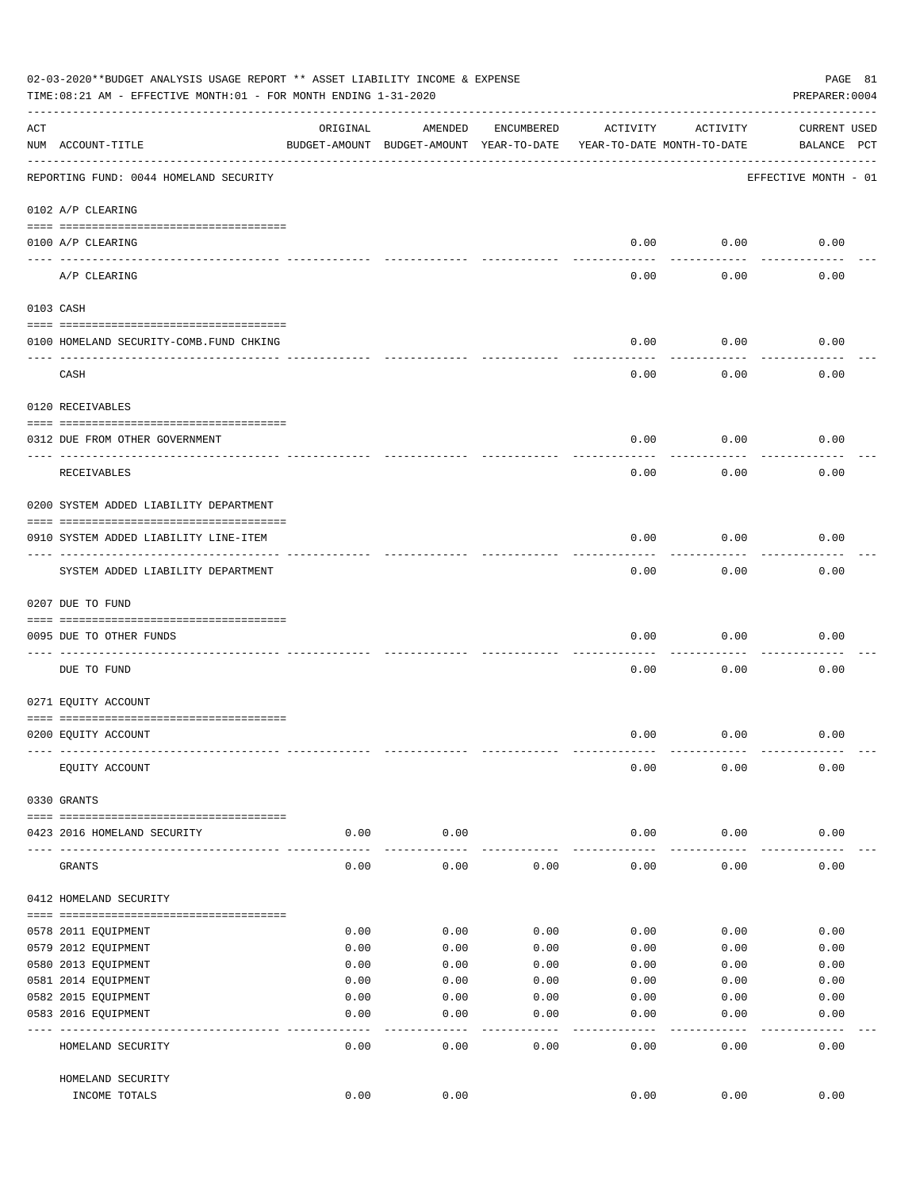|     | 02-03-2020**BUDGET ANALYSIS USAGE REPORT ** ASSET LIABILITY INCOME & EXPENSE<br>PAGE 81<br>PREPARER: 0004<br>TIME:08:21 AM - EFFECTIVE MONTH:01 - FOR MONTH ENDING 1-31-2020 |              |                                                     |              |                                        |              |                                    |  |  |  |
|-----|------------------------------------------------------------------------------------------------------------------------------------------------------------------------------|--------------|-----------------------------------------------------|--------------|----------------------------------------|--------------|------------------------------------|--|--|--|
| ACT | NUM ACCOUNT-TITLE                                                                                                                                                            | ORIGINAL     | AMENDED<br>BUDGET-AMOUNT BUDGET-AMOUNT YEAR-TO-DATE | ENCUMBERED   | ACTIVITY<br>YEAR-TO-DATE MONTH-TO-DATE | ACTIVITY     | <b>CURRENT USED</b><br>BALANCE PCT |  |  |  |
|     | REPORTING FUND: 0044 HOMELAND SECURITY                                                                                                                                       |              |                                                     |              |                                        |              | EFFECTIVE MONTH - 01               |  |  |  |
|     | 0102 A/P CLEARING                                                                                                                                                            |              |                                                     |              |                                        |              |                                    |  |  |  |
|     | 0100 A/P CLEARING<br>---- ----------                                                                                                                                         |              |                                                     |              | 0.00                                   | 0.00         | 0.00                               |  |  |  |
|     | A/P CLEARING                                                                                                                                                                 |              |                                                     |              | 0.00                                   | 0.00         | 0.00                               |  |  |  |
|     | 0103 CASH                                                                                                                                                                    |              |                                                     |              |                                        |              |                                    |  |  |  |
|     | 0100 HOMELAND SECURITY-COMB.FUND CHKING                                                                                                                                      |              |                                                     |              | 0.00                                   | 0.00         | 0.00                               |  |  |  |
|     | CASH                                                                                                                                                                         |              |                                                     |              | 0.00                                   | 0.00         | 0.00                               |  |  |  |
|     | 0120 RECEIVABLES                                                                                                                                                             |              |                                                     |              |                                        |              |                                    |  |  |  |
|     | 0312 DUE FROM OTHER GOVERNMENT                                                                                                                                               |              |                                                     |              | 0.00                                   | 0.00         | 0.00                               |  |  |  |
|     | RECEIVABLES                                                                                                                                                                  |              |                                                     |              | 0.00                                   | 0.00         | 0.00                               |  |  |  |
|     | 0200 SYSTEM ADDED LIABILITY DEPARTMENT                                                                                                                                       |              |                                                     |              |                                        |              |                                    |  |  |  |
|     | 0910 SYSTEM ADDED LIABILITY LINE-ITEM                                                                                                                                        |              |                                                     |              | 0.00                                   | 0.00         | 0.00                               |  |  |  |
|     | SYSTEM ADDED LIABILITY DEPARTMENT                                                                                                                                            |              |                                                     |              | 0.00                                   | 0.00         | 0.00                               |  |  |  |
|     | 0207 DUE TO FUND                                                                                                                                                             |              |                                                     |              |                                        |              |                                    |  |  |  |
|     | 0095 DUE TO OTHER FUNDS                                                                                                                                                      |              |                                                     |              | 0.00                                   | 0.00         | 0.00                               |  |  |  |
|     | DUE TO FUND                                                                                                                                                                  |              |                                                     |              | 0.00                                   | 0.00         | 0.00                               |  |  |  |
|     | 0271 EQUITY ACCOUNT                                                                                                                                                          |              |                                                     |              |                                        |              |                                    |  |  |  |
|     | 0200 EQUITY ACCOUNT                                                                                                                                                          |              |                                                     |              | 0.00                                   | 0.00         | 0.00                               |  |  |  |
|     | EQUITY ACCOUNT                                                                                                                                                               |              |                                                     |              | 0.00                                   | 0.00         | 0.00                               |  |  |  |
|     | 0330 GRANTS                                                                                                                                                                  |              |                                                     |              |                                        |              |                                    |  |  |  |
|     |                                                                                                                                                                              |              |                                                     |              |                                        |              |                                    |  |  |  |
|     | 0423 2016 HOMELAND SECURITY                                                                                                                                                  | 0.00         | 0.00                                                |              | 0.00                                   | 0.00         | 0.00                               |  |  |  |
|     | GRANTS                                                                                                                                                                       | 0.00         | 0.00                                                | 0.00         | 0.00                                   | 0.00         | 0.00                               |  |  |  |
|     | 0412 HOMELAND SECURITY                                                                                                                                                       |              |                                                     |              |                                        |              |                                    |  |  |  |
|     |                                                                                                                                                                              |              |                                                     |              |                                        |              |                                    |  |  |  |
|     | 0578 2011 EQUIPMENT<br>0579 2012 EQUIPMENT                                                                                                                                   | 0.00<br>0.00 | 0.00<br>0.00                                        | 0.00<br>0.00 | 0.00<br>0.00                           | 0.00<br>0.00 | 0.00<br>0.00                       |  |  |  |
|     | 0580 2013 EQUIPMENT                                                                                                                                                          | 0.00         | 0.00                                                | 0.00         | 0.00                                   | 0.00         | 0.00                               |  |  |  |
|     | 0581 2014 EQUIPMENT                                                                                                                                                          | 0.00         | 0.00                                                | 0.00         | 0.00                                   | 0.00         | 0.00                               |  |  |  |
|     | 0582 2015 EQUIPMENT                                                                                                                                                          | 0.00         | 0.00                                                | 0.00         | 0.00                                   | 0.00         | 0.00                               |  |  |  |
|     | 0583 2016 EQUIPMENT                                                                                                                                                          | 0.00         | 0.00                                                | 0.00         | 0.00                                   | 0.00         | 0.00                               |  |  |  |
|     |                                                                                                                                                                              |              | - - - -                                             | ----         | $---$                                  | .            | -----                              |  |  |  |
|     | HOMELAND SECURITY                                                                                                                                                            | 0.00         | 0.00                                                | 0.00         | 0.00                                   | 0.00         | 0.00                               |  |  |  |
|     | HOMELAND SECURITY                                                                                                                                                            |              |                                                     |              |                                        |              |                                    |  |  |  |
|     | INCOME TOTALS                                                                                                                                                                | 0.00         | 0.00                                                |              | 0.00                                   | 0.00         | 0.00                               |  |  |  |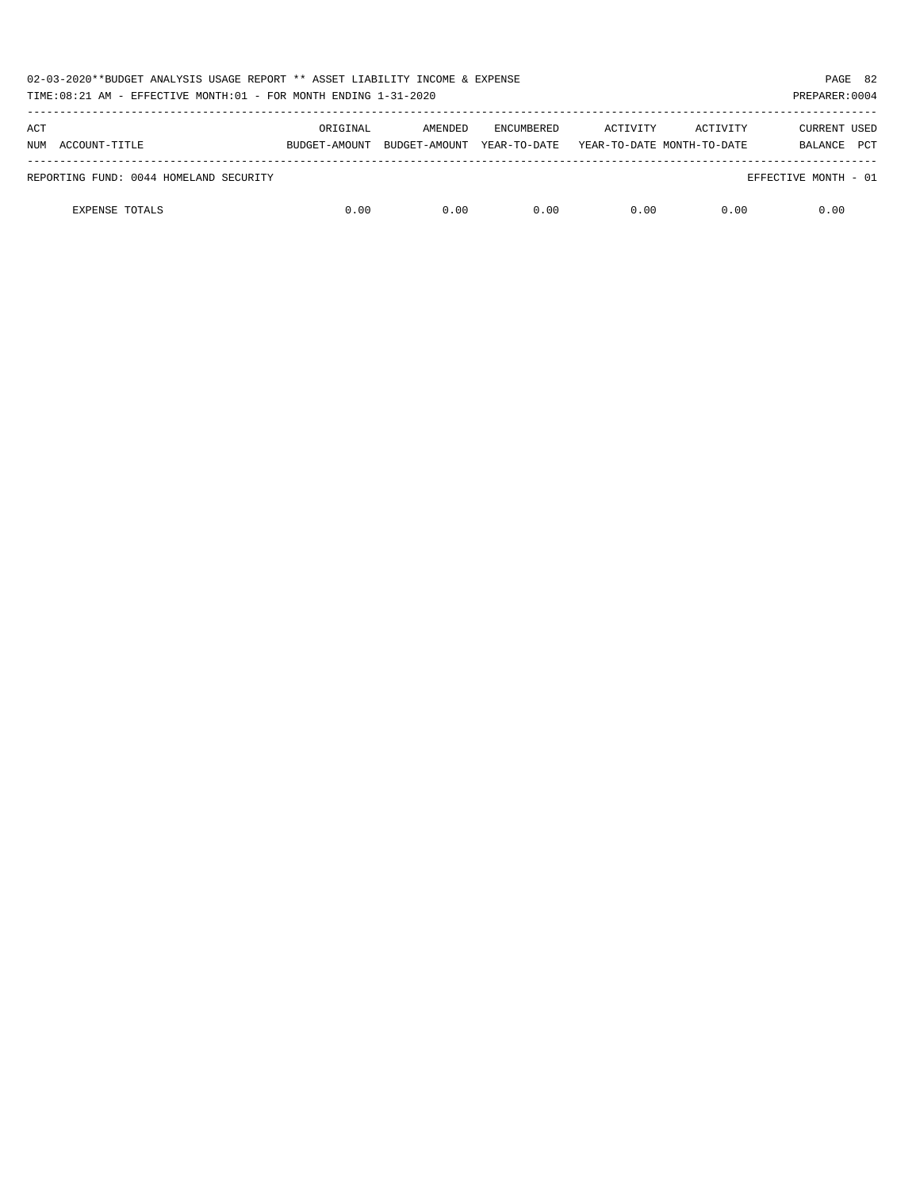| 02-03-2020**BUDGET ANALYSIS USAGE REPORT ** ASSET LIABILITY INCOME & EXPENSE<br>TIME:08:21 AM - EFFECTIVE MONTH:01 - FOR MONTH ENDING 1-31-2020<br>PREPARER: 0004 |                           |                          |                                   |                                        |          |                                       |  |
|-------------------------------------------------------------------------------------------------------------------------------------------------------------------|---------------------------|--------------------------|-----------------------------------|----------------------------------------|----------|---------------------------------------|--|
| ACT<br>NUM ACCOUNT-TITLE                                                                                                                                          | ORIGINAL<br>BUDGET-AMOUNT | AMENDED<br>BUDGET-AMOUNT | <b>ENCUMBERED</b><br>YEAR-TO-DATE | ACTIVITY<br>YEAR-TO-DATE MONTH-TO-DATE | ACTIVITY | CURRENT USED<br><b>PCT</b><br>BALANCE |  |
| REPORTING FUND: 0044 HOMELAND SECURITY                                                                                                                            |                           |                          |                                   |                                        |          | EFFECTIVE MONTH - 01                  |  |
| <b>EXPENSE TOTALS</b>                                                                                                                                             | 0.00                      | 0.00                     | 0.00                              | 0.00                                   | 0.00     | 0.00                                  |  |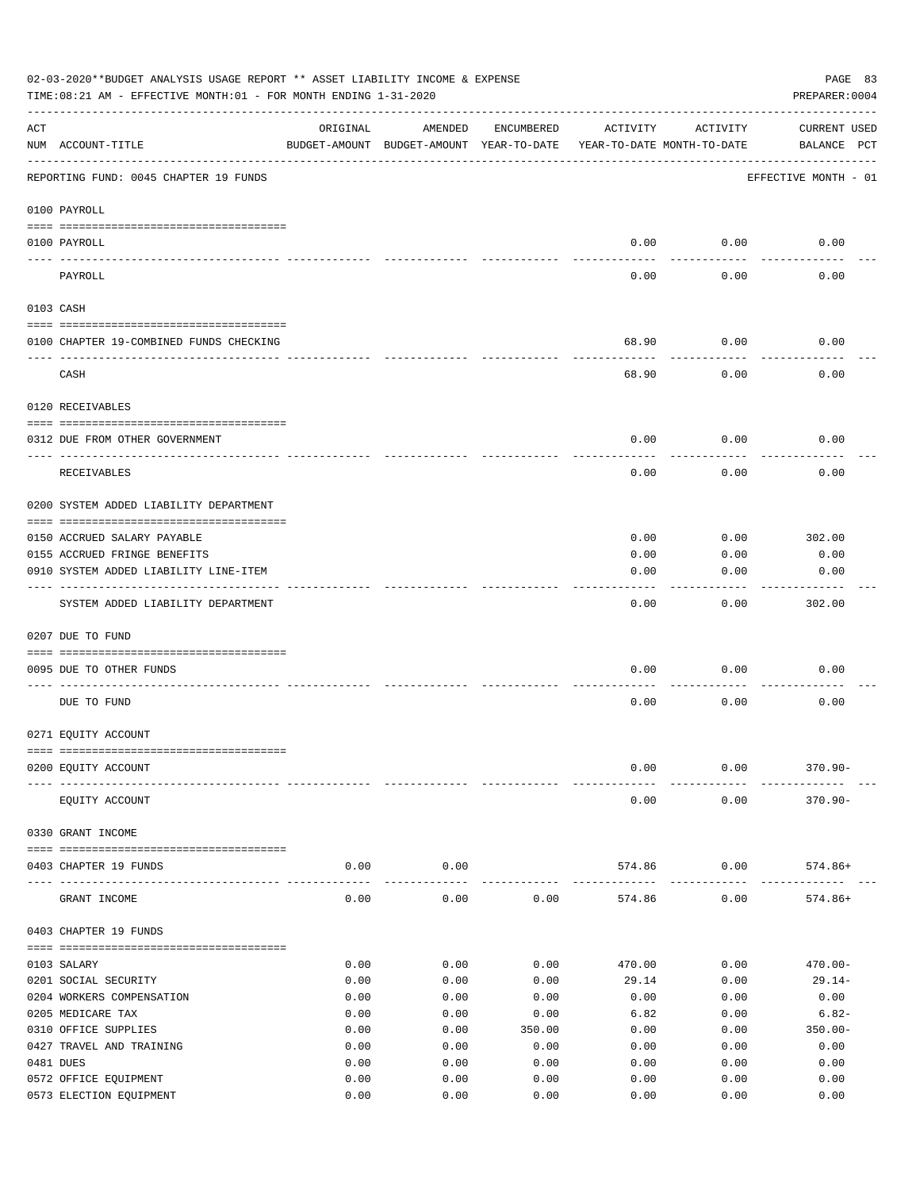| 02-03-2020**BUDGET ANALYSIS USAGE REPORT ** ASSET LIABILITY INCOME & EXPENSE<br>PAGE 83<br>TIME: 08:21 AM - EFFECTIVE MONTH: 01 - FOR MONTH ENDING 1-31-2020<br>PREPARER: 0004 |                                         |          |                                                     |            |                                        |          |                             |  |
|--------------------------------------------------------------------------------------------------------------------------------------------------------------------------------|-----------------------------------------|----------|-----------------------------------------------------|------------|----------------------------------------|----------|-----------------------------|--|
| ACT                                                                                                                                                                            | NUM ACCOUNT-TITLE                       | ORIGINAL | AMENDED<br>BUDGET-AMOUNT BUDGET-AMOUNT YEAR-TO-DATE | ENCUMBERED | ACTIVITY<br>YEAR-TO-DATE MONTH-TO-DATE | ACTIVITY | CURRENT USED<br>BALANCE PCT |  |
|                                                                                                                                                                                | REPORTING FUND: 0045 CHAPTER 19 FUNDS   |          |                                                     |            |                                        |          | EFFECTIVE MONTH - 01        |  |
|                                                                                                                                                                                | 0100 PAYROLL                            |          |                                                     |            |                                        |          |                             |  |
|                                                                                                                                                                                | 0100 PAYROLL                            |          |                                                     |            | 0.00                                   | 0.00     | 0.00                        |  |
|                                                                                                                                                                                | PAYROLL                                 |          |                                                     |            | 0.00                                   | 0.00     | 0.00                        |  |
|                                                                                                                                                                                | 0103 CASH                               |          |                                                     |            |                                        |          |                             |  |
|                                                                                                                                                                                | 0100 CHAPTER 19-COMBINED FUNDS CHECKING |          |                                                     |            | 68.90                                  | 0.00     | 0.00                        |  |
|                                                                                                                                                                                | CASH                                    |          |                                                     |            | 68.90                                  | 0.00     | 0.00                        |  |
|                                                                                                                                                                                | 0120 RECEIVABLES                        |          |                                                     |            |                                        |          |                             |  |
|                                                                                                                                                                                | 0312 DUE FROM OTHER GOVERNMENT          |          |                                                     |            | 0.00                                   | 0.00     | 0.00                        |  |
|                                                                                                                                                                                | RECEIVABLES                             |          |                                                     |            | 0.00                                   | 0.00     | 0.00                        |  |
|                                                                                                                                                                                | 0200 SYSTEM ADDED LIABILITY DEPARTMENT  |          |                                                     |            |                                        |          |                             |  |
|                                                                                                                                                                                |                                         |          |                                                     |            |                                        |          |                             |  |
|                                                                                                                                                                                | 0150 ACCRUED SALARY PAYABLE             |          |                                                     |            | 0.00                                   | 0.00     | 302.00                      |  |
|                                                                                                                                                                                | 0155 ACCRUED FRINGE BENEFITS            |          |                                                     |            | 0.00                                   | 0.00     | 0.00                        |  |
|                                                                                                                                                                                | 0910 SYSTEM ADDED LIABILITY LINE-ITEM   |          |                                                     |            | 0.00                                   | 0.00     | 0.00                        |  |
|                                                                                                                                                                                | SYSTEM ADDED LIABILITY DEPARTMENT       |          |                                                     |            | 0.00                                   | 0.00     | 302.00                      |  |
|                                                                                                                                                                                | 0207 DUE TO FUND                        |          |                                                     |            |                                        |          |                             |  |
|                                                                                                                                                                                | 0095 DUE TO OTHER FUNDS                 |          |                                                     |            | 0.00                                   | 0.00     | 0.00                        |  |
|                                                                                                                                                                                | DUE TO FUND                             |          |                                                     |            | 0.00                                   | 0.00     | 0.00                        |  |
|                                                                                                                                                                                | 0271 EQUITY ACCOUNT                     |          |                                                     |            |                                        |          |                             |  |
|                                                                                                                                                                                | 0200 EQUITY ACCOUNT                     |          |                                                     |            | 0.00                                   | 0.00     | $370.90 -$                  |  |
|                                                                                                                                                                                | EQUITY ACCOUNT                          |          |                                                     |            | 0.00                                   | 0.00     | $370.90 -$                  |  |
|                                                                                                                                                                                | 0330 GRANT INCOME                       |          |                                                     |            |                                        |          |                             |  |
|                                                                                                                                                                                | 0403 CHAPTER 19 FUNDS                   | 0.00     | 0.00                                                |            | 574.86                                 | 0.00     | $574.86+$                   |  |
|                                                                                                                                                                                | GRANT INCOME                            | 0.00     | 0.00                                                | 0.00       | 574.86                                 | 0.00     | $574.86+$                   |  |
|                                                                                                                                                                                | 0403 CHAPTER 19 FUNDS                   |          |                                                     |            |                                        |          |                             |  |
|                                                                                                                                                                                | 0103 SALARY                             | 0.00     | 0.00                                                | 0.00       | 470.00                                 | 0.00     | $470.00 -$                  |  |
|                                                                                                                                                                                | 0201 SOCIAL SECURITY                    | 0.00     | 0.00                                                | 0.00       | 29.14                                  | 0.00     | $29.14-$                    |  |
|                                                                                                                                                                                | 0204 WORKERS COMPENSATION               | 0.00     | 0.00                                                | 0.00       | 0.00                                   | 0.00     | 0.00                        |  |
|                                                                                                                                                                                | 0205 MEDICARE TAX                       | 0.00     | 0.00                                                | 0.00       | 6.82                                   | 0.00     | $6.82-$                     |  |
|                                                                                                                                                                                | 0310 OFFICE SUPPLIES                    | 0.00     | 0.00                                                | 350.00     | 0.00                                   | 0.00     | $350.00 -$                  |  |
|                                                                                                                                                                                | 0427 TRAVEL AND TRAINING                | 0.00     | 0.00                                                | 0.00       | 0.00                                   | 0.00     | 0.00                        |  |
|                                                                                                                                                                                | 0481 DUES                               | 0.00     | 0.00                                                | 0.00       | 0.00                                   | 0.00     | 0.00                        |  |
|                                                                                                                                                                                | 0572 OFFICE EQUIPMENT                   | 0.00     | 0.00                                                | 0.00       | 0.00                                   | 0.00     | 0.00                        |  |
|                                                                                                                                                                                | 0573 ELECTION EQUIPMENT                 | 0.00     | 0.00                                                | 0.00       | 0.00                                   | 0.00     | 0.00                        |  |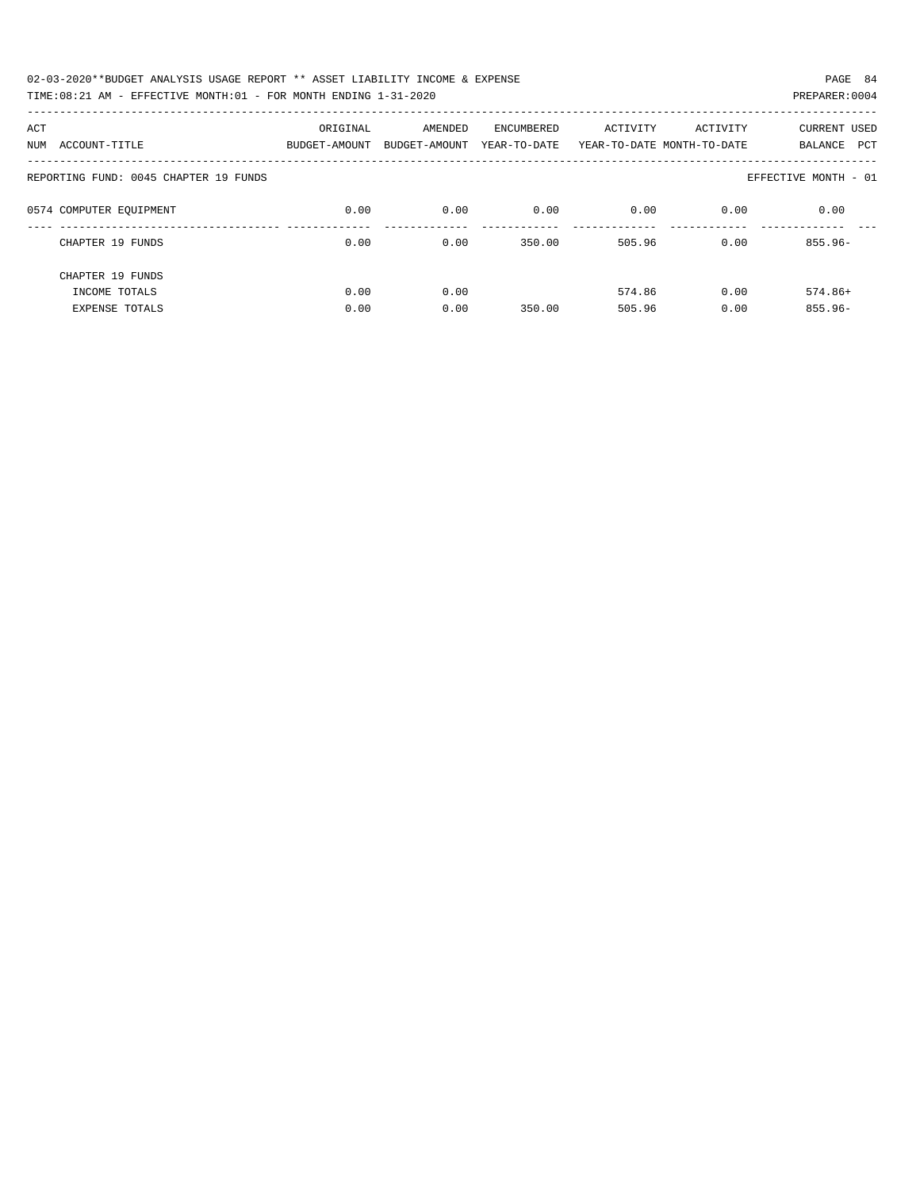| 02-03-2020**BUDGET ANALYSIS USAGE REPORT ** ASSET LIABILITY INCOME & EXPENSE | PAGE 84        |
|------------------------------------------------------------------------------|----------------|
| TIME:08:21 AM - EFFECTIVE MONTH:01 - FOR MONTH ENDING 1-31-2020              | PREPARER: 0004 |

| ACT<br>ACCOUNT-TITLE<br>NUM           | ORIGINAL<br>BUDGET-AMOUNT | AMENDED<br>BUDGET-AMOUNT | ENCUMBERED<br>YEAR-TO-DATE | ACTIVITY | ACTIVITY<br>YEAR-TO-DATE MONTH-TO-DATE | <b>CURRENT USED</b><br>PCT<br>BALANCE |
|---------------------------------------|---------------------------|--------------------------|----------------------------|----------|----------------------------------------|---------------------------------------|
| REPORTING FUND: 0045 CHAPTER 19 FUNDS |                           |                          |                            |          |                                        | EFFECTIVE MONTH - 01                  |
| 0574 COMPUTER EQUIPMENT               | 0.00                      | 0.00                     | 0.00                       | 0.00     | 0.00                                   | 0.00                                  |
| CHAPTER 19 FUNDS                      | 0.00                      | 0.00                     | 350.00                     | 505.96   | 0.00                                   | $855.96 -$                            |
| CHAPTER 19 FUNDS                      |                           |                          |                            |          |                                        |                                       |
| INCOME TOTALS                         | 0.00                      | 0.00                     |                            | 574.86   | 0.00                                   | $574.86+$                             |
| <b>EXPENSE TOTALS</b>                 | 0.00                      | 0.00                     | 350.00                     | 505.96   | 0.00                                   | $855.96 -$                            |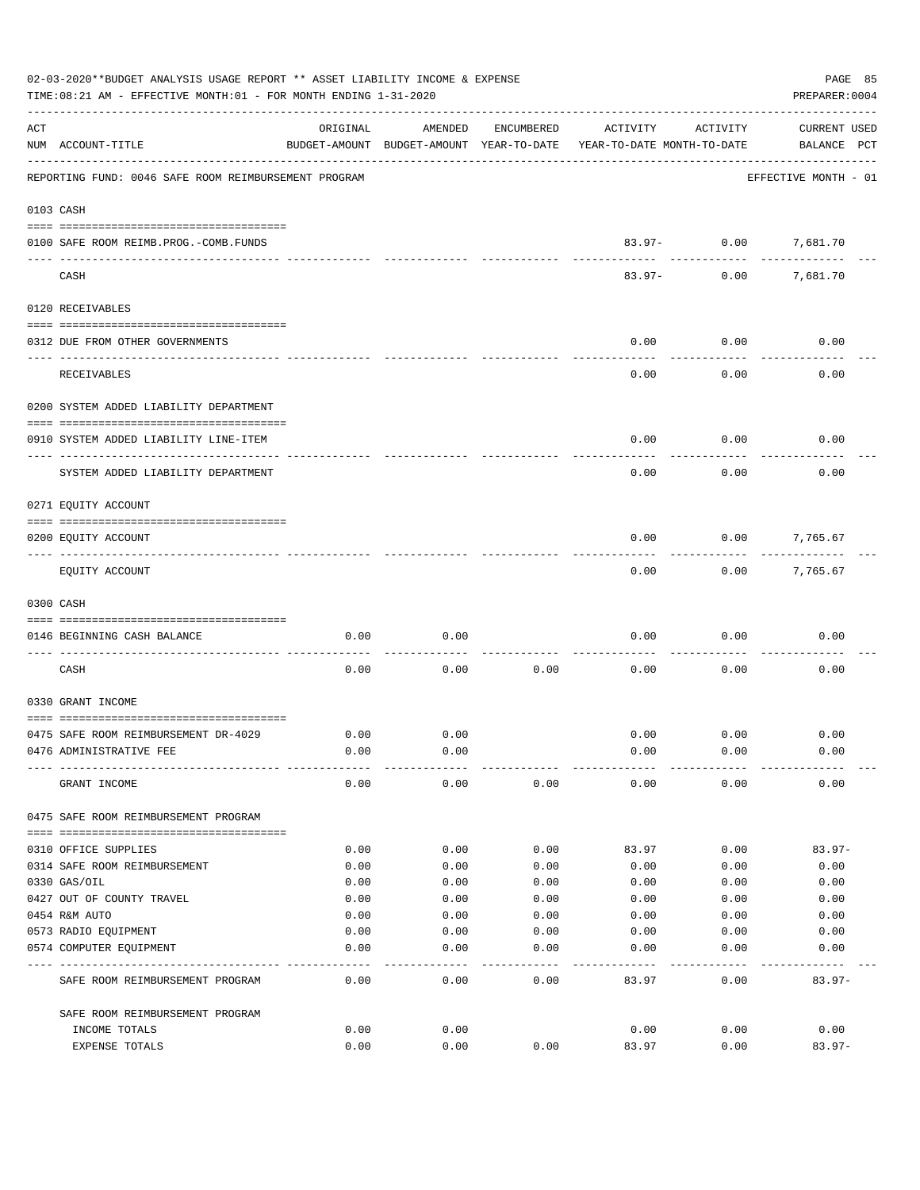|     | 02-03-2020**BUDGET ANALYSIS USAGE REPORT ** ASSET LIABILITY INCOME & EXPENSE<br>TIME: 08:21 AM - EFFECTIVE MONTH: 01 - FOR MONTH ENDING 1-31-2020 |                                                      |         |            |                                        |                          | PAGE 85<br>PREPARER: 0004          |
|-----|---------------------------------------------------------------------------------------------------------------------------------------------------|------------------------------------------------------|---------|------------|----------------------------------------|--------------------------|------------------------------------|
| ACT | NUM ACCOUNT-TITLE                                                                                                                                 | ORIGINAL<br>BUDGET-AMOUNT BUDGET-AMOUNT YEAR-TO-DATE | AMENDED | ENCUMBERED | ACTIVITY<br>YEAR-TO-DATE MONTH-TO-DATE | ACTIVITY                 | <b>CURRENT USED</b><br>BALANCE PCT |
|     | REPORTING FUND: 0046 SAFE ROOM REIMBURSEMENT PROGRAM                                                                                              |                                                      |         |            |                                        |                          | EFFECTIVE MONTH - 01               |
|     | 0103 CASH                                                                                                                                         |                                                      |         |            |                                        |                          |                                    |
|     | 0100 SAFE ROOM REIMB. PROG. - COMB. FUNDS                                                                                                         |                                                      |         |            |                                        | 83.97- 0.00<br>--------- | 7,681.70                           |
|     | CASH                                                                                                                                              |                                                      |         |            | $83.97 -$                              | 0.00                     | 7,681.70                           |
|     | 0120 RECEIVABLES                                                                                                                                  |                                                      |         |            |                                        |                          |                                    |
|     | 0312 DUE FROM OTHER GOVERNMENTS                                                                                                                   |                                                      |         |            | 0.00                                   | 0.00                     | 0.00                               |
|     | RECEIVABLES                                                                                                                                       |                                                      |         |            | 0.00                                   | 0.00                     | 0.00                               |
|     | 0200 SYSTEM ADDED LIABILITY DEPARTMENT                                                                                                            |                                                      |         |            |                                        |                          |                                    |
|     | 0910 SYSTEM ADDED LIABILITY LINE-ITEM                                                                                                             |                                                      |         |            | 0.00                                   | 0.00                     | 0.00                               |
|     | SYSTEM ADDED LIABILITY DEPARTMENT                                                                                                                 |                                                      |         |            | 0.00                                   | 0.00                     | 0.00                               |
|     | 0271 EQUITY ACCOUNT                                                                                                                               |                                                      |         |            |                                        |                          |                                    |
|     | 0200 EQUITY ACCOUNT                                                                                                                               |                                                      |         |            | 0.00                                   | 0.00                     | 7,765.67                           |
|     | EQUITY ACCOUNT                                                                                                                                    |                                                      |         |            | 0.00                                   | 0.00                     | 7,765.67                           |
|     | 0300 CASH                                                                                                                                         |                                                      |         |            |                                        |                          |                                    |
|     | 0146 BEGINNING CASH BALANCE                                                                                                                       | 0.00                                                 | 0.00    |            | 0.00                                   | 0.00                     | 0.00                               |
|     | CASH                                                                                                                                              | 0.00                                                 | 0.00    | 0.00       | 0.00                                   | 0.00                     | 0.00                               |
|     | 0330 GRANT INCOME                                                                                                                                 |                                                      |         |            |                                        |                          |                                    |
|     | 0475 SAFE ROOM REIMBURSEMENT DR-4029                                                                                                              | 0.00                                                 | 0.00    |            | 0.00                                   | 0.00                     | 0.00                               |
|     | 0476 ADMINISTRATIVE FEE                                                                                                                           | 0.00                                                 | 0.00    |            | 0.00                                   | 0.00                     | 0.00                               |
|     | GRANT INCOME                                                                                                                                      | 0.00                                                 | 0.00    | 0.00       | 0.00                                   | 0.00                     | 0.00                               |
|     | 0475 SAFE ROOM REIMBURSEMENT PROGRAM                                                                                                              |                                                      |         |            |                                        |                          |                                    |
|     | 0310 OFFICE SUPPLIES                                                                                                                              | 0.00                                                 | 0.00    | 0.00       | 83.97                                  | 0.00                     | $83.97-$                           |
|     | 0314 SAFE ROOM REIMBURSEMENT                                                                                                                      | 0.00                                                 | 0.00    | 0.00       | 0.00                                   | 0.00                     | 0.00                               |
|     | 0330 GAS/OIL                                                                                                                                      | 0.00                                                 | 0.00    | 0.00       | 0.00                                   | 0.00                     | 0.00                               |
|     | 0427 OUT OF COUNTY TRAVEL                                                                                                                         | 0.00                                                 | 0.00    | 0.00       | 0.00                                   | 0.00                     | 0.00                               |
|     | 0454 R&M AUTO                                                                                                                                     | 0.00                                                 | 0.00    | 0.00       | 0.00                                   | 0.00                     | 0.00                               |
|     | 0573 RADIO EQUIPMENT                                                                                                                              | 0.00                                                 | 0.00    | 0.00       | 0.00                                   | 0.00                     | 0.00                               |
|     | 0574 COMPUTER EQUIPMENT                                                                                                                           | 0.00                                                 | 0.00    | 0.00       | 0.00                                   | 0.00                     | 0.00                               |
|     | SAFE ROOM REIMBURSEMENT PROGRAM                                                                                                                   | 0.00                                                 | 0.00    | 0.00       | 83.97                                  | 0.00                     | $83.97 -$                          |
|     | SAFE ROOM REIMBURSEMENT PROGRAM                                                                                                                   |                                                      |         |            |                                        |                          |                                    |
|     | INCOME TOTALS                                                                                                                                     | 0.00                                                 | 0.00    |            | 0.00                                   | 0.00                     | 0.00                               |
|     | EXPENSE TOTALS                                                                                                                                    | 0.00                                                 | 0.00    | 0.00       | 83.97                                  | 0.00                     | $83.97-$                           |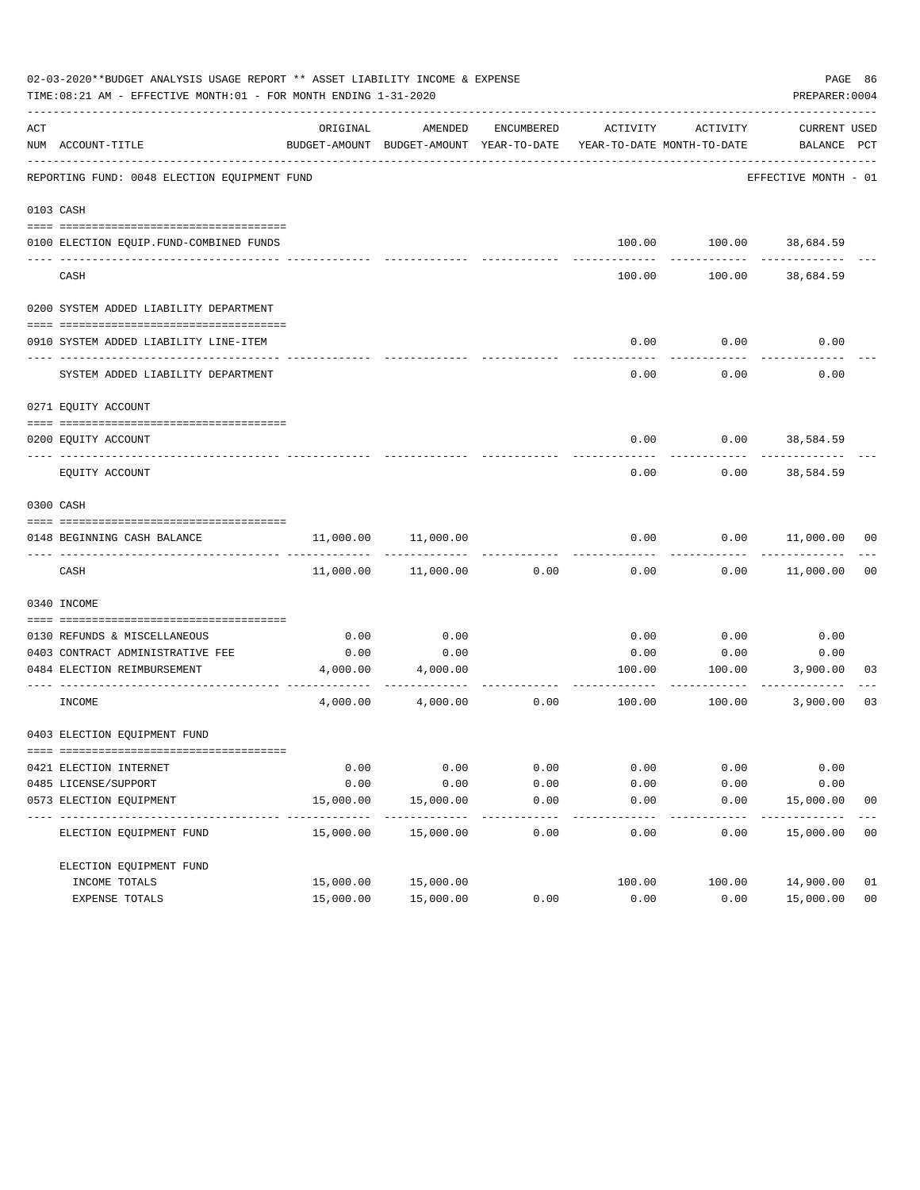|     | 02-03-2020**BUDGET ANALYSIS USAGE REPORT ** ASSET LIABILITY INCOME & EXPENSE<br>TIME:08:21 AM - EFFECTIVE MONTH:01 - FOR MONTH ENDING 1-31-2020 |                           |                                                     |               |                                        |                         | PAGE 86<br>PREPARER: 0004          |                |
|-----|-------------------------------------------------------------------------------------------------------------------------------------------------|---------------------------|-----------------------------------------------------|---------------|----------------------------------------|-------------------------|------------------------------------|----------------|
| ACT | NUM ACCOUNT-TITLE                                                                                                                               | ORIGINAL                  | AMENDED<br>BUDGET-AMOUNT BUDGET-AMOUNT YEAR-TO-DATE | ENCUMBERED    | ACTIVITY<br>YEAR-TO-DATE MONTH-TO-DATE | ACTIVITY                | <b>CURRENT USED</b><br>BALANCE PCT |                |
|     | REPORTING FUND: 0048 ELECTION EOUIPMENT FUND                                                                                                    |                           |                                                     |               |                                        |                         | EFFECTIVE MONTH - 01               |                |
|     | 0103 CASH                                                                                                                                       |                           |                                                     |               |                                        |                         |                                    |                |
|     | 0100 ELECTION EQUIP.FUND-COMBINED FUNDS                                                                                                         |                           |                                                     |               |                                        | 100.00 100.00 38,684.59 |                                    |                |
|     | CASH                                                                                                                                            |                           |                                                     |               | 100.00                                 | 100.00                  | 38,684.59                          |                |
|     | 0200 SYSTEM ADDED LIABILITY DEPARTMENT                                                                                                          |                           |                                                     |               |                                        |                         |                                    |                |
|     | 0910 SYSTEM ADDED LIABILITY LINE-ITEM                                                                                                           |                           |                                                     |               | 0.00                                   | 0.00                    | 0.00                               |                |
|     | SYSTEM ADDED LIABILITY DEPARTMENT                                                                                                               |                           |                                                     |               | 0.00                                   | 0.00                    | 0.00                               |                |
|     | 0271 EQUITY ACCOUNT                                                                                                                             |                           |                                                     |               |                                        |                         |                                    |                |
|     | 0200 EOUITY ACCOUNT                                                                                                                             |                           |                                                     |               | 0.00                                   |                         | $0.00$ 38,584.59                   |                |
|     | EQUITY ACCOUNT                                                                                                                                  |                           |                                                     |               | 0.00                                   | 0.00                    | 38,584.59                          |                |
|     | 0300 CASH                                                                                                                                       |                           |                                                     |               |                                        |                         |                                    |                |
|     | 0148 BEGINNING CASH BALANCE                                                                                                                     | 11,000.00                 | 11,000.00                                           |               | 0.00                                   | 0.00                    | 11,000.00 00                       |                |
|     | CASH                                                                                                                                            |                           | 11,000.00 11,000.00                                 | 0.00          | 0.00                                   | 0.00                    | 11,000.00                          | 0 <sub>0</sub> |
|     | 0340 INCOME                                                                                                                                     |                           |                                                     |               |                                        |                         |                                    |                |
|     | 0130 REFUNDS & MISCELLANEOUS                                                                                                                    | 0.00                      | 0.00                                                |               | 0.00                                   | 0.00                    | 0.00                               |                |
|     | 0403 CONTRACT ADMINISTRATIVE FEE                                                                                                                | 0.00                      | 0.00                                                |               | 0.00                                   | 0.00                    | 0.00                               |                |
|     | 0484 ELECTION REIMBURSEMENT                                                                                                                     |                           | 4,000.00 4,000.00                                   |               |                                        | 100.00 100.00 3,900.00  | . <u>.</u>                         | 03             |
|     | INCOME                                                                                                                                          | 4,000.00                  | 4,000.00                                            | 0.00          | 100.00                                 | 100.00                  | 3,900.00                           | 03             |
|     | 0403 ELECTION EQUIPMENT FUND                                                                                                                    |                           |                                                     |               |                                        |                         |                                    |                |
|     | 0421 ELECTION INTERNET                                                                                                                          | 0.00                      | 0.00                                                | 0.00          | 0.00                                   | 0.00                    | 0.00                               |                |
|     | 0485 LICENSE/SUPPORT                                                                                                                            | 0.00                      | 0.00                                                | 0.00          | 0.00                                   | 0.00                    | 0.00                               |                |
|     | 0573 ELECTION EQUIPMENT                                                                                                                         | 15,000.00<br>------------ | 15,000.00<br>. <u>.</u>                             | 0.00          | 0.00<br>-----                          | 0.00<br>-----           | 15,000.00<br>----------            | 0 <sub>0</sub> |
|     | ELECTION EQUIPMENT FUND                                                                                                                         | 15,000.00                 | 15,000.00                                           | -----<br>0.00 | 0.00                                   | 0.00                    | 15,000.00                          | 0 <sub>0</sub> |
|     | ELECTION EQUIPMENT FUND                                                                                                                         |                           |                                                     |               |                                        |                         |                                    |                |
|     | INCOME TOTALS                                                                                                                                   | 15,000.00                 | 15,000.00                                           |               | 100.00                                 | 100.00                  | 14,900.00                          | 01             |
|     | EXPENSE TOTALS                                                                                                                                  | 15,000.00                 | 15,000.00                                           | 0.00          | 0.00                                   | 0.00                    | 15,000.00                          | 0 <sub>0</sub> |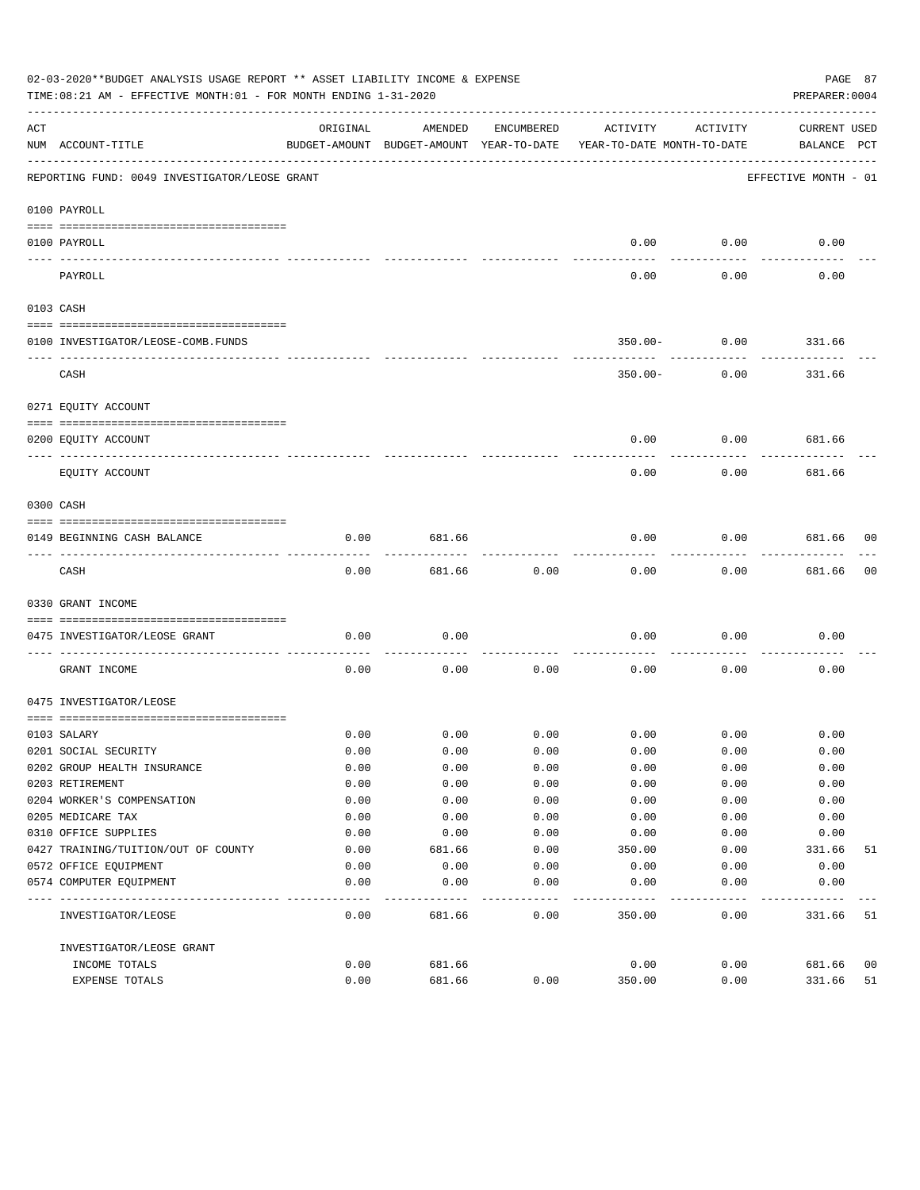|           | 02-03-2020**BUDGET ANALYSIS USAGE REPORT ** ASSET LIABILITY INCOME & EXPENSE<br>PAGE 87<br>TIME:08:21 AM - EFFECTIVE MONTH:01 - FOR MONTH ENDING 1-31-2020<br>PREPARER: 0004 |                                                      |         |            |                                        |          |                                    |    |  |  |
|-----------|------------------------------------------------------------------------------------------------------------------------------------------------------------------------------|------------------------------------------------------|---------|------------|----------------------------------------|----------|------------------------------------|----|--|--|
| ACT       | NUM ACCOUNT-TITLE                                                                                                                                                            | ORIGINAL<br>BUDGET-AMOUNT BUDGET-AMOUNT YEAR-TO-DATE | AMENDED | ENCUMBERED | ACTIVITY<br>YEAR-TO-DATE MONTH-TO-DATE | ACTIVITY | <b>CURRENT USED</b><br>BALANCE PCT |    |  |  |
|           | REPORTING FUND: 0049 INVESTIGATOR/LEOSE GRANT                                                                                                                                |                                                      |         |            |                                        |          | EFFECTIVE MONTH - 01               |    |  |  |
|           | 0100 PAYROLL                                                                                                                                                                 |                                                      |         |            |                                        |          |                                    |    |  |  |
|           | 0100 PAYROLL                                                                                                                                                                 |                                                      |         |            | 0.00                                   | 0.00     | 0.00                               |    |  |  |
| --------- | PAYROLL                                                                                                                                                                      |                                                      |         |            | 0.00                                   | 0.00     | 0.00                               |    |  |  |
|           | 0103 CASH                                                                                                                                                                    |                                                      |         |            |                                        |          |                                    |    |  |  |
|           | 0100 INVESTIGATOR/LEOSE-COMB.FUNDS                                                                                                                                           |                                                      |         |            | $350.00 -$                             | 0.00     | 331.66                             |    |  |  |
|           | CASH                                                                                                                                                                         |                                                      |         |            | $350.00 -$                             | 0.00     | 331.66                             |    |  |  |
|           | 0271 EQUITY ACCOUNT                                                                                                                                                          |                                                      |         |            |                                        |          |                                    |    |  |  |
|           | 0200 EQUITY ACCOUNT                                                                                                                                                          |                                                      |         |            | 0.00                                   | 0.00     | 681.66                             |    |  |  |
|           | EOUITY ACCOUNT                                                                                                                                                               |                                                      |         |            | 0.00                                   | 0.00     | 681.66                             |    |  |  |
|           | 0300 CASH                                                                                                                                                                    |                                                      |         |            |                                        |          |                                    |    |  |  |
|           | 0149 BEGINNING CASH BALANCE                                                                                                                                                  | 0.00                                                 | 681.66  |            | 0.00                                   | 0.00     | 681.66 00                          |    |  |  |
|           | CASH                                                                                                                                                                         | 0.00                                                 | 681.66  | 0.00       | 0.00                                   | 0.00     | 681.66                             | 00 |  |  |
|           | 0330 GRANT INCOME                                                                                                                                                            |                                                      |         |            |                                        |          |                                    |    |  |  |
|           | 0475 INVESTIGATOR/LEOSE GRANT                                                                                                                                                | 0.00                                                 | 0.00    |            | 0.00                                   | 0.00     | 0.00                               |    |  |  |
|           | GRANT INCOME                                                                                                                                                                 | 0.00                                                 | 0.00    | 0.00       | 0.00                                   | 0.00     | 0.00                               |    |  |  |
|           | 0475 INVESTIGATOR/LEOSE                                                                                                                                                      |                                                      |         |            |                                        |          |                                    |    |  |  |
|           | 0103 SALARY                                                                                                                                                                  | 0.00                                                 | 0.00    | 0.00       | 0.00                                   | 0.00     | 0.00                               |    |  |  |
|           | 0201 SOCIAL SECURITY                                                                                                                                                         | 0.00                                                 | 0.00    | 0.00       | 0.00                                   | 0.00     | 0.00                               |    |  |  |
|           | 0202 GROUP HEALTH INSURANCE                                                                                                                                                  | 0.00                                                 | 0.00    | 0.00       | 0.00                                   | 0.00     | 0.00                               |    |  |  |
|           | 0203 RETIREMENT                                                                                                                                                              | 0.00                                                 | 0.00    | 0.00       | 0.00                                   | 0.00     | 0.00                               |    |  |  |
|           | 0204 WORKER'S COMPENSATION                                                                                                                                                   | 0.00                                                 | 0.00    | 0.00       | 0.00                                   | 0.00     | 0.00                               |    |  |  |
|           | 0205 MEDICARE TAX                                                                                                                                                            | 0.00                                                 | 0.00    | 0.00       | 0.00                                   | 0.00     | 0.00                               |    |  |  |
|           | 0310 OFFICE SUPPLIES                                                                                                                                                         | 0.00                                                 | 0.00    | 0.00       | 0.00                                   | 0.00     | 0.00                               |    |  |  |
|           | 0427 TRAINING/TUITION/OUT OF COUNTY                                                                                                                                          | 0.00                                                 | 681.66  | 0.00       | 350.00                                 | 0.00     | 331.66                             | 51 |  |  |
|           | 0572 OFFICE EQUIPMENT                                                                                                                                                        | 0.00                                                 | 0.00    | 0.00       | 0.00                                   | 0.00     | 0.00                               |    |  |  |
|           | 0574 COMPUTER EQUIPMENT                                                                                                                                                      | 0.00                                                 | 0.00    | 0.00       | 0.00                                   | 0.00     | 0.00                               |    |  |  |
|           | INVESTIGATOR/LEOSE                                                                                                                                                           | 0.00                                                 | 681.66  | 0.00       | 350.00                                 | 0.00     | 331.66                             | 51 |  |  |
|           | INVESTIGATOR/LEOSE GRANT                                                                                                                                                     |                                                      |         |            |                                        |          |                                    |    |  |  |
|           | INCOME TOTALS                                                                                                                                                                | 0.00                                                 | 681.66  |            | 0.00                                   | 0.00     | 681.66                             | 00 |  |  |
|           | EXPENSE TOTALS                                                                                                                                                               | 0.00                                                 | 681.66  | 0.00       | 350.00                                 | 0.00     | 331.66                             | 51 |  |  |
|           |                                                                                                                                                                              |                                                      |         |            |                                        |          |                                    |    |  |  |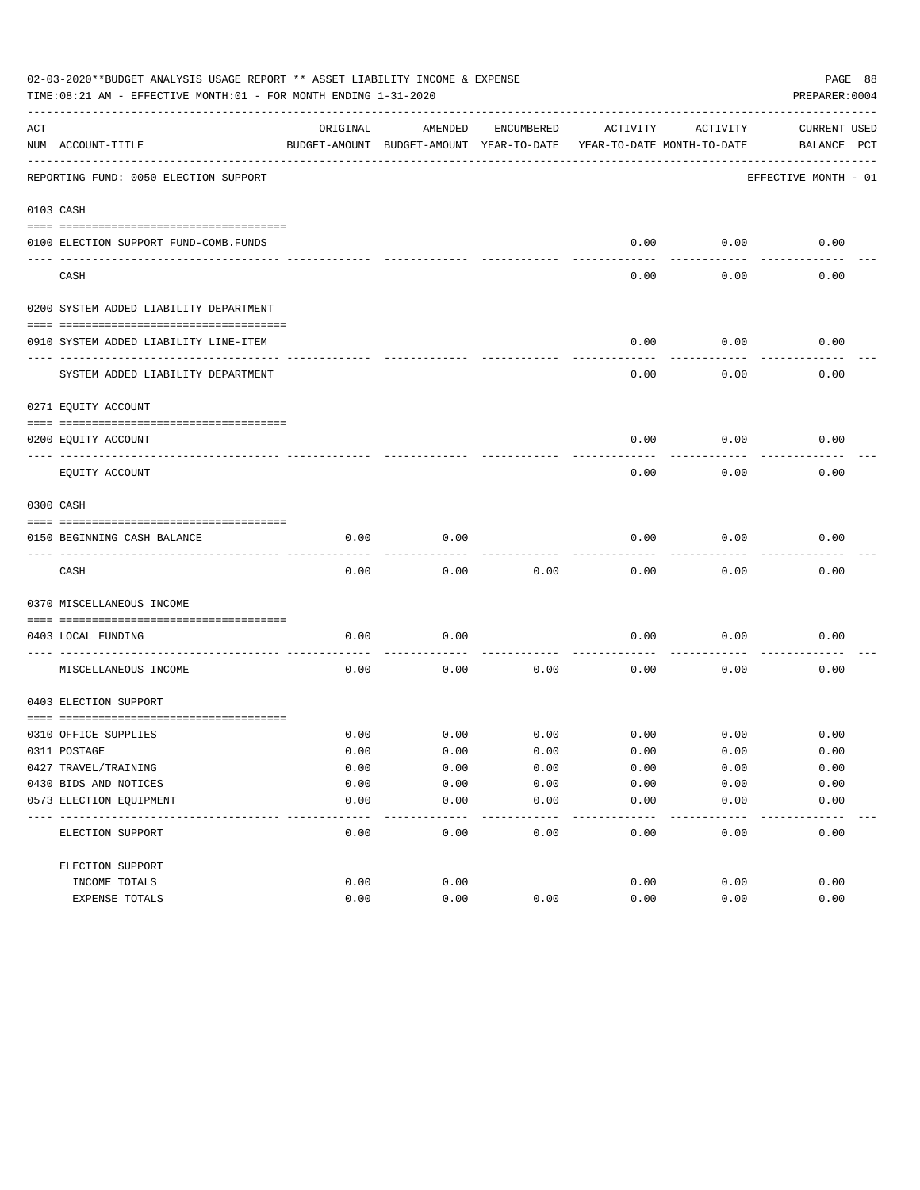|     | 02-03-2020**BUDGET ANALYSIS USAGE REPORT ** ASSET LIABILITY INCOME & EXPENSE<br>TIME: 08:21 AM - EFFECTIVE MONTH: 01 - FOR MONTH ENDING 1-31-2020 |          |                                                     |            |                                        |          | PAGE 88<br>PREPARER: 0004          |
|-----|---------------------------------------------------------------------------------------------------------------------------------------------------|----------|-----------------------------------------------------|------------|----------------------------------------|----------|------------------------------------|
| ACT | NUM ACCOUNT-TITLE                                                                                                                                 | ORIGINAL | AMENDED<br>BUDGET-AMOUNT BUDGET-AMOUNT YEAR-TO-DATE | ENCUMBERED | ACTIVITY<br>YEAR-TO-DATE MONTH-TO-DATE | ACTIVITY | <b>CURRENT USED</b><br>BALANCE PCT |
|     | REPORTING FUND: 0050 ELECTION SUPPORT                                                                                                             |          |                                                     |            |                                        |          | EFFECTIVE MONTH - 01               |
|     | 0103 CASH                                                                                                                                         |          |                                                     |            |                                        |          |                                    |
|     | 0100 ELECTION SUPPORT FUND-COMB.FUNDS                                                                                                             |          |                                                     |            | 0.00                                   | 0.00     | 0.00                               |
|     | CASH                                                                                                                                              |          |                                                     |            | 0.00                                   | 0.00     | 0.00                               |
|     | 0200 SYSTEM ADDED LIABILITY DEPARTMENT                                                                                                            |          |                                                     |            |                                        |          |                                    |
|     | 0910 SYSTEM ADDED LIABILITY LINE-ITEM                                                                                                             |          |                                                     |            | 0.00                                   | 0.00     | 0.00                               |
|     | SYSTEM ADDED LIABILITY DEPARTMENT                                                                                                                 |          |                                                     |            | 0.00                                   | 0.00     | 0.00                               |
|     | 0271 EQUITY ACCOUNT                                                                                                                               |          |                                                     |            |                                        |          |                                    |
|     | 0200 EQUITY ACCOUNT                                                                                                                               |          |                                                     |            | 0.00                                   | 0.00     | 0.00                               |
|     | EQUITY ACCOUNT                                                                                                                                    |          |                                                     |            | 0.00                                   | 0.00     | 0.00                               |
|     | 0300 CASH                                                                                                                                         |          |                                                     |            |                                        |          |                                    |
|     | 0150 BEGINNING CASH BALANCE                                                                                                                       | 0.00     | 0.00                                                |            | 0.00                                   | 0.00     | 0.00                               |
|     | CASH                                                                                                                                              | 0.00     | 0.00                                                | 0.00       | 0.00                                   | 0.00     | 0.00                               |
|     | 0370 MISCELLANEOUS INCOME                                                                                                                         |          |                                                     |            |                                        |          |                                    |
|     | 0403 LOCAL FUNDING                                                                                                                                | 0.00     | 0.00                                                |            | 0.00                                   | 0.00     | 0.00                               |
|     | MISCELLANEOUS INCOME                                                                                                                              | 0.00     | 0.00                                                | 0.00       | 0.00                                   | 0.00     | 0.00                               |
|     | 0403 ELECTION SUPPORT                                                                                                                             |          |                                                     |            |                                        |          |                                    |
|     | 0310 OFFICE SUPPLIES                                                                                                                              | 0.00     | 0.00                                                | 0.00       | 0.00                                   | 0.00     | 0.00                               |
|     | 0311 POSTAGE                                                                                                                                      | 0.00     | 0.00                                                | 0.00       | 0.00                                   | 0.00     | 0.00                               |
|     | 0427 TRAVEL/TRAINING                                                                                                                              | 0.00     | 0.00                                                | 0.00       | 0.00                                   | 0.00     | 0.00                               |
|     | 0430 BIDS AND NOTICES                                                                                                                             | 0.00     | 0.00                                                | 0.00       | 0.00                                   | 0.00     | 0.00                               |
|     | 0573 ELECTION EQUIPMENT                                                                                                                           | 0.00     | 0.00                                                | 0.00       | 0.00                                   | 0.00     | 0.00                               |
|     | ELECTION SUPPORT                                                                                                                                  | 0.00     | 0.00                                                | 0.00       | 0.00                                   | 0.00     | 0.00                               |
|     | ELECTION SUPPORT                                                                                                                                  |          |                                                     |            |                                        |          |                                    |
|     | INCOME TOTALS                                                                                                                                     | 0.00     | 0.00                                                |            | 0.00                                   | 0.00     | 0.00                               |
|     | EXPENSE TOTALS                                                                                                                                    | 0.00     | 0.00                                                | 0.00       | 0.00                                   | 0.00     | 0.00                               |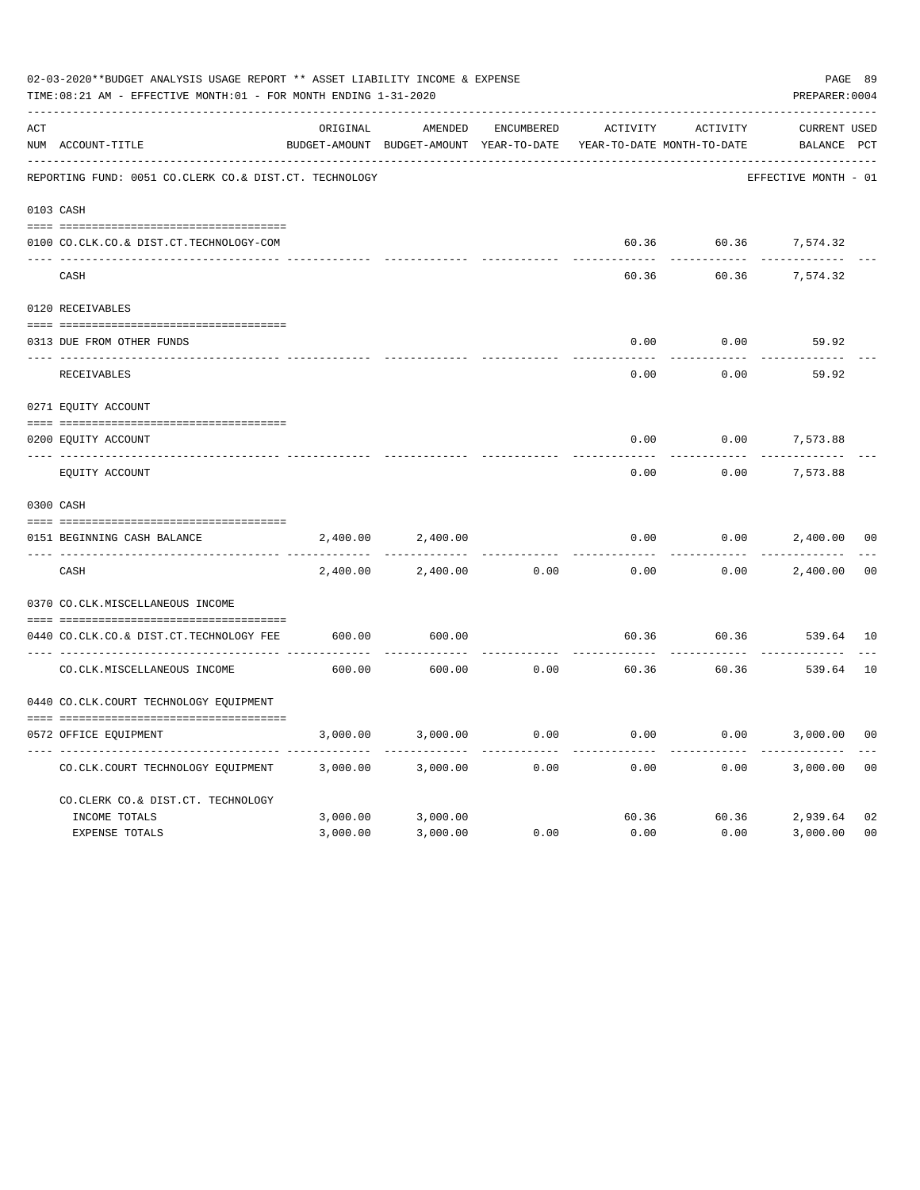|     | 02-03-2020**BUDGET ANALYSIS USAGE REPORT ** ASSET LIABILITY INCOME & EXPENSE<br>TIME:08:21 AM - EFFECTIVE MONTH:01 - FOR MONTH ENDING 1-31-2020 |          |                                                     |            |               |                                        | PAGE 89<br>PREPARER: 0004          |                |
|-----|-------------------------------------------------------------------------------------------------------------------------------------------------|----------|-----------------------------------------------------|------------|---------------|----------------------------------------|------------------------------------|----------------|
| ACT | NUM ACCOUNT-TITLE                                                                                                                               | ORIGINAL | AMENDED<br>BUDGET-AMOUNT BUDGET-AMOUNT YEAR-TO-DATE | ENCUMBERED | ACTIVITY      | ACTIVITY<br>YEAR-TO-DATE MONTH-TO-DATE | <b>CURRENT USED</b><br>BALANCE PCT |                |
|     | REPORTING FUND: 0051 CO.CLERK CO.& DIST.CT. TECHNOLOGY                                                                                          |          |                                                     |            |               |                                        | EFFECTIVE MONTH - 01               |                |
|     | 0103 CASH                                                                                                                                       |          |                                                     |            |               |                                        |                                    |                |
|     | 0100 CO.CLK.CO.& DIST.CT.TECHNOLOGY-COM                                                                                                         |          |                                                     |            |               |                                        | 60.36 60.36 7,574.32               |                |
|     | CASH                                                                                                                                            |          |                                                     |            | 60.36         | 60.36                                  | 7,574.32                           |                |
|     | 0120 RECEIVABLES                                                                                                                                |          |                                                     |            |               |                                        |                                    |                |
|     | 0313 DUE FROM OTHER FUNDS                                                                                                                       |          |                                                     |            | 0.00          | 0.00                                   | 59.92                              |                |
|     | RECEIVABLES                                                                                                                                     |          |                                                     |            | -----<br>0.00 | 0.00                                   | 59.92                              |                |
|     | 0271 EQUITY ACCOUNT                                                                                                                             |          |                                                     |            |               |                                        |                                    |                |
|     | 0200 EQUITY ACCOUNT                                                                                                                             |          |                                                     |            | 0.00          | 0.00                                   | 7,573.88                           |                |
|     | ---- -----------------------<br>EQUITY ACCOUNT                                                                                                  |          |                                                     |            | 0.00          | 0.00                                   | 7,573.88                           |                |
|     | 0300 CASH                                                                                                                                       |          |                                                     |            |               |                                        |                                    |                |
|     | 0151 BEGINNING CASH BALANCE                                                                                                                     | 2,400.00 | 2,400.00                                            |            | 0.00          | 0.00                                   | 2,400.00                           | 0 <sub>0</sub> |
|     | CASH                                                                                                                                            | 2,400.00 | 2,400.00                                            | 0.00       | 0.00          | 0.00                                   | 2,400.00                           | 0 <sub>0</sub> |
|     | 0370 CO.CLK.MISCELLANEOUS INCOME                                                                                                                |          |                                                     |            |               |                                        |                                    |                |
|     | 0440 CO.CLK.CO.& DIST.CT.TECHNOLOGY FEE                                                                                                         | 600.00   | 600.00                                              |            | 60.36         |                                        | 60.36 539.64 10                    |                |
|     | CO. CLK. MISCELLANEOUS INCOME                                                                                                                   | 600.00   | 600.00                                              | 0.00       | 60.36         | 60.36                                  | 539.64                             | 10             |
|     | 0440 CO.CLK.COURT TECHNOLOGY EQUIPMENT                                                                                                          |          |                                                     |            |               |                                        |                                    |                |
|     | 0572 OFFICE EQUIPMENT                                                                                                                           | 3,000.00 | 3,000.00                                            | 0.00       | 0.00          |                                        | $0.00$ 3,000.00                    | 0 <sup>0</sup> |
|     | CO.CLK.COURT TECHNOLOGY EQUIPMENT                                                                                                               | 3,000.00 | 3,000.00                                            | 0.00       | 0.00          | 0.00                                   | 3,000.00                           | 0 <sub>0</sub> |
|     | CO.CLERK CO.& DIST.CT. TECHNOLOGY                                                                                                               |          |                                                     |            |               |                                        |                                    |                |
|     | INCOME TOTALS                                                                                                                                   | 3,000.00 | 3,000.00                                            |            |               |                                        | 60.36 60.36 2,939.64               | 02             |
|     | <b>EXPENSE TOTALS</b>                                                                                                                           | 3,000.00 | 3,000.00                                            | 0.00       | 0.00          | 0.00                                   | 3,000.00                           | 0 <sub>0</sub> |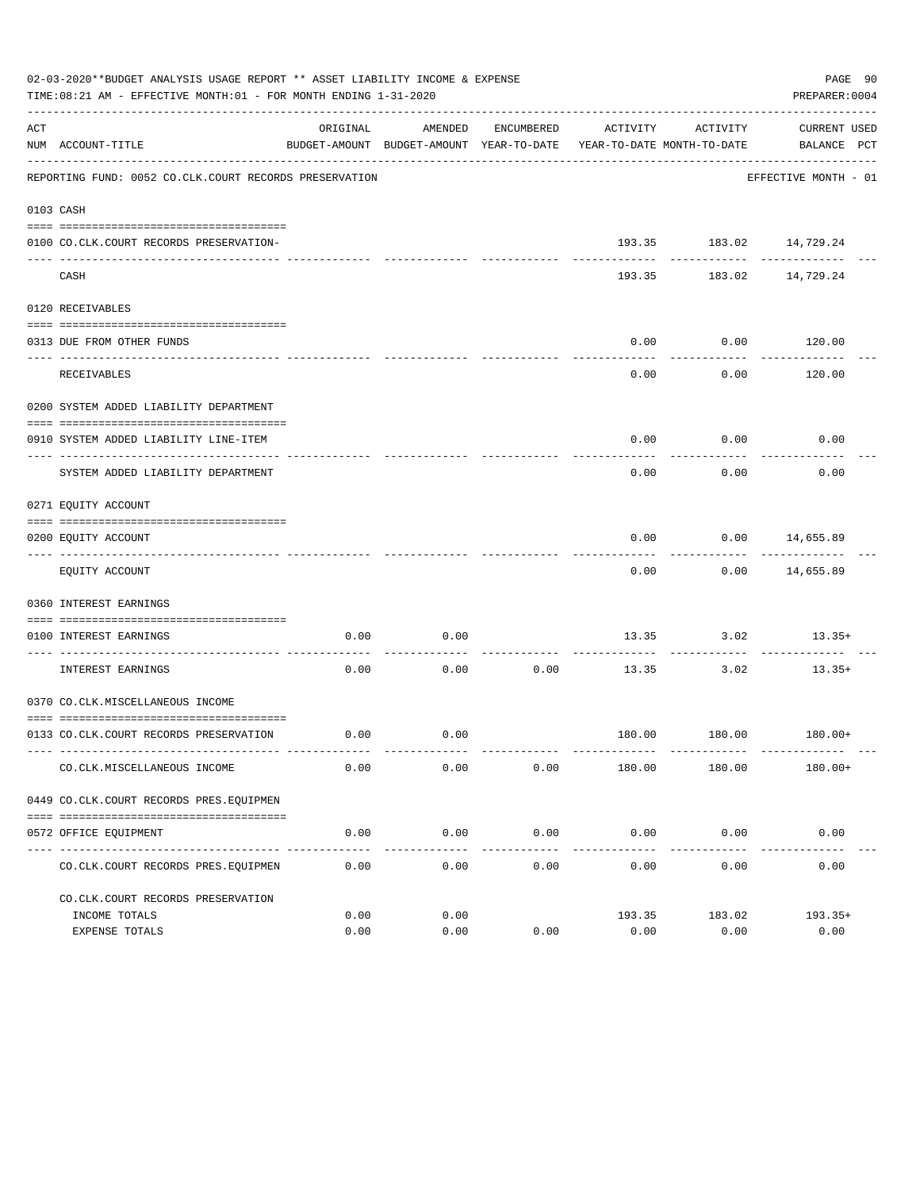|     | 02-03-2020**BUDGET ANALYSIS USAGE REPORT ** ASSET LIABILITY INCOME & EXPENSE<br>TIME:08:21 AM - EFFECTIVE MONTH:01 - FOR MONTH ENDING 1-31-2020 |          |                     |                      |                                                                                 |                         | PAGE 90<br>PREPARER: 0004        |
|-----|-------------------------------------------------------------------------------------------------------------------------------------------------|----------|---------------------|----------------------|---------------------------------------------------------------------------------|-------------------------|----------------------------------|
| ACT | NUM ACCOUNT-TITLE                                                                                                                               | ORIGINAL | AMENDED             | ENCUMBERED           | ACTIVITY<br>BUDGET-AMOUNT BUDGET-AMOUNT YEAR-TO-DATE YEAR-TO-DATE MONTH-TO-DATE | ACTIVITY                | CURRENT USED<br>BALANCE PCT      |
|     | REPORTING FUND: 0052 CO.CLK.COURT RECORDS PRESERVATION                                                                                          |          |                     |                      |                                                                                 |                         | EFFECTIVE MONTH - 01             |
|     | 0103 CASH                                                                                                                                       |          |                     |                      |                                                                                 |                         |                                  |
|     | 0100 CO.CLK.COURT RECORDS PRESERVATION-                                                                                                         |          |                     |                      |                                                                                 | 193.35 183.02 14,729.24 |                                  |
|     | CASH                                                                                                                                            |          |                     |                      | 193.35                                                                          |                         | 183.02 14,729.24                 |
|     | 0120 RECEIVABLES                                                                                                                                |          |                     |                      |                                                                                 |                         |                                  |
|     | 0313 DUE FROM OTHER FUNDS                                                                                                                       |          |                     |                      | 0.00                                                                            | $0.00$ 120.00           |                                  |
|     |                                                                                                                                                 |          |                     |                      |                                                                                 | .                       | . <u>.</u> .                     |
|     | RECEIVABLES                                                                                                                                     |          |                     |                      | 0.00                                                                            | 0.00                    | 120.00                           |
|     | 0200 SYSTEM ADDED LIABILITY DEPARTMENT                                                                                                          |          |                     |                      |                                                                                 |                         |                                  |
|     | 0910 SYSTEM ADDED LIABILITY LINE-ITEM                                                                                                           |          |                     |                      | 0.00                                                                            | 0.00<br>----------      | 0.00                             |
|     | SYSTEM ADDED LIABILITY DEPARTMENT                                                                                                               |          |                     |                      | 0.00                                                                            | 0.00                    | 0.00                             |
|     | 0271 EQUITY ACCOUNT                                                                                                                             |          |                     |                      |                                                                                 |                         |                                  |
|     | 0200 EQUITY ACCOUNT                                                                                                                             |          |                     |                      | 0.00                                                                            | $0.00$ 14,655.89        |                                  |
|     | EQUITY ACCOUNT                                                                                                                                  |          |                     |                      | 0.00                                                                            |                         | ------------<br>$0.00$ 14,655.89 |
|     | 0360 INTEREST EARNINGS                                                                                                                          |          |                     |                      |                                                                                 |                         |                                  |
|     | 0100 INTEREST EARNINGS                                                                                                                          | 0.00     | 0.00                |                      |                                                                                 | $13.35$ $3.02$ $13.35+$ |                                  |
|     | -----------------------<br>INTEREST EARNINGS                                                                                                    | 0.00     | 0.00                | ----------<br>0.00   |                                                                                 | .<br>13.35 3.02         | $13.35+$                         |
|     | 0370 CO.CLK.MISCELLANEOUS INCOME                                                                                                                |          |                     |                      |                                                                                 |                         |                                  |
|     | 0133 CO.CLK.COURT RECORDS PRESERVATION                                                                                                          | 0.00     | 0.00                |                      |                                                                                 | 180.00 180.00 180.00+   |                                  |
|     | CO. CLK. MISCELLANEOUS INCOME                                                                                                                   | 0.00     | 0.00                | 0.00                 | 180.00                                                                          | 180.00                  | $180.00+$                        |
|     | 0449 CO.CLK.COURT RECORDS PRES.EQUIPMEN                                                                                                         |          |                     |                      |                                                                                 |                         |                                  |
|     |                                                                                                                                                 |          |                     |                      |                                                                                 |                         |                                  |
|     | 0572 OFFICE EQUIPMENT                                                                                                                           | 0.00     | 0.00<br>----------- | 0.00<br>. <u>.</u> . |                                                                                 | $0.00$ 0.00             | 0.00<br>_____________            |
|     | CO. CLK. COURT RECORDS PRES. EQUIPMEN                                                                                                           | 0.00     | 0.00                | 0.00                 | 0.00                                                                            | 0.00                    | 0.00                             |
|     | CO. CLK. COURT RECORDS PRESERVATION                                                                                                             |          |                     |                      |                                                                                 |                         |                                  |
|     | INCOME TOTALS                                                                                                                                   | 0.00     | 0.00                |                      | 193.35                                                                          | 183.02                  | $193.35+$                        |
|     | EXPENSE TOTALS                                                                                                                                  | 0.00     | 0.00                | 0.00                 | 0.00                                                                            | 0.00                    | 0.00                             |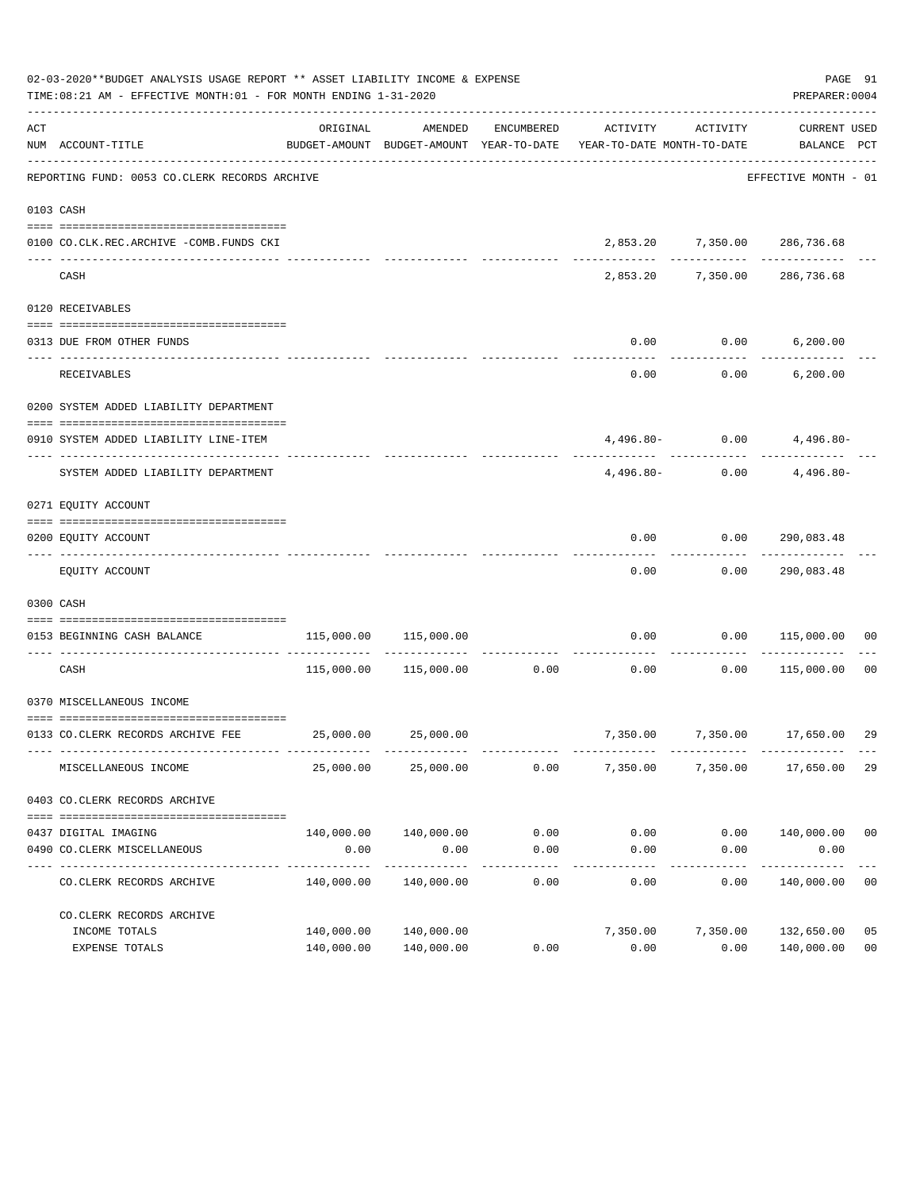|     | 02-03-2020**BUDGET ANALYSIS USAGE REPORT ** ASSET LIABILITY INCOME & EXPENSE<br>TIME:08:21 AM - EFFECTIVE MONTH:01 - FOR MONTH ENDING 1-31-2020 |            |                                  |                      |                                                                                 |                            | PAGE 91<br>PREPARER: 0004          |                |
|-----|-------------------------------------------------------------------------------------------------------------------------------------------------|------------|----------------------------------|----------------------|---------------------------------------------------------------------------------|----------------------------|------------------------------------|----------------|
| ACT | NUM ACCOUNT-TITLE                                                                                                                               | ORIGINAL   | AMENDED                          | ENCUMBERED           | ACTIVITY<br>BUDGET-AMOUNT BUDGET-AMOUNT YEAR-TO-DATE YEAR-TO-DATE MONTH-TO-DATE | ACTIVITY                   | CURRENT USED<br>BALANCE PCT        |                |
|     | REPORTING FUND: 0053 CO.CLERK RECORDS ARCHIVE                                                                                                   |            |                                  |                      |                                                                                 |                            | EFFECTIVE MONTH - 01               |                |
|     | 0103 CASH                                                                                                                                       |            |                                  |                      |                                                                                 |                            |                                    |                |
|     | 0100 CO.CLK.REC.ARCHIVE -COMB.FUNDS CKI                                                                                                         |            |                                  |                      |                                                                                 |                            | 2,853.20 7,350.00 286,736.68       |                |
|     | CASH                                                                                                                                            |            |                                  |                      |                                                                                 |                            | 2,853.20 7,350.00 286,736.68       |                |
|     | 0120 RECEIVABLES                                                                                                                                |            |                                  |                      |                                                                                 |                            |                                    |                |
|     | 0313 DUE FROM OTHER FUNDS                                                                                                                       |            |                                  |                      | 0.00                                                                            | $0.00$ 6,200.00            |                                    |                |
|     | RECEIVABLES                                                                                                                                     |            |                                  |                      | 0.00                                                                            |                            | $0.00$ 6,200.00                    |                |
|     | 0200 SYSTEM ADDED LIABILITY DEPARTMENT                                                                                                          |            |                                  |                      |                                                                                 |                            |                                    |                |
|     | 0910 SYSTEM ADDED LIABILITY LINE-ITEM                                                                                                           |            |                                  |                      |                                                                                 |                            | $4,496.80 - 0.00$ $4,496.80 -$     |                |
|     | SYSTEM ADDED LIABILITY DEPARTMENT                                                                                                               |            |                                  |                      | $4.496.80-$                                                                     |                            | --------------<br>$0.00$ 4,496.80- |                |
|     | 0271 EQUITY ACCOUNT                                                                                                                             |            |                                  |                      |                                                                                 |                            |                                    |                |
|     | 0200 EQUITY ACCOUNT                                                                                                                             |            |                                  |                      |                                                                                 | $0.00$ $0.00$ $290,083.48$ |                                    |                |
|     | EQUITY ACCOUNT                                                                                                                                  |            |                                  |                      | ---------<br>0.00                                                               | ---------                  | -------------<br>0.00 290,083.48   |                |
|     | 0300 CASH                                                                                                                                       |            |                                  |                      |                                                                                 |                            |                                    |                |
|     | 0153 BEGINNING CASH BALANCE                                                                                                                     |            | 115,000.00 115,000.00            |                      |                                                                                 |                            | $0.00$ $0.00$ $115,000.00$ 00      |                |
|     | CASH                                                                                                                                            |            | 115,000.00    115,000.00    0.00 |                      |                                                                                 | -----------                | $0.00$ $0.00$ $115,000.00$ 00      |                |
|     | 0370 MISCELLANEOUS INCOME                                                                                                                       |            |                                  |                      |                                                                                 |                            |                                    |                |
|     | 0133 CO.CLERK RECORDS ARCHIVE FEE 25,000.00 25,000.00                                                                                           |            |                                  |                      |                                                                                 |                            | 7,350.00 7,350.00 17,650.00        | 29             |
|     | MISCELLANEOUS INCOME                                                                                                                            | 25,000.00  | 25,000.00                        | 0.00                 | 7,350.00                                                                        | 7,350.00                   | 17,650.00                          | 29             |
|     | 0403 CO. CLERK RECORDS ARCHIVE                                                                                                                  |            |                                  |                      |                                                                                 |                            |                                    |                |
|     |                                                                                                                                                 |            |                                  |                      |                                                                                 |                            |                                    |                |
|     | 0437 DIGITAL IMAGING<br>0490 CO. CLERK MISCELLANEOUS                                                                                            | 0.00       | 140,000.00 140,000.00<br>0.00    | 0.00<br>0.00         | 0.00<br>0.00                                                                    | 0.00                       | $0.00$ $140,000.00$ 00<br>0.00     |                |
|     | CO. CLERK RECORDS ARCHIVE                                                                                                                       | 140,000.00 | --------------<br>140,000.00     | ------------<br>0.00 | -----------<br>0.00                                                             | ------------<br>0.00       | -----------<br>140,000.00          | 0 <sub>0</sub> |
|     | CO. CLERK RECORDS ARCHIVE                                                                                                                       |            |                                  |                      |                                                                                 |                            |                                    |                |
|     | INCOME TOTALS                                                                                                                                   | 140,000.00 | 140,000.00                       |                      | 7,350.00                                                                        | 7,350.00                   | 132,650.00                         | 05             |
|     | EXPENSE TOTALS                                                                                                                                  |            | 140,000.00 140,000.00            | 0.00                 | 0.00                                                                            | 0.00                       | 140,000.00                         | 0 <sub>0</sub> |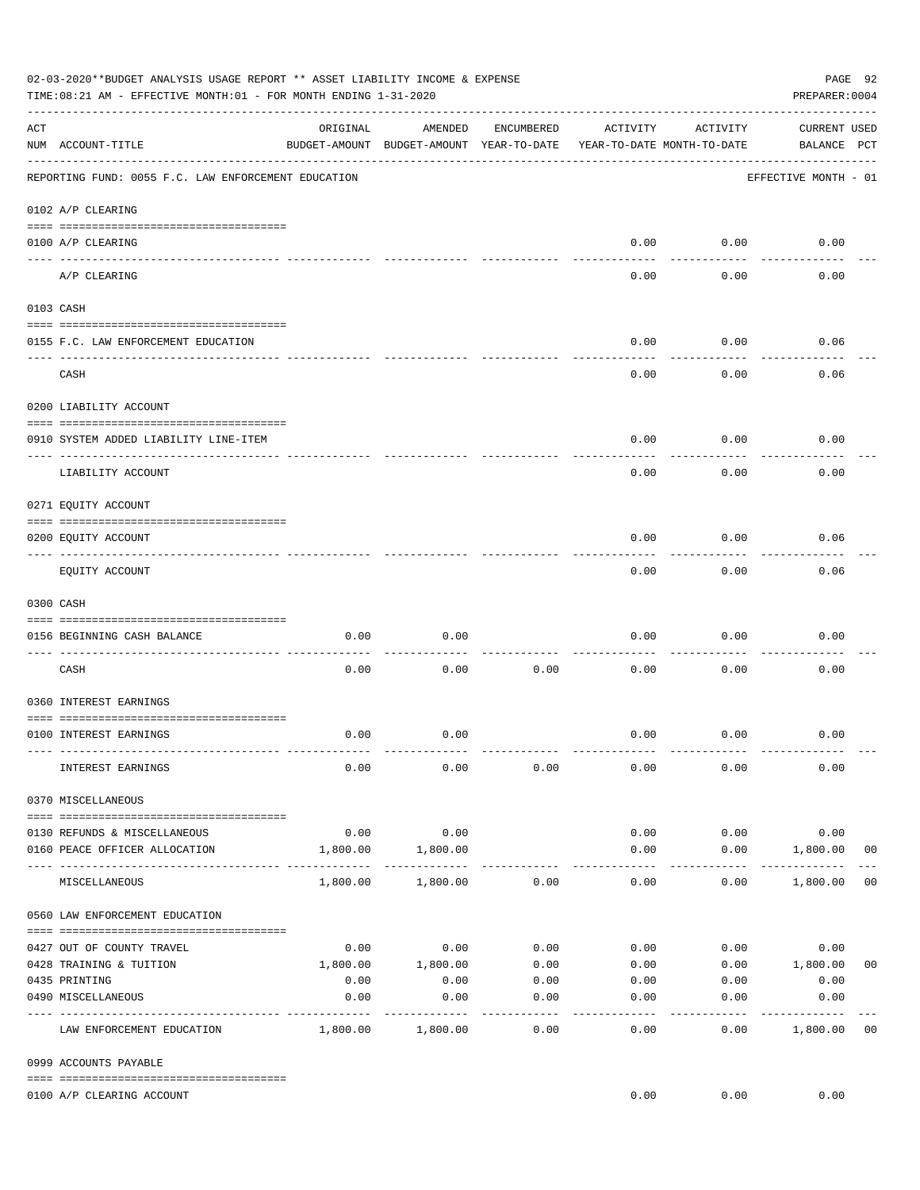|     | 02-03-2020**BUDGET ANALYSIS USAGE REPORT ** ASSET LIABILITY INCOME & EXPENSE<br>TIME:08:21 AM - EFFECTIVE MONTH:01 - FOR MONTH ENDING 1-31-2020 |                     |                                                     |                 |                                        |                    | PAGE 92<br>PREPARER: 0004          |                |
|-----|-------------------------------------------------------------------------------------------------------------------------------------------------|---------------------|-----------------------------------------------------|-----------------|----------------------------------------|--------------------|------------------------------------|----------------|
| ACT | NUM ACCOUNT-TITLE                                                                                                                               | ORIGINAL            | AMENDED<br>BUDGET-AMOUNT BUDGET-AMOUNT YEAR-TO-DATE | ENCUMBERED      | ACTIVITY<br>YEAR-TO-DATE MONTH-TO-DATE | ACTIVITY           | <b>CURRENT USED</b><br>BALANCE PCT |                |
|     | REPORTING FUND: 0055 F.C. LAW ENFORCEMENT EDUCATION                                                                                             |                     |                                                     |                 |                                        |                    | EFFECTIVE MONTH - 01               |                |
|     | 0102 A/P CLEARING                                                                                                                               |                     |                                                     |                 |                                        |                    |                                    |                |
|     | 0100 A/P CLEARING                                                                                                                               |                     |                                                     |                 | 0.00                                   | 0.00               | 0.00                               |                |
|     | A/P CLEARING                                                                                                                                    |                     |                                                     |                 | 0.00                                   | 0.00               | 0.00                               |                |
|     | 0103 CASH                                                                                                                                       |                     |                                                     |                 |                                        |                    |                                    |                |
|     | 0155 F.C. LAW ENFORCEMENT EDUCATION                                                                                                             |                     |                                                     |                 | 0.00                                   | 0.00               | 0.06                               |                |
|     | CASH                                                                                                                                            |                     |                                                     |                 | 0.00                                   | 0.00               | 0.06                               |                |
|     | 0200 LIABILITY ACCOUNT                                                                                                                          |                     |                                                     |                 |                                        |                    |                                    |                |
|     | 0910 SYSTEM ADDED LIABILITY LINE-ITEM                                                                                                           |                     |                                                     |                 | 0.00                                   | 0.00               | 0.00                               |                |
|     | LIABILITY ACCOUNT                                                                                                                               |                     |                                                     |                 | 0.00                                   | 0.00               | 0.00                               |                |
|     | 0271 EQUITY ACCOUNT                                                                                                                             |                     |                                                     |                 |                                        |                    |                                    |                |
|     | 0200 EQUITY ACCOUNT                                                                                                                             |                     |                                                     |                 | 0.00                                   | 0.00               | 0.06                               |                |
|     | EQUITY ACCOUNT                                                                                                                                  |                     |                                                     |                 | 0.00                                   | --------<br>0.00   | 0.06                               |                |
|     | 0300 CASH                                                                                                                                       |                     |                                                     |                 |                                        |                    |                                    |                |
|     | 0156 BEGINNING CASH BALANCE                                                                                                                     | 0.00                | 0.00                                                |                 | 0.00                                   | 0.00               | 0.00                               |                |
|     | CASH                                                                                                                                            | 0.00                | 0.00                                                | 0.00            | 0.00                                   | 0.00               | 0.00                               |                |
|     | 0360 INTEREST EARNINGS                                                                                                                          |                     |                                                     |                 |                                        |                    |                                    |                |
|     | 0100 INTEREST EARNINGS                                                                                                                          | 0.00                | 0.00                                                |                 | 0.00                                   | 0.00               | 0.00                               |                |
|     | INTEREST EARNINGS                                                                                                                               | 0.00                | 0.00                                                | 0.00            | 0.00                                   | 0.00               | 0.00                               |                |
|     | 0370 MISCELLANEOUS                                                                                                                              |                     |                                                     |                 |                                        |                    |                                    |                |
|     |                                                                                                                                                 |                     |                                                     |                 |                                        |                    |                                    |                |
|     | 0130 REFUNDS & MISCELLANEOUS<br>0160 PEACE OFFICER ALLOCATION                                                                                   | 0.00<br>1,800.00    | 0.00<br>1,800.00                                    |                 | 0.00<br>0.00                           | 0.00<br>0.00       | 0.00<br>1,800.00                   | 0 <sub>0</sub> |
|     | MISCELLANEOUS                                                                                                                                   | 1,800.00            | 1,800.00                                            | 0.00            | $\cdots$<br>0.00                       | ----------<br>0.00 | _____________<br>1,800.00          | 0 <sub>0</sub> |
|     | 0560 LAW ENFORCEMENT EDUCATION                                                                                                                  |                     |                                                     |                 |                                        |                    |                                    |                |
|     |                                                                                                                                                 |                     |                                                     |                 |                                        |                    | 0.00                               |                |
|     | 0427 OUT OF COUNTY TRAVEL<br>0428 TRAINING & TUITION                                                                                            |                     | $0.00$ 0.00<br>1,800.00    1,800.00                 | 0.00<br>0.00    | 0.00<br>0.00                           |                    | 0.00<br>$0.00$ 1,800.00            | 0 <sub>0</sub> |
|     | 0435 PRINTING                                                                                                                                   | 0.00                | 0.00                                                | 0.00            |                                        | $0.00$ 0.00        | 0.00                               |                |
|     | 0490 MISCELLANEOUS                                                                                                                              | 0.00<br>----------- | 0.00                                                | 0.00<br>------- | 0.00                                   | 0.00               | 0.00                               |                |
|     | LAW ENFORCEMENT EDUCATION                                                                                                                       |                     | 1,800.00 1,800.00                                   | 0.00            | 0.00                                   | 0.00               | 1,800.00                           | 0 <sub>0</sub> |
|     | 0999 ACCOUNTS PAYABLE                                                                                                                           |                     |                                                     |                 |                                        |                    |                                    |                |
|     | 0100 A/P CLEARING ACCOUNT                                                                                                                       |                     |                                                     |                 | 0.00                                   | 0.00               | 0.00                               |                |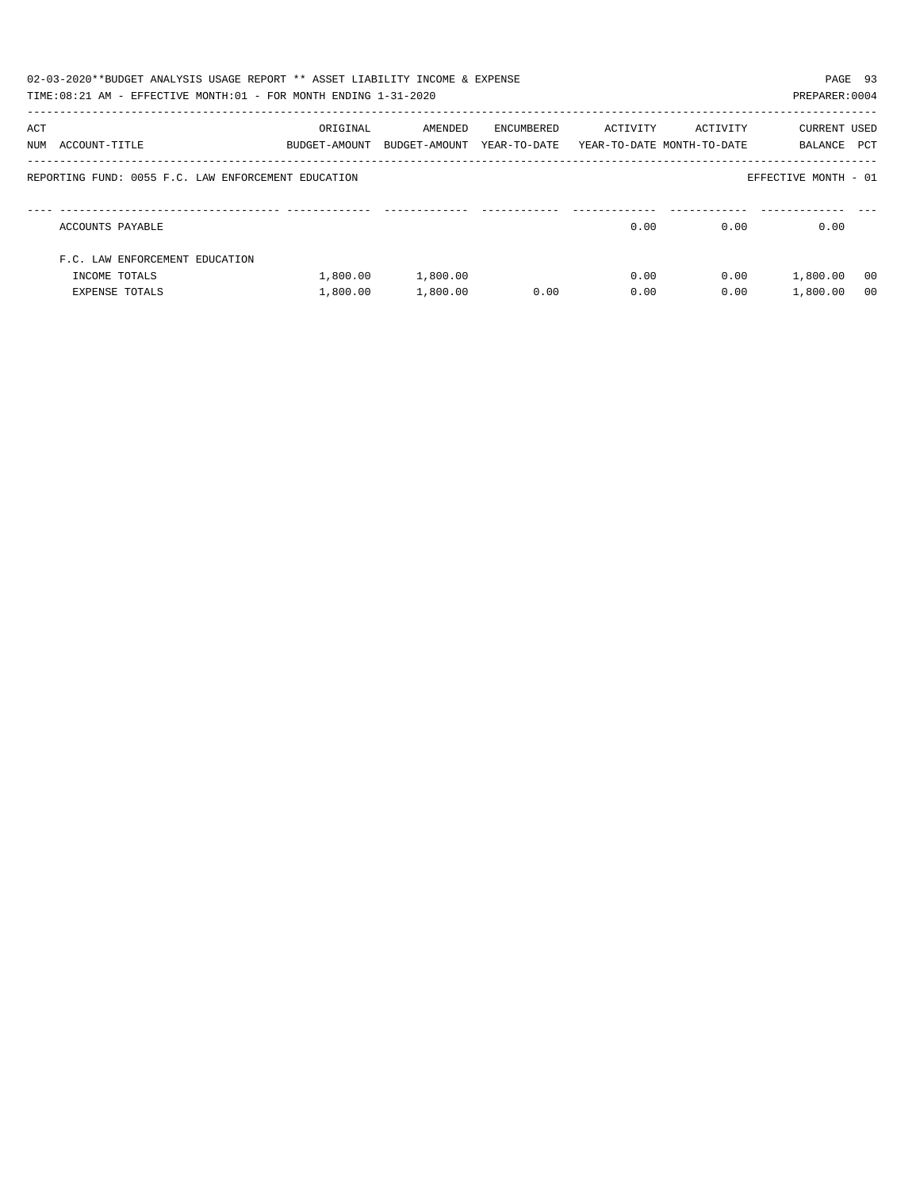|     | 02-03-2020**BUDGET ANALYSIS USAGE REPORT ** ASSET LIABILITY INCOME & EXPENSE<br>TIME:08:21 AM - EFFECTIVE MONTH:01 - FOR MONTH ENDING 1-31-2020 |                           |                          |                            |                                        |          | PAGE 93<br>PREPARER: 0004 |                |
|-----|-------------------------------------------------------------------------------------------------------------------------------------------------|---------------------------|--------------------------|----------------------------|----------------------------------------|----------|---------------------------|----------------|
| ACT | NUM ACCOUNT-TITLE                                                                                                                               | ORIGINAL<br>BUDGET-AMOUNT | AMENDED<br>BUDGET-AMOUNT | ENCUMBERED<br>YEAR-TO-DATE | ACTIVITY<br>YEAR-TO-DATE MONTH-TO-DATE | ACTIVITY | CURRENT USED<br>BALANCE   | PCT            |
|     | REPORTING FUND: 0055 F.C. LAW ENFORCEMENT EDUCATION                                                                                             |                           |                          |                            |                                        |          | EFFECTIVE MONTH - 01      |                |
|     | ACCOUNTS PAYABLE                                                                                                                                |                           |                          |                            | 0.00                                   | 0.00     | 0.00                      |                |
|     | F.C. LAW ENFORCEMENT EDUCATION                                                                                                                  |                           |                          |                            |                                        |          |                           |                |
|     | INCOME TOTALS                                                                                                                                   | 1,800.00                  | 1,800.00                 |                            | 0.00                                   | 0.00     | 1,800.00                  | - 00           |
|     | <b>EXPENSE TOTALS</b>                                                                                                                           | 1,800.00                  | 1,800.00                 | 0.00                       | 0.00                                   | 0.00     | 1,800.00                  | 0 <sub>0</sub> |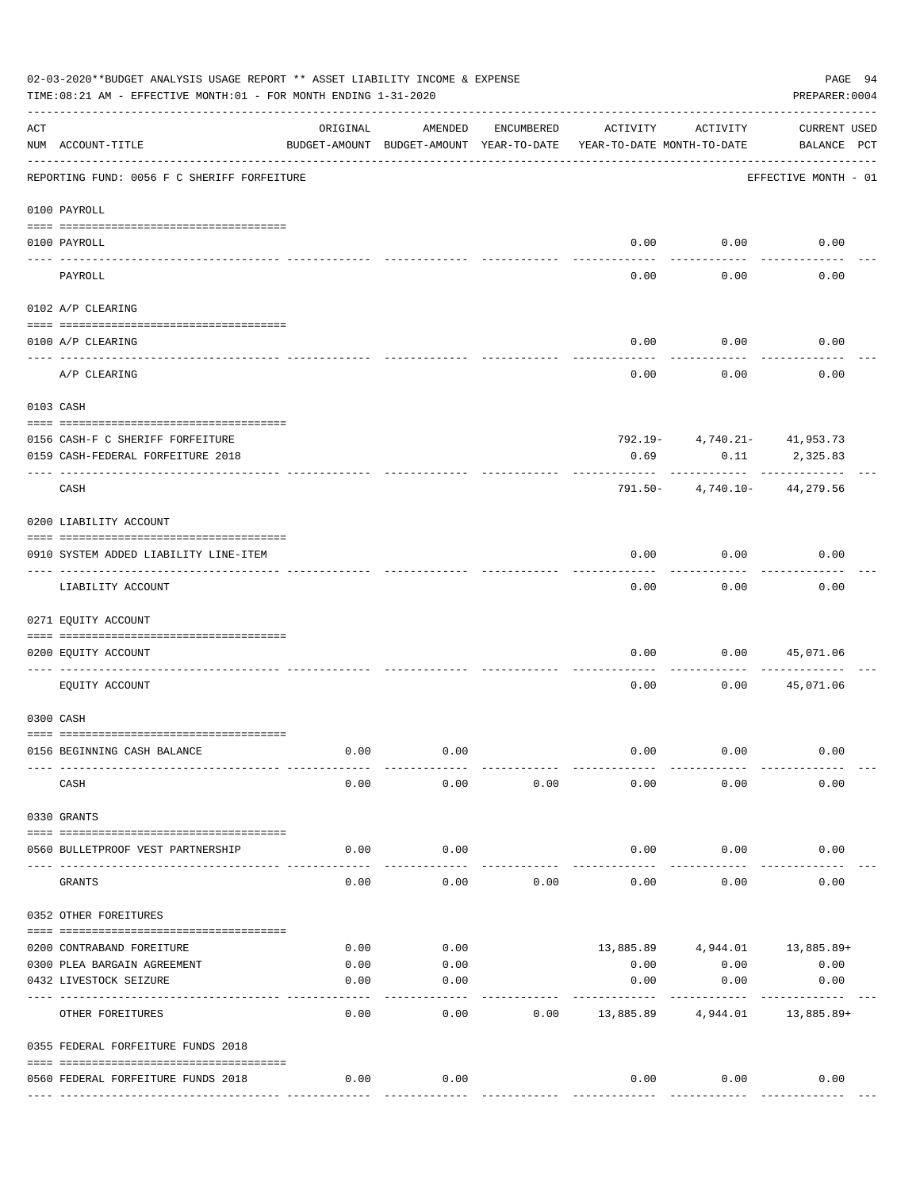|                | 02-03-2020**BUDGET ANALYSIS USAGE REPORT ** ASSET LIABILITY INCOME & EXPENSE<br>TIME: 08:21 AM - EFFECTIVE MONTH: 01 - FOR MONTH ENDING 1-31-2020 |               |                                                     |            |                                        |                                     | PAGE 94<br>PREPARER: 0004             |
|----------------|---------------------------------------------------------------------------------------------------------------------------------------------------|---------------|-----------------------------------------------------|------------|----------------------------------------|-------------------------------------|---------------------------------------|
| ACT            | NUM ACCOUNT-TITLE                                                                                                                                 | ORIGINAL      | AMENDED<br>BUDGET-AMOUNT BUDGET-AMOUNT YEAR-TO-DATE | ENCUMBERED | ACTIVITY<br>YEAR-TO-DATE MONTH-TO-DATE | ACTIVITY                            | <b>CURRENT USED</b><br>BALANCE PCT    |
|                | REPORTING FUND: 0056 F C SHERIFF FORFEITURE                                                                                                       |               |                                                     |            |                                        |                                     | EFFECTIVE MONTH - 01                  |
|                | 0100 PAYROLL                                                                                                                                      |               |                                                     |            |                                        |                                     |                                       |
|                |                                                                                                                                                   |               |                                                     |            |                                        |                                     |                                       |
| $------------$ | 0100 PAYROLL                                                                                                                                      |               |                                                     |            | 0.00                                   | 0.00                                | 0.00                                  |
|                | PAYROLL                                                                                                                                           |               |                                                     |            | 0.00                                   | 0.00                                | 0.00                                  |
|                | 0102 A/P CLEARING                                                                                                                                 |               |                                                     |            |                                        |                                     |                                       |
|                | 0100 A/P CLEARING                                                                                                                                 |               |                                                     |            | 0.00                                   | 0.00                                | 0.00                                  |
|                | A/P CLEARING                                                                                                                                      |               |                                                     |            | 0.00                                   | 0.00                                | 0.00                                  |
|                | 0103 CASH                                                                                                                                         |               |                                                     |            |                                        |                                     |                                       |
|                |                                                                                                                                                   |               |                                                     |            |                                        |                                     |                                       |
|                | 0156 CASH-F C SHERIFF FORFEITURE<br>0159 CASH-FEDERAL FORFEITURE 2018                                                                             |               |                                                     |            | 0.69                                   | 792.19- 4,740.21- 41,953.73<br>0.11 | 2,325.83                              |
|                | CASH                                                                                                                                              |               |                                                     |            |                                        | 791.50- 4,740.10- 44,279.56         |                                       |
|                | 0200 LIABILITY ACCOUNT                                                                                                                            |               |                                                     |            |                                        |                                     |                                       |
|                | 0910 SYSTEM ADDED LIABILITY LINE-ITEM                                                                                                             |               |                                                     |            | 0.00                                   | 0.00                                | 0.00                                  |
|                | LIABILITY ACCOUNT                                                                                                                                 |               |                                                     |            | 0.00                                   | 0.00                                | 0.00                                  |
|                | 0271 EQUITY ACCOUNT                                                                                                                               |               |                                                     |            |                                        |                                     |                                       |
|                | 0200 EQUITY ACCOUNT                                                                                                                               |               |                                                     |            | 0.00                                   | 0.00                                | 45,071.06                             |
|                | EQUITY ACCOUNT                                                                                                                                    |               |                                                     |            | 0.00                                   | 0.00                                | 45,071.06                             |
|                | 0300 CASH                                                                                                                                         |               |                                                     |            |                                        |                                     |                                       |
|                | 0156 BEGINNING CASH BALANCE                                                                                                                       | 0.00          | 0.00                                                |            | 0.00                                   | 0.00                                | 0.00                                  |
|                | CASH                                                                                                                                              | 0.00          | 0.00                                                | 0.00       | 0.00                                   | 0.00                                | 0.00                                  |
|                | 0330 GRANTS                                                                                                                                       |               |                                                     |            |                                        |                                     |                                       |
|                | 0560 BULLETPROOF VEST PARTNERSHIP                                                                                                                 | 0.00          | 0.00                                                |            | 0.00                                   | 0.00                                | 0.00                                  |
|                | GRANTS                                                                                                                                            | 0.00          | 0.00                                                | 0.00       | 0.00                                   | 0.00                                | 0.00                                  |
|                | 0352 OTHER FOREITURES                                                                                                                             |               |                                                     |            |                                        |                                     |                                       |
|                |                                                                                                                                                   | 0.00          | 0.00                                                |            |                                        |                                     |                                       |
|                | 0200 CONTRABAND FOREITURE<br>0300 PLEA BARGAIN AGREEMENT                                                                                          | 0.00          | 0.00                                                |            | 0.00                                   | 0.00                                | 13,885.89 4,944.01 13,885.89+<br>0.00 |
|                | 0432 LIVESTOCK SEIZURE                                                                                                                            | 0.00          | 0.00                                                |            | 0.00                                   | 0.00                                | 0.00                                  |
|                | OTHER FOREITURES                                                                                                                                  | 0.00          | 0.00                                                | 0.00       | 13,885.89                              | 4,944.01                            | 13,885.89+                            |
|                | 0355 FEDERAL FORFEITURE FUNDS 2018                                                                                                                |               |                                                     |            |                                        |                                     |                                       |
|                |                                                                                                                                                   | 0.00          | 0.00                                                |            | 0.00                                   | 0.00                                | 0.00                                  |
|                | 0560 FEDERAL FORFEITURE FUNDS 2018                                                                                                                | ------------- |                                                     |            |                                        |                                     |                                       |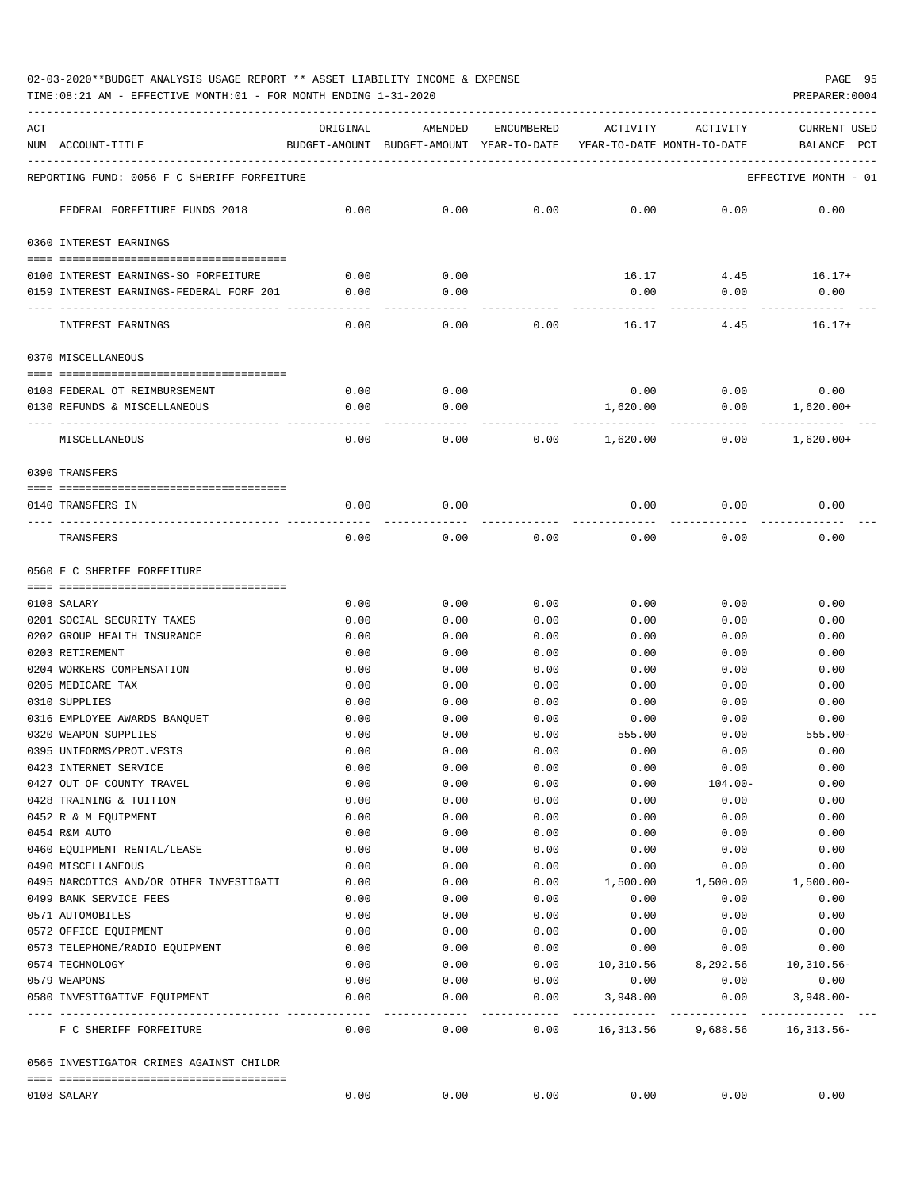02-03-2020\*\*BUDGET ANALYSIS USAGE REPORT \*\* ASSET LIABILITY INCOME & EXPENSE PAGE 95

TIME:08:21 AM - EFFECTIVE MONTH:01 - FOR MONTH ENDING 1-31-2020

| ACT | NUM ACCOUNT-TITLE                                     | ORIGINAL     | AMENDED<br>BUDGET-AMOUNT BUDGET-AMOUNT YEAR-TO-DATE | ENCUMBERED     | ACTIVITY<br>YEAR-TO-DATE MONTH-TO-DATE | ACTIVITY                | CURRENT USED<br>BALANCE<br>PCT |
|-----|-------------------------------------------------------|--------------|-----------------------------------------------------|----------------|----------------------------------------|-------------------------|--------------------------------|
|     | REPORTING FUND: 0056 F C SHERIFF FORFEITURE           |              |                                                     |                |                                        |                         | EFFECTIVE MONTH - 01           |
|     | FEDERAL FORFEITURE FUNDS 2018                         | 0.00         | 0.00                                                | 0.00           | 0.00                                   | 0.00                    | 0.00                           |
|     | 0360 INTEREST EARNINGS                                |              |                                                     |                |                                        |                         |                                |
|     | 0100 INTEREST EARNINGS-SO FORFEITURE                  | 0.00         | 0.00                                                |                |                                        | $16.17$ $4.45$ $16.17+$ |                                |
|     | 0159 INTEREST EARNINGS-FEDERAL FORF 201               | 0.00         | 0.00                                                |                | 0.00                                   | 0.00                    | 0.00                           |
|     | INTEREST EARNINGS                                     | 0.00         | 0.00                                                | 0.00           | 16.17                                  | 4.45                    | $16.17+$                       |
|     | 0370 MISCELLANEOUS                                    |              |                                                     |                |                                        |                         |                                |
|     | 0108 FEDERAL OT REIMBURSEMENT                         | 0.00         | 0.00                                                |                | 0.00                                   | $0.00$ 0.00             |                                |
|     | 0130 REFUNDS & MISCELLANEOUS                          | 0.00         | 0.00                                                |                | 1,620.00                               | 0.00                    | 1,620.00+                      |
|     | MISCELLANEOUS                                         | 0.00         | 0.00                                                | 0.00           | 1,620.00                               | 0.00                    | $1,620.00+$                    |
|     |                                                       |              |                                                     |                |                                        |                         |                                |
|     | 0390 TRANSFERS                                        |              |                                                     |                |                                        |                         |                                |
|     | 0140 TRANSFERS IN                                     | 0.00         | 0.00                                                |                | 0.00                                   | 0.00                    | 0.00                           |
|     | TRANSFERS                                             | 0.00         | 0.00                                                | 0.00           | 0.00                                   | 0.00                    | 0.00                           |
|     | 0560 F C SHERIFF FORFEITURE                           |              |                                                     |                |                                        |                         |                                |
|     |                                                       |              |                                                     |                |                                        |                         |                                |
|     | 0108 SALARY<br>0201 SOCIAL SECURITY TAXES             | 0.00<br>0.00 | 0.00<br>0.00                                        | 0.00<br>0.00   | 0.00<br>0.00                           | 0.00<br>0.00            | 0.00<br>0.00                   |
|     | 0202 GROUP HEALTH INSURANCE                           | 0.00         | 0.00                                                | 0.00           | 0.00                                   | 0.00                    | 0.00                           |
|     | 0203 RETIREMENT                                       | 0.00         | 0.00                                                | 0.00           | 0.00                                   | 0.00                    | 0.00                           |
|     | 0204 WORKERS COMPENSATION                             | 0.00         | 0.00                                                | 0.00           | 0.00                                   | 0.00                    | 0.00                           |
|     | 0205 MEDICARE TAX                                     | 0.00         | 0.00                                                | 0.00           | 0.00                                   | 0.00                    | 0.00                           |
|     | 0310 SUPPLIES                                         | 0.00         | 0.00                                                | 0.00           | 0.00                                   | 0.00                    | 0.00                           |
|     | 0316 EMPLOYEE AWARDS BANQUET                          | 0.00         | 0.00                                                | 0.00           | 0.00                                   | 0.00                    | 0.00                           |
|     | 0320 WEAPON SUPPLIES                                  | 0.00         | 0.00                                                | 0.00           | 555.00                                 | 0.00                    | $555.00 -$                     |
|     | 0395 UNIFORMS/PROT.VESTS                              | 0.00         | 0.00                                                | 0.00           | 0.00                                   | 0.00                    | 0.00                           |
|     | 0423 INTERNET SERVICE                                 | 0.00         | 0.00                                                | 0.00           | 0.00                                   | 0.00                    | 0.00                           |
|     | 0427 OUT OF COUNTY TRAVEL                             | 0.00         | 0.00                                                | 0.00           | 0.00                                   | $104.00 -$              | 0.00                           |
|     | 0428 TRAINING & TUITION                               | 0.00         | 0.00                                                | 0.00           | 0.00                                   | 0.00                    | 0.00                           |
|     | 0452 R & M EQUIPMENT                                  | 0.00         | 0.00                                                | 0.00           | 0.00                                   | 0.00                    | 0.00                           |
|     | 0454 R&M AUTO                                         | 0.00         | 0.00                                                | 0.00           | 0.00                                   | 0.00                    | 0.00                           |
|     | 0460 EQUIPMENT RENTAL/LEASE                           | 0.00         | 0.00                                                | 0.00           | 0.00                                   | 0.00                    | 0.00                           |
|     | 0490 MISCELLANEOUS                                    | 0.00         | 0.00                                                | 0.00           | 0.00                                   | 0.00                    | 0.00                           |
|     | 0495 NARCOTICS AND/OR OTHER INVESTIGATI               | 0.00         | 0.00                                                | 0.00           | 1,500.00                               | 1,500.00                | $1,500.00-$                    |
|     | 0499 BANK SERVICE FEES                                | 0.00         | 0.00                                                | 0.00           | 0.00                                   | 0.00                    | 0.00                           |
|     | 0571 AUTOMOBILES                                      | 0.00         | 0.00                                                | 0.00           | 0.00                                   | 0.00                    | 0.00                           |
|     | 0572 OFFICE EQUIPMENT                                 | 0.00         | 0.00                                                | 0.00           | 0.00                                   | 0.00                    | 0.00                           |
|     | 0573 TELEPHONE/RADIO EQUIPMENT                        | 0.00         | 0.00                                                | 0.00           | 0.00                                   | 0.00                    | 0.00                           |
|     | 0574 TECHNOLOGY                                       | 0.00         | 0.00                                                | 0.00           | 10,310.56                              | 8,292.56                | $10, 310.56 -$                 |
|     | 0579 WEAPONS                                          | 0.00         | 0.00                                                | 0.00           | 0.00                                   | 0.00                    | 0.00                           |
|     | 0580 INVESTIGATIVE EQUIPMENT<br>---- ---------------- | 0.00         | 0.00<br>-----                                       | 0.00<br>------ | 3,948.00                               | 0.00<br>------------    | $3,948.00 -$                   |
|     | F C SHERIFF FORFEITURE                                | 0.00         | 0.00                                                | 0.00           |                                        | 16,313.56 9,688.56      | $16, 313.56 -$                 |
|     | 0565 INVESTIGATOR CRIMES AGAINST CHILDR               |              |                                                     |                |                                        |                         |                                |
|     | 0108 SALARY                                           | 0.00         | 0.00                                                | 0.00           | 0.00                                   | 0.00                    | 0.00                           |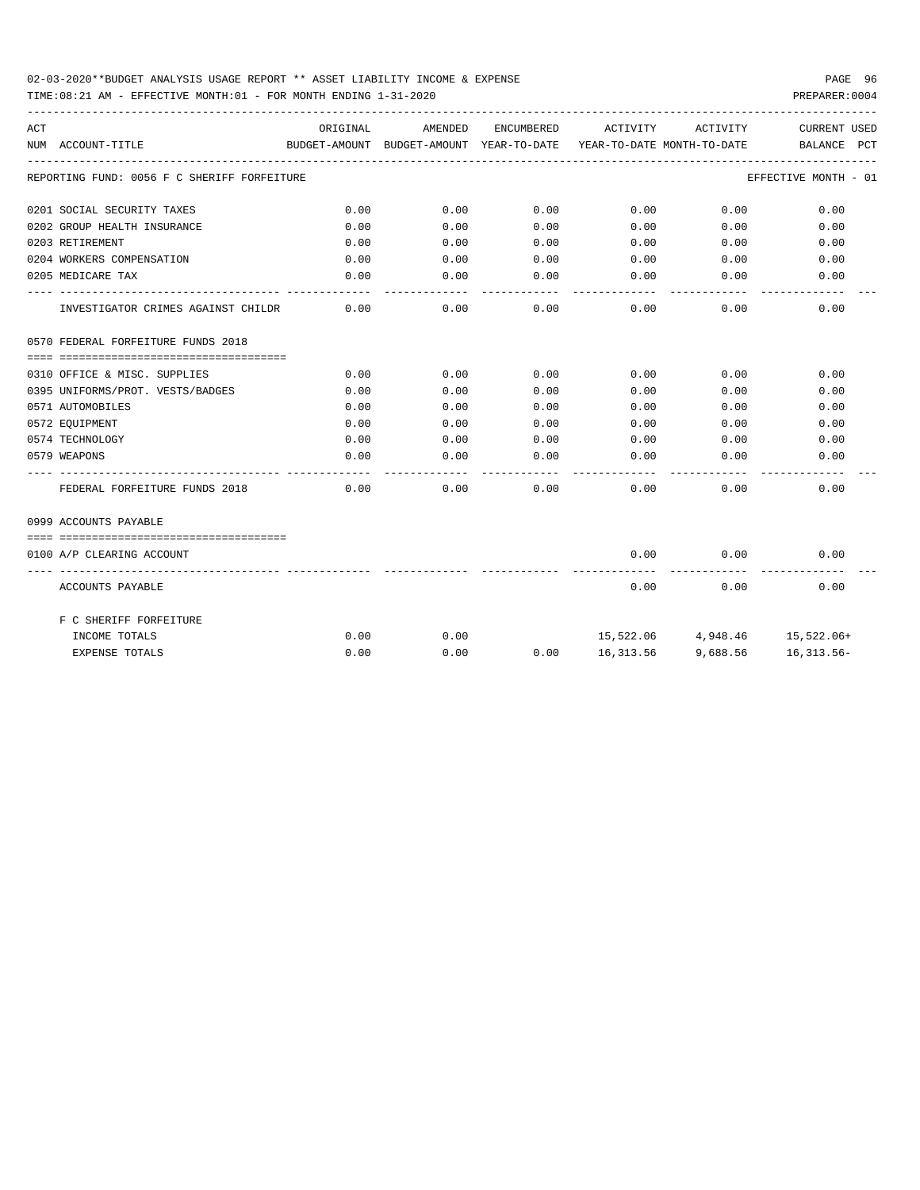## 02-03-2020\*\*BUDGET ANALYSIS USAGE REPORT \*\* ASSET LIABILITY INCOME & EXPENSE PAGE 96

TIME:08:21 AM - EFFECTIVE MONTH:01 - FOR MONTH ENDING 1-31-2020 PREPARER:0004

| ACT |                                             | ORIGINAL | AMENDED                                  | ENCUMBERED | ACTIVITY                   | ACTIVITY                      | <b>CURRENT USED</b>     |
|-----|---------------------------------------------|----------|------------------------------------------|------------|----------------------------|-------------------------------|-------------------------|
|     | NUM ACCOUNT-TITLE                           |          | BUDGET-AMOUNT BUDGET-AMOUNT YEAR-TO-DATE |            | YEAR-TO-DATE MONTH-TO-DATE |                               | BALANCE<br>$_{\rm PCT}$ |
|     | REPORTING FUND: 0056 F C SHERIFF FORFEITURE |          |                                          |            |                            |                               | EFFECTIVE MONTH - 01    |
|     | 0201 SOCIAL SECURITY TAXES                  | 0.00     | 0.00                                     | 0.00       | 0.00                       | 0.00                          | 0.00                    |
|     | 0202 GROUP HEALTH INSURANCE                 | 0.00     | 0.00                                     | 0.00       | 0.00                       | 0.00                          | 0.00                    |
|     | 0203 RETIREMENT                             | 0.00     | 0.00                                     | 0.00       | 0.00                       | 0.00                          | 0.00                    |
|     | 0204 WORKERS COMPENSATION                   | 0.00     | 0.00                                     | 0.00       | 0.00                       | 0.00                          | 0.00                    |
|     | 0205 MEDICARE TAX                           | 0.00     | 0.00                                     | 0.00       | 0.00                       | 0.00                          | 0.00                    |
|     | INVESTIGATOR CRIMES AGAINST CHILDR          | 0.00     | 0.00                                     | 0.00       | 0.00                       | 0.00                          | 0.00                    |
|     | 0570 FEDERAL FORFEITURE FUNDS 2018          |          |                                          |            |                            |                               |                         |
|     |                                             |          |                                          |            |                            |                               |                         |
|     | 0310 OFFICE & MISC. SUPPLIES                | 0.00     | 0.00                                     | 0.00       | 0.00                       | 0.00                          | 0.00                    |
|     | 0395 UNIFORMS/PROT. VESTS/BADGES            | 0.00     | 0.00                                     | 0.00       | 0.00                       | 0.00                          | 0.00                    |
|     | 0571 AUTOMOBILES                            | 0.00     | 0.00                                     | 0.00       | 0.00                       | 0.00                          | 0.00                    |
|     | 0572 EOUIPMENT                              | 0.00     | 0.00                                     | 0.00       | 0.00                       | 0.00                          | 0.00                    |
|     | 0574 TECHNOLOGY                             | 0.00     | 0.00                                     | 0.00       | 0.00                       | 0.00                          | 0.00                    |
|     | 0579 WEAPONS                                | 0.00     | 0.00                                     | 0.00       | 0.00                       | 0.00                          | 0.00                    |
|     | FEDERAL FORFEITURE FUNDS 2018               | 0.00     | 0.00                                     | 0.00       | 0.00                       | 0.00                          | 0.00                    |
|     | 0999 ACCOUNTS PAYABLE                       |          |                                          |            |                            |                               |                         |
|     | ==================================          |          |                                          |            |                            |                               |                         |
|     | 0100 A/P CLEARING ACCOUNT                   |          |                                          |            | 0.00                       | 0.00                          | 0.00                    |
|     | ACCOUNTS PAYABLE                            |          |                                          |            | 0.00                       | 0.00                          | 0.00                    |
|     | F C SHERIFF FORFEITURE                      |          |                                          |            |                            |                               |                         |
|     | INCOME TOTALS                               | 0.00     | 0.00                                     |            |                            | 15,522.06 4,948.46 15,522.06+ |                         |
|     | <b>EXPENSE TOTALS</b>                       | 0.00     | 0.00                                     | 0.00       |                            | 16,313.56 9,688.56 16,313.56- |                         |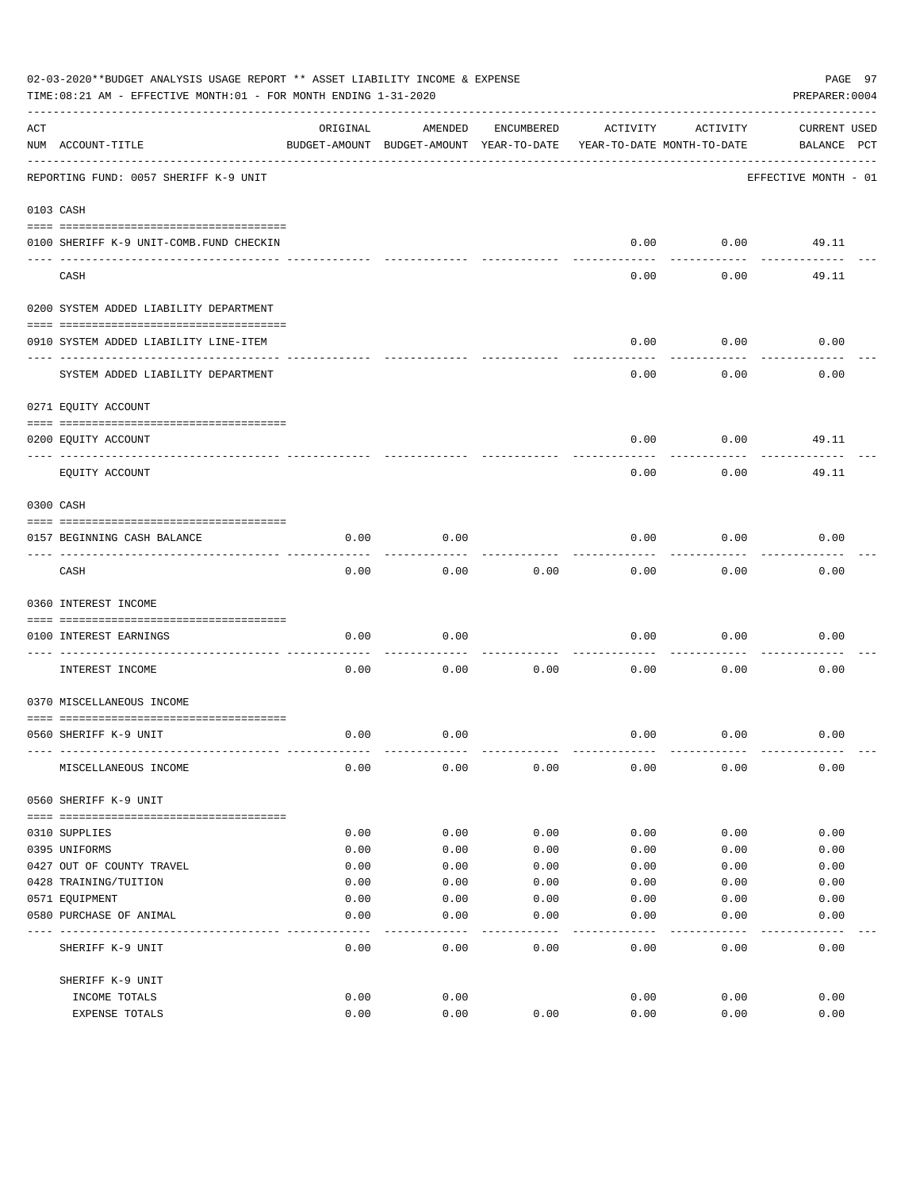|     | 02-03-2020**BUDGET ANALYSIS USAGE REPORT ** ASSET LIABILITY INCOME & EXPENSE<br>TIME: 08:21 AM - EFFECTIVE MONTH: 01 - FOR MONTH ENDING 1-31-2020 |          |                                                     |            |          |                                        | PAGE 97<br>PREPARER: 0004          |
|-----|---------------------------------------------------------------------------------------------------------------------------------------------------|----------|-----------------------------------------------------|------------|----------|----------------------------------------|------------------------------------|
| ACT | NUM ACCOUNT-TITLE                                                                                                                                 | ORIGINAL | AMENDED<br>BUDGET-AMOUNT BUDGET-AMOUNT YEAR-TO-DATE | ENCUMBERED | ACTIVITY | ACTIVITY<br>YEAR-TO-DATE MONTH-TO-DATE | <b>CURRENT USED</b><br>BALANCE PCT |
|     | REPORTING FUND: 0057 SHERIFF K-9 UNIT                                                                                                             |          |                                                     |            |          |                                        | EFFECTIVE MONTH - 01               |
|     | 0103 CASH                                                                                                                                         |          |                                                     |            |          |                                        |                                    |
|     | 0100 SHERIFF K-9 UNIT-COMB.FUND CHECKIN                                                                                                           |          |                                                     |            | 0.00     | 0.00                                   | 49.11                              |
|     | CASH                                                                                                                                              |          |                                                     |            | 0.00     | 0.00                                   | 49.11                              |
|     | 0200 SYSTEM ADDED LIABILITY DEPARTMENT                                                                                                            |          |                                                     |            |          |                                        |                                    |
|     | 0910 SYSTEM ADDED LIABILITY LINE-ITEM                                                                                                             |          |                                                     |            | 0.00     | 0.00                                   | 0.00                               |
|     | SYSTEM ADDED LIABILITY DEPARTMENT                                                                                                                 |          |                                                     |            | 0.00     | 0.00                                   | 0.00                               |
|     | 0271 EQUITY ACCOUNT                                                                                                                               |          |                                                     |            |          |                                        |                                    |
|     | 0200 EQUITY ACCOUNT                                                                                                                               |          |                                                     |            | 0.00     | 0.00                                   | 49.11                              |
|     | EQUITY ACCOUNT                                                                                                                                    |          |                                                     |            | 0.00     | 0.00                                   | 49.11                              |
|     | 0300 CASH                                                                                                                                         |          |                                                     |            |          |                                        |                                    |
|     | 0157 BEGINNING CASH BALANCE                                                                                                                       | 0.00     | 0.00                                                |            | 0.00     | 0.00                                   | 0.00                               |
|     | CASH                                                                                                                                              | 0.00     | 0.00                                                | 0.00       | 0.00     | 0.00                                   | 0.00                               |
|     | 0360 INTEREST INCOME                                                                                                                              |          |                                                     |            |          |                                        |                                    |
|     | 0100 INTEREST EARNINGS<br>----------------- ---                                                                                                   | 0.00     | 0.00                                                |            | 0.00     | 0.00                                   | 0.00                               |
|     | INTEREST INCOME                                                                                                                                   | 0.00     | 0.00                                                | 0.00       | 0.00     | 0.00                                   | 0.00                               |
|     | 0370 MISCELLANEOUS INCOME                                                                                                                         |          |                                                     |            |          |                                        |                                    |
|     | 0560 SHERIFF K-9 UNIT                                                                                                                             | 0.00     | 0.00                                                |            | 0.00     | 0.00                                   | 0.00                               |
|     | MISCELLANEOUS INCOME                                                                                                                              | 0.00     | 0.00                                                | 0.00       | 0.00     | 0.00                                   | 0.00                               |
|     | 0560 SHERIFF K-9 UNIT                                                                                                                             |          |                                                     |            |          |                                        |                                    |
|     | 0310 SUPPLIES                                                                                                                                     | 0.00     | 0.00                                                | 0.00       | 0.00     | 0.00                                   | 0.00                               |
|     | 0395 UNIFORMS                                                                                                                                     | 0.00     | 0.00                                                | 0.00       | 0.00     | 0.00                                   | 0.00                               |
|     | 0427 OUT OF COUNTY TRAVEL                                                                                                                         | 0.00     | 0.00                                                | 0.00       | 0.00     | 0.00                                   | 0.00                               |
|     | 0428 TRAINING/TUITION                                                                                                                             | 0.00     | 0.00                                                | 0.00       | 0.00     | 0.00                                   | 0.00                               |
|     | 0571 EQUIPMENT                                                                                                                                    | 0.00     | 0.00                                                | 0.00       | 0.00     | 0.00                                   | 0.00                               |
|     | 0580 PURCHASE OF ANIMAL                                                                                                                           | 0.00     | 0.00                                                | 0.00       | 0.00     | 0.00                                   | 0.00                               |
|     | SHERIFF K-9 UNIT                                                                                                                                  | 0.00     | 0.00                                                | 0.00       | 0.00     | 0.00                                   | 0.00                               |
|     | SHERIFF K-9 UNIT                                                                                                                                  |          |                                                     |            |          |                                        |                                    |
|     | INCOME TOTALS                                                                                                                                     | 0.00     | 0.00                                                |            | 0.00     | 0.00                                   | 0.00                               |
|     | EXPENSE TOTALS                                                                                                                                    | 0.00     | 0.00                                                | 0.00       | 0.00     | 0.00                                   | 0.00                               |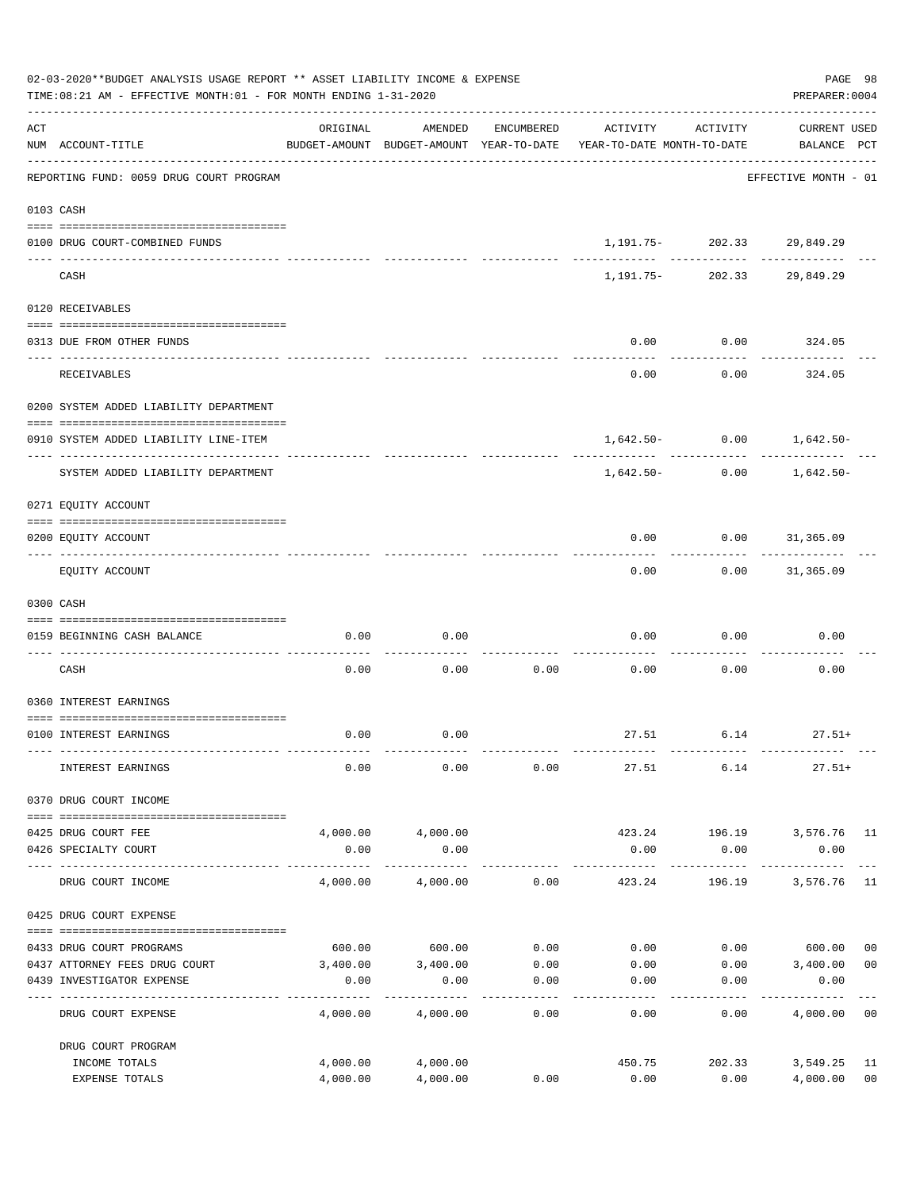|                    | 02-03-2020**BUDGET ANALYSIS USAGE REPORT ** ASSET LIABILITY INCOME & EXPENSE<br>TIME: 08:21 AM - EFFECTIVE MONTH: 01 - FOR MONTH ENDING 1-31-2020                                                                                                                                                                                                                                                                                                                                         |                      |                       |                   |                                                                                 |                                  | PAGE 98<br>PREPARER: 0004          |                      |
|--------------------|-------------------------------------------------------------------------------------------------------------------------------------------------------------------------------------------------------------------------------------------------------------------------------------------------------------------------------------------------------------------------------------------------------------------------------------------------------------------------------------------|----------------------|-----------------------|-------------------|---------------------------------------------------------------------------------|----------------------------------|------------------------------------|----------------------|
| $\mathop{\rm ACT}$ | NUM ACCOUNT-TITLE                                                                                                                                                                                                                                                                                                                                                                                                                                                                         | ORIGINAL             | AMENDED               | ENCUMBERED        | ACTIVITY<br>BUDGET-AMOUNT BUDGET-AMOUNT YEAR-TO-DATE YEAR-TO-DATE MONTH-TO-DATE | ACTIVITY                         | <b>CURRENT USED</b><br>BALANCE PCT |                      |
|                    | REPORTING FUND: 0059 DRUG COURT PROGRAM                                                                                                                                                                                                                                                                                                                                                                                                                                                   |                      |                       |                   |                                                                                 |                                  | EFFECTIVE MONTH - 01               |                      |
|                    | 0103 CASH                                                                                                                                                                                                                                                                                                                                                                                                                                                                                 |                      |                       |                   |                                                                                 |                                  |                                    |                      |
|                    | 0100 DRUG COURT-COMBINED FUNDS                                                                                                                                                                                                                                                                                                                                                                                                                                                            |                      |                       |                   |                                                                                 | 1, 191. 75 - 202. 33 29, 849. 29 |                                    |                      |
|                    | CASH                                                                                                                                                                                                                                                                                                                                                                                                                                                                                      |                      |                       |                   | 1,191.75-                                                                       | -------------                    | 202.33 29,849.29                   |                      |
|                    | 0120 RECEIVABLES                                                                                                                                                                                                                                                                                                                                                                                                                                                                          |                      |                       |                   |                                                                                 |                                  |                                    |                      |
|                    | 0313 DUE FROM OTHER FUNDS                                                                                                                                                                                                                                                                                                                                                                                                                                                                 |                      |                       |                   | 0.00                                                                            | 0.00                             | 324.05                             |                      |
|                    | <b>RECEIVABLES</b>                                                                                                                                                                                                                                                                                                                                                                                                                                                                        |                      |                       |                   | 0.00                                                                            | 0.00                             | ----------<br>324.05               |                      |
|                    | 0200 SYSTEM ADDED LIABILITY DEPARTMENT                                                                                                                                                                                                                                                                                                                                                                                                                                                    |                      |                       |                   |                                                                                 |                                  |                                    |                      |
|                    | 0910 SYSTEM ADDED LIABILITY LINE-ITEM                                                                                                                                                                                                                                                                                                                                                                                                                                                     |                      |                       |                   |                                                                                 | $1,642.50 - 0.00$ $1,642.50 -$   |                                    |                      |
|                    | SYSTEM ADDED LIABILITY DEPARTMENT                                                                                                                                                                                                                                                                                                                                                                                                                                                         |                      |                       |                   | 1,642.50-                                                                       | 0.00                             | 1,642.50-                          |                      |
|                    | 0271 EQUITY ACCOUNT                                                                                                                                                                                                                                                                                                                                                                                                                                                                       |                      |                       |                   |                                                                                 |                                  |                                    |                      |
|                    | 0200 EQUITY ACCOUNT                                                                                                                                                                                                                                                                                                                                                                                                                                                                       |                      |                       |                   | 0.00                                                                            | $0.00$ $31,365.09$               |                                    |                      |
|                    | EQUITY ACCOUNT                                                                                                                                                                                                                                                                                                                                                                                                                                                                            |                      |                       |                   | 0.00                                                                            |                                  | $0.00$ 31,365.09                   |                      |
|                    | 0300 CASH                                                                                                                                                                                                                                                                                                                                                                                                                                                                                 |                      |                       |                   |                                                                                 |                                  |                                    |                      |
|                    | 0159 BEGINNING CASH BALANCE                                                                                                                                                                                                                                                                                                                                                                                                                                                               | 0.00                 | 0.00                  |                   | 0.00                                                                            | 0.00                             | 0.00                               |                      |
|                    | CASH                                                                                                                                                                                                                                                                                                                                                                                                                                                                                      | 0.00                 | 0.00                  | 0.00              | 0.00                                                                            | 0.00                             | 0.00                               |                      |
|                    | 0360 INTEREST EARNINGS                                                                                                                                                                                                                                                                                                                                                                                                                                                                    |                      |                       |                   |                                                                                 |                                  |                                    |                      |
|                    | 0100 INTEREST EARNINGS                                                                                                                                                                                                                                                                                                                                                                                                                                                                    | 0.00                 | 0.00                  |                   |                                                                                 | $27.51$ 6.14 $27.51+$            |                                    |                      |
|                    | INTEREST EARNINGS                                                                                                                                                                                                                                                                                                                                                                                                                                                                         | 0.00                 | 0.00                  | 0.00              | 27.51                                                                           | 6.14                             | $27.51+$                           |                      |
|                    | 0370 DRUG COURT INCOME<br>$\begin{minipage}{0.03\textwidth} \begin{tabular}{l} \textbf{0.04\textwidth} \textbf{0.04\textwidth} \textbf{0.04\textwidth} \textbf{0.04\textwidth} \textbf{0.04\textwidth} \textbf{0.04\textwidth} \textbf{0.04\textwidth} \textbf{0.04\textwidth} \textbf{0.04\textwidth} \textbf{0.04\textwidth} \textbf{0.04\textwidth} \textbf{0.04\textwidth} \textbf{0.04\textwidth} \textbf{0.04\textwidth} \textbf{0.04\textwidth} \textbf{0.04\textwidth} \textbf{0$ |                      |                       |                   |                                                                                 |                                  |                                    |                      |
|                    | 0425 DRUG COURT FEE                                                                                                                                                                                                                                                                                                                                                                                                                                                                       |                      | 4,000.00 4,000.00     |                   |                                                                                 |                                  | 423.24 196.19 3,576.76 11          |                      |
|                    | 0426 SPECIALTY COURT                                                                                                                                                                                                                                                                                                                                                                                                                                                                      | 0.00                 | 0.00<br>------------- |                   | 0.00<br>------------                                                            | 0.00<br>------------             | 0.00<br>-------------              | $- - -$              |
|                    | DRUG COURT INCOME                                                                                                                                                                                                                                                                                                                                                                                                                                                                         | 4,000.00             | 4,000.00              | 0.00              | 423.24                                                                          | 196.19                           | 3,576.76 11                        |                      |
|                    | 0425 DRUG COURT EXPENSE                                                                                                                                                                                                                                                                                                                                                                                                                                                                   |                      |                       |                   |                                                                                 |                                  |                                    |                      |
|                    | 0433 DRUG COURT PROGRAMS                                                                                                                                                                                                                                                                                                                                                                                                                                                                  |                      | 600.00 600.00         |                   | $0.00$ $0.00$ $0.00$ $0.00$ $0.00$ $0.00$                                       |                                  |                                    | 0 <sub>0</sub>       |
|                    | 0437 ATTORNEY FEES DRUG COURT                                                                                                                                                                                                                                                                                                                                                                                                                                                             |                      | 3,400.00 3,400.00     |                   | $0.00$ $0.00$ $0.00$ $0.00$ $3,400.00$                                          |                                  |                                    | 0 <sub>0</sub>       |
|                    | 0439 INVESTIGATOR EXPENSE                                                                                                                                                                                                                                                                                                                                                                                                                                                                 | 0.00                 | 0.00                  | 0.00<br>--------- | 0.00                                                                            | 0.00                             | 0.00                               |                      |
|                    | DRUG COURT EXPENSE                                                                                                                                                                                                                                                                                                                                                                                                                                                                        | 4,000.00             | 4,000.00              | 0.00              | 0.00                                                                            | 0.00                             | 4,000.00 00                        |                      |
|                    | DRUG COURT PROGRAM                                                                                                                                                                                                                                                                                                                                                                                                                                                                        |                      |                       |                   |                                                                                 |                                  |                                    |                      |
|                    | INCOME TOTALS<br>EXPENSE TOTALS                                                                                                                                                                                                                                                                                                                                                                                                                                                           | 4,000.00<br>4,000.00 | 4,000.00<br>4,000.00  | 0.00              | 450.75<br>0.00                                                                  | 202.33<br>0.00                   | 3,549.25<br>4,000.00               | 11<br>0 <sub>0</sub> |
|                    |                                                                                                                                                                                                                                                                                                                                                                                                                                                                                           |                      |                       |                   |                                                                                 |                                  |                                    |                      |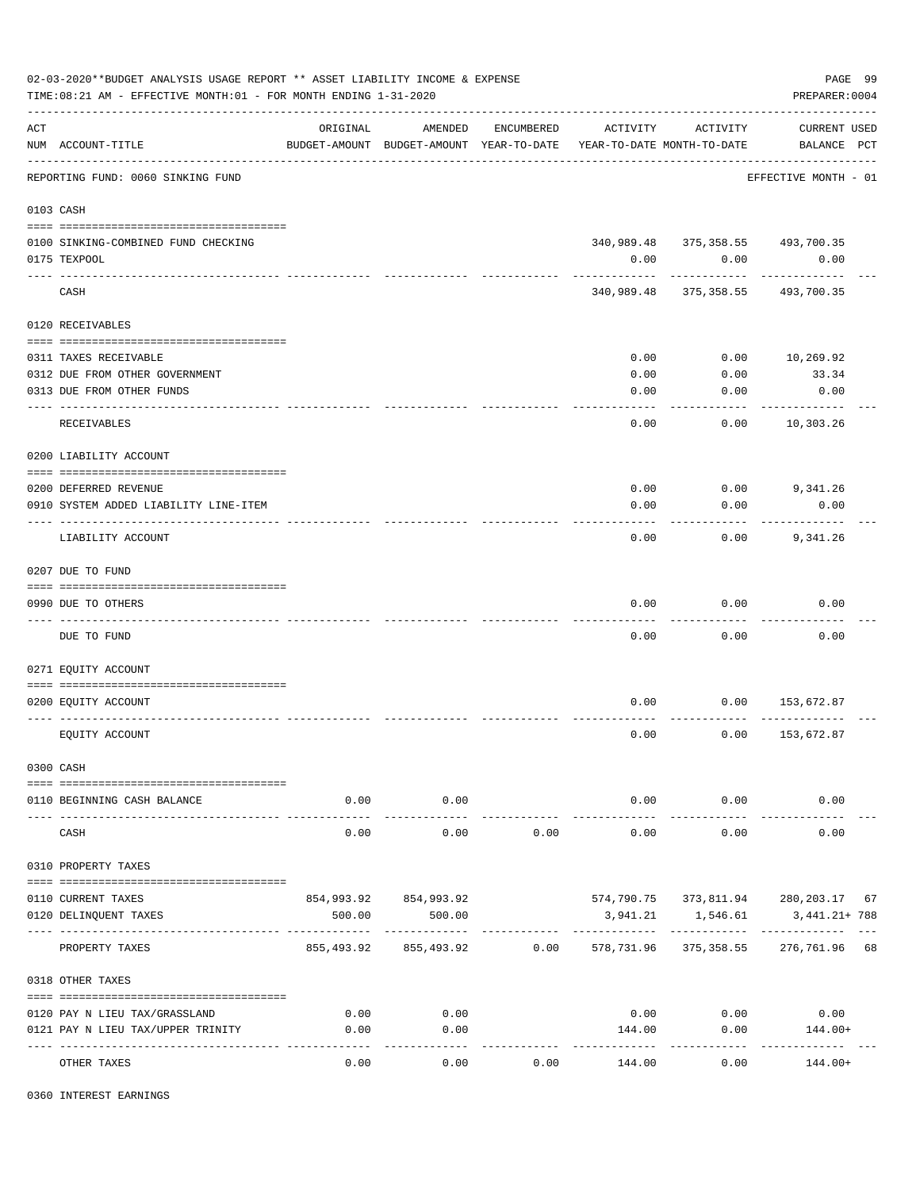|     | 02-03-2020**BUDGET ANALYSIS USAGE REPORT ** ASSET LIABILITY INCOME & EXPENSE<br>TIME: 08:21 AM - EFFECTIVE MONTH: 01 - FOR MONTH ENDING 1-31-2020 |                       |                                                     |            |                                        |                                          | PAGE 99<br>PREPARER: 0004              |
|-----|---------------------------------------------------------------------------------------------------------------------------------------------------|-----------------------|-----------------------------------------------------|------------|----------------------------------------|------------------------------------------|----------------------------------------|
| ACT | NUM ACCOUNT-TITLE                                                                                                                                 | ORIGINAL              | AMENDED<br>BUDGET-AMOUNT BUDGET-AMOUNT YEAR-TO-DATE | ENCUMBERED | ACTIVITY<br>YEAR-TO-DATE MONTH-TO-DATE | ACTIVITY                                 | <b>CURRENT USED</b><br>BALANCE PCT     |
|     | REPORTING FUND: 0060 SINKING FUND                                                                                                                 | ------------------    |                                                     |            |                                        |                                          | EFFECTIVE MONTH - 01                   |
|     | 0103 CASH                                                                                                                                         |                       |                                                     |            |                                        |                                          |                                        |
|     | 0100 SINKING-COMBINED FUND CHECKING<br>0175 TEXPOOL                                                                                               |                       |                                                     |            | 0.00                                   | 340,989.48 375,358.55 493,700.35<br>0.00 | 0.00                                   |
|     | CASH                                                                                                                                              |                       |                                                     |            | 340,989.48                             | 375,358.55                               | 493,700.35                             |
|     | 0120 RECEIVABLES                                                                                                                                  |                       |                                                     |            |                                        |                                          |                                        |
|     | 0311 TAXES RECEIVABLE<br>0312 DUE FROM OTHER GOVERNMENT<br>0313 DUE FROM OTHER FUNDS                                                              |                       |                                                     |            | 0.00<br>0.00<br>0.00                   | 0.00<br>0.00<br>0.00                     | 10,269.92<br>33.34<br>0.00             |
|     | RECEIVABLES                                                                                                                                       |                       |                                                     |            | 0.00                                   | 0.00                                     | ----------<br>10,303.26                |
|     | 0200 LIABILITY ACCOUNT                                                                                                                            |                       |                                                     |            |                                        |                                          |                                        |
|     | 0200 DEFERRED REVENUE<br>0910 SYSTEM ADDED LIABILITY LINE-ITEM                                                                                    |                       |                                                     |            | 0.00<br>0.00                           | $0.00$ 9,341.26<br>0.00                  | 0.00<br>---------                      |
|     | LIABILITY ACCOUNT                                                                                                                                 |                       |                                                     |            | 0.00                                   | 0.00                                     | 9,341.26                               |
|     | 0207 DUE TO FUND                                                                                                                                  |                       |                                                     |            |                                        |                                          |                                        |
|     | 0990 DUE TO OTHERS                                                                                                                                |                       |                                                     |            | 0.00                                   | 0.00                                     | 0.00                                   |
|     | DUE TO FUND                                                                                                                                       |                       |                                                     |            | 0.00                                   | 0.00                                     | 0.00                                   |
|     | 0271 EQUITY ACCOUNT                                                                                                                               |                       |                                                     |            |                                        |                                          |                                        |
|     | 0200 EQUITY ACCOUNT                                                                                                                               |                       |                                                     |            | 0.00                                   | 0.00                                     | 153,672.87                             |
|     | EQUITY ACCOUNT                                                                                                                                    |                       |                                                     |            | 0.00                                   | 0.00                                     | 153,672.87                             |
|     | 0300 CASH                                                                                                                                         |                       |                                                     |            |                                        |                                          |                                        |
|     | 0110 BEGINNING CASH BALANCE                                                                                                                       | 0.00<br>$- - - - - -$ | 0.00<br>.                                           |            | ------------                           | $0.00$ 0.00<br>----------                | 0.00                                   |
|     | CASH                                                                                                                                              | 0.00                  | 0.00                                                | 0.00       | 0.00                                   | 0.00                                     | 0.00                                   |
|     | 0310 PROPERTY TAXES                                                                                                                               |                       |                                                     |            |                                        |                                          |                                        |
|     | 0110 CURRENT TAXES                                                                                                                                |                       | 854,993.92 854,993.92                               |            |                                        |                                          | 574,790.75 373,811.94 280,203.17 67    |
|     | 0120 DELINQUENT TAXES                                                                                                                             | 500.00                | 500.00                                              |            | 3,941.21                               | 1,546.61<br>------------                 | 3,441.21+ 788                          |
|     | PROPERTY TAXES                                                                                                                                    |                       | 855,493.92 855,493.92 0.00                          |            |                                        |                                          | 578, 731.96 375, 358.55 276, 761.96 68 |
|     | 0318 OTHER TAXES                                                                                                                                  |                       |                                                     |            |                                        |                                          |                                        |
|     | 0120 PAY N LIEU TAX/GRASSLAND                                                                                                                     | 0.00                  | 0.00                                                |            |                                        | 0.00<br>0.00                             | 0.00                                   |
|     | 0121 PAY N LIEU TAX/UPPER TRINITY                                                                                                                 | 0.00                  | 0.00<br>----------                                  |            | 144.00                                 | 0.00                                     | 144.00+                                |
|     | OTHER TAXES                                                                                                                                       | 0.00                  | 0.00                                                | 0.00       | 144.00                                 | 0.00                                     | 144.00+                                |

0360 INTEREST EARNINGS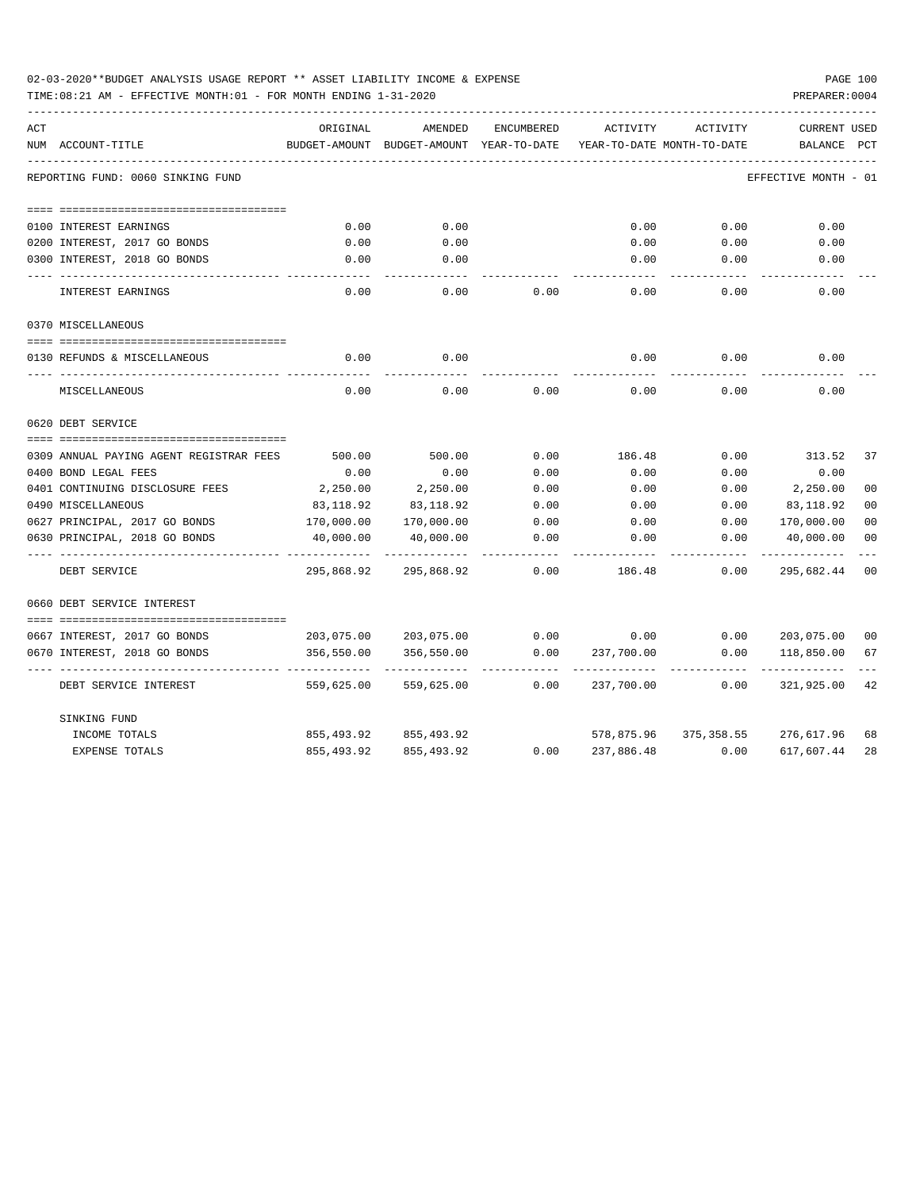| 02-03-2020**BUDGET ANALYSIS USAGE REPORT ** ASSET LIABILITY INCOME & EXPENSE |  |  |  | PAGE 100 |  |
|------------------------------------------------------------------------------|--|--|--|----------|--|
|                                                                              |  |  |  |          |  |

TIME:08:21 AM - EFFECTIVE MONTH:01 - FOR MONTH ENDING 1-31-2020

| ACT                                     | ORIGINAL   | AMENDED                                  | <b>ENCUMBERED</b> | <b>ACTIVITY</b> | ACTIVITY                   | <b>CURRENT USED</b>  |                |
|-----------------------------------------|------------|------------------------------------------|-------------------|-----------------|----------------------------|----------------------|----------------|
| NUM ACCOUNT-TITLE                       |            | BUDGET-AMOUNT BUDGET-AMOUNT YEAR-TO-DATE |                   |                 | YEAR-TO-DATE MONTH-TO-DATE | BALANCE              | PCT            |
| REPORTING FUND: 0060 SINKING FUND       |            |                                          |                   |                 |                            | EFFECTIVE MONTH - 01 |                |
|                                         |            |                                          |                   |                 |                            |                      |                |
|                                         |            |                                          |                   |                 |                            |                      |                |
| 0100 INTEREST EARNINGS                  | 0.00       | 0.00                                     |                   | 0.00            | 0.00                       | 0.00                 |                |
| 0200 INTEREST, 2017 GO BONDS            | 0.00       | 0.00                                     |                   | 0.00            | 0.00                       | 0.00                 |                |
| 0300 INTEREST, 2018 GO BONDS            | 0.00       | 0.00                                     |                   | 0.00            | 0.00                       | 0.00                 |                |
| INTEREST EARNINGS                       | 0.00       | 0.00                                     | 0.00              | 0.00            | 0.00                       | 0.00                 |                |
| 0370 MISCELLANEOUS                      |            |                                          |                   |                 |                            |                      |                |
|                                         |            |                                          |                   |                 |                            |                      |                |
| 0130 REFUNDS & MISCELLANEOUS            | 0.00       | 0.00                                     |                   | 0.00            | 0.00                       | 0.00                 |                |
| MISCELLANEOUS                           | 0.00       | 0.00                                     | 0.00              | 0.00            | 0.00                       | 0.00                 |                |
| 0620 DEBT SERVICE                       |            |                                          |                   |                 |                            |                      |                |
|                                         |            |                                          |                   |                 |                            |                      |                |
| 0309 ANNUAL PAYING AGENT REGISTRAR FEES | 500.00     | 500.00                                   | 0.00              | 186.48          | 0.00                       | 313.52               | 37             |
| 0400 BOND LEGAL FEES                    | 0.00       | 0.00                                     | 0.00              | 0.00            | 0.00                       | 0.00                 |                |
| 0401 CONTINUING DISCLOSURE FEES         | 2,250.00   | 2,250.00                                 | 0.00              | 0.00            | 0.00                       | 2,250.00             | 0 <sub>0</sub> |
| 0490 MISCELLANEOUS                      | 83,118.92  | 83,118.92                                | 0.00              | 0.00            | 0.00                       | 83,118.92            | 0 <sub>0</sub> |
| 0627 PRINCIPAL, 2017 GO BONDS           | 170,000.00 | 170,000.00                               | 0.00              | 0.00            | 0.00                       | 170,000.00           | 0 <sub>0</sub> |
| 0630 PRINCIPAL, 2018 GO BONDS           | 40,000.00  | 40,000.00                                | 0.00              | 0.00            | 0.00                       | 40,000.00            | 0 <sub>0</sub> |
| DEBT SERVICE                            | 295,868.92 | 295,868.92                               | 0.00              | 186.48          | 0.00                       | 295,682.44           | 0 <sup>0</sup> |
| 0660 DEBT SERVICE INTEREST              |            |                                          |                   |                 |                            |                      |                |
|                                         |            |                                          |                   |                 |                            |                      |                |
| 0667 INTEREST, 2017 GO BONDS            | 203,075.00 | 203,075.00                               | 0.00              | 0.00            | 0.00                       | 203,075.00           | 00             |
| 0670 INTEREST, 2018 GO BONDS            | 356,550.00 | 356,550.00                               | 0.00              | 237,700.00      | 0.00                       | 118,850.00           | 67             |
| DEBT SERVICE INTEREST                   | 559,625.00 | 559,625.00                               | 0.00              | 237,700.00      | 0.00                       | 321,925.00           | 42             |
| SINKING FUND                            |            |                                          |                   |                 |                            |                      |                |
| INCOME TOTALS                           | 855,493.92 | 855,493.92                               |                   | 578,875.96      | 375,358.55                 | 276,617.96           | 68             |
| <b>EXPENSE TOTALS</b>                   | 855,493.92 | 855, 493.92                              | 0.00              | 237,886.48      | 0.00                       | 617,607.44           | 28             |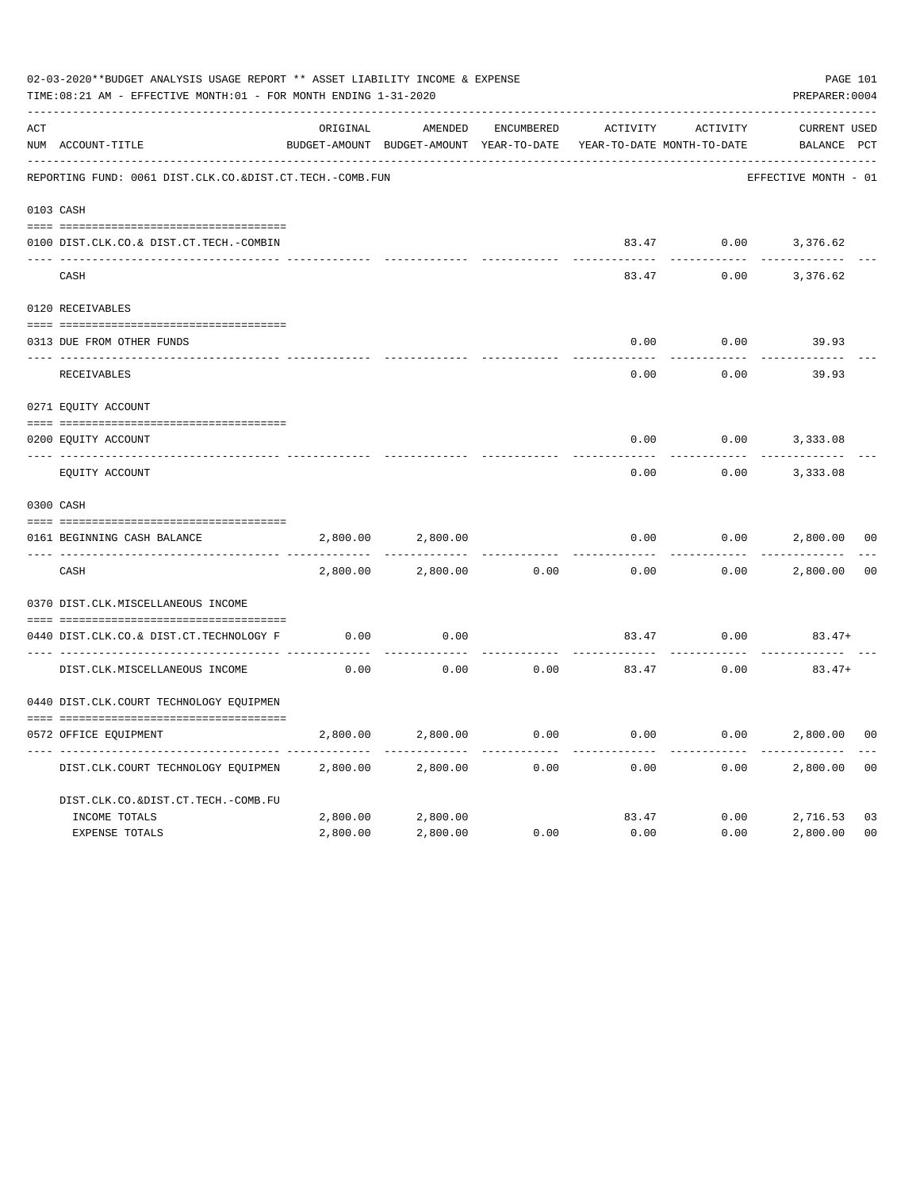|     | 02-03-2020**BUDGET ANALYSIS USAGE REPORT ** ASSET LIABILITY INCOME & EXPENSE<br>TIME:08:21 AM - EFFECTIVE MONTH:01 - FOR MONTH ENDING 1-31-2020 |          |                                                     |                   |          |                                        | PAGE 101<br>PREPARER: 0004         |                |
|-----|-------------------------------------------------------------------------------------------------------------------------------------------------|----------|-----------------------------------------------------|-------------------|----------|----------------------------------------|------------------------------------|----------------|
| ACT | NUM ACCOUNT-TITLE                                                                                                                               | ORIGINAL | AMENDED<br>BUDGET-AMOUNT BUDGET-AMOUNT YEAR-TO-DATE | <b>ENCUMBERED</b> | ACTIVITY | ACTIVITY<br>YEAR-TO-DATE MONTH-TO-DATE | <b>CURRENT USED</b><br>BALANCE PCT |                |
|     | REPORTING FUND: 0061 DIST.CLK.CO.&DIST.CT.TECH.-COMB.FUN                                                                                        |          |                                                     |                   |          |                                        | EFFECTIVE MONTH - 01               |                |
|     | 0103 CASH                                                                                                                                       |          |                                                     |                   |          |                                        |                                    |                |
|     | 0100 DIST.CLK.CO.& DIST.CT.TECH.-COMBIN                                                                                                         |          |                                                     |                   |          |                                        | 83.47 0.00 3,376.62                |                |
|     | CASH                                                                                                                                            |          |                                                     |                   | 83.47    | 0.00                                   | 3,376.62                           |                |
|     | 0120 RECEIVABLES                                                                                                                                |          |                                                     |                   |          |                                        |                                    |                |
|     | 0313 DUE FROM OTHER FUNDS                                                                                                                       |          |                                                     |                   | 0.00     | 0.00                                   | 39.93                              |                |
|     | RECEIVABLES                                                                                                                                     |          |                                                     |                   | 0.00     | 0.00                                   | 39.93                              |                |
|     | 0271 EQUITY ACCOUNT                                                                                                                             |          |                                                     |                   |          |                                        |                                    |                |
|     | 0200 EQUITY ACCOUNT                                                                                                                             |          |                                                     |                   | 0.00     | 0.00                                   | 3,333.08                           |                |
|     | ---- ------------<br>EQUITY ACCOUNT                                                                                                             |          |                                                     |                   | 0.00     | 0.00                                   | 3,333.08                           |                |
|     | 0300 CASH                                                                                                                                       |          |                                                     |                   |          |                                        |                                    |                |
|     | 0161 BEGINNING CASH BALANCE                                                                                                                     | 2,800.00 | 2,800.00                                            |                   | 0.00     | 0.00                                   | 2,800.00                           | 0 <sub>0</sub> |
|     | CASH                                                                                                                                            | 2,800.00 | 2,800.00                                            | 0.00              | 0.00     | 0.00                                   | 2,800.00                           | 0 <sup>0</sup> |
|     | 0370 DIST.CLK.MISCELLANEOUS INCOME                                                                                                              |          |                                                     |                   |          |                                        |                                    |                |
|     | 0440 DIST.CLK.CO.& DIST.CT.TECHNOLOGY F                                                                                                         | 0.00     | 0.00                                                |                   | 83.47    | 0.00                                   | $83.47+$                           |                |
|     | DIST.CLK.MISCELLANEOUS INCOME                                                                                                                   | 0.00     | 0.00                                                | 0.00              | 83.47    | 0.00                                   | $83.47+$                           |                |
|     | 0440 DIST.CLK.COURT TECHNOLOGY EQUIPMEN                                                                                                         |          |                                                     |                   |          |                                        |                                    |                |
|     | 0572 OFFICE EOUIPMENT                                                                                                                           | 2,800.00 | 2,800.00                                            | 0.00              | 0.00     | 0.00                                   | 2,800.00                           | 0 <sub>0</sub> |
|     | DIST.CLK.COURT TECHNOLOGY EQUIPMEN                                                                                                              | 2,800.00 | 2,800.00                                            | 0.00              | 0.00     | 0.00                                   | 2,800.00                           | 0 <sub>0</sub> |
|     | DIST.CLK.CO.&DIST.CT.TECH.-COMB.FU                                                                                                              |          |                                                     |                   |          |                                        |                                    |                |
|     | INCOME TOTALS                                                                                                                                   | 2,800.00 | 2,800.00                                            |                   | 83.47    | 0.00                                   | 2,716.53                           | 03             |
|     | <b>EXPENSE TOTALS</b>                                                                                                                           | 2,800.00 | 2,800.00                                            | 0.00              | 0.00     | 0.00                                   | 2,800.00                           | 0 <sub>0</sub> |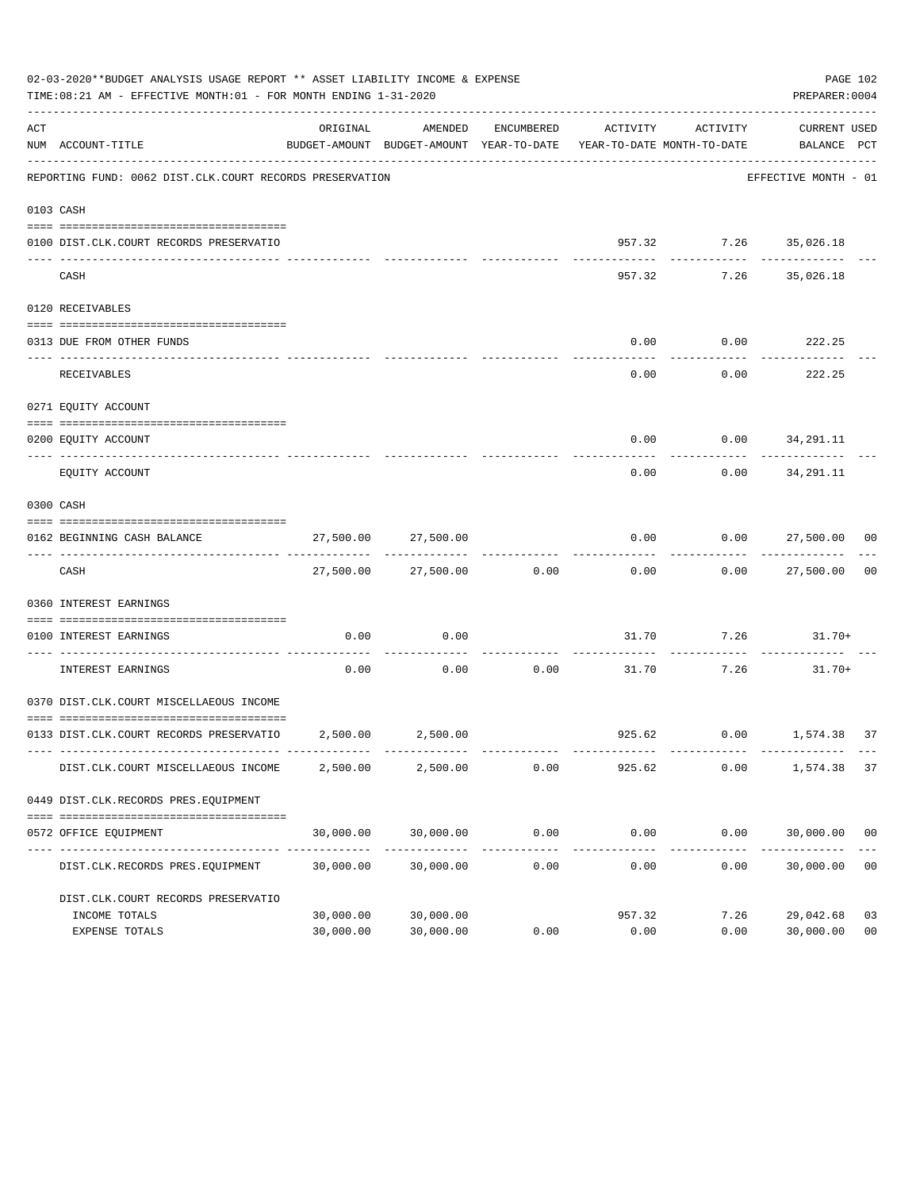|     | 02-03-2020**BUDGET ANALYSIS USAGE REPORT ** ASSET LIABILITY INCOME & EXPENSE<br>TIME:08:21 AM - EFFECTIVE MONTH:01 - FOR MONTH ENDING 1-31-2020 |                        |                                                                                            |                    |                       |                                       | PAGE 102<br>PREPARER: 0004        |                      |
|-----|-------------------------------------------------------------------------------------------------------------------------------------------------|------------------------|--------------------------------------------------------------------------------------------|--------------------|-----------------------|---------------------------------------|-----------------------------------|----------------------|
| ACT | NUM ACCOUNT-TITLE                                                                                                                               | ORIGINAL               | AMENDED<br>BUDGET-AMOUNT BUDGET-AMOUNT YEAR-TO-DATE YEAR-TO-DATE MONTH-TO-DATE BALANCE PCT | ENCUMBERED         | ACTIVITY              | ACTIVITY                              | CURRENT USED                      |                      |
|     | REPORTING FUND: 0062 DIST.CLK.COURT RECORDS PRESERVATION                                                                                        |                        |                                                                                            |                    |                       |                                       | EFFECTIVE MONTH - 01              |                      |
|     | 0103 CASH                                                                                                                                       |                        |                                                                                            |                    |                       |                                       |                                   |                      |
|     | 0100 DIST.CLK.COURT RECORDS PRESERVATIO                                                                                                         |                        |                                                                                            |                    |                       | 957.32 7.26 35,026.18<br>------------ | .                                 |                      |
|     | CASH                                                                                                                                            |                        |                                                                                            |                    | 957.32                |                                       | 7.26 35,026.18                    |                      |
|     | 0120 RECEIVABLES                                                                                                                                |                        |                                                                                            |                    |                       |                                       |                                   |                      |
|     | 0313 DUE FROM OTHER FUNDS                                                                                                                       |                        |                                                                                            |                    | 0.00                  | $0.00$ 222.25                         |                                   |                      |
|     | RECEIVABLES                                                                                                                                     |                        |                                                                                            |                    | 0.00                  | 0.00                                  | 222.25                            |                      |
|     | 0271 EQUITY ACCOUNT                                                                                                                             |                        |                                                                                            |                    |                       |                                       |                                   |                      |
|     | 0200 EQUITY ACCOUNT                                                                                                                             |                        |                                                                                            |                    | 0.00                  | $0.00$ $34,291.11$                    |                                   |                      |
|     | EQUITY ACCOUNT                                                                                                                                  |                        |                                                                                            |                    | 0.00                  |                                       | -----------<br>$0.00$ $34,291.11$ |                      |
|     | 0300 CASH                                                                                                                                       |                        |                                                                                            |                    |                       |                                       |                                   |                      |
|     | 0162 BEGINNING CASH BALANCE                                                                                                                     |                        | 27,500.00 27,500.00                                                                        |                    |                       | $0.00$ $0.00$ $27,500.00$ 00          |                                   |                      |
|     | CASH                                                                                                                                            |                        | 27,500.00 27,500.00 0.00                                                                   |                    | 0.00                  |                                       | . <u>.</u><br>0.00 27,500.00      | 0 <sub>0</sub>       |
|     | 0360 INTEREST EARNINGS                                                                                                                          |                        |                                                                                            |                    |                       |                                       |                                   |                      |
|     | 0100 INTEREST EARNINGS                                                                                                                          | 0.00                   | 0.00                                                                                       |                    |                       | $31.70$ $7.26$ $31.70+$               |                                   |                      |
|     | INTEREST EARNINGS                                                                                                                               | 0.00                   | 0.00                                                                                       | ----------<br>0.00 | 31.70                 | -----------<br>7.26                   | 31.70+                            |                      |
|     | 0370 DIST.CLK.COURT MISCELLAEOUS INCOME                                                                                                         |                        |                                                                                            |                    |                       |                                       |                                   |                      |
|     | 0133 DIST.CLK.COURT RECORDS PRESERVATIO 2,500.00 2,500.00                                                                                       |                        |                                                                                            |                    |                       | 925.62 0.00 1,574.38                  |                                   | 37                   |
|     | DIST.CLK.COURT MISCELLAEOUS INCOME                                                                                                              | 2,500.00               | 2,500.00                                                                                   | 0.00               | 925.62                | 0.00                                  | 1,574.38 37                       |                      |
|     | 0449 DIST.CLK.RECORDS PRES.EQUIPMENT                                                                                                            |                        |                                                                                            |                    |                       |                                       |                                   |                      |
|     | 0572 OFFICE EQUIPMENT                                                                                                                           | 30,000.00              | 30,000.00                                                                                  | 0.00               | 0.00                  | 0.00                                  | 30,000.00 00                      |                      |
|     | DIST.CLK.RECORDS PRES.EQUIPMENT                                                                                                                 | 30,000.00              | 30,000.00                                                                                  | 0.00               | -------------<br>0.00 | ------------<br>0.00                  | -------------<br>30,000.00        | 0 <sub>0</sub>       |
|     | DIST.CLK.COURT RECORDS PRESERVATIO                                                                                                              |                        |                                                                                            |                    |                       |                                       |                                   |                      |
|     | INCOME TOTALS<br>EXPENSE TOTALS                                                                                                                 | 30,000.00<br>30,000.00 | 30,000.00<br>30,000.00                                                                     | 0.00               | 957.32<br>0.00        | 7.26<br>0.00                          | 29,042.68<br>30,000.00            | 03<br>0 <sub>0</sub> |
|     |                                                                                                                                                 |                        |                                                                                            |                    |                       |                                       |                                   |                      |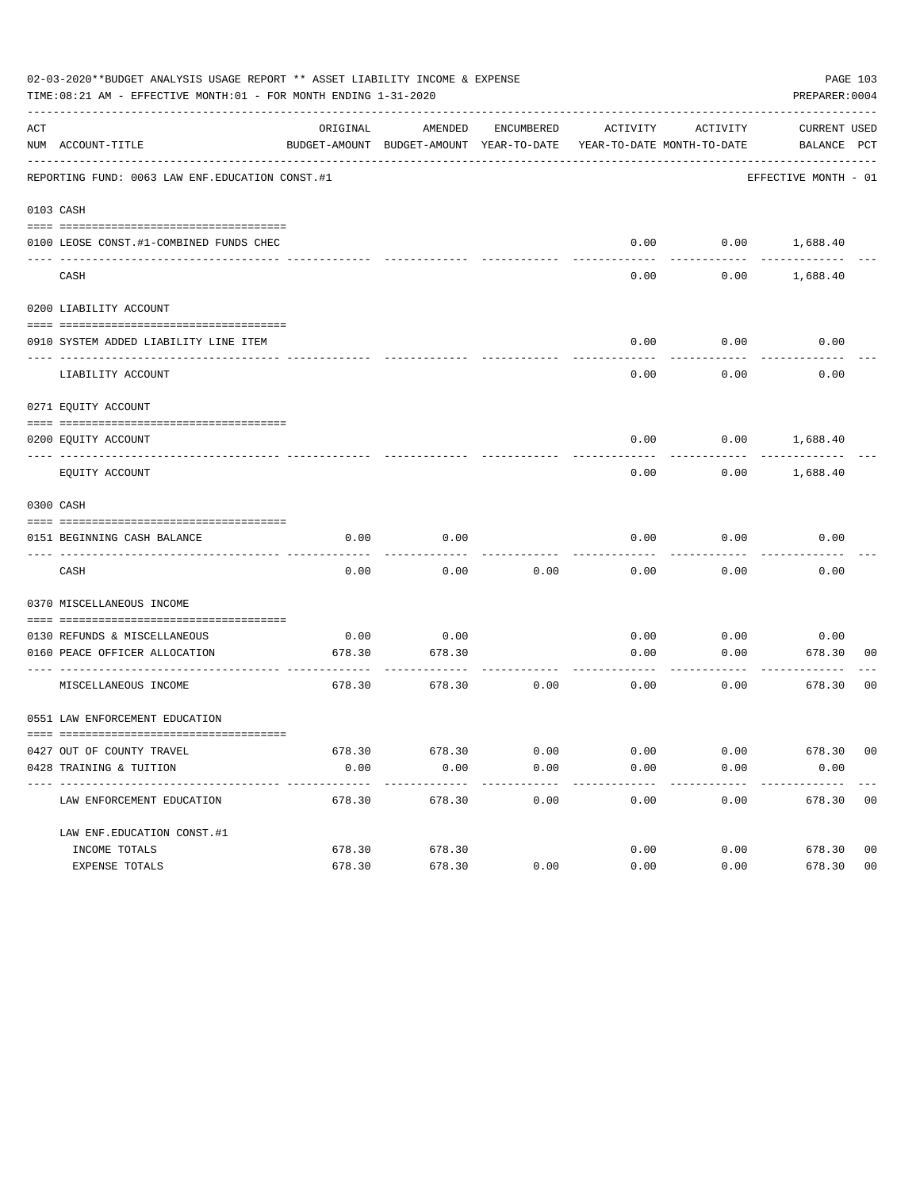|     | 02-03-2020**BUDGET ANALYSIS USAGE REPORT ** ASSET LIABILITY INCOME & EXPENSE<br>TIME:08:21 AM - EFFECTIVE MONTH:01 - FOR MONTH ENDING 1-31-2020 |          |                                                     |            |          |                                        | PAGE 103<br>PREPARER: 0004         |  |
|-----|-------------------------------------------------------------------------------------------------------------------------------------------------|----------|-----------------------------------------------------|------------|----------|----------------------------------------|------------------------------------|--|
| ACT | NUM ACCOUNT-TITLE                                                                                                                               | ORIGINAL | AMENDED<br>BUDGET-AMOUNT BUDGET-AMOUNT YEAR-TO-DATE | ENCUMBERED | ACTIVITY | ACTIVITY<br>YEAR-TO-DATE MONTH-TO-DATE | <b>CURRENT USED</b><br>BALANCE PCT |  |
|     | REPORTING FUND: 0063 LAW ENF. EDUCATION CONST.#1                                                                                                |          |                                                     |            |          |                                        | EFFECTIVE MONTH - 01               |  |
|     | 0103 CASH                                                                                                                                       |          |                                                     |            |          |                                        |                                    |  |
|     | 0100 LEOSE CONST.#1-COMBINED FUNDS CHEC                                                                                                         |          |                                                     |            |          |                                        | $0.00$ $0.00$ $1,688.40$           |  |
|     | CASH                                                                                                                                            |          |                                                     |            | 0.00     | 0.00                                   | 1,688.40                           |  |
|     | 0200 LIABILITY ACCOUNT                                                                                                                          |          |                                                     |            |          |                                        |                                    |  |
|     | 0910 SYSTEM ADDED LIABILITY LINE ITEM                                                                                                           |          |                                                     |            | 0.00     | 0.00                                   | 0.00                               |  |
|     | LIABILITY ACCOUNT                                                                                                                               |          |                                                     |            | 0.00     | 0.00                                   | 0.00                               |  |
|     | 0271 EQUITY ACCOUNT                                                                                                                             |          |                                                     |            |          |                                        |                                    |  |
|     | 0200 EQUITY ACCOUNT                                                                                                                             |          |                                                     |            | 0.00     | 0.00                                   | 1,688.40                           |  |
|     | EQUITY ACCOUNT                                                                                                                                  |          |                                                     |            | 0.00     | 0.00                                   | 1,688.40                           |  |
|     | 0300 CASH                                                                                                                                       |          |                                                     |            |          |                                        |                                    |  |
|     | 0151 BEGINNING CASH BALANCE                                                                                                                     | 0.00     | 0.00                                                |            | 0.00     | 0.00                                   | 0.00                               |  |
|     | CASH                                                                                                                                            | 0.00     | 0.00                                                | 0.00       | 0.00     | 0.00                                   | 0.00                               |  |
|     | 0370 MISCELLANEOUS INCOME                                                                                                                       |          |                                                     |            |          |                                        |                                    |  |
|     | 0130 REFUNDS & MISCELLANEOUS                                                                                                                    | 0.00     | 0.00                                                |            | 0.00     | 0.00                                   | 0.00                               |  |
|     | 0160 PEACE OFFICER ALLOCATION                                                                                                                   | 678.30   | 678.30                                              |            | 0.00     | 0.00                                   | 678.30<br>00                       |  |
|     | MISCELLANEOUS INCOME                                                                                                                            | 678.30   | 678.30                                              | 0.00       | 0.00     | 0.00                                   | 678.30<br>0 <sub>0</sub>           |  |
|     | 0551 LAW ENFORCEMENT EDUCATION                                                                                                                  |          |                                                     |            |          |                                        |                                    |  |
|     | 0427 OUT OF COUNTY TRAVEL                                                                                                                       |          | 678.30 678.30                                       | 0.00       | 0.00     | 0.00                                   | 678.30 00                          |  |
|     | 0428 TRAINING & TUITION<br>--------------------------------                                                                                     | 0.00     | 0.00                                                | 0.00       | 0.00     | 0.00                                   | 0.00                               |  |
|     | LAW ENFORCEMENT EDUCATION                                                                                                                       | 678.30   | 678.30                                              | 0.00       | 0.00     | 0.00                                   | 678.30 00                          |  |
|     | LAW ENF. EDUCATION CONST. #1                                                                                                                    |          |                                                     |            |          |                                        |                                    |  |
|     | INCOME TOTALS                                                                                                                                   | 678.30   | 678.30                                              |            | 0.00     |                                        | 0.00<br>678.30<br>0 <sub>0</sub>   |  |
|     | EXPENSE TOTALS                                                                                                                                  | 678.30   | 678.30                                              | 0.00       | 0.00     | 0.00                                   | 0 <sub>0</sub><br>678.30           |  |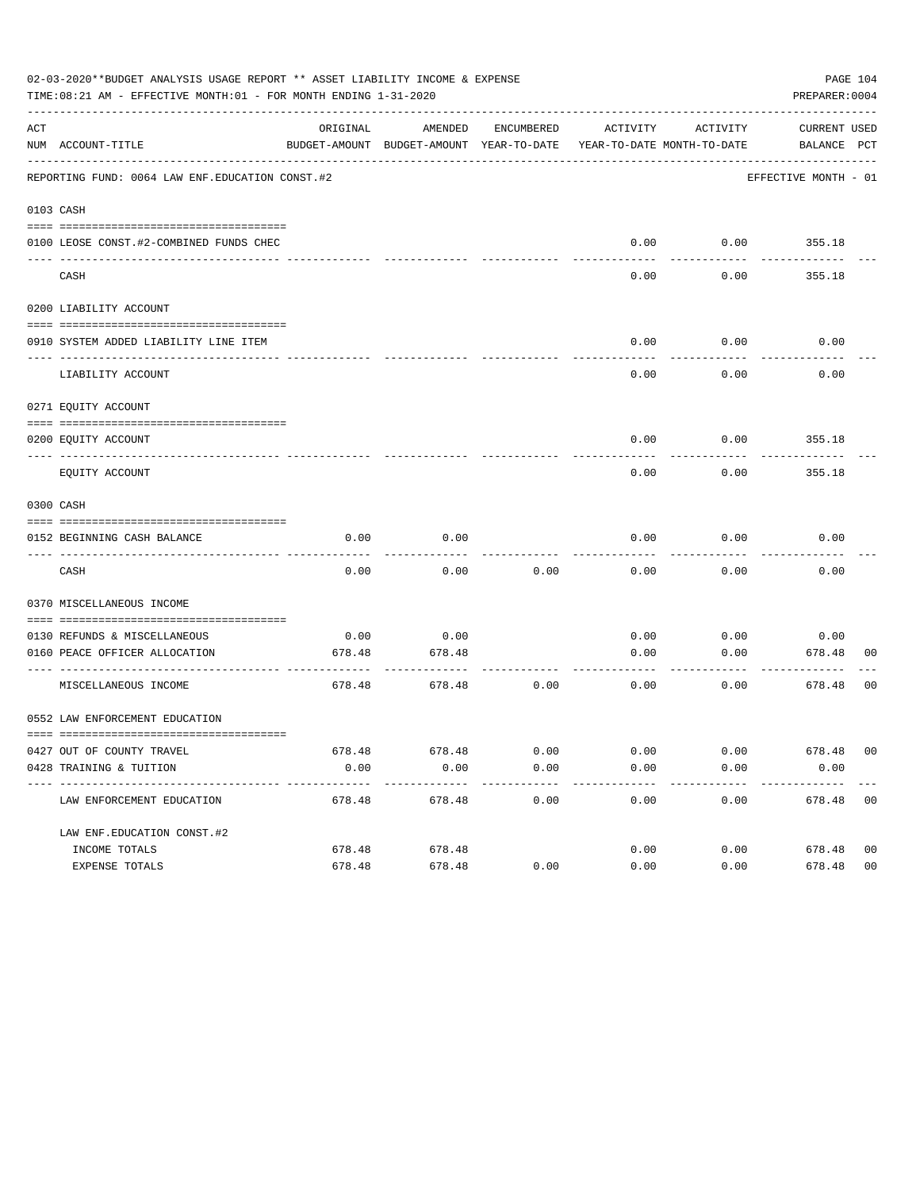|     | 02-03-2020**BUDGET ANALYSIS USAGE REPORT ** ASSET LIABILITY INCOME & EXPENSE<br>TIME:08:21 AM - EFFECTIVE MONTH:01 - FOR MONTH ENDING 1-31-2020 |          |                                                                                |            |                       |          | PREPARER: 0004              | PAGE 104       |
|-----|-------------------------------------------------------------------------------------------------------------------------------------------------|----------|--------------------------------------------------------------------------------|------------|-----------------------|----------|-----------------------------|----------------|
| ACT | NUM ACCOUNT-TITLE                                                                                                                               | ORIGINAL | AMENDED<br>BUDGET-AMOUNT BUDGET-AMOUNT YEAR-TO-DATE YEAR-TO-DATE MONTH-TO-DATE | ENCUMBERED | ACTIVITY              | ACTIVITY | CURRENT USED<br>BALANCE PCT |                |
|     | REPORTING FUND: 0064 LAW ENF. EDUCATION CONST. #2                                                                                               |          |                                                                                |            |                       |          | EFFECTIVE MONTH - 01        |                |
|     | 0103 CASH                                                                                                                                       |          |                                                                                |            |                       |          |                             |                |
|     | 0100 LEOSE CONST.#2-COMBINED FUNDS CHEC                                                                                                         |          |                                                                                |            | 0.00                  |          | $0.00$ 355.18               |                |
|     | ---------------------------<br>CASH                                                                                                             |          |                                                                                |            | 0.00                  | 0.00     | 355.18                      |                |
|     | 0200 LIABILITY ACCOUNT                                                                                                                          |          |                                                                                |            |                       |          |                             |                |
|     | 0910 SYSTEM ADDED LIABILITY LINE ITEM                                                                                                           |          |                                                                                |            | 0.00                  | 0.00     | 0.00                        |                |
|     | LIABILITY ACCOUNT                                                                                                                               |          |                                                                                |            | 0.00                  | 0.00     | 0.00                        |                |
|     | 0271 EQUITY ACCOUNT                                                                                                                             |          |                                                                                |            |                       |          |                             |                |
|     | 0200 EQUITY ACCOUNT                                                                                                                             |          |                                                                                |            | 0.00                  |          | $0.00$ 355.18               |                |
|     | EOUITY ACCOUNT                                                                                                                                  |          |                                                                                |            | 0.00                  | 0.00     | 355.18                      |                |
|     | 0300 CASH                                                                                                                                       |          |                                                                                |            |                       |          |                             |                |
|     | 0152 BEGINNING CASH BALANCE                                                                                                                     | 0.00     | 0.00                                                                           |            | 0.00                  | 0.00     | 0.00                        |                |
|     | CASH                                                                                                                                            | 0.00     | 0.00                                                                           | 0.00       | 0.00                  | 0.00     | 0.00                        |                |
|     | 0370 MISCELLANEOUS INCOME                                                                                                                       |          |                                                                                |            |                       |          |                             |                |
|     | 0130 REFUNDS & MISCELLANEOUS                                                                                                                    | 0.00     | 0.00                                                                           |            | 0.00                  | 0.00     | 0.00                        |                |
|     | 0160 PEACE OFFICER ALLOCATION                                                                                                                   | 678.48   | 678.48                                                                         |            | 0.00                  | 0.00     | 678.48<br>---------         | 00             |
|     | MISCELLANEOUS INCOME                                                                                                                            | 678.48   | 678.48                                                                         | 0.00       | 0.00                  | 0.00     | 678.48                      | 0 <sub>0</sub> |
|     | 0552 LAW ENFORCEMENT EDUCATION                                                                                                                  |          |                                                                                |            |                       |          |                             |                |
|     | 0427 OUT OF COUNTY TRAVEL                                                                                                                       | 678.48   | 678.48                                                                         | 0.00       | 0.00                  | 0.00     | 678.48 00                   |                |
|     | 0428 TRAINING & TUITION                                                                                                                         | 0.00     | 0.00                                                                           | 0.00       | 0.00                  | 0.00     | 0.00                        |                |
|     | LAW ENFORCEMENT EDUCATION                                                                                                                       | 678.48   | 678.48                                                                         | 0.00       | $- - - - - -$<br>0.00 | 0.00     | 678.48 00                   |                |
|     | LAW ENF. EDUCATION CONST. #2                                                                                                                    |          |                                                                                |            |                       |          |                             |                |
|     | INCOME TOTALS                                                                                                                                   | 678.48   | 678.48                                                                         |            | 0.00                  | 0.00     | 678.48                      | 0 <sub>0</sub> |
|     | EXPENSE TOTALS                                                                                                                                  | 678.48   | 678.48                                                                         | 0.00       | 0.00                  | 0.00     | 678.48                      | 0 <sub>0</sub> |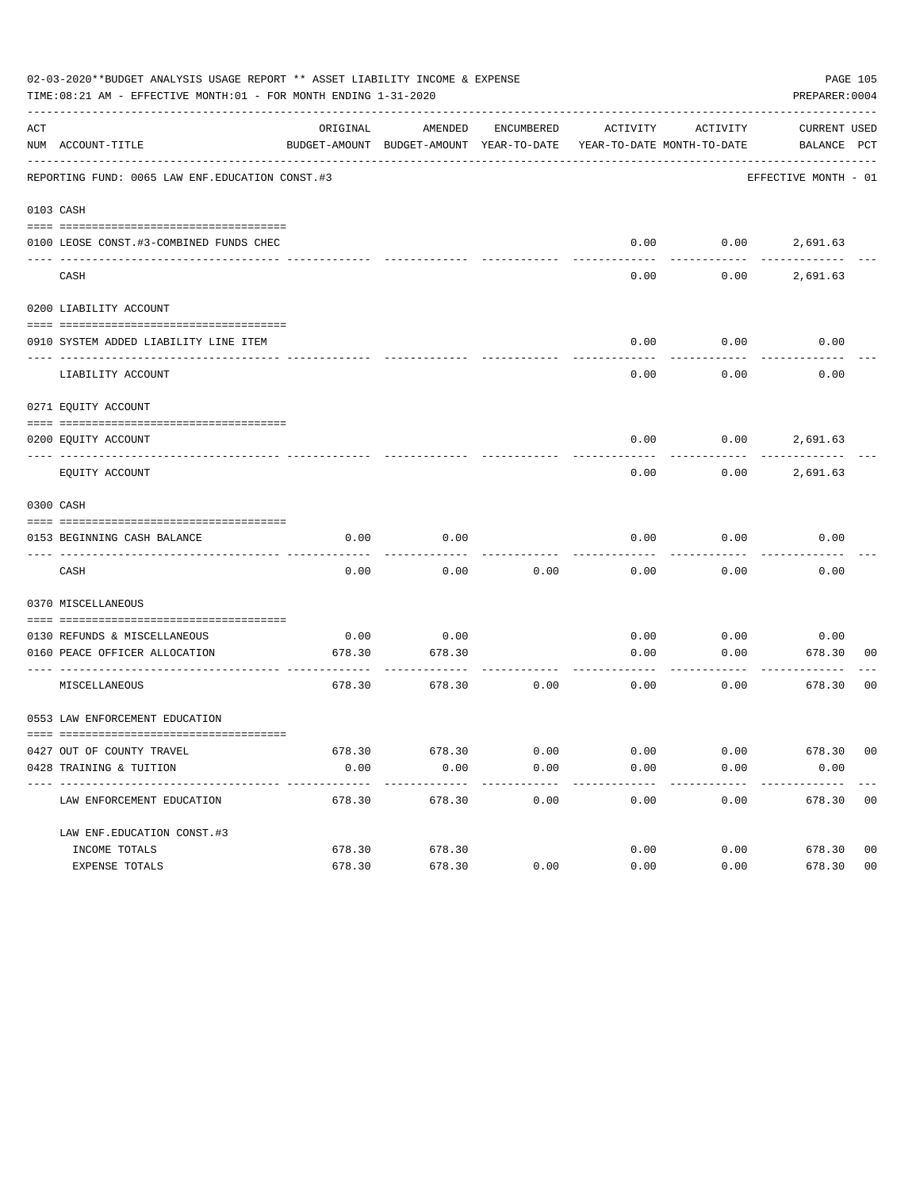|          | 02-03-2020**BUDGET ANALYSIS USAGE REPORT ** ASSET LIABILITY INCOME & EXPENSE<br>TIME:08:21 AM - EFFECTIVE MONTH:01 - FOR MONTH ENDING 1-31-2020 |          |                                                                                |            |          |          | PAGE 105<br>PREPARER: 0004  |
|----------|-------------------------------------------------------------------------------------------------------------------------------------------------|----------|--------------------------------------------------------------------------------|------------|----------|----------|-----------------------------|
| ACT      | NUM ACCOUNT-TITLE                                                                                                                               | ORIGINAL | AMENDED<br>BUDGET-AMOUNT BUDGET-AMOUNT YEAR-TO-DATE YEAR-TO-DATE MONTH-TO-DATE | ENCUMBERED | ACTIVITY | ACTIVITY | CURRENT USED<br>BALANCE PCT |
|          | REPORTING FUND: 0065 LAW ENF. EDUCATION CONST.#3                                                                                                |          |                                                                                |            |          |          | EFFECTIVE MONTH - 01        |
|          | 0103 CASH                                                                                                                                       |          |                                                                                |            |          |          |                             |
|          |                                                                                                                                                 |          |                                                                                |            |          |          |                             |
|          | 0100 LEOSE CONST.#3-COMBINED FUNDS CHEC                                                                                                         |          |                                                                                |            |          |          | $0.00$ $0.00$ $2,691.63$    |
| -------- | ---------------------------- ---<br>CASH                                                                                                        |          |                                                                                |            | 0.00     | 0.00     | 2,691.63                    |
|          | 0200 LIABILITY ACCOUNT                                                                                                                          |          |                                                                                |            |          |          |                             |
|          |                                                                                                                                                 |          |                                                                                |            |          |          |                             |
|          | 0910 SYSTEM ADDED LIABILITY LINE ITEM                                                                                                           |          |                                                                                |            | 0.00     | 0.00     | 0.00                        |
|          | LIABILITY ACCOUNT                                                                                                                               |          |                                                                                |            | 0.00     | 0.00     | 0.00                        |
|          | 0271 EQUITY ACCOUNT                                                                                                                             |          |                                                                                |            |          |          |                             |
|          | 0200 EQUITY ACCOUNT                                                                                                                             |          |                                                                                |            | 0.00     |          | $0.00$ 2,691.63             |
|          | EQUITY ACCOUNT                                                                                                                                  |          |                                                                                |            | 0.00     | 0.00     | 2,691.63                    |
|          | 0300 CASH                                                                                                                                       |          |                                                                                |            |          |          |                             |
|          | 0153 BEGINNING CASH BALANCE                                                                                                                     | 0.00     | 0.00                                                                           |            | 0.00     | 0.00     | 0.00                        |
|          | CASH                                                                                                                                            | 0.00     | 0.00                                                                           | 0.00       | 0.00     | 0.00     | 0.00                        |
|          | 0370 MISCELLANEOUS                                                                                                                              |          |                                                                                |            |          |          |                             |
|          | 0130 REFUNDS & MISCELLANEOUS                                                                                                                    | 0.00     | 0.00                                                                           |            | 0.00     | 0.00     | 0.00                        |
|          | 0160 PEACE OFFICER ALLOCATION                                                                                                                   | 678.30   | 678.30                                                                         |            | 0.00     | 0.00     | 678.30<br>00                |
|          |                                                                                                                                                 |          |                                                                                |            |          |          | ---------                   |
|          | MISCELLANEOUS                                                                                                                                   | 678.30   | 678.30                                                                         | 0.00       | 0.00     | 0.00     | 0 <sub>0</sub><br>678.30    |
|          | 0553 LAW ENFORCEMENT EDUCATION                                                                                                                  |          |                                                                                |            |          |          |                             |
|          | 0427 OUT OF COUNTY TRAVEL                                                                                                                       | 678.30   | 678.30                                                                         | 0.00       | 0.00     | 0.00     | 678.30 00                   |
|          | 0428 TRAINING & TUITION                                                                                                                         | 0.00     | 0.00                                                                           | 0.00       | 0.00     | 0.00     | 0.00                        |
|          | ------------------------------<br>LAW ENFORCEMENT EDUCATION                                                                                     | 678.30   | 678.30                                                                         | 0.00       | 0.00     | 0.00     | 678.30 00                   |
|          |                                                                                                                                                 |          |                                                                                |            |          |          |                             |
|          | LAW ENF. EDUCATION CONST. #3                                                                                                                    |          |                                                                                |            |          |          |                             |
|          | INCOME TOTALS                                                                                                                                   | 678.30   | 678.30                                                                         |            | 0.00     | 0.00     | 678.30<br>0 <sub>0</sub>    |
|          | EXPENSE TOTALS                                                                                                                                  | 678.30   | 678.30                                                                         | 0.00       | 0.00     | 0.00     | 0 <sub>0</sub><br>678.30    |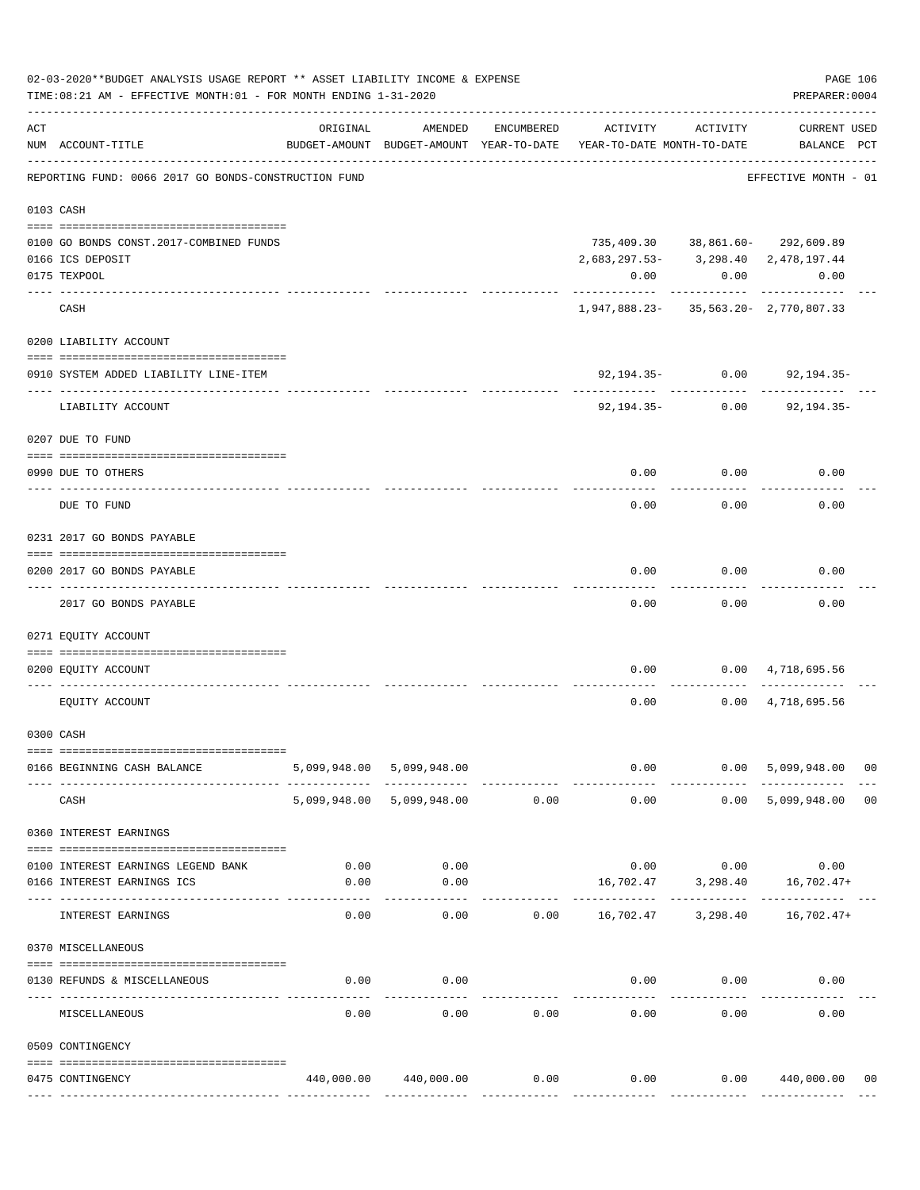|     | 02-03-2020**BUDGET ANALYSIS USAGE REPORT ** ASSET LIABILITY INCOME & EXPENSE<br>TIME: 08:21 AM - EFFECTIVE MONTH: 01 - FOR MONTH ENDING 1-31-2020 |          |                                                     |            |                                        |                 | PREPARER: 0004                     | PAGE 106 |
|-----|---------------------------------------------------------------------------------------------------------------------------------------------------|----------|-----------------------------------------------------|------------|----------------------------------------|-----------------|------------------------------------|----------|
| ACT | NUM ACCOUNT-TITLE                                                                                                                                 | ORIGINAL | AMENDED<br>BUDGET-AMOUNT BUDGET-AMOUNT YEAR-TO-DATE | ENCUMBERED | ACTIVITY<br>YEAR-TO-DATE MONTH-TO-DATE | ACTIVITY        | <b>CURRENT USED</b><br>BALANCE PCT |          |
|     | REPORTING FUND: 0066 2017 GO BONDS-CONSTRUCTION FUND                                                                                              |          |                                                     |            |                                        |                 | EFFECTIVE MONTH - 01               |          |
|     | 0103 CASH                                                                                                                                         |          |                                                     |            |                                        |                 |                                    |          |
|     |                                                                                                                                                   |          |                                                     |            |                                        |                 |                                    |          |
|     | 0100 GO BONDS CONST.2017-COMBINED FUNDS                                                                                                           |          |                                                     |            |                                        |                 | 735,409.30 38,861.60- 292,609.89   |          |
|     | 0166 ICS DEPOSIT                                                                                                                                  |          |                                                     |            | 2,683,297.53-3,298.40 2,478,197.44     |                 |                                    |          |
|     | 0175 TEXPOOL                                                                                                                                      |          |                                                     |            | 0.00                                   |                 | 0.00<br>0.00                       |          |
|     | CASH                                                                                                                                              |          |                                                     |            | 1,947,888.23-35,563.20-2,770,807.33    | ------------    | ----------                         |          |
|     | 0200 LIABILITY ACCOUNT                                                                                                                            |          |                                                     |            |                                        |                 |                                    |          |
|     | 0910 SYSTEM ADDED LIABILITY LINE-ITEM<br>---- --------------                                                                                      |          |                                                     |            |                                        | 92,194.35- 0.00 | 92,194.35-                         |          |
|     | LIABILITY ACCOUNT                                                                                                                                 |          |                                                     |            | 92,194.35-                             | 0.00            | $92, 194.35 -$                     |          |
|     | 0207 DUE TO FUND                                                                                                                                  |          |                                                     |            |                                        |                 |                                    |          |
|     | 0990 DUE TO OTHERS                                                                                                                                |          |                                                     |            | 0.00                                   | 0.00            | 0.00                               |          |
|     | DUE TO FUND                                                                                                                                       |          |                                                     |            | 0.00                                   | 0.00            | 0.00                               |          |
|     | 0231 2017 GO BONDS PAYABLE                                                                                                                        |          |                                                     |            |                                        |                 |                                    |          |
|     | 0200 2017 GO BONDS PAYABLE<br>---- ----------------                                                                                               |          |                                                     |            | 0.00                                   | 0.00            | 0.00                               |          |
|     | 2017 GO BONDS PAYABLE                                                                                                                             |          |                                                     |            | 0.00                                   | 0.00            | 0.00                               |          |
|     | 0271 EQUITY ACCOUNT                                                                                                                               |          |                                                     |            |                                        |                 |                                    |          |
|     | 0200 EQUITY ACCOUNT                                                                                                                               |          |                                                     |            | 0.00                                   |                 | $0.00 \qquad 4,718,695.56$         |          |
|     | EQUITY ACCOUNT                                                                                                                                    |          |                                                     |            | 0.00                                   |                 | $0.00 \quad 4,718,695.56$          |          |
|     | 0300 CASH                                                                                                                                         |          |                                                     |            |                                        |                 |                                    |          |
|     | 0166 BEGINNING CASH BALANCE                                                                                                                       |          | 5,099,948.00 5,099,948.00                           |            |                                        | $0.00$ 0.00     | 5,099,948.00 00                    |          |
|     | CASH                                                                                                                                              |          | 5,099,948.00 5,099,948.00 0.00                      |            | 0.00                                   |                 | 0.00 5,099,948.00                  | 00       |
|     | 0360 INTEREST EARNINGS                                                                                                                            |          |                                                     |            |                                        |                 |                                    |          |
|     | 0100 INTEREST EARNINGS LEGEND BANK                                                                                                                |          | $0.00$ 0.00                                         |            |                                        |                 | $0.00$ $0.00$ $0.00$               |          |
|     | 0166 INTEREST EARNINGS ICS                                                                                                                        | 0.00     | 0.00                                                |            |                                        |                 | 16,702.47 3,298.40 16,702.47+      |          |
|     | INTEREST EARNINGS                                                                                                                                 | 0.00     | 0.00                                                |            | $0.00$ 16,702.47 3,298.40 16,702.47+   |                 |                                    |          |
|     | 0370 MISCELLANEOUS                                                                                                                                |          |                                                     |            |                                        |                 |                                    |          |
|     | 0130 REFUNDS & MISCELLANEOUS                                                                                                                      | 0.00     | 0.00                                                |            |                                        | $0.00$ $0.00$   | 0.00                               |          |
|     | MISCELLANEOUS                                                                                                                                     | 0.00     | 0.00                                                | 0.00       | 0.00                                   | 0.00            | 0.00                               |          |
|     | 0509 CONTINGENCY                                                                                                                                  |          |                                                     |            |                                        |                 |                                    |          |
|     |                                                                                                                                                   |          |                                                     |            |                                        |                 |                                    |          |
|     | 0475 CONTINGENCY                                                                                                                                  |          | 440,000.00 440,000.00                               | 0.00       | 0.00                                   |                 | 0.00 440,000.00 00                 |          |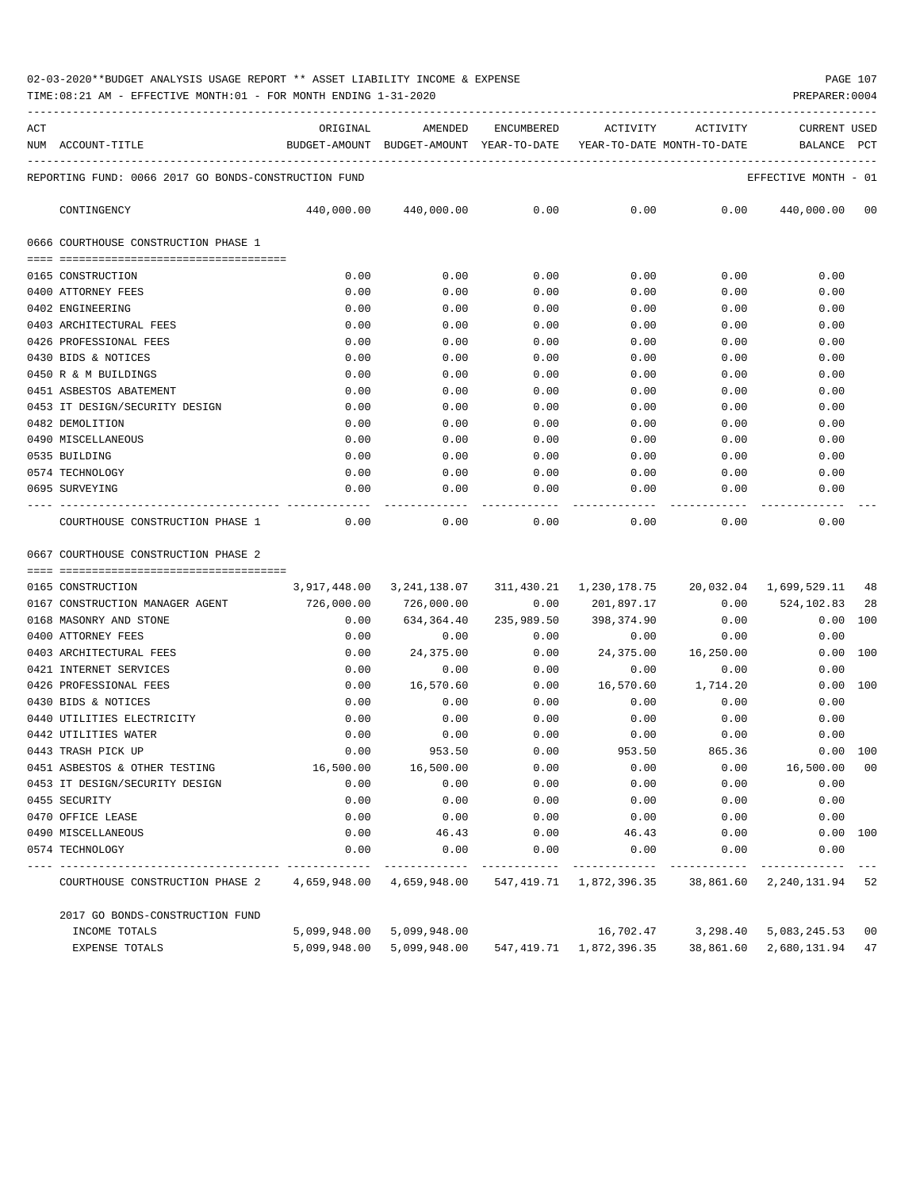## 02-03-2020\*\*BUDGET ANALYSIS USAGE REPORT \*\* ASSET LIABILITY INCOME & EXPENSE PAGE 107

TIME:08:21 AM - EFFECTIVE MONTH:01 - FOR MONTH ENDING 1-31-2020 PREPARER:0004

| ACT | BUDGET-AMOUNT BUDGET-AMOUNT YEAR-TO-DATE YEAR-TO-DATE MONTH-TO-DATE<br>NUM ACCOUNT-TITLE |      |      |      |      |      | <b>CURRENT USED</b><br>BALANCE PCT                         |
|-----|------------------------------------------------------------------------------------------|------|------|------|------|------|------------------------------------------------------------|
|     | REPORTING FUND: 0066 2017 GO BONDS-CONSTRUCTION FUND                                     |      |      |      |      |      | EFFECTIVE MONTH - 01                                       |
|     | CONTINGENCY                                                                              |      |      |      |      |      | $440,000.00$ $440,000.00$ 0.00 0.00 0.00 0.00 0.00 0.00 00 |
|     | 0666 COURTHOUSE CONSTRUCTION PHASE 1                                                     |      |      |      |      |      |                                                            |
|     |                                                                                          |      |      |      |      |      |                                                            |
|     | 0165 CONSTRUCTION                                                                        | 0.00 | 0.00 | 0.00 | 0.00 | 0.00 | 0.00                                                       |
|     | 0400 ATTORNEY FEES                                                                       | 0.00 | 0.00 | 0.00 | 0.00 | 0.00 | 0.00                                                       |
|     | 0402 ENGINEERING                                                                         | 0.00 | 0.00 | 0.00 | 0.00 | 0.00 | 0.00                                                       |
|     | 0403 ARCHITECTURAL FEES                                                                  | 0.00 | 0.00 | 0.00 | 0.00 | 0.00 | 0.00                                                       |
|     | 0426 PROFESSIONAL FEES                                                                   | 0.00 | 0.00 | 0.00 | 0.00 | 0.00 | 0.00                                                       |
|     | 0430 BIDS & NOTICES                                                                      | 0.00 | 0.00 | 0.00 | 0.00 | 0.00 | 0.00                                                       |
|     | 0450 R & M BUILDINGS                                                                     | 0.00 | 0.00 | 0.00 | 0.00 | 0.00 | 0.00                                                       |
|     | 0451 ASBESTOS ABATEMENT                                                                  | 0.00 | 0.00 | 0.00 | 0.00 | 0.00 | 0.00                                                       |
|     | 0453 IT DESIGN/SECURITY DESIGN                                                           | 0.00 | 0.00 | 0.00 | 0.00 | 0.00 | 0.00                                                       |
|     | 0482 DEMOLITION                                                                          | 0.00 | 0.00 | 0.00 | 0.00 | 0.00 | 0.00                                                       |
|     | 0490 MISCELLANEOUS                                                                       | 0.00 | 0.00 | 0.00 | 0.00 | 0.00 | 0.00                                                       |
|     | 0535 BUILDING                                                                            | 0.00 | 0.00 | 0.00 | 0.00 | 0.00 | 0.00                                                       |
|     | 0574 TECHNOLOGY                                                                          | 0.00 | 0.00 | 0.00 | 0.00 | 0.00 | 0.00                                                       |
|     | 0695 SURVEYING                                                                           | 0.00 | 0.00 | 0.00 |      | 0.00 | 0.00<br>0.00                                               |
|     | COURTHOUSE CONSTRUCTION PHASE 1                                                          | 0.00 | 0.00 | 0.00 | 0.00 | 0.00 | 0.00                                                       |

0667 COURTHOUSE CONSTRUCTION PHASE 2

| 0165 CONSTRUCTION<br>$3,917,448.00$ $3,241,138.07$ $311,430.21$ $1,230,178.75$ $20,032.04$ $1,699,529.11$ $48$ |              |                        |                       |                                                                                   |                    |                                 |     |
|----------------------------------------------------------------------------------------------------------------|--------------|------------------------|-----------------------|-----------------------------------------------------------------------------------|--------------------|---------------------------------|-----|
| 0167 CONSTRUCTION MANAGER AGENT 726,000.00                                                                     |              |                        |                       | 726,000.00            0.00      201,897.17            0.00      524,102.83     28 |                    |                                 |     |
| 0168 MASONRY AND STONE                                                                                         | 0.00         |                        | 634,364.40 235,989.50 |                                                                                   | 398,374.90 0.00    | 0.00 100                        |     |
| 0400 ATTORNEY FEES                                                                                             | 0.00         |                        |                       | $0.00$ $0.00$ $0.00$ $0.00$ $0.00$                                                |                    | 0.00                            |     |
| 0403 ARCHITECTURAL FEES                                                                                        | 0.00         |                        |                       | $24,375.00$ $0.00$ $24,375.00$ $16,250.00$                                        |                    | 0.00                            | 100 |
| 0421 INTERNET SERVICES                                                                                         | 0.00         | 0.00                   | 0.00                  | 0.00                                                                              | 0.00               | 0.00                            |     |
| 0426 PROFESSIONAL FEES                                                                                         | 0.00         | 16,570.60 0.00         |                       |                                                                                   | 16,570.60 1,714.20 | $0.00$ 100                      |     |
| 0430 BIDS & NOTICES                                                                                            | 0.00         | 0.00                   | 0.00                  | 0.00                                                                              | 0.00               | 0.00                            |     |
| 0440 UTILITIES ELECTRICITY                                                                                     | 0.00         | 0.00                   | 0.00                  | $0.00$ 0.00                                                                       |                    | 0.00                            |     |
| 0442 UTILITIES WATER                                                                                           | 0.00         | 0.00                   | 0.00                  | $0.00$ 0.00                                                                       |                    | 0.00                            |     |
| 0443 TRASH PICK UP                                                                                             | 0.00         | 953.50                 | 0.00                  | 953.50                                                                            | 865.36             | $0.00$ 100                      |     |
| 0451 ASBESTOS & OTHER TESTING                                                                                  |              | 16,500.00    16,500.00 | 0.00                  | $0.00$ $0.00$ $16,500.00$ $00$                                                    |                    |                                 |     |
| 0453 IT DESIGN/SECURITY DESIGN                                                                                 | 0.00         | 0.00                   | 0.00                  | 0.00                                                                              |                    | 0.00<br>0.00                    |     |
| 0455 SECURITY                                                                                                  | 0.00         | 0.00                   | 0.00                  | 0.00                                                                              | 0.00               | 0.00                            |     |
| 0470 OFFICE LEASE                                                                                              | 0.00         | 0.00                   | 0.00                  | 0.00                                                                              | 0.00               | 0.00                            |     |
| 0490 MISCELLANEOUS                                                                                             | 0.00         | 46.43                  |                       | $0.00$ 46.43                                                                      |                    | $0.00$ 100<br>$0.00$ and $0.00$ |     |
| 0574 TECHNOLOGY                                                                                                | 0.00         | 0.00                   |                       | $0.00$ $0.00$ $0.00$ $0.00$                                                       |                    | 0.00                            |     |
|                                                                                                                |              |                        |                       |                                                                                   |                    |                                 |     |
| COURTHOUSE CONSTRUCTION PHASE 2 4,659,948.00 4,659,948.00 547,419.71 1,872,396.35 38,861.60 2,240,131.94 52    |              |                        |                       |                                                                                   |                    |                                 |     |
| 2017 GO BONDS-CONSTRUCTION FUND                                                                                |              |                        |                       |                                                                                   |                    |                                 |     |
| INCOME TOTALS                                                                                                  | 5,099,948.00 |                        |                       | $5,099,948.00$ $16,702.47$ $3,298.40$ $5,083,245.53$ 00                           |                    |                                 |     |
| EXPENSE TOTALS                                                                                                 | 5,099,948.00 |                        |                       | 5,099,948.00  547,419.71  1,872,396.35  38,861.60                                 |                    | 2,680,131.94 47                 |     |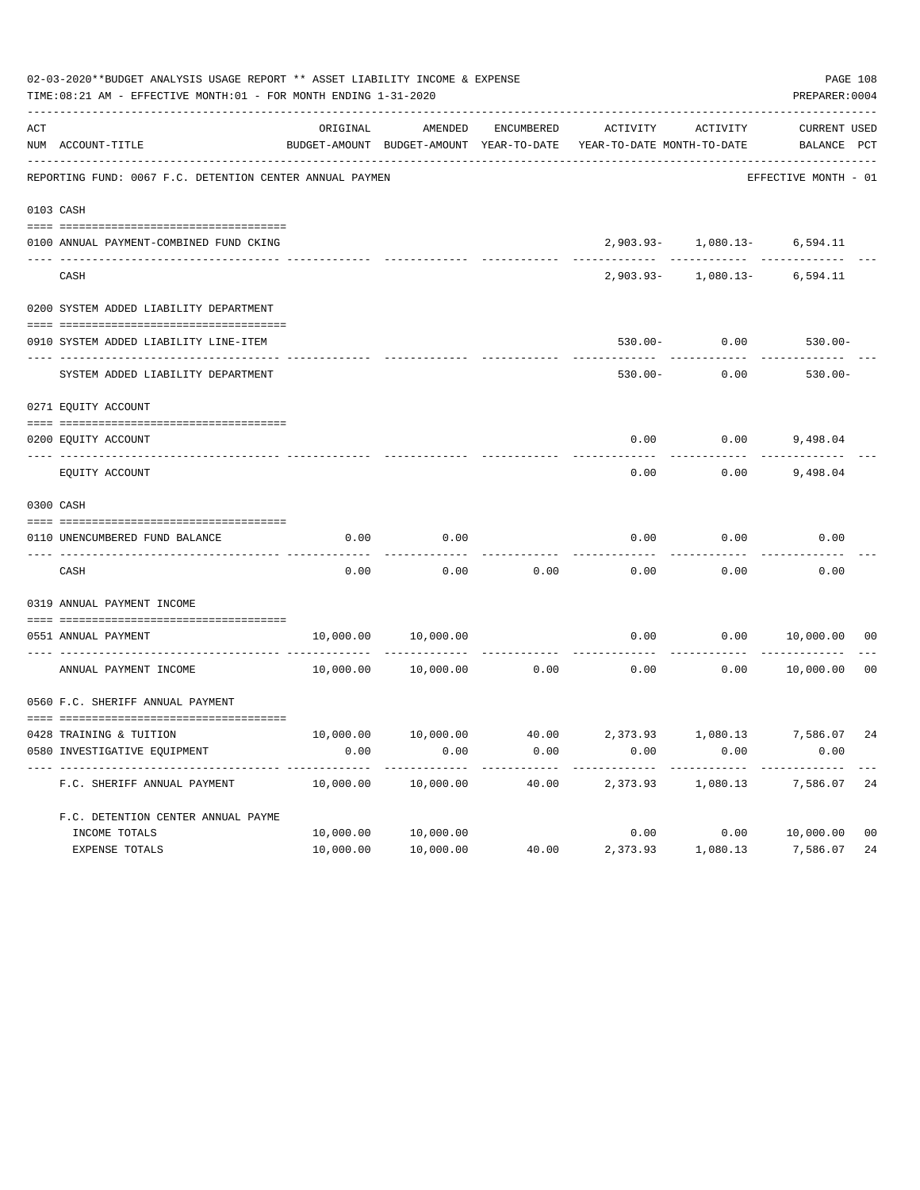| 02-03-2020**BUDGET ANALYSIS USAGE REPORT ** ASSET LIABILITY INCOME & EXPENSE<br>TIME: 08:21 AM - EFFECTIVE MONTH: 01 - FOR MONTH ENDING 1-31-2020 |                                                                           |           |           |            |                                                                     |                              |                      | PAGE 108<br>PREPARER: 0004 |
|---------------------------------------------------------------------------------------------------------------------------------------------------|---------------------------------------------------------------------------|-----------|-----------|------------|---------------------------------------------------------------------|------------------------------|----------------------|----------------------------|
| $\mathtt{ACT}$                                                                                                                                    |                                                                           | ORIGINAL  | AMENDED   | ENCUMBERED | ACTIVITY                                                            | ACTIVITY                     | <b>CURRENT USED</b>  |                            |
|                                                                                                                                                   | NUM ACCOUNT-TITLE                                                         |           |           |            | BUDGET-AMOUNT BUDGET-AMOUNT YEAR-TO-DATE YEAR-TO-DATE MONTH-TO-DATE |                              | BALANCE PCT          |                            |
|                                                                                                                                                   | REPORTING FUND: 0067 F.C. DETENTION CENTER ANNUAL PAYMEN                  |           |           |            |                                                                     |                              | EFFECTIVE MONTH - 01 |                            |
|                                                                                                                                                   | 0103 CASH                                                                 |           |           |            |                                                                     |                              |                      |                            |
|                                                                                                                                                   | 0100 ANNUAL PAYMENT-COMBINED FUND CKING                                   |           |           |            |                                                                     | 2,903.93- 1,080.13- 6,594.11 |                      |                            |
|                                                                                                                                                   | CASH                                                                      |           |           |            | $2,903.93-$                                                         | 1,080.13-                    | 6,594.11             |                            |
|                                                                                                                                                   | 0200 SYSTEM ADDED LIABILITY DEPARTMENT                                    |           |           |            |                                                                     |                              |                      |                            |
|                                                                                                                                                   | 0910 SYSTEM ADDED LIABILITY LINE-ITEM                                     |           |           |            | $530.00 -$                                                          | 0.00                         | $530.00 -$           |                            |
|                                                                                                                                                   | _____ ______________________________<br>SYSTEM ADDED LIABILITY DEPARTMENT |           |           |            | $530.00 -$                                                          | 0.00                         | $530.00 -$           |                            |
|                                                                                                                                                   | 0271 EQUITY ACCOUNT                                                       |           |           |            |                                                                     |                              |                      |                            |
|                                                                                                                                                   | 0200 EQUITY ACCOUNT                                                       |           |           |            | 0.00                                                                | 0.00                         | 9,498.04             |                            |
|                                                                                                                                                   | EQUITY ACCOUNT                                                            |           |           |            | 0.00                                                                | 0.00                         | 9,498.04             |                            |
|                                                                                                                                                   | 0300 CASH                                                                 |           |           |            |                                                                     |                              |                      |                            |
|                                                                                                                                                   | 0110 UNENCUMBERED FUND BALANCE                                            | 0.00      | 0.00      |            | 0.00                                                                | 0.00                         | 0.00                 |                            |
|                                                                                                                                                   | CASH                                                                      | 0.00      | 0.00      | 0.00       | 0.00                                                                | 0.00                         | 0.00                 |                            |
|                                                                                                                                                   | 0319 ANNUAL PAYMENT INCOME                                                |           |           |            |                                                                     |                              |                      |                            |
|                                                                                                                                                   | 0551 ANNUAL PAYMENT<br>---- -----------------                             | 10,000.00 | 10,000.00 |            | 0.00                                                                | 0.00                         | 10,000.00            | 0 <sub>0</sub>             |
|                                                                                                                                                   | ANNUAL PAYMENT INCOME                                                     | 10,000.00 | 10,000.00 | 0.00       | 0.00                                                                | 0.00                         | 10,000.00            | 0 <sub>0</sub>             |
|                                                                                                                                                   | 0560 F.C. SHERIFF ANNUAL PAYMENT                                          |           |           |            |                                                                     |                              |                      |                            |
|                                                                                                                                                   | 0428 TRAINING & TUITION                                                   | 10,000.00 | 10,000.00 | 40.00      |                                                                     | 2,373.93 1,080.13 7,586.07   |                      | 24                         |
|                                                                                                                                                   | 0580 INVESTIGATIVE EQUIPMENT                                              | 0.00      | 0.00      | 0.00       | 0.00                                                                | 0.00                         | 0.00                 |                            |
|                                                                                                                                                   | F.C. SHERIFF ANNUAL PAYMENT                                               | 10,000.00 | 10,000.00 | 40.00      | 2,373.93                                                            | 1,080.13                     | 7,586.07             | 24                         |
|                                                                                                                                                   | F.C. DETENTION CENTER ANNUAL PAYME                                        |           |           |            |                                                                     |                              |                      |                            |
|                                                                                                                                                   | INCOME TOTALS                                                             | 10,000.00 | 10,000.00 |            | 0.00                                                                |                              | 0.00 10,000.00       | 0 <sub>0</sub>             |
|                                                                                                                                                   | EXPENSE TOTALS                                                            | 10,000.00 | 10,000.00 | 40.00      | 2,373.93                                                            | 1,080.13                     | 7,586.07             | 24                         |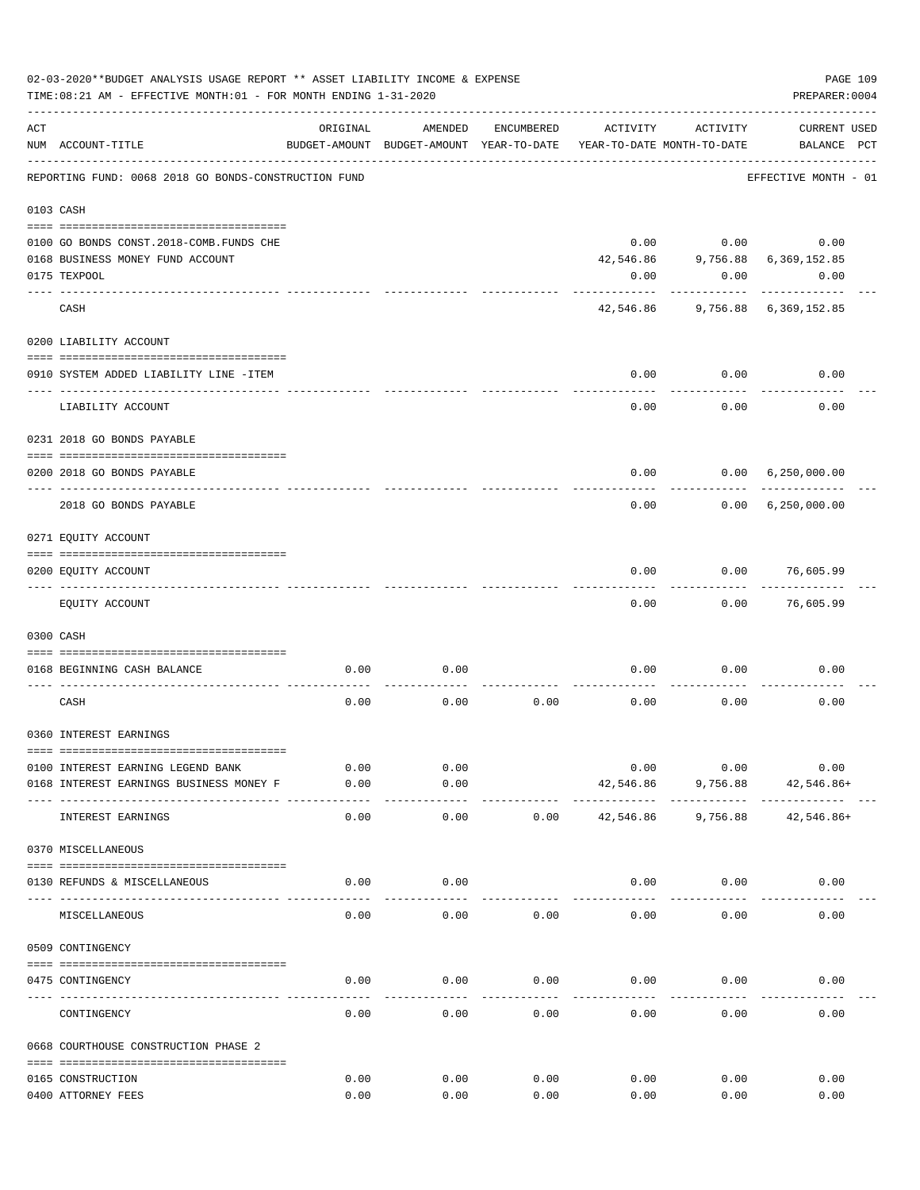|     | 02-03-2020**BUDGET ANALYSIS USAGE REPORT ** ASSET LIABILITY INCOME & EXPENSE<br>TIME: 08:21 AM - EFFECTIVE MONTH: 01 - FOR MONTH ENDING 1-31-2020 |               |                                                     |              |              |                                        | PREPARER: 0004                     | PAGE 109 |
|-----|---------------------------------------------------------------------------------------------------------------------------------------------------|---------------|-----------------------------------------------------|--------------|--------------|----------------------------------------|------------------------------------|----------|
| ACT | NUM ACCOUNT-TITLE                                                                                                                                 | ORIGINAL      | AMENDED<br>BUDGET-AMOUNT BUDGET-AMOUNT YEAR-TO-DATE | ENCUMBERED   | ACTIVITY     | ACTIVITY<br>YEAR-TO-DATE MONTH-TO-DATE | <b>CURRENT USED</b><br>BALANCE PCT |          |
|     | REPORTING FUND: 0068 2018 GO BONDS-CONSTRUCTION FUND                                                                                              |               |                                                     |              |              |                                        | EFFECTIVE MONTH - 01               |          |
|     | 0103 CASH                                                                                                                                         |               |                                                     |              |              |                                        |                                    |          |
|     |                                                                                                                                                   |               |                                                     |              |              |                                        |                                    |          |
|     | 0100 GO BONDS CONST. 2018-COMB. FUNDS CHE                                                                                                         |               |                                                     |              | 0.00         |                                        | 0.00<br>0.00                       |          |
|     | 0168 BUSINESS MONEY FUND ACCOUNT                                                                                                                  |               |                                                     |              | 42,546.86    |                                        | 9,756.88 6,369,152.85              |          |
|     | 0175 TEXPOOL                                                                                                                                      |               |                                                     |              | 0.00         | 0.00                                   | 0.00                               |          |
|     | CASH                                                                                                                                              |               |                                                     |              |              |                                        | 42,546.86 9,756.88 6,369,152.85    |          |
|     | 0200 LIABILITY ACCOUNT                                                                                                                            |               |                                                     |              |              |                                        |                                    |          |
|     |                                                                                                                                                   |               |                                                     |              |              |                                        |                                    |          |
|     | 0910 SYSTEM ADDED LIABILITY LINE -ITEM                                                                                                            |               |                                                     |              | 0.00         | 0.00                                   | 0.00                               |          |
|     | LIABILITY ACCOUNT                                                                                                                                 |               |                                                     |              | 0.00         | 0.00                                   | 0.00                               |          |
|     | 0231 2018 GO BONDS PAYABLE                                                                                                                        |               |                                                     |              |              |                                        |                                    |          |
|     | 0200 2018 GO BONDS PAYABLE                                                                                                                        |               |                                                     |              | 0.00         |                                        | 0.00 6,250,000.00                  |          |
|     | 2018 GO BONDS PAYABLE                                                                                                                             |               |                                                     |              | 0.00         | . <u>.</u>                             | 0.00 6,250,000.00                  |          |
|     | 0271 EQUITY ACCOUNT                                                                                                                               |               |                                                     |              |              |                                        |                                    |          |
|     |                                                                                                                                                   |               |                                                     |              |              |                                        |                                    |          |
|     | 0200 EQUITY ACCOUNT<br>------------------- -------                                                                                                |               |                                                     |              | 0.00         | 0.00                                   | 76,605.99                          |          |
|     | EQUITY ACCOUNT                                                                                                                                    |               |                                                     |              | 0.00         | 0.00                                   | 76,605.99                          |          |
|     | 0300 CASH                                                                                                                                         |               |                                                     |              |              |                                        |                                    |          |
|     |                                                                                                                                                   |               |                                                     |              |              |                                        |                                    |          |
|     | 0168 BEGINNING CASH BALANCE                                                                                                                       | 0.00          | 0.00                                                |              | 0.00         | 0.00                                   | 0.00                               |          |
|     | CASH                                                                                                                                              | 0.00          | 0.00                                                | 0.00         | 0.00         | 0.00                                   | 0.00                               |          |
|     | 0360 INTEREST EARNINGS                                                                                                                            |               |                                                     |              |              |                                        |                                    |          |
|     |                                                                                                                                                   |               |                                                     |              |              |                                        |                                    |          |
|     | 0100 INTEREST EARNING LEGEND BANK                                                                                                                 | 0.00          | 0.00                                                |              | 0.00         | 0.00                                   | 0.00                               |          |
|     | 0168 INTEREST EARNINGS BUSINESS MONEY F                                                                                                           | 0.00<br>----- | 0.00<br>-----                                       |              | 42,546.86    | 9,756.88                               | 42,546.86+                         |          |
|     | INTEREST EARNINGS                                                                                                                                 | 0.00          | 0.00                                                | 0.00         | 42,546.86    | 9,756.88                               | 42,546.86+                         |          |
|     | 0370 MISCELLANEOUS                                                                                                                                |               |                                                     |              |              |                                        |                                    |          |
|     | 0130 REFUNDS & MISCELLANEOUS                                                                                                                      | 0.00          | 0.00                                                |              | 0.00         | 0.00                                   | 0.00                               |          |
|     | MISCELLANEOUS                                                                                                                                     | 0.00          | 0.00                                                | 0.00         | 0.00         | 0.00                                   | 0.00                               |          |
|     | 0509 CONTINGENCY                                                                                                                                  |               |                                                     |              |              |                                        |                                    |          |
|     |                                                                                                                                                   |               |                                                     |              |              |                                        |                                    |          |
|     | 0475 CONTINGENCY                                                                                                                                  | 0.00          | 0.00                                                | 0.00         | 0.00         | 0.00                                   | 0.00                               |          |
|     | CONTINGENCY                                                                                                                                       | 0.00          | 0.00                                                | 0.00         | 0.00         | 0.00                                   | 0.00                               |          |
|     | 0668 COURTHOUSE CONSTRUCTION PHASE 2                                                                                                              |               |                                                     |              |              |                                        |                                    |          |
|     |                                                                                                                                                   |               |                                                     |              |              |                                        |                                    |          |
|     | 0165 CONSTRUCTION<br>0400 ATTORNEY FEES                                                                                                           | 0.00<br>0.00  | 0.00<br>0.00                                        | 0.00<br>0.00 | 0.00<br>0.00 | 0.00<br>0.00                           | 0.00<br>0.00                       |          |
|     |                                                                                                                                                   |               |                                                     |              |              |                                        |                                    |          |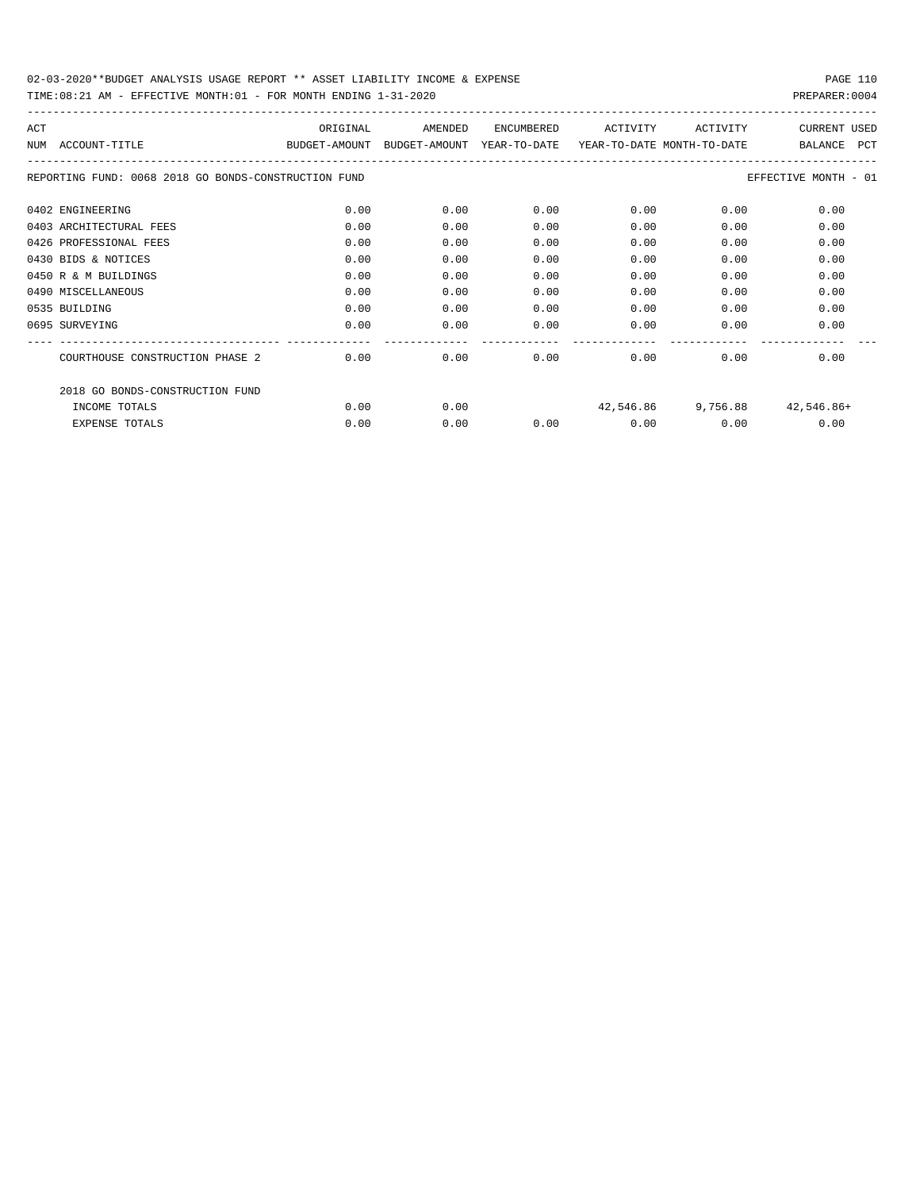| ACT  |                                                      | ORIGINAL                    | AMENDED | <b>ENCUMBERED</b> | ACTIVITY                   | <b>ACTIVITY</b>    | <b>CURRENT USED</b>          |
|------|------------------------------------------------------|-----------------------------|---------|-------------------|----------------------------|--------------------|------------------------------|
| NTJM | ACCOUNT-TITLE                                        | BUDGET-AMOUNT BUDGET-AMOUNT |         | YEAR-TO-DATE      | YEAR-TO-DATE MONTH-TO-DATE |                    | <b>PCT</b><br><b>BALANCE</b> |
|      | REPORTING FUND: 0068 2018 GO BONDS-CONSTRUCTION FUND |                             |         |                   |                            |                    | EFFECTIVE MONTH - 01         |
|      | 0402 ENGINEERING                                     | 0.00                        | 0.00    | 0.00              | 0.00                       | 0.00               | 0.00                         |
|      | 0403 ARCHITECTURAL FEES                              | 0.00                        | 0.00    | 0.00              | 0.00                       | 0.00               | 0.00                         |
|      | 0426 PROFESSIONAL FEES                               | 0.00                        | 0.00    | 0.00              | 0.00                       | 0.00               | 0.00                         |
|      | 0430 BIDS & NOTICES                                  | 0.00                        | 0.00    | 0.00              | 0.00                       | 0.00               | 0.00                         |
|      | 0450 R & M BUILDINGS                                 | 0.00                        | 0.00    | 0.00              | 0.00                       | 0.00               | 0.00                         |
|      | 0490 MISCELLANEOUS                                   | 0.00                        | 0.00    | 0.00              | 0.00                       | 0.00               | 0.00                         |
|      | 0535 BUILDING                                        | 0.00                        | 0.00    | 0.00              | 0.00                       | 0.00               | 0.00                         |
|      | 0695 SURVEYING                                       | 0.00                        | 0.00    | 0.00              | 0.00                       | 0.00               | 0.00                         |
|      | COURTHOUSE CONSTRUCTION PHASE 2                      | 0.00                        | 0.00    | 0.00              | 0.00                       | 0.00               | 0.00                         |
|      | 2018 GO BONDS-CONSTRUCTION FUND                      |                             |         |                   |                            |                    |                              |
|      | INCOME TOTALS                                        | 0.00                        | 0.00    |                   |                            | 42,546.86 9,756.88 | 42,546.86+                   |
|      | <b>EXPENSE TOTALS</b>                                | 0.00                        | 0.00    | 0.00              | 0.00                       | 0.00               | 0.00                         |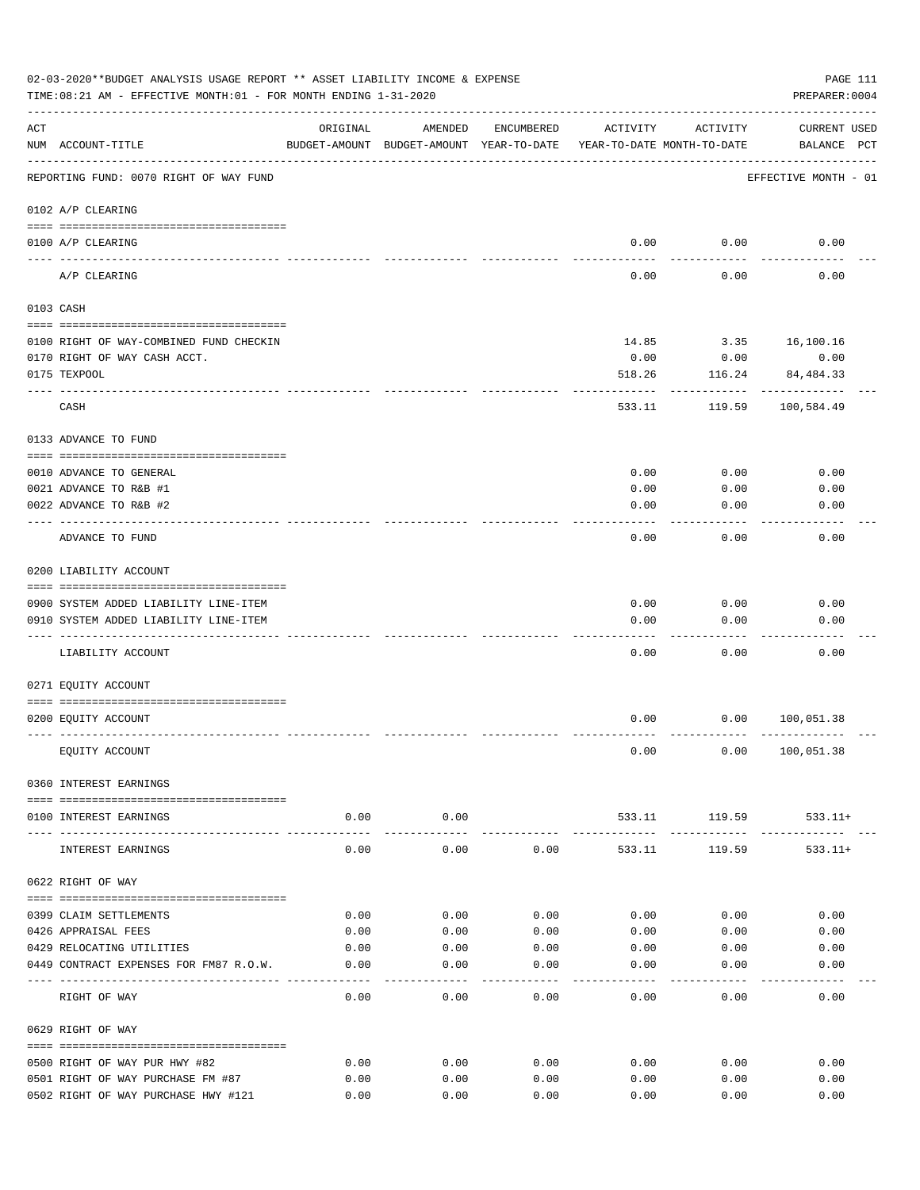|     | 02-03-2020**BUDGET ANALYSIS USAGE REPORT ** ASSET LIABILITY INCOME & EXPENSE<br>TIME: 08:21 AM - EFFECTIVE MONTH: 01 - FOR MONTH ENDING 1-31-2020 |          |                      |            |                                                                                 |               | PAGE 111<br>PREPARER: 0004         |
|-----|---------------------------------------------------------------------------------------------------------------------------------------------------|----------|----------------------|------------|---------------------------------------------------------------------------------|---------------|------------------------------------|
| ACT | NUM ACCOUNT-TITLE                                                                                                                                 | ORIGINAL | AMENDED              | ENCUMBERED | ACTIVITY<br>BUDGET-AMOUNT BUDGET-AMOUNT YEAR-TO-DATE YEAR-TO-DATE MONTH-TO-DATE | ACTIVITY      | <b>CURRENT USED</b><br>BALANCE PCT |
|     | REPORTING FUND: 0070 RIGHT OF WAY FUND                                                                                                            |          |                      |            |                                                                                 |               | EFFECTIVE MONTH - 01               |
|     | 0102 A/P CLEARING                                                                                                                                 |          |                      |            |                                                                                 |               |                                    |
|     | 0100 A/P CLEARING                                                                                                                                 |          |                      |            | 0.00                                                                            | 0.00          | 0.00                               |
|     | ---- --------<br>A/P CLEARING                                                                                                                     |          |                      |            | 0.00                                                                            | 0.00          | 0.00                               |
|     | 0103 CASH                                                                                                                                         |          |                      |            |                                                                                 |               |                                    |
|     | 0100 RIGHT OF WAY-COMBINED FUND CHECKIN                                                                                                           |          |                      |            | 14.85                                                                           |               | 3.35 16,100.16                     |
|     | 0170 RIGHT OF WAY CASH ACCT.                                                                                                                      |          |                      |            | 0.00                                                                            | 0.00          | 0.00                               |
|     | 0175 TEXPOOL                                                                                                                                      |          |                      |            | 518.26                                                                          | 116.24        | 84,484.33                          |
|     | CASH                                                                                                                                              |          |                      |            | 533.11                                                                          | 119.59        | 100,584.49                         |
|     | 0133 ADVANCE TO FUND                                                                                                                              |          |                      |            |                                                                                 |               |                                    |
|     | 0010 ADVANCE TO GENERAL                                                                                                                           |          |                      |            | 0.00                                                                            | 0.00          | 0.00                               |
|     | 0021 ADVANCE TO R&B #1                                                                                                                            |          |                      |            | 0.00                                                                            | 0.00          | 0.00                               |
|     | 0022 ADVANCE TO R&B #2                                                                                                                            |          |                      |            | 0.00                                                                            | 0.00          | 0.00                               |
|     | ADVANCE TO FUND                                                                                                                                   |          |                      |            | 0.00                                                                            | 0.00          | 0.00                               |
|     | 0200 LIABILITY ACCOUNT                                                                                                                            |          |                      |            |                                                                                 |               |                                    |
|     | 0900 SYSTEM ADDED LIABILITY LINE-ITEM                                                                                                             |          |                      |            | 0.00                                                                            | 0.00          | 0.00                               |
|     | 0910 SYSTEM ADDED LIABILITY LINE-ITEM                                                                                                             |          |                      |            | 0.00                                                                            | 0.00          | 0.00                               |
|     |                                                                                                                                                   |          |                      |            |                                                                                 |               |                                    |
|     | LIABILITY ACCOUNT                                                                                                                                 |          |                      |            | 0.00                                                                            | 0.00          | 0.00                               |
|     | 0271 EQUITY ACCOUNT                                                                                                                               |          |                      |            |                                                                                 |               |                                    |
|     |                                                                                                                                                   |          |                      |            |                                                                                 |               |                                    |
|     | 0200 EQUITY ACCOUNT                                                                                                                               |          |                      |            | 0.00                                                                            |               | 0.00 100,051.38                    |
|     | EQUITY ACCOUNT                                                                                                                                    |          |                      |            | 0.00                                                                            |               | 0.00 100,051.38                    |
|     | 0360 INTEREST EARNINGS                                                                                                                            |          |                      |            |                                                                                 |               |                                    |
|     | 0100 INTEREST EARNINGS                                                                                                                            | 0.00     | 0.00<br>------------ |            | -------------- -------------                                                    | 533.11 119.59 | $533.11+$<br>------------          |
|     | INTEREST EARNINGS                                                                                                                                 | 0.00     | 0.00                 | 0.00       | 533.11                                                                          | 119.59        | $533.11+$                          |
|     | 0622 RIGHT OF WAY                                                                                                                                 |          |                      |            |                                                                                 |               |                                    |
|     | 0399 CLAIM SETTLEMENTS                                                                                                                            | 0.00     | 0.00                 | 0.00       | 0.00                                                                            | 0.00          | 0.00                               |
|     | 0426 APPRAISAL FEES                                                                                                                               | 0.00     | 0.00                 | 0.00       | 0.00                                                                            | 0.00          | 0.00                               |
|     | 0429 RELOCATING UTILITIES                                                                                                                         | 0.00     | 0.00                 | 0.00       | 0.00                                                                            | 0.00          | 0.00                               |
|     | 0449 CONTRACT EXPENSES FOR FM87 R.O.W.                                                                                                            | 0.00     | 0.00                 | 0.00       | 0.00                                                                            | 0.00          | 0.00                               |
|     | RIGHT OF WAY                                                                                                                                      | 0.00     | 0.00                 | 0.00       | 0.00                                                                            | 0.00          | 0.00                               |
|     | 0629 RIGHT OF WAY                                                                                                                                 |          |                      |            |                                                                                 |               |                                    |
|     | 0500 RIGHT OF WAY PUR HWY #82                                                                                                                     | 0.00     | 0.00                 | 0.00       | 0.00                                                                            | 0.00          | 0.00                               |
|     | 0501 RIGHT OF WAY PURCHASE FM #87                                                                                                                 | 0.00     | 0.00                 | 0.00       | 0.00                                                                            | 0.00          | 0.00                               |
|     | 0502 RIGHT OF WAY PURCHASE HWY #121                                                                                                               | 0.00     | 0.00                 | 0.00       | 0.00                                                                            | 0.00          | 0.00                               |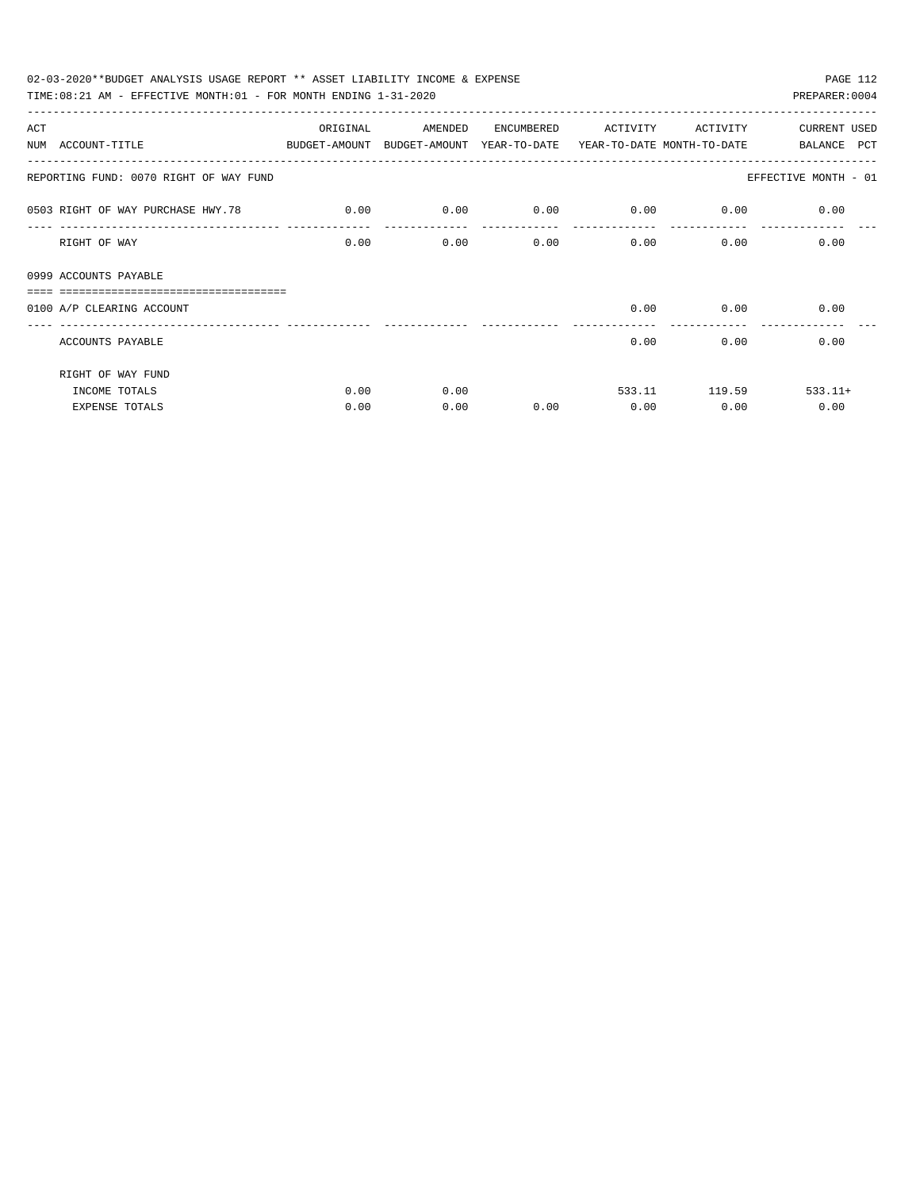| 02-03-2020**BUDGET ANALYSIS USAGE REPORT ** ASSET LIABILITY INCOME & EXPENSE             |          |         |            |          |                           | PAGE 112             |
|------------------------------------------------------------------------------------------|----------|---------|------------|----------|---------------------------|----------------------|
| TIME: $08:21$ AM - EFFECTIVE MONTH: $01$ - FOR MONTH ENDING $1-31-2020$                  |          |         |            |          |                           | PREPARER: 0004       |
| ACT                                                                                      | ORIGINAL | AMENDED | ENCUMBERED | ACTIVITY | ACTIVITY                  | <b>CURRENT USED</b>  |
| NUM ACCOUNT-TITLE<br>BUDGET-AMOUNT BUDGET-AMOUNT YEAR-TO-DATE YEAR-TO-DATE MONTH-TO-DATE |          |         |            |          |                           | BALANCE PCT          |
| REPORTING FUND: 0070 RIGHT OF WAY FUND                                                   |          |         |            |          |                           | EFFECTIVE MONTH - 01 |
| 0503 RIGHT OF WAY PURCHASE HWY.78                                                        | 0.00     | 0.00    | 0.00       | 0.00     | 0.00                      | 0.00                 |
| RIGHT OF WAY                                                                             | 0.00     | 0.00    | 0.00       |          | $0.00$ and $0.00$<br>0.00 | 0.00                 |
| 0999 ACCOUNTS PAYABLE                                                                    |          |         |            |          |                           |                      |
| 0100 A/P CLEARING ACCOUNT                                                                |          |         |            | 0.00     | 0.00                      | 0.00                 |
| ACCOUNTS PAYABLE                                                                         |          |         |            | 0.00     | 0.00                      | 0.00                 |
| RIGHT OF WAY FUND                                                                        |          |         |            |          |                           |                      |
| INCOME TOTALS                                                                            | 0.00     | 0.00    |            |          | 533.11 119.59             | $533.11+$            |
| <b>EXPENSE TOTALS</b>                                                                    | 0.00     | 0.00    | 0.00       | 0.00     | 0.00                      | 0.00                 |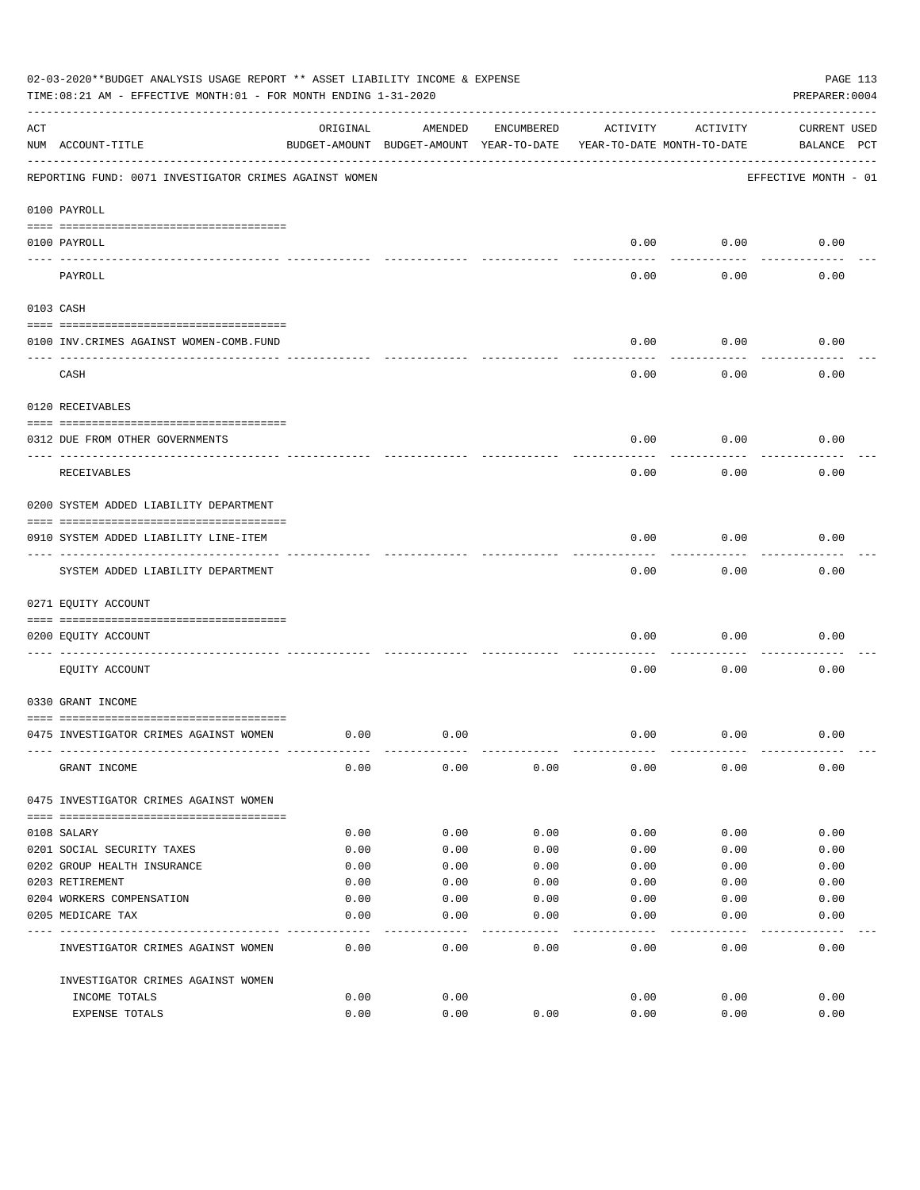|           | 02-03-2020**BUDGET ANALYSIS USAGE REPORT ** ASSET LIABILITY INCOME & EXPENSE<br>TIME:08:21 AM - EFFECTIVE MONTH:01 - FOR MONTH ENDING 1-31-2020 |          |                                                     |            |          |                                        | PAGE 113<br>PREPARER: 0004         |
|-----------|-------------------------------------------------------------------------------------------------------------------------------------------------|----------|-----------------------------------------------------|------------|----------|----------------------------------------|------------------------------------|
| ACT       | NUM ACCOUNT-TITLE                                                                                                                               | ORIGINAL | AMENDED<br>BUDGET-AMOUNT BUDGET-AMOUNT YEAR-TO-DATE | ENCUMBERED | ACTIVITY | ACTIVITY<br>YEAR-TO-DATE MONTH-TO-DATE | <b>CURRENT USED</b><br>BALANCE PCT |
|           | REPORTING FUND: 0071 INVESTIGATOR CRIMES AGAINST WOMEN                                                                                          |          |                                                     |            |          |                                        | EFFECTIVE MONTH - 01               |
|           | 0100 PAYROLL                                                                                                                                    |          |                                                     |            |          |                                        |                                    |
|           | 0100 PAYROLL                                                                                                                                    |          |                                                     |            | 0.00     | 0.00                                   | 0.00                               |
| ---- ---- | PAYROLL                                                                                                                                         |          |                                                     |            | 0.00     | 0.00                                   | 0.00                               |
|           | 0103 CASH                                                                                                                                       |          |                                                     |            |          |                                        |                                    |
|           | 0100 INV. CRIMES AGAINST WOMEN-COMB. FUND                                                                                                       |          |                                                     |            | 0.00     | 0.00                                   | 0.00                               |
|           | CASH                                                                                                                                            |          |                                                     |            | 0.00     | 0.00                                   | 0.00                               |
|           | 0120 RECEIVABLES                                                                                                                                |          |                                                     |            |          |                                        |                                    |
|           | 0312 DUE FROM OTHER GOVERNMENTS                                                                                                                 |          |                                                     |            | 0.00     | 0.00                                   | 0.00                               |
|           | RECEIVABLES                                                                                                                                     |          |                                                     |            | 0.00     | 0.00                                   | 0.00                               |
|           | 0200 SYSTEM ADDED LIABILITY DEPARTMENT                                                                                                          |          |                                                     |            |          |                                        |                                    |
|           | 0910 SYSTEM ADDED LIABILITY LINE-ITEM                                                                                                           |          |                                                     |            | 0.00     | 0.00                                   | 0.00                               |
|           | SYSTEM ADDED LIABILITY DEPARTMENT                                                                                                               |          |                                                     |            | 0.00     | 0.00                                   | 0.00                               |
|           | 0271 EQUITY ACCOUNT                                                                                                                             |          |                                                     |            |          |                                        |                                    |
|           | 0200 EQUITY ACCOUNT                                                                                                                             |          |                                                     |            | 0.00     | 0.00                                   | 0.00                               |
|           | EQUITY ACCOUNT                                                                                                                                  |          |                                                     |            | 0.00     | 0.00                                   | 0.00                               |
|           | 0330 GRANT INCOME                                                                                                                               |          |                                                     |            |          |                                        |                                    |
|           | 0475 INVESTIGATOR CRIMES AGAINST WOMEN                                                                                                          | 0.00     | 0.00                                                |            | 0.00     | 0.00                                   | 0.00                               |
|           | GRANT INCOME                                                                                                                                    | 0.00     | 0.00                                                | 0.00       | 0.00     | 0.00                                   | 0.00                               |
|           | 0475 INVESTIGATOR CRIMES AGAINST WOMEN                                                                                                          |          |                                                     |            |          |                                        |                                    |
|           | 0108 SALARY                                                                                                                                     | 0.00     | 0.00                                                | 0.00       | 0.00     | 0.00                                   | 0.00                               |
|           | 0201 SOCIAL SECURITY TAXES                                                                                                                      | 0.00     | 0.00                                                | 0.00       | 0.00     | 0.00                                   | 0.00                               |
|           | 0202 GROUP HEALTH INSURANCE                                                                                                                     | 0.00     | 0.00                                                | 0.00       | 0.00     | 0.00                                   | 0.00                               |
|           | 0203 RETIREMENT                                                                                                                                 | 0.00     | 0.00                                                | 0.00       | 0.00     | 0.00                                   | 0.00                               |
|           | 0204 WORKERS COMPENSATION                                                                                                                       | 0.00     | 0.00                                                | 0.00       | 0.00     | 0.00                                   | 0.00                               |
|           | 0205 MEDICARE TAX                                                                                                                               | 0.00     | 0.00                                                | 0.00       | 0.00     | 0.00                                   | 0.00                               |
|           | INVESTIGATOR CRIMES AGAINST WOMEN                                                                                                               | 0.00     | 0.00                                                | 0.00       | 0.00     | 0.00                                   | 0.00                               |
|           | INVESTIGATOR CRIMES AGAINST WOMEN                                                                                                               |          |                                                     |            |          |                                        |                                    |
|           | INCOME TOTALS                                                                                                                                   | 0.00     | 0.00                                                |            | 0.00     | 0.00                                   | 0.00                               |
|           | EXPENSE TOTALS                                                                                                                                  | 0.00     | 0.00                                                | 0.00       | 0.00     | 0.00                                   | 0.00                               |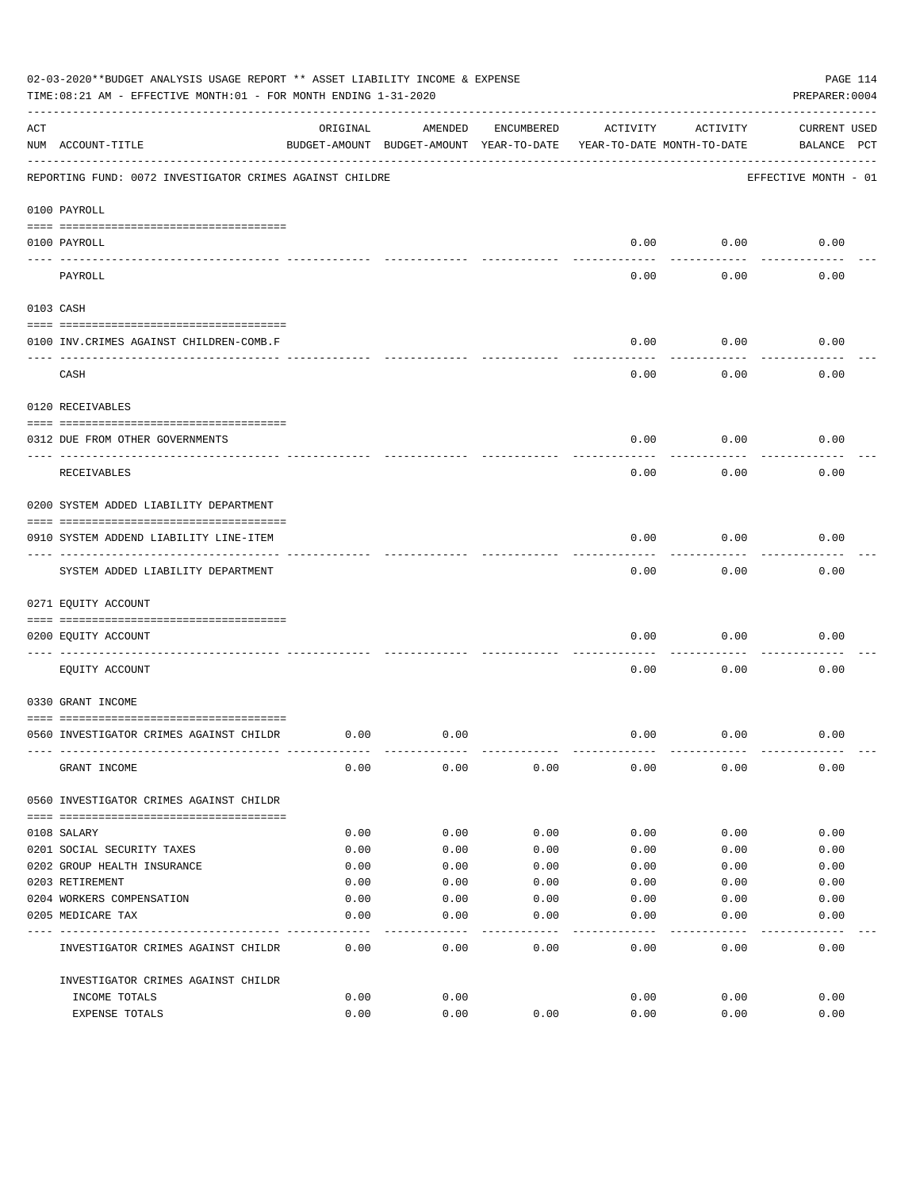|     | 02-03-2020**BUDGET ANALYSIS USAGE REPORT ** ASSET LIABILITY INCOME & EXPENSE<br>TIME: 08:21 AM - EFFECTIVE MONTH: 01 - FOR MONTH ENDING 1-31-2020 |          |                                                     |            |                                        |          | PAGE 114<br>PREPARER: 0004         |
|-----|---------------------------------------------------------------------------------------------------------------------------------------------------|----------|-----------------------------------------------------|------------|----------------------------------------|----------|------------------------------------|
| ACT | NUM ACCOUNT-TITLE                                                                                                                                 | ORIGINAL | AMENDED<br>BUDGET-AMOUNT BUDGET-AMOUNT YEAR-TO-DATE | ENCUMBERED | ACTIVITY<br>YEAR-TO-DATE MONTH-TO-DATE | ACTIVITY | <b>CURRENT USED</b><br>BALANCE PCT |
|     | REPORTING FUND: 0072 INVESTIGATOR CRIMES AGAINST CHILDRE                                                                                          |          |                                                     |            |                                        |          | EFFECTIVE MONTH - 01               |
|     | 0100 PAYROLL                                                                                                                                      |          |                                                     |            |                                        |          |                                    |
|     | 0100 PAYROLL<br>---- ----                                                                                                                         |          |                                                     |            | 0.00                                   | 0.00     | 0.00                               |
|     | PAYROLL                                                                                                                                           |          |                                                     |            | 0.00                                   | 0.00     | 0.00                               |
|     | 0103 CASH                                                                                                                                         |          |                                                     |            |                                        |          |                                    |
|     | 0100 INV. CRIMES AGAINST CHILDREN-COMB.F                                                                                                          |          |                                                     |            | 0.00                                   | 0.00     | 0.00                               |
|     | CASH                                                                                                                                              |          |                                                     |            | 0.00                                   | 0.00     | 0.00                               |
|     | 0120 RECEIVABLES                                                                                                                                  |          |                                                     |            |                                        |          |                                    |
|     | 0312 DUE FROM OTHER GOVERNMENTS                                                                                                                   |          |                                                     |            | 0.00                                   | 0.00     | 0.00                               |
|     | RECEIVABLES                                                                                                                                       |          |                                                     |            | 0.00                                   | 0.00     | 0.00                               |
|     | 0200 SYSTEM ADDED LIABILITY DEPARTMENT                                                                                                            |          |                                                     |            |                                        |          |                                    |
|     | 0910 SYSTEM ADDEND LIABILITY LINE-ITEM                                                                                                            |          |                                                     |            | 0.00                                   | 0.00     | 0.00                               |
|     | SYSTEM ADDED LIABILITY DEPARTMENT                                                                                                                 |          |                                                     |            | 0.00                                   | 0.00     | 0.00                               |
|     | 0271 EQUITY ACCOUNT                                                                                                                               |          |                                                     |            |                                        |          |                                    |
|     | 0200 EQUITY ACCOUNT                                                                                                                               |          |                                                     |            | 0.00                                   | 0.00     | 0.00                               |
|     | EQUITY ACCOUNT                                                                                                                                    |          |                                                     |            | 0.00                                   | 0.00     | 0.00                               |
|     | 0330 GRANT INCOME                                                                                                                                 |          |                                                     |            |                                        |          |                                    |
|     | 0560 INVESTIGATOR CRIMES AGAINST CHILDR                                                                                                           | 0.00     | 0.00                                                |            | 0.00                                   | 0.00     | 0.00                               |
|     | GRANT INCOME                                                                                                                                      | 0.00     | 0.00                                                | 0.00       | 0.00                                   | 0.00     | 0.00                               |
|     | 0560 INVESTIGATOR CRIMES AGAINST CHILDR                                                                                                           |          |                                                     |            |                                        |          |                                    |
|     | 0108 SALARY                                                                                                                                       | 0.00     | 0.00                                                | 0.00       | 0.00                                   | 0.00     | 0.00                               |
|     | 0201 SOCIAL SECURITY TAXES                                                                                                                        | 0.00     | 0.00                                                | 0.00       | 0.00                                   | 0.00     | 0.00                               |
|     | 0202 GROUP HEALTH INSURANCE                                                                                                                       | 0.00     | 0.00                                                | 0.00       | 0.00                                   | 0.00     | 0.00                               |
|     | 0203 RETIREMENT                                                                                                                                   | 0.00     | 0.00                                                | 0.00       | 0.00                                   | 0.00     | 0.00                               |
|     | 0204 WORKERS COMPENSATION                                                                                                                         | 0.00     | 0.00                                                | 0.00       | 0.00                                   | 0.00     | 0.00                               |
|     | 0205 MEDICARE TAX                                                                                                                                 | 0.00     | 0.00                                                | 0.00       | 0.00                                   | 0.00     | 0.00                               |
|     | INVESTIGATOR CRIMES AGAINST CHILDR                                                                                                                | 0.00     | 0.00                                                | 0.00       | 0.00                                   | 0.00     | 0.00                               |
|     | INVESTIGATOR CRIMES AGAINST CHILDR                                                                                                                |          |                                                     |            |                                        |          |                                    |
|     | INCOME TOTALS                                                                                                                                     | 0.00     | 0.00                                                |            | 0.00                                   | 0.00     | 0.00                               |
|     | EXPENSE TOTALS                                                                                                                                    | 0.00     | 0.00                                                | 0.00       | 0.00                                   | 0.00     | 0.00                               |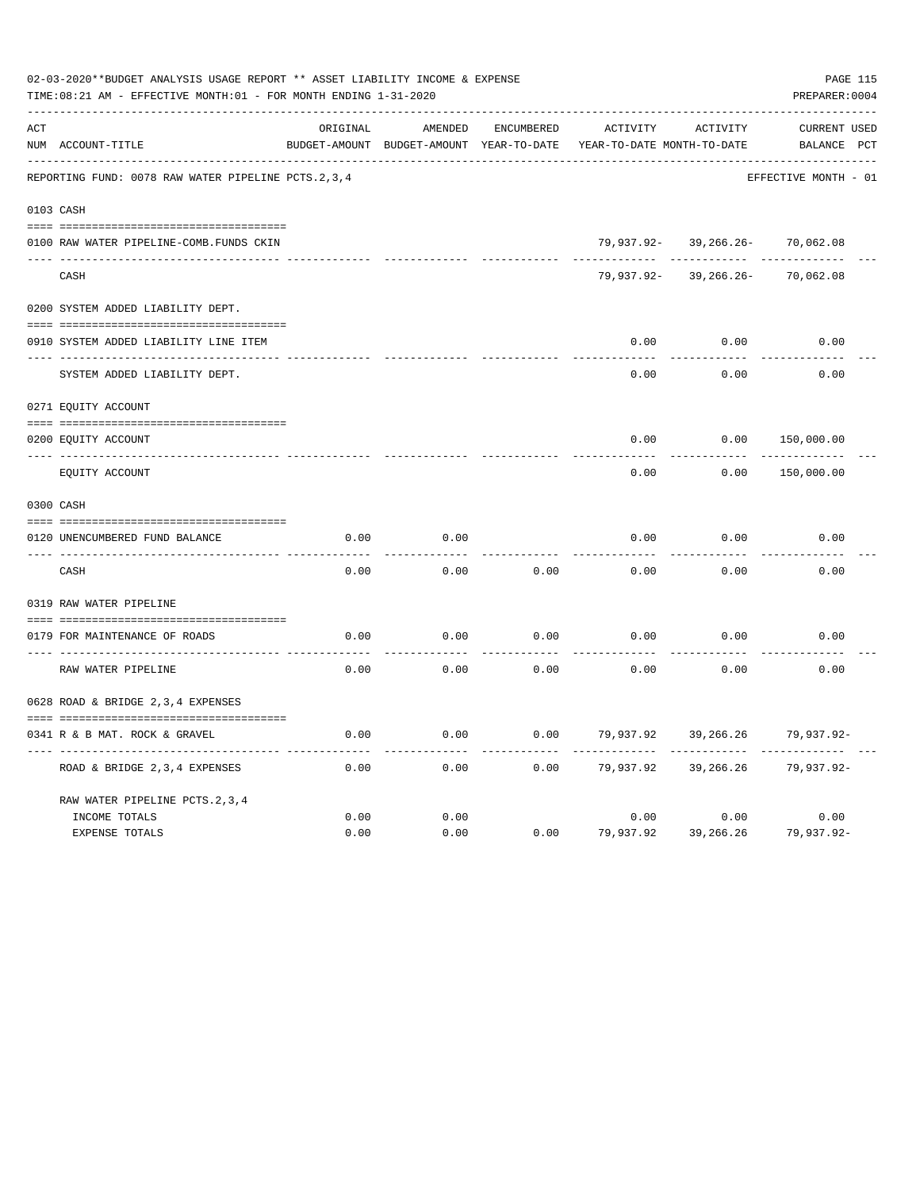|     | 02-03-2020**BUDGET ANALYSIS USAGE REPORT ** ASSET LIABILITY INCOME & EXPENSE<br>TIME:08:21 AM - EFFECTIVE MONTH:01 - FOR MONTH ENDING 1-31-2020 |          |                                                     |                   |                                        |                      | PREPARER: 0004                     | PAGE 115 |
|-----|-------------------------------------------------------------------------------------------------------------------------------------------------|----------|-----------------------------------------------------|-------------------|----------------------------------------|----------------------|------------------------------------|----------|
| ACT | NUM ACCOUNT-TITLE                                                                                                                               | ORIGINAL | AMENDED<br>BUDGET-AMOUNT BUDGET-AMOUNT YEAR-TO-DATE | <b>ENCUMBERED</b> | ACTIVITY<br>YEAR-TO-DATE MONTH-TO-DATE | ACTIVITY             | <b>CURRENT USED</b><br>BALANCE PCT |          |
|     | REPORTING FUND: 0078 RAW WATER PIPELINE PCTS. 2, 3, 4                                                                                           |          |                                                     |                   |                                        |                      | EFFECTIVE MONTH - 01               |          |
|     | 0103 CASH                                                                                                                                       |          |                                                     |                   |                                        |                      |                                    |          |
|     | 0100 RAW WATER PIPELINE-COMB.FUNDS CKIN                                                                                                         |          |                                                     |                   |                                        | 79,937.92-39,266.26- | 70,062.08                          |          |
|     | CASH                                                                                                                                            |          |                                                     |                   | 79,937.92-                             | $39, 266.26 -$       | 70,062.08                          |          |
|     | 0200 SYSTEM ADDED LIABILITY DEPT.                                                                                                               |          |                                                     |                   |                                        |                      |                                    |          |
|     | 0910 SYSTEM ADDED LIABILITY LINE ITEM                                                                                                           |          |                                                     |                   | 0.00                                   | 0.00                 | 0.00                               |          |
|     | SYSTEM ADDED LIABILITY DEPT.                                                                                                                    |          |                                                     |                   | 0.00                                   | 0.00                 | 0.00                               |          |
|     | 0271 EQUITY ACCOUNT                                                                                                                             |          |                                                     |                   |                                        |                      |                                    |          |
|     | 0200 EQUITY ACCOUNT                                                                                                                             |          |                                                     |                   | 0.00                                   | 0.00                 | 150,000.00                         |          |
|     | EQUITY ACCOUNT                                                                                                                                  |          |                                                     |                   | 0.00                                   | 0.00                 | 150,000.00                         |          |
|     | 0300 CASH                                                                                                                                       |          |                                                     |                   |                                        |                      |                                    |          |
|     | 0120 UNENCUMBERED FUND BALANCE                                                                                                                  | 0.00     | 0.00                                                |                   | 0.00                                   | 0.00                 | 0.00                               |          |
|     | CASH                                                                                                                                            | 0.00     | 0.00                                                | 0.00              | 0.00                                   | 0.00                 | 0.00                               |          |
|     | 0319 RAW WATER PIPELINE                                                                                                                         |          |                                                     |                   |                                        |                      |                                    |          |
|     | 0179 FOR MAINTENANCE OF ROADS                                                                                                                   | 0.00     | 0.00                                                | 0.00              | 0.00                                   | 0.00                 | 0.00                               |          |
|     | RAW WATER PIPELINE                                                                                                                              | 0.00     | 0.00                                                | 0.00              | 0.00                                   | 0.00                 | 0.00                               |          |
|     | 0628 ROAD & BRIDGE 2,3,4 EXPENSES                                                                                                               |          |                                                     |                   |                                        |                      |                                    |          |
|     | 0341 R & B MAT. ROCK & GRAVEL                                                                                                                   | 0.00     | 0.00                                                | 0.00              | 79,937.92                              | 39,266.26            | 79,937.92-                         |          |
|     | ROAD & BRIDGE 2, 3, 4 EXPENSES                                                                                                                  | 0.00     | 0.00                                                | 0.00              | 79,937.92                              | 39,266.26            | 79,937.92-                         |          |
|     | RAW WATER PIPELINE PCTS. 2, 3, 4                                                                                                                |          |                                                     |                   |                                        |                      |                                    |          |
|     | INCOME TOTALS                                                                                                                                   | 0.00     | 0.00                                                |                   | 0.00                                   | 0.00                 | 0.00                               |          |
|     | <b>EXPENSE TOTALS</b>                                                                                                                           | 0.00     | 0.00                                                | 0.00              | 79,937.92                              | 39,266.26            | 79,937.92-                         |          |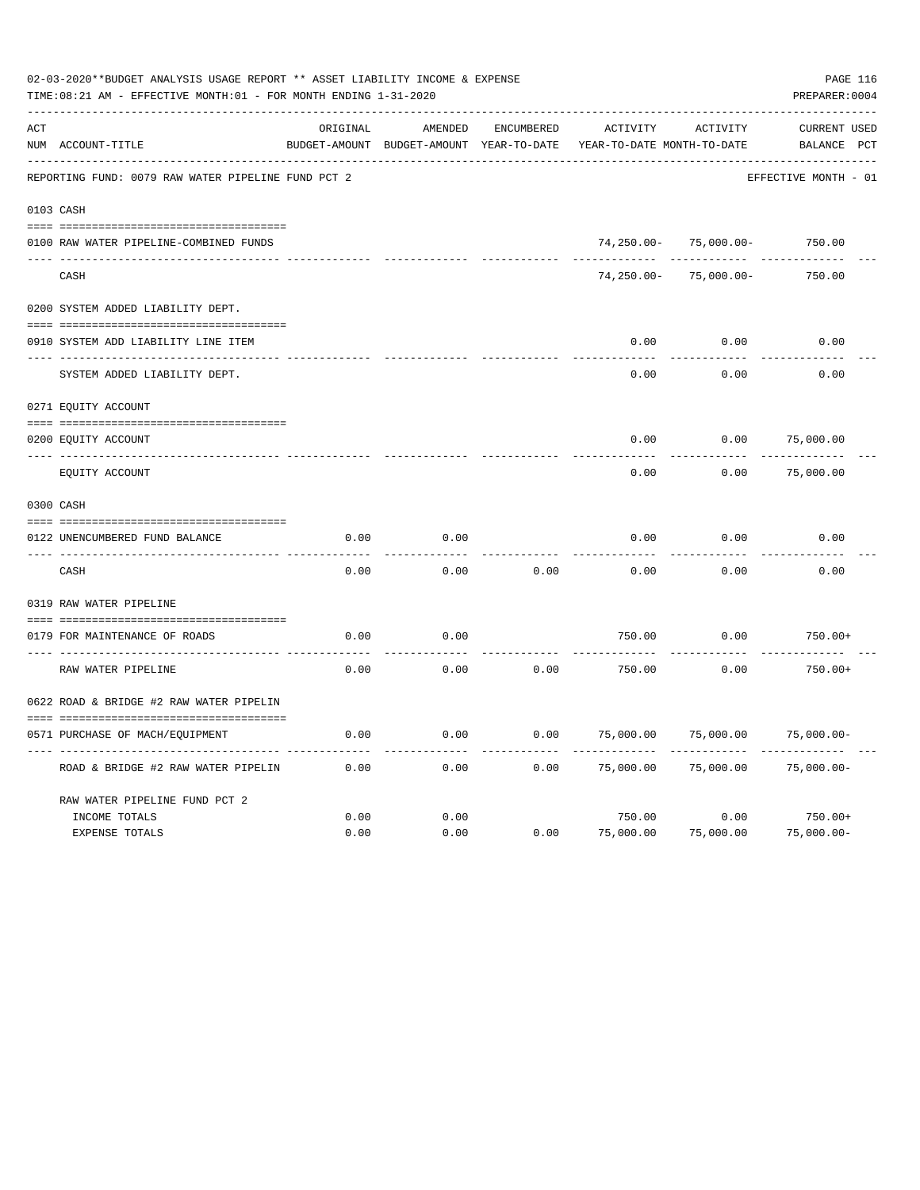|     | 02-03-2020**BUDGET ANALYSIS USAGE REPORT ** ASSET LIABILITY INCOME & EXPENSE<br>TIME:08:21 AM - EFFECTIVE MONTH:01 - FOR MONTH ENDING 1-31-2020 |          |                                                     |                   |                                        |                            |                                    |  |  |  |
|-----|-------------------------------------------------------------------------------------------------------------------------------------------------|----------|-----------------------------------------------------|-------------------|----------------------------------------|----------------------------|------------------------------------|--|--|--|
| ACT | NUM ACCOUNT-TITLE                                                                                                                               | ORIGINAL | AMENDED<br>BUDGET-AMOUNT BUDGET-AMOUNT YEAR-TO-DATE | <b>ENCUMBERED</b> | ACTIVITY<br>YEAR-TO-DATE MONTH-TO-DATE | ACTIVITY                   | <b>CURRENT USED</b><br>BALANCE PCT |  |  |  |
|     | REPORTING FUND: 0079 RAW WATER PIPELINE FUND PCT 2                                                                                              |          |                                                     |                   |                                        |                            | EFFECTIVE MONTH - 01               |  |  |  |
|     | 0103 CASH                                                                                                                                       |          |                                                     |                   |                                        |                            |                                    |  |  |  |
|     | 0100 RAW WATER PIPELINE-COMBINED FUNDS                                                                                                          |          |                                                     |                   |                                        | $74, 250.00 - 75,000.00 -$ | 750.00                             |  |  |  |
|     | CASH                                                                                                                                            |          |                                                     |                   | $74,250.00 -$                          | $75,000.00 -$              | 750.00                             |  |  |  |
|     | 0200 SYSTEM ADDED LIABILITY DEPT.                                                                                                               |          |                                                     |                   |                                        |                            |                                    |  |  |  |
|     | 0910 SYSTEM ADD LIABILITY LINE ITEM                                                                                                             |          |                                                     |                   | 0.00                                   | 0.00                       | 0.00                               |  |  |  |
|     | SYSTEM ADDED LIABILITY DEPT.                                                                                                                    |          |                                                     |                   | 0.00                                   | 0.00                       | 0.00                               |  |  |  |
|     | 0271 EQUITY ACCOUNT                                                                                                                             |          |                                                     |                   |                                        |                            |                                    |  |  |  |
|     | 0200 EQUITY ACCOUNT                                                                                                                             |          |                                                     |                   | 0.00                                   | 0.00                       | 75,000.00                          |  |  |  |
|     | ---- -----------<br>EQUITY ACCOUNT                                                                                                              |          |                                                     |                   | 0.00                                   | 0.00                       | 75,000.00                          |  |  |  |
|     | 0300 CASH                                                                                                                                       |          |                                                     |                   |                                        |                            |                                    |  |  |  |
|     | 0122 UNENCUMBERED FUND BALANCE                                                                                                                  | 0.00     | 0.00                                                |                   | 0.00                                   | 0.00                       | 0.00                               |  |  |  |
|     | CASH                                                                                                                                            | 0.00     | 0.00                                                | 0.00              | 0.00                                   | 0.00                       | 0.00                               |  |  |  |
|     | 0319 RAW WATER PIPELINE                                                                                                                         |          |                                                     |                   |                                        |                            |                                    |  |  |  |
|     | 0179 FOR MAINTENANCE OF ROADS                                                                                                                   | 0.00     | 0.00                                                |                   | 750.00                                 | 0.00                       | $750.00+$                          |  |  |  |
|     | RAW WATER PIPELINE                                                                                                                              | 0.00     | 0.00                                                | 0.00              | 750.00                                 | 0.00                       | $750.00+$                          |  |  |  |
|     | 0622 ROAD & BRIDGE #2 RAW WATER PIPELIN                                                                                                         |          |                                                     |                   |                                        |                            |                                    |  |  |  |
|     | 0571 PURCHASE OF MACH/EQUIPMENT                                                                                                                 | 0.00     | 0.00                                                | 0.00              | 75,000.00                              | 75,000.00                  | $75,000.00-$                       |  |  |  |
|     | ROAD & BRIDGE #2 RAW WATER PIPELIN                                                                                                              | 0.00     | 0.00                                                | 0.00              | 75,000.00                              | 75,000.00                  | $75,000.00-$                       |  |  |  |
|     | RAW WATER PIPELINE FUND PCT 2                                                                                                                   |          |                                                     |                   |                                        |                            |                                    |  |  |  |
|     | INCOME TOTALS                                                                                                                                   | 0.00     | 0.00                                                |                   | 750.00                                 | 0.00                       | $750.00+$                          |  |  |  |
|     | <b>EXPENSE TOTALS</b>                                                                                                                           | 0.00     | 0.00                                                | 0.00              | 75,000.00                              | 75,000.00                  | $75,000.00-$                       |  |  |  |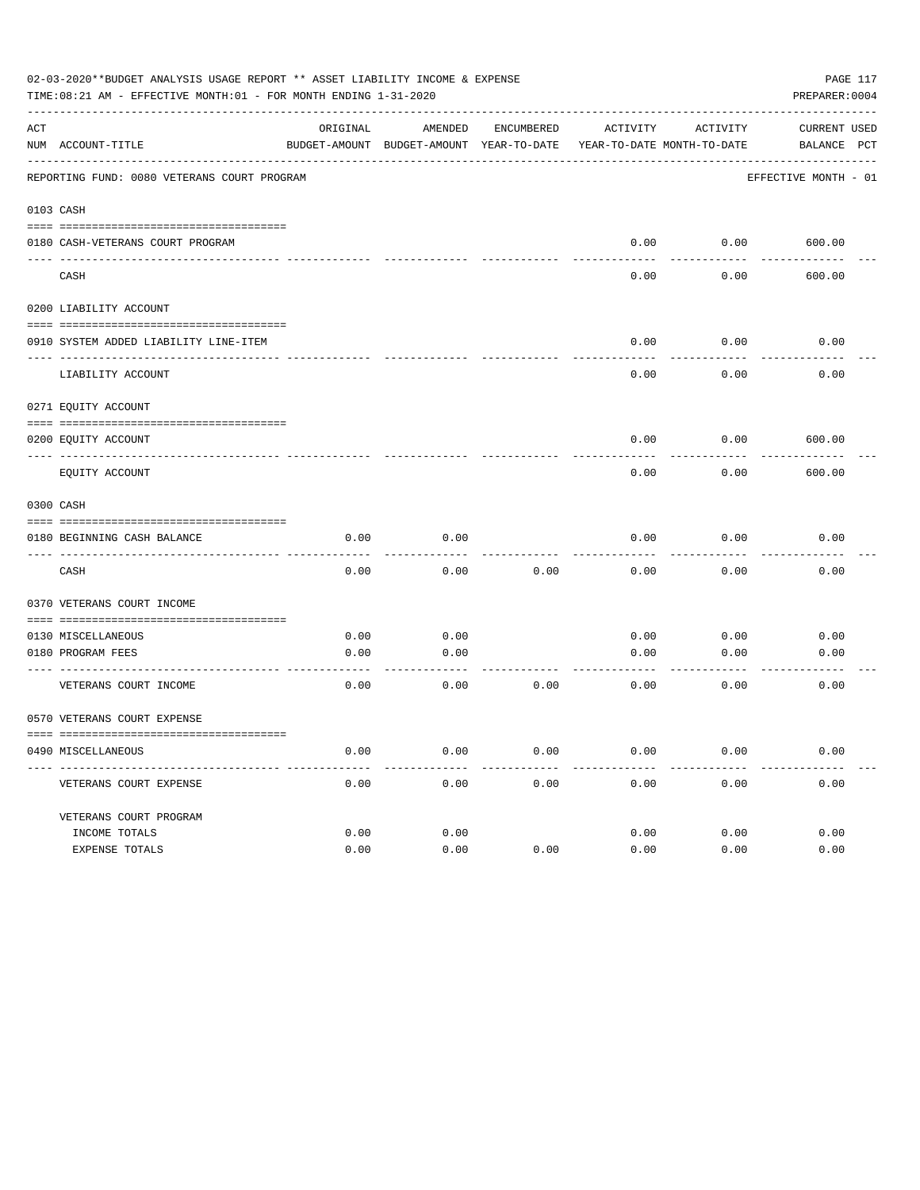|         | 02-03-2020**BUDGET ANALYSIS USAGE REPORT ** ASSET LIABILITY INCOME & EXPENSE<br>PAGE 117<br>TIME:08:21 AM - EFFECTIVE MONTH:01 - FOR MONTH ENDING 1-31-2020<br>PREPARER: 0004 |          |                                          |            |          |                            |                      |  |  |  |  |
|---------|-------------------------------------------------------------------------------------------------------------------------------------------------------------------------------|----------|------------------------------------------|------------|----------|----------------------------|----------------------|--|--|--|--|
| ACT     |                                                                                                                                                                               | ORIGINAL | AMENDED                                  | ENCUMBERED | ACTIVITY | ACTIVITY                   | <b>CURRENT USED</b>  |  |  |  |  |
|         | NUM ACCOUNT-TITLE                                                                                                                                                             |          | BUDGET-AMOUNT BUDGET-AMOUNT YEAR-TO-DATE |            |          | YEAR-TO-DATE MONTH-TO-DATE | BALANCE PCT          |  |  |  |  |
|         | REPORTING FUND: 0080 VETERANS COURT PROGRAM                                                                                                                                   |          |                                          |            |          |                            | EFFECTIVE MONTH - 01 |  |  |  |  |
|         | 0103 CASH                                                                                                                                                                     |          |                                          |            |          |                            |                      |  |  |  |  |
|         | 0180 CASH-VETERANS COURT PROGRAM                                                                                                                                              |          |                                          |            | 0.00     | 0.00                       | 600.00               |  |  |  |  |
| ---- -- | CASH                                                                                                                                                                          |          |                                          |            | 0.00     | 0.00                       | 600.00               |  |  |  |  |
|         | 0200 LIABILITY ACCOUNT                                                                                                                                                        |          |                                          |            |          |                            |                      |  |  |  |  |
|         | 0910 SYSTEM ADDED LIABILITY LINE-ITEM                                                                                                                                         |          |                                          |            | 0.00     | 0.00                       | 0.00                 |  |  |  |  |
|         | LIABILITY ACCOUNT                                                                                                                                                             |          |                                          |            | 0.00     | 0.00                       | 0.00                 |  |  |  |  |
|         | 0271 EQUITY ACCOUNT                                                                                                                                                           |          |                                          |            |          |                            |                      |  |  |  |  |
|         | 0200 EQUITY ACCOUNT                                                                                                                                                           |          |                                          |            | 0.00     | 0.00                       | 600.00               |  |  |  |  |
|         | EQUITY ACCOUNT                                                                                                                                                                |          |                                          |            | 0.00     | 0.00                       | 600.00               |  |  |  |  |
|         | 0300 CASH                                                                                                                                                                     |          |                                          |            |          |                            |                      |  |  |  |  |
|         | 0180 BEGINNING CASH BALANCE                                                                                                                                                   | 0.00     | 0.00                                     |            | 0.00     | 0.00                       | 0.00                 |  |  |  |  |
|         | CASH                                                                                                                                                                          | 0.00     | 0.00                                     | 0.00       | 0.00     | 0.00                       | 0.00                 |  |  |  |  |
|         | 0370 VETERANS COURT INCOME                                                                                                                                                    |          |                                          |            |          |                            |                      |  |  |  |  |
|         | 0130 MISCELLANEOUS                                                                                                                                                            | 0.00     | 0.00                                     |            | 0.00     | 0.00                       | 0.00                 |  |  |  |  |
|         | 0180 PROGRAM FEES                                                                                                                                                             | 0.00     | 0.00                                     |            | 0.00     | 0.00                       | 0.00                 |  |  |  |  |
|         | ------------------------ -----<br>VETERANS COURT INCOME                                                                                                                       | 0.00     | 0.00                                     | 0.00       | 0.00     | 0.00                       | 0.00                 |  |  |  |  |
|         | 0570 VETERANS COURT EXPENSE                                                                                                                                                   |          |                                          |            |          |                            |                      |  |  |  |  |
|         | 0490 MISCELLANEOUS                                                                                                                                                            | 0.00     | 0.00                                     | 0.00       | 0.00     | 0.00                       | 0.00                 |  |  |  |  |
|         | VETERANS COURT EXPENSE                                                                                                                                                        | 0.00     | 0.00                                     | 0.00       | 0.00     | 0.00                       | 0.00                 |  |  |  |  |
|         | VETERANS COURT PROGRAM                                                                                                                                                        |          |                                          |            |          |                            |                      |  |  |  |  |
|         | INCOME TOTALS                                                                                                                                                                 | 0.00     | 0.00                                     |            | 0.00     | 0.00                       | 0.00                 |  |  |  |  |
|         | EXPENSE TOTALS                                                                                                                                                                | 0.00     | 0.00                                     | 0.00       | 0.00     | 0.00                       | 0.00                 |  |  |  |  |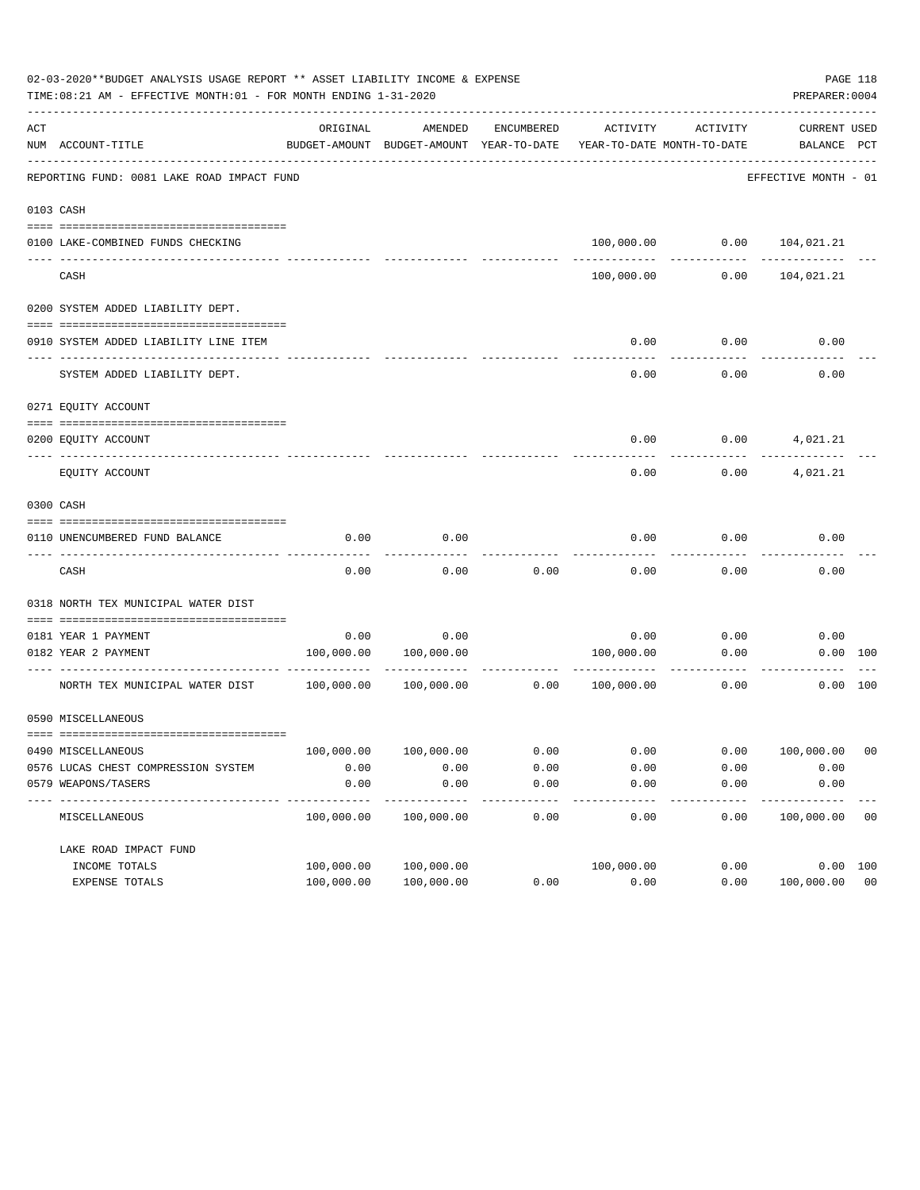|     | 02-03-2020**BUDGET ANALYSIS USAGE REPORT ** ASSET LIABILITY INCOME & EXPENSE<br>TIME: 08:21 AM - EFFECTIVE MONTH: 01 - FOR MONTH ENDING 1-31-2020 |            |                                                     |                   |                                        |          | PREPARER: 0004                 | PAGE 118       |
|-----|---------------------------------------------------------------------------------------------------------------------------------------------------|------------|-----------------------------------------------------|-------------------|----------------------------------------|----------|--------------------------------|----------------|
| ACT | NUM ACCOUNT-TITLE                                                                                                                                 | ORIGINAL   | AMENDED<br>BUDGET-AMOUNT BUDGET-AMOUNT YEAR-TO-DATE | ENCUMBERED        | ACTIVITY<br>YEAR-TO-DATE MONTH-TO-DATE | ACTIVITY | CURRENT USED<br>BALANCE PCT    |                |
|     | REPORTING FUND: 0081 LAKE ROAD IMPACT FUND                                                                                                        |            |                                                     |                   |                                        |          | EFFECTIVE MONTH - 01           |                |
|     | 0103 CASH                                                                                                                                         |            |                                                     |                   |                                        |          |                                |                |
|     |                                                                                                                                                   |            |                                                     |                   |                                        |          |                                |                |
|     | 0100 LAKE-COMBINED FUNDS CHECKING                                                                                                                 |            |                                                     |                   |                                        |          | 100,000.00   0.00   104,021.21 |                |
|     | CASH                                                                                                                                              |            |                                                     |                   | 100,000.00                             | 0.00     | 104,021.21                     |                |
|     | 0200 SYSTEM ADDED LIABILITY DEPT.                                                                                                                 |            |                                                     |                   |                                        |          |                                |                |
|     |                                                                                                                                                   |            |                                                     |                   |                                        |          |                                |                |
|     | 0910 SYSTEM ADDED LIABILITY LINE ITEM                                                                                                             |            |                                                     |                   | 0.00                                   | 0.00     | 0.00                           |                |
|     | SYSTEM ADDED LIABILITY DEPT.                                                                                                                      |            |                                                     |                   | 0.00                                   | 0.00     | 0.00                           |                |
|     | 0271 EQUITY ACCOUNT                                                                                                                               |            |                                                     |                   |                                        |          |                                |                |
|     | 0200 EQUITY ACCOUNT                                                                                                                               |            |                                                     |                   | 0.00                                   |          | $0.00$ 4,021.21                |                |
|     | EOUITY ACCOUNT                                                                                                                                    |            |                                                     |                   | 0.00                                   | 0.00     | 4,021.21                       |                |
|     | 0300 CASH                                                                                                                                         |            |                                                     |                   |                                        |          |                                |                |
|     |                                                                                                                                                   |            |                                                     |                   |                                        |          |                                |                |
|     | 0110 UNENCUMBERED FUND BALANCE                                                                                                                    | 0.00       | 0.00                                                |                   | 0.00                                   | 0.00     | 0.00                           |                |
|     | CASH                                                                                                                                              | 0.00       | 0.00                                                | 0.00              | 0.00                                   | 0.00     | 0.00                           |                |
|     | 0318 NORTH TEX MUNICIPAL WATER DIST                                                                                                               |            |                                                     |                   |                                        |          |                                |                |
|     |                                                                                                                                                   |            |                                                     |                   |                                        |          |                                |                |
|     | 0181 YEAR 1 PAYMENT                                                                                                                               | 0.00       | 0.00                                                |                   | 0.00                                   | 0.00     | 0.00                           |                |
|     | 0182 YEAR 2 PAYMENT                                                                                                                               |            | 100,000.00 100,000.00                               |                   | 100,000.00                             | 0.00     |                                | 0.00 100       |
|     | NORTH TEX MUNICIPAL WATER DIST 100,000.00                                                                                                         |            | $100,000.00$ 0.00                                   |                   | 100,000.00                             | 0.00     |                                | 0.00 100       |
|     | 0590 MISCELLANEOUS                                                                                                                                |            |                                                     |                   |                                        |          |                                |                |
|     |                                                                                                                                                   |            |                                                     |                   |                                        |          |                                |                |
|     | 0490 MISCELLANEOUS                                                                                                                                | 100,000.00 | 100,000.00                                          | 0.00              | 0.00                                   | 0.00     | 100,000.00                     | 0 <sub>0</sub> |
|     | 0576 LUCAS CHEST COMPRESSION SYSTEM                                                                                                               | 0.00       | 0.00                                                | 0.00              | 0.00                                   | 0.00     | 0.00                           |                |
|     | 0579 WEAPONS/TASERS<br>----------                                                                                                                 | 0.00       | 0.00                                                | 0.00<br>$- - - -$ | 0.00                                   | 0.00     | 0.00                           |                |
|     | MISCELLANEOUS                                                                                                                                     | 100,000.00 | 100,000.00                                          | 0.00              | 0.00                                   | 0.00     | 100,000.00                     | 0 <sub>0</sub> |
|     | LAKE ROAD IMPACT FUND                                                                                                                             |            |                                                     |                   |                                        |          |                                |                |
|     | INCOME TOTALS                                                                                                                                     | 100,000.00 | 100,000.00                                          |                   | 100,000.00                             | 0.00     |                                | 0.00 100       |
|     | EXPENSE TOTALS                                                                                                                                    | 100,000.00 | 100,000.00                                          | 0.00              | 0.00                                   | 0.00     | 100,000.00 00                  |                |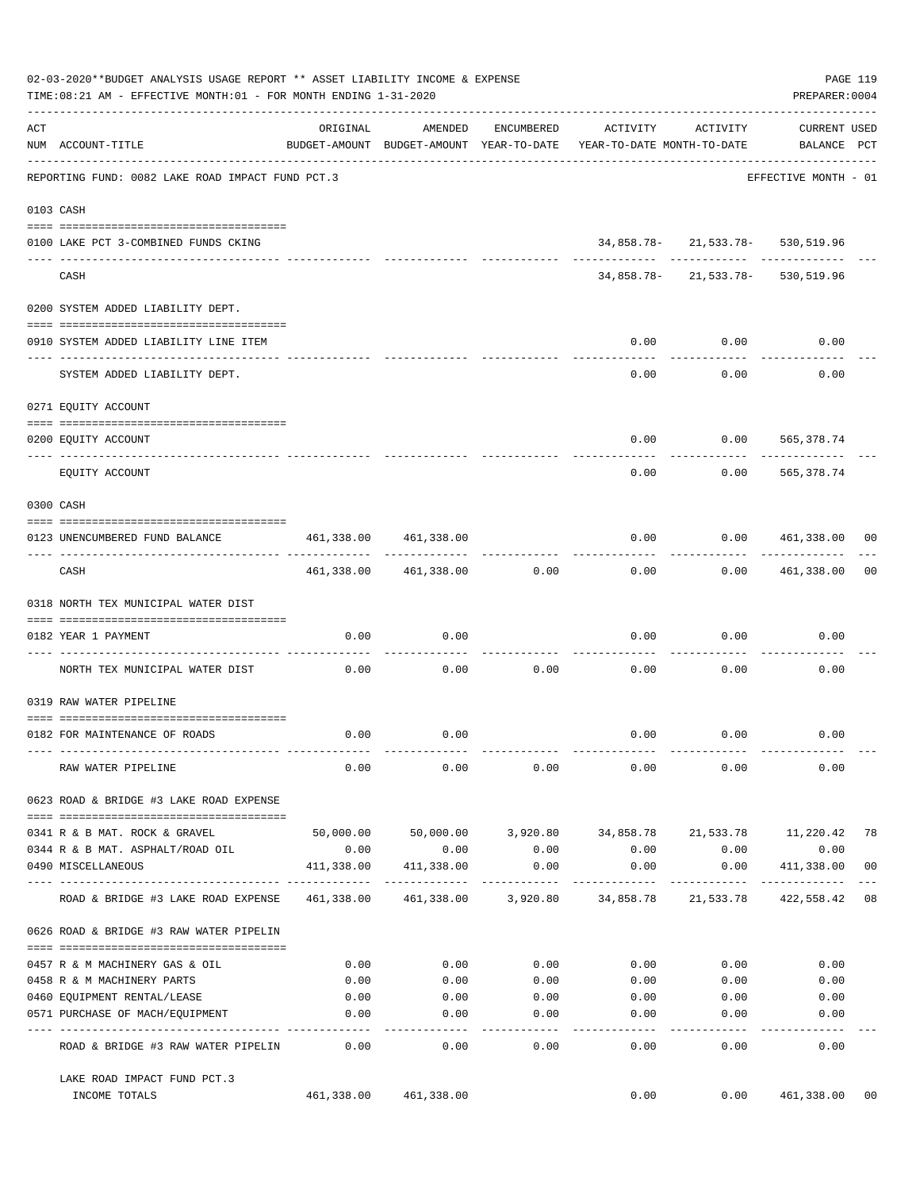|     | 02-03-2020**BUDGET ANALYSIS USAGE REPORT ** ASSET LIABILITY INCOME & EXPENSE<br>TIME: 08:21 AM - EFFECTIVE MONTH: 01 - FOR MONTH ENDING 1-31-2020 |                       |                            |               |                                                                                 |                                  | PREPARER: 0004              | PAGE 119       |
|-----|---------------------------------------------------------------------------------------------------------------------------------------------------|-----------------------|----------------------------|---------------|---------------------------------------------------------------------------------|----------------------------------|-----------------------------|----------------|
| ACT | NUM ACCOUNT-TITLE                                                                                                                                 | ORIGINAL              | AMENDED                    | ENCUMBERED    | ACTIVITY<br>BUDGET-AMOUNT BUDGET-AMOUNT YEAR-TO-DATE YEAR-TO-DATE MONTH-TO-DATE | ACTIVITY                         | CURRENT USED<br>BALANCE PCT |                |
|     | REPORTING FUND: 0082 LAKE ROAD IMPACT FUND PCT.3                                                                                                  |                       |                            |               |                                                                                 |                                  | EFFECTIVE MONTH - 01        |                |
|     | 0103 CASH                                                                                                                                         |                       |                            |               |                                                                                 |                                  |                             |                |
|     | 0100 LAKE PCT 3-COMBINED FUNDS CKING                                                                                                              |                       |                            |               |                                                                                 | 34,858.78-21,533.78-530,519.96   |                             |                |
|     | CASH                                                                                                                                              |                       |                            |               |                                                                                 | 34,858.78-21,533.78-530,519.96   |                             |                |
|     | 0200 SYSTEM ADDED LIABILITY DEPT.                                                                                                                 |                       |                            |               |                                                                                 |                                  |                             |                |
|     | 0910 SYSTEM ADDED LIABILITY LINE ITEM                                                                                                             |                       |                            |               | 0.00                                                                            | 0.00                             | 0.00                        |                |
|     | SYSTEM ADDED LIABILITY DEPT.                                                                                                                      |                       |                            |               | 0.00                                                                            | . <u>.</u><br>0.00               | 0.00                        |                |
|     | 0271 EQUITY ACCOUNT                                                                                                                               |                       |                            |               |                                                                                 |                                  |                             |                |
|     | 0200 EQUITY ACCOUNT                                                                                                                               |                       |                            |               | 0.00                                                                            | $0.00$ 565,378.74                |                             |                |
|     | EQUITY ACCOUNT                                                                                                                                    |                       |                            |               | 0.00                                                                            | 0.00                             | -------------<br>565,378.74 |                |
|     | 0300 CASH                                                                                                                                         |                       |                            |               |                                                                                 |                                  |                             |                |
|     | 0123 UNENCUMBERED FUND BALANCE                                                                                                                    | 461,338.00 461,338.00 |                            |               | 0.00                                                                            | 0.0000461,338.00000<br>--------- | -------------               |                |
|     | CASH                                                                                                                                              |                       | 461,338.00 461,338.00 0.00 |               | 0.00                                                                            |                                  | 0.00 461,338.00             | 00             |
|     | 0318 NORTH TEX MUNICIPAL WATER DIST                                                                                                               |                       |                            |               |                                                                                 |                                  |                             |                |
|     | 0182 YEAR 1 PAYMENT                                                                                                                               | 0.00                  | 0.00                       |               | 0.00                                                                            | 0.00                             | 0.00                        |                |
|     | NORTH TEX MUNICIPAL WATER DIST                                                                                                                    | 0.00                  | 0.00                       | 0.00          | 0.00                                                                            | 0.00                             | 0.00                        |                |
|     | 0319 RAW WATER PIPELINE                                                                                                                           |                       |                            |               |                                                                                 |                                  |                             |                |
|     | 0182 FOR MAINTENANCE OF ROADS                                                                                                                     | 0.00                  | 0.00                       |               |                                                                                 | $0.00$ $0.00$                    | 0.00                        |                |
|     | RAW WATER PIPELINE                                                                                                                                | 0.00                  | 0.00                       | 0.00          | 0.00                                                                            | 0.00                             | 0.00                        |                |
|     | 0623 ROAD & BRIDGE #3 LAKE ROAD EXPENSE                                                                                                           |                       |                            |               |                                                                                 |                                  |                             |                |
|     | 0341 R & B MAT. ROCK & GRAVEL                                                                                                                     |                       |                            |               | 50,000.00 50,000.00 3,920.80 34,858.78 21,533.78 11,220.42 78                   |                                  |                             |                |
|     | 0344 R & B MAT. ASPHALT/ROAD OIL<br>0490 MISCELLANEOUS                                                                                            | 0.00<br>411,338.00    | 0.00<br>411,338.00         | 0.00<br>0.00  | 0.00<br>0.00                                                                    | 0.00<br>0.00                     | 0.00<br>411,338.00          | 0 <sub>0</sub> |
|     | ROAD & BRIDGE #3 LAKE ROAD EXPENSE                                                                                                                |                       |                            |               | 461,338.00    461,338.00    3,920.80    34,858.78    21,533.78                  | -----------                      | ------------<br>422,558.42  | 08             |
|     | 0626 ROAD & BRIDGE #3 RAW WATER PIPELIN                                                                                                           |                       |                            |               |                                                                                 |                                  |                             |                |
|     |                                                                                                                                                   |                       |                            |               |                                                                                 |                                  |                             |                |
|     | 0457 R & M MACHINERY GAS & OIL                                                                                                                    | 0.00                  | 0.00                       | 0.00          | 0.00                                                                            | 0.00                             | 0.00                        |                |
|     | 0458 R & M MACHINERY PARTS                                                                                                                        | 0.00                  | 0.00                       | 0.00          | 0.00                                                                            | 0.00                             | 0.00                        |                |
|     | 0460 EQUIPMENT RENTAL/LEASE<br>0571 PURCHASE OF MACH/EQUIPMENT                                                                                    | 0.00<br>0.00          | 0.00<br>0.00               | 0.00<br>0.00  | 0.00<br>0.00                                                                    | 0.00<br>0.00                     | 0.00<br>0.00                |                |
|     | ROAD & BRIDGE #3 RAW WATER PIPELIN                                                                                                                | 0.00                  | $- - - - -$<br>0.00        | $---$<br>0.00 | -----<br>0.00                                                                   | -----<br>0.00                    | 0.00                        |                |
|     |                                                                                                                                                   |                       |                            |               |                                                                                 |                                  |                             |                |
|     | LAKE ROAD IMPACT FUND PCT.3<br>INCOME TOTALS                                                                                                      |                       | 461,338.00 461,338.00      |               | 0.00                                                                            | 0.00                             | 461,338.00                  | 00             |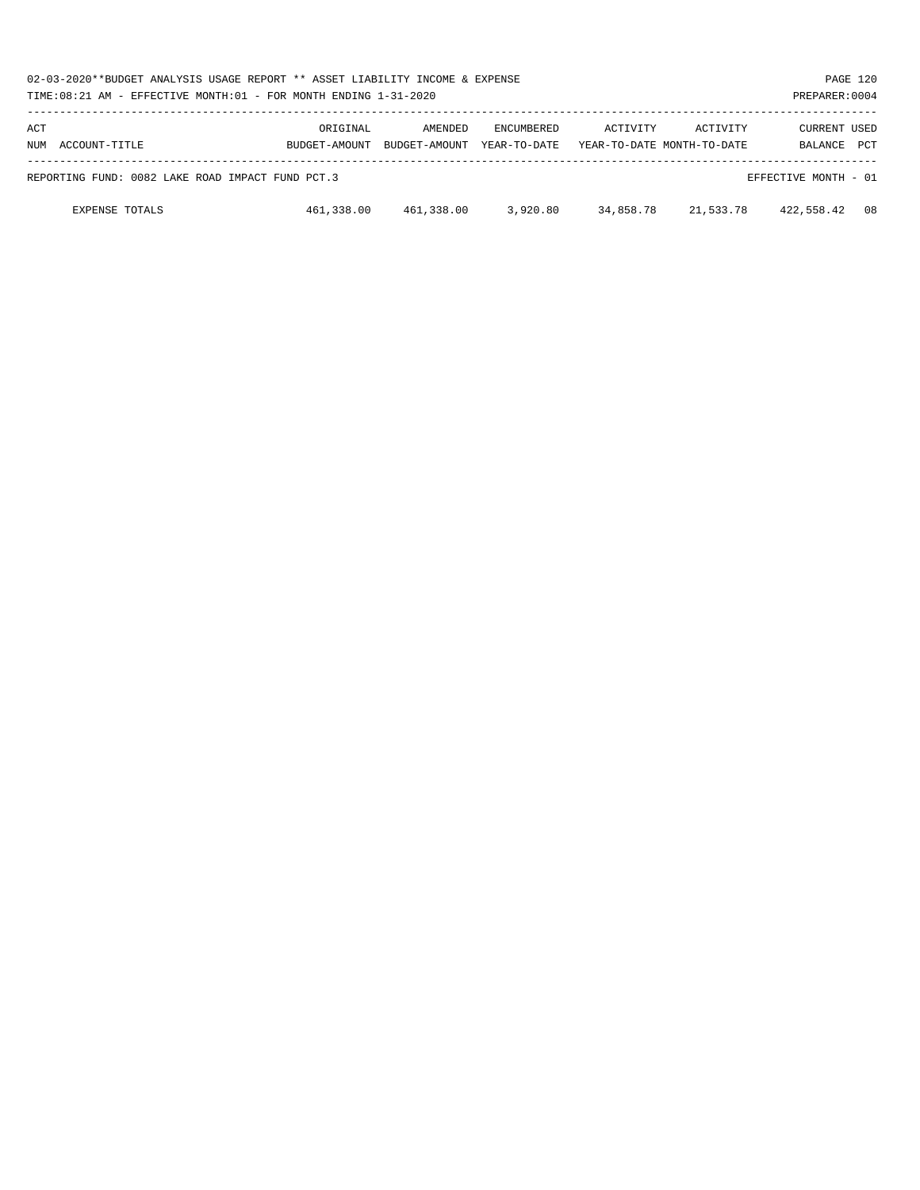|            | 02-03-2020**BUDGET ANALYSIS USAGE REPORT ** ASSET LIABILITY INCOME & EXPENSE<br>PAGE 120<br>PREPARER: 0004<br>TIME:08:21 AM - EFFECTIVE MONTH:01 - FOR MONTH ENDING 1-31-2020 |                           |                          |                                   |           |                                               |                         |            |  |
|------------|-------------------------------------------------------------------------------------------------------------------------------------------------------------------------------|---------------------------|--------------------------|-----------------------------------|-----------|-----------------------------------------------|-------------------------|------------|--|
| ACT<br>NUM | ACCOUNT-TITLE                                                                                                                                                                 | ORIGINAL<br>BUDGET-AMOUNT | AMENDED<br>BUDGET-AMOUNT | <b>ENCUMBERED</b><br>YEAR-TO-DATE | ACTIVITY  | <b>ACTIVITY</b><br>YEAR-TO-DATE MONTH-TO-DATE | CURRENT USED<br>BALANCE | <b>PCT</b> |  |
|            | REPORTING FUND: 0082 LAKE ROAD IMPACT FUND PCT.3                                                                                                                              |                           |                          |                                   |           |                                               | EFFECTIVE MONTH - 01    |            |  |
|            | <b>EXPENSE TOTALS</b>                                                                                                                                                         | 461,338.00                | 461,338.00               | 3,920.80                          | 34,858.78 | 21,533.78                                     | 422,558.42              | 08         |  |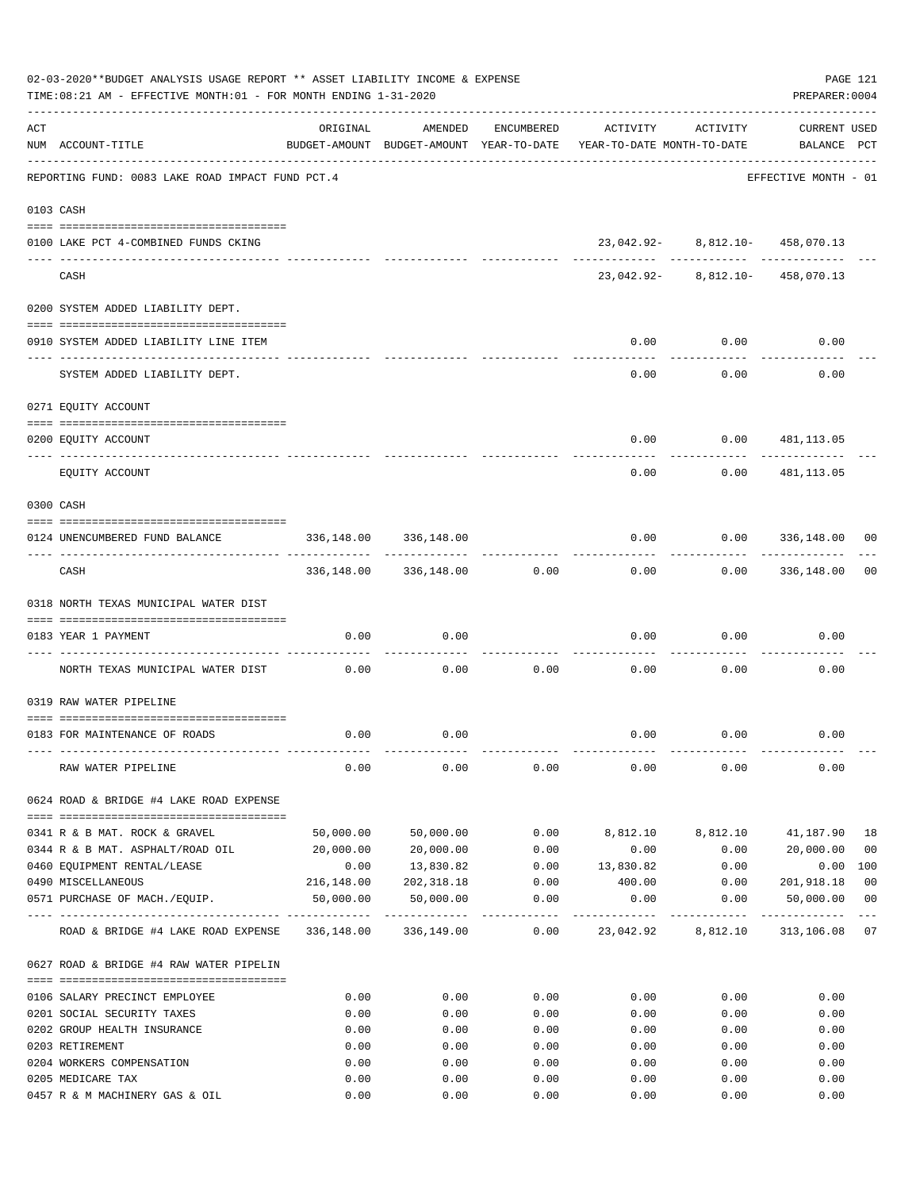| 02-03-2020**BUDGET ANALYSIS USAGE REPORT ** ASSET LIABILITY INCOME & EXPENSE<br>PAGE 121<br>TIME: 08:21 AM - EFFECTIVE MONTH: 01 - FOR MONTH ENDING 1-31-2020<br>PREPARER: 0004 |                                                               |            |                       |                     |                                                                                 |                                                                      |                                    |                |  |  |
|---------------------------------------------------------------------------------------------------------------------------------------------------------------------------------|---------------------------------------------------------------|------------|-----------------------|---------------------|---------------------------------------------------------------------------------|----------------------------------------------------------------------|------------------------------------|----------------|--|--|
| ACT                                                                                                                                                                             | NUM ACCOUNT-TITLE                                             | ORIGINAL   | AMENDED               | ENCUMBERED          | ACTIVITY<br>BUDGET-AMOUNT BUDGET-AMOUNT YEAR-TO-DATE YEAR-TO-DATE MONTH-TO-DATE | ACTIVITY                                                             | CURRENT USED<br>BALANCE PCT        |                |  |  |
|                                                                                                                                                                                 | REPORTING FUND: 0083 LAKE ROAD IMPACT FUND PCT.4              |            |                       |                     |                                                                                 |                                                                      | EFFECTIVE MONTH - 01               |                |  |  |
|                                                                                                                                                                                 | 0103 CASH                                                     |            |                       |                     |                                                                                 |                                                                      |                                    |                |  |  |
|                                                                                                                                                                                 | 0100 LAKE PCT 4-COMBINED FUNDS CKING                          |            |                       |                     |                                                                                 | 23,042.92- 8,812.10- 458,070.13                                      |                                    |                |  |  |
|                                                                                                                                                                                 | CASH                                                          |            |                       |                     |                                                                                 | --------- ------------ ----------<br>23,042.92- 8,812.10- 458,070.13 |                                    |                |  |  |
|                                                                                                                                                                                 | 0200 SYSTEM ADDED LIABILITY DEPT.                             |            |                       |                     |                                                                                 |                                                                      |                                    |                |  |  |
|                                                                                                                                                                                 | 0910 SYSTEM ADDED LIABILITY LINE ITEM                         |            |                       |                     | 0.00                                                                            | 0.00                                                                 | 0.00                               |                |  |  |
|                                                                                                                                                                                 | SYSTEM ADDED LIABILITY DEPT.                                  |            |                       |                     | 0.00                                                                            | 0.00                                                                 | 0.00                               |                |  |  |
|                                                                                                                                                                                 | 0271 EQUITY ACCOUNT                                           |            |                       |                     |                                                                                 |                                                                      |                                    |                |  |  |
|                                                                                                                                                                                 | 0200 EQUITY ACCOUNT                                           |            |                       |                     | 0.00                                                                            |                                                                      | $0.00$ 481, 113.05                 |                |  |  |
|                                                                                                                                                                                 | EOUITY ACCOUNT                                                |            |                       |                     | 0.00                                                                            | 0.00                                                                 | ------------<br>481,113.05         |                |  |  |
|                                                                                                                                                                                 | 0300 CASH                                                     |            |                       |                     |                                                                                 |                                                                      |                                    |                |  |  |
|                                                                                                                                                                                 | 0124 UNENCUMBERED FUND BALANCE                                | 336,148.00 | 336,148.00            |                     | 0.00                                                                            |                                                                      | $0.00$ 336,148.00                  | 00             |  |  |
|                                                                                                                                                                                 | CASH                                                          |            | 336,148.00 336,148.00 | 0.00                | 0.00                                                                            |                                                                      | -------------<br>$0.00$ 336,148.00 | 0 <sub>0</sub> |  |  |
|                                                                                                                                                                                 | 0318 NORTH TEXAS MUNICIPAL WATER DIST                         |            |                       |                     |                                                                                 |                                                                      |                                    |                |  |  |
|                                                                                                                                                                                 | 0183 YEAR 1 PAYMENT                                           | 0.00       | 0.00                  |                     | 0.00                                                                            |                                                                      | 0.00<br>0.00                       |                |  |  |
|                                                                                                                                                                                 |                                                               |            |                       |                     |                                                                                 |                                                                      |                                    |                |  |  |
|                                                                                                                                                                                 | NORTH TEXAS MUNICIPAL WATER DIST                              | 0.00       | 0.00                  | 0.00                | 0.00                                                                            | 0.00                                                                 | 0.00                               |                |  |  |
|                                                                                                                                                                                 | 0319 RAW WATER PIPELINE                                       |            |                       |                     |                                                                                 |                                                                      |                                    |                |  |  |
|                                                                                                                                                                                 | 0183 FOR MAINTENANCE OF ROADS                                 | 0.00       | 0.00                  |                     |                                                                                 | $0.00$ $0.00$                                                        | 0.00                               |                |  |  |
|                                                                                                                                                                                 | RAW WATER PIPELINE                                            | 0.00       | 0.00                  | 0.00                | 0.00                                                                            | 0.00                                                                 | 0.00                               |                |  |  |
|                                                                                                                                                                                 | 0624 ROAD & BRIDGE #4 LAKE ROAD EXPENSE                       |            |                       |                     |                                                                                 |                                                                      |                                    |                |  |  |
|                                                                                                                                                                                 | 0341 R & B MAT. ROCK & GRAVEL                                 | 50,000.00  | 50,000.00             | 0.00                | 8,812.10                                                                        | 8,812.10                                                             | 41,187.90                          | 18             |  |  |
|                                                                                                                                                                                 | 0344 R & B MAT. ASPHALT/ROAD OIL                              | 20,000.00  | 20,000.00             | 0.00                | 0.00                                                                            | 0.00                                                                 | 20,000.00                          | 0 <sub>0</sub> |  |  |
|                                                                                                                                                                                 | 0460 EQUIPMENT RENTAL/LEASE                                   | 0.00       | 13,830.82             |                     | $0.00$ $13,830.82$                                                              | 0.00                                                                 | 0.00                               | 100            |  |  |
|                                                                                                                                                                                 | 0490 MISCELLANEOUS                                            | 216,148.00 | 202,318.18            | 0.00                | 400.00                                                                          | 0.00                                                                 | 201,918.18                         | 0 <sub>0</sub> |  |  |
|                                                                                                                                                                                 | 0571 PURCHASE OF MACH./EQUIP.<br>---- ----------------------- | 50,000.00  | 50,000.00             | 0.00<br>----------- | 0.00<br>-----------                                                             | 0.00<br>-----------                                                  | 50,000.00<br>-------------         | 0 <sub>0</sub> |  |  |
|                                                                                                                                                                                 | ROAD & BRIDGE #4 LAKE ROAD EXPENSE 336,148.00 336,149.00      |            |                       | 0.00                |                                                                                 |                                                                      |                                    |                |  |  |
|                                                                                                                                                                                 | 0627 ROAD & BRIDGE #4 RAW WATER PIPELIN                       |            |                       |                     |                                                                                 |                                                                      |                                    |                |  |  |
|                                                                                                                                                                                 | 0106 SALARY PRECINCT EMPLOYEE                                 | 0.00       | 0.00                  | 0.00                | 0.00                                                                            | 0.00                                                                 | 0.00                               |                |  |  |
|                                                                                                                                                                                 | 0201 SOCIAL SECURITY TAXES                                    | 0.00       | 0.00                  | 0.00                | 0.00                                                                            | 0.00                                                                 | 0.00                               |                |  |  |
|                                                                                                                                                                                 | 0202 GROUP HEALTH INSURANCE                                   | 0.00       | 0.00                  | 0.00                | 0.00                                                                            | 0.00                                                                 | 0.00                               |                |  |  |
|                                                                                                                                                                                 | 0203 RETIREMENT                                               | 0.00       | 0.00                  | 0.00                | 0.00                                                                            | 0.00                                                                 | 0.00                               |                |  |  |
|                                                                                                                                                                                 | 0204 WORKERS COMPENSATION                                     | 0.00       | 0.00                  | 0.00                | 0.00                                                                            | 0.00                                                                 | 0.00                               |                |  |  |
|                                                                                                                                                                                 | 0205 MEDICARE TAX                                             | 0.00       | 0.00                  | 0.00                | 0.00                                                                            | 0.00                                                                 | 0.00                               |                |  |  |
|                                                                                                                                                                                 | 0457 R & M MACHINERY GAS & OIL                                | 0.00       | 0.00                  | 0.00                | 0.00                                                                            | 0.00                                                                 | 0.00                               |                |  |  |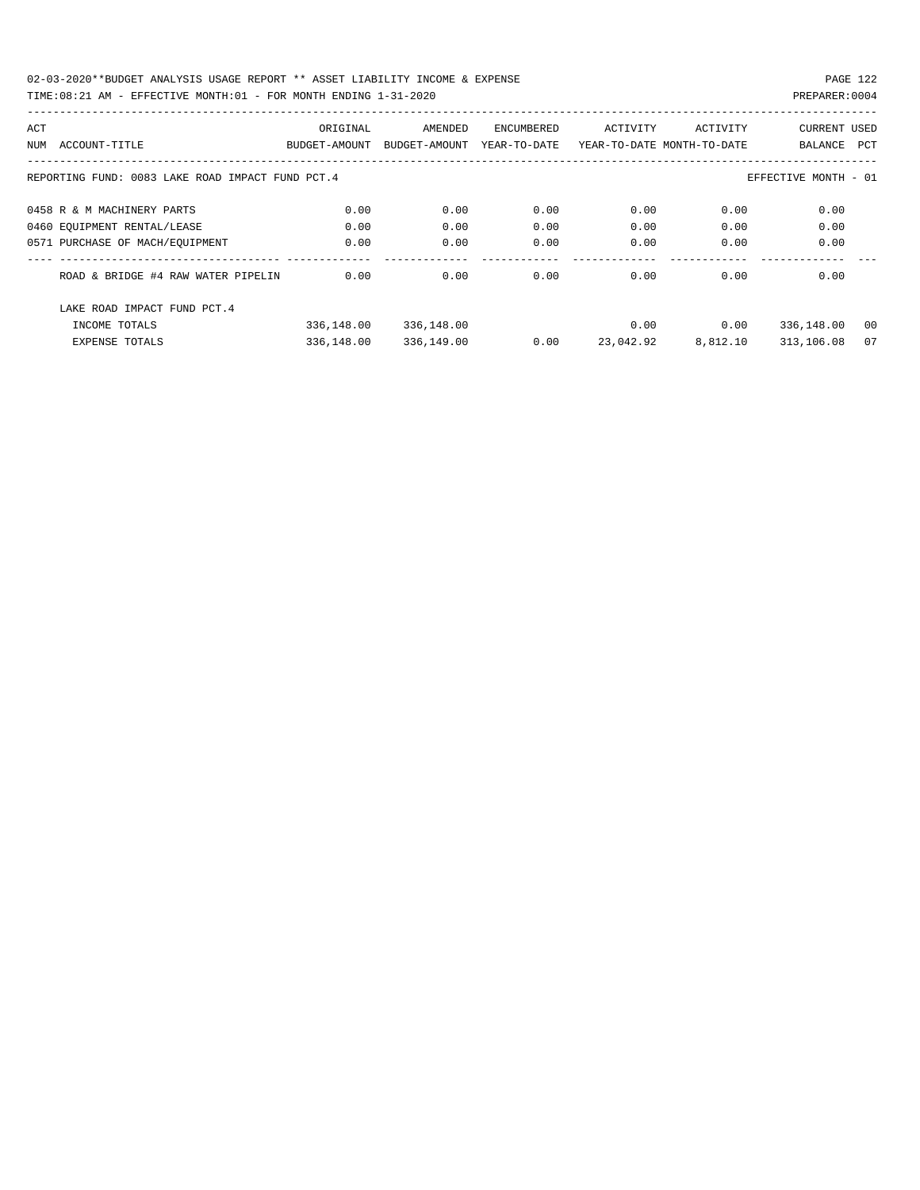| ACT |                                                                          | ORIGINAL      | AMENDED       | ENCUMBERED   | ACTIVITY                   | ACTIVITY | <b>CURRENT USED</b> |     |  |
|-----|--------------------------------------------------------------------------|---------------|---------------|--------------|----------------------------|----------|---------------------|-----|--|
| NUM | ACCOUNT-TITLE                                                            | BUDGET-AMOUNT | BUDGET-AMOUNT | YEAR-TO-DATE | YEAR-TO-DATE MONTH-TO-DATE |          | BALANCE             | PCT |  |
|     |                                                                          |               |               |              |                            |          |                     |     |  |
|     | REPORTING FUND: 0083 LAKE ROAD IMPACT FUND PCT.4<br>EFFECTIVE MONTH - 01 |               |               |              |                            |          |                     |     |  |
|     | 0458 R & M MACHINERY PARTS                                               | 0.00          | 0.00          | 0.00         | 0.00                       | 0.00     | 0.00                |     |  |
|     | 0460 EQUIPMENT RENTAL/LEASE                                              | 0.00          | 0.00          | 0.00         | 0.00                       | 0.00     | 0.00                |     |  |
|     | 0571 PURCHASE OF MACH/EOUIPMENT                                          | 0.00          | 0.00          | 0.00         | 0.00                       | 0.00     | 0.00                |     |  |
|     | ROAD & BRIDGE #4 RAW WATER PIPELIN                                       | 0.00          | 0.00          | 0.00         | 0.00                       | 0.00     | 0.00                |     |  |
|     | LAKE ROAD IMPACT FUND PCT. 4                                             |               |               |              |                            |          |                     |     |  |
|     | INCOME TOTALS                                                            | 336,148.00    | 336,148.00    |              | 0.00                       | 0.00     | 336,148.00          | 00  |  |
|     | <b>EXPENSE TOTALS</b>                                                    | 336,148.00    | 336,149.00    | 0.00         | 23,042.92                  | 8,812.10 | 313,106.08          | 07  |  |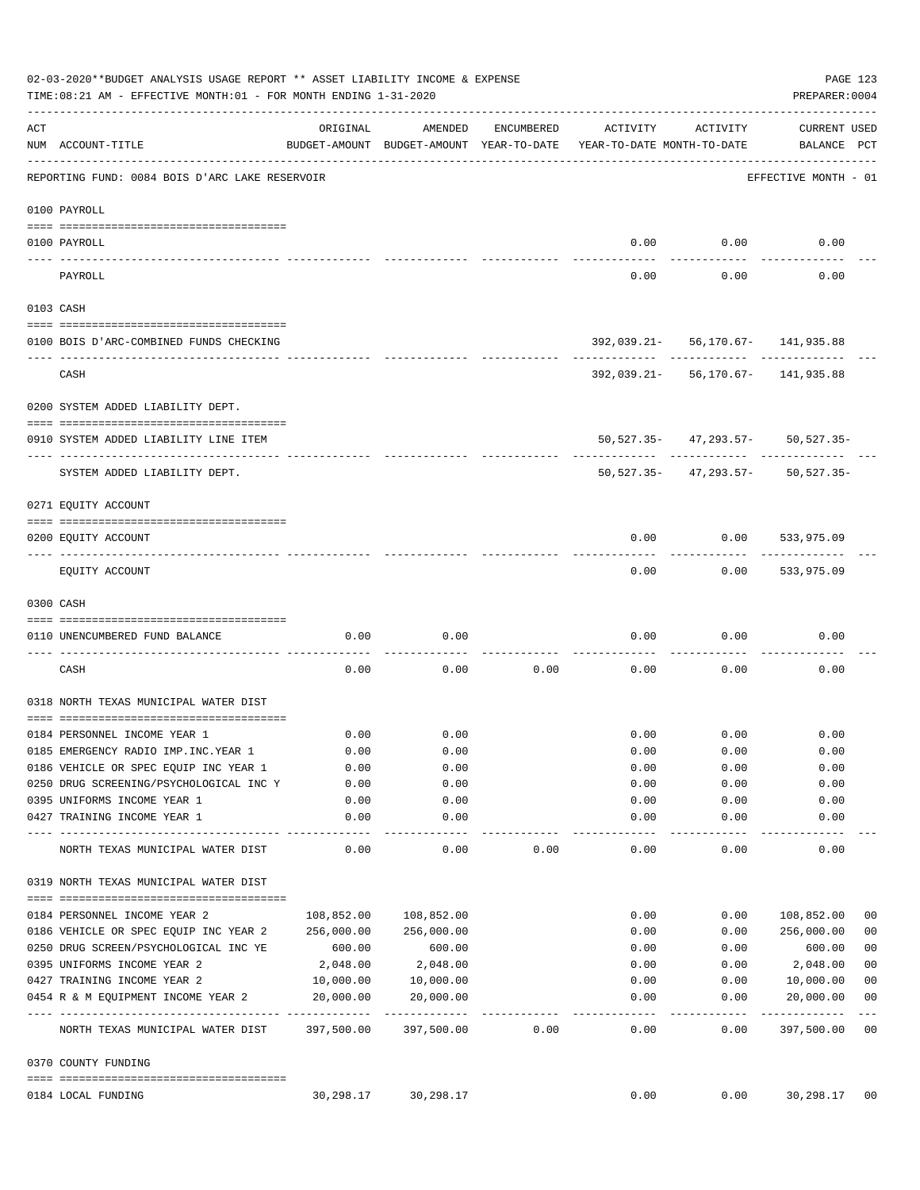|     | 02-03-2020**BUDGET ANALYSIS USAGE REPORT ** ASSET LIABILITY INCOME & EXPENSE<br>TIME: 08:21 AM - EFFECTIVE MONTH: 01 - FOR MONTH ENDING 1-31-2020 |            |                                                     |            |                                        |                                                              | PAGE 123<br>PREPARER: 0004          |                         |
|-----|---------------------------------------------------------------------------------------------------------------------------------------------------|------------|-----------------------------------------------------|------------|----------------------------------------|--------------------------------------------------------------|-------------------------------------|-------------------------|
| ACT | NUM ACCOUNT-TITLE                                                                                                                                 | ORIGINAL   | AMENDED<br>BUDGET-AMOUNT BUDGET-AMOUNT YEAR-TO-DATE | ENCUMBERED | ACTIVITY<br>YEAR-TO-DATE MONTH-TO-DATE | ACTIVITY                                                     | CURRENT USED<br>BALANCE PCT         |                         |
|     | REPORTING FUND: 0084 BOIS D'ARC LAKE RESERVOIR                                                                                                    |            |                                                     |            |                                        |                                                              | EFFECTIVE MONTH - 01                |                         |
|     | 0100 PAYROLL                                                                                                                                      |            |                                                     |            |                                        |                                                              |                                     |                         |
|     | 0100 PAYROLL                                                                                                                                      |            |                                                     |            | 0.00                                   | 0.00                                                         | 0.00                                |                         |
|     | PAYROLL                                                                                                                                           |            |                                                     |            | 0.00                                   | 0.00                                                         | 0.00                                |                         |
|     | 0103 CASH                                                                                                                                         |            |                                                     |            |                                        |                                                              |                                     |                         |
|     | 0100 BOIS D'ARC-COMBINED FUNDS CHECKING                                                                                                           |            |                                                     |            |                                        | 392,039.21- 56,170.67- 141,935.88                            |                                     |                         |
|     | CASH                                                                                                                                              |            |                                                     |            |                                        | ---------- ------------<br>392,039.21- 56,170.67- 141,935.88 |                                     |                         |
|     | 0200 SYSTEM ADDED LIABILITY DEPT.                                                                                                                 |            |                                                     |            |                                        |                                                              |                                     |                         |
|     | 0910 SYSTEM ADDED LIABILITY LINE ITEM                                                                                                             |            |                                                     |            |                                        | $50, 527.35 - 47, 293.57 - 50, 527.35 -$                     |                                     |                         |
|     | SYSTEM ADDED LIABILITY DEPT.                                                                                                                      |            |                                                     |            |                                        | $50,527.35 - 47,293.57 -$                                    | 50,527.35-                          |                         |
|     | 0271 EQUITY ACCOUNT                                                                                                                               |            |                                                     |            |                                        |                                                              |                                     |                         |
|     | 0200 EQUITY ACCOUNT                                                                                                                               |            |                                                     |            | 0.00                                   | 0.00                                                         | 533,975.09                          |                         |
|     | EQUITY ACCOUNT                                                                                                                                    |            |                                                     |            | 0.00                                   | 0.00                                                         | 533,975.09                          |                         |
|     | 0300 CASH                                                                                                                                         |            |                                                     |            |                                        |                                                              |                                     |                         |
|     | 0110 UNENCUMBERED FUND BALANCE                                                                                                                    | 0.00       | 0.00                                                |            | 0.00                                   | 0.00                                                         | 0.00                                |                         |
|     | CASH                                                                                                                                              | 0.00       | 0.00                                                | 0.00       | 0.00                                   | 0.00                                                         | 0.00                                |                         |
|     | 0318 NORTH TEXAS MUNICIPAL WATER DIST                                                                                                             |            |                                                     |            |                                        |                                                              |                                     |                         |
|     | 0184 PERSONNEL INCOME YEAR 1                                                                                                                      | 0.00       | 0.00                                                |            | 0.00                                   | 0.00                                                         | 0.00                                |                         |
|     | 0185 EMERGENCY RADIO IMP. INC. YEAR 1                                                                                                             | 0.00       | 0.00                                                |            | 0.00                                   | 0.00                                                         | 0.00                                |                         |
|     | 0186 VEHICLE OR SPEC EQUIP INC YEAR 1                                                                                                             | 0.00       | 0.00                                                |            | 0.00                                   | 0.00                                                         | 0.00                                |                         |
|     | 0.00 0250 DRUG SCREENING/PSYCHOLOGICAL INC Y                                                                                                      |            | 0.00                                                |            | 0.00                                   | 0.00                                                         | 0.00                                |                         |
|     | 0395 UNIFORMS INCOME YEAR 1                                                                                                                       | 0.00       | 0.00                                                |            | 0.00                                   | 0.00                                                         | 0.00                                |                         |
|     | 0427 TRAINING INCOME YEAR 1                                                                                                                       | 0.00       | 0.00                                                |            | 0.00                                   | 0.00                                                         | 0.00                                |                         |
|     | NORTH TEXAS MUNICIPAL WATER DIST                                                                                                                  | 0.00       | ----------<br>0.00                                  | 0.00       | ----------<br>0.00                     | . <u>.</u> .<br>0.00                                         | ----------<br>0.00                  |                         |
|     | 0319 NORTH TEXAS MUNICIPAL WATER DIST                                                                                                             |            |                                                     |            |                                        |                                                              |                                     |                         |
|     | 0184 PERSONNEL INCOME YEAR 2                                                                                                                      | 108,852.00 | 108,852.00                                          |            | 0.00                                   | 0.00                                                         | 108,852.00                          | 00                      |
|     | 0186 VEHICLE OR SPEC EQUIP INC YEAR 2                                                                                                             | 256,000.00 | 256,000.00                                          |            | 0.00                                   | 0.00                                                         | 256,000.00                          | 0 <sub>0</sub>          |
|     | 0250 DRUG SCREEN/PSYCHOLOGICAL INC YE                                                                                                             | 600.00     | 600.00                                              |            | 0.00                                   | 0.00                                                         | 600.00                              | 0 <sub>0</sub>          |
|     | 0395 UNIFORMS INCOME YEAR 2                                                                                                                       | 2,048.00   | 2,048.00                                            |            | 0.00                                   | 0.00                                                         | 2,048.00                            | 0 <sub>0</sub>          |
|     | 0427 TRAINING INCOME YEAR 2                                                                                                                       | 10,000.00  | 10,000.00                                           |            | 0.00                                   | 0.00                                                         | 10,000.00                           | 0 <sub>0</sub>          |
|     | 0454 R & M EQUIPMENT INCOME YEAR 2                                                                                                                | 20,000.00  | 20,000.00                                           |            | 0.00                                   | 0.00                                                         | 20,000.00                           | 0 <sub>0</sub>          |
|     | NORTH TEXAS MUNICIPAL WATER DIST 397,500.00                                                                                                       |            | 397,500.00                                          | 0.00       | ----------<br>0.00                     | --------<br>0.00                                             | . _ _ _ _ _ _ _ _ _ _<br>397,500.00 | $---$<br>0 <sub>0</sub> |
|     | 0370 COUNTY FUNDING                                                                                                                               |            |                                                     |            |                                        |                                                              |                                     |                         |
|     | 0184 LOCAL FUNDING                                                                                                                                | 30,298.17  | 30,298.17                                           |            | 0.00                                   | 0.00                                                         | 30,298.17                           | 00                      |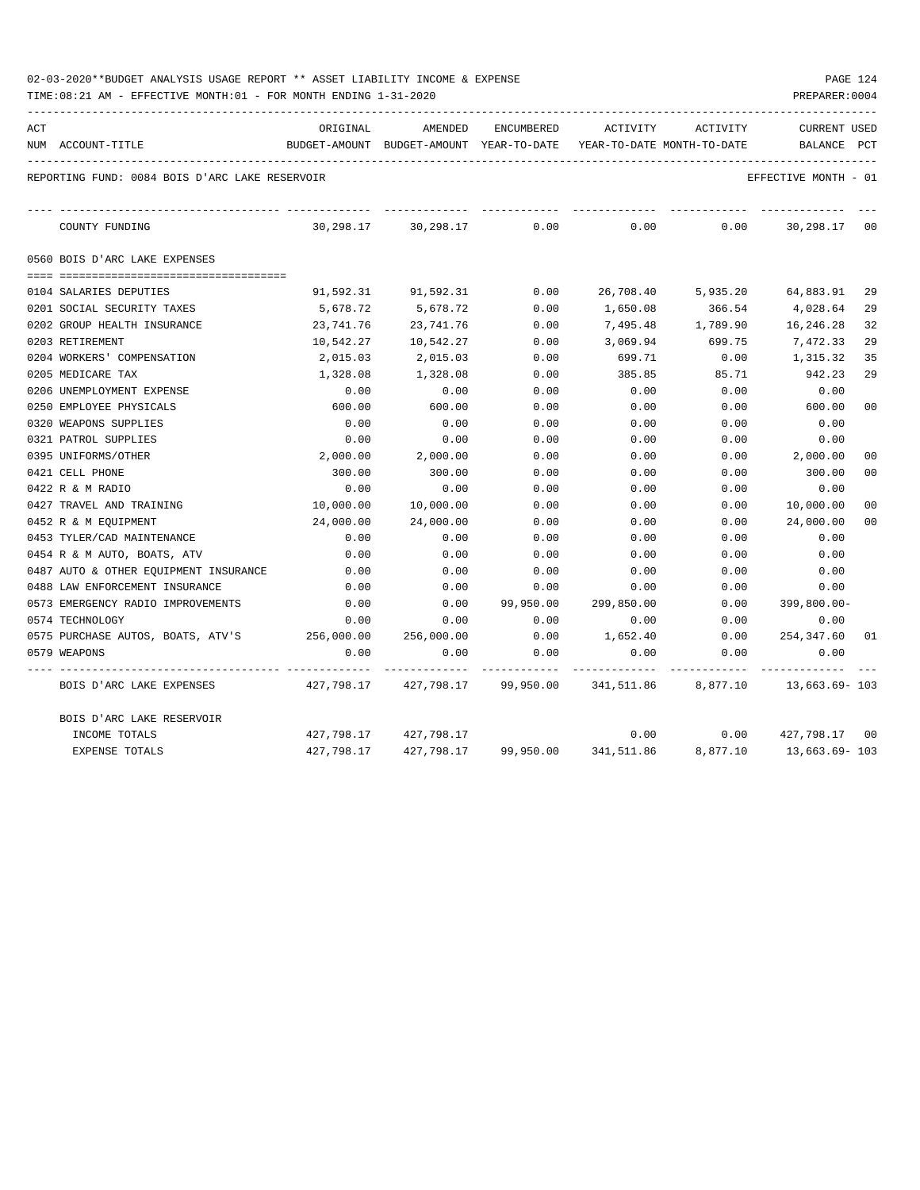| 02-03-2020**BUDGET ANALYSIS USAGE REPORT ** ASSET LIABILITY INCOME & EXPENSE |  |  |  | PAGE 124 |  |
|------------------------------------------------------------------------------|--|--|--|----------|--|
|                                                                              |  |  |  |          |  |

| ACT | NUM ACCOUNT-TITLE                              | ORIGINAL<br>BUDGET-AMOUNT BUDGET-AMOUNT YEAR-TO-DATE | AMENDED                                                                | ENCUMBERED | ACTIVITY<br>YEAR-TO-DATE MONTH-TO-DATE | ACTIVITY                     | <b>CURRENT USED</b><br>BALANCE | PCT            |
|-----|------------------------------------------------|------------------------------------------------------|------------------------------------------------------------------------|------------|----------------------------------------|------------------------------|--------------------------------|----------------|
|     | REPORTING FUND: 0084 BOIS D'ARC LAKE RESERVOIR |                                                      |                                                                        |            |                                        |                              | EFFECTIVE MONTH - 01           |                |
|     | COUNTY FUNDING                                 |                                                      | 30,298.17 30,298.17                                                    | 0.00       | 0.00                                   | 0.00                         | 30,298.17                      | 00             |
|     | 0560 BOIS D'ARC LAKE EXPENSES                  |                                                      |                                                                        |            |                                        |                              |                                |                |
|     | 0104 SALARIES DEPUTIES                         | 91,592.31                                            | 91,592.31                                                              | 0.00       |                                        | 26,708.40 5,935.20 64,883.91 |                                | 29             |
|     | 0201 SOCIAL SECURITY TAXES                     | 5,678.72                                             | 5,678.72                                                               | 0.00       | 1,650.08                               | 366.54                       | 4,028.64                       | 29             |
|     | 0202 GROUP HEALTH INSURANCE                    | 23,741.76                                            | 23,741.76                                                              | 0.00       | 7,495.48                               | 1,789.90                     | 16,246.28                      | 32             |
|     | 0203 RETIREMENT                                | 10,542.27                                            | 10,542.27                                                              | 0.00       | 3,069.94                               | 699.75                       | 7,472.33                       | 29             |
|     | 0204 WORKERS' COMPENSATION                     | 2,015.03                                             | 2,015.03                                                               | 0.00       | 699.71                                 | 0.00                         | 1,315.32                       | 35             |
|     | 0205 MEDICARE TAX                              | 1,328.08                                             | 1,328.08                                                               | 0.00       | 385.85                                 | 85.71                        | 942.23                         | 29             |
|     | 0206 UNEMPLOYMENT EXPENSE                      | 0.00                                                 | 0.00                                                                   | 0.00       | 0.00                                   | 0.00                         | 0.00                           |                |
|     | 0250 EMPLOYEE PHYSICALS                        | 600.00                                               | 600.00                                                                 | 0.00       | 0.00                                   | 0.00                         | 600.00                         | 0 <sub>0</sub> |
|     | 0320 WEAPONS SUPPLIES                          | 0.00                                                 | 0.00                                                                   | 0.00       | 0.00                                   | 0.00                         | 0.00                           |                |
|     | 0321 PATROL SUPPLIES                           | 0.00                                                 | 0.00                                                                   | 0.00       | 0.00                                   | 0.00                         | 0.00                           |                |
|     | 0395 UNIFORMS/OTHER                            | 2,000.00                                             | 2,000.00                                                               | 0.00       | 0.00                                   | 0.00                         | 2,000.00                       | 0 <sub>0</sub> |
|     | 0421 CELL PHONE                                | 300.00                                               | 300.00                                                                 | 0.00       | 0.00                                   | 0.00                         | 300.00                         | 00             |
|     | 0422 R & M RADIO                               | 0.00                                                 | 0.00                                                                   | 0.00       | 0.00                                   | 0.00                         | 0.00                           |                |
|     | 0427 TRAVEL AND TRAINING                       | 10,000.00                                            | 10,000.00                                                              | 0.00       | 0.00                                   | 0.00                         | 10,000.00                      | 00             |
|     | 0452 R & M EQUIPMENT                           | 24,000.00                                            | 24,000.00                                                              | 0.00       | 0.00                                   | 0.00                         | 24,000.00                      | 00             |
|     | 0453 TYLER/CAD MAINTENANCE                     | 0.00                                                 | 0.00                                                                   | 0.00       | 0.00                                   | 0.00                         | 0.00                           |                |
|     | 0454 R & M AUTO, BOATS, ATV                    | 0.00                                                 | 0.00                                                                   | 0.00       | 0.00                                   | 0.00                         | 0.00                           |                |
|     | 0487 AUTO & OTHER EQUIPMENT INSURANCE          | 0.00                                                 | 0.00                                                                   | 0.00       | 0.00                                   | 0.00                         | 0.00                           |                |
|     | 0488 LAW ENFORCEMENT INSURANCE                 | 0.00                                                 | 0.00                                                                   | 0.00       | 0.00                                   | 0.00                         | 0.00                           |                |
|     | 0573 EMERGENCY RADIO IMPROVEMENTS              | 0.00                                                 | 0.00                                                                   | 99,950.00  | 299,850.00                             | 0.00                         | $399,800.00 -$                 |                |
|     | 0574 TECHNOLOGY                                | 0.00                                                 | 0.00                                                                   | 0.00       | 0.00                                   | 0.00                         | 0.00                           |                |
|     | 0575 PURCHASE AUTOS, BOATS, ATV'S 256,000.00   |                                                      | 256,000.00                                                             | 0.00       | 1,652.40                               | 0.00                         | 254,347.60                     | -01            |
|     | 0579 WEAPONS                                   | 0.00                                                 | 0.00                                                                   | 0.00       | 0.00                                   | 0.00                         | 0.00                           |                |
|     | BOIS D'ARC LAKE EXPENSES                       |                                                      | 427,798.17  427,798.17  99,950.00  341,511.86  8,877.10  13,663.69-103 |            |                                        |                              |                                |                |
|     | BOIS D'ARC LAKE RESERVOIR                      |                                                      |                                                                        |            |                                        |                              |                                |                |
|     | INCOME TOTALS                                  |                                                      | 427,798.17 427,798.17                                                  |            | 0.00                                   | 0.00                         | 427,798.17 00                  |                |
|     | <b>EXPENSE TOTALS</b>                          |                                                      | 427,798.17  427,798.17  99,950.00  341,511.86  8,877.10                |            |                                        |                              | 13,663.69- 103                 |                |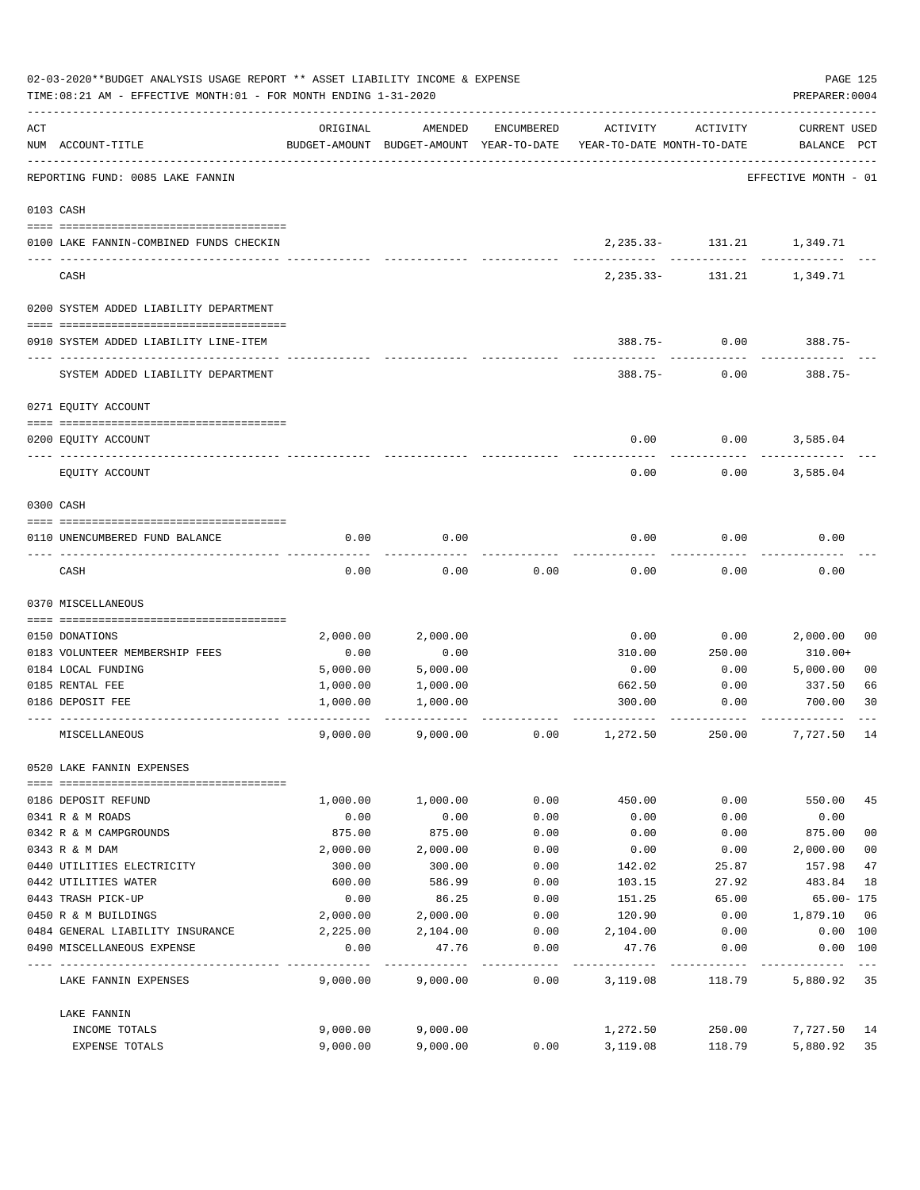| 02-03-2020**BUDGET ANALYSIS USAGE REPORT ** ASSET LIABILITY INCOME & EXPENSE<br>TIME: 08:21 AM - EFFECTIVE MONTH: 01 - FOR MONTH ENDING 1-31-2020 |                                         |          |          |            |                                                                                 |                                             |                                    |                |  |  |
|---------------------------------------------------------------------------------------------------------------------------------------------------|-----------------------------------------|----------|----------|------------|---------------------------------------------------------------------------------|---------------------------------------------|------------------------------------|----------------|--|--|
| ACT                                                                                                                                               | NUM ACCOUNT-TITLE                       | ORIGINAL | AMENDED  | ENCUMBERED | ACTIVITY<br>BUDGET-AMOUNT BUDGET-AMOUNT YEAR-TO-DATE YEAR-TO-DATE MONTH-TO-DATE | ACTIVITY                                    | <b>CURRENT USED</b><br>BALANCE PCT |                |  |  |
|                                                                                                                                                   | REPORTING FUND: 0085 LAKE FANNIN        |          |          |            |                                                                                 |                                             | EFFECTIVE MONTH - 01               |                |  |  |
|                                                                                                                                                   | 0103 CASH                               |          |          |            |                                                                                 |                                             |                                    |                |  |  |
|                                                                                                                                                   | 0100 LAKE FANNIN-COMBINED FUNDS CHECKIN |          |          |            |                                                                                 | 2, 235.33- 131.21 1, 349.71<br>------------ |                                    |                |  |  |
|                                                                                                                                                   | CASH                                    |          |          |            | $2, 235.33 -$                                                                   | 131.21                                      | 1,349.71                           |                |  |  |
|                                                                                                                                                   | 0200 SYSTEM ADDED LIABILITY DEPARTMENT  |          |          |            |                                                                                 |                                             |                                    |                |  |  |
|                                                                                                                                                   | 0910 SYSTEM ADDED LIABILITY LINE-ITEM   |          |          |            |                                                                                 | $388.75 - 0.00$                             | $388.75-$                          |                |  |  |
|                                                                                                                                                   | SYSTEM ADDED LIABILITY DEPARTMENT       |          |          |            |                                                                                 | $388.75 - 0.00$                             | $388.75-$                          |                |  |  |
|                                                                                                                                                   | 0271 EQUITY ACCOUNT                     |          |          |            |                                                                                 |                                             |                                    |                |  |  |
|                                                                                                                                                   | 0200 EQUITY ACCOUNT                     |          |          |            | 0.00                                                                            | 0.00                                        | 3,585.04                           |                |  |  |
|                                                                                                                                                   | EQUITY ACCOUNT                          |          |          |            | 0.00                                                                            | 0.00                                        | 3,585.04                           |                |  |  |
|                                                                                                                                                   | 0300 CASH                               |          |          |            |                                                                                 |                                             |                                    |                |  |  |
|                                                                                                                                                   | 0110 UNENCUMBERED FUND BALANCE          | 0.00     | 0.00     |            | 0.00                                                                            | 0.00                                        | 0.00                               |                |  |  |
|                                                                                                                                                   | CASH                                    | 0.00     | 0.00     | 0.00       | 0.00                                                                            | 0.00                                        | 0.00                               |                |  |  |
|                                                                                                                                                   | 0370 MISCELLANEOUS                      |          |          |            |                                                                                 |                                             |                                    |                |  |  |
|                                                                                                                                                   | 0150 DONATIONS                          | 2,000.00 | 2,000.00 |            | 0.00                                                                            | 0.00                                        | 2,000.00                           | 00             |  |  |
|                                                                                                                                                   | 0183 VOLUNTEER MEMBERSHIP FEES          | 0.00     | 0.00     |            | 310.00                                                                          | 250.00                                      | 310.00+                            |                |  |  |
|                                                                                                                                                   | 0184 LOCAL FUNDING                      | 5,000.00 | 5,000.00 |            | 0.00                                                                            | 0.00                                        | 5,000.00                           | 0 <sub>0</sub> |  |  |
|                                                                                                                                                   | 0185 RENTAL FEE                         | 1,000.00 | 1,000.00 |            | 662.50                                                                          | 0.00                                        | 337.50                             | 66             |  |  |
|                                                                                                                                                   | 0186 DEPOSIT FEE                        | 1,000.00 | 1,000.00 |            | 300.00                                                                          | 0.00                                        | 700.00                             | 30             |  |  |
|                                                                                                                                                   | MISCELLANEOUS                           | 9,000.00 | 9,000.00 | 0.00       | 1,272.50                                                                        | 250.00                                      | 7,727.50                           | 14             |  |  |
|                                                                                                                                                   | 0520 LAKE FANNIN EXPENSES               |          |          |            |                                                                                 |                                             |                                    |                |  |  |
|                                                                                                                                                   | 0186 DEPOSIT REFUND                     | 1,000.00 | 1,000.00 | 0.00       | 450.00                                                                          | 0.00                                        | 550.00                             | 45             |  |  |
|                                                                                                                                                   | 0341 R & M ROADS                        | 0.00     | 0.00     | 0.00       | 0.00                                                                            | 0.00                                        | 0.00                               |                |  |  |
|                                                                                                                                                   | 0342 R & M CAMPGROUNDS                  | 875.00   | 875.00   | 0.00       | 0.00                                                                            | 0.00                                        | 875.00                             | 0 <sub>0</sub> |  |  |
|                                                                                                                                                   | 0343 R & M DAM                          | 2,000.00 | 2,000.00 | 0.00       | 0.00                                                                            | 0.00                                        | 2,000.00                           | 0 <sub>0</sub> |  |  |
|                                                                                                                                                   | 0440 UTILITIES ELECTRICITY              | 300.00   | 300.00   | 0.00       | 142.02                                                                          | 25.87                                       | 157.98                             | 47             |  |  |
|                                                                                                                                                   | 0442 UTILITIES WATER                    | 600.00   | 586.99   | 0.00       | 103.15                                                                          | 27.92                                       | 483.84                             | 18             |  |  |
|                                                                                                                                                   | 0443 TRASH PICK-UP                      | 0.00     | 86.25    | 0.00       | 151.25                                                                          | 65.00                                       | $65.00 - 175$                      |                |  |  |
|                                                                                                                                                   | 0450 R & M BUILDINGS                    | 2,000.00 | 2,000.00 | 0.00       | 120.90                                                                          | 0.00                                        | 1,879.10                           | 06             |  |  |
|                                                                                                                                                   | 0484 GENERAL LIABILITY INSURANCE        | 2,225.00 | 2,104.00 | 0.00       | 2,104.00                                                                        | 0.00                                        | 0.00 100                           |                |  |  |
|                                                                                                                                                   | 0490 MISCELLANEOUS EXPENSE              | 0.00     | 47.76    | 0.00       | 47.76                                                                           | 0.00                                        | 0.00 100                           |                |  |  |
|                                                                                                                                                   | LAKE FANNIN EXPENSES                    | 9,000.00 | 9,000.00 | 0.00       | 3,119.08                                                                        | 118.79                                      | 5,880.92 35                        |                |  |  |
|                                                                                                                                                   | LAKE FANNIN                             |          |          |            |                                                                                 |                                             |                                    |                |  |  |
|                                                                                                                                                   | INCOME TOTALS                           | 9,000.00 | 9,000.00 |            | 1,272.50                                                                        | 250.00                                      | 7,727.50 14                        |                |  |  |
|                                                                                                                                                   | EXPENSE TOTALS                          | 9,000.00 | 9,000.00 | 0.00       | 3,119.08                                                                        | 118.79                                      | 5,880.92                           | 35             |  |  |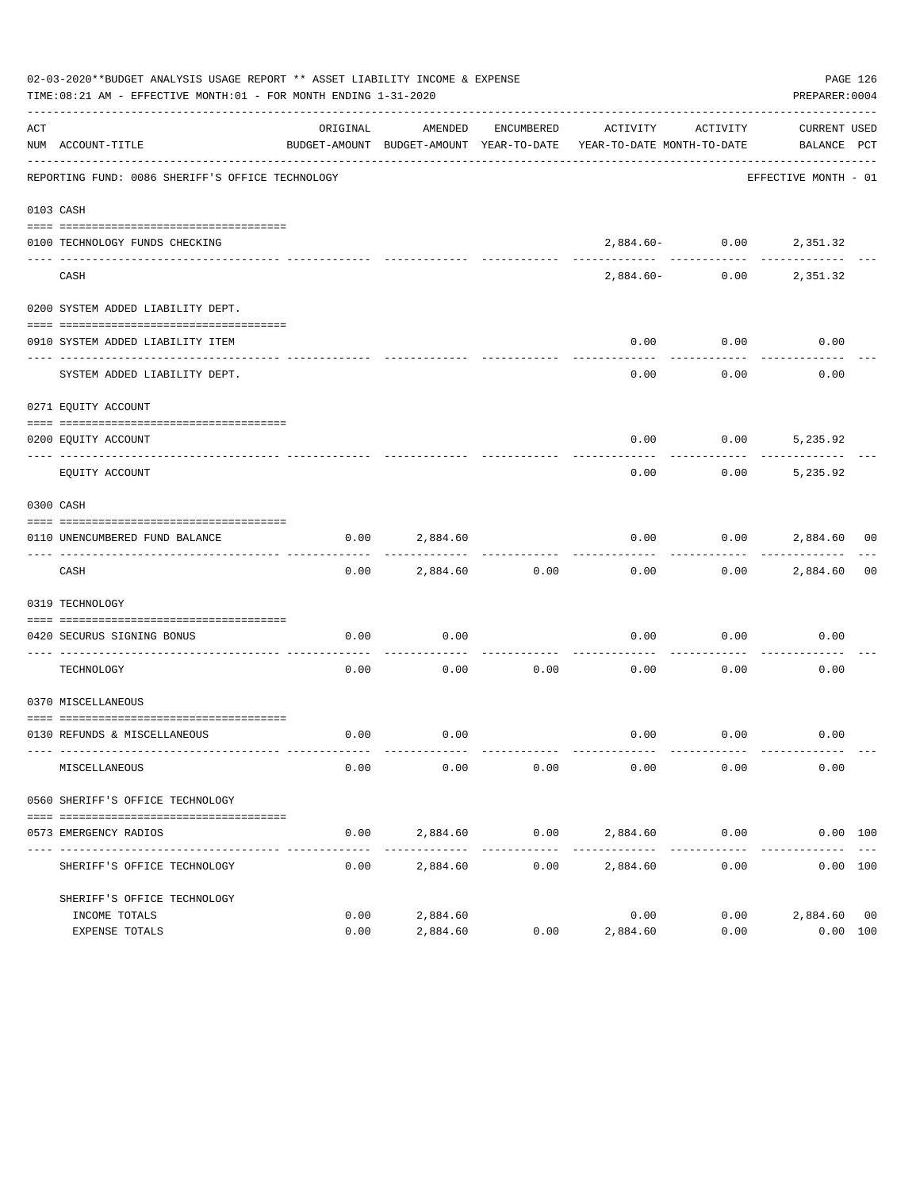|     | 02-03-2020**BUDGET ANALYSIS USAGE REPORT ** ASSET LIABILITY INCOME & EXPENSE<br>TIME:08:21 AM - EFFECTIVE MONTH:01 - FOR MONTH ENDING 1-31-2020 |          |               |            |                                                                                 |                                                                                                                              | PAGE 126<br>PREPARER: 0004  |    |
|-----|-------------------------------------------------------------------------------------------------------------------------------------------------|----------|---------------|------------|---------------------------------------------------------------------------------|------------------------------------------------------------------------------------------------------------------------------|-----------------------------|----|
| ACT | NUM ACCOUNT-TITLE                                                                                                                               | ORIGINAL | AMENDED       | ENCUMBERED | ACTIVITY<br>BUDGET-AMOUNT BUDGET-AMOUNT YEAR-TO-DATE YEAR-TO-DATE MONTH-TO-DATE | ACTIVITY                                                                                                                     | CURRENT USED<br>BALANCE PCT |    |
|     | REPORTING FUND: 0086 SHERIFF'S OFFICE TECHNOLOGY                                                                                                |          |               |            |                                                                                 |                                                                                                                              | EFFECTIVE MONTH - 01        |    |
|     | 0103 CASH                                                                                                                                       |          |               |            |                                                                                 |                                                                                                                              |                             |    |
|     | 0100 TECHNOLOGY FUNDS CHECKING                                                                                                                  |          | ------------- |            |                                                                                 | $2\, , \, 8 \, 8 \, 4 \, . \, 6 \, 0 \, - \qquad \qquad 0 \, . \, 0 \, 0 \qquad \qquad 2 \, , \, 3 \, 5 \, 1 \, . \, 3 \, 2$ |                             |    |
|     | CASH                                                                                                                                            |          |               |            | 2,884.60-                                                                       | 0.00                                                                                                                         | 2,351.32                    |    |
|     | 0200 SYSTEM ADDED LIABILITY DEPT.                                                                                                               |          |               |            |                                                                                 |                                                                                                                              |                             |    |
|     | 0910 SYSTEM ADDED LIABILITY ITEM                                                                                                                |          |               |            | 0.00                                                                            | 0.00                                                                                                                         | 0.00                        |    |
|     | SYSTEM ADDED LIABILITY DEPT.                                                                                                                    |          |               |            | 0.00                                                                            | 0.00                                                                                                                         | 0.00                        |    |
|     | 0271 EQUITY ACCOUNT                                                                                                                             |          |               |            |                                                                                 |                                                                                                                              |                             |    |
|     | 0200 EOUITY ACCOUNT                                                                                                                             |          |               |            | 0.00                                                                            | $0.00$ 5,235.92                                                                                                              |                             |    |
|     | EQUITY ACCOUNT                                                                                                                                  |          |               |            | 0.00                                                                            | 0.00                                                                                                                         | 5,235.92                    |    |
|     | 0300 CASH                                                                                                                                       |          |               |            |                                                                                 |                                                                                                                              |                             |    |
|     | 0110 UNENCUMBERED FUND BALANCE                                                                                                                  | 0.00     | 2,884.60      |            | 0.00                                                                            |                                                                                                                              | $0.00$ 2,884.60 00          |    |
|     | CASH                                                                                                                                            | 0.00     | 2,884.60      | 0.00       | 0.00                                                                            |                                                                                                                              | $0.00$ 2,884.60             | 00 |
|     | 0319 TECHNOLOGY                                                                                                                                 |          |               |            |                                                                                 |                                                                                                                              |                             |    |
|     | 0420 SECURUS SIGNING BONUS<br>_____________________________                                                                                     | 0.00     | 0.00          | .          | 0.00                                                                            | 0.00                                                                                                                         | 0.00                        |    |
|     | TECHNOLOGY                                                                                                                                      | 0.00     | 0.00          | 0.00       | 0.00                                                                            | 0.00                                                                                                                         | 0.00                        |    |
|     | 0370 MISCELLANEOUS                                                                                                                              |          |               |            |                                                                                 |                                                                                                                              |                             |    |
|     | 0130 REFUNDS & MISCELLANEOUS                                                                                                                    | 0.00     | 0.00          |            |                                                                                 | $0.00$ 0.00                                                                                                                  | 0.00                        |    |
|     | MISCELLANEOUS                                                                                                                                   | 0.00     | 0.00          | 0.00       | 0.00                                                                            | 0.00                                                                                                                         | 0.00                        |    |
|     | 0560 SHERIFF'S OFFICE TECHNOLOGY                                                                                                                |          |               |            |                                                                                 |                                                                                                                              |                             |    |
|     | 0573 EMERGENCY RADIOS                                                                                                                           | 0.00     | 2,884.60      |            | $0.00$ 2,884.60 0.00                                                            |                                                                                                                              | 0.00 100                    |    |
|     | SHERIFF'S OFFICE TECHNOLOGY                                                                                                                     | 0.00     | 2,884.60      | 0.00       | 2,884.60                                                                        | 0.00                                                                                                                         | 0.00 100                    |    |
|     | SHERIFF'S OFFICE TECHNOLOGY<br>INCOME TOTALS                                                                                                    | 0.00     | 2,884.60      |            | 0.00                                                                            | 0.00                                                                                                                         | 2,884.60 00                 |    |
|     | EXPENSE TOTALS                                                                                                                                  | 0.00     | 2,884.60      | 0.00       | 2,884.60                                                                        | 0.00                                                                                                                         | 0.00 100                    |    |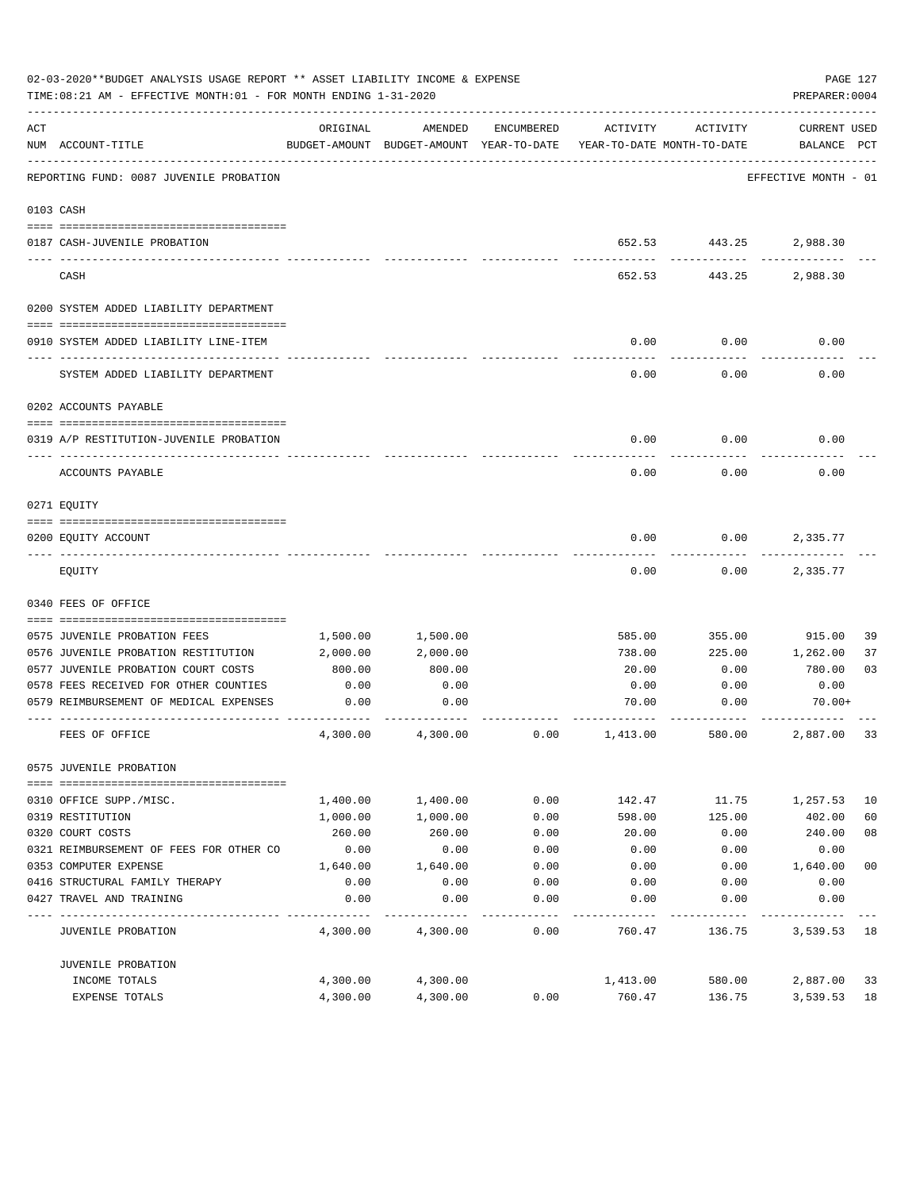|     | 02-03-2020**BUDGET ANALYSIS USAGE REPORT ** ASSET LIABILITY INCOME & EXPENSE<br>TIME: 08:21 AM - EFFECTIVE MONTH: 01 - FOR MONTH ENDING 1-31-2020 |          |                                                     |            |                                        |          | PAGE 127<br>PREPARER: 0004  |                |
|-----|---------------------------------------------------------------------------------------------------------------------------------------------------|----------|-----------------------------------------------------|------------|----------------------------------------|----------|-----------------------------|----------------|
| ACT | NUM ACCOUNT-TITLE                                                                                                                                 | ORIGINAL | AMENDED<br>BUDGET-AMOUNT BUDGET-AMOUNT YEAR-TO-DATE | ENCUMBERED | ACTIVITY<br>YEAR-TO-DATE MONTH-TO-DATE | ACTIVITY | CURRENT USED<br>BALANCE PCT |                |
|     | __________________________________<br>REPORTING FUND: 0087 JUVENILE PROBATION                                                                     |          |                                                     |            |                                        |          | EFFECTIVE MONTH - 01        |                |
|     | 0103 CASH                                                                                                                                         |          |                                                     |            |                                        |          |                             |                |
|     |                                                                                                                                                   |          |                                                     |            |                                        |          |                             |                |
|     | 0187 CASH-JUVENILE PROBATION                                                                                                                      |          |                                                     |            |                                        |          | 652.53 443.25 2,988.30      |                |
|     | CASH                                                                                                                                              |          |                                                     |            | 652.53                                 | 443.25   | 2,988.30                    |                |
|     | 0200 SYSTEM ADDED LIABILITY DEPARTMENT                                                                                                            |          |                                                     |            |                                        |          |                             |                |
|     |                                                                                                                                                   |          |                                                     |            |                                        |          |                             |                |
|     | 0910 SYSTEM ADDED LIABILITY LINE-ITEM                                                                                                             |          |                                                     |            | 0.00                                   | 0.00     | 0.00                        |                |
|     | SYSTEM ADDED LIABILITY DEPARTMENT                                                                                                                 |          |                                                     |            | 0.00                                   | 0.00     | 0.00                        |                |
|     | 0202 ACCOUNTS PAYABLE                                                                                                                             |          |                                                     |            |                                        |          |                             |                |
|     |                                                                                                                                                   |          |                                                     |            |                                        |          |                             |                |
|     | 0319 A/P RESTITUTION-JUVENILE PROBATION                                                                                                           |          |                                                     |            | 0.00                                   | 0.00     | 0.00                        |                |
|     | ACCOUNTS PAYABLE                                                                                                                                  |          |                                                     |            | 0.00                                   | 0.00     | 0.00                        |                |
|     | 0271 EQUITY                                                                                                                                       |          |                                                     |            |                                        |          |                             |                |
|     |                                                                                                                                                   |          |                                                     |            |                                        |          |                             |                |
|     | 0200 EQUITY ACCOUNT                                                                                                                               |          |                                                     |            | 0.00                                   | 0.00     | 2,335.77                    |                |
|     | EQUITY                                                                                                                                            |          |                                                     |            | 0.00                                   | 0.00     | 2,335.77                    |                |
|     | 0340 FEES OF OFFICE                                                                                                                               |          |                                                     |            |                                        |          |                             |                |
|     |                                                                                                                                                   |          |                                                     |            |                                        |          |                             |                |
|     | 0575 JUVENILE PROBATION FEES                                                                                                                      | 1,500.00 | 1,500.00                                            |            | 585.00                                 | 355.00   | 915.00                      | 39             |
|     | 0576 JUVENILE PROBATION RESTITUTION                                                                                                               | 2,000.00 | 2,000.00                                            |            | 738.00                                 | 225.00   | 1,262.00                    | 37             |
|     | 0577 JUVENILE PROBATION COURT COSTS                                                                                                               | 800.00   | 800.00                                              |            | 20.00                                  | 0.00     | 780.00                      | 03             |
|     | 0578 FEES RECEIVED FOR OTHER COUNTIES                                                                                                             | 0.00     | 0.00                                                |            | 0.00                                   | 0.00     | 0.00                        |                |
|     | 0579 REIMBURSEMENT OF MEDICAL EXPENSES                                                                                                            | 0.00     | 0.00                                                |            | 70.00                                  | 0.00     | 70.00+                      |                |
|     | FEES OF OFFICE                                                                                                                                    | 4,300.00 | 4,300.00                                            | 0.00       | 1,413.00                               | 580.00   | 2,887.00                    | 33             |
|     | 0575 JUVENILE PROBATION                                                                                                                           |          |                                                     |            |                                        |          |                             |                |
|     | 0310 OFFICE SUPP./MISC.                                                                                                                           | 1,400.00 | 1,400.00                                            | 0.00       | 142.47                                 | 11.75    | 1,257.53                    | 10             |
|     | 0319 RESTITUTION                                                                                                                                  | 1,000.00 | 1,000.00                                            | 0.00       | 598.00                                 | 125.00   | 402.00                      | 60             |
|     | 0320 COURT COSTS                                                                                                                                  | 260.00   | 260.00                                              | 0.00       | 20.00                                  | 0.00     | 240.00                      | 08             |
|     | 0321 REIMBURSEMENT OF FEES FOR OTHER CO                                                                                                           | 0.00     | 0.00                                                | 0.00       | 0.00                                   | 0.00     | 0.00                        |                |
|     | 0353 COMPUTER EXPENSE                                                                                                                             | 1,640.00 | 1,640.00                                            | 0.00       | 0.00                                   | 0.00     | 1,640.00                    | 0 <sub>0</sub> |
|     | 0416 STRUCTURAL FAMILY THERAPY                                                                                                                    | 0.00     | 0.00                                                | 0.00       | 0.00                                   | 0.00     | 0.00                        |                |
|     | 0427 TRAVEL AND TRAINING                                                                                                                          | 0.00     | 0.00                                                | 0.00       | 0.00                                   | 0.00     | 0.00                        |                |
|     | JUVENILE PROBATION                                                                                                                                | 4,300.00 | 4,300.00                                            | 0.00       | 760.47                                 | 136.75   | 3,539.53                    | 18             |
|     | JUVENILE PROBATION                                                                                                                                |          |                                                     |            |                                        |          |                             |                |
|     | INCOME TOTALS                                                                                                                                     | 4,300.00 | 4,300.00                                            |            | 1,413.00                               | 580.00   | 2,887.00                    | 33             |
|     | EXPENSE TOTALS                                                                                                                                    | 4,300.00 | 4,300.00                                            | 0.00       | 760.47                                 | 136.75   | 3,539.53                    | 18             |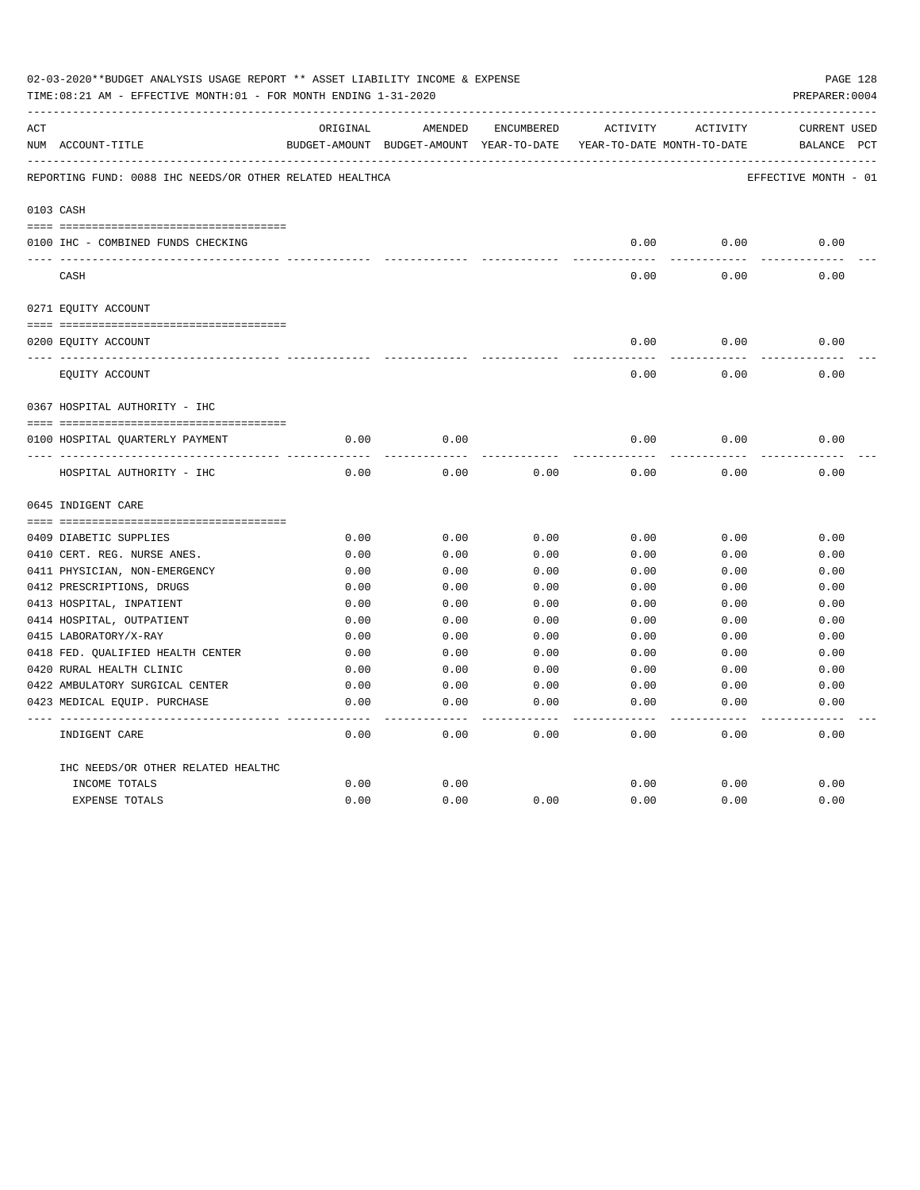|     | 02-03-2020**BUDGET ANALYSIS USAGE REPORT ** ASSET LIABILITY INCOME & EXPENSE<br>TIME:08:21 AM - EFFECTIVE MONTH:01 - FOR MONTH ENDING 1-31-2020 |          |                                                                                |            |          |          | PAGE 128<br>PREPARER: 0004         |
|-----|-------------------------------------------------------------------------------------------------------------------------------------------------|----------|--------------------------------------------------------------------------------|------------|----------|----------|------------------------------------|
| ACT | NUM ACCOUNT-TITLE                                                                                                                               | ORIGINAL | AMENDED<br>BUDGET-AMOUNT BUDGET-AMOUNT YEAR-TO-DATE YEAR-TO-DATE MONTH-TO-DATE | ENCUMBERED | ACTIVITY | ACTIVITY | <b>CURRENT USED</b><br>BALANCE PCT |
|     | REPORTING FUND: 0088 IHC NEEDS/OR OTHER RELATED HEALTHCA                                                                                        |          |                                                                                |            |          |          | EFFECTIVE MONTH - 01               |
|     | 0103 CASH                                                                                                                                       |          |                                                                                |            |          |          |                                    |
|     | 0100 IHC - COMBINED FUNDS CHECKING                                                                                                              |          |                                                                                |            | 0.00     | 0.00     | 0.00                               |
|     | CASH                                                                                                                                            |          |                                                                                |            | 0.00     | 0.00     | 0.00                               |
|     | 0271 EQUITY ACCOUNT                                                                                                                             |          |                                                                                |            |          |          |                                    |
|     |                                                                                                                                                 |          |                                                                                |            |          |          |                                    |
|     | 0200 EQUITY ACCOUNT                                                                                                                             |          |                                                                                |            | 0.00     | 0.00     | 0.00                               |
|     | _____ ____________________________<br>EQUITY ACCOUNT                                                                                            |          |                                                                                |            | 0.00     | 0.00     | 0.00                               |
|     | 0367 HOSPITAL AUTHORITY - IHC                                                                                                                   |          |                                                                                |            |          |          |                                    |
|     |                                                                                                                                                 |          |                                                                                |            |          |          |                                    |
|     | 0100 HOSPITAL QUARTERLY PAYMENT                                                                                                                 | 0.00     | 0.00                                                                           |            | 0.00     | 0.00     | 0.00                               |
|     |                                                                                                                                                 |          |                                                                                |            |          |          |                                    |
|     | HOSPITAL AUTHORITY - IHC                                                                                                                        | 0.00     | 0.00                                                                           | 0.00       | 0.00     | 0.00     | 0.00                               |
|     | 0645 INDIGENT CARE                                                                                                                              |          |                                                                                |            |          |          |                                    |
|     |                                                                                                                                                 |          |                                                                                |            |          |          |                                    |
|     | 0409 DIABETIC SUPPLIES                                                                                                                          | 0.00     | 0.00                                                                           | 0.00       | 0.00     | 0.00     | 0.00                               |
|     | 0410 CERT. REG. NURSE ANES.                                                                                                                     | 0.00     | 0.00                                                                           | 0.00       | 0.00     | 0.00     | 0.00                               |
|     | 0411 PHYSICIAN, NON-EMERGENCY                                                                                                                   | 0.00     | 0.00                                                                           | 0.00       | 0.00     | 0.00     | 0.00                               |
|     | 0412 PRESCRIPTIONS, DRUGS                                                                                                                       | 0.00     | 0.00                                                                           | 0.00       | 0.00     | 0.00     | 0.00                               |
|     | 0413 HOSPITAL, INPATIENT                                                                                                                        | 0.00     | 0.00                                                                           | 0.00       | 0.00     | 0.00     | 0.00                               |
|     | 0414 HOSPITAL, OUTPATIENT                                                                                                                       | 0.00     | 0.00                                                                           | 0.00       | 0.00     | 0.00     | 0.00                               |
|     | 0415 LABORATORY/X-RAY                                                                                                                           | 0.00     | 0.00                                                                           | 0.00       | 0.00     | 0.00     | 0.00                               |
|     | 0418 FED. QUALIFIED HEALTH CENTER                                                                                                               | 0.00     | 0.00                                                                           | 0.00       | 0.00     | 0.00     | 0.00                               |
|     | 0420 RURAL HEALTH CLINIC                                                                                                                        | 0.00     | 0.00                                                                           | 0.00       | 0.00     | 0.00     | 0.00                               |
|     | 0422 AMBULATORY SURGICAL CENTER                                                                                                                 | 0.00     | 0.00                                                                           | 0.00       | 0.00     | 0.00     | 0.00                               |
|     | 0423 MEDICAL EQUIP. PURCHASE                                                                                                                    | 0.00     | 0.00                                                                           | 0.00       | 0.00     | 0.00     | 0.00                               |
|     | INDIGENT CARE                                                                                                                                   | 0.00     | 0.00                                                                           | 0.00       | 0.00     | 0.00     | 0.00                               |
|     | IHC NEEDS/OR OTHER RELATED HEALTHC                                                                                                              |          |                                                                                |            |          |          |                                    |
|     | INCOME TOTALS                                                                                                                                   | 0.00     | 0.00                                                                           |            | 0.00     | 0.00     | 0.00                               |
|     | <b>EXPENSE TOTALS</b>                                                                                                                           | 0.00     | 0.00                                                                           | 0.00       | 0.00     | 0.00     | 0.00                               |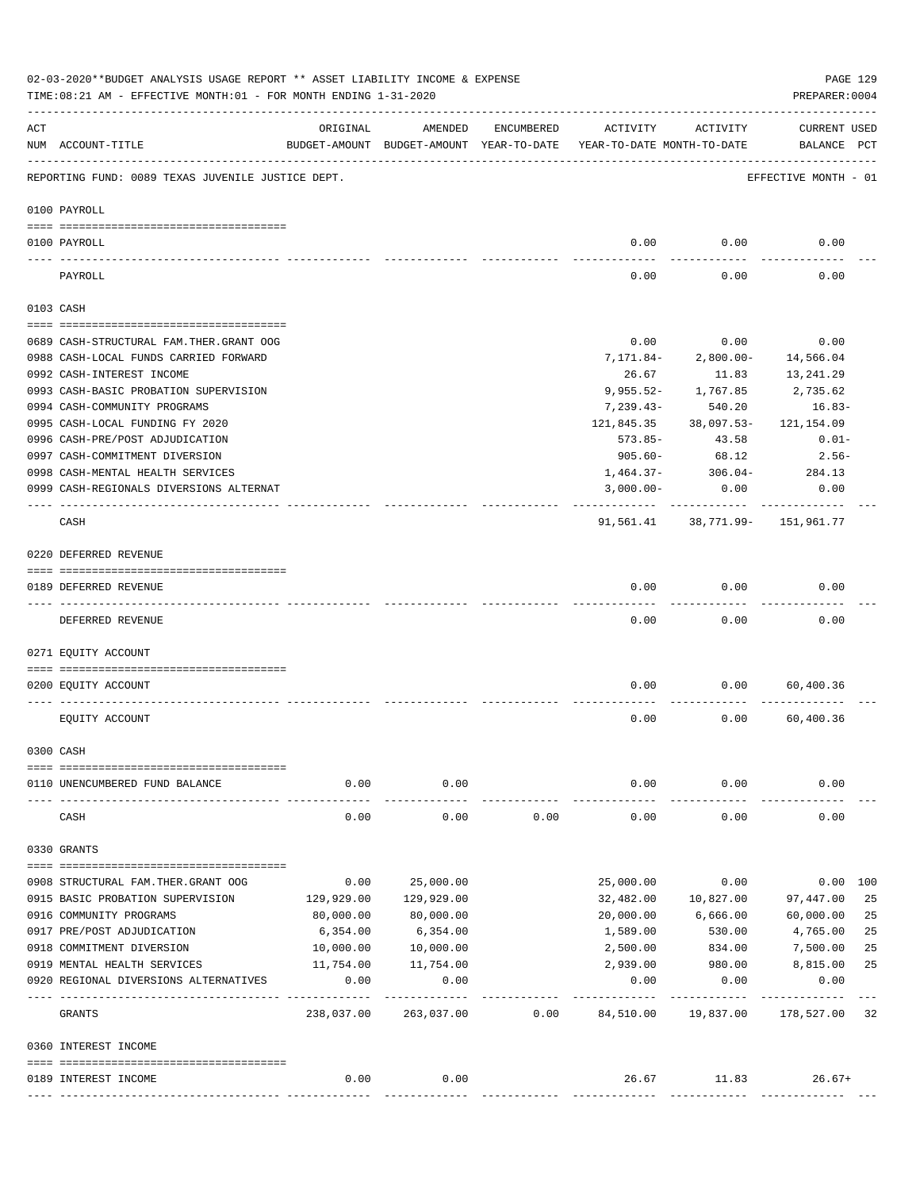|     | PAGE 129<br>02-03-2020**BUDGET ANALYSIS USAGE REPORT ** ASSET LIABILITY INCOME & EXPENSE<br>TIME: 08:21 AM - EFFECTIVE MONTH: 01 - FOR MONTH ENDING 1-31-2020<br>PREPARER: 0004 |                    |                                                     |            |                                        |                     |                                 |          |  |  |  |  |
|-----|---------------------------------------------------------------------------------------------------------------------------------------------------------------------------------|--------------------|-----------------------------------------------------|------------|----------------------------------------|---------------------|---------------------------------|----------|--|--|--|--|
| ACT | NUM ACCOUNT-TITLE                                                                                                                                                               | ORIGINAL           | AMENDED<br>BUDGET-AMOUNT BUDGET-AMOUNT YEAR-TO-DATE | ENCUMBERED | ACTIVITY<br>YEAR-TO-DATE MONTH-TO-DATE | ACTIVITY            | CURRENT USED<br>BALANCE PCT     |          |  |  |  |  |
|     | REPORTING FUND: 0089 TEXAS JUVENILE JUSTICE DEPT.                                                                                                                               |                    |                                                     |            |                                        |                     | EFFECTIVE MONTH - 01            |          |  |  |  |  |
|     | 0100 PAYROLL                                                                                                                                                                    |                    |                                                     |            |                                        |                     |                                 |          |  |  |  |  |
|     |                                                                                                                                                                                 |                    |                                                     |            |                                        |                     |                                 |          |  |  |  |  |
|     | 0100 PAYROLL                                                                                                                                                                    |                    |                                                     |            |                                        | $0.00$ 0.00         | 0.00                            |          |  |  |  |  |
|     | PAYROLL                                                                                                                                                                         |                    |                                                     |            | 0.00                                   | 0.00                | 0.00                            |          |  |  |  |  |
|     | 0103 CASH                                                                                                                                                                       |                    |                                                     |            |                                        |                     |                                 |          |  |  |  |  |
|     | 0689 CASH-STRUCTURAL FAM. THER. GRANT OOG                                                                                                                                       |                    |                                                     |            | 0.00                                   | 0.00                | 0.00                            |          |  |  |  |  |
|     | 0988 CASH-LOCAL FUNDS CARRIED FORWARD                                                                                                                                           |                    |                                                     |            | 7,171.84-                              | 2,800.00-           | 14,566.04                       |          |  |  |  |  |
|     | 0992 CASH-INTEREST INCOME                                                                                                                                                       |                    |                                                     |            | 26.67                                  | 11.83               | 13,241.29                       |          |  |  |  |  |
|     | 0993 CASH-BASIC PROBATION SUPERVISION                                                                                                                                           |                    |                                                     |            |                                        | 9,955.52- 1,767.85  | 2,735.62                        |          |  |  |  |  |
|     | 0994 CASH-COMMUNITY PROGRAMS                                                                                                                                                    |                    |                                                     |            | $7,239.43-$                            | 540.20              | 16.83-                          |          |  |  |  |  |
|     | 0995 CASH-LOCAL FUNDING FY 2020                                                                                                                                                 |                    |                                                     |            | 121,845.35                             | 38,097.53-          |                                 |          |  |  |  |  |
|     |                                                                                                                                                                                 |                    |                                                     |            |                                        |                     | 121,154.09                      |          |  |  |  |  |
|     | 0996 CASH-PRE/POST ADJUDICATION                                                                                                                                                 |                    |                                                     |            | 573.85-                                | 43.58               | $0.01 -$                        |          |  |  |  |  |
|     | 0997 CASH-COMMITMENT DIVERSION                                                                                                                                                  |                    |                                                     |            | 905.60-                                | 68.12               | 2.56-                           |          |  |  |  |  |
|     | 0998 CASH-MENTAL HEALTH SERVICES                                                                                                                                                |                    |                                                     |            |                                        |                     | $1,464.37 - 306.04 - 284.13$    |          |  |  |  |  |
|     | 0999 CASH-REGIONALS DIVERSIONS ALTERNAT                                                                                                                                         |                    |                                                     |            | $3,000.00-$<br>---------               | 0.00<br>----------- | 0.00                            |          |  |  |  |  |
|     | CASH                                                                                                                                                                            |                    |                                                     |            |                                        |                     | 91,561.41 38,771.99- 151,961.77 |          |  |  |  |  |
|     | 0220 DEFERRED REVENUE                                                                                                                                                           |                    |                                                     |            |                                        |                     |                                 |          |  |  |  |  |
|     |                                                                                                                                                                                 |                    |                                                     |            |                                        |                     |                                 |          |  |  |  |  |
|     | 0189 DEFERRED REVENUE                                                                                                                                                           |                    |                                                     |            | 0.00                                   | 0.00                | 0.00                            |          |  |  |  |  |
|     | DEFERRED REVENUE                                                                                                                                                                |                    |                                                     |            | 0.00                                   | 0.00                | 0.00                            |          |  |  |  |  |
|     | 0271 EQUITY ACCOUNT                                                                                                                                                             |                    |                                                     |            |                                        |                     |                                 |          |  |  |  |  |
|     | 0200 EQUITY ACCOUNT                                                                                                                                                             |                    |                                                     |            | 0.00                                   | 0.00                | 60,400.36                       |          |  |  |  |  |
|     | EQUITY ACCOUNT                                                                                                                                                                  |                    |                                                     |            | 0.00                                   | 0.00                | 60,400.36                       |          |  |  |  |  |
|     | 0300 CASH                                                                                                                                                                       |                    |                                                     |            |                                        |                     |                                 |          |  |  |  |  |
|     |                                                                                                                                                                                 |                    |                                                     |            |                                        |                     |                                 |          |  |  |  |  |
|     | 0110 UNENCUMBERED FUND BALANCE                                                                                                                                                  | 0.00               | 0.00                                                |            | 0.00                                   | 0.00                | 0.00                            |          |  |  |  |  |
|     | CASH                                                                                                                                                                            | 0.00               | 0.00                                                | 0.00       | 0.00                                   | 0.00                | 0.00                            |          |  |  |  |  |
|     | 0330 GRANTS                                                                                                                                                                     |                    |                                                     |            |                                        |                     |                                 |          |  |  |  |  |
|     |                                                                                                                                                                                 |                    |                                                     |            |                                        |                     |                                 |          |  |  |  |  |
|     | 0908 STRUCTURAL FAM. THER. GRANT OOG                                                                                                                                            | 0.00               | 25,000.00                                           |            | 25,000.00                              | 0.00                |                                 | 0.00 100 |  |  |  |  |
|     | 0915 BASIC PROBATION SUPERVISION                                                                                                                                                | 129,929.00         | 129,929.00                                          |            | 32,482.00                              | 10,827.00           | 97,447.00                       | 25       |  |  |  |  |
|     | 0916 COMMUNITY PROGRAMS                                                                                                                                                         | 80,000.00          | 80,000.00                                           |            | 20,000.00                              | 6,666.00            | 60,000.00                       | 25       |  |  |  |  |
|     | 0917 PRE/POST ADJUDICATION                                                                                                                                                      | 6,354.00           | 6,354.00                                            |            | 1,589.00                               | 530.00              | 4,765.00                        | 25       |  |  |  |  |
|     | 0918 COMMITMENT DIVERSION                                                                                                                                                       | 10,000.00          | 10,000.00                                           |            | 2,500.00                               | 834.00              | 7,500.00                        | 25       |  |  |  |  |
|     | 0919 MENTAL HEALTH SERVICES                                                                                                                                                     | 11,754.00          | 11,754.00                                           |            | 2,939.00                               | 980.00              | 8,815.00                        | 25       |  |  |  |  |
|     | 0920 REGIONAL DIVERSIONS ALTERNATIVES                                                                                                                                           | 0.00<br>---------- | 0.00<br>----------                                  |            | 0.00                                   | 0.00                | 0.00                            |          |  |  |  |  |
|     | GRANTS                                                                                                                                                                          | 238,037.00         | 263,037.00                                          | 0.00       | 84,510.00                              | 19,837.00           | 178,527.00                      | 32       |  |  |  |  |
|     | 0360 INTEREST INCOME                                                                                                                                                            |                    |                                                     |            |                                        |                     |                                 |          |  |  |  |  |
|     | 0189 INTEREST INCOME                                                                                                                                                            | 0.00               | 0.00                                                |            |                                        | 26.67 11.83         | $26.67+$                        |          |  |  |  |  |
|     |                                                                                                                                                                                 |                    |                                                     |            |                                        |                     |                                 |          |  |  |  |  |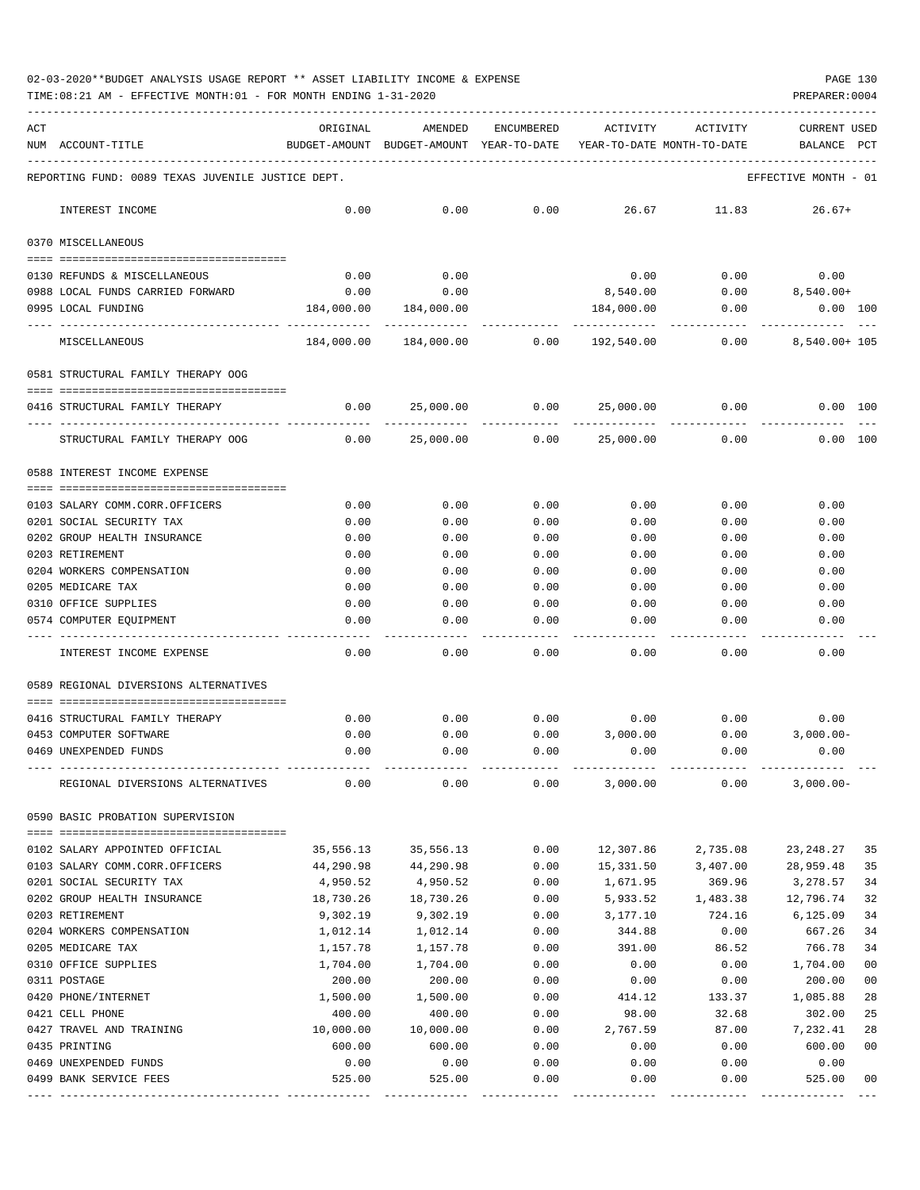TIME:08:21 AM - EFFECTIVE MONTH:01 - FOR MONTH ENDING 1-31-2020 PREPARER:0004

| ACT |                                                   | ORIGINAL                                                            | AMENDED               | ENCUMBERED        | ACTIVITY    | ACTIVITY | <b>CURRENT USED</b>  |                |
|-----|---------------------------------------------------|---------------------------------------------------------------------|-----------------------|-------------------|-------------|----------|----------------------|----------------|
|     | NUM ACCOUNT-TITLE                                 | BUDGET-AMOUNT BUDGET-AMOUNT YEAR-TO-DATE YEAR-TO-DATE MONTH-TO-DATE |                       |                   |             |          | BALANCE              | PCT            |
|     |                                                   |                                                                     |                       |                   |             |          |                      |                |
|     | REPORTING FUND: 0089 TEXAS JUVENILE JUSTICE DEPT. |                                                                     |                       |                   |             |          | EFFECTIVE MONTH - 01 |                |
|     | INTEREST INCOME                                   | 0.00                                                                | 0.00                  | 0.00              | 26.67       | 11.83    | $26.67+$             |                |
|     | 0370 MISCELLANEOUS                                |                                                                     |                       |                   |             |          |                      |                |
|     | 0130 REFUNDS & MISCELLANEOUS                      | 0.00                                                                | 0.00                  |                   | 0.00        | 0.00     | 0.00                 |                |
|     | 0988 LOCAL FUNDS CARRIED FORWARD                  | 0.00                                                                | 0.00                  |                   | 8,540.00    |          | $0.00$ $8,540.00+$   |                |
|     | 0995 LOCAL FUNDING                                | 184,000.00                                                          | 184,000.00            |                   | 184,000.00  | 0.00     | $0.00$ 100           |                |
|     |                                                   |                                                                     |                       |                   |             |          |                      |                |
|     | MISCELLANEOUS                                     |                                                                     | 184,000.00 184,000.00 | 0.00              | 192,540.00  | 0.00     | 8,540.00+ 105        |                |
|     | 0581 STRUCTURAL FAMILY THERAPY OOG                |                                                                     |                       |                   |             |          |                      |                |
|     | 0416 STRUCTURAL FAMILY THERAPY                    | 0.00                                                                | 25,000.00             | 0.00              | 25,000.00   | 0.00     | 0.00 100             |                |
|     | STRUCTURAL FAMILY THERAPY OOG                     | 0.00                                                                | 25,000.00             | 0.00              | 25,000.00   | 0.00     | 0.00 100             |                |
|     | 0588 INTEREST INCOME EXPENSE                      |                                                                     |                       |                   |             |          |                      |                |
|     |                                                   |                                                                     |                       |                   |             |          |                      |                |
|     | 0103 SALARY COMM.CORR.OFFICERS                    | 0.00                                                                | 0.00                  | 0.00              | 0.00        | 0.00     | 0.00                 |                |
|     | 0201 SOCIAL SECURITY TAX                          | 0.00                                                                | 0.00                  | 0.00              | 0.00        | 0.00     | 0.00                 |                |
|     | 0202 GROUP HEALTH INSURANCE                       | 0.00                                                                | 0.00                  | 0.00              | 0.00        | 0.00     | 0.00                 |                |
|     | 0203 RETIREMENT                                   | 0.00                                                                | 0.00                  | 0.00              | 0.00        | 0.00     | 0.00                 |                |
|     | 0204 WORKERS COMPENSATION                         | 0.00                                                                | 0.00                  | 0.00              | 0.00        | 0.00     | 0.00                 |                |
|     | 0205 MEDICARE TAX                                 | 0.00                                                                | 0.00                  | 0.00              | 0.00        | 0.00     | 0.00                 |                |
|     | 0310 OFFICE SUPPLIES                              | 0.00                                                                | 0.00                  | 0.00              | 0.00        | 0.00     | 0.00                 |                |
|     | 0574 COMPUTER EQUIPMENT                           | 0.00                                                                | 0.00                  | 0.00<br>$- - - -$ | 0.00        | 0.00     | 0.00                 |                |
|     | INTEREST INCOME EXPENSE                           | 0.00                                                                | 0.00                  | 0.00              | 0.00        | 0.00     | 0.00                 |                |
|     | 0589 REGIONAL DIVERSIONS ALTERNATIVES             |                                                                     |                       |                   |             |          |                      |                |
|     | 0416 STRUCTURAL FAMILY THERAPY                    | 0.00                                                                | 0.00                  | 0.00              | $0.00$ 0.00 |          | 0.00                 |                |
|     | 0453 COMPUTER SOFTWARE                            | 0.00                                                                | 0.00                  | 0.00              | 3,000.00    | 0.00     | $3,000.00-$          |                |
|     | 0469 UNEXPENDED FUNDS                             | 0.00                                                                | 0.00                  | 0.00              | 0.00        | 0.00     | 0.00                 |                |
|     |                                                   |                                                                     |                       |                   |             |          |                      |                |
|     | REGIONAL DIVERSIONS ALTERNATIVES                  | 0.00                                                                | 0.00                  | 0.00              | 3,000.00    | 0.00     | $3,000.00-$          |                |
|     | 0590 BASIC PROBATION SUPERVISION                  |                                                                     |                       |                   |             |          |                      |                |
|     | 0102 SALARY APPOINTED OFFICIAL                    | 35,556.13                                                           | 35,556.13             | 0.00              | 12,307.86   | 2,735.08 | 23, 248. 27          | 35             |
|     | 0103 SALARY COMM.CORR.OFFICERS                    | 44,290.98                                                           | 44,290.98             | 0.00              | 15,331.50   | 3,407.00 | 28,959.48            | 35             |
|     | 0201 SOCIAL SECURITY TAX                          | 4,950.52                                                            | 4,950.52              | 0.00              | 1,671.95    | 369.96   | 3,278.57             | 34             |
|     | 0202 GROUP HEALTH INSURANCE                       | 18,730.26                                                           | 18,730.26             | 0.00              | 5,933.52    | 1,483.38 | 12,796.74            | 32             |
|     | 0203 RETIREMENT                                   | 9,302.19                                                            | 9,302.19              | 0.00              | 3,177.10    | 724.16   | 6, 125.09            | 34             |
|     | 0204 WORKERS COMPENSATION                         | 1,012.14                                                            | 1,012.14              | 0.00              | 344.88      | 0.00     | 667.26               | 34             |
|     | 0205 MEDICARE TAX                                 | 1,157.78                                                            | 1,157.78              | 0.00              | 391.00      | 86.52    | 766.78               | 34             |
|     | 0310 OFFICE SUPPLIES                              | 1,704.00                                                            | 1,704.00              | 0.00              | 0.00        | 0.00     | 1,704.00             | 00             |
|     | 0311 POSTAGE                                      | 200.00                                                              | 200.00                | 0.00              | 0.00        | 0.00     | 200.00               | 0 <sub>0</sub> |
|     | 0420 PHONE/INTERNET                               | 1,500.00                                                            | 1,500.00              | 0.00              | 414.12      | 133.37   | 1,085.88             | 28             |
|     | 0421 CELL PHONE                                   | 400.00                                                              | 400.00                | 0.00              | 98.00       | 32.68    | 302.00               | 25             |
|     | 0427 TRAVEL AND TRAINING                          | 10,000.00                                                           | 10,000.00             | 0.00              | 2,767.59    | 87.00    | 7,232.41             | 28             |
|     | 0435 PRINTING                                     | 600.00                                                              | 600.00                | 0.00              | 0.00        | 0.00     | 600.00               | 00             |
|     | 0469 UNEXPENDED FUNDS                             | 0.00                                                                | 0.00                  | 0.00              | 0.00        | 0.00     | 0.00                 |                |
|     | 0499 BANK SERVICE FEES                            | 525.00                                                              | 525.00                | 0.00              | 0.00        | 0.00     | 525.00               | 00             |

---- ---------------------------------- ------------- ------------- ------------ ------------- ------------ ------------- ---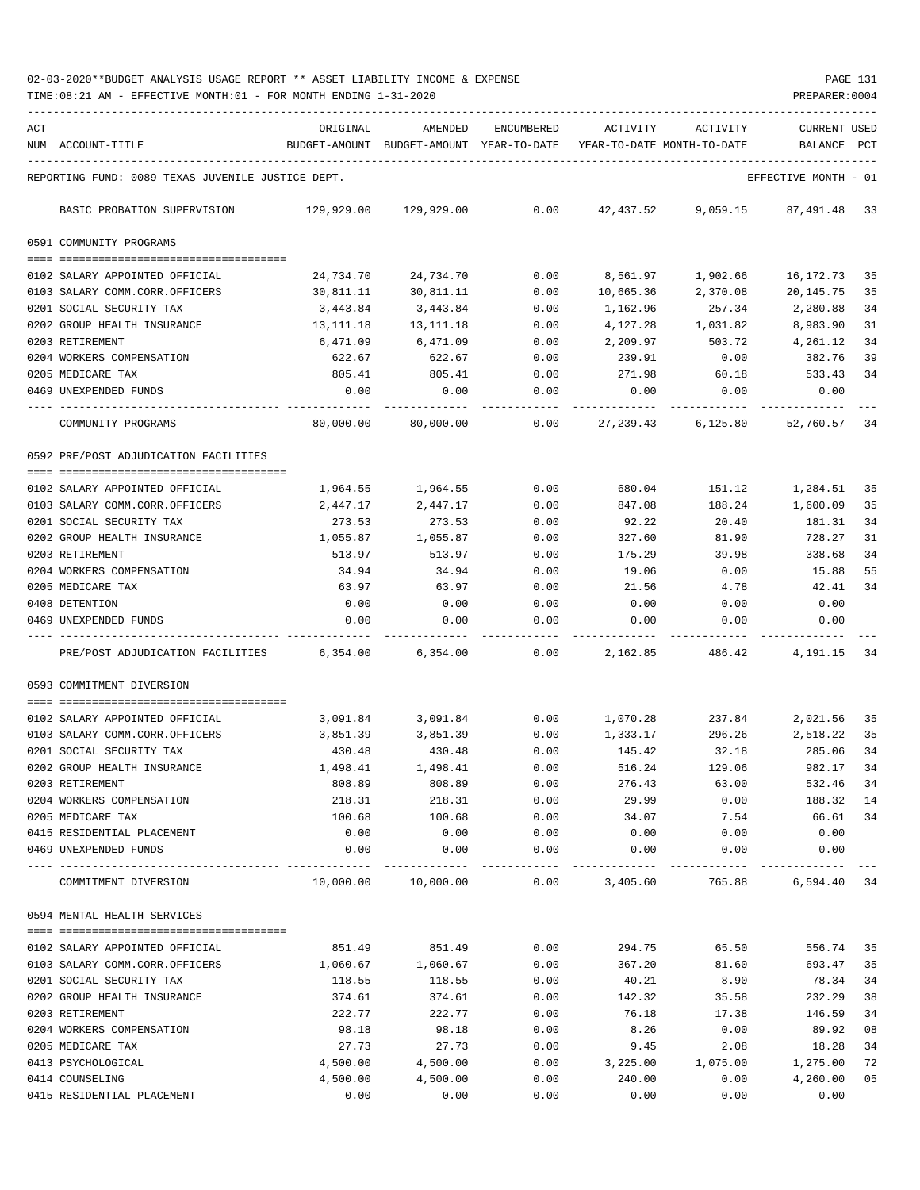TIME:08:21 AM - EFFECTIVE MONTH:01 - FOR MONTH ENDING 1-31-2020 PREPARER:0004

| ACT |                                                                                                                                                                                                                                                                                                                                                                                                                                                                 | ORIGINAL             | AMENDED                                  | <b>ENCUMBERED</b>             | ACTIVITY             | ACTIVITY                   | <b>CURRENT USED</b>  |              |
|-----|-----------------------------------------------------------------------------------------------------------------------------------------------------------------------------------------------------------------------------------------------------------------------------------------------------------------------------------------------------------------------------------------------------------------------------------------------------------------|----------------------|------------------------------------------|-------------------------------|----------------------|----------------------------|----------------------|--------------|
|     | NUM ACCOUNT-TITLE                                                                                                                                                                                                                                                                                                                                                                                                                                               |                      | BUDGET-AMOUNT BUDGET-AMOUNT YEAR-TO-DATE |                               |                      | YEAR-TO-DATE MONTH-TO-DATE | BALANCE              | $_{\rm PCT}$ |
|     | REPORTING FUND: 0089 TEXAS JUVENILE JUSTICE DEPT.                                                                                                                                                                                                                                                                                                                                                                                                               |                      |                                          |                               |                      |                            | EFFECTIVE MONTH - 01 |              |
|     | BASIC PROBATION SUPERVISION                                                                                                                                                                                                                                                                                                                                                                                                                                     |                      | 129,929.00 129,929.00                    | 0.00                          | 42,437.52            | 9,059.15                   | 87,491.48            | 33           |
|     | 0591 COMMUNITY PROGRAMS                                                                                                                                                                                                                                                                                                                                                                                                                                         |                      |                                          |                               |                      |                            |                      |              |
|     | 0102 SALARY APPOINTED OFFICIAL                                                                                                                                                                                                                                                                                                                                                                                                                                  | 24,734.70            | 24,734.70                                | 0.00                          | 8,561.97             | 1,902.66                   | 16,172.73            | 35           |
|     | 0103 SALARY COMM.CORR.OFFICERS                                                                                                                                                                                                                                                                                                                                                                                                                                  | 30,811.11            | 30,811.11                                | 0.00                          | 10,665.36            | 2,370.08                   | 20,145.75            | 35           |
|     | 0201 SOCIAL SECURITY TAX                                                                                                                                                                                                                                                                                                                                                                                                                                        | 3,443.84             | 3,443.84                                 | 0.00                          | 1,162.96             | 257.34                     | 2,280.88             | 34           |
|     | 0202 GROUP HEALTH INSURANCE                                                                                                                                                                                                                                                                                                                                                                                                                                     | 13,111.18            | 13,111.18                                | 0.00                          | 4,127.28             | 1,031.82                   | 8,983.90             | 31           |
|     | 0203 RETIREMENT                                                                                                                                                                                                                                                                                                                                                                                                                                                 | 6,471.09             | 6,471.09                                 | 0.00                          | 2,209.97             | 503.72                     | 4,261.12             | 34           |
|     | 0204 WORKERS COMPENSATION                                                                                                                                                                                                                                                                                                                                                                                                                                       | 622.67               | 622.67                                   | 0.00                          | 239.91               | 0.00                       | 382.76               | 39           |
|     | 0205 MEDICARE TAX                                                                                                                                                                                                                                                                                                                                                                                                                                               | 805.41               | 805.41                                   | 0.00                          | 271.98               | 60.18                      | 533.43               | 34           |
|     | 0469 UNEXPENDED FUNDS                                                                                                                                                                                                                                                                                                                                                                                                                                           | 0.00                 | 0.00                                     | 0.00                          | 0.00                 | 0.00                       | 0.00                 |              |
|     | COMMUNITY PROGRAMS                                                                                                                                                                                                                                                                                                                                                                                                                                              | 80,000.00            | 80,000.00                                | 0.00                          | 27, 239.43           | 6,125.80                   | 52,760.57            | 34           |
|     | 0592 PRE/POST ADJUDICATION FACILITIES                                                                                                                                                                                                                                                                                                                                                                                                                           |                      |                                          |                               |                      |                            |                      |              |
|     |                                                                                                                                                                                                                                                                                                                                                                                                                                                                 |                      |                                          |                               |                      |                            |                      |              |
|     | 0102 SALARY APPOINTED OFFICIAL                                                                                                                                                                                                                                                                                                                                                                                                                                  | 1,964.55             | 1,964.55                                 | 0.00                          | 680.04               | 151.12                     | 1,284.51             | 35           |
|     | 0103 SALARY COMM.CORR.OFFICERS                                                                                                                                                                                                                                                                                                                                                                                                                                  | 2,447.17             | 2,447.17                                 | 0.00                          | 847.08               | 188.24                     | 1,600.09             | 35           |
|     | 0201 SOCIAL SECURITY TAX                                                                                                                                                                                                                                                                                                                                                                                                                                        | 273.53               | 273.53                                   | 0.00                          | 92.22                | 20.40                      | 181.31               | 34           |
|     | 0202 GROUP HEALTH INSURANCE                                                                                                                                                                                                                                                                                                                                                                                                                                     | 1,055.87             | 1,055.87                                 | 0.00                          | 327.60               | 81.90                      | 728.27               | 31           |
|     | 0203 RETIREMENT                                                                                                                                                                                                                                                                                                                                                                                                                                                 | 513.97               | 513.97                                   | 0.00                          | 175.29               | 39.98                      | 338.68               | 34           |
|     | 0204 WORKERS COMPENSATION                                                                                                                                                                                                                                                                                                                                                                                                                                       | 34.94                | 34.94                                    | 0.00                          | 19.06                | 0.00                       | 15.88                | 55<br>34     |
|     | 0205 MEDICARE TAX                                                                                                                                                                                                                                                                                                                                                                                                                                               | 63.97                | 63.97                                    | 0.00                          | 21.56                | 4.78                       | 42.41                |              |
|     | 0408 DETENTION<br>0469 UNEXPENDED FUNDS                                                                                                                                                                                                                                                                                                                                                                                                                         | 0.00<br>0.00         | 0.00<br>0.00                             | 0.00<br>0.00                  | 0.00<br>0.00         | 0.00<br>0.00               | 0.00<br>0.00         |              |
|     | PRE/POST ADJUDICATION FACILITIES                                                                                                                                                                                                                                                                                                                                                                                                                                | 6,354.00             | 6,354.00                                 | $---$<br>0.00                 | 2,162.85             | 486.42                     | 4,191.15             | 34           |
|     |                                                                                                                                                                                                                                                                                                                                                                                                                                                                 |                      |                                          |                               |                      |                            |                      |              |
|     | 0593 COMMITMENT DIVERSION                                                                                                                                                                                                                                                                                                                                                                                                                                       |                      |                                          |                               |                      |                            |                      |              |
|     |                                                                                                                                                                                                                                                                                                                                                                                                                                                                 |                      |                                          |                               |                      |                            |                      |              |
|     | 0102 SALARY APPOINTED OFFICIAL<br>0103 SALARY COMM.CORR.OFFICERS                                                                                                                                                                                                                                                                                                                                                                                                | 3,091.84<br>3,851.39 | 3,091.84<br>3,851.39                     | 0.00<br>0.00                  | 1,070.28<br>1,333.17 | 237.84<br>296.26           | 2,021.56<br>2,518.22 | 35<br>35     |
|     | 0201 SOCIAL SECURITY TAX                                                                                                                                                                                                                                                                                                                                                                                                                                        | 430.48               | 430.48                                   | 0.00                          | 145.42               | 32.18                      | 285.06               | 34           |
|     | 0202 GROUP HEALTH INSURANCE                                                                                                                                                                                                                                                                                                                                                                                                                                     | 1,498.41             | 1,498.41                                 | 0.00                          | 516.24               | 129.06                     | 982.17               | 34           |
|     | 0203 RETIREMENT                                                                                                                                                                                                                                                                                                                                                                                                                                                 | 808.89               | 808.89                                   | 0.00                          | 276.43               | 63.00                      | 532.46 34            |              |
|     | 0204 WORKERS COMPENSATION                                                                                                                                                                                                                                                                                                                                                                                                                                       | 218.31               | 218.31                                   | 0.00                          | 29.99                | 0.00                       | 188.32               | 14           |
|     | 0205 MEDICARE TAX                                                                                                                                                                                                                                                                                                                                                                                                                                               | 100.68               | 100.68                                   | 0.00                          | 34.07                | 7.54                       | 66.61 34             |              |
|     | 0415 RESIDENTIAL PLACEMENT                                                                                                                                                                                                                                                                                                                                                                                                                                      | 0.00                 | 0.00                                     | 0.00                          | 0.00                 | 0.00                       | 0.00                 |              |
|     | 0469 UNEXPENDED FUNDS                                                                                                                                                                                                                                                                                                                                                                                                                                           | 0.00                 | 0.00                                     | 0.00                          | 0.00                 | 0.00                       | 0.00                 |              |
|     | COMMITMENT DIVERSION                                                                                                                                                                                                                                                                                                                                                                                                                                            | 10,000.00            | 10,000.00                                | . _ _ _ _ _ _ _ _ _ _<br>0.00 | 3,405.60             |                            | 765.88 6,594.40 34   |              |
|     | 0594 MENTAL HEALTH SERVICES                                                                                                                                                                                                                                                                                                                                                                                                                                     |                      |                                          |                               |                      |                            |                      |              |
|     | $\begin{minipage}{0.03\textwidth} \begin{tabular}{l} \textbf{0.04\textwidth} \textbf{0.05\textwidth} \textbf{0.06\textwidth} \textbf{0.07\textwidth} \textbf{0.07\textwidth} \textbf{0.07\textwidth} \textbf{0.07\textwidth} \textbf{0.07\textwidth} \textbf{0.07\textwidth} \textbf{0.07\textwidth} \textbf{0.07\textwidth} \textbf{0.07\textwidth} \textbf{0.07\textwidth} \textbf{0.07\textwidth} \textbf{0.07\textwidth} \textbf{0.07\textwidth} \textbf{0$ |                      |                                          |                               |                      |                            |                      |              |
|     | 0102 SALARY APPOINTED OFFICIAL                                                                                                                                                                                                                                                                                                                                                                                                                                  | 851.49               | 851.49                                   | 0.00                          | 294.75               | 65.50                      | 556.74 35            |              |
|     | 0103 SALARY COMM.CORR.OFFICERS                                                                                                                                                                                                                                                                                                                                                                                                                                  | 1,060.67             | 1,060.67                                 | 0.00                          | 367.20               | 81.60                      | 693.47               | 35           |
|     | 0201 SOCIAL SECURITY TAX                                                                                                                                                                                                                                                                                                                                                                                                                                        | 118.55               | 118.55                                   | 0.00                          | 40.21                | 8.90                       | 78.34                | 34           |
|     | 0202 GROUP HEALTH INSURANCE                                                                                                                                                                                                                                                                                                                                                                                                                                     | 374.61               | 374.61                                   | 0.00                          | 142.32               | 35.58                      | 232.29               | 38           |
|     | 0203 RETIREMENT                                                                                                                                                                                                                                                                                                                                                                                                                                                 | 222.77               | 222.77                                   | 0.00                          | 76.18                | 17.38                      | 146.59               | 34           |
|     | 0204 WORKERS COMPENSATION                                                                                                                                                                                                                                                                                                                                                                                                                                       | 98.18                | 98.18<br>27.73                           | 0.00                          | 8.26                 | 0.00                       | 89.92                | 08<br>34     |
|     | 0205 MEDICARE TAX<br>0413 PSYCHOLOGICAL                                                                                                                                                                                                                                                                                                                                                                                                                         | 27.73<br>4,500.00    | 4,500.00                                 | 0.00<br>0.00                  | 9.45<br>3,225.00     | 2.08<br>1,075.00           | 18.28<br>1,275.00    | 72           |
|     | 0414 COUNSELING                                                                                                                                                                                                                                                                                                                                                                                                                                                 | 4,500.00             | 4,500.00                                 | 0.00                          | 240.00               | 0.00                       | 4,260.00             | 05           |
|     |                                                                                                                                                                                                                                                                                                                                                                                                                                                                 |                      |                                          |                               |                      |                            |                      |              |

0415 RESIDENTIAL PLACEMENT 0.00 0.00 0.00 0.00 0.00 0.00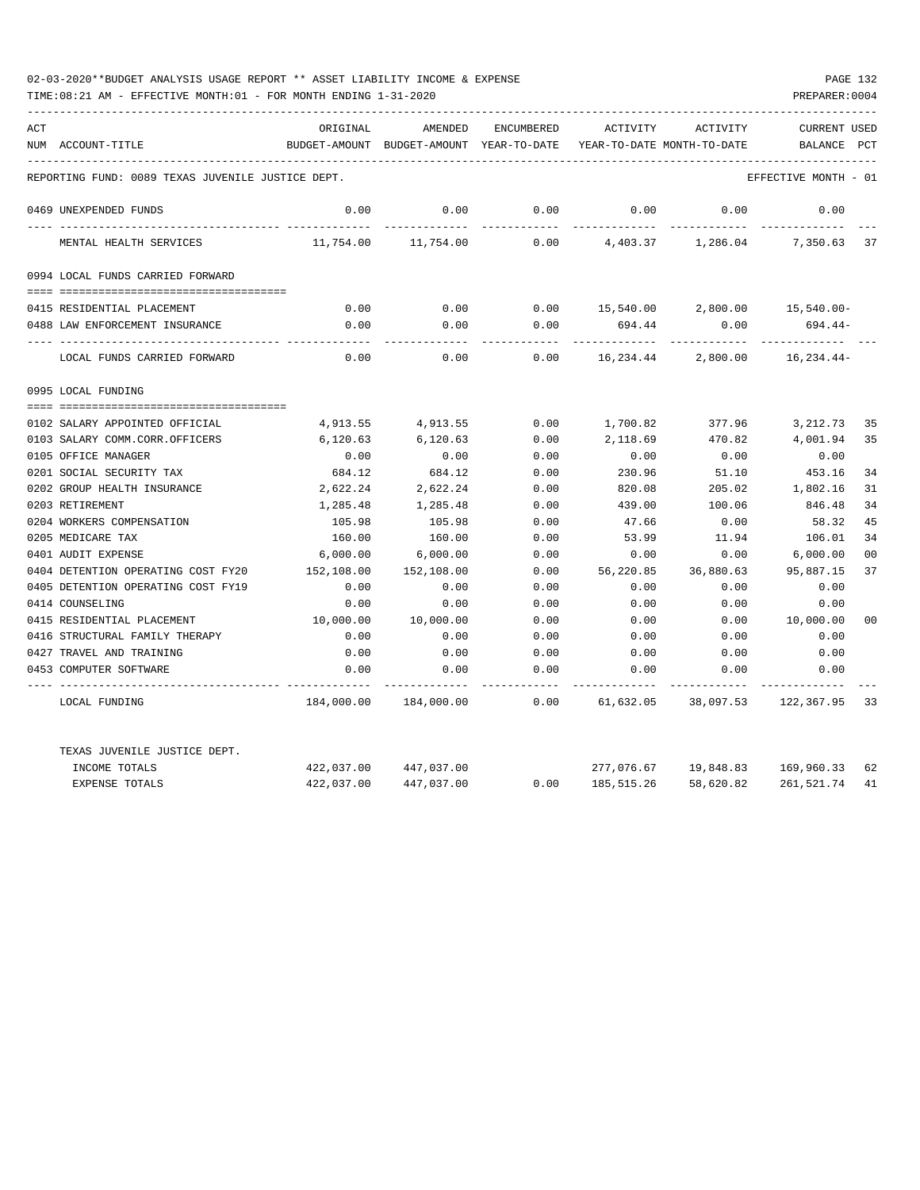| ACT |                                                   | ORIGINAL   | AMENDED                                  | <b>ENCUMBERED</b> | ACTIVITY                             | ACTIVITY  | <b>CURRENT USED</b>  |                |
|-----|---------------------------------------------------|------------|------------------------------------------|-------------------|--------------------------------------|-----------|----------------------|----------------|
|     | NUM ACCOUNT-TITLE                                 |            | BUDGET-AMOUNT BUDGET-AMOUNT YEAR-TO-DATE |                   | YEAR-TO-DATE MONTH-TO-DATE           |           | <b>BALANCE</b>       | PCT            |
|     | REPORTING FUND: 0089 TEXAS JUVENILE JUSTICE DEPT. |            |                                          |                   |                                      |           | EFFECTIVE MONTH - 01 |                |
|     | 0469 UNEXPENDED FUNDS                             | 0.00       | 0.00                                     | 0.00              | 0.00                                 | 0.00      | 0.00                 |                |
|     | MENTAL HEALTH SERVICES                            | 11,754.00  | 11,754.00                                | 0.00              | 4,403.37                             | 1,286.04  | 7,350.63 37          |                |
|     | 0994 LOCAL FUNDS CARRIED FORWARD                  |            |                                          |                   |                                      |           |                      |                |
|     |                                                   |            |                                          |                   |                                      |           |                      |                |
|     | 0415 RESIDENTIAL PLACEMENT                        | 0.00       | 0.00                                     |                   | $0.00$ 15,540.00 2,800.00 15,540.00- |           |                      |                |
|     | 0488 LAW ENFORCEMENT INSURANCE                    | 0.00       | 0.00                                     | 0.00              | 694.44                               | 0.00      | $694.44-$            |                |
|     | LOCAL FUNDS CARRIED FORWARD                       | 0.00       | 0.00                                     | 0.00              | 16,234.44                            | 2,800.00  | 16,234.44-           |                |
|     | 0995 LOCAL FUNDING                                |            |                                          |                   |                                      |           |                      |                |
|     |                                                   |            |                                          |                   |                                      |           |                      |                |
|     | 0102 SALARY APPOINTED OFFICIAL                    | 4,913.55   | 4,913.55                                 | 0.00              | 1,700.82                             | 377.96    | 3,212.73             | 35             |
|     | 0103 SALARY COMM.CORR.OFFICERS                    | 6,120.63   | 6,120.63                                 | 0.00              | 2,118.69                             | 470.82    | 4,001.94             | 35             |
|     | 0105 OFFICE MANAGER                               | 0.00       | 0.00                                     | 0.00              | 0.00                                 | 0.00      | 0.00                 |                |
|     | 0201 SOCIAL SECURITY TAX                          | 684.12     | 684.12                                   | 0.00              | 230.96                               | 51.10     | 453.16               | 34             |
|     | 0202 GROUP HEALTH INSURANCE                       | 2,622.24   | 2,622.24                                 | 0.00              | 820.08                               | 205.02    | 1,802.16             | 31             |
|     | 0203 RETIREMENT                                   | 1,285.48   | 1,285.48                                 | 0.00              | 439.00                               | 100.06    | 846.48               | 34             |
|     | 0204 WORKERS COMPENSATION                         | 105.98     | 105.98                                   | 0.00              | 47.66                                | 0.00      | 58.32                | 45             |
|     | 0205 MEDICARE TAX                                 | 160.00     | 160.00                                   | 0.00              | 53.99                                | 11.94     | 106.01               | 34             |
|     | 0401 AUDIT EXPENSE                                | 6,000.00   | 6,000.00                                 | 0.00              | 0.00                                 | 0.00      | 6,000.00             | 0 <sup>0</sup> |
|     | 0404 DETENTION OPERATING COST FY20                | 152,108.00 | 152,108.00                               | 0.00              | 56,220.85                            | 36,880.63 | 95,887.15            | 37             |
|     | 0405 DETENTION OPERATING COST FY19                | 0.00       | 0.00                                     | 0.00              | 0.00                                 | 0.00      | 0.00                 |                |
|     | 0414 COUNSELING                                   | 0.00       | 0.00                                     | 0.00              | 0.00                                 | 0.00      | 0.00                 |                |
|     | 0415 RESIDENTIAL PLACEMENT                        | 10,000.00  | 10,000.00                                | 0.00              | 0.00                                 | 0.00      | 10,000.00            | 0 <sup>0</sup> |
|     | 0416 STRUCTURAL FAMILY THERAPY                    | 0.00       | 0.00                                     | 0.00              | 0.00                                 | 0.00      | 0.00                 |                |
|     | 0427 TRAVEL AND TRAINING                          | 0.00       | 0.00                                     | 0.00              | 0.00                                 | 0.00      | 0.00                 |                |
|     | 0453 COMPUTER SOFTWARE                            | 0.00       | 0.00                                     | 0.00              | 0.00                                 | 0.00      | 0.00                 |                |
|     | LOCAL FUNDING                                     | 184,000.00 | 184,000.00                               | 0.00              | 61,632.05                            | 38,097.53 | 122,367.95           | -33            |
|     | TEXAS JUVENILE JUSTICE DEPT.                      |            |                                          |                   |                                      |           |                      |                |
|     | INCOME TOTALS                                     | 422,037.00 | 447,037.00                               |                   | 277,076.67                           | 19,848.83 | 169,960.33           | 62             |
|     | <b>EXPENSE TOTALS</b>                             | 422,037.00 | 447,037.00                               | 0.00              | 185, 515.26                          | 58,620.82 | 261,521.74           | 41             |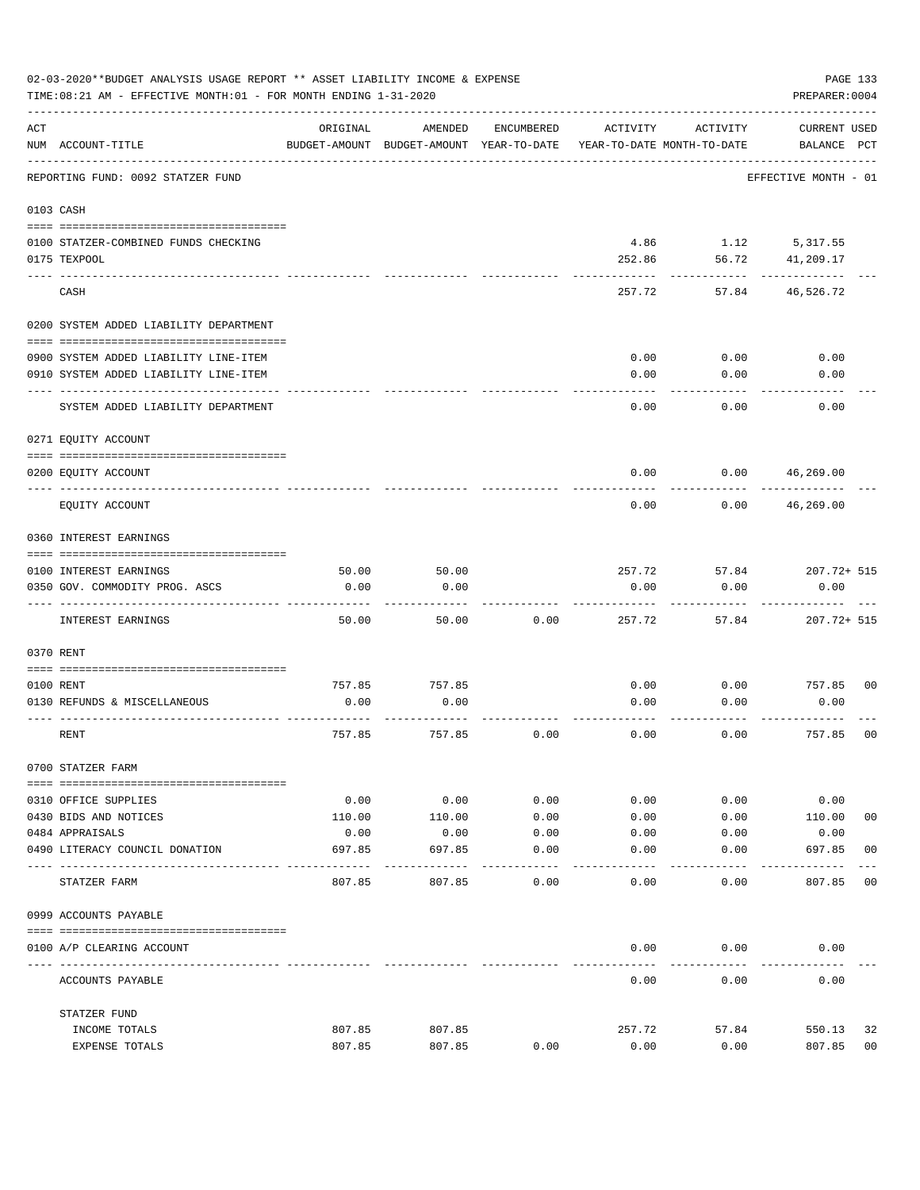|     | 02-03-2020**BUDGET ANALYSIS USAGE REPORT ** ASSET LIABILITY INCOME & EXPENSE<br>TIME: 08:21 AM - EFFECTIVE MONTH: 01 - FOR MONTH ENDING 1-31-2020 |               |                                                     |                     |                |                                        | PAGE 133<br>PREPARER: 0004         |                |
|-----|---------------------------------------------------------------------------------------------------------------------------------------------------|---------------|-----------------------------------------------------|---------------------|----------------|----------------------------------------|------------------------------------|----------------|
| ACT | NUM ACCOUNT-TITLE                                                                                                                                 | ORIGINAL      | AMENDED<br>BUDGET-AMOUNT BUDGET-AMOUNT YEAR-TO-DATE | ENCUMBERED          | ACTIVITY       | ACTIVITY<br>YEAR-TO-DATE MONTH-TO-DATE | <b>CURRENT USED</b><br>BALANCE PCT |                |
|     | REPORTING FUND: 0092 STATZER FUND                                                                                                                 |               |                                                     |                     |                |                                        | EFFECTIVE MONTH - 01               |                |
|     | 0103 CASH                                                                                                                                         |               |                                                     |                     |                |                                        |                                    |                |
|     | 0100 STATZER-COMBINED FUNDS CHECKING<br>0175 TEXPOOL                                                                                              |               |                                                     |                     | 4.86<br>252.86 | 56.72                                  | 1.12 5,317.55<br>41,209.17         |                |
|     | CASH                                                                                                                                              |               |                                                     |                     | 257.72         | 57.84                                  | 46,526.72                          |                |
|     | 0200 SYSTEM ADDED LIABILITY DEPARTMENT                                                                                                            |               |                                                     |                     |                |                                        |                                    |                |
|     | 0900 SYSTEM ADDED LIABILITY LINE-ITEM                                                                                                             |               |                                                     |                     | 0.00           | 0.00                                   | 0.00                               |                |
|     | 0910 SYSTEM ADDED LIABILITY LINE-ITEM                                                                                                             |               |                                                     |                     | 0.00           | 0.00                                   | 0.00                               |                |
|     | SYSTEM ADDED LIABILITY DEPARTMENT                                                                                                                 |               |                                                     |                     | 0.00           | 0.00                                   | 0.00                               |                |
|     | 0271 EQUITY ACCOUNT                                                                                                                               |               |                                                     |                     |                |                                        |                                    |                |
|     | 0200 EQUITY ACCOUNT                                                                                                                               |               |                                                     |                     | 0.00           | 0.00                                   | 46,269.00                          |                |
|     | EQUITY ACCOUNT                                                                                                                                    |               |                                                     |                     | 0.00           | 0.00                                   | 46,269.00                          |                |
|     | 0360 INTEREST EARNINGS                                                                                                                            |               |                                                     |                     |                |                                        |                                    |                |
|     |                                                                                                                                                   |               |                                                     |                     |                |                                        |                                    |                |
|     | 0100 INTEREST EARNINGS<br>0350 GOV. COMMODITY PROG. ASCS                                                                                          | 50.00<br>0.00 | 50.00<br>0.00                                       |                     | 257.72<br>0.00 | 57.84<br>0.00                          | 207.72+ 515<br>0.00                |                |
|     | INTEREST EARNINGS                                                                                                                                 | 50.00         | 50.00                                               | 0.00                | 257.72         | 57.84                                  | $207.72 + 515$                     |                |
|     | 0370 RENT                                                                                                                                         |               |                                                     |                     |                |                                        |                                    |                |
|     |                                                                                                                                                   |               |                                                     |                     |                |                                        |                                    |                |
|     | 0100 RENT                                                                                                                                         | 757.85        | 757.85                                              |                     | 0.00           | 0.00                                   | 757.85                             | 0 <sub>0</sub> |
|     | 0130 REFUNDS & MISCELLANEOUS                                                                                                                      | 0.00          | 0.00                                                |                     | 0.00           | 0.00                                   | 0.00                               |                |
|     | RENT                                                                                                                                              | 757.85        | 757.85                                              | 0.00                | 0.00           | 0.00                                   | 757.85                             | 0 <sub>0</sub> |
|     | 0700 STATZER FARM                                                                                                                                 |               |                                                     |                     |                |                                        |                                    |                |
|     | 0310 OFFICE SUPPLIES                                                                                                                              | 0.00          | 0.00                                                | 0.00                | 0.00           | 0.00                                   | 0.00                               |                |
|     | 0430 BIDS AND NOTICES                                                                                                                             | 110.00        | 110.00                                              | 0.00                | 0.00           | 0.00                                   | 110.00                             | 0 <sub>0</sub> |
|     | 0484 APPRAISALS                                                                                                                                   | 0.00          | 0.00                                                | 0.00                | 0.00           | 0.00                                   | 0.00                               |                |
|     | 0490 LITERACY COUNCIL DONATION                                                                                                                    | 697.85        | 697.85                                              | 0.00<br>$- - - - -$ | 0.00           | 0.00                                   | 697.85<br>-------                  | 0 <sub>0</sub> |
|     | STATZER FARM                                                                                                                                      | 807.85        | 807.85                                              | 0.00                | 0.00           | 0.00                                   | 807.85                             | 0 <sub>0</sub> |
|     | 0999 ACCOUNTS PAYABLE                                                                                                                             |               |                                                     |                     |                |                                        |                                    |                |
|     | 0100 A/P CLEARING ACCOUNT                                                                                                                         |               |                                                     |                     | 0.00           | 0.00                                   | 0.00                               |                |
|     | ACCOUNTS PAYABLE                                                                                                                                  |               |                                                     |                     | 0.00           | 0.00                                   | 0.00                               |                |
|     | STATZER FUND                                                                                                                                      |               |                                                     |                     |                |                                        |                                    |                |
|     | INCOME TOTALS                                                                                                                                     | 807.85        | 807.85                                              |                     | 257.72         | 57.84                                  | 550.13                             | 32             |
|     | EXPENSE TOTALS                                                                                                                                    | 807.85        | 807.85                                              | 0.00                | 0.00           | 0.00                                   | 807.85                             | 0 <sub>0</sub> |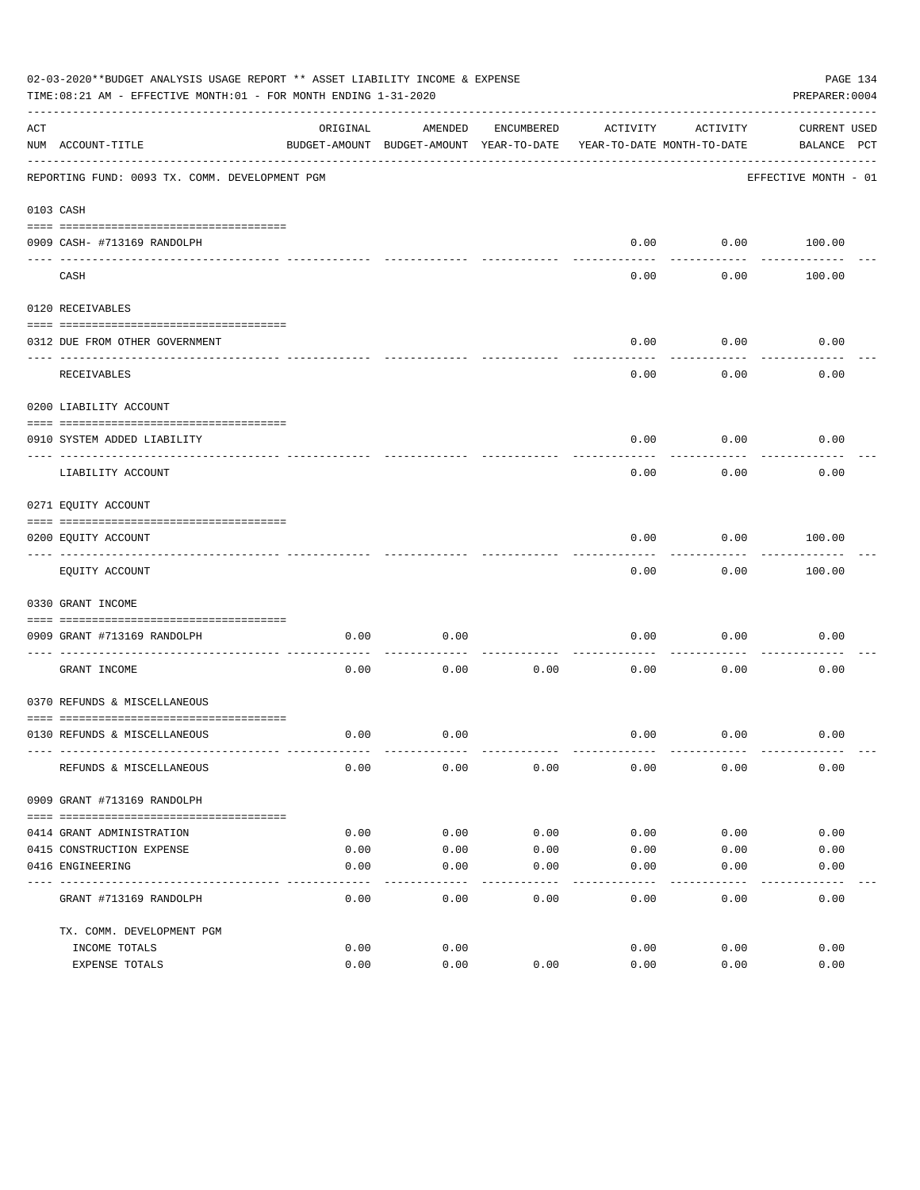| 02-03-2020**BUDGET ANALYSIS USAGE REPORT ** ASSET LIABILITY INCOME & EXPENSE<br>TIME: 08:21 AM - EFFECTIVE MONTH: 01 - FOR MONTH ENDING 1-31-2020 |                                                             |          |                                          |            |                            |           |                      | PAGE 134<br>PREPARER: 0004 |
|---------------------------------------------------------------------------------------------------------------------------------------------------|-------------------------------------------------------------|----------|------------------------------------------|------------|----------------------------|-----------|----------------------|----------------------------|
| ACT                                                                                                                                               |                                                             | ORIGINAL | AMENDED                                  | ENCUMBERED | ACTIVITY                   | ACTIVITY  | CURRENT USED         |                            |
|                                                                                                                                                   | NUM ACCOUNT-TITLE                                           |          | BUDGET-AMOUNT BUDGET-AMOUNT YEAR-TO-DATE |            | YEAR-TO-DATE MONTH-TO-DATE |           | BALANCE PCT          |                            |
|                                                                                                                                                   | REPORTING FUND: 0093 TX. COMM. DEVELOPMENT PGM              |          |                                          |            |                            |           | EFFECTIVE MONTH - 01 |                            |
|                                                                                                                                                   | 0103 CASH                                                   |          |                                          |            |                            |           |                      |                            |
|                                                                                                                                                   |                                                             |          |                                          |            |                            |           |                      |                            |
|                                                                                                                                                   | 0909 CASH- #713169 RANDOLPH                                 |          |                                          |            | 0.00                       | --------- | $0.00$ 100.00        |                            |
|                                                                                                                                                   | CASH                                                        |          |                                          |            | 0.00                       | 0.00      | 100.00               |                            |
|                                                                                                                                                   | 0120 RECEIVABLES                                            |          |                                          |            |                            |           |                      |                            |
|                                                                                                                                                   | 0312 DUE FROM OTHER GOVERNMENT                              |          |                                          |            | 0.00                       | 0.00      | 0.00                 |                            |
|                                                                                                                                                   |                                                             |          |                                          |            |                            | --------  |                      |                            |
|                                                                                                                                                   | RECEIVABLES                                                 |          |                                          |            | 0.00                       | 0.00      | 0.00                 |                            |
|                                                                                                                                                   | 0200 LIABILITY ACCOUNT                                      |          |                                          |            |                            |           |                      |                            |
|                                                                                                                                                   | 0910 SYSTEM ADDED LIABILITY                                 |          |                                          |            | 0.00                       | 0.00      | 0.00                 |                            |
|                                                                                                                                                   | LIABILITY ACCOUNT                                           |          |                                          |            | 0.00                       | 0.00      | 0.00                 |                            |
|                                                                                                                                                   | 0271 EQUITY ACCOUNT                                         |          |                                          |            |                            |           |                      |                            |
|                                                                                                                                                   | 0200 EQUITY ACCOUNT                                         |          |                                          |            | 0.00                       | 0.00      | 100.00               |                            |
|                                                                                                                                                   | EQUITY ACCOUNT                                              |          |                                          |            | 0.00                       | 0.00      | 100.00               |                            |
|                                                                                                                                                   | 0330 GRANT INCOME                                           |          |                                          |            |                            |           |                      |                            |
|                                                                                                                                                   |                                                             |          |                                          |            |                            |           |                      |                            |
|                                                                                                                                                   | 0909 GRANT #713169 RANDOLPH<br>---------------------- ----- | 0.00     | 0.00                                     |            | 0.00                       | 0.00      | 0.00                 |                            |
|                                                                                                                                                   | GRANT INCOME                                                | 0.00     | 0.00                                     | 0.00       | 0.00                       | 0.00      | 0.00                 |                            |
|                                                                                                                                                   | 0370 REFUNDS & MISCELLANEOUS                                |          |                                          |            |                            |           |                      |                            |
|                                                                                                                                                   |                                                             |          |                                          |            |                            |           |                      |                            |
|                                                                                                                                                   | 0130 REFUNDS & MISCELLANEOUS                                | 0.00     | 0.00                                     |            | 0.00                       | 0.00      | 0.00                 |                            |
|                                                                                                                                                   | REFUNDS & MISCELLANEOUS                                     | 0.00     | 0.00                                     | 0.00       | 0.00                       | 0.00      | 0.00                 |                            |
|                                                                                                                                                   | 0909 GRANT #713169 RANDOLPH                                 |          |                                          |            |                            |           |                      |                            |
|                                                                                                                                                   |                                                             |          |                                          |            |                            |           |                      |                            |
|                                                                                                                                                   | 0414 GRANT ADMINISTRATION                                   | 0.00     | 0.00                                     | 0.00       | 0.00                       | 0.00      | 0.00                 |                            |
|                                                                                                                                                   | 0415 CONSTRUCTION EXPENSE                                   | 0.00     | 0.00                                     | 0.00       | 0.00                       | 0.00      | 0.00                 |                            |
|                                                                                                                                                   | 0416 ENGINEERING                                            | 0.00     | 0.00                                     | 0.00       | 0.00                       | 0.00      | 0.00                 |                            |
|                                                                                                                                                   | GRANT #713169 RANDOLPH                                      | 0.00     | 0.00                                     | 0.00       | 0.00                       | 0.00      | 0.00                 |                            |
|                                                                                                                                                   | TX. COMM. DEVELOPMENT PGM                                   |          |                                          |            |                            |           |                      |                            |
|                                                                                                                                                   | INCOME TOTALS                                               | 0.00     | 0.00                                     |            | 0.00                       | 0.00      | 0.00                 |                            |
|                                                                                                                                                   | EXPENSE TOTALS                                              | 0.00     | 0.00                                     | 0.00       | 0.00                       | 0.00      | 0.00                 |                            |
|                                                                                                                                                   |                                                             |          |                                          |            |                            |           |                      |                            |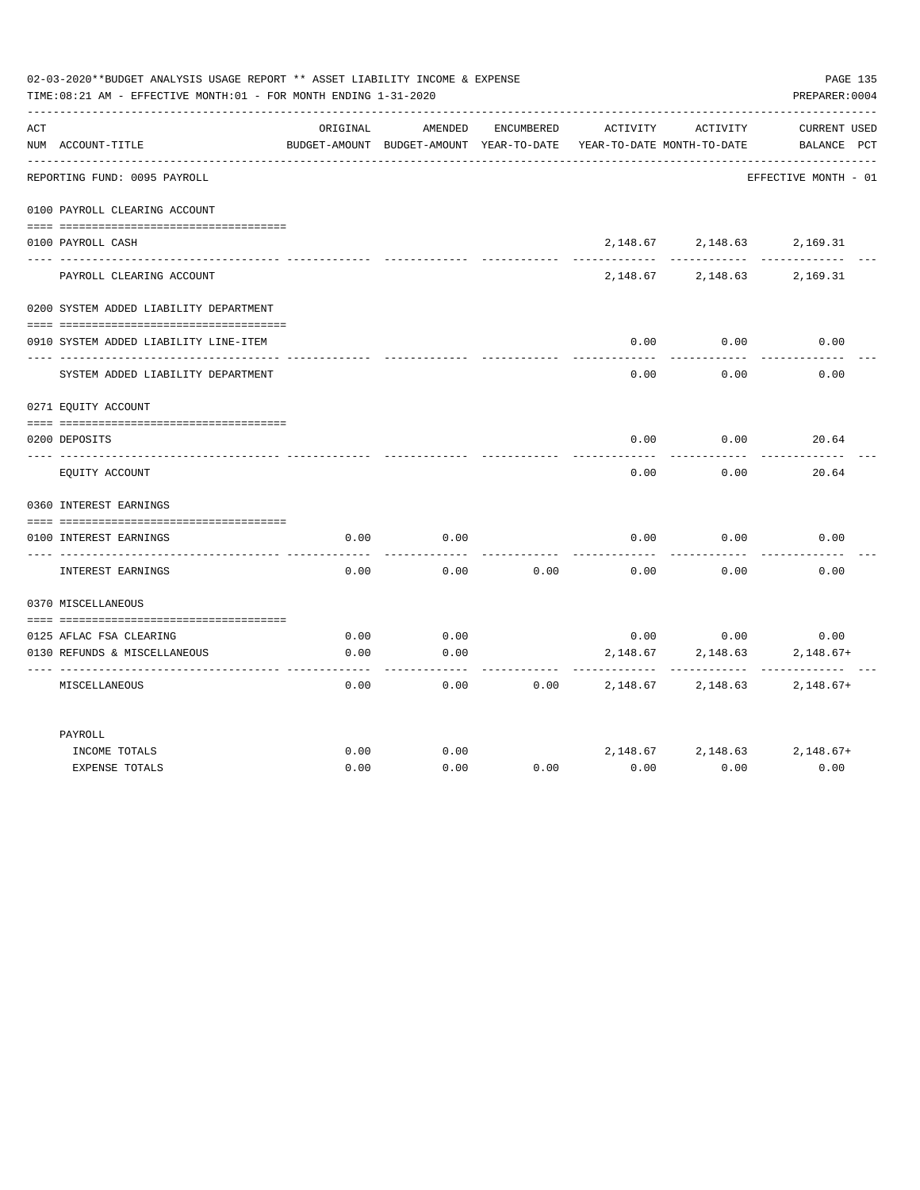| 02-03-2020**BUDGET ANALYSIS USAGE REPORT ** ASSET LIABILITY INCOME & EXPENSE<br>PAGE 135<br>TIME:08:21 AM - EFFECTIVE MONTH:01 - FOR MONTH ENDING 1-31-2020<br>PREPARER: 0004 |                                        |          |                                                     |            |                                        |                               |                                |  |
|-------------------------------------------------------------------------------------------------------------------------------------------------------------------------------|----------------------------------------|----------|-----------------------------------------------------|------------|----------------------------------------|-------------------------------|--------------------------------|--|
| ACT                                                                                                                                                                           | NUM ACCOUNT-TITLE                      | ORIGINAL | AMENDED<br>BUDGET-AMOUNT BUDGET-AMOUNT YEAR-TO-DATE | ENCUMBERED | ACTIVITY<br>YEAR-TO-DATE MONTH-TO-DATE | ACTIVITY                      | CURRENT USED<br>BALANCE PCT    |  |
|                                                                                                                                                                               | REPORTING FUND: 0095 PAYROLL           |          |                                                     |            |                                        |                               | EFFECTIVE MONTH - 01           |  |
|                                                                                                                                                                               | 0100 PAYROLL CLEARING ACCOUNT          |          |                                                     |            |                                        |                               |                                |  |
|                                                                                                                                                                               | 0100 PAYROLL CASH                      |          |                                                     |            |                                        | 2, 148.67 2, 148.63 2, 169.31 |                                |  |
|                                                                                                                                                                               | PAYROLL CLEARING ACCOUNT               |          |                                                     |            | 2,148.67                               | 2,148.63                      | 2,169.31                       |  |
|                                                                                                                                                                               | 0200 SYSTEM ADDED LIABILITY DEPARTMENT |          |                                                     |            |                                        |                               |                                |  |
|                                                                                                                                                                               | 0910 SYSTEM ADDED LIABILITY LINE-ITEM  |          |                                                     |            | 0.00                                   | 0.00                          | 0.00                           |  |
|                                                                                                                                                                               | SYSTEM ADDED LIABILITY DEPARTMENT      |          |                                                     |            | 0.00                                   | 0.00                          | 0.00                           |  |
|                                                                                                                                                                               | 0271 EQUITY ACCOUNT                    |          |                                                     |            |                                        |                               |                                |  |
|                                                                                                                                                                               | 0200 DEPOSITS                          |          |                                                     |            | 0.00                                   | 0.00                          | 20.64                          |  |
|                                                                                                                                                                               | EOUITY ACCOUNT                         |          |                                                     |            | 0.00                                   | 0.00                          | 20.64                          |  |
|                                                                                                                                                                               | 0360 INTEREST EARNINGS                 |          |                                                     |            |                                        |                               |                                |  |
|                                                                                                                                                                               | 0100 INTEREST EARNINGS                 | 0.00     | 0.00                                                |            | 0.00                                   | 0.00                          | 0.00                           |  |
|                                                                                                                                                                               | INTEREST EARNINGS                      | 0.00     | 0.00                                                | 0.00       | 0.00                                   | 0.00                          | 0.00                           |  |
|                                                                                                                                                                               | 0370 MISCELLANEOUS                     |          |                                                     |            |                                        |                               |                                |  |
|                                                                                                                                                                               | 0125 AFLAC FSA CLEARING                | 0.00     | 0.00                                                |            |                                        | $0.00$ 0.00                   | 0.00                           |  |
|                                                                                                                                                                               | 0130 REFUNDS & MISCELLANEOUS           | 0.00     | 0.00                                                |            | 2,148.67                               | 2,148.63<br>----------        | $2,148.67+$                    |  |
|                                                                                                                                                                               | MISCELLANEOUS                          | 0.00     | 0.00                                                | 0.00       | 2,148.67                               | 2,148.63                      | $2,148.67+$                    |  |
|                                                                                                                                                                               | PAYROLL                                |          |                                                     |            |                                        |                               |                                |  |
|                                                                                                                                                                               | INCOME TOTALS                          | 0.00     | 0.00                                                |            |                                        |                               | 2, 148.67 2, 148.63 2, 148.67+ |  |
|                                                                                                                                                                               | <b>EXPENSE TOTALS</b>                  | 0.00     | 0.00                                                | 0.00       | 0.00                                   | 0.00                          | 0.00                           |  |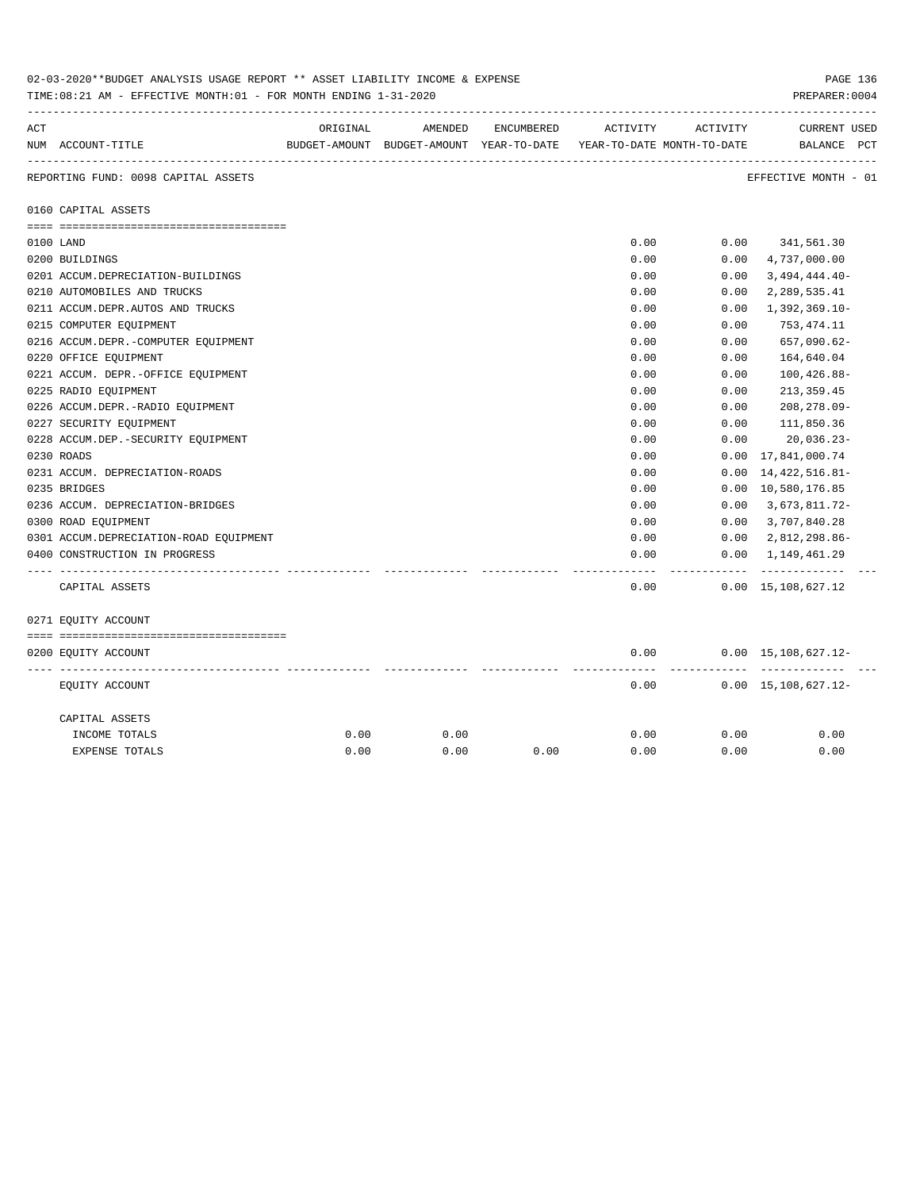| 02-03-2020**BUDGET ANALYSIS USAGE REPORT ** ASSET LIABILITY INCOME & EXPENSE<br>TIME: 08:21 AM - EFFECTIVE MONTH: 01 - FOR MONTH ENDING 1-31-2020 |                                        |          |                                                                     |            |          |          |                                                |
|---------------------------------------------------------------------------------------------------------------------------------------------------|----------------------------------------|----------|---------------------------------------------------------------------|------------|----------|----------|------------------------------------------------|
| ACT                                                                                                                                               |                                        | ORIGINAL | AMENDED                                                             | ENCUMBERED | ACTIVITY | ACTIVITY | <b>CURRENT USED</b>                            |
|                                                                                                                                                   | NUM ACCOUNT-TITLE                      |          | BUDGET-AMOUNT BUDGET-AMOUNT YEAR-TO-DATE YEAR-TO-DATE MONTH-TO-DATE |            |          |          | BALANCE PCT                                    |
|                                                                                                                                                   | REPORTING FUND: 0098 CAPITAL ASSETS    |          |                                                                     |            |          |          | ----------------------<br>EFFECTIVE MONTH - 01 |
|                                                                                                                                                   | 0160 CAPITAL ASSETS                    |          |                                                                     |            |          |          |                                                |
|                                                                                                                                                   |                                        |          |                                                                     |            |          |          |                                                |
|                                                                                                                                                   | 0100 LAND                              |          |                                                                     |            | 0.00     | 0.00     | 341,561.30                                     |
|                                                                                                                                                   | 0200 BUILDINGS                         |          |                                                                     |            | 0.00     | 0.00     | 4,737,000.00                                   |
|                                                                                                                                                   | 0201 ACCUM.DEPRECIATION-BUILDINGS      |          |                                                                     |            | 0.00     | 0.00     | $3,494,444.40-$                                |
|                                                                                                                                                   | 0210 AUTOMOBILES AND TRUCKS            |          |                                                                     |            | 0.00     | 0.00     | 2,289,535.41                                   |
|                                                                                                                                                   | 0211 ACCUM.DEPR.AUTOS AND TRUCKS       |          |                                                                     |            | 0.00     | 0.00     | $1,392,369.10-$                                |
|                                                                                                                                                   | 0215 COMPUTER EQUIPMENT                |          |                                                                     |            | 0.00     | 0.00     | 753,474.11                                     |
|                                                                                                                                                   | 0216 ACCUM.DEPR.-COMPUTER EQUIPMENT    |          |                                                                     |            | 0.00     | 0.00     | 657,090.62-                                    |
|                                                                                                                                                   | 0220 OFFICE EQUIPMENT                  |          |                                                                     |            | 0.00     | 0.00     | 164,640.04                                     |
|                                                                                                                                                   | 0221 ACCUM. DEPR. - OFFICE EQUIPMENT   |          |                                                                     |            | 0.00     | 0.00     | $100, 426.88 -$                                |
|                                                                                                                                                   | 0225 RADIO EQUIPMENT                   |          |                                                                     |            | 0.00     | 0.00     | 213, 359.45                                    |
|                                                                                                                                                   | 0226 ACCUM.DEPR.-RADIO EQUIPMENT       |          |                                                                     |            | 0.00     | 0.00     | 208,278.09-                                    |
|                                                                                                                                                   | 0227 SECURITY EQUIPMENT                |          |                                                                     |            | 0.00     | 0.00     | 111,850.36                                     |
|                                                                                                                                                   | 0228 ACCUM.DEP. - SECURITY EQUIPMENT   |          |                                                                     |            | 0.00     | 0.00     | $20,036.23-$                                   |
|                                                                                                                                                   | 0230 ROADS                             |          |                                                                     |            | 0.00     | 0.00     | 17,841,000.74                                  |
|                                                                                                                                                   | 0231 ACCUM. DEPRECIATION-ROADS         |          |                                                                     |            | 0.00     | 0.00     | 14, 422, 516.81-                               |
|                                                                                                                                                   | 0235 BRIDGES                           |          |                                                                     |            | 0.00     |          | 0.00 10,580,176.85                             |
|                                                                                                                                                   | 0236 ACCUM. DEPRECIATION-BRIDGES       |          |                                                                     |            | 0.00     | 0.00     | 3,673,811.72-                                  |
|                                                                                                                                                   | 0300 ROAD EQUIPMENT                    |          |                                                                     |            | 0.00     | 0.00     | 3,707,840.28                                   |
|                                                                                                                                                   | 0301 ACCUM.DEPRECIATION-ROAD EQUIPMENT |          |                                                                     |            | 0.00     | 0.00     | 2,812,298.86-                                  |
|                                                                                                                                                   | 0400 CONSTRUCTION IN PROGRESS          |          |                                                                     |            | 0.00     | 0.00     | 1,149,461.29                                   |
|                                                                                                                                                   |                                        |          |                                                                     |            |          |          |                                                |
|                                                                                                                                                   | CAPITAL ASSETS                         |          |                                                                     |            | 0.00     |          | $0.00 \quad 15,108,627.12$                     |
|                                                                                                                                                   | 0271 EQUITY ACCOUNT                    |          |                                                                     |            |          |          |                                                |
|                                                                                                                                                   |                                        |          |                                                                     |            |          |          |                                                |
|                                                                                                                                                   | 0200 EQUITY ACCOUNT                    |          |                                                                     |            | 0.00     |          | $0.00 \quad 15,108,627.12 -$<br>----------     |
|                                                                                                                                                   | EQUITY ACCOUNT                         |          |                                                                     |            | 0.00     |          | $0.00 \quad 15,108,627.12 -$                   |
|                                                                                                                                                   | CAPITAL ASSETS                         |          |                                                                     |            |          |          |                                                |
|                                                                                                                                                   | INCOME TOTALS                          | 0.00     | 0.00                                                                |            | 0.00     | 0.00     | 0.00                                           |
|                                                                                                                                                   | <b>EXPENSE TOTALS</b>                  | 0.00     | 0.00                                                                | 0.00       | 0.00     | 0.00     | 0.00                                           |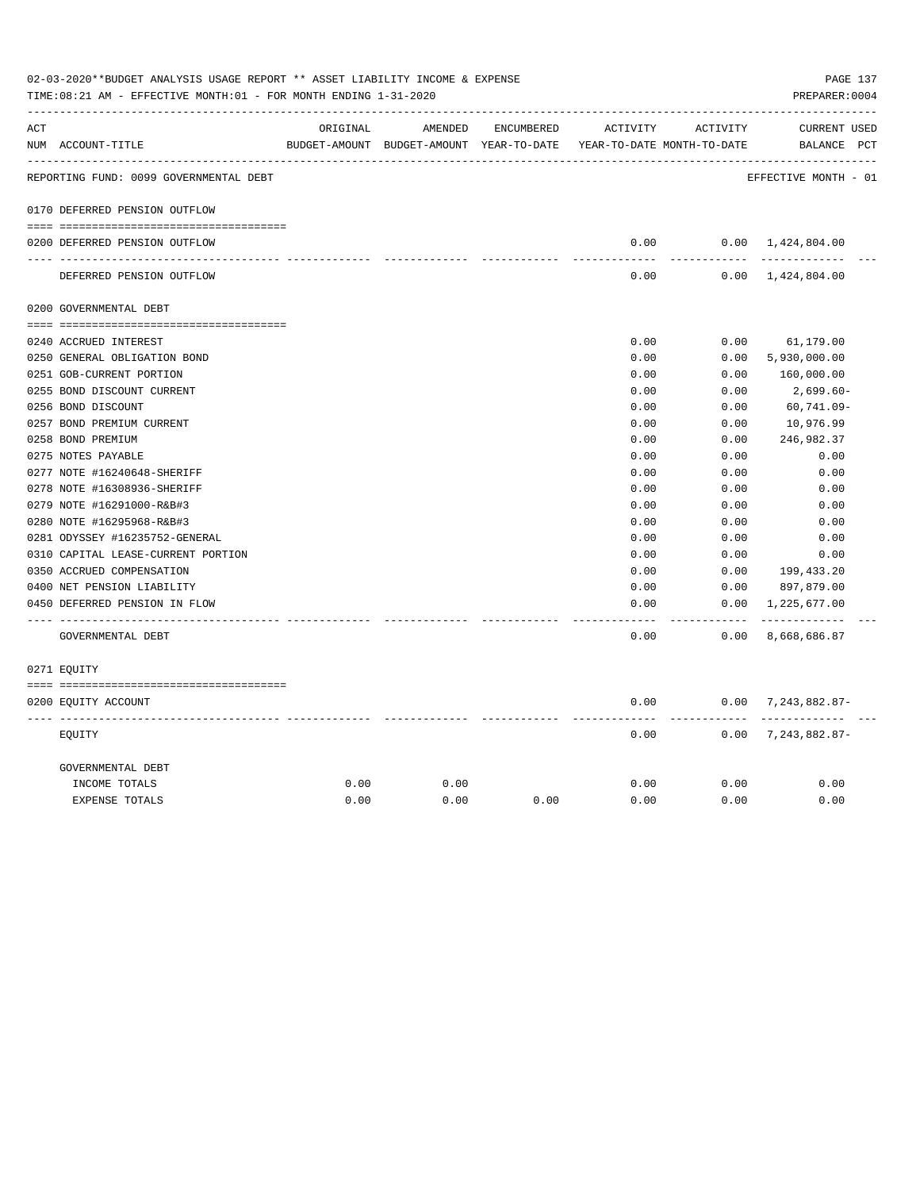| ACT |                                        | ORIGINAL | AMENDED                                  | ENCUMBERED | ACTIVITY                   | ACTIVITY          | <b>CURRENT USED</b>          |  |
|-----|----------------------------------------|----------|------------------------------------------|------------|----------------------------|-------------------|------------------------------|--|
|     | NUM ACCOUNT-TITLE                      |          | BUDGET-AMOUNT BUDGET-AMOUNT YEAR-TO-DATE |            | YEAR-TO-DATE MONTH-TO-DATE |                   | BALANCE PCT                  |  |
|     | REPORTING FUND: 0099 GOVERNMENTAL DEBT |          |                                          |            |                            |                   | EFFECTIVE MONTH - 01         |  |
|     | 0170 DEFERRED PENSION OUTFLOW          |          |                                          |            |                            |                   |                              |  |
|     | 0200 DEFERRED PENSION OUTFLOW          |          |                                          |            | 0.00                       |                   | $0.00 \quad 1,424,804.00$    |  |
|     |                                        |          |                                          |            |                            | .                 |                              |  |
|     | DEFERRED PENSION OUTFLOW               |          |                                          |            | 0.00                       |                   | $0.00 \quad 1,424,804.00$    |  |
|     | 0200 GOVERNMENTAL DEBT                 |          |                                          |            |                            |                   |                              |  |
|     |                                        |          |                                          |            |                            |                   |                              |  |
|     | 0240 ACCRUED INTEREST                  |          |                                          |            | 0.00                       | 0.00              | 61,179.00                    |  |
|     | 0250 GENERAL OBLIGATION BOND           |          |                                          |            | 0.00                       | 0.00              | 5,930,000.00                 |  |
|     | 0251 GOB-CURRENT PORTION               |          |                                          |            | 0.00                       | 0.00              | 160,000.00                   |  |
|     | 0255 BOND DISCOUNT CURRENT             |          |                                          |            | 0.00                       | 0.00              | 2,699.60-                    |  |
|     | 0256 BOND DISCOUNT                     |          |                                          |            | 0.00                       | 0.00              | 60,741.09-                   |  |
|     | 0257 BOND PREMIUM CURRENT              |          |                                          |            | 0.00                       | 0.00              | 10,976.99                    |  |
|     | 0258 BOND PREMIUM                      |          |                                          |            | 0.00                       | 0.00              | 246,982.37                   |  |
|     | 0275 NOTES PAYABLE                     |          |                                          |            | 0.00                       | 0.00              | 0.00                         |  |
|     | 0277 NOTE #16240648-SHERIFF            |          |                                          |            | 0.00                       | 0.00              | 0.00                         |  |
|     | 0278 NOTE #16308936-SHERIFF            |          |                                          |            | 0.00                       | 0.00              | 0.00                         |  |
|     | 0279 NOTE #16291000-R&B#3              |          |                                          |            | 0.00                       | 0.00              | 0.00                         |  |
|     | 0280 NOTE #16295968-R&B#3              |          |                                          |            | 0.00                       | 0.00              | 0.00                         |  |
|     | 0281 ODYSSEY #16235752-GENERAL         |          |                                          |            | 0.00                       | 0.00              | 0.00                         |  |
|     | 0310 CAPITAL LEASE-CURRENT PORTION     |          |                                          |            | 0.00                       | 0.00              | 0.00                         |  |
|     | 0350 ACCRUED COMPENSATION              |          |                                          |            | 0.00                       | 0.00              | 199,433.20                   |  |
|     | 0400 NET PENSION LIABILITY             |          |                                          |            | 0.00                       | 0.00              | 897,879.00                   |  |
|     | 0450 DEFERRED PENSION IN FLOW          |          |                                          |            | 0.00                       | 0.00<br>$- - - -$ | 1,225,677.00<br>------------ |  |
|     | GOVERNMENTAL DEBT                      |          |                                          |            | 0.00                       | 0.00              | 8,668,686.87                 |  |
|     | 0271 EOUITY                            |          |                                          |            |                            |                   |                              |  |
|     | 0200 EQUITY ACCOUNT                    |          |                                          |            | 0.00                       |                   | $0.00$ 7, 243, 882.87-       |  |
|     | EQUITY                                 |          |                                          |            | 0.00                       | 0.00              | ----------<br>7,243,882.87-  |  |
|     | GOVERNMENTAL DEBT                      |          |                                          |            |                            |                   |                              |  |
|     | INCOME TOTALS                          | 0.00     | 0.00                                     |            | 0.00                       | 0.00              | 0.00                         |  |
|     | <b>EXPENSE TOTALS</b>                  | 0.00     | 0.00                                     | 0.00       | 0.00                       | 0.00              | 0.00                         |  |